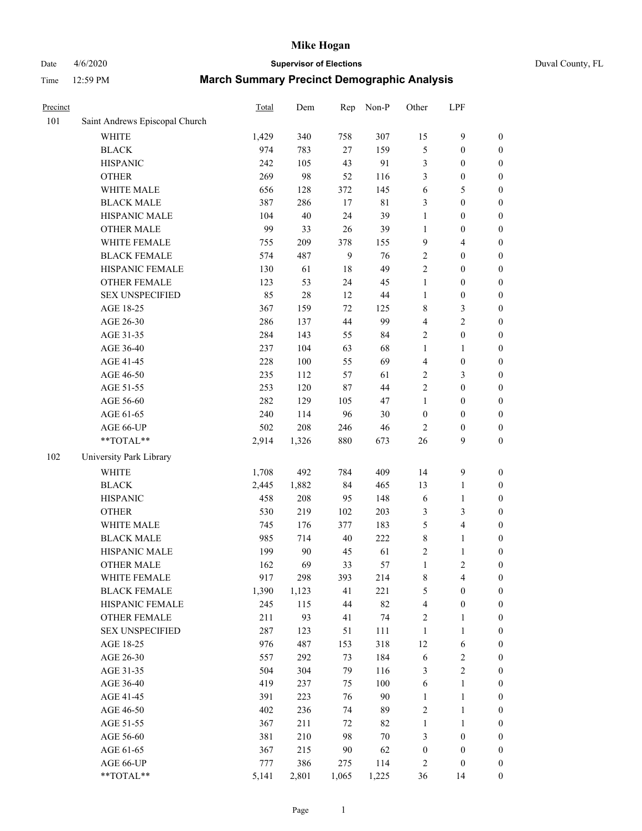## Date 4/6/2020 **Supervisor of Elections** Duval County, FL

| Precinct |                                | Total | Dem    | Rep   | Non-P       | Other                   | LPF                     |                  |
|----------|--------------------------------|-------|--------|-------|-------------|-------------------------|-------------------------|------------------|
| 101      | Saint Andrews Episcopal Church |       |        |       |             |                         |                         |                  |
|          | <b>WHITE</b>                   | 1,429 | 340    | 758   | 307         | 15                      | $\mathbf{9}$            | 0                |
|          | <b>BLACK</b>                   | 974   | 783    | 27    | 159         | 5                       | $\boldsymbol{0}$        | 0                |
|          | <b>HISPANIC</b>                | 242   | 105    | 43    | 91          | 3                       | $\boldsymbol{0}$        | $\boldsymbol{0}$ |
|          | <b>OTHER</b>                   | 269   | 98     | 52    | 116         | 3                       | $\boldsymbol{0}$        | $\boldsymbol{0}$ |
|          | WHITE MALE                     | 656   | 128    | 372   | 145         | 6                       | 5                       | $\boldsymbol{0}$ |
|          | <b>BLACK MALE</b>              | 387   | 286    | 17    | $8\sqrt{1}$ | 3                       | $\boldsymbol{0}$        | $\boldsymbol{0}$ |
|          | HISPANIC MALE                  | 104   | $40\,$ | 24    | 39          | 1                       | $\boldsymbol{0}$        | $\boldsymbol{0}$ |
|          | <b>OTHER MALE</b>              | 99    | 33     | 26    | 39          | $\mathbf{1}$            | $\boldsymbol{0}$        | $\boldsymbol{0}$ |
|          | WHITE FEMALE                   | 755   | 209    | 378   | 155         | 9                       | $\overline{\mathbf{4}}$ | $\boldsymbol{0}$ |
|          | <b>BLACK FEMALE</b>            | 574   | 487    | 9     | 76          | 2                       | $\boldsymbol{0}$        | $\boldsymbol{0}$ |
|          | HISPANIC FEMALE                | 130   | 61     | 18    | 49          | $\overline{2}$          | $\boldsymbol{0}$        | $\boldsymbol{0}$ |
|          | <b>OTHER FEMALE</b>            | 123   | 53     | 24    | 45          | $\mathbf{1}$            | $\boldsymbol{0}$        | $\boldsymbol{0}$ |
|          | <b>SEX UNSPECIFIED</b>         | 85    | 28     | 12    | 44          | $\mathbf{1}$            | $\boldsymbol{0}$        | $\boldsymbol{0}$ |
|          | AGE 18-25                      | 367   | 159    | 72    | 125         | 8                       | $\mathfrak{Z}$          | $\boldsymbol{0}$ |
|          | AGE 26-30                      | 286   | 137    | 44    | 99          | 4                       | $\sqrt{2}$              | $\boldsymbol{0}$ |
|          | AGE 31-35                      | 284   | 143    | 55    | 84          | $\overline{c}$          | $\boldsymbol{0}$        | $\boldsymbol{0}$ |
|          | AGE 36-40                      | 237   | 104    | 63    | 68          | $\mathbf{1}$            | $\mathbf{1}$            | $\boldsymbol{0}$ |
|          | AGE 41-45                      | 228   | 100    | 55    | 69          | $\overline{\mathbf{4}}$ | $\boldsymbol{0}$        | $\boldsymbol{0}$ |
|          | AGE 46-50                      | 235   | 112    | 57    | 61          | 2                       | $\mathfrak{Z}$          | $\boldsymbol{0}$ |
|          | AGE 51-55                      | 253   | 120    | 87    | 44          | $\overline{c}$          | $\boldsymbol{0}$        | $\boldsymbol{0}$ |
|          | AGE 56-60                      | 282   | 129    | 105   | 47          | $\mathbf{1}$            | $\boldsymbol{0}$        | $\boldsymbol{0}$ |
|          | AGE 61-65                      | 240   | 114    | 96    | $30\,$      | $\boldsymbol{0}$        | $\boldsymbol{0}$        | $\boldsymbol{0}$ |
|          | AGE 66-UP                      | 502   | 208    | 246   | 46          | $\overline{2}$          | $\boldsymbol{0}$        | $\boldsymbol{0}$ |
|          | **TOTAL**                      | 2,914 | 1,326  | 880   | 673         | 26                      | 9                       | $\boldsymbol{0}$ |
| 102      | University Park Library        |       |        |       |             |                         |                         |                  |
|          | <b>WHITE</b>                   | 1,708 | 492    | 784   | 409         | 14                      | $\mathbf{9}$            | $\boldsymbol{0}$ |
|          | <b>BLACK</b>                   | 2,445 | 1,882  | 84    | 465         | 13                      | $\mathbf{1}$            | $\boldsymbol{0}$ |
|          | <b>HISPANIC</b>                | 458   | 208    | 95    | 148         | 6                       | $\mathbf{1}$            | $\boldsymbol{0}$ |
|          | <b>OTHER</b>                   | 530   | 219    | 102   | 203         | 3                       | $\mathfrak{Z}$          | $\boldsymbol{0}$ |
|          | WHITE MALE                     | 745   | 176    | 377   | 183         | 5                       | $\overline{\mathbf{4}}$ | $\boldsymbol{0}$ |
|          | <b>BLACK MALE</b>              | 985   | 714    | 40    | 222         | $\,$ $\,$               | $\mathbf{1}$            | $\boldsymbol{0}$ |
|          | HISPANIC MALE                  | 199   | 90     | 45    | 61          | 2                       | $\mathbf{1}$            | 0                |
|          | <b>OTHER MALE</b>              | 162   | 69     | 33    | 57          | $\mathbf{1}$            | $\overline{2}$          | $\boldsymbol{0}$ |
|          | WHITE FEMALE                   | 917   | 298    | 393   | 214         | 8                       | 4                       | 0                |
|          | <b>BLACK FEMALE</b>            | 1,390 | 1,123  | 41    | 221         | 5                       | $\boldsymbol{0}$        | $\boldsymbol{0}$ |
|          | HISPANIC FEMALE                | 245   | 115    | 44    | 82          | 4                       | $\boldsymbol{0}$        | $\overline{0}$   |
|          | <b>OTHER FEMALE</b>            | 211   | 93     | 41    | 74          | $\overline{\mathbf{c}}$ | $\mathbf{1}$            | $\overline{0}$   |
|          | <b>SEX UNSPECIFIED</b>         | 287   | 123    | 51    | 111         | $\mathbf{1}$            | $\mathbf{1}$            | 0                |
|          | AGE 18-25                      | 976   | 487    | 153   | 318         | 12                      | 6                       | 0                |
|          | AGE 26-30                      | 557   | 292    | 73    | 184         | 6                       | $\boldsymbol{2}$        | 0                |
|          | AGE 31-35                      | 504   | 304    | 79    | 116         | 3                       | $\overline{2}$          | 0                |
|          | AGE 36-40                      | 419   | 237    | 75    | 100         | 6                       | $\mathbf{1}$            | 0                |
|          | AGE 41-45                      | 391   | 223    | 76    | 90          | $\mathbf{1}$            | $\mathbf{1}$            | 0                |
|          | AGE 46-50                      | 402   | 236    | 74    | 89          | 2                       | $\mathbf{1}$            | 0                |
|          | AGE 51-55                      | 367   | 211    | 72    | 82          | $\mathbf{1}$            | $\mathbf{1}$            | 0                |
|          | AGE 56-60                      | 381   | 210    | 98    | $70\,$      | 3                       | $\boldsymbol{0}$        | 0                |
|          | AGE 61-65                      | 367   | 215    | 90    | 62          | $\boldsymbol{0}$        | $\boldsymbol{0}$        | 0                |
|          | AGE 66-UP                      | 777   | 386    | 275   | 114         | 2                       | $\boldsymbol{0}$        | 0                |
|          | **TOTAL**                      | 5,141 | 2,801  | 1,065 | 1,225       | 36                      | 14                      | $\boldsymbol{0}$ |
|          |                                |       |        |       |             |                         |                         |                  |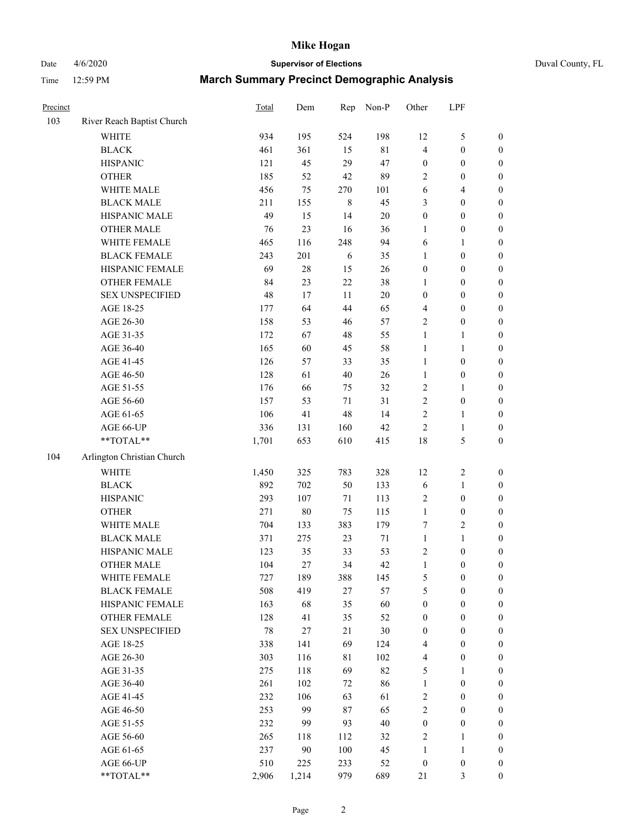Date 4/6/2020 **Supervisor of Elections** Duval County, FL

| Precinct |                                               | Total      | Dem        | Rep       | Non-P     | Other                   | LPF                                  |                                      |
|----------|-----------------------------------------------|------------|------------|-----------|-----------|-------------------------|--------------------------------------|--------------------------------------|
| 103      | River Reach Baptist Church                    |            |            |           |           |                         |                                      |                                      |
|          | <b>WHITE</b>                                  | 934        | 195        | 524       | 198       | 12                      | $\mathfrak s$                        | 0                                    |
|          | <b>BLACK</b>                                  | 461        | 361        | 15        | $81\,$    | $\overline{\mathbf{4}}$ | $\boldsymbol{0}$                     | $\boldsymbol{0}$                     |
|          | <b>HISPANIC</b>                               | 121        | 45         | 29        | 47        | $\boldsymbol{0}$        | $\boldsymbol{0}$                     | $\boldsymbol{0}$                     |
|          | <b>OTHER</b>                                  | 185        | 52         | 42        | 89        | 2                       | $\boldsymbol{0}$                     | $\boldsymbol{0}$                     |
|          | WHITE MALE                                    | 456        | 75         | 270       | 101       | 6                       | $\overline{4}$                       | $\boldsymbol{0}$                     |
|          | <b>BLACK MALE</b>                             | 211        | 155        | $\,8\,$   | 45        | 3                       | $\boldsymbol{0}$                     | $\boldsymbol{0}$                     |
|          | HISPANIC MALE                                 | 49         | 15         | 14        | $20\,$    | $\boldsymbol{0}$        | $\boldsymbol{0}$                     | $\boldsymbol{0}$                     |
|          | <b>OTHER MALE</b>                             | 76         | 23         | 16        | 36        | $\mathbf{1}$            | $\boldsymbol{0}$                     | $\boldsymbol{0}$                     |
|          | WHITE FEMALE                                  | 465        | 116        | 248       | 94        | 6                       | 1                                    | $\boldsymbol{0}$                     |
|          | <b>BLACK FEMALE</b>                           | 243        | 201        | 6         | 35        | $\mathbf{1}$            | $\boldsymbol{0}$                     | $\boldsymbol{0}$                     |
|          | HISPANIC FEMALE                               | 69         | $28\,$     | 15        | $26\,$    | $\boldsymbol{0}$        | $\boldsymbol{0}$                     | $\boldsymbol{0}$                     |
|          | <b>OTHER FEMALE</b>                           | 84         | 23         | 22        | 38        | 1                       | $\boldsymbol{0}$                     | $\boldsymbol{0}$                     |
|          | <b>SEX UNSPECIFIED</b>                        | 48         | 17         | 11        | $20\,$    | $\boldsymbol{0}$        | $\boldsymbol{0}$                     | $\boldsymbol{0}$                     |
|          | AGE 18-25                                     | 177        | 64         | 44        | 65        | 4                       | $\boldsymbol{0}$                     | $\boldsymbol{0}$                     |
|          | AGE 26-30                                     | 158        | 53         | 46        | 57        | 2                       | $\boldsymbol{0}$                     | $\boldsymbol{0}$                     |
|          | AGE 31-35                                     | 172        | 67         | 48        | 55        | $\mathbf{1}$            | $\mathbf{1}$                         | $\boldsymbol{0}$                     |
|          | AGE 36-40                                     | 165        | 60         | 45        | 58        | $\mathbf{1}$            | $\mathbf{1}$                         | $\boldsymbol{0}$                     |
|          | AGE 41-45                                     | 126        | 57         | 33        | 35        | $\mathbf{1}$            | $\boldsymbol{0}$                     | $\boldsymbol{0}$                     |
|          | AGE 46-50                                     | 128        | 61         | $40\,$    | $26\,$    | $\mathbf{1}$            | $\boldsymbol{0}$                     | $\boldsymbol{0}$                     |
|          | AGE 51-55                                     | 176        | 66         | 75        | 32        | 2                       | 1                                    | $\boldsymbol{0}$                     |
|          | AGE 56-60                                     | 157        | 53         | 71        | 31        | $\sqrt{2}$              | $\boldsymbol{0}$                     | 0                                    |
|          | AGE 61-65                                     | 106        | 41         | 48        | 14        | $\overline{c}$          | 1                                    | 0                                    |
|          | AGE 66-UP                                     | 336        | 131        | 160       | 42        | $\boldsymbol{2}$        | $\mathbf{1}$                         | $\boldsymbol{0}$                     |
|          | $\mathrm{*}\mathrm{*} \mathrm{TOTAL}*$        | 1,701      | 653        | 610       | 415       | 18                      | $\mathfrak s$                        | $\boldsymbol{0}$                     |
| 104      | Arlington Christian Church                    |            |            |           |           |                         |                                      |                                      |
|          | <b>WHITE</b>                                  | 1,450      | 325        | 783       | 328       | 12                      | $\overline{c}$                       |                                      |
|          | <b>BLACK</b>                                  | 892        | 702        | 50        | 133       |                         |                                      | $\boldsymbol{0}$                     |
|          | <b>HISPANIC</b>                               | 293        | 107        | 71        | 113       | 6                       | $\mathbf{1}$<br>$\boldsymbol{0}$     | $\boldsymbol{0}$<br>$\boldsymbol{0}$ |
|          | <b>OTHER</b>                                  | 271        | $80\,$     | 75        |           | 2<br>$\mathbf{1}$       | $\boldsymbol{0}$                     |                                      |
|          |                                               |            |            |           | 115       |                         |                                      | $\boldsymbol{0}$                     |
|          | WHITE MALE                                    | 704        | 133        | 383       | 179       | 7                       | $\overline{c}$                       | $\boldsymbol{0}$                     |
|          | <b>BLACK MALE</b>                             | 371        | 275        | 23        | 71        | $\mathbf{1}$            | $\mathbf{1}$                         | $\boldsymbol{0}$                     |
|          | HISPANIC MALE<br><b>OTHER MALE</b>            | 123<br>104 | 35<br>27   | 33<br>34  | 53<br>42  | 2<br>$\mathbf{1}$       | $\boldsymbol{0}$<br>$\boldsymbol{0}$ | $\boldsymbol{0}$                     |
|          |                                               |            |            |           |           |                         |                                      | $\boldsymbol{0}$                     |
|          | WHITE FEMALE<br><b>BLACK FEMALE</b>           | 727        | 189        | 388<br>27 | 145       | 5                       | $\boldsymbol{0}$<br>$\boldsymbol{0}$ | 0                                    |
|          | HISPANIC FEMALE                               | 508<br>163 | 419<br>68  | 35        | 57<br>60  | 5<br>$\boldsymbol{0}$   | $\boldsymbol{0}$                     | $\boldsymbol{0}$<br>$\overline{0}$   |
|          |                                               | 128        | 41         | 35        | 52        |                         | $\boldsymbol{0}$                     | $\overline{0}$                       |
|          | <b>OTHER FEMALE</b><br><b>SEX UNSPECIFIED</b> | 78         |            | 21        | $30\,$    | $\boldsymbol{0}$        | $\boldsymbol{0}$                     | $\overline{0}$                       |
|          |                                               |            | 27         |           |           | $\boldsymbol{0}$        |                                      | $\theta$                             |
|          | AGE 18-25                                     | 338        | 141        | 69        | 124       | 4                       | $\boldsymbol{0}$                     |                                      |
|          | AGE 26-30                                     | 303<br>275 | 116        | 81<br>69  | 102<br>82 | 4                       | $\boldsymbol{0}$                     | 0                                    |
|          | AGE 31-35                                     |            | 118        |           |           | 5                       | 1                                    | 0                                    |
|          | AGE 36-40                                     | 261<br>232 | 102<br>106 | 72<br>63  | 86<br>61  | $\mathbf{1}$            | $\boldsymbol{0}$<br>$\boldsymbol{0}$ | 0                                    |
|          | AGE 41-45                                     |            |            |           |           | 2                       |                                      | 0                                    |
|          | AGE 46-50                                     | 253        | 99         | 87        | 65        | 2                       | $\boldsymbol{0}$                     | 0                                    |
|          | AGE 51-55                                     | 232        | 99         | 93        | $40\,$    | $\boldsymbol{0}$        | $\boldsymbol{0}$                     | $\overline{0}$                       |
|          | AGE 56-60                                     | 265        | 118        | 112       | 32        | 2                       | 1                                    | $\overline{0}$                       |
|          | AGE 61-65                                     | 237        | 90         | 100       | 45        | $\mathbf{1}$            | $\mathbf{1}$                         | $\overline{0}$                       |
|          | AGE 66-UP                                     | 510        | 225        | 233       | 52        | $\boldsymbol{0}$        | $\boldsymbol{0}$                     | 0                                    |
|          | **TOTAL**                                     | 2,906      | 1,214      | 979       | 689       | 21                      | $\mathfrak{Z}$                       | $\boldsymbol{0}$                     |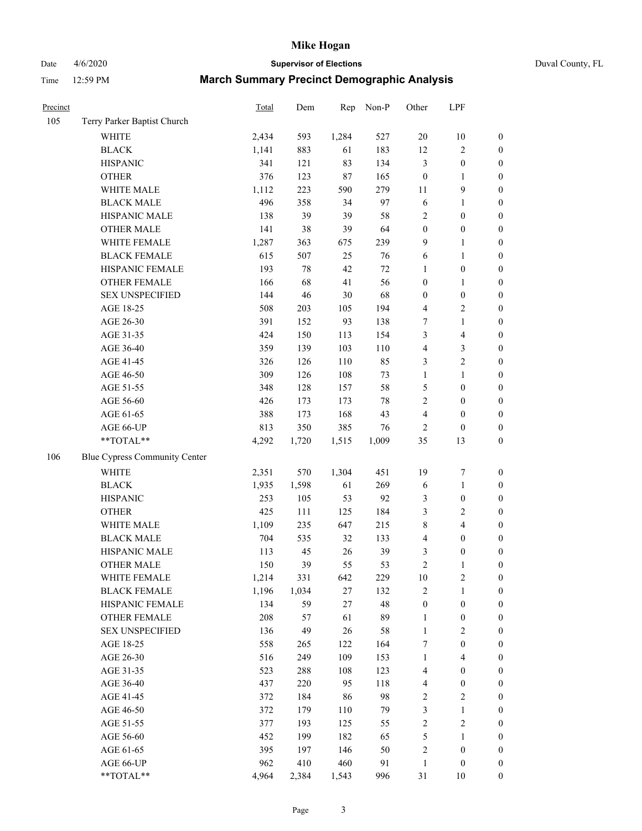Date 4/6/2020 **Supervisor of Elections** Duval County, FL

| Precinct |                               | Total | Dem    | Rep   | Non-P  | Other                   | LPF                     |                  |
|----------|-------------------------------|-------|--------|-------|--------|-------------------------|-------------------------|------------------|
| 105      | Terry Parker Baptist Church   |       |        |       |        |                         |                         |                  |
|          | <b>WHITE</b>                  | 2,434 | 593    | 1,284 | 527    | $20\,$                  | $10\,$                  | $\boldsymbol{0}$ |
|          | <b>BLACK</b>                  | 1,141 | 883    | 61    | 183    | 12                      | $\boldsymbol{2}$        | $\boldsymbol{0}$ |
|          | <b>HISPANIC</b>               | 341   | 121    | 83    | 134    | 3                       | $\boldsymbol{0}$        | $\boldsymbol{0}$ |
|          | <b>OTHER</b>                  | 376   | 123    | 87    | 165    | $\boldsymbol{0}$        | 1                       | $\boldsymbol{0}$ |
|          | WHITE MALE                    | 1,112 | 223    | 590   | 279    | 11                      | 9                       | $\boldsymbol{0}$ |
|          | <b>BLACK MALE</b>             | 496   | 358    | 34    | 97     | $\sqrt{6}$              | $\mathbf{1}$            | $\boldsymbol{0}$ |
|          | HISPANIC MALE                 | 138   | 39     | 39    | $58\,$ | 2                       | $\boldsymbol{0}$        | $\boldsymbol{0}$ |
|          | <b>OTHER MALE</b>             | 141   | 38     | 39    | 64     | $\boldsymbol{0}$        | $\boldsymbol{0}$        | $\boldsymbol{0}$ |
|          | WHITE FEMALE                  | 1,287 | 363    | 675   | 239    | 9                       | 1                       | $\boldsymbol{0}$ |
|          | <b>BLACK FEMALE</b>           | 615   | 507    | 25    | 76     | 6                       | $\mathbf{1}$            | 0                |
|          | HISPANIC FEMALE               | 193   | $78\,$ | 42    | $72\,$ | $\mathbf{1}$            | $\boldsymbol{0}$        | $\boldsymbol{0}$ |
|          | OTHER FEMALE                  | 166   | 68     | 41    | 56     | $\boldsymbol{0}$        | $\mathbf{1}$            | $\boldsymbol{0}$ |
|          | <b>SEX UNSPECIFIED</b>        | 144   | 46     | 30    | 68     | $\boldsymbol{0}$        | $\boldsymbol{0}$        | $\boldsymbol{0}$ |
|          | AGE 18-25                     | 508   | 203    | 105   | 194    | 4                       | $\sqrt{2}$              | $\boldsymbol{0}$ |
|          | AGE 26-30                     | 391   | 152    | 93    | 138    | 7                       | $\mathbf{1}$            | $\boldsymbol{0}$ |
|          | AGE 31-35                     | 424   | 150    | 113   | 154    | 3                       | $\overline{\mathbf{4}}$ | $\boldsymbol{0}$ |
|          | AGE 36-40                     | 359   | 139    | 103   | 110    | $\overline{\mathbf{4}}$ | $\mathfrak{Z}$          | $\boldsymbol{0}$ |
|          | AGE 41-45                     | 326   | 126    | 110   | 85     | 3                       | $\sqrt{2}$              | $\boldsymbol{0}$ |
|          | AGE 46-50                     | 309   | 126    | 108   | 73     | $\mathbf{1}$            | $\mathbf{1}$            | $\boldsymbol{0}$ |
|          | AGE 51-55                     | 348   | 128    | 157   | 58     | 5                       | $\boldsymbol{0}$        | 0                |
|          | AGE 56-60                     | 426   | 173    | 173   | $78\,$ | 2                       | $\boldsymbol{0}$        | $\boldsymbol{0}$ |
|          | AGE 61-65                     | 388   | 173    | 168   | 43     | 4                       | $\boldsymbol{0}$        | $\boldsymbol{0}$ |
|          | AGE 66-UP                     | 813   | 350    | 385   | 76     | 2                       | $\boldsymbol{0}$        | $\boldsymbol{0}$ |
|          | **TOTAL**                     | 4,292 | 1,720  | 1,515 | 1,009  | 35                      | 13                      | $\boldsymbol{0}$ |
| 106      | Blue Cypress Community Center |       |        |       |        |                         |                         |                  |
|          | <b>WHITE</b>                  | 2,351 | 570    | 1,304 | 451    | 19                      | $\boldsymbol{7}$        | $\boldsymbol{0}$ |
|          | <b>BLACK</b>                  | 1,935 | 1,598  | 61    | 269    | 6                       | $\mathbf{1}$            | $\boldsymbol{0}$ |
|          | <b>HISPANIC</b>               | 253   | 105    | 53    | 92     | 3                       | $\boldsymbol{0}$        | $\boldsymbol{0}$ |
|          | <b>OTHER</b>                  | 425   | 111    | 125   | 184    | 3                       | $\overline{c}$          | $\boldsymbol{0}$ |
|          | WHITE MALE                    | 1,109 | 235    | 647   | 215    | $\,$ $\,$               | $\overline{\mathbf{4}}$ | $\boldsymbol{0}$ |
|          | <b>BLACK MALE</b>             | 704   | 535    | 32    | 133    | 4                       | $\boldsymbol{0}$        | $\boldsymbol{0}$ |
|          | HISPANIC MALE                 | 113   | 45     | 26    | 39     | 3                       | $\boldsymbol{0}$        | 0                |
|          | <b>OTHER MALE</b>             | 150   | 39     | 55    | 53     | $\overline{c}$          | $\mathbf{1}$            | $\boldsymbol{0}$ |
|          | WHITE FEMALE                  | 1,214 | 331    | 642   | 229    | 10                      | $\sqrt{2}$              | $\boldsymbol{0}$ |
|          | <b>BLACK FEMALE</b>           | 1,196 | 1,034  | 27    | 132    | $\overline{c}$          | $\mathbf{1}$            | $\boldsymbol{0}$ |
|          | HISPANIC FEMALE               | 134   | 59     | 27    | 48     | $\boldsymbol{0}$        | $\boldsymbol{0}$        | $\overline{0}$   |
|          | <b>OTHER FEMALE</b>           | 208   | 57     | 61    | 89     | $\mathbf{1}$            | $\boldsymbol{0}$        | 0                |
|          | <b>SEX UNSPECIFIED</b>        | 136   | 49     | 26    | $58\,$ | $\mathbf{1}$            | $\sqrt{2}$              | 0                |
|          | AGE 18-25                     | 558   | 265    | 122   | 164    | 7                       | $\boldsymbol{0}$        | 0                |
|          | AGE 26-30                     | 516   | 249    | 109   | 153    | $\mathbf{1}$            | $\overline{\mathbf{4}}$ | 0                |
|          | AGE 31-35                     | 523   | 288    | 108   | 123    | 4                       | $\boldsymbol{0}$        | 0                |
|          | AGE 36-40                     | 437   | 220    | 95    | 118    | 4                       | $\boldsymbol{0}$        | 0                |
|          | AGE 41-45                     | 372   | 184    | 86    | 98     | 2                       | $\sqrt{2}$              | 0                |
|          | AGE 46-50                     | 372   | 179    | 110   | 79     | 3                       | $\mathbf{1}$            | $\boldsymbol{0}$ |
|          | AGE 51-55                     | 377   | 193    | 125   | 55     | 2                       | $\sqrt{2}$              | $\boldsymbol{0}$ |
|          | AGE 56-60                     | 452   | 199    | 182   | 65     | 5                       | $\mathbf{1}$            | $\overline{0}$   |
|          | AGE 61-65                     | 395   | 197    | 146   | 50     | $\overline{c}$          | $\boldsymbol{0}$        | 0                |
|          | AGE 66-UP                     | 962   | 410    | 460   | 91     | $\mathbf{1}$            | $\boldsymbol{0}$        | 0                |
|          | **TOTAL**                     | 4,964 | 2,384  | 1,543 | 996    | 31                      | 10                      | $\boldsymbol{0}$ |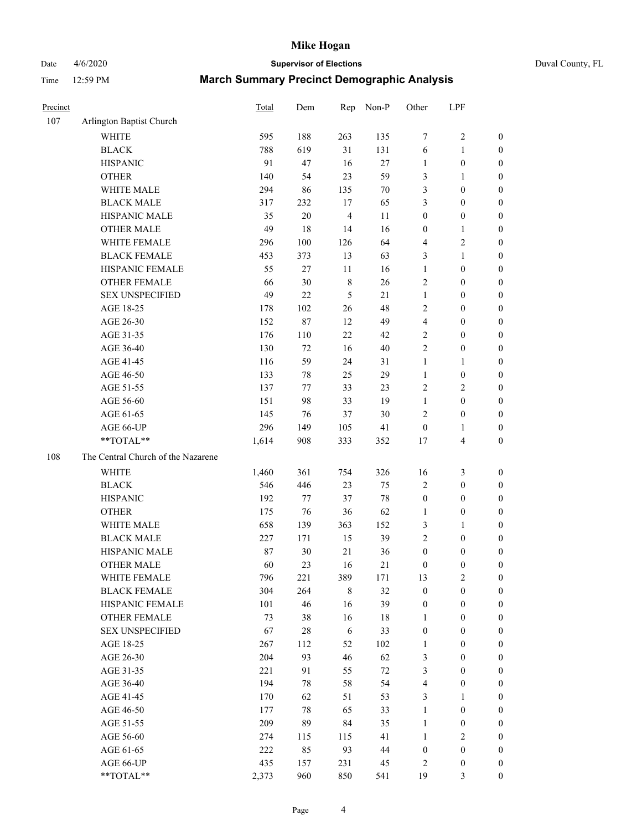# Date 4/6/2020 **Supervisor of Elections** Duval County, FL

| Precinct |                                    | Total | Dem    | Rep            | Non-P  | Other            | LPF                     |                  |
|----------|------------------------------------|-------|--------|----------------|--------|------------------|-------------------------|------------------|
| 107      | Arlington Baptist Church           |       |        |                |        |                  |                         |                  |
|          | <b>WHITE</b>                       | 595   | 188    | 263            | 135    | 7                | $\sqrt{2}$              | 0                |
|          | <b>BLACK</b>                       | 788   | 619    | 31             | 131    | 6                | $\mathbf{1}$            | 0                |
|          | <b>HISPANIC</b>                    | 91    | 47     | 16             | 27     | $\mathbf{1}$     | $\boldsymbol{0}$        | $\boldsymbol{0}$ |
|          | <b>OTHER</b>                       | 140   | 54     | 23             | 59     | 3                | 1                       | $\boldsymbol{0}$ |
|          | WHITE MALE                         | 294   | 86     | 135            | $70\,$ | 3                | $\boldsymbol{0}$        | $\boldsymbol{0}$ |
|          | <b>BLACK MALE</b>                  | 317   | 232    | 17             | 65     | 3                | $\boldsymbol{0}$        | $\boldsymbol{0}$ |
|          | HISPANIC MALE                      | 35    | 20     | $\overline{4}$ | 11     | $\boldsymbol{0}$ | $\boldsymbol{0}$        | $\boldsymbol{0}$ |
|          | <b>OTHER MALE</b>                  | 49    | 18     | 14             | 16     | $\boldsymbol{0}$ | $\mathbf{1}$            | $\boldsymbol{0}$ |
|          | WHITE FEMALE                       | 296   | 100    | 126            | 64     | 4                | $\sqrt{2}$              | $\boldsymbol{0}$ |
|          | <b>BLACK FEMALE</b>                | 453   | 373    | 13             | 63     | 3                | $\mathbf{1}$            | $\boldsymbol{0}$ |
|          | HISPANIC FEMALE                    | 55    | $27\,$ | 11             | 16     | $\mathbf{1}$     | $\boldsymbol{0}$        | $\boldsymbol{0}$ |
|          | <b>OTHER FEMALE</b>                | 66    | 30     | $\,8\,$        | 26     | $\overline{2}$   | $\boldsymbol{0}$        | $\boldsymbol{0}$ |
|          | <b>SEX UNSPECIFIED</b>             | 49    | 22     | 5              | 21     | $\mathbf{1}$     | $\boldsymbol{0}$        | $\boldsymbol{0}$ |
|          | AGE 18-25                          | 178   | 102    | 26             | 48     | 2                | $\boldsymbol{0}$        | $\boldsymbol{0}$ |
|          | AGE 26-30                          | 152   | 87     | 12             | 49     | 4                | $\boldsymbol{0}$        | $\boldsymbol{0}$ |
|          | AGE 31-35                          | 176   | 110    | 22             | 42     | $\sqrt{2}$       | $\boldsymbol{0}$        | $\boldsymbol{0}$ |
|          | AGE 36-40                          | 130   | 72     | 16             | $40\,$ | $\overline{c}$   | $\boldsymbol{0}$        | $\boldsymbol{0}$ |
|          | AGE 41-45                          | 116   | 59     | 24             | 31     | $\mathbf{1}$     | $\mathbf{1}$            | $\boldsymbol{0}$ |
|          | AGE 46-50                          | 133   | 78     | 25             | 29     | $\mathbf{1}$     | $\boldsymbol{0}$        | $\boldsymbol{0}$ |
|          | AGE 51-55                          | 137   | 77     | 33             | 23     | 2                | $\sqrt{2}$              | $\boldsymbol{0}$ |
|          | AGE 56-60                          | 151   | 98     | 33             | 19     | $\mathbf{1}$     | $\boldsymbol{0}$        | 0                |
|          | AGE 61-65                          | 145   | 76     | 37             | $30\,$ | $\overline{2}$   | $\boldsymbol{0}$        | $\boldsymbol{0}$ |
|          | AGE 66-UP                          | 296   | 149    | 105            | 41     | $\boldsymbol{0}$ | 1                       | $\boldsymbol{0}$ |
|          | **TOTAL**                          | 1,614 | 908    | 333            | 352    | 17               | $\overline{\mathbf{4}}$ | $\boldsymbol{0}$ |
| 108      | The Central Church of the Nazarene |       |        |                |        |                  |                         |                  |
|          | <b>WHITE</b>                       | 1,460 | 361    | 754            | 326    | 16               | $\mathfrak{Z}$          | $\boldsymbol{0}$ |
|          | <b>BLACK</b>                       | 546   | 446    | 23             | 75     | 2                | $\boldsymbol{0}$        | $\boldsymbol{0}$ |
|          | <b>HISPANIC</b>                    | 192   | 77     | 37             | $78\,$ | $\boldsymbol{0}$ | $\boldsymbol{0}$        | $\boldsymbol{0}$ |
|          | <b>OTHER</b>                       | 175   | 76     | 36             | 62     | $\mathbf{1}$     | $\boldsymbol{0}$        | $\boldsymbol{0}$ |
|          | WHITE MALE                         | 658   | 139    | 363            | 152    | 3                | $\mathbf{1}$            | $\boldsymbol{0}$ |
|          | <b>BLACK MALE</b>                  | 227   | 171    | 15             | 39     | $\overline{c}$   | $\boldsymbol{0}$        | $\boldsymbol{0}$ |
|          | HISPANIC MALE                      | 87    | 30     | 21             | 36     | $\boldsymbol{0}$ | $\boldsymbol{0}$        | 0                |
|          | <b>OTHER MALE</b>                  | 60    | 23     | 16             | 21     | $\boldsymbol{0}$ | $\boldsymbol{0}$        | $\boldsymbol{0}$ |
|          | WHITE FEMALE                       | 796   | 221    | 389            | 171    | 13               | 2                       | 0                |
|          | <b>BLACK FEMALE</b>                | 304   | 264    | 8              | 32     | $\boldsymbol{0}$ | $\boldsymbol{0}$        | $\overline{0}$   |
|          | HISPANIC FEMALE                    | 101   | 46     | 16             | 39     | $\boldsymbol{0}$ | $\boldsymbol{0}$        | $\overline{0}$   |
|          | OTHER FEMALE                       | 73    | 38     | 16             | 18     | $\mathbf{1}$     | $\boldsymbol{0}$        | $\overline{0}$   |
|          | <b>SEX UNSPECIFIED</b>             | 67    | $28\,$ | 6              | 33     | $\boldsymbol{0}$ | $\boldsymbol{0}$        | 0                |
|          | AGE 18-25                          | 267   | 112    | 52             | 102    | $\mathbf{1}$     | $\boldsymbol{0}$        | $\theta$         |
|          | AGE 26-30                          | 204   | 93     | 46             | 62     | 3                | $\boldsymbol{0}$        | 0                |
|          | AGE 31-35                          | 221   | 91     | 55             | $72\,$ | 3                | $\boldsymbol{0}$        | 0                |
|          | AGE 36-40                          | 194   | 78     | 58             | 54     | 4                | $\boldsymbol{0}$        | 0                |
|          | AGE 41-45                          | 170   | 62     | 51             | 53     | 3                | 1                       | 0                |
|          | AGE 46-50                          | 177   | $78\,$ | 65             | 33     | $\mathbf{1}$     | $\boldsymbol{0}$        | 0                |
|          | AGE 51-55                          | 209   | 89     | 84             | 35     | $\mathbf{1}$     | $\boldsymbol{0}$        | 0                |
|          | AGE 56-60                          | 274   | 115    | 115            | 41     | 1                | $\sqrt{2}$              | $\overline{0}$   |
|          | AGE 61-65                          | 222   | 85     | 93             | $44\,$ | $\boldsymbol{0}$ | $\boldsymbol{0}$        | $\overline{0}$   |
|          | AGE 66-UP                          | 435   | 157    | 231            | 45     | 2                | $\boldsymbol{0}$        | 0                |
|          | **TOTAL**                          | 2,373 | 960    | 850            | 541    | 19               | $\mathfrak{Z}$          | $\boldsymbol{0}$ |
|          |                                    |       |        |                |        |                  |                         |                  |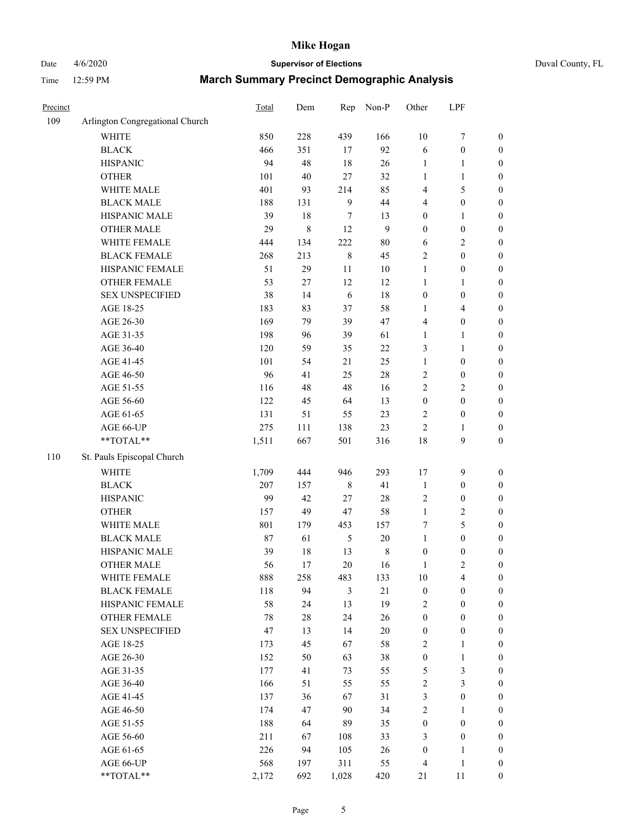# Date 4/6/2020 **Supervisor of Elections** Duval County, FL

| Precinct |                                 | Total | Dem     | Rep          | Non-P        | Other                   | LPF              |                  |
|----------|---------------------------------|-------|---------|--------------|--------------|-------------------------|------------------|------------------|
| 109      | Arlington Congregational Church |       |         |              |              |                         |                  |                  |
|          | <b>WHITE</b>                    | 850   | 228     | 439          | 166          | $10\,$                  | $\boldsymbol{7}$ | 0                |
|          | <b>BLACK</b>                    | 466   | 351     | 17           | 92           | 6                       | $\boldsymbol{0}$ | $\boldsymbol{0}$ |
|          | <b>HISPANIC</b>                 | 94    | 48      | 18           | $26\,$       | $\mathbf{1}$            | 1                | $\boldsymbol{0}$ |
|          | <b>OTHER</b>                    | 101   | 40      | $27\,$       | 32           | $\mathbf{1}$            | 1                | $\boldsymbol{0}$ |
|          | WHITE MALE                      | 401   | 93      | 214          | 85           | 4                       | $\mathfrak s$    | $\boldsymbol{0}$ |
|          | <b>BLACK MALE</b>               | 188   | 131     | $\mathbf{9}$ | 44           | 4                       | $\boldsymbol{0}$ | $\boldsymbol{0}$ |
|          | HISPANIC MALE                   | 39    | 18      | 7            | 13           | $\boldsymbol{0}$        | $\mathbf{1}$     | $\boldsymbol{0}$ |
|          | <b>OTHER MALE</b>               | 29    | $\,8\,$ | 12           | $\mathbf{9}$ | $\boldsymbol{0}$        | $\boldsymbol{0}$ | $\boldsymbol{0}$ |
|          | WHITE FEMALE                    | 444   | 134     | 222          | $80\,$       | 6                       | $\sqrt{2}$       | $\boldsymbol{0}$ |
|          | <b>BLACK FEMALE</b>             | 268   | 213     | $\,$ 8 $\,$  | 45           | 2                       | $\boldsymbol{0}$ | $\boldsymbol{0}$ |
|          | HISPANIC FEMALE                 | 51    | 29      | 11           | $10\,$       | $\mathbf{1}$            | $\boldsymbol{0}$ | $\boldsymbol{0}$ |
|          | <b>OTHER FEMALE</b>             | 53    | $27\,$  | 12           | 12           | $\mathbf{1}$            | 1                | $\boldsymbol{0}$ |
|          | <b>SEX UNSPECIFIED</b>          | 38    | 14      | 6            | 18           | $\boldsymbol{0}$        | $\boldsymbol{0}$ | $\boldsymbol{0}$ |
|          | AGE 18-25                       | 183   | 83      | 37           | 58           | 1                       | $\overline{4}$   | $\boldsymbol{0}$ |
|          | AGE 26-30                       | 169   | 79      | 39           | 47           | 4                       | $\boldsymbol{0}$ | $\boldsymbol{0}$ |
|          | AGE 31-35                       | 198   | 96      | 39           | 61           | $\mathbf{1}$            | $\mathbf{1}$     | $\boldsymbol{0}$ |
|          | AGE 36-40                       | 120   | 59      | 35           | 22           | 3                       | $\mathbf{1}$     | $\boldsymbol{0}$ |
|          | AGE 41-45                       | 101   | 54      | 21           | 25           | $\mathbf{1}$            | $\boldsymbol{0}$ | $\boldsymbol{0}$ |
|          | AGE 46-50                       | 96    | 41      | 25           | $28\,$       | 2                       | $\boldsymbol{0}$ | $\boldsymbol{0}$ |
|          | AGE 51-55                       | 116   | 48      | 48           | 16           | $\overline{c}$          | $\sqrt{2}$       | $\boldsymbol{0}$ |
|          | AGE 56-60                       | 122   | 45      | 64           | 13           | $\boldsymbol{0}$        | $\boldsymbol{0}$ | $\boldsymbol{0}$ |
|          | AGE 61-65                       | 131   | 51      | 55           | 23           | 2                       | $\boldsymbol{0}$ | $\boldsymbol{0}$ |
|          | AGE 66-UP                       | 275   | 111     | 138          | 23           | $\overline{c}$          | 1                | $\boldsymbol{0}$ |
|          | **TOTAL**                       | 1,511 | 667     | 501          | 316          | 18                      | $\mathbf{9}$     | $\boldsymbol{0}$ |
| 110      | St. Pauls Episcopal Church      |       |         |              |              |                         |                  |                  |
|          | <b>WHITE</b>                    | 1,709 | 444     | 946          | 293          | 17                      | $\boldsymbol{9}$ | $\boldsymbol{0}$ |
|          | <b>BLACK</b>                    | 207   | 157     | 8            | 41           | $\mathbf{1}$            | $\boldsymbol{0}$ | $\boldsymbol{0}$ |
|          | <b>HISPANIC</b>                 | 99    | 42      | 27           | $28\,$       | 2                       | $\boldsymbol{0}$ | $\boldsymbol{0}$ |
|          | <b>OTHER</b>                    | 157   | 49      | 47           | 58           | $\mathbf{1}$            | $\sqrt{2}$       | $\boldsymbol{0}$ |
|          | WHITE MALE                      | 801   | 179     | 453          | 157          | 7                       | 5                | $\boldsymbol{0}$ |
|          | <b>BLACK MALE</b>               | 87    | 61      | $\sqrt{5}$   | $20\,$       | $\mathbf{1}$            | $\boldsymbol{0}$ | $\boldsymbol{0}$ |
|          | HISPANIC MALE                   | 39    | 18      | 13           | $\,$ 8 $\,$  | $\boldsymbol{0}$        | $\boldsymbol{0}$ | $\boldsymbol{0}$ |
|          | <b>OTHER MALE</b>               | 56    | 17      | 20           | 16           | $\mathbf{1}$            | $\overline{2}$   | $\boldsymbol{0}$ |
|          | WHITE FEMALE                    | 888   | 258     | 483          | 133          | 10                      | 4                | 0                |
|          | <b>BLACK FEMALE</b>             | 118   | 94      | 3            | $21\,$       | $\boldsymbol{0}$        | $\boldsymbol{0}$ | $\overline{0}$   |
|          | HISPANIC FEMALE                 | 58    | 24      | 13           | 19           | 2                       | $\boldsymbol{0}$ | $\overline{0}$   |
|          | <b>OTHER FEMALE</b>             | 78    | $28\,$  | 24           | 26           | $\boldsymbol{0}$        | $\boldsymbol{0}$ | $\overline{0}$   |
|          | <b>SEX UNSPECIFIED</b>          | 47    | 13      | 14           | $20\,$       | $\boldsymbol{0}$        | $\boldsymbol{0}$ | 0                |
|          | AGE 18-25                       | 173   | 45      | 67           | 58           | 2                       | $\mathbf{1}$     | 0                |
|          | AGE 26-30                       | 152   | 50      | 63           | 38           | $\boldsymbol{0}$        | $\mathbf{1}$     | 0                |
|          | AGE 31-35                       | 177   | 41      | 73           | 55           | 5                       | $\mathfrak z$    | 0                |
|          | AGE 36-40                       | 166   | 51      | 55           | 55           | $\overline{\mathbf{c}}$ | $\mathfrak{Z}$   | 0                |
|          | AGE 41-45                       | 137   | 36      | 67           | 31           | 3                       | $\boldsymbol{0}$ | 0                |
|          | AGE 46-50                       | 174   | 47      | 90           | 34           | 2                       | 1                | 0                |
|          | AGE 51-55                       | 188   | 64      | 89           | 35           | $\boldsymbol{0}$        | $\boldsymbol{0}$ | 0                |
|          | AGE 56-60                       | 211   | 67      | 108          | 33           | 3                       | $\boldsymbol{0}$ | 0                |
|          | AGE 61-65                       | 226   | 94      | 105          | 26           | $\boldsymbol{0}$        | 1                | 0                |
|          | AGE 66-UP                       | 568   | 197     | 311          | 55           | 4                       | $\mathbf{1}$     | 0                |
|          | **TOTAL**                       | 2,172 | 692     | 1,028        | 420          | 21                      | 11               | $\boldsymbol{0}$ |
|          |                                 |       |         |              |              |                         |                  |                  |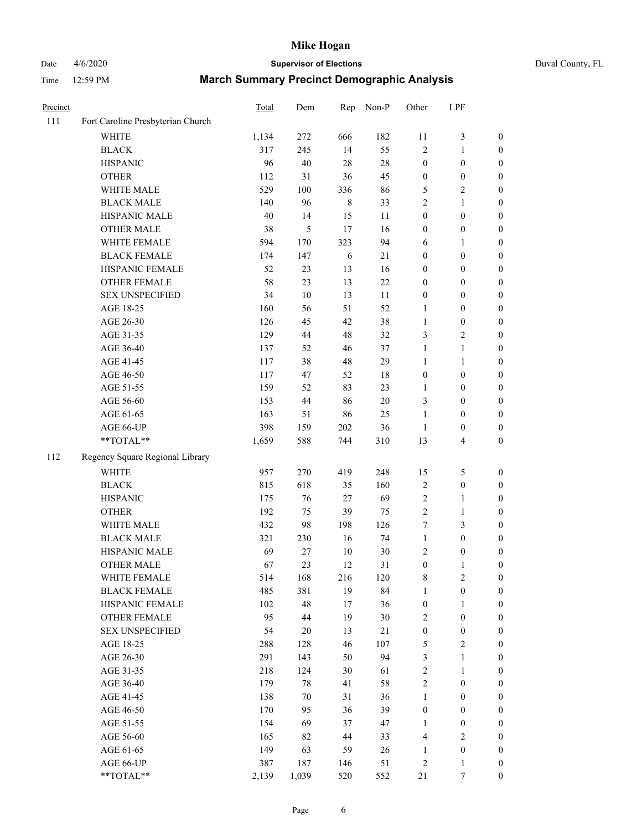#### Date  $4/6/2020$  **Supervisor of Elections Supervisor of Elections** Duval County, FL Time 12:59 PM **March Summary Precinct Demographic Analysis**

| Precinct |                                   | Total | Dem    | Rep    | Non-P  | Other            | LPF              |                  |
|----------|-----------------------------------|-------|--------|--------|--------|------------------|------------------|------------------|
| 111      | Fort Caroline Presbyterian Church |       |        |        |        |                  |                  |                  |
|          | <b>WHITE</b>                      | 1,134 | 272    | 666    | 182    | 11               | $\mathfrak{Z}$   | $\boldsymbol{0}$ |
|          | <b>BLACK</b>                      | 317   | 245    | 14     | 55     | $\overline{c}$   | 1                | $\boldsymbol{0}$ |
|          | <b>HISPANIC</b>                   | 96    | 40     | 28     | 28     | $\boldsymbol{0}$ | $\boldsymbol{0}$ | $\boldsymbol{0}$ |
|          | <b>OTHER</b>                      | 112   | 31     | 36     | 45     | $\boldsymbol{0}$ | $\boldsymbol{0}$ | $\boldsymbol{0}$ |
|          | WHITE MALE                        | 529   | 100    | 336    | 86     | 5                | 2                | $\boldsymbol{0}$ |
|          | <b>BLACK MALE</b>                 | 140   | 96     | 8      | 33     | 2                | $\mathbf{1}$     | $\boldsymbol{0}$ |
|          | HISPANIC MALE                     | 40    | 14     | 15     | 11     | $\boldsymbol{0}$ | $\boldsymbol{0}$ | $\boldsymbol{0}$ |
|          | <b>OTHER MALE</b>                 | 38    | 5      | 17     | 16     | $\boldsymbol{0}$ | $\boldsymbol{0}$ | $\boldsymbol{0}$ |
|          | WHITE FEMALE                      | 594   | 170    | 323    | 94     | 6                | 1                | $\boldsymbol{0}$ |
|          | <b>BLACK FEMALE</b>               | 174   | 147    | 6      | 21     | $\boldsymbol{0}$ | $\boldsymbol{0}$ | $\boldsymbol{0}$ |
|          | HISPANIC FEMALE                   | 52    | 23     | 13     | 16     | $\boldsymbol{0}$ | $\boldsymbol{0}$ | $\boldsymbol{0}$ |
|          | OTHER FEMALE                      | 58    | 23     | 13     | 22     | $\boldsymbol{0}$ | $\boldsymbol{0}$ | $\boldsymbol{0}$ |
|          | <b>SEX UNSPECIFIED</b>            | 34    | 10     | 13     | 11     | $\boldsymbol{0}$ | $\boldsymbol{0}$ | $\boldsymbol{0}$ |
|          | AGE 18-25                         | 160   | 56     | 51     | 52     | 1                | $\boldsymbol{0}$ | $\boldsymbol{0}$ |
|          | AGE 26-30                         | 126   | 45     | 42     | 38     | $\mathbf{1}$     | $\boldsymbol{0}$ | $\boldsymbol{0}$ |
|          | AGE 31-35                         | 129   | 44     | 48     | 32     | 3                | $\overline{2}$   | $\boldsymbol{0}$ |
|          | AGE 36-40                         | 137   | 52     | 46     | 37     | $\mathbf{1}$     | $\mathbf{1}$     | $\boldsymbol{0}$ |
|          | AGE 41-45                         | 117   | 38     | 48     | 29     | 1                | 1                | $\boldsymbol{0}$ |
|          | AGE 46-50                         | 117   | 47     | 52     | 18     | $\boldsymbol{0}$ | $\boldsymbol{0}$ | $\boldsymbol{0}$ |
|          | AGE 51-55                         | 159   | 52     | 83     | 23     | 1                | $\boldsymbol{0}$ | $\boldsymbol{0}$ |
|          | AGE 56-60                         | 153   | 44     | 86     | 20     | 3                | $\boldsymbol{0}$ | $\boldsymbol{0}$ |
|          | AGE 61-65                         | 163   | 51     | 86     | 25     | $\mathbf{1}$     | $\boldsymbol{0}$ | $\boldsymbol{0}$ |
|          | AGE 66-UP                         | 398   | 159    | 202    | 36     | 1                | $\boldsymbol{0}$ | $\boldsymbol{0}$ |
|          | $**TOTAL**$                       | 1,659 | 588    | 744    | 310    | 13               | $\overline{4}$   | $\boldsymbol{0}$ |
| 112      | Regency Square Regional Library   |       |        |        |        |                  |                  |                  |
|          | <b>WHITE</b>                      | 957   | 270    | 419    | 248    | 15               | $\mathfrak s$    | $\boldsymbol{0}$ |
|          | <b>BLACK</b>                      | 815   | 618    | 35     | 160    | $\sqrt{2}$       | $\boldsymbol{0}$ | $\boldsymbol{0}$ |
|          | <b>HISPANIC</b>                   | 175   | 76     | 27     | 69     | 2                | 1                | $\boldsymbol{0}$ |
|          | <b>OTHER</b>                      | 192   | 75     | 39     | 75     | $\overline{c}$   | $\mathbf{1}$     | $\boldsymbol{0}$ |
|          | WHITE MALE                        | 432   | 98     | 198    | 126    | 7                | 3                | $\boldsymbol{0}$ |
|          | <b>BLACK MALE</b>                 | 321   | 230    | 16     | 74     | $\mathbf{1}$     | $\boldsymbol{0}$ | $\boldsymbol{0}$ |
|          | HISPANIC MALE                     | 69    | 27     | $10\,$ | 30     | 2                | $\boldsymbol{0}$ | $\boldsymbol{0}$ |
|          | <b>OTHER MALE</b>                 | 67    | 23     | 12     | 31     | $\boldsymbol{0}$ | 1                | $\boldsymbol{0}$ |
|          | WHITE FEMALE                      | 514   | 168    | 216    | 120    | $\,$ 8 $\,$      | $\sqrt{2}$       | $\boldsymbol{0}$ |
|          | <b>BLACK FEMALE</b>               | 485   | 381    | 19     | 84     | 1                | $\boldsymbol{0}$ | $\theta$         |
|          | HISPANIC FEMALE                   | 102   | 48     | 17     | 36     | $\boldsymbol{0}$ | $\mathbf{1}$     | 0                |
|          | <b>OTHER FEMALE</b>               | 95    | 44     | 19     | $30\,$ | $\sqrt{2}$       | $\boldsymbol{0}$ | $\boldsymbol{0}$ |
|          | <b>SEX UNSPECIFIED</b>            | 54    | $20\,$ | 13     | 21     | $\boldsymbol{0}$ | $\boldsymbol{0}$ | 0                |
|          | AGE 18-25                         | 288   | 128    | 46     | 107    | 5                | $\sqrt{2}$       | 0                |
|          | AGE 26-30                         | 291   | 143    | 50     | 94     | $\mathfrak{Z}$   | $\mathbf{1}$     | 0                |
|          | AGE 31-35                         | 218   | 124    | 30     | 61     | $\mathbf{2}$     | $\mathbf{1}$     | 0                |
|          | AGE 36-40                         | 179   | 78     | 41     | 58     | $\mathbf{2}$     | $\boldsymbol{0}$ | 0                |
|          | AGE 41-45                         | 138   | 70     | 31     | 36     | 1                | $\boldsymbol{0}$ | $\boldsymbol{0}$ |
|          | AGE 46-50                         | 170   | 95     | 36     | 39     | $\boldsymbol{0}$ | $\boldsymbol{0}$ | $\boldsymbol{0}$ |

AGE 51-55 154 69 37 47 1 0 0 AGE 56-60 165 82 44 33 4 2 0 AGE 61-65 149 63 59 26 1 0 0 AGE 66-UP 387 187 146 51 2 1 0 \*\*TOTAL\*\* 2,139 1,039 520 552 21 7 0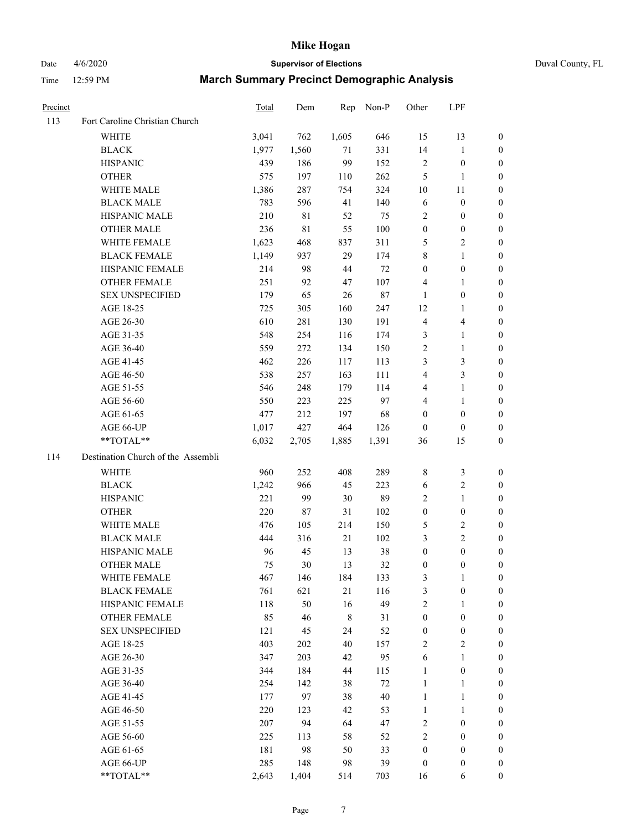# Date 4/6/2020 **Supervisor of Elections** Duval County, FL

| Precinct |                                    | Total | Dem   | Rep         | Non-P  | Other            | LPF              |                  |
|----------|------------------------------------|-------|-------|-------------|--------|------------------|------------------|------------------|
| 113      | Fort Caroline Christian Church     |       |       |             |        |                  |                  |                  |
|          | <b>WHITE</b>                       | 3,041 | 762   | 1,605       | 646    | 15               | 13               | 0                |
|          | <b>BLACK</b>                       | 1,977 | 1,560 | 71          | 331    | 14               | $\mathbf{1}$     | 0                |
|          | <b>HISPANIC</b>                    | 439   | 186   | 99          | 152    | $\sqrt{2}$       | $\boldsymbol{0}$ | 0                |
|          | <b>OTHER</b>                       | 575   | 197   | 110         | 262    | 5                | 1                | $\boldsymbol{0}$ |
|          | WHITE MALE                         | 1,386 | 287   | 754         | 324    | 10               | 11               | $\boldsymbol{0}$ |
|          | <b>BLACK MALE</b>                  | 783   | 596   | 41          | 140    | 6                | $\boldsymbol{0}$ | 0                |
|          | HISPANIC MALE                      | 210   | 81    | 52          | 75     | 2                | $\boldsymbol{0}$ | $\boldsymbol{0}$ |
|          | <b>OTHER MALE</b>                  | 236   | 81    | 55          | 100    | $\boldsymbol{0}$ | $\boldsymbol{0}$ | $\boldsymbol{0}$ |
|          | WHITE FEMALE                       | 1,623 | 468   | 837         | 311    | 5                | $\overline{c}$   | 0                |
|          | <b>BLACK FEMALE</b>                | 1,149 | 937   | 29          | 174    | 8                | $\mathbf{1}$     | 0                |
|          | HISPANIC FEMALE                    | 214   | 98    | 44          | 72     | $\boldsymbol{0}$ | $\boldsymbol{0}$ | 0                |
|          | OTHER FEMALE                       | 251   | 92    | 47          | 107    | 4                | 1                | 0                |
|          | <b>SEX UNSPECIFIED</b>             | 179   | 65    | 26          | $87\,$ | $\mathbf{1}$     | $\boldsymbol{0}$ | $\boldsymbol{0}$ |
|          | AGE 18-25                          | 725   | 305   | 160         | 247    | 12               | 1                | $\boldsymbol{0}$ |
|          | AGE 26-30                          | 610   | 281   | 130         | 191    | 4                | $\overline{4}$   | $\boldsymbol{0}$ |
|          | AGE 31-35                          | 548   | 254   | 116         | 174    | 3                | $\mathbf{1}$     | $\boldsymbol{0}$ |
|          | AGE 36-40                          | 559   | 272   | 134         | 150    | 2                | $\mathbf{1}$     | $\boldsymbol{0}$ |
|          | AGE 41-45                          | 462   | 226   | 117         | 113    | 3                | $\mathfrak{Z}$   | $\overline{0}$   |
|          | AGE 46-50                          | 538   | 257   | 163         | 111    | 4                | $\mathfrak{Z}$   | $\overline{0}$   |
|          | AGE 51-55                          | 546   | 248   | 179         | 114    | 4                | $\mathbf{1}$     | 0                |
|          | AGE 56-60                          | 550   | 223   | 225         | 97     | 4                | 1                | 0                |
|          | AGE 61-65                          | 477   | 212   | 197         | 68     | $\boldsymbol{0}$ | $\boldsymbol{0}$ | 0                |
|          | AGE 66-UP                          | 1,017 | 427   | 464         | 126    | $\boldsymbol{0}$ | $\boldsymbol{0}$ | 0                |
|          | **TOTAL**                          | 6,032 | 2,705 | 1,885       | 1,391  | 36               | 15               | $\boldsymbol{0}$ |
| 114      | Destination Church of the Assembli |       |       |             |        |                  |                  |                  |
|          | <b>WHITE</b>                       | 960   | 252   | 408         | 289    | 8                | $\mathfrak{Z}$   | $\boldsymbol{0}$ |
|          | <b>BLACK</b>                       | 1,242 | 966   | 45          | 223    | 6                | $\sqrt{2}$       | $\boldsymbol{0}$ |
|          | <b>HISPANIC</b>                    | 221   | 99    | 30          | 89     | 2                | $\mathbf{1}$     | $\boldsymbol{0}$ |
|          | <b>OTHER</b>                       | 220   | 87    | 31          | 102    | $\boldsymbol{0}$ | $\boldsymbol{0}$ | $\boldsymbol{0}$ |
|          | <b>WHITE MALE</b>                  | 476   | 105   | 214         | 150    | 5                | $\boldsymbol{2}$ | $\overline{0}$   |
|          | <b>BLACK MALE</b>                  | 444   | 316   | 21          | 102    | 3                | $\overline{2}$   | $\boldsymbol{0}$ |
|          | HISPANIC MALE                      | 96    | 45    | 13          | 38     | $\boldsymbol{0}$ | $\boldsymbol{0}$ | 0                |
|          | <b>OTHER MALE</b>                  | 75    | 30    | 13          | 32     | $\boldsymbol{0}$ | $\boldsymbol{0}$ | 0                |
|          | WHITE FEMALE                       | 467   | 146   | 184         | 133    | 3                | 1                | 0                |
|          | <b>BLACK FEMALE</b>                | 761   | 621   | 21          | 116    | 3                | $\boldsymbol{0}$ | $\boldsymbol{0}$ |
|          | HISPANIC FEMALE                    | 118   | 50    | 16          | 49     | $\overline{c}$   | $\mathbf{1}$     | $\overline{0}$   |
|          | OTHER FEMALE                       | 85    | 46    | $\,$ 8 $\,$ | 31     | $\boldsymbol{0}$ | $\boldsymbol{0}$ | $\overline{0}$   |
|          | <b>SEX UNSPECIFIED</b>             | 121   | 45    | 24          | 52     | $\boldsymbol{0}$ | $\boldsymbol{0}$ | 0                |
|          | AGE 18-25                          | 403   | 202   | 40          | 157    | 2                | $\sqrt{2}$       | $\theta$         |
|          | AGE 26-30                          | 347   | 203   | 42          | 95     | 6                | $\mathbf{1}$     | 0                |
|          | AGE 31-35                          | 344   | 184   | 44          | 115    | $\mathbf{1}$     | $\boldsymbol{0}$ | 0                |
|          | AGE 36-40                          | 254   | 142   | 38          | $72\,$ | $\mathbf{1}$     | $\mathbf{1}$     | 0                |
|          | AGE 41-45                          | 177   | 97    | 38          | $40\,$ | $\mathbf{1}$     | $\mathbf{1}$     | 0                |
|          | AGE 46-50                          | 220   | 123   | 42          | 53     | $\mathbf{1}$     | $\mathbf{1}$     | 0                |
|          | AGE 51-55                          | 207   | 94    | 64          | 47     | 2                | $\boldsymbol{0}$ | 0                |
|          | AGE 56-60                          | 225   | 113   | 58          | 52     | 2                | $\boldsymbol{0}$ | $\overline{0}$   |
|          | AGE 61-65                          | 181   | 98    | 50          | 33     | $\boldsymbol{0}$ | $\boldsymbol{0}$ | $\overline{0}$   |
|          | AGE 66-UP                          | 285   | 148   | 98          | 39     | $\boldsymbol{0}$ | $\boldsymbol{0}$ | 0                |
|          | **TOTAL**                          | 2,643 | 1,404 | 514         | 703    | 16               | 6                | $\boldsymbol{0}$ |
|          |                                    |       |       |             |        |                  |                  |                  |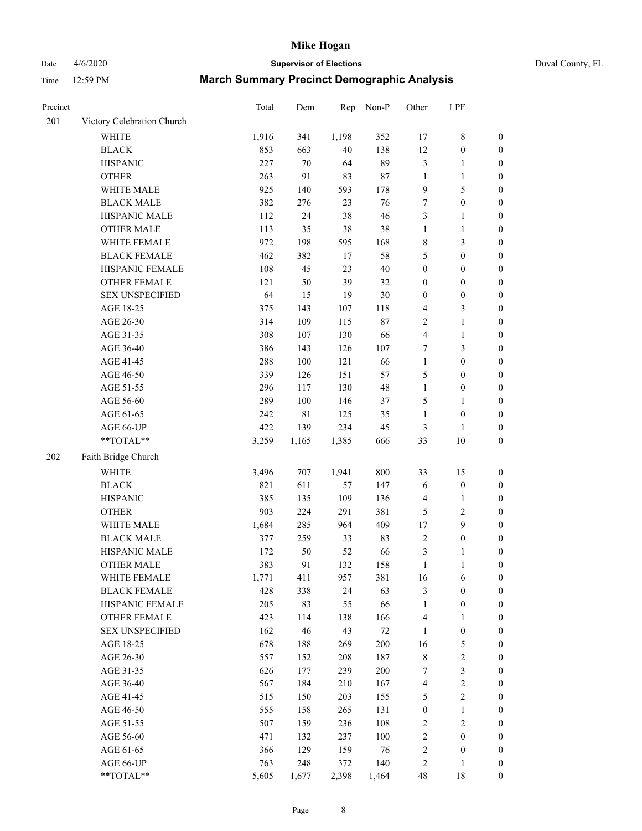Date 4/6/2020 **Supervisor of Elections** Duval County, FL

| Precinct |                                        | Total | Dem         | Rep   | Non-P   | Other                   | LPF              |                  |
|----------|----------------------------------------|-------|-------------|-------|---------|-------------------------|------------------|------------------|
| 201      | Victory Celebration Church             |       |             |       |         |                         |                  |                  |
|          | <b>WHITE</b>                           | 1,916 | 341         | 1,198 | 352     | 17                      | $\,$ 8 $\,$      | $\boldsymbol{0}$ |
|          | <b>BLACK</b>                           | 853   | 663         | 40    | 138     | 12                      | $\boldsymbol{0}$ | $\boldsymbol{0}$ |
|          | <b>HISPANIC</b>                        | 227   | $70\,$      | 64    | 89      | 3                       | $\mathbf{1}$     | $\boldsymbol{0}$ |
|          | <b>OTHER</b>                           | 263   | 91          | 83    | $87\,$  | 1                       | $\mathbf{1}$     | $\boldsymbol{0}$ |
|          | WHITE MALE                             | 925   | 140         | 593   | 178     | 9                       | $\mathfrak s$    | $\boldsymbol{0}$ |
|          | <b>BLACK MALE</b>                      | 382   | 276         | 23    | 76      | 7                       | $\boldsymbol{0}$ | $\boldsymbol{0}$ |
|          | HISPANIC MALE                          | 112   | 24          | 38    | 46      | 3                       | $\mathbf{1}$     | $\boldsymbol{0}$ |
|          | <b>OTHER MALE</b>                      | 113   | 35          | 38    | $38\,$  | $\mathbf{1}$            | $\mathbf{1}$     | $\boldsymbol{0}$ |
|          | WHITE FEMALE                           | 972   | 198         | 595   | 168     | 8                       | $\mathfrak{Z}$   | 0                |
|          | <b>BLACK FEMALE</b>                    | 462   | 382         | 17    | 58      | 5                       | $\boldsymbol{0}$ | 0                |
|          | HISPANIC FEMALE                        | 108   | 45          | 23    | $40\,$  | $\boldsymbol{0}$        | $\boldsymbol{0}$ | $\boldsymbol{0}$ |
|          | OTHER FEMALE                           | 121   | 50          | 39    | 32      | $\boldsymbol{0}$        | $\boldsymbol{0}$ | $\boldsymbol{0}$ |
|          | <b>SEX UNSPECIFIED</b>                 | 64    | 15          | 19    | $30\,$  | $\boldsymbol{0}$        | $\boldsymbol{0}$ | $\boldsymbol{0}$ |
|          | AGE 18-25                              | 375   | 143         | 107   | 118     | 4                       | $\mathfrak{Z}$   | $\boldsymbol{0}$ |
|          | AGE 26-30                              | 314   | 109         | 115   | $87\,$  | $\overline{c}$          | $\mathbf{1}$     | $\boldsymbol{0}$ |
|          | AGE 31-35                              | 308   | 107         | 130   | 66      | $\overline{\mathbf{4}}$ | $\mathbf{1}$     | $\boldsymbol{0}$ |
|          | AGE 36-40                              | 386   | 143         | 126   | 107     | 7                       | 3                | $\boldsymbol{0}$ |
|          | AGE 41-45                              | 288   | $100\,$     | 121   | 66      | $\mathbf{1}$            | $\boldsymbol{0}$ | $\boldsymbol{0}$ |
|          | AGE 46-50                              | 339   | 126         | 151   | 57      | 5                       | $\boldsymbol{0}$ | $\boldsymbol{0}$ |
|          | AGE 51-55                              | 296   | 117         | 130   | 48      | $\mathbf{1}$            | $\boldsymbol{0}$ | 0                |
|          | AGE 56-60                              | 289   | 100         | 146   | 37      | 5                       | 1                | $\boldsymbol{0}$ |
|          | AGE 61-65                              | 242   | $8\sqrt{1}$ | 125   | 35      | $\mathbf{1}$            | $\boldsymbol{0}$ | $\boldsymbol{0}$ |
|          | AGE 66-UP                              | 422   | 139         | 234   | 45      | 3                       | 1                | $\boldsymbol{0}$ |
|          | $\mathrm{*}\mathrm{*} \mathrm{TOTAL}*$ | 3,259 | 1,165       | 1,385 | 666     | 33                      | 10               | $\boldsymbol{0}$ |
| 202      | Faith Bridge Church                    |       |             |       |         |                         |                  |                  |
|          | <b>WHITE</b>                           | 3,496 | 707         | 1,941 | 800     | 33                      | 15               | $\boldsymbol{0}$ |
|          | <b>BLACK</b>                           | 821   | 611         | 57    | 147     | 6                       | $\boldsymbol{0}$ | $\boldsymbol{0}$ |
|          | <b>HISPANIC</b>                        | 385   | 135         | 109   | 136     | 4                       | $\mathbf{1}$     | $\boldsymbol{0}$ |
|          | <b>OTHER</b>                           | 903   | 224         | 291   | 381     | 5                       | $\sqrt{2}$       | $\boldsymbol{0}$ |
|          | WHITE MALE                             | 1,684 | 285         | 964   | 409     | 17                      | $\boldsymbol{9}$ | $\boldsymbol{0}$ |
|          | <b>BLACK MALE</b>                      | 377   | 259         | 33    | 83      | $\sqrt{2}$              | $\boldsymbol{0}$ | $\boldsymbol{0}$ |
|          | HISPANIC MALE                          | 172   | 50          | 52    | 66      | 3                       | 1                | 0                |
|          | <b>OTHER MALE</b>                      | 383   | 91          | 132   | 158     | $\mathbf{1}$            | $\mathbf{1}$     | $\boldsymbol{0}$ |
|          | WHITE FEMALE                           | 1,771 | 411         | 957   | 381     | 16                      | 6                | 0                |
|          | <b>BLACK FEMALE</b>                    | 428   | 338         | 24    | 63      | 3                       | $\boldsymbol{0}$ | $\overline{0}$   |
|          | HISPANIC FEMALE                        | 205   | 83          | 55    | 66      | 1                       | $\boldsymbol{0}$ | $\overline{0}$   |
|          | <b>OTHER FEMALE</b>                    | 423   | 114         | 138   | 166     | 4                       | $\mathbf{1}$     | 0                |
|          | <b>SEX UNSPECIFIED</b>                 | 162   | 46          | 43    | $72\,$  | $\mathbf{1}$            | $\boldsymbol{0}$ | 0                |
|          | AGE 18-25                              | 678   | 188         | 269   | $200\,$ | 16                      | $\sqrt{5}$       | 0                |
|          | AGE 26-30                              | 557   | 152         | 208   | 187     | $\,$ $\,$               | $\sqrt{2}$       | 0                |
|          | AGE 31-35                              | 626   | 177         | 239   | $200\,$ | 7                       | $\mathfrak z$    | 0                |
|          | AGE 36-40                              | 567   | 184         | 210   | 167     | 4                       | $\sqrt{2}$       | 0                |
|          | AGE 41-45                              | 515   | 150         | 203   | 155     | 5                       | $\sqrt{2}$       | 0                |
|          | AGE 46-50                              | 555   | 158         | 265   | 131     | $\boldsymbol{0}$        | $\mathbf{1}$     | $\boldsymbol{0}$ |
|          | AGE 51-55                              | 507   | 159         | 236   | 108     | 2                       | $\sqrt{2}$       | $\boldsymbol{0}$ |
|          | AGE 56-60                              | 471   | 132         | 237   | 100     | 2                       | $\boldsymbol{0}$ | $\overline{0}$   |
|          | AGE 61-65                              | 366   | 129         | 159   | 76      | $\overline{c}$          | $\boldsymbol{0}$ | 0                |
|          | AGE 66-UP                              | 763   | 248         | 372   | 140     | 2                       | $\mathbf{1}$     | 0                |
|          | **TOTAL**                              | 5,605 | 1,677       | 2,398 | 1,464   | 48                      | 18               | $\boldsymbol{0}$ |
|          |                                        |       |             |       |         |                         |                  |                  |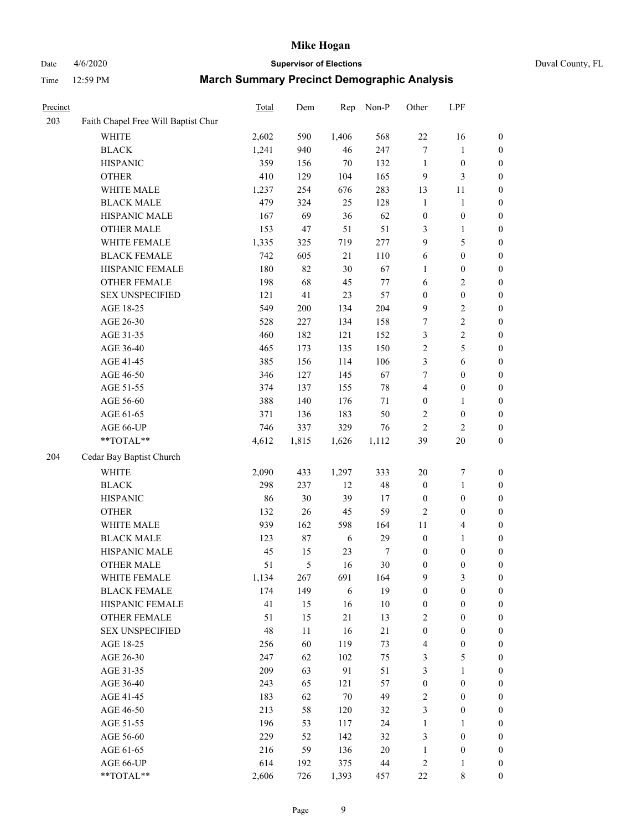## Date 4/6/2020 **Supervisor of Elections** Duval County, FL

| Precinct |                                     | <b>Total</b> | Dem   | Rep        | Non-P  | Other                   | LPF                     |                  |
|----------|-------------------------------------|--------------|-------|------------|--------|-------------------------|-------------------------|------------------|
| 203      | Faith Chapel Free Will Baptist Chur |              |       |            |        |                         |                         |                  |
|          | <b>WHITE</b>                        | 2,602        | 590   | 1,406      | 568    | $22\,$                  | 16                      | 0                |
|          | <b>BLACK</b>                        | 1,241        | 940   | $46\,$     | 247    | $\tau$                  | $\mathbf{1}$            | 0                |
|          | <b>HISPANIC</b>                     | 359          | 156   | 70         | 132    | $\mathbf{1}$            | $\boldsymbol{0}$        | $\boldsymbol{0}$ |
|          | <b>OTHER</b>                        | 410          | 129   | 104        | 165    | 9                       | 3                       | $\boldsymbol{0}$ |
|          | WHITE MALE                          | 1,237        | 254   | 676        | 283    | 13                      | 11                      | $\boldsymbol{0}$ |
|          | <b>BLACK MALE</b>                   | 479          | 324   | 25         | 128    | $\mathbf{1}$            | $\mathbf{1}$            | $\boldsymbol{0}$ |
|          | HISPANIC MALE                       | 167          | 69    | 36         | 62     | $\boldsymbol{0}$        | $\boldsymbol{0}$        | $\boldsymbol{0}$ |
|          | <b>OTHER MALE</b>                   | 153          | 47    | 51         | 51     | 3                       | $\mathbf{1}$            | $\boldsymbol{0}$ |
|          | WHITE FEMALE                        | 1,335        | 325   | 719        | 277    | 9                       | $\sqrt{5}$              | $\boldsymbol{0}$ |
|          | <b>BLACK FEMALE</b>                 | 742          | 605   | 21         | 110    | 6                       | $\boldsymbol{0}$        | $\boldsymbol{0}$ |
|          | HISPANIC FEMALE                     | 180          | 82    | 30         | 67     | 1                       | $\boldsymbol{0}$        | 0                |
|          | OTHER FEMALE                        | 198          | 68    | 45         | $77\,$ | 6                       | $\sqrt{2}$              | $\boldsymbol{0}$ |
|          | <b>SEX UNSPECIFIED</b>              | 121          | 41    | 23         | 57     | $\boldsymbol{0}$        | $\boldsymbol{0}$        | $\boldsymbol{0}$ |
|          | AGE 18-25                           | 549          | 200   | 134        | 204    | 9                       | $\sqrt{2}$              | $\boldsymbol{0}$ |
|          | AGE 26-30                           | 528          | 227   | 134        | 158    | 7                       | $\sqrt{2}$              | $\boldsymbol{0}$ |
|          | AGE 31-35                           | 460          | 182   | 121        | 152    | 3                       | $\sqrt{2}$              | $\boldsymbol{0}$ |
|          | AGE 36-40                           | 465          | 173   | 135        | 150    | $\sqrt{2}$              | $\sqrt{5}$              | $\boldsymbol{0}$ |
|          | AGE 41-45                           | 385          | 156   | 114        | 106    | 3                       | $\sqrt{6}$              | $\boldsymbol{0}$ |
|          | AGE 46-50                           | 346          | 127   | 145        | 67     | 7                       | $\boldsymbol{0}$        | $\boldsymbol{0}$ |
|          | AGE 51-55                           | 374          | 137   | 155        | 78     | $\overline{\mathbf{4}}$ | $\boldsymbol{0}$        | $\boldsymbol{0}$ |
|          | AGE 56-60                           | 388          | 140   | 176        | 71     | $\boldsymbol{0}$        | 1                       | 0                |
|          | AGE 61-65                           | 371          | 136   | 183        | 50     | 2                       | $\boldsymbol{0}$        | 0                |
|          | AGE 66-UP                           | 746          | 337   | 329        | 76     | $\overline{2}$          | $\sqrt{2}$              | $\boldsymbol{0}$ |
|          | **TOTAL**                           | 4,612        | 1,815 | 1,626      | 1,112  | 39                      | $20\,$                  | $\boldsymbol{0}$ |
| 204      | Cedar Bay Baptist Church            |              |       |            |        |                         |                         |                  |
|          | <b>WHITE</b>                        | 2,090        | 433   | 1,297      | 333    | $20\,$                  | $\boldsymbol{7}$        | $\boldsymbol{0}$ |
|          | <b>BLACK</b>                        | 298          | 237   | 12         | 48     | $\boldsymbol{0}$        | $\mathbf{1}$            | $\boldsymbol{0}$ |
|          | <b>HISPANIC</b>                     | 86           | 30    | 39         | 17     | $\boldsymbol{0}$        | $\boldsymbol{0}$        | $\boldsymbol{0}$ |
|          | <b>OTHER</b>                        | 132          | 26    | 45         | 59     | $\overline{c}$          | $\boldsymbol{0}$        | $\boldsymbol{0}$ |
|          | WHITE MALE                          | 939          | 162   | 598        | 164    | $11\,$                  | $\overline{\mathbf{4}}$ | $\boldsymbol{0}$ |
|          | <b>BLACK MALE</b>                   | 123          | 87    | 6          | 29     | $\boldsymbol{0}$        | $\mathbf{1}$            | $\boldsymbol{0}$ |
|          | HISPANIC MALE                       | 45           | 15    | 23         | 7      | $\boldsymbol{0}$        | $\boldsymbol{0}$        | $\boldsymbol{0}$ |
|          | <b>OTHER MALE</b>                   | 51           | 5     | 16         | 30     | $\boldsymbol{0}$        | $\boldsymbol{0}$        | $\boldsymbol{0}$ |
|          | WHITE FEMALE                        | 1,134        | 267   | 691        | 164    | 9                       | 3                       | 0                |
|          | <b>BLACK FEMALE</b>                 | 174          | 149   | $\sqrt{6}$ | 19     | $\boldsymbol{0}$        | $\boldsymbol{0}$        | $\boldsymbol{0}$ |
|          | HISPANIC FEMALE                     | 41           | 15    | 16         | $10\,$ | $\boldsymbol{0}$        | $\boldsymbol{0}$        | $\overline{0}$   |
|          | OTHER FEMALE                        | 51           | 15    | 21         | 13     | $\overline{c}$          | $\boldsymbol{0}$        | $\overline{0}$   |
|          | <b>SEX UNSPECIFIED</b>              | 48           | 11    | 16         | 21     | $\boldsymbol{0}$        | $\boldsymbol{0}$        | 0                |
|          | AGE 18-25                           | 256          | 60    | 119        | 73     | 4                       | $\boldsymbol{0}$        | 0                |
|          | AGE 26-30                           | 247          | 62    | 102        | 75     | 3                       | $\mathfrak s$           | 0                |
|          | AGE 31-35                           | 209          | 63    | 91         | 51     | 3                       | $\mathbf{1}$            | 0                |
|          | AGE 36-40                           | 243          | 65    | 121        | 57     | $\boldsymbol{0}$        | $\boldsymbol{0}$        | 0                |
|          | AGE 41-45                           | 183          | 62    | $70\,$     | 49     | $\overline{c}$          | $\boldsymbol{0}$        | 0                |
|          | AGE 46-50                           | 213          | 58    | 120        | 32     | 3                       | $\boldsymbol{0}$        | 0                |
|          | AGE 51-55                           | 196          | 53    | 117        | 24     | $\mathbf{1}$            | 1                       | 0                |
|          | AGE 56-60                           | 229          | 52    | 142        | 32     | 3                       | $\boldsymbol{0}$        | $\overline{0}$   |
|          | AGE 61-65                           | 216          | 59    | 136        | $20\,$ | $\mathbf{1}$            | $\boldsymbol{0}$        | $\boldsymbol{0}$ |
|          | AGE 66-UP                           | 614          | 192   | 375        | 44     | $\overline{c}$          | $\mathbf{1}$            | 0                |
|          | **TOTAL**                           | 2,606        | 726   | 1,393      | 457    | $22\,$                  | 8                       | $\boldsymbol{0}$ |
|          |                                     |              |       |            |        |                         |                         |                  |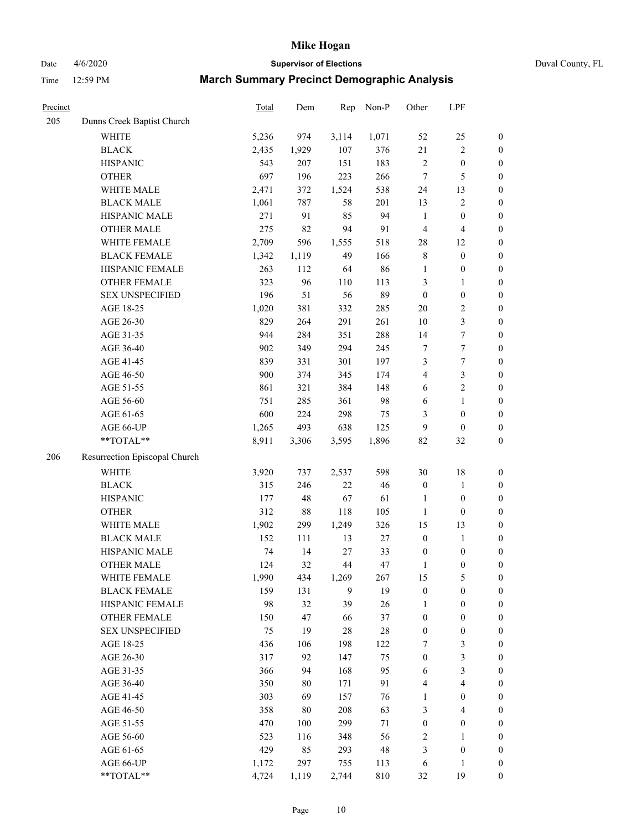Date 4/6/2020 **Supervisor of Elections** Duval County, FL

| Precinct |                               | Total | Dem    | Rep   | Non-P  | Other            | LPF              |                  |
|----------|-------------------------------|-------|--------|-------|--------|------------------|------------------|------------------|
| 205      | Dunns Creek Baptist Church    |       |        |       |        |                  |                  |                  |
|          | <b>WHITE</b>                  | 5,236 | 974    | 3,114 | 1,071  | 52               | $25\,$           | $\boldsymbol{0}$ |
|          | <b>BLACK</b>                  | 2,435 | 1,929  | 107   | 376    | 21               | $\overline{c}$   | $\boldsymbol{0}$ |
|          | <b>HISPANIC</b>               | 543   | 207    | 151   | 183    | 2                | $\boldsymbol{0}$ | $\boldsymbol{0}$ |
|          | <b>OTHER</b>                  | 697   | 196    | 223   | 266    | 7                | $\mathfrak s$    | $\boldsymbol{0}$ |
|          | WHITE MALE                    | 2,471 | 372    | 1,524 | 538    | 24               | 13               | $\boldsymbol{0}$ |
|          | <b>BLACK MALE</b>             | 1,061 | 787    | 58    | 201    | 13               | $\sqrt{2}$       | $\boldsymbol{0}$ |
|          | HISPANIC MALE                 | 271   | 91     | 85    | 94     | $\mathbf{1}$     | $\boldsymbol{0}$ | $\boldsymbol{0}$ |
|          | <b>OTHER MALE</b>             | 275   | 82     | 94    | 91     | 4                | $\overline{4}$   | $\boldsymbol{0}$ |
|          | WHITE FEMALE                  | 2,709 | 596    | 1,555 | 518    | 28               | 12               | $\boldsymbol{0}$ |
|          | <b>BLACK FEMALE</b>           | 1,342 | 1,119  | 49    | 166    | 8                | $\boldsymbol{0}$ | $\boldsymbol{0}$ |
|          | HISPANIC FEMALE               | 263   | 112    | 64    | 86     | $\mathbf{1}$     | $\boldsymbol{0}$ | $\boldsymbol{0}$ |
|          | OTHER FEMALE                  | 323   | 96     | 110   | 113    | 3                | $\mathbf{1}$     | $\boldsymbol{0}$ |
|          | <b>SEX UNSPECIFIED</b>        | 196   | 51     | 56    | 89     | $\boldsymbol{0}$ | $\boldsymbol{0}$ | $\boldsymbol{0}$ |
|          | AGE 18-25                     | 1,020 | 381    | 332   | 285    | $20\,$           | $\sqrt{2}$       | $\boldsymbol{0}$ |
|          | AGE 26-30                     | 829   | 264    | 291   | 261    | 10               | $\mathfrak{Z}$   | $\boldsymbol{0}$ |
|          | AGE 31-35                     | 944   | 284    | 351   | 288    | 14               | $\boldsymbol{7}$ | $\boldsymbol{0}$ |
|          | AGE 36-40                     | 902   | 349    | 294   | 245    | 7                | $\tau$           | $\boldsymbol{0}$ |
|          | AGE 41-45                     | 839   | 331    | 301   | 197    | 3                | $\boldsymbol{7}$ | $\boldsymbol{0}$ |
|          | AGE 46-50                     | 900   | 374    | 345   | 174    | 4                | $\mathfrak{Z}$   | $\boldsymbol{0}$ |
|          | AGE 51-55                     | 861   | 321    | 384   | 148    | 6                | $\sqrt{2}$       | 0                |
|          | AGE 56-60                     | 751   | 285    | 361   | 98     | 6                | $\mathbf{1}$     | $\boldsymbol{0}$ |
|          | AGE 61-65                     | 600   | 224    | 298   | 75     | 3                | $\boldsymbol{0}$ | $\boldsymbol{0}$ |
|          | AGE 66-UP                     | 1,265 | 493    | 638   | 125    | 9                | $\boldsymbol{0}$ | $\boldsymbol{0}$ |
|          | **TOTAL**                     | 8,911 | 3,306  | 3,595 | 1,896  | 82               | 32               | $\boldsymbol{0}$ |
| 206      | Resurrection Episcopal Church |       |        |       |        |                  |                  |                  |
|          |                               |       |        |       |        |                  |                  |                  |
|          | <b>WHITE</b>                  | 3,920 | 737    | 2,537 | 598    | 30               | 18               | $\boldsymbol{0}$ |
|          | <b>BLACK</b>                  | 315   | 246    | 22    | 46     | $\boldsymbol{0}$ | $\mathbf{1}$     | $\boldsymbol{0}$ |
|          | <b>HISPANIC</b>               | 177   | 48     | 67    | 61     | $\mathbf{1}$     | $\boldsymbol{0}$ | $\boldsymbol{0}$ |
|          | <b>OTHER</b>                  | 312   | $88\,$ | 118   | 105    | $\mathbf{1}$     | $\boldsymbol{0}$ | $\boldsymbol{0}$ |
|          | WHITE MALE                    | 1,902 | 299    | 1,249 | 326    | 15               | 13               | $\boldsymbol{0}$ |
|          | <b>BLACK MALE</b>             | 152   | 111    | 13    | $27\,$ | $\boldsymbol{0}$ | $\mathbf{1}$     | $\boldsymbol{0}$ |
|          | HISPANIC MALE                 | 74    | 14     | 27    | 33     | $\boldsymbol{0}$ | $\boldsymbol{0}$ | 0                |
|          | <b>OTHER MALE</b>             | 124   | 32     | 44    | 47     | $\mathbf{1}$     | $\boldsymbol{0}$ | $\boldsymbol{0}$ |
|          | WHITE FEMALE                  | 1,990 | 434    | 1,269 | 267    | 15               | $\mathfrak s$    | 0                |
|          | <b>BLACK FEMALE</b>           | 159   | 131    | 9     | 19     | $\boldsymbol{0}$ | $\boldsymbol{0}$ | $\boldsymbol{0}$ |
|          | HISPANIC FEMALE               | 98    | 32     | 39    | $26\,$ | 1                | $\boldsymbol{0}$ | $\overline{0}$   |
|          | <b>OTHER FEMALE</b>           | 150   | 47     | 66    | 37     | $\boldsymbol{0}$ | $\boldsymbol{0}$ | $\boldsymbol{0}$ |
|          | <b>SEX UNSPECIFIED</b>        | 75    | 19     | 28    | $28\,$ | $\boldsymbol{0}$ | $\boldsymbol{0}$ | $\overline{0}$   |
|          | AGE 18-25                     | 436   | 106    | 198   | 122    | 7                | $\mathfrak z$    | 0                |
|          | AGE 26-30                     | 317   | 92     | 147   | 75     | $\boldsymbol{0}$ | $\mathfrak{Z}$   | 0                |
|          | AGE 31-35                     | 366   | 94     | 168   | 95     | 6                | $\mathfrak{Z}$   | 0                |
|          | AGE 36-40                     | 350   | $80\,$ | 171   | 91     | 4                | $\overline{4}$   | 0                |
|          | AGE 41-45                     | 303   | 69     | 157   | 76     | $\mathbf{1}$     | $\boldsymbol{0}$ | 0                |
|          | AGE 46-50                     | 358   | 80     | 208   | 63     | 3                | $\overline{4}$   | $\boldsymbol{0}$ |
|          | AGE 51-55                     | 470   | 100    | 299   | $71\,$ | $\boldsymbol{0}$ | $\boldsymbol{0}$ | $\boldsymbol{0}$ |
|          | AGE 56-60                     | 523   | 116    | 348   | 56     | 2                | 1                | $\boldsymbol{0}$ |
|          | AGE 61-65                     | 429   | 85     | 293   | 48     | 3                | $\boldsymbol{0}$ | 0                |
|          | AGE 66-UP                     | 1,172 | 297    | 755   | 113    | 6                | $\mathbf{1}$     | 0                |
|          | **TOTAL**                     | 4,724 | 1,119  | 2,744 | 810    | 32               | 19               | $\boldsymbol{0}$ |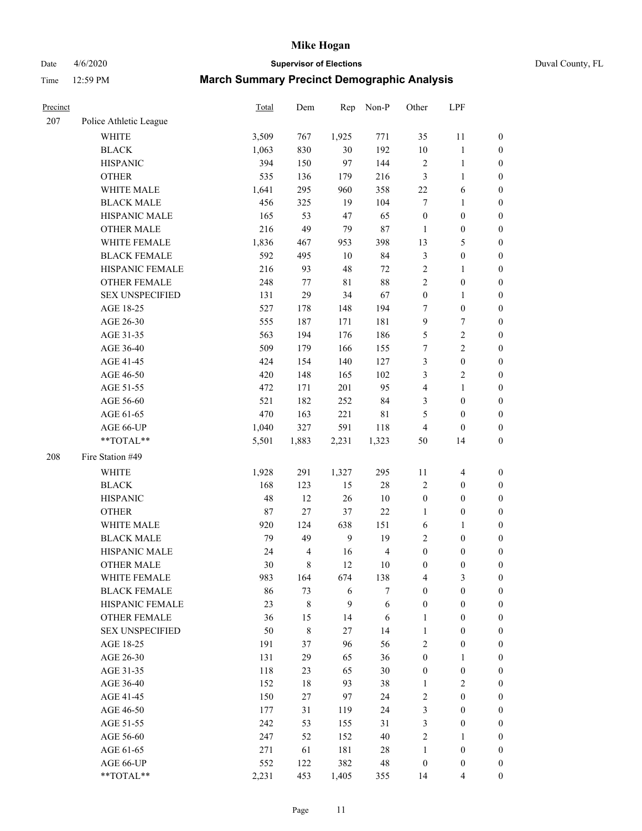Date 4/6/2020 **Supervisor of Elections** Duval County, FL

| Precinct |                        | Total | Dem            | Rep              | Non-P          | Other            | LPF              |                  |
|----------|------------------------|-------|----------------|------------------|----------------|------------------|------------------|------------------|
| 207      | Police Athletic League |       |                |                  |                |                  |                  |                  |
|          | <b>WHITE</b>           | 3,509 | 767            | 1,925            | 771            | 35               | 11               | $\boldsymbol{0}$ |
|          | <b>BLACK</b>           | 1,063 | 830            | 30               | 192            | $10\,$           | $\mathbf{1}$     | $\boldsymbol{0}$ |
|          | <b>HISPANIC</b>        | 394   | 150            | 97               | 144            | $\overline{c}$   | $\mathbf{1}$     | $\boldsymbol{0}$ |
|          | <b>OTHER</b>           | 535   | 136            | 179              | 216            | 3                | $\mathbf{1}$     | $\boldsymbol{0}$ |
|          | WHITE MALE             | 1,641 | 295            | 960              | 358            | $22\,$           | 6                | $\boldsymbol{0}$ |
|          | <b>BLACK MALE</b>      | 456   | 325            | 19               | 104            | 7                | $\mathbf{1}$     | $\boldsymbol{0}$ |
|          | HISPANIC MALE          | 165   | 53             | 47               | 65             | $\boldsymbol{0}$ | $\boldsymbol{0}$ | $\boldsymbol{0}$ |
|          | <b>OTHER MALE</b>      | 216   | 49             | 79               | $87\,$         | $\mathbf{1}$     | $\boldsymbol{0}$ | $\boldsymbol{0}$ |
|          | WHITE FEMALE           | 1,836 | 467            | 953              | 398            | 13               | $\mathfrak s$    | 0                |
|          | <b>BLACK FEMALE</b>    | 592   | 495            | 10               | 84             | 3                | $\boldsymbol{0}$ | 0                |
|          | HISPANIC FEMALE        | 216   | 93             | 48               | $72\,$         | $\sqrt{2}$       | $\mathbf{1}$     | $\boldsymbol{0}$ |
|          | OTHER FEMALE           | 248   | 77             | 81               | $88\,$         | $\overline{c}$   | $\boldsymbol{0}$ | $\boldsymbol{0}$ |
|          | <b>SEX UNSPECIFIED</b> | 131   | 29             | 34               | 67             | $\boldsymbol{0}$ | $\mathbf{1}$     | $\boldsymbol{0}$ |
|          | AGE 18-25              | 527   | 178            | 148              | 194            | 7                | $\boldsymbol{0}$ | $\boldsymbol{0}$ |
|          | AGE 26-30              | 555   | 187            | 171              | 181            | 9                | $\boldsymbol{7}$ | $\boldsymbol{0}$ |
|          | AGE 31-35              | 563   | 194            | 176              | 186            | 5                | $\boldsymbol{2}$ | $\boldsymbol{0}$ |
|          | AGE 36-40              | 509   | 179            | 166              | 155            | 7                | $\overline{2}$   | $\boldsymbol{0}$ |
|          | AGE 41-45              | 424   | 154            | 140              | 127            | 3                | $\boldsymbol{0}$ | $\boldsymbol{0}$ |
|          | AGE 46-50              | 420   | 148            | 165              | 102            | 3                | $\sqrt{2}$       | $\boldsymbol{0}$ |
|          | AGE 51-55              | 472   | 171            | 201              | 95             | 4                | $\mathbf{1}$     | 0                |
|          | AGE 56-60              | 521   | 182            | 252              | 84             | 3                | $\boldsymbol{0}$ | $\boldsymbol{0}$ |
|          | AGE 61-65              | 470   | 163            | 221              | $8\sqrt{1}$    | 5                | $\boldsymbol{0}$ | $\boldsymbol{0}$ |
|          | AGE 66-UP              | 1,040 | 327            | 591              | 118            | 4                | $\boldsymbol{0}$ | $\boldsymbol{0}$ |
|          | **TOTAL**              | 5,501 | 1,883          | 2,231            | 1,323          | 50               | 14               | $\boldsymbol{0}$ |
| 208      | Fire Station #49       |       |                |                  |                |                  |                  |                  |
|          | WHITE                  | 1,928 | 291            | 1,327            | 295            | $11\,$           | $\overline{4}$   | $\boldsymbol{0}$ |
|          | <b>BLACK</b>           | 168   | 123            | 15               | $28\,$         | $\sqrt{2}$       | $\boldsymbol{0}$ | $\boldsymbol{0}$ |
|          | <b>HISPANIC</b>        | 48    | 12             | 26               | $10\,$         | $\boldsymbol{0}$ | $\boldsymbol{0}$ | $\boldsymbol{0}$ |
|          | <b>OTHER</b>           | 87    | 27             | 37               | $22\,$         | $\mathbf{1}$     | $\boldsymbol{0}$ | $\boldsymbol{0}$ |
|          | WHITE MALE             | 920   | 124            | 638              | 151            | 6                | $\mathbf{1}$     | $\boldsymbol{0}$ |
|          | <b>BLACK MALE</b>      | 79    | 49             | $\boldsymbol{9}$ | 19             | 2                | $\boldsymbol{0}$ | $\boldsymbol{0}$ |
|          | HISPANIC MALE          | 24    | $\overline{4}$ | 16               | $\overline{4}$ | $\boldsymbol{0}$ | $\boldsymbol{0}$ | 0                |
|          | <b>OTHER MALE</b>      | 30    | 8              | 12               | 10             | $\boldsymbol{0}$ | $\boldsymbol{0}$ | $\boldsymbol{0}$ |
|          | WHITE FEMALE           | 983   | 164            | 674              | 138            | 4                | 3                | $\boldsymbol{0}$ |
|          | <b>BLACK FEMALE</b>    | 86    | 73             | 6                | 7              | $\boldsymbol{0}$ | $\boldsymbol{0}$ | $\overline{0}$   |
|          | HISPANIC FEMALE        | 23    | 8              | 9                | $\sqrt{6}$     | $\boldsymbol{0}$ | $\boldsymbol{0}$ | $\overline{0}$   |
|          | <b>OTHER FEMALE</b>    | 36    | 15             | 14               | 6              | $\mathbf{1}$     | $\boldsymbol{0}$ | $\overline{0}$   |
|          | <b>SEX UNSPECIFIED</b> | 50    | $\,$ 8 $\,$    | 27               | 14             | $\mathbf{1}$     | $\boldsymbol{0}$ | $\overline{0}$   |
|          | AGE 18-25              | 191   | 37             | 96               | 56             | $\overline{c}$   | $\boldsymbol{0}$ | $\overline{0}$   |
|          | AGE 26-30              | 131   | 29             | 65               | 36             | $\boldsymbol{0}$ | $\mathbf{1}$     | 0                |
|          | AGE 31-35              | 118   | 23             | 65               | $30\,$         | $\boldsymbol{0}$ | $\boldsymbol{0}$ | 0                |
|          | AGE 36-40              | 152   | $18\,$         | 93               | 38             | 1                | $\boldsymbol{2}$ | 0                |
|          | AGE 41-45              | 150   | 27             | 97               | 24             | 2                | $\boldsymbol{0}$ | 0                |
|          | AGE 46-50              | 177   | 31             | 119              | 24             | 3                | $\boldsymbol{0}$ | $\overline{0}$   |
|          | AGE 51-55              | 242   | 53             | 155              | 31             | 3                | $\boldsymbol{0}$ | $\boldsymbol{0}$ |
|          | AGE 56-60              | 247   | 52             | 152              | $40\,$         | 2                | 1                | $\overline{0}$   |
|          | AGE 61-65              | 271   | 61             | 181              | $28\,$         | $\mathbf{1}$     | $\boldsymbol{0}$ | 0                |
|          | AGE 66-UP              | 552   | 122            | 382              | 48             | $\boldsymbol{0}$ | $\boldsymbol{0}$ | 0                |
|          | **TOTAL**              | 2,231 | 453            | 1,405            | 355            | 14               | $\overline{4}$   | $\boldsymbol{0}$ |
|          |                        |       |                |                  |                |                  |                  |                  |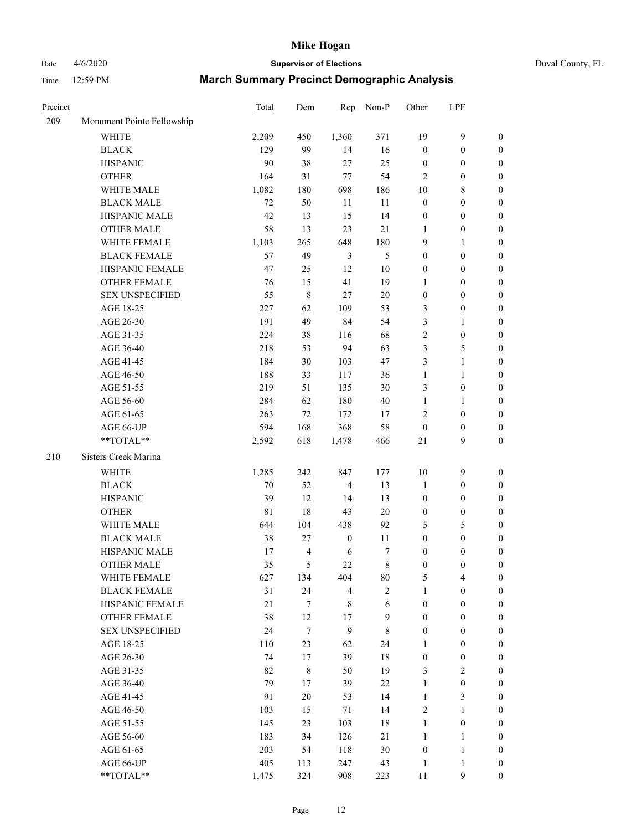## Date 4/6/2020 **Supervisor of Elections** Duval County, FL

| Precinct |                            | Total       | Dem              | Rep              | Non-P            | Other            | LPF              |                  |
|----------|----------------------------|-------------|------------------|------------------|------------------|------------------|------------------|------------------|
| 209      | Monument Pointe Fellowship |             |                  |                  |                  |                  |                  |                  |
|          | <b>WHITE</b>               | 2,209       | 450              | 1,360            | 371              | 19               | $\boldsymbol{9}$ | 0                |
|          | <b>BLACK</b>               | 129         | 99               | 14               | 16               | $\boldsymbol{0}$ | $\boldsymbol{0}$ | 0                |
|          | <b>HISPANIC</b>            | 90          | 38               | 27               | 25               | $\boldsymbol{0}$ | $\boldsymbol{0}$ | $\boldsymbol{0}$ |
|          | <b>OTHER</b>               | 164         | 31               | $77 \,$          | 54               | 2                | $\boldsymbol{0}$ | $\boldsymbol{0}$ |
|          | WHITE MALE                 | 1,082       | 180              | 698              | 186              | 10               | $\,$ 8 $\,$      | $\boldsymbol{0}$ |
|          | <b>BLACK MALE</b>          | 72          | 50               | 11               | 11               | $\boldsymbol{0}$ | $\boldsymbol{0}$ | $\boldsymbol{0}$ |
|          | HISPANIC MALE              | 42          | 13               | 15               | 14               | $\boldsymbol{0}$ | $\boldsymbol{0}$ | $\boldsymbol{0}$ |
|          | <b>OTHER MALE</b>          | 58          | 13               | 23               | 21               | $\mathbf{1}$     | $\boldsymbol{0}$ | $\boldsymbol{0}$ |
|          | WHITE FEMALE               | 1,103       | 265              | 648              | 180              | 9                | $\mathbf{1}$     | $\boldsymbol{0}$ |
|          | <b>BLACK FEMALE</b>        | 57          | 49               | $\mathfrak{Z}$   | $\mathfrak s$    | $\boldsymbol{0}$ | $\boldsymbol{0}$ | $\boldsymbol{0}$ |
|          | HISPANIC FEMALE            | 47          | 25               | 12               | 10               | 0                | $\boldsymbol{0}$ | $\boldsymbol{0}$ |
|          | OTHER FEMALE               | 76          | 15               | 41               | 19               | 1                | $\boldsymbol{0}$ | $\boldsymbol{0}$ |
|          | <b>SEX UNSPECIFIED</b>     | 55          | $\,$ 8 $\,$      | $27\,$           | 20               | $\boldsymbol{0}$ | $\boldsymbol{0}$ | $\boldsymbol{0}$ |
|          | AGE 18-25                  | 227         | 62               | 109              | 53               | 3                | $\boldsymbol{0}$ | $\boldsymbol{0}$ |
|          | AGE 26-30                  | 191         | 49               | 84               | 54               | 3                | $\mathbf{1}$     | $\boldsymbol{0}$ |
|          | AGE 31-35                  | 224         | 38               | 116              | 68               | $\overline{c}$   | $\boldsymbol{0}$ | $\boldsymbol{0}$ |
|          | AGE 36-40                  | 218         | 53               | 94               | 63               | 3                | $\mathfrak s$    | $\boldsymbol{0}$ |
|          | AGE 41-45                  | 184         | 30               | 103              | 47               | 3                | $\mathbf{1}$     | $\boldsymbol{0}$ |
|          | AGE 46-50                  | 188         | 33               | 117              | 36               | $\mathbf{1}$     | $\mathbf{1}$     | $\boldsymbol{0}$ |
|          | AGE 51-55                  | 219         | 51               | 135              | 30               | 3                | $\boldsymbol{0}$ | 0                |
|          | AGE 56-60                  | 284         | 62               | 180              | 40               | $\mathbf{1}$     | 1                | 0                |
|          | AGE 61-65                  | 263         | 72               | 172              | 17               | 2                | $\boldsymbol{0}$ | $\boldsymbol{0}$ |
|          | AGE 66-UP                  | 594         | 168              | 368              | 58               | $\boldsymbol{0}$ | $\boldsymbol{0}$ | $\boldsymbol{0}$ |
|          | **TOTAL**                  | 2,592       | 618              | 1,478            | 466              | $21\,$           | 9                | $\boldsymbol{0}$ |
| 210      | Sisters Creek Marina       |             |                  |                  |                  |                  |                  |                  |
|          | <b>WHITE</b>               | 1,285       | 242              | 847              | 177              | 10               | $\boldsymbol{9}$ | $\boldsymbol{0}$ |
|          | <b>BLACK</b>               | $70\,$      | 52               | $\overline{4}$   | 13               | $\mathbf{1}$     | $\boldsymbol{0}$ | $\boldsymbol{0}$ |
|          | <b>HISPANIC</b>            | 39          | 12               | 14               | 13               | $\boldsymbol{0}$ | $\boldsymbol{0}$ | $\boldsymbol{0}$ |
|          | <b>OTHER</b>               | $8\sqrt{1}$ | 18               | 43               | 20               | 0                | $\boldsymbol{0}$ | $\boldsymbol{0}$ |
|          | WHITE MALE                 | 644         | 104              | 438              | 92               | 5                | $\mathfrak s$    | $\boldsymbol{0}$ |
|          | <b>BLACK MALE</b>          | 38          | $27\,$           | $\boldsymbol{0}$ | 11               | $\boldsymbol{0}$ | $\boldsymbol{0}$ | $\boldsymbol{0}$ |
|          | HISPANIC MALE              | 17          | $\overline{4}$   | 6                | 7                | $\boldsymbol{0}$ | $\boldsymbol{0}$ | $\boldsymbol{0}$ |
|          | <b>OTHER MALE</b>          | 35          | 5                | 22               | $\,$ 8 $\,$      | $\boldsymbol{0}$ | $\boldsymbol{0}$ | $\boldsymbol{0}$ |
|          | WHITE FEMALE               | 627         | 134              | 404              | 80               | 5                | 4                | 0                |
|          | <b>BLACK FEMALE</b>        | 31          | 24               | 4                | $\overline{c}$   | $\mathbf{1}$     | $\boldsymbol{0}$ | $\overline{0}$   |
|          | HISPANIC FEMALE            | 21          | $\boldsymbol{7}$ | 8                | 6                | $\boldsymbol{0}$ | $\boldsymbol{0}$ | $\overline{0}$   |
|          | <b>OTHER FEMALE</b>        | 38          | 12               | 17               | $\boldsymbol{9}$ | $\boldsymbol{0}$ | $\boldsymbol{0}$ | $\overline{0}$   |
|          | <b>SEX UNSPECIFIED</b>     | 24          | $\tau$           | $\boldsymbol{9}$ | $\,$ 8 $\,$      | $\boldsymbol{0}$ | $\boldsymbol{0}$ | 0                |
|          | AGE 18-25                  | 110         | 23               | 62               | 24               | 1                | $\boldsymbol{0}$ | $\theta$         |
|          | AGE 26-30                  | 74          | 17               | 39               | 18               | $\boldsymbol{0}$ | $\boldsymbol{0}$ | 0                |
|          | AGE 31-35                  | 82          | $\,$ 8 $\,$      | 50               | 19               | 3                | $\sqrt{2}$       | 0                |
|          | AGE 36-40                  | 79          | 17               | 39               | $22\,$           | 1                | $\boldsymbol{0}$ | 0                |
|          | AGE 41-45                  | 91          | 20               | 53               | 14               | $\mathbf{1}$     | $\mathfrak{Z}$   | 0                |
|          | AGE 46-50                  | 103         | 15               | 71               | 14               | 2                | $\mathbf{1}$     | 0                |
|          | AGE 51-55                  | 145         | 23               | 103              | 18               | $\mathbf{1}$     | $\boldsymbol{0}$ | 0                |
|          | AGE 56-60                  | 183         | 34               | 126              | 21               | $\mathbf{1}$     | $\mathbf{1}$     | $\overline{0}$   |
|          | AGE 61-65                  | 203         | 54               | 118              | 30               | $\boldsymbol{0}$ | $\mathbf{1}$     | $\overline{0}$   |
|          | AGE 66-UP                  | 405         | 113              | 247              | 43               | $\mathbf{1}$     | $\mathbf{1}$     | 0                |
|          | **TOTAL**                  | 1,475       | 324              | 908              | 223              | 11               | $\boldsymbol{9}$ | $\overline{0}$   |
|          |                            |             |                  |                  |                  |                  |                  |                  |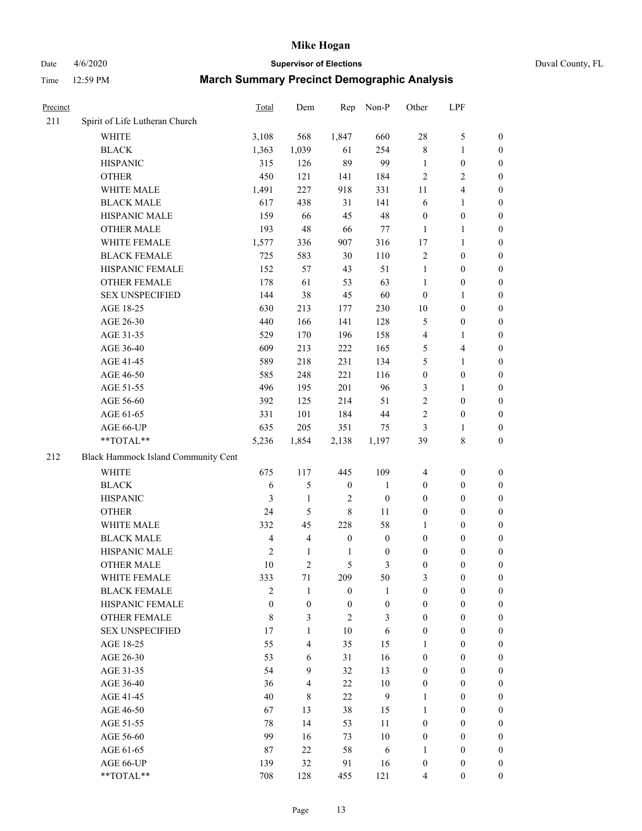## Date 4/6/2020 **Supervisor of Elections** Duval County, FL

| Precinct |                                     | Total          | Dem                      | Rep              | Non-P            | Other            | LPF              |                  |
|----------|-------------------------------------|----------------|--------------------------|------------------|------------------|------------------|------------------|------------------|
| 211      | Spirit of Life Lutheran Church      |                |                          |                  |                  |                  |                  |                  |
|          | <b>WHITE</b>                        | 3,108          | 568                      | 1,847            | 660              | 28               | $\mathfrak s$    | 0                |
|          | <b>BLACK</b>                        | 1,363          | 1,039                    | 61               | 254              | 8                | $\mathbf{1}$     | 0                |
|          | <b>HISPANIC</b>                     | 315            | 126                      | 89               | 99               | $\mathbf{1}$     | $\boldsymbol{0}$ | $\boldsymbol{0}$ |
|          | <b>OTHER</b>                        | 450            | 121                      | 141              | 184              | $\overline{c}$   | $\overline{c}$   | $\boldsymbol{0}$ |
|          | WHITE MALE                          | 1,491          | 227                      | 918              | 331              | 11               | $\overline{4}$   | $\boldsymbol{0}$ |
|          | <b>BLACK MALE</b>                   | 617            | 438                      | 31               | 141              | 6                | $\mathbf{1}$     | $\boldsymbol{0}$ |
|          | HISPANIC MALE                       | 159            | 66                       | 45               | 48               | $\boldsymbol{0}$ | $\boldsymbol{0}$ | $\boldsymbol{0}$ |
|          | <b>OTHER MALE</b>                   | 193            | 48                       | 66               | 77               | $\mathbf{1}$     | $\mathbf{1}$     | $\boldsymbol{0}$ |
|          | WHITE FEMALE                        | 1,577          | 336                      | 907              | 316              | 17               | $\mathbf{1}$     | $\boldsymbol{0}$ |
|          | <b>BLACK FEMALE</b>                 | 725            | 583                      | 30               | 110              | $\sqrt{2}$       | $\boldsymbol{0}$ | 0                |
|          | HISPANIC FEMALE                     | 152            | 57                       | 43               | 51               | $\mathbf{1}$     | $\boldsymbol{0}$ | 0                |
|          | <b>OTHER FEMALE</b>                 | 178            | 61                       | 53               | 63               | 1                | $\boldsymbol{0}$ | $\boldsymbol{0}$ |
|          | <b>SEX UNSPECIFIED</b>              | 144            | 38                       | 45               | 60               | $\boldsymbol{0}$ | $\mathbf{1}$     | $\boldsymbol{0}$ |
|          | AGE 18-25                           | 630            | 213                      | 177              | 230              | $10\,$           | $\boldsymbol{0}$ | $\boldsymbol{0}$ |
|          | AGE 26-30                           | 440            | 166                      | 141              | 128              | 5                | $\boldsymbol{0}$ | $\boldsymbol{0}$ |
|          | AGE 31-35                           | 529            | 170                      | 196              | 158              | 4                | $\mathbf{1}$     | $\boldsymbol{0}$ |
|          | AGE 36-40                           | 609            | 213                      | 222              | 165              | 5                | $\overline{4}$   | $\boldsymbol{0}$ |
|          | AGE 41-45                           | 589            | 218                      | 231              | 134              | 5                | $\mathbf{1}$     | $\boldsymbol{0}$ |
|          | AGE 46-50                           | 585            | 248                      | 221              | 116              | $\boldsymbol{0}$ | $\boldsymbol{0}$ | $\boldsymbol{0}$ |
|          | AGE 51-55                           | 496            | 195                      | 201              | 96               | 3                | 1                | $\boldsymbol{0}$ |
|          | AGE 56-60                           | 392            | 125                      | 214              | 51               | $\sqrt{2}$       | $\boldsymbol{0}$ | 0                |
|          | AGE 61-65                           | 331            | 101                      | 184              | 44               | $\overline{c}$   | $\boldsymbol{0}$ | 0                |
|          | AGE 66-UP                           | 635            | 205                      | 351              | 75               | 3                | $\mathbf{1}$     | $\boldsymbol{0}$ |
|          | **TOTAL**                           | 5,236          | 1,854                    | 2,138            | 1,197            | 39               | $\,$ 8 $\,$      | $\boldsymbol{0}$ |
|          |                                     |                |                          |                  |                  |                  |                  |                  |
| 212      | Black Hammock Island Community Cent |                |                          |                  |                  |                  |                  |                  |
|          | <b>WHITE</b>                        | 675            | 117                      | 445              | 109              | 4                | $\boldsymbol{0}$ | $\boldsymbol{0}$ |
|          | <b>BLACK</b>                        | 6              | 5                        | $\boldsymbol{0}$ | $\mathbf{1}$     | $\boldsymbol{0}$ | $\boldsymbol{0}$ | $\boldsymbol{0}$ |
|          | <b>HISPANIC</b>                     | 3              | $\mathbf{1}$             | $\overline{c}$   | $\boldsymbol{0}$ | $\boldsymbol{0}$ | $\boldsymbol{0}$ | $\boldsymbol{0}$ |
|          | <b>OTHER</b>                        | 24             | 5                        | $\,$ $\,$        | 11               | $\boldsymbol{0}$ | $\boldsymbol{0}$ | $\boldsymbol{0}$ |
|          | WHITE MALE                          | 332            | 45                       | 228              | 58               | $\mathbf{1}$     | $\boldsymbol{0}$ | $\boldsymbol{0}$ |
|          | <b>BLACK MALE</b>                   | $\overline{4}$ | $\overline{\mathbf{4}}$  | $\boldsymbol{0}$ | $\boldsymbol{0}$ | $\boldsymbol{0}$ | $\boldsymbol{0}$ | $\boldsymbol{0}$ |
|          | HISPANIC MALE                       | $\mathfrak{2}$ | $\mathbf{1}$             | $\mathbf{1}$     | $\boldsymbol{0}$ | $\boldsymbol{0}$ | $\boldsymbol{0}$ | $\boldsymbol{0}$ |
|          | OTHER MALE                          | 10             | $\overline{c}$           | 5                | 3                | $\boldsymbol{0}$ | $\boldsymbol{0}$ | $\boldsymbol{0}$ |
|          | WHITE FEMALE                        | 333            | 71                       | 209              | 50               | 3                | $\boldsymbol{0}$ | 0                |
|          | <b>BLACK FEMALE</b>                 | 2              | 1                        | $\boldsymbol{0}$ | 1                | $\boldsymbol{0}$ | $\boldsymbol{0}$ | $\overline{0}$   |
|          | HISPANIC FEMALE                     | $\overline{0}$ | $\boldsymbol{0}$         | $\boldsymbol{0}$ | $\boldsymbol{0}$ | $\boldsymbol{0}$ | $\boldsymbol{0}$ | $\overline{0}$   |
|          | <b>OTHER FEMALE</b>                 | 8              | 3                        | $\overline{2}$   | 3                | $\boldsymbol{0}$ | $\boldsymbol{0}$ | $\overline{0}$   |
|          | <b>SEX UNSPECIFIED</b>              | 17             | $\mathbf{1}$             | 10               | 6                | $\boldsymbol{0}$ | $\boldsymbol{0}$ | $\overline{0}$   |
|          | AGE 18-25                           | 55             | $\overline{\mathcal{L}}$ | 35               | 15               | 1                | $\boldsymbol{0}$ | $\theta$         |
|          | AGE 26-30                           | 53             | 6                        | 31               | 16               | $\boldsymbol{0}$ | $\boldsymbol{0}$ | $\overline{0}$   |
|          | AGE 31-35                           | 54             | 9                        | 32               | 13               | $\boldsymbol{0}$ | $\boldsymbol{0}$ | 0                |
|          | AGE 36-40                           | 36             | $\overline{\mathcal{L}}$ | $22\,$           | $10\,$           | $\boldsymbol{0}$ | $\boldsymbol{0}$ | 0                |
|          | AGE 41-45                           | 40             | 8                        | 22               | 9                | 1                | $\boldsymbol{0}$ | 0                |
|          | AGE 46-50                           | 67             | 13                       | 38               | 15               | 1                | $\boldsymbol{0}$ | 0                |
|          | AGE 51-55                           | 78             | 14                       | 53               | 11               | $\boldsymbol{0}$ | $\boldsymbol{0}$ | $\overline{0}$   |
|          | AGE 56-60                           | 99             | 16                       | 73               | $10\,$           | $\boldsymbol{0}$ | $\boldsymbol{0}$ | $\overline{0}$   |
|          | AGE 61-65                           | 87             | 22                       | 58               | 6                | 1                | $\boldsymbol{0}$ | $\overline{0}$   |
|          | AGE 66-UP                           | 139            | 32                       | 91               | 16               | $\boldsymbol{0}$ | $\boldsymbol{0}$ | 0                |
|          | **TOTAL**                           | 708            | 128                      | 455              | 121              | 4                | $\boldsymbol{0}$ | $\boldsymbol{0}$ |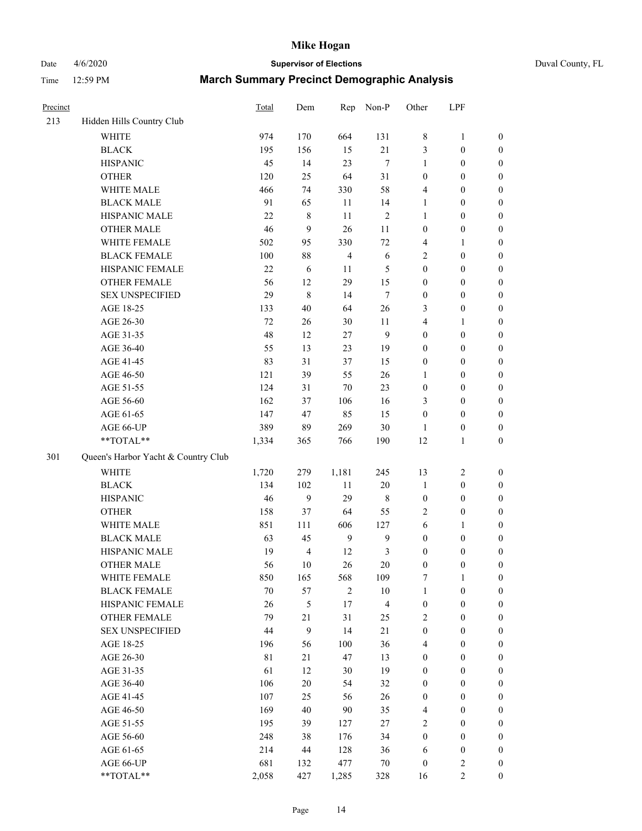## Date 4/6/2020 **Supervisor of Elections** Duval County, FL

| Precinct |                                     | Total       | Dem                     | Rep            | Non-P                   | Other            | LPF              |                  |
|----------|-------------------------------------|-------------|-------------------------|----------------|-------------------------|------------------|------------------|------------------|
| 213      | Hidden Hills Country Club           |             |                         |                |                         |                  |                  |                  |
|          | <b>WHITE</b>                        | 974         | 170                     | 664            | 131                     | 8                | $\mathbf{1}$     | 0                |
|          | <b>BLACK</b>                        | 195         | 156                     | 15             | 21                      | 3                | $\boldsymbol{0}$ | $\boldsymbol{0}$ |
|          | <b>HISPANIC</b>                     | 45          | 14                      | 23             | $\tau$                  | 1                | $\boldsymbol{0}$ | $\boldsymbol{0}$ |
|          | <b>OTHER</b>                        | 120         | 25                      | 64             | 31                      | $\boldsymbol{0}$ | $\boldsymbol{0}$ | $\boldsymbol{0}$ |
|          | WHITE MALE                          | 466         | 74                      | 330            | 58                      | 4                | $\boldsymbol{0}$ | $\boldsymbol{0}$ |
|          | <b>BLACK MALE</b>                   | 91          | 65                      | 11             | 14                      | 1                | $\boldsymbol{0}$ | $\boldsymbol{0}$ |
|          | HISPANIC MALE                       | 22          | $\,$ 8 $\,$             | 11             | $\sqrt{2}$              | 1                | $\boldsymbol{0}$ | $\boldsymbol{0}$ |
|          | <b>OTHER MALE</b>                   | 46          | 9                       | 26             | 11                      | $\boldsymbol{0}$ | $\boldsymbol{0}$ | $\boldsymbol{0}$ |
|          | WHITE FEMALE                        | 502         | 95                      | 330            | $72\,$                  | 4                | 1                | $\boldsymbol{0}$ |
|          | <b>BLACK FEMALE</b>                 | 100         | 88                      | $\overline{4}$ | $\sqrt{6}$              | 2                | $\boldsymbol{0}$ | $\boldsymbol{0}$ |
|          | HISPANIC FEMALE                     | 22          | 6                       | 11             | 5                       | $\boldsymbol{0}$ | $\boldsymbol{0}$ | $\boldsymbol{0}$ |
|          | <b>OTHER FEMALE</b>                 | 56          | 12                      | 29             | 15                      | $\boldsymbol{0}$ | $\boldsymbol{0}$ | $\boldsymbol{0}$ |
|          | <b>SEX UNSPECIFIED</b>              | 29          | $\,$ 8 $\,$             | 14             | $\tau$                  | $\boldsymbol{0}$ | $\boldsymbol{0}$ | $\boldsymbol{0}$ |
|          | AGE 18-25                           | 133         | 40                      | 64             | $26\,$                  | 3                | $\boldsymbol{0}$ | $\boldsymbol{0}$ |
|          | AGE 26-30                           | 72          | 26                      | 30             | 11                      | 4                | $\mathbf{1}$     | $\boldsymbol{0}$ |
|          | AGE 31-35                           | 48          | 12                      | 27             | 9                       | $\boldsymbol{0}$ | $\boldsymbol{0}$ | $\boldsymbol{0}$ |
|          | AGE 36-40                           | 55          | 13                      | 23             | 19                      | $\boldsymbol{0}$ | $\boldsymbol{0}$ | $\boldsymbol{0}$ |
|          | AGE 41-45                           | 83          | 31                      | 37             | 15                      | $\boldsymbol{0}$ | $\boldsymbol{0}$ | $\boldsymbol{0}$ |
|          | AGE 46-50                           | 121         | 39                      | 55             | $26\,$                  | 1                | $\boldsymbol{0}$ | $\boldsymbol{0}$ |
|          | AGE 51-55                           | 124         | 31                      | 70             | 23                      | $\boldsymbol{0}$ | $\boldsymbol{0}$ | $\boldsymbol{0}$ |
|          | AGE 56-60                           | 162         | 37                      | 106            | 16                      | 3                | $\boldsymbol{0}$ | 0                |
|          | AGE 61-65                           | 147         | 47                      | 85             | 15                      | $\boldsymbol{0}$ | $\boldsymbol{0}$ | $\boldsymbol{0}$ |
|          | AGE 66-UP                           | 389         | 89                      | 269            | $30\,$                  | 1                | $\boldsymbol{0}$ | $\boldsymbol{0}$ |
|          | **TOTAL**                           | 1,334       | 365                     | 766            | 190                     | 12               | $\mathbf{1}$     | $\boldsymbol{0}$ |
| 301      | Queen's Harbor Yacht & Country Club |             |                         |                |                         |                  |                  |                  |
|          | <b>WHITE</b>                        | 1,720       | 279                     | 1,181          | 245                     | 13               | $\boldsymbol{2}$ | $\boldsymbol{0}$ |
|          | <b>BLACK</b>                        | 134         | 102                     | $11\,$         | $20\,$                  | $\mathbf{1}$     | $\boldsymbol{0}$ | $\boldsymbol{0}$ |
|          | <b>HISPANIC</b>                     | 46          | 9                       | 29             | 8                       | $\boldsymbol{0}$ | $\boldsymbol{0}$ | $\boldsymbol{0}$ |
|          | <b>OTHER</b>                        | 158         | 37                      | 64             | 55                      | 2                | $\boldsymbol{0}$ | $\boldsymbol{0}$ |
|          | WHITE MALE                          | 851         | 111                     | 606            | 127                     | 6                | $\mathbf{1}$     | $\boldsymbol{0}$ |
|          | <b>BLACK MALE</b>                   | 63          | 45                      | $\mathbf{9}$   | $\mathbf{9}$            | $\boldsymbol{0}$ | $\boldsymbol{0}$ | $\boldsymbol{0}$ |
|          | HISPANIC MALE                       | 19          | $\overline{\mathbf{4}}$ | 12             | $\mathfrak{Z}$          | $\boldsymbol{0}$ | $\boldsymbol{0}$ | $\boldsymbol{0}$ |
|          | OTHER MALE                          | 56          | 10                      | 26             | 20                      | $\boldsymbol{0}$ | $\boldsymbol{0}$ | $\boldsymbol{0}$ |
|          | WHITE FEMALE                        | 850         | 165                     | 568            | 109                     | 7                | 1                | 0                |
|          | <b>BLACK FEMALE</b>                 | $70\,$      | 57                      | $\overline{c}$ | $10\,$                  | $\mathbf{1}$     | $\boldsymbol{0}$ | $\boldsymbol{0}$ |
|          | HISPANIC FEMALE                     | 26          | 5                       | 17             | $\overline{\mathbf{4}}$ | $\boldsymbol{0}$ | $\boldsymbol{0}$ | $\overline{0}$   |
|          | OTHER FEMALE                        | 79          | 21                      | 31             | 25                      | 2                | $\boldsymbol{0}$ | $\overline{0}$   |
|          | <b>SEX UNSPECIFIED</b>              | 44          | 9                       | 14             | 21                      | $\boldsymbol{0}$ | $\boldsymbol{0}$ | $\overline{0}$   |
|          | AGE 18-25                           | 196         | 56                      | 100            | 36                      | 4                | $\boldsymbol{0}$ | $\theta$         |
|          | AGE 26-30                           | $8\sqrt{1}$ | 21                      | 47             | 13                      | $\boldsymbol{0}$ | $\boldsymbol{0}$ | 0                |
|          | AGE 31-35                           | 61          | 12                      | 30             | 19                      | $\boldsymbol{0}$ | $\boldsymbol{0}$ | 0                |
|          | AGE 36-40                           | 106         | $20\,$                  | 54             | 32                      | $\boldsymbol{0}$ | $\boldsymbol{0}$ | 0                |
|          | AGE 41-45                           | 107         | 25                      | 56             | $26\,$                  | $\boldsymbol{0}$ | $\boldsymbol{0}$ | 0                |
|          | AGE 46-50                           | 169         | 40                      | 90             | 35                      | 4                | $\boldsymbol{0}$ | 0                |
|          | AGE 51-55                           | 195         | 39                      | 127            | $27\,$                  | $\overline{c}$   | $\boldsymbol{0}$ | 0                |
|          | AGE 56-60                           | 248         | 38                      | 176            | 34                      | $\boldsymbol{0}$ | $\boldsymbol{0}$ | $\overline{0}$   |
|          | AGE 61-65                           | 214         | 44                      | 128            | 36                      | 6                | $\boldsymbol{0}$ | $\overline{0}$   |
|          | AGE 66-UP                           | 681         | 132                     | 477            | 70                      | $\boldsymbol{0}$ | $\overline{2}$   | 0                |
|          | **TOTAL**                           | 2,058       | 427                     | 1,285          | 328                     | 16               | $\overline{c}$   | $\boldsymbol{0}$ |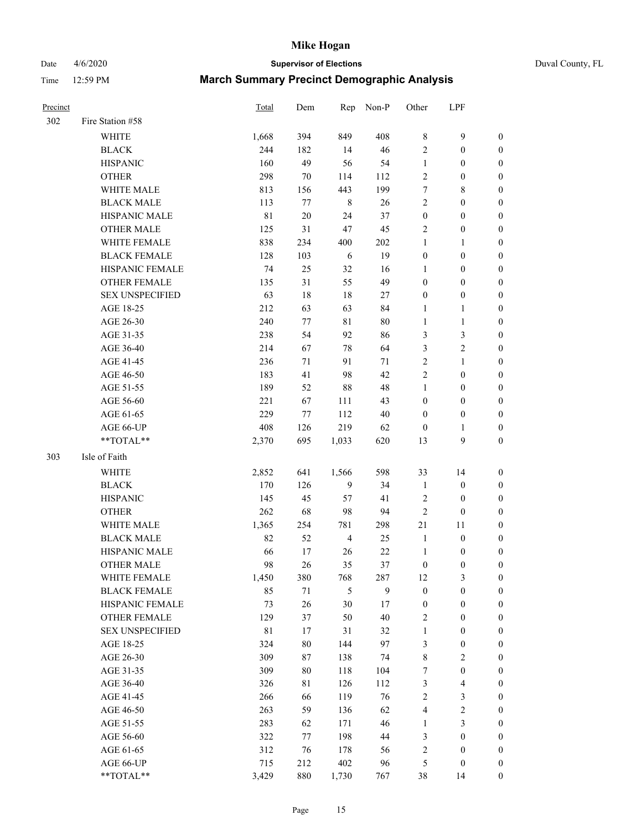#### Date 4/6/2020 **Supervisor of Elections** Duval County, FL

| Precinct |                        | <b>Total</b> | Dem    | Rep            | Non-P   | Other            | LPF              |                  |
|----------|------------------------|--------------|--------|----------------|---------|------------------|------------------|------------------|
| 302      | Fire Station #58       |              |        |                |         |                  |                  |                  |
|          | <b>WHITE</b>           | 1,668        | 394    | 849            | 408     | $\,$ 8 $\,$      | $\mathbf{9}$     | $\boldsymbol{0}$ |
|          | <b>BLACK</b>           | 244          | 182    | 14             | 46      | $\overline{2}$   | $\boldsymbol{0}$ | 0                |
|          | <b>HISPANIC</b>        | 160          | 49     | 56             | 54      | $\mathbf{1}$     | $\boldsymbol{0}$ | $\boldsymbol{0}$ |
|          | <b>OTHER</b>           | 298          | 70     | 114            | 112     | $\overline{c}$   | $\boldsymbol{0}$ | $\boldsymbol{0}$ |
|          | WHITE MALE             | 813          | 156    | 443            | 199     | 7                | $\,$ 8 $\,$      | $\boldsymbol{0}$ |
|          | <b>BLACK MALE</b>      | 113          | 77     | $\,$ 8 $\,$    | 26      | $\sqrt{2}$       | $\boldsymbol{0}$ | $\boldsymbol{0}$ |
|          | HISPANIC MALE          | $8\sqrt{1}$  | $20\,$ | 24             | 37      | $\boldsymbol{0}$ | $\boldsymbol{0}$ | $\boldsymbol{0}$ |
|          | <b>OTHER MALE</b>      | 125          | 31     | 47             | 45      | $\overline{c}$   | $\boldsymbol{0}$ | $\boldsymbol{0}$ |
|          | <b>WHITE FEMALE</b>    | 838          | 234    | 400            | $202\,$ | $\mathbf{1}$     | 1                | $\boldsymbol{0}$ |
|          | <b>BLACK FEMALE</b>    | 128          | 103    | 6              | 19      | $\boldsymbol{0}$ | $\boldsymbol{0}$ | 0                |
|          | HISPANIC FEMALE        | 74           | 25     | 32             | 16      | 1                | $\boldsymbol{0}$ | 0                |
|          | <b>OTHER FEMALE</b>    | 135          | 31     | 55             | 49      | $\boldsymbol{0}$ | $\boldsymbol{0}$ | $\boldsymbol{0}$ |
|          | <b>SEX UNSPECIFIED</b> | 63           | 18     | 18             | $27\,$  | $\boldsymbol{0}$ | $\boldsymbol{0}$ | $\boldsymbol{0}$ |
|          | AGE 18-25              | 212          | 63     | 63             | 84      | 1                | $\mathbf{1}$     | $\boldsymbol{0}$ |
|          | AGE 26-30              | 240          | 77     | $8\sqrt{1}$    | 80      | $\mathbf{1}$     | $\mathbf{1}$     | $\boldsymbol{0}$ |
|          | AGE 31-35              | 238          | 54     | 92             | 86      | 3                | $\mathfrak{Z}$   | $\boldsymbol{0}$ |
|          | AGE 36-40              | 214          | 67     | $78\,$         | 64      | 3                | $\sqrt{2}$       | $\boldsymbol{0}$ |
|          | AGE 41-45              | 236          | 71     | 91             | 71      | $\overline{2}$   | $\mathbf{1}$     | $\boldsymbol{0}$ |
|          | AGE 46-50              | 183          | 41     | 98             | 42      | $\overline{c}$   | $\boldsymbol{0}$ | $\boldsymbol{0}$ |
|          | AGE 51-55              | 189          | 52     | 88             | 48      | $\mathbf{1}$     | $\boldsymbol{0}$ | 0                |
|          | AGE 56-60              | 221          | 67     | 111            | 43      | $\boldsymbol{0}$ | $\boldsymbol{0}$ | 0                |
|          | AGE 61-65              | 229          | 77     | 112            | 40      | $\boldsymbol{0}$ | $\boldsymbol{0}$ | 0                |
|          | AGE 66-UP              | 408          | 126    | 219            | 62      | $\boldsymbol{0}$ | 1                | $\boldsymbol{0}$ |
|          | **TOTAL**              | 2,370        | 695    | 1,033          | 620     | 13               | $\mathbf{9}$     | $\boldsymbol{0}$ |
| 303      | Isle of Faith          |              |        |                |         |                  |                  |                  |
|          | WHITE                  | 2,852        | 641    | 1,566          | 598     | 33               | 14               | $\boldsymbol{0}$ |
|          | <b>BLACK</b>           | 170          | 126    | $\mathbf{9}$   | 34      | $\mathbf{1}$     | $\boldsymbol{0}$ | $\boldsymbol{0}$ |
|          | <b>HISPANIC</b>        | 145          | 45     | 57             | 41      | $\overline{c}$   | $\boldsymbol{0}$ | $\boldsymbol{0}$ |
|          | <b>OTHER</b>           | 262          | 68     | 98             | 94      | $\sqrt{2}$       | $\boldsymbol{0}$ | $\boldsymbol{0}$ |
|          | <b>WHITE MALE</b>      | 1,365        | 254    | 781            | 298     | $21\,$           | 11               | $\boldsymbol{0}$ |
|          | <b>BLACK MALE</b>      | 82           | 52     | $\overline{4}$ | 25      | $\mathbf{1}$     | $\boldsymbol{0}$ | $\boldsymbol{0}$ |
|          | HISPANIC MALE          | 66           | 17     | 26             | $22\,$  | $\mathbf{1}$     | $\boldsymbol{0}$ | 0                |
|          | <b>OTHER MALE</b>      | 98           | 26     | 35             | 37      | $\boldsymbol{0}$ | $\boldsymbol{0}$ | 0                |
|          | WHITE FEMALE           | 1,450        | 380    | 768            | 287     | 12               | 3                | 0                |
|          | <b>BLACK FEMALE</b>    | 85           | 71     | 5              | 9       | $\boldsymbol{0}$ | $\boldsymbol{0}$ | $\boldsymbol{0}$ |
|          | HISPANIC FEMALE        | 73           | 26     | 30             | 17      | $\boldsymbol{0}$ | $\boldsymbol{0}$ | $\overline{0}$   |
|          | <b>OTHER FEMALE</b>    | 129          | 37     | 50             | 40      | $\overline{c}$   | $\boldsymbol{0}$ | $\overline{0}$   |
|          | <b>SEX UNSPECIFIED</b> | 81           | 17     | 31             | 32      | $\mathbf{1}$     | $\boldsymbol{0}$ | $\overline{0}$   |
|          | AGE 18-25              | 324          | $80\,$ | 144            | 97      | 3                | $\boldsymbol{0}$ | $\overline{0}$   |
|          | AGE 26-30              | 309          | 87     | 138            | 74      | 8                | $\overline{c}$   | 0                |
|          | AGE 31-35              | 309          | $80\,$ | 118            | 104     | 7                | $\boldsymbol{0}$ | 0                |
|          | AGE 36-40              | 326          | 81     | 126            | 112     | 3                | $\overline{4}$   | 0                |
|          | AGE 41-45              | 266          | 66     | 119            | 76      | $\sqrt{2}$       | $\mathfrak{Z}$   | 0                |
|          | AGE 46-50              | 263          | 59     | 136            | 62      | 4                | $\sqrt{2}$       | 0                |
|          | AGE 51-55              | 283          | 62     | 171            | 46      | $\mathbf{1}$     | $\mathfrak{Z}$   | $\boldsymbol{0}$ |
|          | AGE 56-60              | 322          | 77     | 198            | 44      | 3                | $\boldsymbol{0}$ | $\overline{0}$   |
|          | AGE 61-65              | 312          | 76     | 178            | 56      | $\overline{c}$   | $\boldsymbol{0}$ | $\boldsymbol{0}$ |
|          | AGE 66-UP              | 715          | 212    | 402            | 96      | 5                | $\boldsymbol{0}$ | $\boldsymbol{0}$ |
|          | **TOTAL**              | 3,429        | 880    | 1,730          | 767     | 38               | 14               | $\boldsymbol{0}$ |
|          |                        |              |        |                |         |                  |                  |                  |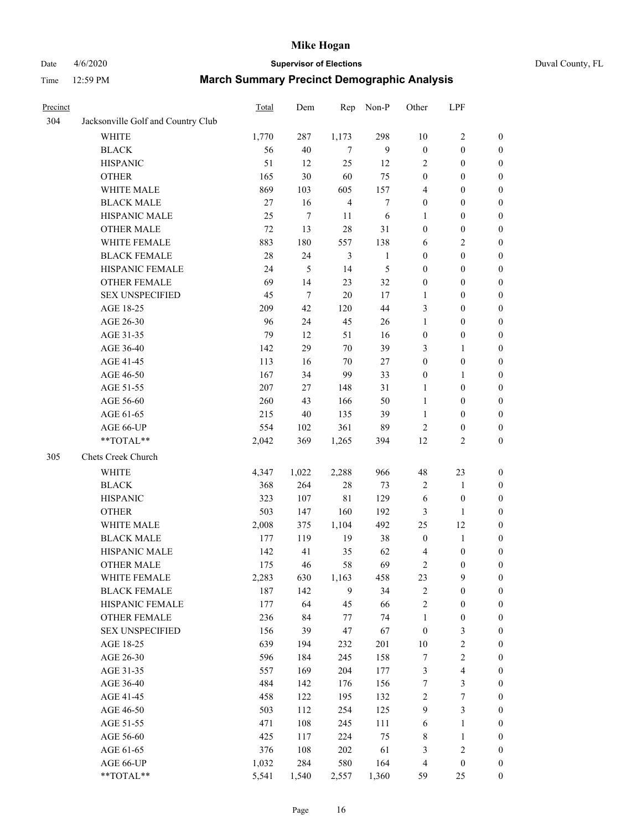## Date 4/6/2020 **Supervisor of Elections** Duval County, FL

| Precinct |                                    | Total | Dem    | Rep            | Non-P            | Other                   | LPF                     |                  |
|----------|------------------------------------|-------|--------|----------------|------------------|-------------------------|-------------------------|------------------|
| 304      | Jacksonville Golf and Country Club |       |        |                |                  |                         |                         |                  |
|          | <b>WHITE</b>                       | 1,770 | 287    | 1,173          | 298              | 10                      | $\sqrt{2}$              | $\boldsymbol{0}$ |
|          | <b>BLACK</b>                       | 56    | 40     | 7              | 9                | $\boldsymbol{0}$        | $\boldsymbol{0}$        | $\boldsymbol{0}$ |
|          | <b>HISPANIC</b>                    | 51    | 12     | 25             | 12               | $\overline{2}$          | $\boldsymbol{0}$        | $\boldsymbol{0}$ |
|          | <b>OTHER</b>                       | 165   | 30     | 60             | 75               | $\boldsymbol{0}$        | $\boldsymbol{0}$        | $\boldsymbol{0}$ |
|          | WHITE MALE                         | 869   | 103    | 605            | 157              | 4                       | $\boldsymbol{0}$        | $\boldsymbol{0}$ |
|          | <b>BLACK MALE</b>                  | 27    | 16     | $\overline{4}$ | $\boldsymbol{7}$ | $\boldsymbol{0}$        | $\boldsymbol{0}$        | $\boldsymbol{0}$ |
|          | HISPANIC MALE                      | 25    | $\tau$ | 11             | 6                | $\mathbf{1}$            | $\boldsymbol{0}$        | $\boldsymbol{0}$ |
|          | <b>OTHER MALE</b>                  | 72    | 13     | 28             | 31               | $\boldsymbol{0}$        | $\boldsymbol{0}$        | $\boldsymbol{0}$ |
|          | WHITE FEMALE                       | 883   | 180    | 557            | 138              | 6                       | $\sqrt{2}$              | $\boldsymbol{0}$ |
|          | <b>BLACK FEMALE</b>                | 28    | 24     | 3              | $\mathbf{1}$     | $\boldsymbol{0}$        | $\boldsymbol{0}$        | 0                |
|          | HISPANIC FEMALE                    | 24    | 5      | 14             | 5                | $\boldsymbol{0}$        | $\boldsymbol{0}$        | $\boldsymbol{0}$ |
|          | OTHER FEMALE                       | 69    | 14     | 23             | 32               | $\boldsymbol{0}$        | $\boldsymbol{0}$        | $\boldsymbol{0}$ |
|          | <b>SEX UNSPECIFIED</b>             | 45    | $\tau$ | 20             | $17\,$           | $\mathbf{1}$            | $\boldsymbol{0}$        | $\boldsymbol{0}$ |
|          | AGE 18-25                          | 209   | 42     | 120            | 44               | 3                       | $\boldsymbol{0}$        | $\boldsymbol{0}$ |
|          | AGE 26-30                          | 96    | 24     | 45             | 26               | $\mathbf{1}$            | $\boldsymbol{0}$        | $\boldsymbol{0}$ |
|          | AGE 31-35                          | 79    | 12     | 51             | 16               | $\boldsymbol{0}$        | $\boldsymbol{0}$        | $\boldsymbol{0}$ |
|          | AGE 36-40                          | 142   | 29     | 70             | 39               | 3                       | $\mathbf{1}$            | $\boldsymbol{0}$ |
|          | AGE 41-45                          | 113   | 16     | 70             | 27               | $\boldsymbol{0}$        | $\boldsymbol{0}$        | $\boldsymbol{0}$ |
|          | AGE 46-50                          | 167   | 34     | 99             | 33               | $\boldsymbol{0}$        | 1                       | $\boldsymbol{0}$ |
|          | AGE 51-55                          | 207   | 27     | 148            | 31               | 1                       | $\boldsymbol{0}$        | 0                |
|          | AGE 56-60                          | 260   | 43     | 166            | 50               | $\mathbf{1}$            | $\boldsymbol{0}$        | $\boldsymbol{0}$ |
|          | AGE 61-65                          | 215   | 40     | 135            | 39               | $\mathbf{1}$            | $\boldsymbol{0}$        | $\boldsymbol{0}$ |
|          | AGE 66-UP                          | 554   | 102    | 361            | 89               | $\overline{2}$          | $\boldsymbol{0}$        | $\boldsymbol{0}$ |
|          | **TOTAL**                          | 2,042 | 369    | 1,265          | 394              | 12                      | $\overline{c}$          | $\boldsymbol{0}$ |
|          |                                    |       |        |                |                  |                         |                         |                  |
| 305      | Chets Creek Church                 |       |        |                |                  |                         |                         |                  |
|          | <b>WHITE</b>                       | 4,347 | 1,022  | 2,288          | 966              | 48                      | 23                      | $\boldsymbol{0}$ |
|          | <b>BLACK</b>                       | 368   | 264    | 28             | 73               | $\sqrt{2}$              | $\mathbf{1}$            | $\boldsymbol{0}$ |
|          | <b>HISPANIC</b>                    | 323   | 107    | $8\sqrt{1}$    | 129              | 6                       | $\boldsymbol{0}$        | $\boldsymbol{0}$ |
|          | <b>OTHER</b>                       | 503   | 147    | 160            | 192              | 3                       | $\mathbf{1}$            | $\boldsymbol{0}$ |
|          | WHITE MALE                         | 2,008 | 375    | 1,104          | 492              | 25                      | 12                      | $\boldsymbol{0}$ |
|          | <b>BLACK MALE</b>                  | 177   | 119    | 19             | 38               | $\boldsymbol{0}$        | $\mathbf{1}$            | $\boldsymbol{0}$ |
|          | HISPANIC MALE                      | 142   | 41     | 35             | 62               | 4                       | $\boldsymbol{0}$        | 0                |
|          | <b>OTHER MALE</b>                  | 175   | 46     | 58             | 69               | 2                       | $\boldsymbol{0}$        | $\boldsymbol{0}$ |
|          | WHITE FEMALE                       | 2,283 | 630    | 1,163          | 458              | 23                      | 9                       | $\boldsymbol{0}$ |
|          | <b>BLACK FEMALE</b>                | 187   | 142    | 9              | 34               | $\overline{c}$          | $\boldsymbol{0}$        | $\boldsymbol{0}$ |
|          | HISPANIC FEMALE                    | 177   | 64     | 45             | 66               | $\overline{\mathbf{c}}$ | $\boldsymbol{0}$        | $\overline{0}$   |
|          | <b>OTHER FEMALE</b>                | 236   | 84     | 77             | 74               | $\mathbf{1}$            | $\boldsymbol{0}$        | $\boldsymbol{0}$ |
|          | <b>SEX UNSPECIFIED</b>             | 156   | 39     | 47             | 67               | $\boldsymbol{0}$        | $\mathfrak z$           | $\overline{0}$   |
|          | AGE 18-25                          | 639   | 194    | 232            | 201              | $10\,$                  | $\boldsymbol{2}$        | 0                |
|          | AGE 26-30                          | 596   | 184    | 245            | 158              | $\boldsymbol{7}$        | $\sqrt{2}$              | 0                |
|          | AGE 31-35                          | 557   | 169    | 204            | 177              | $\mathfrak{Z}$          | $\overline{\mathbf{4}}$ | 0                |
|          | AGE 36-40                          | 484   | 142    | 176            | 156              | 7                       | $\mathfrak{Z}$          | 0                |
|          | AGE 41-45                          | 458   | 122    | 195            | 132              | 2                       | $\boldsymbol{7}$        | 0                |
|          | AGE 46-50                          | 503   | 112    | 254            | 125              | 9                       | $\mathfrak{Z}$          | $\boldsymbol{0}$ |
|          | AGE 51-55                          | 471   | 108    | 245            | 111              | 6                       | $\mathbf{1}$            | $\boldsymbol{0}$ |
|          | AGE 56-60                          | 425   | 117    | 224            | 75               | $\,$ 8 $\,$             | $\mathbf{1}$            | $\boldsymbol{0}$ |
|          | AGE 61-65                          | 376   | 108    | 202            | 61               | 3                       | $\sqrt{2}$              | $\boldsymbol{0}$ |
|          | AGE 66-UP                          | 1,032 | 284    | 580            | 164              | 4                       | $\boldsymbol{0}$        | $\boldsymbol{0}$ |
|          | **TOTAL**                          | 5,541 | 1,540  | 2,557          | 1,360            | 59                      | 25                      | $\boldsymbol{0}$ |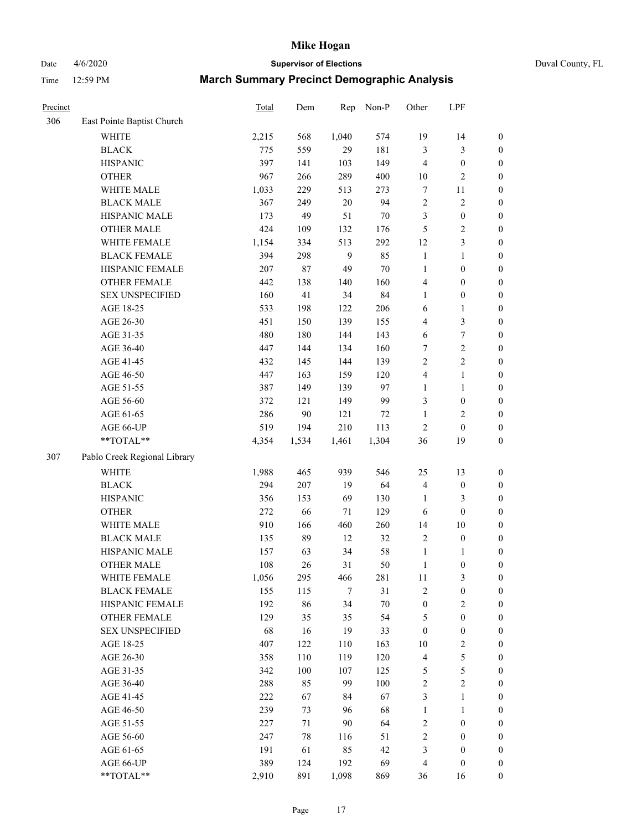Date 4/6/2020 **Supervisor of Elections** Duval County, FL

| Precinct |                              | Total | Dem   | Rep          | Non-P | Other            | LPF              |                  |
|----------|------------------------------|-------|-------|--------------|-------|------------------|------------------|------------------|
| 306      | East Pointe Baptist Church   |       |       |              |       |                  |                  |                  |
|          | <b>WHITE</b>                 | 2,215 | 568   | 1,040        | 574   | 19               | 14               | 0                |
|          | <b>BLACK</b>                 | 775   | 559   | 29           | 181   | 3                | $\mathfrak{Z}$   | $\boldsymbol{0}$ |
|          | <b>HISPANIC</b>              | 397   | 141   | 103          | 149   | $\overline{4}$   | $\boldsymbol{0}$ | $\boldsymbol{0}$ |
|          | <b>OTHER</b>                 | 967   | 266   | 289          | 400   | 10               | $\sqrt{2}$       | $\boldsymbol{0}$ |
|          | WHITE MALE                   | 1,033 | 229   | 513          | 273   | 7                | 11               | $\boldsymbol{0}$ |
|          | <b>BLACK MALE</b>            | 367   | 249   | $20\,$       | 94    | $\overline{c}$   | $\sqrt{2}$       | $\boldsymbol{0}$ |
|          | HISPANIC MALE                | 173   | 49    | 51           | 70    | 3                | $\boldsymbol{0}$ | $\boldsymbol{0}$ |
|          | <b>OTHER MALE</b>            | 424   | 109   | 132          | 176   | 5                | $\overline{c}$   | $\boldsymbol{0}$ |
|          | WHITE FEMALE                 | 1,154 | 334   | 513          | 292   | 12               | 3                | $\boldsymbol{0}$ |
|          | <b>BLACK FEMALE</b>          | 394   | 298   | $\mathbf{9}$ | 85    | $\mathbf{1}$     | $\mathbf{1}$     | $\boldsymbol{0}$ |
|          | HISPANIC FEMALE              | 207   | 87    | 49           | 70    | $\mathbf{1}$     | $\boldsymbol{0}$ | $\boldsymbol{0}$ |
|          | OTHER FEMALE                 | 442   | 138   | 140          | 160   | 4                | $\boldsymbol{0}$ | $\boldsymbol{0}$ |
|          | <b>SEX UNSPECIFIED</b>       | 160   | 41    | 34           | 84    | $\mathbf{1}$     | $\boldsymbol{0}$ | $\boldsymbol{0}$ |
|          | AGE 18-25                    | 533   | 198   | 122          | 206   | 6                | $\mathbf{1}$     | $\boldsymbol{0}$ |
|          | AGE 26-30                    | 451   | 150   | 139          | 155   | 4                | $\mathfrak{Z}$   | $\boldsymbol{0}$ |
|          | AGE 31-35                    | 480   | 180   | 144          | 143   | 6                | $\boldsymbol{7}$ | $\boldsymbol{0}$ |
|          | AGE 36-40                    | 447   | 144   | 134          | 160   | 7                | $\sqrt{2}$       | $\boldsymbol{0}$ |
|          | AGE 41-45                    | 432   | 145   | 144          | 139   | $\overline{c}$   | $\overline{2}$   | $\boldsymbol{0}$ |
|          | AGE 46-50                    | 447   | 163   | 159          | 120   | 4                | $\mathbf{1}$     | $\boldsymbol{0}$ |
|          | AGE 51-55                    | 387   | 149   | 139          | 97    | 1                | $\mathbf{1}$     | $\boldsymbol{0}$ |
|          | AGE 56-60                    | 372   | 121   | 149          | 99    | 3                | $\boldsymbol{0}$ | 0                |
|          | AGE 61-65                    | 286   | 90    | 121          | 72    | $\mathbf{1}$     | $\overline{2}$   | $\boldsymbol{0}$ |
|          | AGE 66-UP                    | 519   | 194   | 210          | 113   | $\sqrt{2}$       | $\boldsymbol{0}$ | $\boldsymbol{0}$ |
|          | **TOTAL**                    | 4,354 | 1,534 | 1,461        | 1,304 | 36               | 19               | $\boldsymbol{0}$ |
| 307      | Pablo Creek Regional Library |       |       |              |       |                  |                  |                  |
|          | <b>WHITE</b>                 | 1,988 | 465   | 939          | 546   | 25               | 13               | $\boldsymbol{0}$ |
|          | <b>BLACK</b>                 | 294   | 207   | 19           | 64    | 4                | $\boldsymbol{0}$ | $\boldsymbol{0}$ |
|          | <b>HISPANIC</b>              | 356   | 153   | 69           | 130   | 1                | 3                | $\boldsymbol{0}$ |
|          | <b>OTHER</b>                 | 272   | 66    | 71           | 129   | 6                | $\boldsymbol{0}$ | $\boldsymbol{0}$ |
|          | WHITE MALE                   | 910   | 166   | 460          | 260   | 14               | 10               | $\boldsymbol{0}$ |
|          | <b>BLACK MALE</b>            | 135   | 89    | 12           | 32    | 2                | $\boldsymbol{0}$ | $\boldsymbol{0}$ |
|          | HISPANIC MALE                | 157   | 63    | 34           | 58    | 1                | 1                | $\boldsymbol{0}$ |
|          | <b>OTHER MALE</b>            | 108   | 26    | 31           | 50    | $\mathbf{1}$     | $\boldsymbol{0}$ | $\boldsymbol{0}$ |
|          | WHITE FEMALE                 | 1,056 | 295   | 466          | 281   | 11               | 3                | 0                |
|          | <b>BLACK FEMALE</b>          | 155   | 115   | 7            | 31    | 2                | $\boldsymbol{0}$ | $\boldsymbol{0}$ |
|          | HISPANIC FEMALE              | 192   | 86    | 34           | 70    | $\boldsymbol{0}$ | $\sqrt{2}$       | $\overline{0}$   |
|          | OTHER FEMALE                 | 129   | 35    | 35           | 54    | 5                | $\boldsymbol{0}$ | $\overline{0}$   |
|          | <b>SEX UNSPECIFIED</b>       | 68    | 16    | 19           | 33    | $\boldsymbol{0}$ | $\boldsymbol{0}$ | 0                |
|          | AGE 18-25                    | 407   | 122   | 110          | 163   | 10               | $\sqrt{2}$       | 0                |
|          | AGE 26-30                    | 358   | 110   | 119          | 120   | 4                | 5                | 0                |
|          | AGE 31-35                    | 342   | 100   | 107          | 125   | 5                | 5                | 0                |
|          | AGE 36-40                    | 288   | 85    | 99           | 100   | $\overline{c}$   | $\sqrt{2}$       | 0                |
|          | AGE 41-45                    | 222   | 67    | 84           | 67    | 3                | $\mathbf{1}$     | 0                |
|          | AGE 46-50                    | 239   | 73    | 96           | 68    | 1                | $\mathbf{1}$     | 0                |
|          | AGE 51-55                    | 227   | 71    | 90           | 64    | 2                | $\boldsymbol{0}$ | 0                |
|          | AGE 56-60                    | 247   | 78    | 116          | 51    | 2                | $\boldsymbol{0}$ | 0                |
|          | AGE 61-65                    | 191   | 61    | 85           | 42    | 3                | $\boldsymbol{0}$ | $\overline{0}$   |
|          | AGE 66-UP                    | 389   | 124   | 192          | 69    | 4                | $\boldsymbol{0}$ | 0                |
|          | **TOTAL**                    | 2,910 | 891   | 1,098        | 869   | 36               | 16               | $\boldsymbol{0}$ |
|          |                              |       |       |              |       |                  |                  |                  |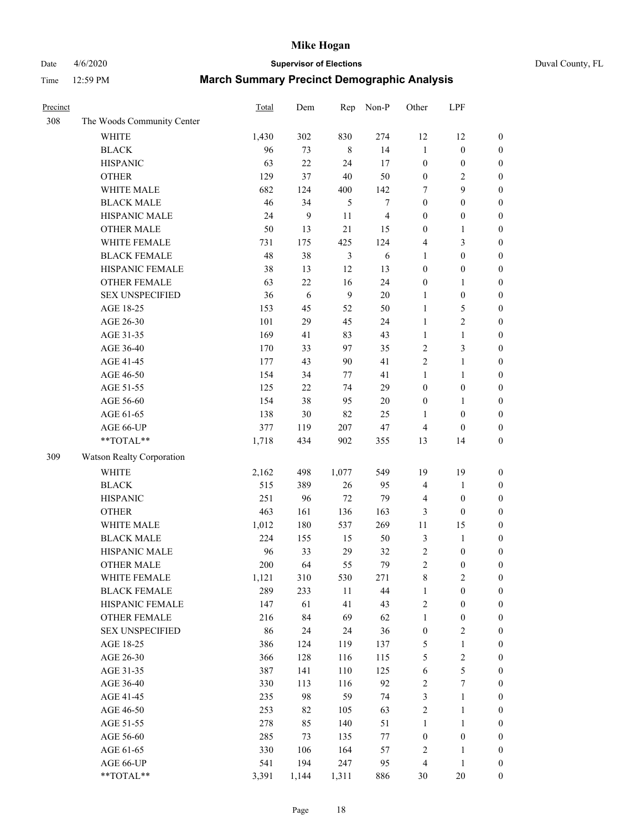# Date 4/6/2020 **Supervisor of Elections** Duval County, FL

| Precinct |                            | Total | Dem        | Rep            | Non-P                   | Other            | LPF              |                  |
|----------|----------------------------|-------|------------|----------------|-------------------------|------------------|------------------|------------------|
| 308      | The Woods Community Center |       |            |                |                         |                  |                  |                  |
|          | <b>WHITE</b>               | 1,430 | 302        | 830            | 274                     | 12               | 12               | 0                |
|          | <b>BLACK</b>               | 96    | 73         | $\,$ 8 $\,$    | 14                      | $\mathbf{1}$     | $\boldsymbol{0}$ | $\boldsymbol{0}$ |
|          | <b>HISPANIC</b>            | 63    | 22         | 24             | 17                      | $\boldsymbol{0}$ | $\boldsymbol{0}$ | $\boldsymbol{0}$ |
|          | <b>OTHER</b>               | 129   | 37         | 40             | 50                      | $\boldsymbol{0}$ | $\overline{c}$   | $\boldsymbol{0}$ |
|          | WHITE MALE                 | 682   | 124        | 400            | 142                     | 7                | 9                | $\boldsymbol{0}$ |
|          | <b>BLACK MALE</b>          | 46    | 34         | 5              | $\boldsymbol{7}$        | $\boldsymbol{0}$ | $\boldsymbol{0}$ | $\boldsymbol{0}$ |
|          | HISPANIC MALE              | 24    | 9          | 11             | $\overline{\mathbf{4}}$ | $\boldsymbol{0}$ | $\boldsymbol{0}$ | $\boldsymbol{0}$ |
|          | <b>OTHER MALE</b>          | 50    | 13         | 21             | 15                      | $\boldsymbol{0}$ | $\mathbf{1}$     | $\boldsymbol{0}$ |
|          | WHITE FEMALE               | 731   | 175        | 425            | 124                     | 4                | $\mathfrak{Z}$   | $\boldsymbol{0}$ |
|          | <b>BLACK FEMALE</b>        | 48    | 38         | $\mathfrak{Z}$ | 6                       | $\mathbf{1}$     | $\boldsymbol{0}$ | $\boldsymbol{0}$ |
|          | HISPANIC FEMALE            | 38    | 13         | 12             | 13                      | $\boldsymbol{0}$ | $\boldsymbol{0}$ | 0                |
|          | <b>OTHER FEMALE</b>        | 63    | 22         | 16             | 24                      | $\boldsymbol{0}$ | 1                | $\boldsymbol{0}$ |
|          | <b>SEX UNSPECIFIED</b>     | 36    | $\sqrt{6}$ | 9              | 20                      | $\mathbf{1}$     | $\boldsymbol{0}$ | $\boldsymbol{0}$ |
|          | AGE 18-25                  | 153   | 45         | 52             | 50                      | $\mathbf{1}$     | $\mathfrak s$    | $\boldsymbol{0}$ |
|          | AGE 26-30                  | 101   | 29         | 45             | 24                      | $\mathbf{1}$     | $\sqrt{2}$       | $\boldsymbol{0}$ |
|          | AGE 31-35                  | 169   | 41         | 83             | 43                      | $\mathbf{1}$     | $\mathbf{1}$     | $\boldsymbol{0}$ |
|          | AGE 36-40                  | 170   | 33         | 97             | 35                      | $\overline{2}$   | $\mathfrak{Z}$   | $\boldsymbol{0}$ |
|          | AGE 41-45                  | 177   | 43         | 90             | 41                      | $\overline{2}$   | $\mathbf{1}$     | $\boldsymbol{0}$ |
|          | AGE 46-50                  | 154   | 34         | 77             | 41                      | $\mathbf{1}$     | $\mathbf{1}$     | $\boldsymbol{0}$ |
|          | AGE 51-55                  | 125   | 22         | 74             | 29                      | $\boldsymbol{0}$ | $\boldsymbol{0}$ | $\boldsymbol{0}$ |
|          | AGE 56-60                  | 154   | 38         | 95             | 20                      | $\boldsymbol{0}$ | 1                | 0                |
|          | AGE 61-65                  | 138   | 30         | 82             | 25                      | 1                | $\boldsymbol{0}$ | $\boldsymbol{0}$ |
|          | AGE 66-UP                  | 377   | 119        | 207            | 47                      | $\overline{4}$   | $\boldsymbol{0}$ | $\boldsymbol{0}$ |
|          | **TOTAL**                  | 1,718 | 434        | 902            | 355                     | 13               | 14               | $\boldsymbol{0}$ |
| 309      | Watson Realty Corporation  |       |            |                |                         |                  |                  |                  |
|          | <b>WHITE</b>               | 2,162 | 498        | 1,077          | 549                     | 19               | 19               | $\boldsymbol{0}$ |
|          | <b>BLACK</b>               | 515   | 389        | 26             | 95                      | 4                | $\mathbf{1}$     | $\boldsymbol{0}$ |
|          | <b>HISPANIC</b>            | 251   | 96         | 72             | 79                      | 4                | $\boldsymbol{0}$ | $\boldsymbol{0}$ |
|          | <b>OTHER</b>               | 463   | 161        | 136            | 163                     | 3                | $\boldsymbol{0}$ | $\boldsymbol{0}$ |
|          | WHITE MALE                 | 1,012 | 180        | 537            | 269                     | $11\,$           | 15               | $\boldsymbol{0}$ |
|          | <b>BLACK MALE</b>          | 224   | 155        | 15             | 50                      | 3                | $\mathbf{1}$     | $\boldsymbol{0}$ |
|          | HISPANIC MALE              | 96    | 33         | 29             | 32                      | $\overline{c}$   | $\boldsymbol{0}$ | $\boldsymbol{0}$ |
|          | <b>OTHER MALE</b>          | 200   | 64         | 55             | 79                      | $\overline{2}$   | $\boldsymbol{0}$ | $\boldsymbol{0}$ |
|          | WHITE FEMALE               | 1,121 | 310        | 530            | 271                     | 8                | $\overline{c}$   | 0                |
|          | <b>BLACK FEMALE</b>        | 289   | 233        | 11             | 44                      | $\mathbf{1}$     | $\boldsymbol{0}$ | $\boldsymbol{0}$ |
|          | HISPANIC FEMALE            | 147   | 61         | 41             | 43                      | $\sqrt{2}$       | $\boldsymbol{0}$ | $\overline{0}$   |
|          | OTHER FEMALE               | 216   | 84         | 69             | 62                      | $\mathbf{1}$     | $\boldsymbol{0}$ | $\overline{0}$   |
|          | <b>SEX UNSPECIFIED</b>     | 86    | 24         | 24             | 36                      | $\boldsymbol{0}$ | $\sqrt{2}$       | 0                |
|          | AGE 18-25                  | 386   | 124        | 119            | 137                     | 5                | $\mathbf{1}$     | 0                |
|          | AGE 26-30                  | 366   | 128        | 116            | 115                     | 5                | $\boldsymbol{2}$ | 0                |
|          | AGE 31-35                  | 387   | 141        | 110            | 125                     | 6                | $\sqrt{5}$       | 0                |
|          | AGE 36-40                  | 330   | 113        | 116            | 92                      | $\sqrt{2}$       | $\boldsymbol{7}$ | 0                |
|          | AGE 41-45                  | 235   | 98         | 59             | 74                      | 3                | $\mathbf{1}$     | 0                |
|          | AGE 46-50                  | 253   | 82         | 105            | 63                      | $\sqrt{2}$       | $\mathbf{1}$     | 0                |
|          | AGE 51-55                  | 278   | 85         | 140            | 51                      | $\mathbf{1}$     | $\mathbf{1}$     | 0                |
|          | AGE 56-60                  | 285   | 73         | 135            | $77\,$                  | $\boldsymbol{0}$ | $\boldsymbol{0}$ | $\boldsymbol{0}$ |
|          | AGE 61-65                  | 330   | 106        | 164            | 57                      | $\overline{c}$   | $\mathbf{1}$     | $\boldsymbol{0}$ |
|          | AGE 66-UP                  | 541   | 194        | 247            | 95                      | 4                | $\mathbf{1}$     | $\boldsymbol{0}$ |
|          | **TOTAL**                  | 3,391 | 1,144      | 1,311          | 886                     | 30               | $20\,$           | $\boldsymbol{0}$ |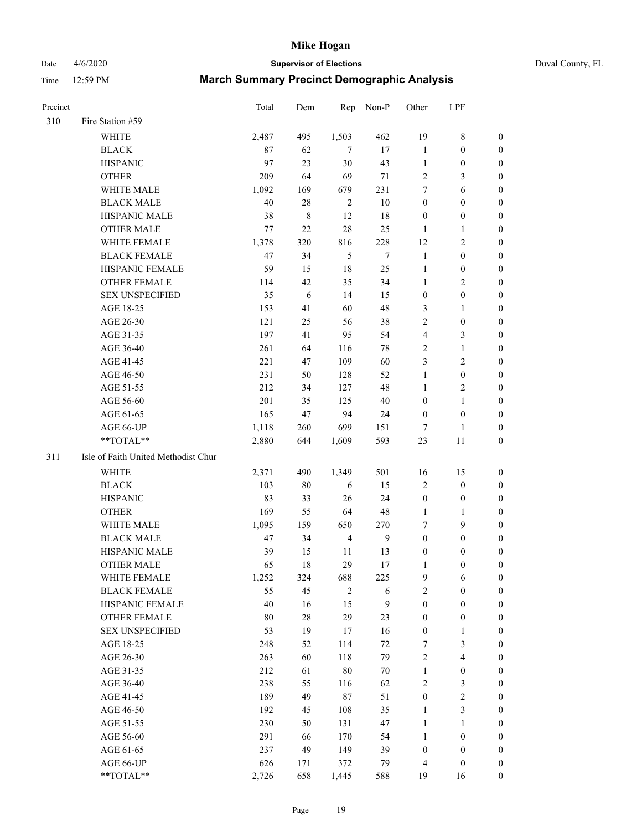Date 4/6/2020 **Supervisor of Elections** Duval County, FL

| <b>Precinct</b> |                                     | <b>Total</b> | Dem      | Rep            | Non-P        | Other                              | LPF                                  |                                  |
|-----------------|-------------------------------------|--------------|----------|----------------|--------------|------------------------------------|--------------------------------------|----------------------------------|
| 310             | Fire Station #59                    |              |          |                |              |                                    |                                      |                                  |
|                 | <b>WHITE</b>                        | 2,487        | 495      | 1,503          | 462          | 19                                 | $\,$ 8 $\,$                          | 0                                |
|                 | <b>BLACK</b>                        | 87           | 62       | $\overline{7}$ | 17           | $\mathbf{1}$                       | $\boldsymbol{0}$                     | 0                                |
|                 | <b>HISPANIC</b>                     | 97           | 23       | $30\,$         | 43           | $\mathbf{1}$                       | $\boldsymbol{0}$                     | 0                                |
|                 | <b>OTHER</b>                        | 209          | 64       | 69             | 71           | $\overline{c}$                     | $\mathfrak{Z}$                       | $\boldsymbol{0}$                 |
|                 | WHITE MALE                          | 1,092        | 169      | 679            | 231          | 7                                  | 6                                    | $\boldsymbol{0}$                 |
|                 | <b>BLACK MALE</b>                   | 40           | 28       | $\overline{2}$ | $10\,$       | $\boldsymbol{0}$                   | $\boldsymbol{0}$                     | 0                                |
|                 | HISPANIC MALE                       | 38           | 8        | 12             | 18           | $\boldsymbol{0}$                   | $\boldsymbol{0}$                     | $\boldsymbol{0}$                 |
|                 | <b>OTHER MALE</b>                   | 77           | 22       | 28             | 25           | $\mathbf{1}$                       | $\mathbf{1}$                         | $\boldsymbol{0}$                 |
|                 | WHITE FEMALE                        | 1,378        | 320      | 816            | 228          | 12                                 | $\overline{c}$                       | 0                                |
|                 | <b>BLACK FEMALE</b>                 | 47           | 34       | 5              | 7            | $\mathbf{1}$                       | $\boldsymbol{0}$                     | 0                                |
|                 | HISPANIC FEMALE                     | 59           | 15       | 18             | 25           | $\mathbf{1}$                       | $\boldsymbol{0}$                     | 0                                |
|                 | OTHER FEMALE                        | 114          | 42       | 35             | 34           | $\mathbf{1}$                       | $\sqrt{2}$                           | 0                                |
|                 | <b>SEX UNSPECIFIED</b>              | 35           | 6        | 14             | 15           | $\boldsymbol{0}$                   | $\boldsymbol{0}$                     | $\boldsymbol{0}$                 |
|                 | AGE 18-25                           | 153          | 41       | 60             | 48           | 3                                  | 1                                    | $\boldsymbol{0}$                 |
|                 | AGE 26-30                           | 121          | 25       | 56             | 38           | $\overline{c}$                     | $\boldsymbol{0}$                     | $\boldsymbol{0}$                 |
|                 | AGE 31-35                           | 197          | 41       | 95             | 54           | 4                                  | $\mathfrak{Z}$                       | $\boldsymbol{0}$                 |
|                 | AGE 36-40                           | 261          | 64       | 116            | 78           | $\overline{c}$                     | $\mathbf{1}$                         | $\boldsymbol{0}$                 |
|                 | AGE 41-45                           | 221          | 47       | 109            | 60           | 3                                  | $\overline{c}$                       | $\boldsymbol{0}$                 |
|                 | AGE 46-50                           | 231          | 50       | 128            | 52           | $\mathbf{1}$                       | $\boldsymbol{0}$                     | $\boldsymbol{0}$                 |
|                 | AGE 51-55                           | 212          | 34       | 127            | 48           | $\mathbf{1}$                       | $\sqrt{2}$                           | 0                                |
|                 | AGE 56-60                           | 201          | 35       | 125            | 40           | $\boldsymbol{0}$                   | $\mathbf{1}$                         | 0                                |
|                 | AGE 61-65                           | 165          | 47       | 94             | 24           | $\boldsymbol{0}$                   | $\boldsymbol{0}$                     | 0                                |
|                 | AGE 66-UP                           | 1,118        | 260      | 699            | 151          | $\overline{7}$                     | 1                                    | 0                                |
|                 | **TOTAL**                           | 2,880        | 644      | 1,609          | 593          | 23                                 | 11                                   | $\boldsymbol{0}$                 |
| 311             | Isle of Faith United Methodist Chur |              |          |                |              |                                    |                                      |                                  |
|                 | <b>WHITE</b>                        | 2,371        | 490      | 1,349          | 501          | 16                                 | 15                                   | $\boldsymbol{0}$                 |
|                 | <b>BLACK</b>                        | 103          | $80\,$   | 6              | 15           | $\overline{c}$                     | $\boldsymbol{0}$                     | $\boldsymbol{0}$                 |
|                 | <b>HISPANIC</b>                     | 83           | 33       | 26             | 24           | $\boldsymbol{0}$                   | $\boldsymbol{0}$                     | $\boldsymbol{0}$                 |
|                 | <b>OTHER</b>                        | 169          | 55       | 64             | 48           | $\mathbf{1}$                       | $\mathbf{1}$                         | $\boldsymbol{0}$                 |
|                 | <b>WHITE MALE</b>                   | 1,095        | 159      | 650            | 270          | 7                                  | 9                                    | $\boldsymbol{0}$                 |
|                 | <b>BLACK MALE</b>                   | 47           | 34       | $\overline{4}$ | $\mathbf{9}$ | $\boldsymbol{0}$                   | $\boldsymbol{0}$                     | $\boldsymbol{0}$                 |
|                 | HISPANIC MALE                       | 39           | 15       | 11             | 13           | $\boldsymbol{0}$                   | $\boldsymbol{0}$                     | 0                                |
|                 | <b>OTHER MALE</b>                   | 65           | 18       | 29             | 17           | 1                                  | $\boldsymbol{0}$                     | 0                                |
|                 | WHITE FEMALE                        | 1,252        | 324      | 688            | 225          | 9                                  | 6                                    | 0                                |
|                 | <b>BLACK FEMALE</b>                 | 55           | 45       | $\overline{2}$ | 6            | $\overline{c}$                     | $\boldsymbol{0}$                     | $\overline{0}$                   |
|                 | HISPANIC FEMALE                     | 40           | 16       | 15             | 9            | $\boldsymbol{0}$                   | $\boldsymbol{0}$                     | $\overline{0}$                   |
|                 | OTHER FEMALE                        | 80           | $28\,$   | 29             | 23           | $\boldsymbol{0}$                   | $\boldsymbol{0}$                     | $\overline{0}$                   |
|                 | <b>SEX UNSPECIFIED</b>              | 53           | 19       | 17             | 16           | $\boldsymbol{0}$                   | $\mathbf{1}$                         | 0                                |
|                 | AGE 18-25                           | 248          | 52       | 114            | 72           | 7                                  | $\mathfrak{Z}$                       | $\theta$                         |
|                 | AGE 26-30                           | 263          | 60       | 118            | 79           | 2                                  | $\overline{\mathbf{4}}$              | 0                                |
|                 | AGE 31-35                           | 212          | 61       | $80\,$         | $70\,$       | $\mathbf{1}$                       | $\boldsymbol{0}$                     | 0                                |
|                 | AGE 36-40                           | 238          |          | 116            | 62           |                                    | $\mathfrak{Z}$                       | 0                                |
|                 | AGE 41-45                           | 189          | 55<br>49 | $87\,$         | 51           | $\overline{c}$<br>$\boldsymbol{0}$ | $\sqrt{2}$                           | 0                                |
|                 |                                     | 192          | 45       |                | 35           |                                    | $\mathfrak{Z}$                       |                                  |
|                 | AGE 46-50                           |              |          | 108            |              | $\mathbf{1}$                       |                                      | 0                                |
|                 | AGE 51-55                           | 230<br>291   | 50<br>66 | 131<br>170     | 47<br>54     | $\mathbf{1}$<br>$\mathbf{1}$       | $\mathbf{1}$                         | $\overline{0}$<br>$\overline{0}$ |
|                 | AGE 56-60<br>AGE 61-65              | 237          | 49       | 149            | 39           | $\boldsymbol{0}$                   | $\boldsymbol{0}$<br>$\boldsymbol{0}$ | $\overline{0}$                   |
|                 | AGE 66-UP                           | 626          | 171      | 372            | 79           | $\overline{4}$                     | $\boldsymbol{0}$                     | $\boldsymbol{0}$                 |
|                 | **TOTAL**                           | 2,726        |          |                |              |                                    |                                      | $\boldsymbol{0}$                 |
|                 |                                     |              | 658      | 1,445          | 588          | 19                                 | 16                                   |                                  |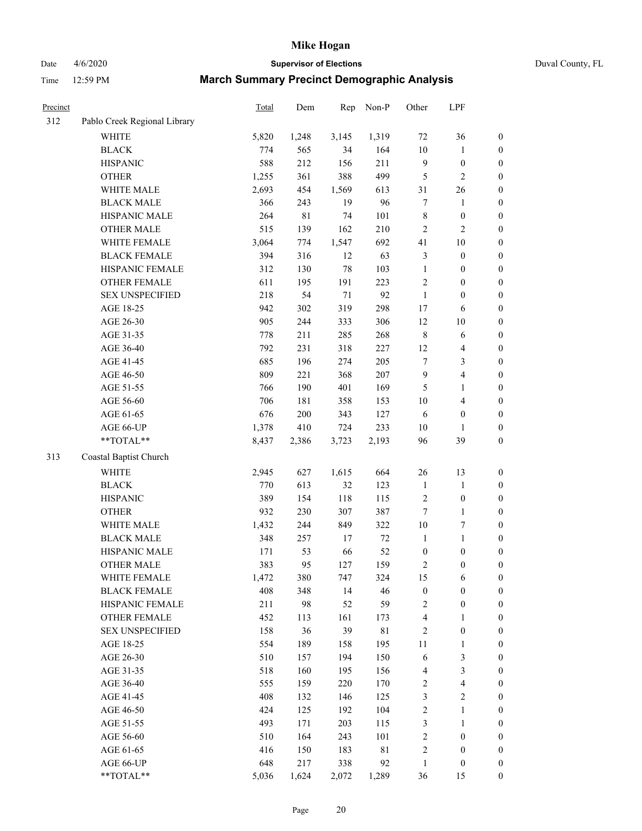Date 4/6/2020 **Supervisor of Elections** Duval County, FL

| Precinct |                              | Total | Dem         | Rep    | Non-P       | Other                    | LPF                      |                  |
|----------|------------------------------|-------|-------------|--------|-------------|--------------------------|--------------------------|------------------|
| 312      | Pablo Creek Regional Library |       |             |        |             |                          |                          |                  |
|          | <b>WHITE</b>                 | 5,820 | 1,248       | 3,145  | 1,319       | $72\,$                   | 36                       | $\boldsymbol{0}$ |
|          | <b>BLACK</b>                 | 774   | 565         | 34     | 164         | 10                       | $\mathbf{1}$             | $\boldsymbol{0}$ |
|          | <b>HISPANIC</b>              | 588   | 212         | 156    | 211         | 9                        | $\boldsymbol{0}$         | $\boldsymbol{0}$ |
|          | <b>OTHER</b>                 | 1,255 | 361         | 388    | 499         | 5                        | $\overline{2}$           | $\boldsymbol{0}$ |
|          | WHITE MALE                   | 2,693 | 454         | 1,569  | 613         | 31                       | 26                       | $\boldsymbol{0}$ |
|          | <b>BLACK MALE</b>            | 366   | 243         | 19     | 96          | $\boldsymbol{7}$         | $\mathbf{1}$             | $\boldsymbol{0}$ |
|          | HISPANIC MALE                | 264   | $8\sqrt{1}$ | 74     | 101         | $\,$ 8 $\,$              | $\boldsymbol{0}$         | $\boldsymbol{0}$ |
|          | <b>OTHER MALE</b>            | 515   | 139         | 162    | 210         | $\overline{c}$           | $\overline{2}$           | $\boldsymbol{0}$ |
|          | WHITE FEMALE                 | 3,064 | 774         | 1,547  | 692         | 41                       | $10\,$                   | $\boldsymbol{0}$ |
|          | <b>BLACK FEMALE</b>          | 394   | 316         | 12     | 63          | 3                        | $\boldsymbol{0}$         | 0                |
|          | HISPANIC FEMALE              | 312   | 130         | 78     | 103         | $\mathbf{1}$             | $\boldsymbol{0}$         | $\boldsymbol{0}$ |
|          | OTHER FEMALE                 | 611   | 195         | 191    | 223         | 2                        | $\boldsymbol{0}$         | $\boldsymbol{0}$ |
|          | <b>SEX UNSPECIFIED</b>       | 218   | 54          | $71\,$ | 92          | $\mathbf{1}$             | $\boldsymbol{0}$         | $\boldsymbol{0}$ |
|          | AGE 18-25                    | 942   | 302         | 319    | 298         | 17                       | 6                        | $\boldsymbol{0}$ |
|          | AGE 26-30                    | 905   | 244         | 333    | 306         | 12                       | 10                       | $\boldsymbol{0}$ |
|          | AGE 31-35                    | 778   | 211         | 285    | 268         | $\,$ 8 $\,$              | 6                        | $\boldsymbol{0}$ |
|          | AGE 36-40                    | 792   | 231         | 318    | 227         | 12                       | $\overline{4}$           | $\boldsymbol{0}$ |
|          | AGE 41-45                    | 685   | 196         | 274    | 205         | 7                        | $\mathfrak{Z}$           | $\boldsymbol{0}$ |
|          | AGE 46-50                    | 809   | 221         | 368    | $207\,$     | 9                        | $\overline{4}$           | $\boldsymbol{0}$ |
|          | AGE 51-55                    | 766   | 190         | 401    | 169         | 5                        | $\mathbf{1}$             | $\boldsymbol{0}$ |
|          | AGE 56-60                    | 706   | 181         | 358    | 153         | $10\,$                   | $\overline{4}$           | $\boldsymbol{0}$ |
|          | AGE 61-65                    | 676   | 200         | 343    | 127         | 6                        | $\boldsymbol{0}$         | $\boldsymbol{0}$ |
|          | AGE 66-UP                    | 1,378 | 410         | 724    | 233         | 10                       | 1                        | $\boldsymbol{0}$ |
|          | **TOTAL**                    | 8,437 | 2,386       | 3,723  | 2,193       | 96                       | 39                       | $\boldsymbol{0}$ |
| 313      | Coastal Baptist Church       |       |             |        |             |                          |                          |                  |
|          | WHITE                        | 2,945 | 627         | 1,615  | 664         | 26                       | 13                       | $\boldsymbol{0}$ |
|          | <b>BLACK</b>                 | 770   | 613         | 32     | 123         | $\mathbf{1}$             | $\mathbf{1}$             | $\boldsymbol{0}$ |
|          | <b>HISPANIC</b>              | 389   | 154         | 118    | 115         | $\overline{c}$           | $\boldsymbol{0}$         | $\boldsymbol{0}$ |
|          | <b>OTHER</b>                 | 932   | 230         | 307    | 387         | $\boldsymbol{7}$         | $\mathbf{1}$             | $\boldsymbol{0}$ |
|          | WHITE MALE                   | 1,432 | 244         | 849    | 322         | $10\,$                   | 7                        | $\boldsymbol{0}$ |
|          | <b>BLACK MALE</b>            | 348   | 257         | 17     | $72\,$      | $\mathbf{1}$             | $\mathbf{1}$             | $\boldsymbol{0}$ |
|          | HISPANIC MALE                | 171   | 53          | 66     | 52          | $\boldsymbol{0}$         | $\boldsymbol{0}$         | 0                |
|          | <b>OTHER MALE</b>            | 383   | 95          | 127    | 159         | 2                        | $\boldsymbol{0}$         | $\boldsymbol{0}$ |
|          | WHITE FEMALE                 | 1,472 | 380         | 747    | 324         | 15                       | 6                        | $\boldsymbol{0}$ |
|          | <b>BLACK FEMALE</b>          | 408   | 348         | 14     | 46          | $\boldsymbol{0}$         | $\boldsymbol{0}$         | $\boldsymbol{0}$ |
|          | HISPANIC FEMALE              | 211   | 98          | 52     | 59          | $\overline{c}$           | $\boldsymbol{0}$         | $\overline{0}$   |
|          | <b>OTHER FEMALE</b>          | 452   | 113         | 161    | 173         | $\overline{\mathcal{L}}$ | $\mathbf{1}$             | 0                |
|          | <b>SEX UNSPECIFIED</b>       | 158   | 36          | 39     | $8\sqrt{1}$ | $\overline{\mathbf{c}}$  | $\boldsymbol{0}$         | 0                |
|          | AGE 18-25                    | 554   | 189         | 158    | 195         | $11\,$                   | $\mathbf{1}$             | 0                |
|          | AGE 26-30                    | 510   | 157         | 194    | 150         | 6                        | $\sqrt{3}$               | 0                |
|          | AGE 31-35                    | 518   | 160         | 195    | 156         | 4                        | $\sqrt{3}$               | 0                |
|          | AGE 36-40                    | 555   | 159         | 220    | 170         | $\overline{\mathbf{c}}$  | $\overline{\mathcal{L}}$ | 0                |
|          | AGE 41-45                    | 408   | 132         | 146    | 125         | 3                        | $\sqrt{2}$               | 0                |
|          | AGE 46-50                    | 424   | 125         | 192    | 104         | $\overline{\mathbf{c}}$  | $\mathbf{1}$             | 0                |
|          | AGE 51-55                    | 493   | 171         | 203    | 115         | 3                        | 1                        | $\boldsymbol{0}$ |
|          | AGE 56-60                    | 510   | 164         | 243    | 101         | 2                        | $\boldsymbol{0}$         | $\boldsymbol{0}$ |
|          | AGE 61-65                    | 416   | 150         | 183    | 81          | $\overline{\mathbf{c}}$  | $\boldsymbol{0}$         | 0                |
|          | AGE 66-UP                    | 648   | 217         | 338    | 92          | 1                        | $\boldsymbol{0}$         | 0                |
|          | **TOTAL**                    | 5,036 | 1,624       | 2,072  | 1,289       | 36                       | 15                       | $\boldsymbol{0}$ |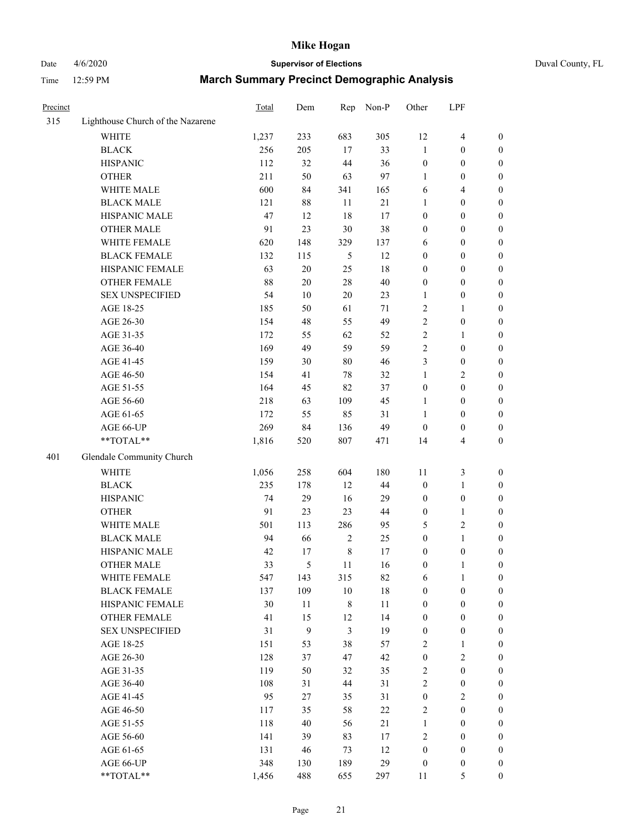## Date 4/6/2020 **Supervisor of Elections** Duval County, FL

| Precinct |                                   | Total | Dem          | Rep         | Non-P  | Other            | LPF              |                  |
|----------|-----------------------------------|-------|--------------|-------------|--------|------------------|------------------|------------------|
| 315      | Lighthouse Church of the Nazarene |       |              |             |        |                  |                  |                  |
|          | <b>WHITE</b>                      | 1,237 | 233          | 683         | 305    | 12               | $\overline{4}$   | 0                |
|          | <b>BLACK</b>                      | 256   | 205          | 17          | 33     | $\mathbf{1}$     | $\boldsymbol{0}$ | 0                |
|          | <b>HISPANIC</b>                   | 112   | 32           | 44          | 36     | $\boldsymbol{0}$ | $\boldsymbol{0}$ | $\boldsymbol{0}$ |
|          | <b>OTHER</b>                      | 211   | 50           | 63          | 97     | 1                | $\boldsymbol{0}$ | $\boldsymbol{0}$ |
|          | WHITE MALE                        | 600   | 84           | 341         | 165    | 6                | $\overline{4}$   | $\boldsymbol{0}$ |
|          | <b>BLACK MALE</b>                 | 121   | $88\,$       | 11          | 21     | $\mathbf{1}$     | $\boldsymbol{0}$ | $\boldsymbol{0}$ |
|          | HISPANIC MALE                     | 47    | 12           | 18          | 17     | 0                | $\boldsymbol{0}$ | $\boldsymbol{0}$ |
|          | <b>OTHER MALE</b>                 | 91    | 23           | 30          | 38     | $\boldsymbol{0}$ | $\boldsymbol{0}$ | $\boldsymbol{0}$ |
|          | WHITE FEMALE                      | 620   | 148          | 329         | 137    | 6                | $\boldsymbol{0}$ | $\boldsymbol{0}$ |
|          | <b>BLACK FEMALE</b>               | 132   | 115          | 5           | 12     | $\boldsymbol{0}$ | $\boldsymbol{0}$ | $\boldsymbol{0}$ |
|          | HISPANIC FEMALE                   | 63    | $20\,$       | 25          | 18     | $\boldsymbol{0}$ | $\boldsymbol{0}$ | $\boldsymbol{0}$ |
|          | <b>OTHER FEMALE</b>               | 88    | $20\,$       | 28          | $40\,$ | $\boldsymbol{0}$ | $\boldsymbol{0}$ | $\boldsymbol{0}$ |
|          | <b>SEX UNSPECIFIED</b>            | 54    | 10           | 20          | 23     | $\mathbf{1}$     | $\boldsymbol{0}$ | $\boldsymbol{0}$ |
|          | AGE 18-25                         | 185   | 50           | 61          | $71\,$ | 2                | 1                | $\boldsymbol{0}$ |
|          | AGE 26-30                         | 154   | 48           | 55          | 49     | 2                | $\boldsymbol{0}$ | $\boldsymbol{0}$ |
|          | AGE 31-35                         | 172   | 55           | 62          | 52     | $\overline{c}$   | $\mathbf{1}$     | $\boldsymbol{0}$ |
|          | AGE 36-40                         | 169   | 49           | 59          | 59     | $\overline{c}$   | $\boldsymbol{0}$ | $\boldsymbol{0}$ |
|          | AGE 41-45                         | 159   | $30\,$       | $80\,$      | 46     | 3                | $\boldsymbol{0}$ | $\boldsymbol{0}$ |
|          | AGE 46-50                         | 154   | 41           | 78          | 32     | $\mathbf{1}$     | $\sqrt{2}$       | $\boldsymbol{0}$ |
|          | AGE 51-55                         | 164   | 45           | 82          | 37     | $\boldsymbol{0}$ | $\boldsymbol{0}$ | $\boldsymbol{0}$ |
|          | AGE 56-60                         | 218   | 63           | 109         | 45     | 1                | $\boldsymbol{0}$ | 0                |
|          | AGE 61-65                         | 172   | 55           | 85          | 31     | 1                | $\boldsymbol{0}$ | $\boldsymbol{0}$ |
|          | AGE 66-UP                         | 269   | 84           | 136         | 49     | $\boldsymbol{0}$ | $\boldsymbol{0}$ | $\boldsymbol{0}$ |
|          | **TOTAL**                         | 1,816 | 520          | 807         | 471    | 14               | $\overline{4}$   | $\boldsymbol{0}$ |
| 401      | Glendale Community Church         |       |              |             |        |                  |                  |                  |
|          | <b>WHITE</b>                      | 1,056 | 258          | 604         | 180    | $11\,$           | $\mathfrak z$    | $\boldsymbol{0}$ |
|          | <b>BLACK</b>                      | 235   | 178          | 12          | 44     | $\boldsymbol{0}$ | $\mathbf{1}$     | $\boldsymbol{0}$ |
|          | <b>HISPANIC</b>                   | 74    | 29           | 16          | 29     | $\boldsymbol{0}$ | $\boldsymbol{0}$ | $\boldsymbol{0}$ |
|          | <b>OTHER</b>                      | 91    | 23           | 23          | 44     | $\boldsymbol{0}$ | $\mathbf{1}$     | $\boldsymbol{0}$ |
|          | WHITE MALE                        | 501   | 113          | 286         | 95     | 5                | $\mathfrak{2}$   | $\overline{0}$   |
|          | <b>BLACK MALE</b>                 | 94    | 66           | $\sqrt{2}$  | 25     | $\boldsymbol{0}$ | $\mathbf{1}$     | $\boldsymbol{0}$ |
|          | HISPANIC MALE                     | 42    | 17           | $\,$ 8 $\,$ | 17     | $\boldsymbol{0}$ | $\boldsymbol{0}$ | 0                |
|          | <b>OTHER MALE</b>                 | 33    | 5            | 11          | 16     | $\boldsymbol{0}$ | $\mathbf{1}$     | $\boldsymbol{0}$ |
|          | WHITE FEMALE                      | 547   | 143          | 315         | 82     | 6                | 1                | 0                |
|          | <b>BLACK FEMALE</b>               | 137   | 109          | $10\,$      | 18     | 0                | $\boldsymbol{0}$ | $\overline{0}$   |
|          | HISPANIC FEMALE                   | 30    | 11           | $\,$ $\,$   | $11\,$ | $\boldsymbol{0}$ | $\boldsymbol{0}$ | $\overline{0}$   |
|          | OTHER FEMALE                      | 41    | 15           | 12          | 14     | $\boldsymbol{0}$ | $\boldsymbol{0}$ | $\overline{0}$   |
|          | <b>SEX UNSPECIFIED</b>            | 31    | $\mathbf{9}$ | 3           | 19     | $\boldsymbol{0}$ | $\boldsymbol{0}$ | 0                |
|          | AGE 18-25                         | 151   | 53           | 38          | 57     | 2                | $\mathbf{1}$     | 0                |
|          | AGE 26-30                         | 128   | 37           | 47          | 42     | $\boldsymbol{0}$ | $\overline{2}$   | 0                |
|          | AGE 31-35                         | 119   | 50           | 32          | 35     | $\overline{c}$   | $\boldsymbol{0}$ | 0                |
|          | AGE 36-40                         | 108   | 31           | 44          | 31     | 2                | $\boldsymbol{0}$ | 0                |
|          | AGE 41-45                         | 95    | 27           | 35          | 31     | $\boldsymbol{0}$ | $\overline{c}$   | 0                |
|          | AGE 46-50                         | 117   | 35           | 58          | 22     | 2                | $\boldsymbol{0}$ | 0                |
|          | AGE 51-55                         | 118   | 40           | 56          | 21     | $\mathbf{1}$     | $\boldsymbol{0}$ | 0                |
|          | AGE 56-60                         | 141   | 39           | 83          | 17     | 2                | $\boldsymbol{0}$ | $\overline{0}$   |
|          | AGE 61-65                         | 131   | 46           | 73          | 12     | $\boldsymbol{0}$ | $\boldsymbol{0}$ | $\overline{0}$   |
|          | AGE 66-UP                         | 348   | 130          | 189         | 29     | $\boldsymbol{0}$ | $\boldsymbol{0}$ | 0                |
|          | **TOTAL**                         | 1,456 | 488          | 655         | 297    | 11               | $\mathfrak s$    | $\boldsymbol{0}$ |
|          |                                   |       |              |             |        |                  |                  |                  |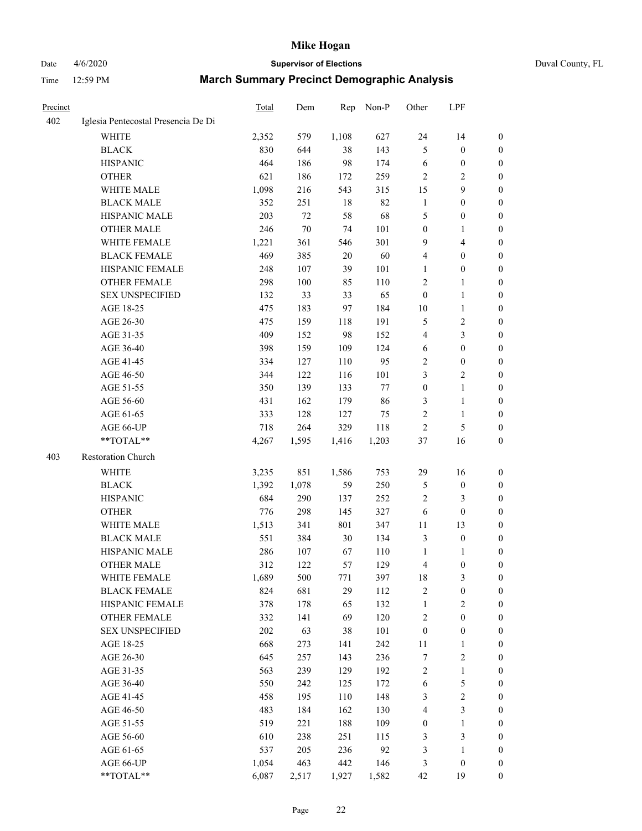## Date 4/6/2020 **Supervisor of Elections** Duval County, FL

| Precinct |                                     | Total | Dem    | Rep    | Non-P  | Other                   | LPF                     |                  |
|----------|-------------------------------------|-------|--------|--------|--------|-------------------------|-------------------------|------------------|
| 402      | Iglesia Pentecostal Presencia De Di |       |        |        |        |                         |                         |                  |
|          | <b>WHITE</b>                        | 2,352 | 579    | 1,108  | 627    | 24                      | 14                      | $\boldsymbol{0}$ |
|          | <b>BLACK</b>                        | 830   | 644    | 38     | 143    | 5                       | $\boldsymbol{0}$        | $\boldsymbol{0}$ |
|          | <b>HISPANIC</b>                     | 464   | 186    | 98     | 174    | 6                       | $\boldsymbol{0}$        | $\boldsymbol{0}$ |
|          | <b>OTHER</b>                        | 621   | 186    | 172    | 259    | 2                       | $\overline{c}$          | $\boldsymbol{0}$ |
|          | WHITE MALE                          | 1,098 | 216    | 543    | 315    | 15                      | $\mathbf{9}$            | $\boldsymbol{0}$ |
|          | <b>BLACK MALE</b>                   | 352   | 251    | 18     | 82     | $\mathbf{1}$            | $\boldsymbol{0}$        | $\boldsymbol{0}$ |
|          | HISPANIC MALE                       | 203   | 72     | 58     | 68     | 5                       | $\boldsymbol{0}$        | $\boldsymbol{0}$ |
|          | <b>OTHER MALE</b>                   | 246   | $70\,$ | 74     | 101    | $\boldsymbol{0}$        | 1                       | 0                |
|          | WHITE FEMALE                        | 1,221 | 361    | 546    | 301    | 9                       | $\overline{\mathbf{4}}$ | 0                |
|          | <b>BLACK FEMALE</b>                 | 469   | 385    | $20\,$ | 60     | 4                       | $\boldsymbol{0}$        | 0                |
|          | HISPANIC FEMALE                     | 248   | 107    | 39     | 101    | 1                       | $\boldsymbol{0}$        | $\boldsymbol{0}$ |
|          | OTHER FEMALE                        | 298   | 100    | 85     | 110    | $\sqrt{2}$              | 1                       | $\boldsymbol{0}$ |
|          | <b>SEX UNSPECIFIED</b>              | 132   | 33     | 33     | 65     | $\boldsymbol{0}$        | $\mathbf{1}$            | $\boldsymbol{0}$ |
|          | AGE 18-25                           | 475   | 183    | 97     | 184    | $10\,$                  | $\mathbf{1}$            | $\boldsymbol{0}$ |
|          | AGE 26-30                           | 475   | 159    | 118    | 191    | 5                       | $\sqrt{2}$              | $\boldsymbol{0}$ |
|          | AGE 31-35                           | 409   | 152    | 98     | 152    | $\overline{\mathbf{4}}$ | $\mathfrak{Z}$          | $\boldsymbol{0}$ |
|          | AGE 36-40                           | 398   | 159    | 109    | 124    | 6                       | $\boldsymbol{0}$        | $\boldsymbol{0}$ |
|          | AGE 41-45                           | 334   | 127    | 110    | 95     | 2                       | $\boldsymbol{0}$        | 0                |
|          | AGE 46-50                           | 344   | 122    | 116    | 101    | 3                       | $\sqrt{2}$              | 0                |
|          | AGE 51-55                           | 350   | 139    | 133    | $77\,$ | $\boldsymbol{0}$        | $\mathbf{1}$            | 0                |
|          | AGE 56-60                           | 431   | 162    | 179    | 86     | 3                       | $\mathbf{1}$            | $\boldsymbol{0}$ |
|          | AGE 61-65                           | 333   | 128    | 127    | 75     | $\overline{c}$          | $\mathbf{1}$            | $\boldsymbol{0}$ |
|          | AGE 66-UP                           | 718   | 264    | 329    | 118    | $\overline{c}$          | $\mathfrak s$           | $\boldsymbol{0}$ |
|          | **TOTAL**                           | 4,267 | 1,595  | 1,416  | 1,203  | 37                      | 16                      | $\boldsymbol{0}$ |
| 403      | <b>Restoration Church</b>           |       |        |        |        |                         |                         |                  |
|          | WHITE                               | 3,235 | 851    | 1,586  | 753    | 29                      | 16                      | $\boldsymbol{0}$ |
|          | <b>BLACK</b>                        | 1,392 | 1,078  | 59     | 250    | 5                       | $\boldsymbol{0}$        | $\boldsymbol{0}$ |
|          | <b>HISPANIC</b>                     | 684   | 290    | 137    | 252    | $\sqrt{2}$              | $\mathfrak{Z}$          | $\overline{0}$   |
|          | <b>OTHER</b>                        | 776   | 298    | 145    | 327    | 6                       | $\boldsymbol{0}$        | $\boldsymbol{0}$ |
|          | WHITE MALE                          | 1,513 | 341    | 801    | 347    | 11                      | 13                      | 0                |
|          | <b>BLACK MALE</b>                   | 551   | 384    | 30     | 134    | 3                       | $\boldsymbol{0}$        | 0                |
|          | HISPANIC MALE                       | 286   | 107    | 67     | 110    | $\mathbf{1}$            | 1                       | 0                |
|          | OTHER MALE                          | 312   | 122    | 57     | 129    | 4                       | $\boldsymbol{0}$        | $\boldsymbol{0}$ |
|          | WHITE FEMALE                        | 1,689 | 500    | 771    | 397    | 18                      | $\mathfrak{Z}$          | $\boldsymbol{0}$ |
|          | <b>BLACK FEMALE</b>                 | 824   | 681    | 29     | 112    | $\overline{c}$          | $\boldsymbol{0}$        | $\overline{0}$   |
|          | HISPANIC FEMALE                     | 378   | 178    | 65     | 132    | $\mathbf{1}$            | $\overline{c}$          | $\overline{0}$   |
|          | <b>OTHER FEMALE</b>                 | 332   | 141    | 69     | 120    | $\overline{c}$          | $\boldsymbol{0}$        | $\overline{0}$   |
|          | <b>SEX UNSPECIFIED</b>              | 202   | 63     | 38     | 101    | $\boldsymbol{0}$        | $\boldsymbol{0}$        | $\overline{0}$   |
|          | AGE 18-25                           | 668   | 273    | 141    | 242    | $11\,$                  | $\mathbf{1}$            | 0                |
|          | AGE 26-30                           | 645   | 257    | 143    | 236    | 7                       | $\sqrt{2}$              | 0                |
|          | AGE 31-35                           | 563   | 239    | 129    | 192    | 2                       | $\mathbf{1}$            | 0                |
|          | AGE 36-40                           | 550   | 242    | 125    | 172    | 6                       | $\mathfrak s$           | 0                |
|          | AGE 41-45                           | 458   | 195    | 110    | 148    | 3                       | $\sqrt{2}$              | $\overline{0}$   |
|          | AGE 46-50                           | 483   | 184    | 162    | 130    | 4                       | $\mathfrak{Z}$          | $\boldsymbol{0}$ |
|          | AGE 51-55                           | 519   | 221    | 188    | 109    | $\boldsymbol{0}$        | $\mathbf{1}$            | $\boldsymbol{0}$ |
|          | AGE 56-60                           | 610   | 238    | 251    | 115    | 3                       | $\mathfrak{Z}$          | $\overline{0}$   |
|          | AGE 61-65                           | 537   | 205    | 236    | 92     | 3                       | $\mathbf{1}$            | $\overline{0}$   |
|          | AGE 66-UP                           | 1,054 | 463    | 442    | 146    | 3                       | $\boldsymbol{0}$        | $\overline{0}$   |
|          | **TOTAL**                           | 6,087 | 2,517  | 1,927  | 1,582  | 42                      | 19                      | $\boldsymbol{0}$ |
|          |                                     |       |        |        |        |                         |                         |                  |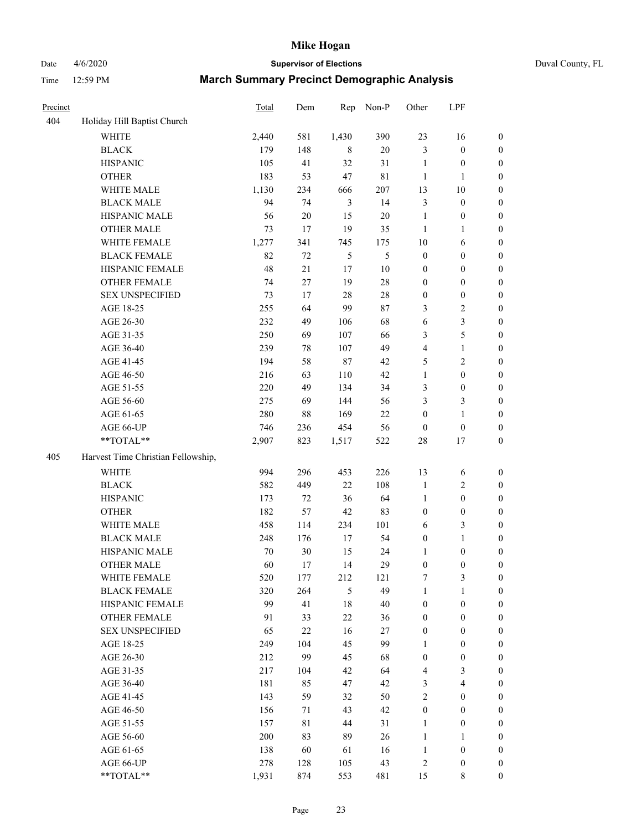## Date 4/6/2020 **Supervisor of Elections** Duval County, FL

| Precinct |                                    | <b>Total</b> | Dem    | Rep            | Non-P       | Other            | LPF                     |                  |
|----------|------------------------------------|--------------|--------|----------------|-------------|------------------|-------------------------|------------------|
| 404      | Holiday Hill Baptist Church        |              |        |                |             |                  |                         |                  |
|          | <b>WHITE</b>                       | 2,440        | 581    | 1,430          | 390         | 23               | 16                      | 0                |
|          | <b>BLACK</b>                       | 179          | 148    | 8              | $20\,$      | 3                | $\boldsymbol{0}$        | 0                |
|          | <b>HISPANIC</b>                    | 105          | 41     | 32             | 31          | $\mathbf{1}$     | $\boldsymbol{0}$        | $\boldsymbol{0}$ |
|          | <b>OTHER</b>                       | 183          | 53     | 47             | $8\sqrt{1}$ | $\mathbf{1}$     | 1                       | $\boldsymbol{0}$ |
|          | WHITE MALE                         | 1,130        | 234    | 666            | 207         | 13               | $10\,$                  | $\boldsymbol{0}$ |
|          | <b>BLACK MALE</b>                  | 94           | 74     | $\mathfrak{Z}$ | 14          | 3                | $\boldsymbol{0}$        | $\boldsymbol{0}$ |
|          | HISPANIC MALE                      | 56           | $20\,$ | 15             | 20          | $\mathbf{1}$     | $\boldsymbol{0}$        | $\boldsymbol{0}$ |
|          | <b>OTHER MALE</b>                  | 73           | 17     | 19             | 35          | $\mathbf{1}$     | $\mathbf{1}$            | $\boldsymbol{0}$ |
|          | WHITE FEMALE                       | 1,277        | 341    | 745            | 175         | 10               | 6                       | $\boldsymbol{0}$ |
|          | <b>BLACK FEMALE</b>                | 82           | 72     | 5              | 5           | $\boldsymbol{0}$ | $\boldsymbol{0}$        | $\boldsymbol{0}$ |
|          | HISPANIC FEMALE                    | 48           | 21     | 17             | $10\,$      | $\boldsymbol{0}$ | $\boldsymbol{0}$        | 0                |
|          | OTHER FEMALE                       | 74           | 27     | 19             | $28\,$      | $\boldsymbol{0}$ | $\boldsymbol{0}$        | $\boldsymbol{0}$ |
|          | <b>SEX UNSPECIFIED</b>             | 73           | 17     | 28             | $28\,$      | $\boldsymbol{0}$ | $\boldsymbol{0}$        | $\boldsymbol{0}$ |
|          | AGE 18-25                          | 255          | 64     | 99             | 87          | 3                | $\sqrt{2}$              | $\boldsymbol{0}$ |
|          | AGE 26-30                          | 232          | 49     | 106            | 68          | 6                | $\mathfrak{Z}$          | $\boldsymbol{0}$ |
|          | AGE 31-35                          | 250          | 69     | 107            | 66          | 3                | $\sqrt{5}$              | $\boldsymbol{0}$ |
|          | AGE 36-40                          | 239          | 78     | 107            | 49          | 4                | $\mathbf{1}$            | $\boldsymbol{0}$ |
|          | AGE 41-45                          | 194          | 58     | $87\,$         | 42          | 5                | $\overline{c}$          | $\boldsymbol{0}$ |
|          | AGE 46-50                          | 216          | 63     | 110            | 42          | $\mathbf{1}$     | $\boldsymbol{0}$        | $\boldsymbol{0}$ |
|          | AGE 51-55                          | 220          | 49     | 134            | 34          | 3                | $\boldsymbol{0}$        | $\boldsymbol{0}$ |
|          | AGE 56-60                          | 275          | 69     | 144            | 56          | 3                | $\mathfrak{Z}$          | 0                |
|          | AGE 61-65                          | 280          | 88     | 169            | 22          | $\boldsymbol{0}$ | $\mathbf{1}$            | 0                |
|          | AGE 66-UP                          | 746          | 236    | 454            | 56          | $\boldsymbol{0}$ | $\boldsymbol{0}$        | $\boldsymbol{0}$ |
|          | **TOTAL**                          | 2,907        | 823    | 1,517          | 522         | $28\,$           | 17                      | $\boldsymbol{0}$ |
| 405      | Harvest Time Christian Fellowship, |              |        |                |             |                  |                         |                  |
|          | <b>WHITE</b>                       | 994          | 296    | 453            | 226         | 13               | 6                       | $\boldsymbol{0}$ |
|          | <b>BLACK</b>                       | 582          | 449    | $22\,$         | 108         | $\mathbf{1}$     | $\sqrt{2}$              | $\boldsymbol{0}$ |
|          | <b>HISPANIC</b>                    | 173          | 72     | 36             | 64          | $\mathbf{1}$     | $\boldsymbol{0}$        | $\boldsymbol{0}$ |
|          | <b>OTHER</b>                       | 182          | 57     | $42\,$         | 83          | $\boldsymbol{0}$ | $\boldsymbol{0}$        | $\boldsymbol{0}$ |
|          | WHITE MALE                         | 458          | 114    | 234            | 101         | 6                | $\mathfrak{Z}$          | $\boldsymbol{0}$ |
|          | <b>BLACK MALE</b>                  | 248          | 176    | 17             | 54          | $\boldsymbol{0}$ | $\mathbf{1}$            | $\boldsymbol{0}$ |
|          | HISPANIC MALE                      | 70           | 30     | 15             | 24          | 1                | $\boldsymbol{0}$        | 0                |
|          | <b>OTHER MALE</b>                  | 60           | 17     | 14             | 29          | $\boldsymbol{0}$ | $\boldsymbol{0}$        | $\boldsymbol{0}$ |
|          | WHITE FEMALE                       | 520          | 177    | 212            | 121         | 7                | 3                       | 0                |
|          | <b>BLACK FEMALE</b>                | 320          | 264    | 5              | 49          | $\mathbf{1}$     | $\mathbf{1}$            | $\boldsymbol{0}$ |
|          | HISPANIC FEMALE                    | 99           | 41     | $18\,$         | 40          | $\boldsymbol{0}$ | $\boldsymbol{0}$        | $\overline{0}$   |
|          | OTHER FEMALE                       | 91           | 33     | $22\,$         | 36          | $\boldsymbol{0}$ | $\boldsymbol{0}$        | $\overline{0}$   |
|          | <b>SEX UNSPECIFIED</b>             | 65           | $22\,$ | 16             | 27          | $\boldsymbol{0}$ | $\boldsymbol{0}$        | $\overline{0}$   |
|          | AGE 18-25                          | 249          | 104    | 45             | 99          | 1                | $\boldsymbol{0}$        | $\overline{0}$   |
|          | AGE 26-30                          | 212          | 99     | 45             | 68          | $\boldsymbol{0}$ | $\boldsymbol{0}$        | 0                |
|          | AGE 31-35                          | 217          | 104    | 42             | 64          | 4                | $\mathfrak{Z}$          | 0                |
|          | AGE 36-40                          | 181          | 85     | 47             | 42          | 3                | $\overline{\mathbf{4}}$ | 0                |
|          | AGE 41-45                          | 143          | 59     | 32             | 50          | 2                | $\boldsymbol{0}$        | 0                |
|          | AGE 46-50                          | 156          | 71     | 43             | 42          | $\boldsymbol{0}$ | $\boldsymbol{0}$        | 0                |
|          | AGE 51-55                          | 157          | 81     | 44             | 31          | $\mathbf{1}$     | $\boldsymbol{0}$        | $\boldsymbol{0}$ |
|          | AGE 56-60                          | 200          | 83     | 89             | 26          | $\mathbf{1}$     | 1                       | $\boldsymbol{0}$ |
|          | AGE 61-65                          | 138          | 60     | 61             | 16          | $\mathbf{1}$     | $\boldsymbol{0}$        | $\boldsymbol{0}$ |
|          | AGE 66-UP                          | 278          | 128    | 105            | 43          | $\overline{c}$   | $\boldsymbol{0}$        | $\boldsymbol{0}$ |
|          | **TOTAL**                          | 1,931        | 874    | 553            | 481         | 15               | 8                       | $\boldsymbol{0}$ |
|          |                                    |              |        |                |             |                  |                         |                  |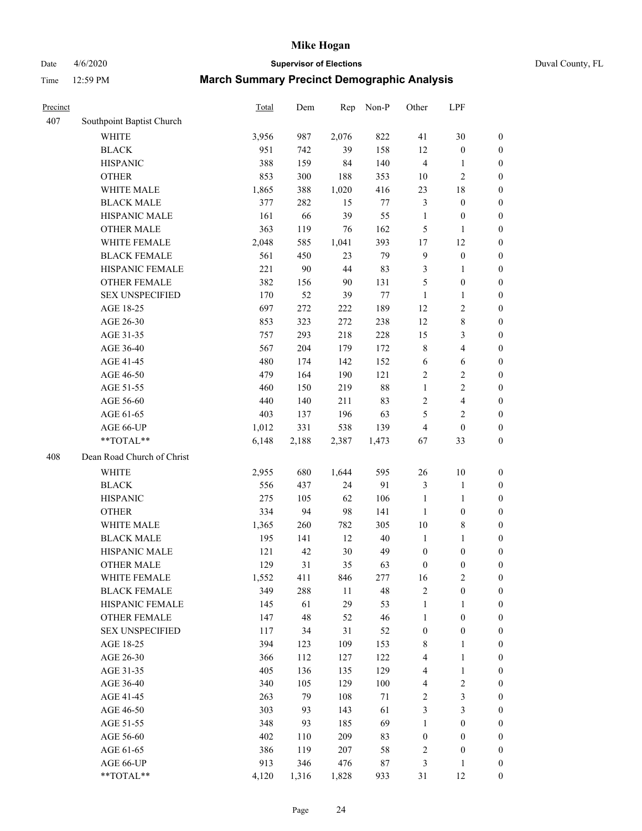Date 4/6/2020 **Supervisor of Elections** Duval County, FL

| Precinct |                            | Total | Dem   | Rep   | Non-P  | Other            | LPF                     |                  |
|----------|----------------------------|-------|-------|-------|--------|------------------|-------------------------|------------------|
| 407      | Southpoint Baptist Church  |       |       |       |        |                  |                         |                  |
|          | <b>WHITE</b>               | 3,956 | 987   | 2,076 | 822    | 41               | 30                      | 0                |
|          | <b>BLACK</b>               | 951   | 742   | 39    | 158    | 12               | $\boldsymbol{0}$        | 0                |
|          | <b>HISPANIC</b>            | 388   | 159   | 84    | 140    | 4                | $\mathbf{1}$            | $\boldsymbol{0}$ |
|          | <b>OTHER</b>               | 853   | 300   | 188   | 353    | 10               | $\sqrt{2}$              | $\boldsymbol{0}$ |
|          | WHITE MALE                 | 1,865 | 388   | 1,020 | 416    | 23               | $18\,$                  | $\boldsymbol{0}$ |
|          | <b>BLACK MALE</b>          | 377   | 282   | 15    | 77     | 3                | $\boldsymbol{0}$        | $\boldsymbol{0}$ |
|          | HISPANIC MALE              | 161   | 66    | 39    | 55     | $\mathbf{1}$     | $\boldsymbol{0}$        | $\boldsymbol{0}$ |
|          | <b>OTHER MALE</b>          | 363   | 119   | 76    | 162    | 5                | $\mathbf{1}$            | $\boldsymbol{0}$ |
|          | WHITE FEMALE               | 2,048 | 585   | 1,041 | 393    | 17               | 12                      | $\boldsymbol{0}$ |
|          | <b>BLACK FEMALE</b>        | 561   | 450   | 23    | 79     | $\mathbf{9}$     | $\boldsymbol{0}$        | $\boldsymbol{0}$ |
|          | HISPANIC FEMALE            | 221   | 90    | 44    | 83     | 3                | 1                       | $\boldsymbol{0}$ |
|          | <b>OTHER FEMALE</b>        | 382   | 156   | 90    | 131    | 5                | $\boldsymbol{0}$        | $\boldsymbol{0}$ |
|          | <b>SEX UNSPECIFIED</b>     | 170   | 52    | 39    | $77\,$ | $\mathbf{1}$     | $\mathbf{1}$            | $\boldsymbol{0}$ |
|          | AGE 18-25                  | 697   | 272   | 222   | 189    | 12               | $\sqrt{2}$              | $\boldsymbol{0}$ |
|          | AGE 26-30                  | 853   | 323   | 272   | 238    | 12               | $\,$ 8 $\,$             | $\boldsymbol{0}$ |
|          | AGE 31-35                  | 757   | 293   | 218   | 228    | 15               | $\mathfrak{Z}$          | $\boldsymbol{0}$ |
|          | AGE 36-40                  | 567   | 204   | 179   | 172    | 8                | $\overline{4}$          | $\boldsymbol{0}$ |
|          | AGE 41-45                  | 480   | 174   | 142   | 152    | 6                | $\sqrt{6}$              | $\boldsymbol{0}$ |
|          | AGE 46-50                  | 479   | 164   | 190   | 121    | 2                | $\sqrt{2}$              | $\boldsymbol{0}$ |
|          | AGE 51-55                  | 460   | 150   | 219   | $88\,$ | $\mathbf{1}$     | $\sqrt{2}$              | $\boldsymbol{0}$ |
|          | AGE 56-60                  | 440   | 140   | 211   | 83     | 2                | $\overline{\mathbf{4}}$ | 0                |
|          | AGE 61-65                  | 403   | 137   | 196   | 63     | 5                | $\overline{c}$          | $\boldsymbol{0}$ |
|          | AGE 66-UP                  | 1,012 | 331   | 538   | 139    | 4                | $\boldsymbol{0}$        | $\boldsymbol{0}$ |
|          | **TOTAL**                  | 6,148 | 2,188 | 2,387 | 1,473  | 67               | 33                      | $\boldsymbol{0}$ |
| 408      | Dean Road Church of Christ |       |       |       |        |                  |                         |                  |
|          | <b>WHITE</b>               | 2,955 | 680   | 1,644 | 595    | 26               | 10                      | $\boldsymbol{0}$ |
|          | <b>BLACK</b>               | 556   | 437   | 24    | 91     | 3                | $\mathbf{1}$            | $\boldsymbol{0}$ |
|          | <b>HISPANIC</b>            | 275   | 105   | 62    | 106    | $\mathbf{1}$     | $\mathbf{1}$            | $\boldsymbol{0}$ |
|          | <b>OTHER</b>               | 334   | 94    | 98    | 141    | $\mathbf{1}$     | $\boldsymbol{0}$        | $\boldsymbol{0}$ |
|          | WHITE MALE                 | 1,365 | 260   | 782   | 305    | $10\,$           | $\,$ 8 $\,$             | $\boldsymbol{0}$ |
|          | <b>BLACK MALE</b>          | 195   | 141   | 12    | $40\,$ | $\mathbf{1}$     | $\mathbf{1}$            | $\boldsymbol{0}$ |
|          | HISPANIC MALE              | 121   | 42    | 30    | 49     | $\boldsymbol{0}$ | $\boldsymbol{0}$        | 0                |
|          | <b>OTHER MALE</b>          | 129   | 31    | 35    | 63     | $\boldsymbol{0}$ | $\boldsymbol{0}$        | $\boldsymbol{0}$ |
|          | WHITE FEMALE               | 1,552 | 411   | 846   | 277    | 16               | $\overline{c}$          | 0                |
|          | <b>BLACK FEMALE</b>        | 349   | 288   | 11    | 48     | 2                | $\boldsymbol{0}$        | $\boldsymbol{0}$ |
|          | HISPANIC FEMALE            | 145   | 61    | 29    | 53     | $\mathbf{1}$     | 1                       | $\overline{0}$   |
|          | <b>OTHER FEMALE</b>        | 147   | 48    | 52    | 46     | $\mathbf{1}$     | $\boldsymbol{0}$        | $\overline{0}$   |
|          | <b>SEX UNSPECIFIED</b>     | 117   | 34    | 31    | 52     | $\boldsymbol{0}$ | $\boldsymbol{0}$        | 0                |
|          | AGE 18-25                  | 394   | 123   | 109   | 153    | 8                | $\mathbf{1}$            | 0                |
|          | AGE 26-30                  | 366   | 112   | 127   | 122    | 4                | $\mathbf{1}$            | 0                |
|          | AGE 31-35                  | 405   | 136   | 135   | 129    | 4                | $\mathbf{1}$            | 0                |
|          | AGE 36-40                  | 340   | 105   | 129   | 100    | 4                | $\sqrt{2}$              | 0                |
|          | AGE 41-45                  | 263   | 79    | 108   | $71\,$ | 2                | $\mathfrak{Z}$          | 0                |
|          | AGE 46-50                  | 303   | 93    | 143   | 61     | 3                | $\mathfrak{Z}$          | 0                |
|          | AGE 51-55                  | 348   | 93    | 185   | 69     | $\mathbf{1}$     | $\boldsymbol{0}$        | 0                |
|          | AGE 56-60                  | 402   | 110   | 209   | 83     | $\boldsymbol{0}$ | $\boldsymbol{0}$        | 0                |
|          | AGE 61-65                  | 386   | 119   | 207   | 58     | 2                | $\boldsymbol{0}$        | $\overline{0}$   |
|          | AGE 66-UP                  | 913   | 346   | 476   | $87\,$ | 3                | $\mathbf{1}$            | 0                |
|          | **TOTAL**                  | 4,120 | 1,316 | 1,828 | 933    | 31               | 12                      | $\boldsymbol{0}$ |
|          |                            |       |       |       |        |                  |                         |                  |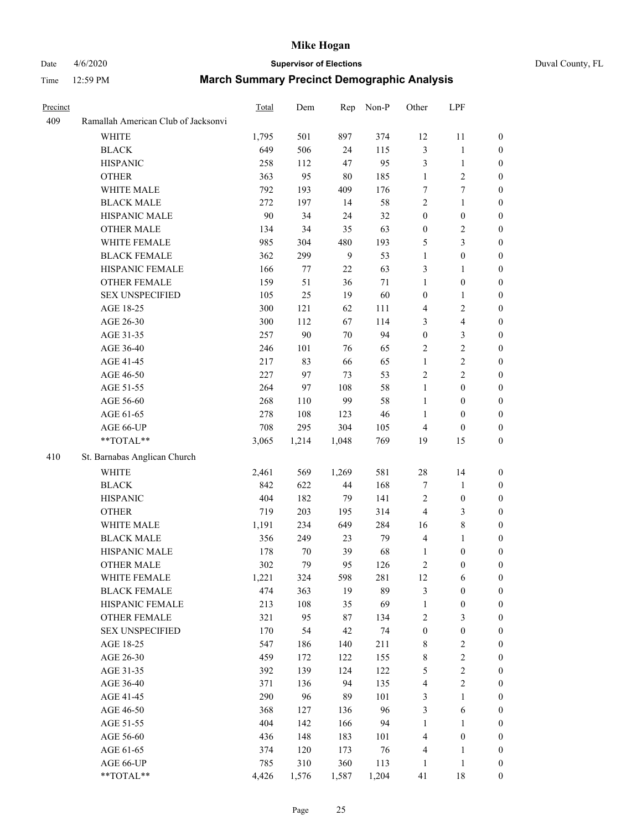## Date 4/6/2020 **Supervisor of Elections** Duval County, FL

|                                     | Total                                                                                                                                                                                                                                                                                                                                                                                                                                                                                                       | Dem                                                                                                                                                                                                                                  | Rep                                                                                                                                                                                               | Non-P                                                                                                                                                                                       | Other                                                                                                                                                                                            | LPF                                                                                                                                                                                                                                                                 |                                                                                                                                                                                                                                                                                                                                                                                                  |
|-------------------------------------|-------------------------------------------------------------------------------------------------------------------------------------------------------------------------------------------------------------------------------------------------------------------------------------------------------------------------------------------------------------------------------------------------------------------------------------------------------------------------------------------------------------|--------------------------------------------------------------------------------------------------------------------------------------------------------------------------------------------------------------------------------------|---------------------------------------------------------------------------------------------------------------------------------------------------------------------------------------------------|---------------------------------------------------------------------------------------------------------------------------------------------------------------------------------------------|--------------------------------------------------------------------------------------------------------------------------------------------------------------------------------------------------|---------------------------------------------------------------------------------------------------------------------------------------------------------------------------------------------------------------------------------------------------------------------|--------------------------------------------------------------------------------------------------------------------------------------------------------------------------------------------------------------------------------------------------------------------------------------------------------------------------------------------------------------------------------------------------|
| Ramallah American Club of Jacksonvi |                                                                                                                                                                                                                                                                                                                                                                                                                                                                                                             |                                                                                                                                                                                                                                      |                                                                                                                                                                                                   |                                                                                                                                                                                             |                                                                                                                                                                                                  |                                                                                                                                                                                                                                                                     |                                                                                                                                                                                                                                                                                                                                                                                                  |
| <b>WHITE</b>                        | 1,795                                                                                                                                                                                                                                                                                                                                                                                                                                                                                                       | 501                                                                                                                                                                                                                                  | 897                                                                                                                                                                                               | 374                                                                                                                                                                                         | 12                                                                                                                                                                                               | 11                                                                                                                                                                                                                                                                  | $\boldsymbol{0}$                                                                                                                                                                                                                                                                                                                                                                                 |
| <b>BLACK</b>                        | 649                                                                                                                                                                                                                                                                                                                                                                                                                                                                                                         | 506                                                                                                                                                                                                                                  | 24                                                                                                                                                                                                | 115                                                                                                                                                                                         | 3                                                                                                                                                                                                | $\mathbf{1}$                                                                                                                                                                                                                                                        | $\boldsymbol{0}$                                                                                                                                                                                                                                                                                                                                                                                 |
| <b>HISPANIC</b>                     | 258                                                                                                                                                                                                                                                                                                                                                                                                                                                                                                         | 112                                                                                                                                                                                                                                  | 47                                                                                                                                                                                                | 95                                                                                                                                                                                          | 3                                                                                                                                                                                                | $\mathbf{1}$                                                                                                                                                                                                                                                        | $\boldsymbol{0}$                                                                                                                                                                                                                                                                                                                                                                                 |
| <b>OTHER</b>                        | 363                                                                                                                                                                                                                                                                                                                                                                                                                                                                                                         | 95                                                                                                                                                                                                                                   | 80                                                                                                                                                                                                | 185                                                                                                                                                                                         | $\mathbf{1}$                                                                                                                                                                                     | $\overline{c}$                                                                                                                                                                                                                                                      | $\boldsymbol{0}$                                                                                                                                                                                                                                                                                                                                                                                 |
| WHITE MALE                          | 792                                                                                                                                                                                                                                                                                                                                                                                                                                                                                                         | 193                                                                                                                                                                                                                                  | 409                                                                                                                                                                                               | 176                                                                                                                                                                                         | 7                                                                                                                                                                                                | 7                                                                                                                                                                                                                                                                   | $\boldsymbol{0}$                                                                                                                                                                                                                                                                                                                                                                                 |
| <b>BLACK MALE</b>                   | 272                                                                                                                                                                                                                                                                                                                                                                                                                                                                                                         | 197                                                                                                                                                                                                                                  | 14                                                                                                                                                                                                | 58                                                                                                                                                                                          | $\overline{c}$                                                                                                                                                                                   | $\mathbf{1}$                                                                                                                                                                                                                                                        | $\boldsymbol{0}$                                                                                                                                                                                                                                                                                                                                                                                 |
| HISPANIC MALE                       | 90                                                                                                                                                                                                                                                                                                                                                                                                                                                                                                          | 34                                                                                                                                                                                                                                   | 24                                                                                                                                                                                                | 32                                                                                                                                                                                          | $\boldsymbol{0}$                                                                                                                                                                                 | $\boldsymbol{0}$                                                                                                                                                                                                                                                    | $\boldsymbol{0}$                                                                                                                                                                                                                                                                                                                                                                                 |
|                                     |                                                                                                                                                                                                                                                                                                                                                                                                                                                                                                             | 34                                                                                                                                                                                                                                   |                                                                                                                                                                                                   |                                                                                                                                                                                             |                                                                                                                                                                                                  |                                                                                                                                                                                                                                                                     | 0                                                                                                                                                                                                                                                                                                                                                                                                |
| WHITE FEMALE                        | 985                                                                                                                                                                                                                                                                                                                                                                                                                                                                                                         | 304                                                                                                                                                                                                                                  | 480                                                                                                                                                                                               | 193                                                                                                                                                                                         | 5                                                                                                                                                                                                | $\mathfrak{Z}$                                                                                                                                                                                                                                                      | 0                                                                                                                                                                                                                                                                                                                                                                                                |
| <b>BLACK FEMALE</b>                 | 362                                                                                                                                                                                                                                                                                                                                                                                                                                                                                                         | 299                                                                                                                                                                                                                                  | 9                                                                                                                                                                                                 | 53                                                                                                                                                                                          | $\mathbf{1}$                                                                                                                                                                                     | $\boldsymbol{0}$                                                                                                                                                                                                                                                    | $\boldsymbol{0}$                                                                                                                                                                                                                                                                                                                                                                                 |
| HISPANIC FEMALE                     | 166                                                                                                                                                                                                                                                                                                                                                                                                                                                                                                         | 77                                                                                                                                                                                                                                   | $22\,$                                                                                                                                                                                            | 63                                                                                                                                                                                          | 3                                                                                                                                                                                                | $\mathbf{1}$                                                                                                                                                                                                                                                        | $\boldsymbol{0}$                                                                                                                                                                                                                                                                                                                                                                                 |
| OTHER FEMALE                        | 159                                                                                                                                                                                                                                                                                                                                                                                                                                                                                                         | 51                                                                                                                                                                                                                                   | 36                                                                                                                                                                                                | 71                                                                                                                                                                                          | $\mathbf{1}$                                                                                                                                                                                     | $\boldsymbol{0}$                                                                                                                                                                                                                                                    | $\boldsymbol{0}$                                                                                                                                                                                                                                                                                                                                                                                 |
|                                     |                                                                                                                                                                                                                                                                                                                                                                                                                                                                                                             |                                                                                                                                                                                                                                      |                                                                                                                                                                                                   |                                                                                                                                                                                             |                                                                                                                                                                                                  | $\mathbf{1}$                                                                                                                                                                                                                                                        | $\boldsymbol{0}$                                                                                                                                                                                                                                                                                                                                                                                 |
| AGE 18-25                           | 300                                                                                                                                                                                                                                                                                                                                                                                                                                                                                                         | 121                                                                                                                                                                                                                                  | 62                                                                                                                                                                                                | 111                                                                                                                                                                                         | 4                                                                                                                                                                                                | $\sqrt{2}$                                                                                                                                                                                                                                                          | $\boldsymbol{0}$                                                                                                                                                                                                                                                                                                                                                                                 |
| AGE 26-30                           |                                                                                                                                                                                                                                                                                                                                                                                                                                                                                                             |                                                                                                                                                                                                                                      | 67                                                                                                                                                                                                |                                                                                                                                                                                             |                                                                                                                                                                                                  |                                                                                                                                                                                                                                                                     | $\boldsymbol{0}$                                                                                                                                                                                                                                                                                                                                                                                 |
|                                     |                                                                                                                                                                                                                                                                                                                                                                                                                                                                                                             |                                                                                                                                                                                                                                      | 70                                                                                                                                                                                                | 94                                                                                                                                                                                          |                                                                                                                                                                                                  |                                                                                                                                                                                                                                                                     | $\boldsymbol{0}$                                                                                                                                                                                                                                                                                                                                                                                 |
| AGE 36-40                           |                                                                                                                                                                                                                                                                                                                                                                                                                                                                                                             |                                                                                                                                                                                                                                      |                                                                                                                                                                                                   |                                                                                                                                                                                             | 2                                                                                                                                                                                                |                                                                                                                                                                                                                                                                     | $\boldsymbol{0}$                                                                                                                                                                                                                                                                                                                                                                                 |
|                                     |                                                                                                                                                                                                                                                                                                                                                                                                                                                                                                             |                                                                                                                                                                                                                                      |                                                                                                                                                                                                   |                                                                                                                                                                                             | $\mathbf{1}$                                                                                                                                                                                     |                                                                                                                                                                                                                                                                     | 0                                                                                                                                                                                                                                                                                                                                                                                                |
| AGE 46-50                           |                                                                                                                                                                                                                                                                                                                                                                                                                                                                                                             | 97                                                                                                                                                                                                                                   | 73                                                                                                                                                                                                | 53                                                                                                                                                                                          | 2                                                                                                                                                                                                | $\overline{2}$                                                                                                                                                                                                                                                      | 0                                                                                                                                                                                                                                                                                                                                                                                                |
|                                     |                                                                                                                                                                                                                                                                                                                                                                                                                                                                                                             | 97                                                                                                                                                                                                                                   |                                                                                                                                                                                                   |                                                                                                                                                                                             | $\mathbf{1}$                                                                                                                                                                                     | $\boldsymbol{0}$                                                                                                                                                                                                                                                    | $\boldsymbol{0}$                                                                                                                                                                                                                                                                                                                                                                                 |
|                                     |                                                                                                                                                                                                                                                                                                                                                                                                                                                                                                             |                                                                                                                                                                                                                                      |                                                                                                                                                                                                   |                                                                                                                                                                                             |                                                                                                                                                                                                  |                                                                                                                                                                                                                                                                     | $\boldsymbol{0}$                                                                                                                                                                                                                                                                                                                                                                                 |
|                                     |                                                                                                                                                                                                                                                                                                                                                                                                                                                                                                             |                                                                                                                                                                                                                                      |                                                                                                                                                                                                   |                                                                                                                                                                                             | 1                                                                                                                                                                                                | $\boldsymbol{0}$                                                                                                                                                                                                                                                    | $\boldsymbol{0}$                                                                                                                                                                                                                                                                                                                                                                                 |
|                                     |                                                                                                                                                                                                                                                                                                                                                                                                                                                                                                             |                                                                                                                                                                                                                                      |                                                                                                                                                                                                   |                                                                                                                                                                                             | 4                                                                                                                                                                                                | $\boldsymbol{0}$                                                                                                                                                                                                                                                    | $\boldsymbol{0}$                                                                                                                                                                                                                                                                                                                                                                                 |
| **TOTAL**                           |                                                                                                                                                                                                                                                                                                                                                                                                                                                                                                             |                                                                                                                                                                                                                                      |                                                                                                                                                                                                   |                                                                                                                                                                                             |                                                                                                                                                                                                  |                                                                                                                                                                                                                                                                     | $\boldsymbol{0}$                                                                                                                                                                                                                                                                                                                                                                                 |
|                                     |                                                                                                                                                                                                                                                                                                                                                                                                                                                                                                             |                                                                                                                                                                                                                                      |                                                                                                                                                                                                   |                                                                                                                                                                                             |                                                                                                                                                                                                  |                                                                                                                                                                                                                                                                     |                                                                                                                                                                                                                                                                                                                                                                                                  |
|                                     |                                                                                                                                                                                                                                                                                                                                                                                                                                                                                                             |                                                                                                                                                                                                                                      |                                                                                                                                                                                                   |                                                                                                                                                                                             |                                                                                                                                                                                                  |                                                                                                                                                                                                                                                                     | $\boldsymbol{0}$                                                                                                                                                                                                                                                                                                                                                                                 |
|                                     |                                                                                                                                                                                                                                                                                                                                                                                                                                                                                                             |                                                                                                                                                                                                                                      |                                                                                                                                                                                                   |                                                                                                                                                                                             |                                                                                                                                                                                                  |                                                                                                                                                                                                                                                                     | $\boldsymbol{0}$                                                                                                                                                                                                                                                                                                                                                                                 |
|                                     |                                                                                                                                                                                                                                                                                                                                                                                                                                                                                                             |                                                                                                                                                                                                                                      |                                                                                                                                                                                                   |                                                                                                                                                                                             |                                                                                                                                                                                                  |                                                                                                                                                                                                                                                                     | $\overline{0}$                                                                                                                                                                                                                                                                                                                                                                                   |
|                                     |                                                                                                                                                                                                                                                                                                                                                                                                                                                                                                             |                                                                                                                                                                                                                                      |                                                                                                                                                                                                   |                                                                                                                                                                                             |                                                                                                                                                                                                  |                                                                                                                                                                                                                                                                     | $\boldsymbol{0}$                                                                                                                                                                                                                                                                                                                                                                                 |
|                                     |                                                                                                                                                                                                                                                                                                                                                                                                                                                                                                             |                                                                                                                                                                                                                                      |                                                                                                                                                                                                   |                                                                                                                                                                                             |                                                                                                                                                                                                  |                                                                                                                                                                                                                                                                     | 0                                                                                                                                                                                                                                                                                                                                                                                                |
|                                     |                                                                                                                                                                                                                                                                                                                                                                                                                                                                                                             |                                                                                                                                                                                                                                      |                                                                                                                                                                                                   |                                                                                                                                                                                             |                                                                                                                                                                                                  |                                                                                                                                                                                                                                                                     | 0                                                                                                                                                                                                                                                                                                                                                                                                |
|                                     |                                                                                                                                                                                                                                                                                                                                                                                                                                                                                                             |                                                                                                                                                                                                                                      |                                                                                                                                                                                                   |                                                                                                                                                                                             |                                                                                                                                                                                                  |                                                                                                                                                                                                                                                                     | 0                                                                                                                                                                                                                                                                                                                                                                                                |
|                                     |                                                                                                                                                                                                                                                                                                                                                                                                                                                                                                             |                                                                                                                                                                                                                                      |                                                                                                                                                                                                   |                                                                                                                                                                                             |                                                                                                                                                                                                  |                                                                                                                                                                                                                                                                     | $\boldsymbol{0}$                                                                                                                                                                                                                                                                                                                                                                                 |
|                                     |                                                                                                                                                                                                                                                                                                                                                                                                                                                                                                             |                                                                                                                                                                                                                                      |                                                                                                                                                                                                   |                                                                                                                                                                                             |                                                                                                                                                                                                  |                                                                                                                                                                                                                                                                     | $\boldsymbol{0}$                                                                                                                                                                                                                                                                                                                                                                                 |
|                                     |                                                                                                                                                                                                                                                                                                                                                                                                                                                                                                             |                                                                                                                                                                                                                                      |                                                                                                                                                                                                   |                                                                                                                                                                                             |                                                                                                                                                                                                  |                                                                                                                                                                                                                                                                     | $\boldsymbol{0}$                                                                                                                                                                                                                                                                                                                                                                                 |
|                                     |                                                                                                                                                                                                                                                                                                                                                                                                                                                                                                             |                                                                                                                                                                                                                                      |                                                                                                                                                                                                   |                                                                                                                                                                                             |                                                                                                                                                                                                  |                                                                                                                                                                                                                                                                     | $\overline{0}$                                                                                                                                                                                                                                                                                                                                                                                   |
|                                     |                                                                                                                                                                                                                                                                                                                                                                                                                                                                                                             |                                                                                                                                                                                                                                      |                                                                                                                                                                                                   |                                                                                                                                                                                             |                                                                                                                                                                                                  |                                                                                                                                                                                                                                                                     | $\overline{0}$                                                                                                                                                                                                                                                                                                                                                                                   |
|                                     |                                                                                                                                                                                                                                                                                                                                                                                                                                                                                                             |                                                                                                                                                                                                                                      |                                                                                                                                                                                                   |                                                                                                                                                                                             |                                                                                                                                                                                                  |                                                                                                                                                                                                                                                                     | $\theta$                                                                                                                                                                                                                                                                                                                                                                                         |
|                                     |                                                                                                                                                                                                                                                                                                                                                                                                                                                                                                             |                                                                                                                                                                                                                                      |                                                                                                                                                                                                   |                                                                                                                                                                                             |                                                                                                                                                                                                  |                                                                                                                                                                                                                                                                     | 0                                                                                                                                                                                                                                                                                                                                                                                                |
|                                     |                                                                                                                                                                                                                                                                                                                                                                                                                                                                                                             |                                                                                                                                                                                                                                      |                                                                                                                                                                                                   |                                                                                                                                                                                             |                                                                                                                                                                                                  |                                                                                                                                                                                                                                                                     | 0                                                                                                                                                                                                                                                                                                                                                                                                |
|                                     |                                                                                                                                                                                                                                                                                                                                                                                                                                                                                                             |                                                                                                                                                                                                                                      |                                                                                                                                                                                                   |                                                                                                                                                                                             |                                                                                                                                                                                                  |                                                                                                                                                                                                                                                                     | 0                                                                                                                                                                                                                                                                                                                                                                                                |
|                                     |                                                                                                                                                                                                                                                                                                                                                                                                                                                                                                             |                                                                                                                                                                                                                                      |                                                                                                                                                                                                   |                                                                                                                                                                                             |                                                                                                                                                                                                  |                                                                                                                                                                                                                                                                     | 0                                                                                                                                                                                                                                                                                                                                                                                                |
|                                     |                                                                                                                                                                                                                                                                                                                                                                                                                                                                                                             |                                                                                                                                                                                                                                      |                                                                                                                                                                                                   |                                                                                                                                                                                             |                                                                                                                                                                                                  | $\mathbf{1}$                                                                                                                                                                                                                                                        | 0                                                                                                                                                                                                                                                                                                                                                                                                |
|                                     |                                                                                                                                                                                                                                                                                                                                                                                                                                                                                                             |                                                                                                                                                                                                                                      |                                                                                                                                                                                                   |                                                                                                                                                                                             |                                                                                                                                                                                                  |                                                                                                                                                                                                                                                                     | $\boldsymbol{0}$                                                                                                                                                                                                                                                                                                                                                                                 |
|                                     |                                                                                                                                                                                                                                                                                                                                                                                                                                                                                                             |                                                                                                                                                                                                                                      |                                                                                                                                                                                                   |                                                                                                                                                                                             | $\mathbf{1}$                                                                                                                                                                                     | $\mathbf{1}$                                                                                                                                                                                                                                                        | $\boldsymbol{0}$                                                                                                                                                                                                                                                                                                                                                                                 |
| AGE 56-60                           | 436                                                                                                                                                                                                                                                                                                                                                                                                                                                                                                         | 148                                                                                                                                                                                                                                  | 183                                                                                                                                                                                               | 101                                                                                                                                                                                         | 4                                                                                                                                                                                                | $\boldsymbol{0}$                                                                                                                                                                                                                                                    | $\overline{0}$                                                                                                                                                                                                                                                                                                                                                                                   |
| AGE 61-65                           | 374                                                                                                                                                                                                                                                                                                                                                                                                                                                                                                         | 120                                                                                                                                                                                                                                  | 173                                                                                                                                                                                               | 76                                                                                                                                                                                          | 4                                                                                                                                                                                                | $\mathbf{1}$                                                                                                                                                                                                                                                        | $\overline{0}$                                                                                                                                                                                                                                                                                                                                                                                   |
| AGE 66-UP                           | 785                                                                                                                                                                                                                                                                                                                                                                                                                                                                                                         | 310                                                                                                                                                                                                                                  | 360                                                                                                                                                                                               | 113                                                                                                                                                                                         | $\mathbf{1}$                                                                                                                                                                                     | $\mathbf{1}$                                                                                                                                                                                                                                                        | $\overline{0}$                                                                                                                                                                                                                                                                                                                                                                                   |
| **TOTAL**                           | 4,426                                                                                                                                                                                                                                                                                                                                                                                                                                                                                                       | 1,576                                                                                                                                                                                                                                | 1,587                                                                                                                                                                                             | 1,204                                                                                                                                                                                       | 41                                                                                                                                                                                               | 18                                                                                                                                                                                                                                                                  | $\boldsymbol{0}$                                                                                                                                                                                                                                                                                                                                                                                 |
|                                     | <b>OTHER MALE</b><br><b>SEX UNSPECIFIED</b><br>AGE 31-35<br>AGE 41-45<br>AGE 51-55<br>AGE 56-60<br>AGE 61-65<br>AGE 66-UP<br>St. Barnabas Anglican Church<br><b>WHITE</b><br><b>BLACK</b><br><b>HISPANIC</b><br><b>OTHER</b><br>WHITE MALE<br><b>BLACK MALE</b><br>HISPANIC MALE<br><b>OTHER MALE</b><br>WHITE FEMALE<br><b>BLACK FEMALE</b><br>HISPANIC FEMALE<br><b>OTHER FEMALE</b><br><b>SEX UNSPECIFIED</b><br>AGE 18-25<br>AGE 26-30<br>AGE 31-35<br>AGE 36-40<br>AGE 41-45<br>AGE 46-50<br>AGE 51-55 | 134<br>105<br>300<br>257<br>246<br>217<br>227<br>264<br>268<br>278<br>708<br>3,065<br>2,461<br>842<br>404<br>719<br>1,191<br>356<br>178<br>302<br>1,221<br>474<br>213<br>321<br>170<br>547<br>459<br>392<br>371<br>290<br>368<br>404 | 25<br>112<br>90<br>101<br>83<br>110<br>108<br>295<br>1,214<br>569<br>622<br>182<br>203<br>234<br>249<br>70<br>79<br>324<br>363<br>108<br>95<br>54<br>186<br>172<br>139<br>136<br>96<br>127<br>142 | 35<br>19<br>76<br>66<br>108<br>99<br>123<br>304<br>1,048<br>1,269<br>44<br>79<br>195<br>649<br>23<br>39<br>95<br>598<br>19<br>35<br>87<br>42<br>140<br>122<br>124<br>94<br>89<br>136<br>166 | 63<br>60<br>114<br>65<br>65<br>58<br>58<br>46<br>105<br>769<br>581<br>168<br>141<br>314<br>284<br>79<br>68<br>126<br>281<br>89<br>69<br>134<br>74<br>211<br>155<br>122<br>135<br>101<br>96<br>94 | $\boldsymbol{0}$<br>$\boldsymbol{0}$<br>3<br>$\boldsymbol{0}$<br>$\mathbf{1}$<br>19<br>$28\,$<br>7<br>$\sqrt{2}$<br>$\overline{\mathbf{4}}$<br>16<br>$\overline{4}$<br>1<br>2<br>$12\,$<br>3<br>$\mathbf{1}$<br>2<br>$\boldsymbol{0}$<br>8<br>8<br>5<br>4<br>3<br>3 | $\sqrt{2}$<br>$\overline{\mathbf{4}}$<br>$\mathfrak{Z}$<br>$\sqrt{2}$<br>$\boldsymbol{2}$<br>$\boldsymbol{0}$<br>15<br>14<br>$\mathbf{1}$<br>$\boldsymbol{0}$<br>$\mathfrak{Z}$<br>$8\,$<br>$\mathbf{1}$<br>$\boldsymbol{0}$<br>$\boldsymbol{0}$<br>6<br>$\boldsymbol{0}$<br>$\boldsymbol{0}$<br>$\mathfrak{Z}$<br>$\boldsymbol{0}$<br>$\sqrt{2}$<br>$\sqrt{2}$<br>$\sqrt{2}$<br>$\sqrt{2}$<br>6 |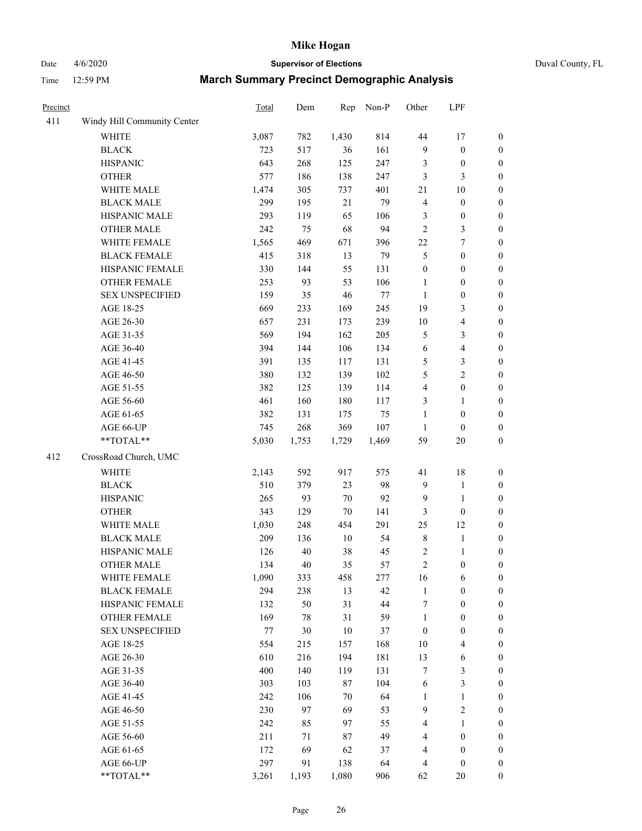Date 4/6/2020 **Supervisor of Elections** Duval County, FL

| Precinct |                             | Total | Dem    | Rep    | Non-P  | Other            | LPF              |                  |
|----------|-----------------------------|-------|--------|--------|--------|------------------|------------------|------------------|
| 411      | Windy Hill Community Center |       |        |        |        |                  |                  |                  |
|          | <b>WHITE</b>                | 3,087 | 782    | 1,430  | 814    | 44               | 17               | $\boldsymbol{0}$ |
|          | <b>BLACK</b>                | 723   | 517    | 36     | 161    | 9                | $\boldsymbol{0}$ | $\boldsymbol{0}$ |
|          | <b>HISPANIC</b>             | 643   | 268    | 125    | 247    | 3                | $\boldsymbol{0}$ | $\boldsymbol{0}$ |
|          | <b>OTHER</b>                | 577   | 186    | 138    | 247    | 3                | $\mathfrak{Z}$   | $\boldsymbol{0}$ |
|          | WHITE MALE                  | 1,474 | 305    | 737    | 401    | $21\,$           | 10               | $\boldsymbol{0}$ |
|          | <b>BLACK MALE</b>           | 299   | 195    | 21     | 79     | 4                | $\boldsymbol{0}$ | $\boldsymbol{0}$ |
|          | HISPANIC MALE               | 293   | 119    | 65     | 106    | 3                | $\boldsymbol{0}$ | $\boldsymbol{0}$ |
|          | <b>OTHER MALE</b>           | 242   | 75     | 68     | 94     | $\overline{2}$   | $\mathfrak{Z}$   | $\boldsymbol{0}$ |
|          | WHITE FEMALE                | 1,565 | 469    | 671    | 396    | $22\,$           | $\boldsymbol{7}$ | $\boldsymbol{0}$ |
|          | <b>BLACK FEMALE</b>         | 415   | 318    | 13     | 79     | 5                | $\boldsymbol{0}$ | 0                |
|          | HISPANIC FEMALE             | 330   | 144    | 55     | 131    | $\boldsymbol{0}$ | $\boldsymbol{0}$ | $\boldsymbol{0}$ |
|          | OTHER FEMALE                | 253   | 93     | 53     | 106    | $\mathbf{1}$     | $\boldsymbol{0}$ | $\boldsymbol{0}$ |
|          | <b>SEX UNSPECIFIED</b>      | 159   | 35     | 46     | $77\,$ | $\mathbf{1}$     | $\boldsymbol{0}$ | $\boldsymbol{0}$ |
|          | AGE 18-25                   | 669   | 233    | 169    | 245    | 19               | $\mathfrak{Z}$   | $\boldsymbol{0}$ |
|          | AGE 26-30                   | 657   | 231    | 173    | 239    | $10\,$           | $\overline{4}$   | $\boldsymbol{0}$ |
|          | AGE 31-35                   | 569   | 194    | 162    | 205    | 5                | $\mathfrak{Z}$   | $\boldsymbol{0}$ |
|          | AGE 36-40                   | 394   | 144    | 106    | 134    | $\sqrt{6}$       | $\overline{4}$   | $\boldsymbol{0}$ |
|          | AGE 41-45                   | 391   | 135    | 117    | 131    | 5                | $\mathfrak z$    | $\boldsymbol{0}$ |
|          | AGE 46-50                   | 380   | 132    | 139    | 102    | 5                | $\overline{2}$   | $\boldsymbol{0}$ |
|          | AGE 51-55                   | 382   | 125    | 139    | 114    | 4                | $\boldsymbol{0}$ | 0                |
|          | AGE 56-60                   | 461   | 160    | 180    | 117    | 3                | $\mathbf{1}$     | $\boldsymbol{0}$ |
|          | AGE 61-65                   | 382   | 131    | 175    | 75     | $\mathbf{1}$     | $\boldsymbol{0}$ | $\boldsymbol{0}$ |
|          | AGE 66-UP                   | 745   | 268    | 369    | 107    | $\mathbf{1}$     | $\boldsymbol{0}$ | $\boldsymbol{0}$ |
|          | $**TOTAL**$                 | 5,030 | 1,753  | 1,729  | 1,469  | 59               | 20               | $\boldsymbol{0}$ |
| 412      | CrossRoad Church, UMC       |       |        |        |        |                  |                  |                  |
|          | <b>WHITE</b>                | 2,143 | 592    | 917    | 575    | 41               | 18               | $\boldsymbol{0}$ |
|          | <b>BLACK</b>                | 510   | 379    | 23     | 98     | 9                | $\mathbf{1}$     | $\boldsymbol{0}$ |
|          | <b>HISPANIC</b>             | 265   | 93     | 70     | 92     | 9                | $\mathbf{1}$     | $\boldsymbol{0}$ |
|          | <b>OTHER</b>                | 343   | 129    | $70\,$ | 141    | 3                | $\boldsymbol{0}$ | $\overline{0}$   |
|          | WHITE MALE                  | 1,030 | 248    | 454    | 291    | $25\,$           | 12               | $\boldsymbol{0}$ |
|          | <b>BLACK MALE</b>           | 209   | 136    | $10\,$ | 54     | $\,$ $\,$        | $\mathbf{1}$     | $\boldsymbol{0}$ |
|          | HISPANIC MALE               | 126   | $40\,$ | 38     | 45     | 2                | $\mathbf{1}$     | 0                |
|          | <b>OTHER MALE</b>           | 134   | 40     | 35     | 57     | $\overline{c}$   | $\boldsymbol{0}$ | $\boldsymbol{0}$ |
|          | WHITE FEMALE                | 1,090 | 333    | 458    | 277    | 16               | 6                | $\boldsymbol{0}$ |
|          | <b>BLACK FEMALE</b>         | 294   | 238    | 13     | 42     | $\mathbf{1}$     | $\boldsymbol{0}$ | $\overline{0}$   |
|          | HISPANIC FEMALE             | 132   | 50     | 31     | $44\,$ | 7                | $\boldsymbol{0}$ | $\overline{0}$   |
|          | <b>OTHER FEMALE</b>         | 169   | $78\,$ | 31     | 59     | $\mathbf{1}$     | $\boldsymbol{0}$ | 0                |
|          | <b>SEX UNSPECIFIED</b>      | 77    | 30     | 10     | 37     | $\boldsymbol{0}$ | $\boldsymbol{0}$ | 0                |
|          | AGE 18-25                   | 554   | 215    | 157    | 168    | $10\,$           | $\overline{4}$   | 0                |
|          | AGE 26-30                   | 610   | 216    | 194    | 181    | 13               | 6                | 0                |
|          | AGE 31-35                   | 400   | 140    | 119    | 131    | 7                | $\mathfrak{Z}$   | 0                |
|          | AGE 36-40                   | 303   | 103    | 87     | 104    | 6                | $\mathfrak{Z}$   | 0                |
|          | AGE 41-45                   | 242   | 106    | 70     | 64     | 1                | $\mathbf{1}$     | 0                |
|          | AGE 46-50                   | 230   | 97     | 69     | 53     | 9                | $\sqrt{2}$       | 0                |
|          | AGE 51-55                   | 242   | 85     | 97     | 55     | 4                | 1                | $\boldsymbol{0}$ |
|          | AGE 56-60                   | 211   | 71     | 87     | 49     | 4                | $\boldsymbol{0}$ | $\boldsymbol{0}$ |
|          | AGE 61-65                   | 172   | 69     | 62     | 37     | 4                | $\boldsymbol{0}$ | 0                |
|          | AGE 66-UP                   | 297   | 91     | 138    | 64     | 4                | $\boldsymbol{0}$ | 0                |
|          | **TOTAL**                   | 3,261 | 1,193  | 1,080  | 906    | 62               | 20               | $\boldsymbol{0}$ |
|          |                             |       |        |        |        |                  |                  |                  |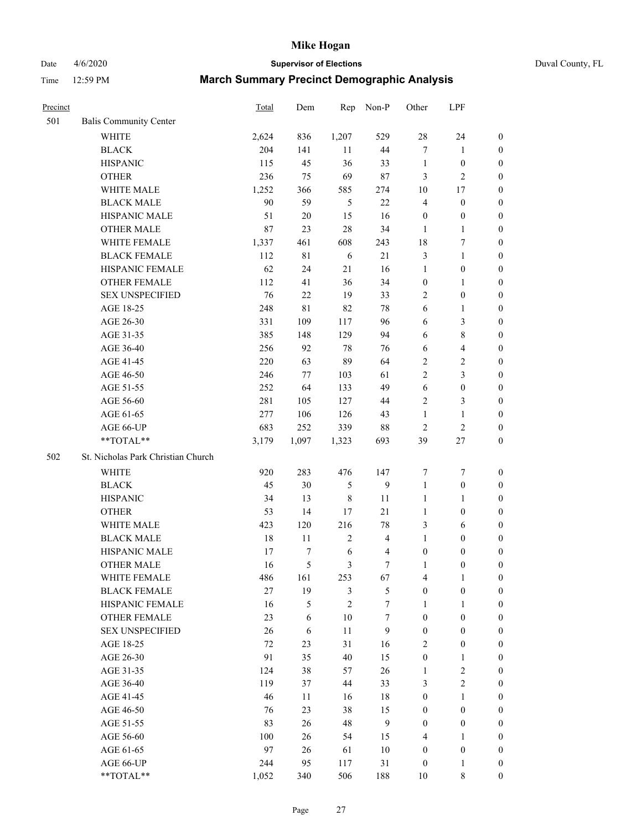Date 4/6/2020 **Supervisor of Elections** Duval County, FL

| Precinct |                                    | Total  | Dem         | Rep              | Non-P                   | Other            | LPF              |                  |
|----------|------------------------------------|--------|-------------|------------------|-------------------------|------------------|------------------|------------------|
| 501      | <b>Balis Community Center</b>      |        |             |                  |                         |                  |                  |                  |
|          | <b>WHITE</b>                       | 2,624  | 836         | 1,207            | 529                     | 28               | 24               | $\boldsymbol{0}$ |
|          | <b>BLACK</b>                       | 204    | 141         | 11               | 44                      | 7                | $\mathbf{1}$     | $\boldsymbol{0}$ |
|          | <b>HISPANIC</b>                    | 115    | 45          | 36               | 33                      | $\mathbf{1}$     | $\boldsymbol{0}$ | $\boldsymbol{0}$ |
|          | <b>OTHER</b>                       | 236    | 75          | 69               | $87\,$                  | 3                | $\overline{2}$   | $\boldsymbol{0}$ |
|          | WHITE MALE                         | 1,252  | 366         | 585              | 274                     | 10               | 17               | $\boldsymbol{0}$ |
|          | <b>BLACK MALE</b>                  | 90     | 59          | $\sqrt{5}$       | 22                      | 4                | $\boldsymbol{0}$ | $\boldsymbol{0}$ |
|          | HISPANIC MALE                      | 51     | $20\,$      | 15               | 16                      | $\boldsymbol{0}$ | $\boldsymbol{0}$ | $\boldsymbol{0}$ |
|          | <b>OTHER MALE</b>                  | 87     | 23          | 28               | 34                      | $\mathbf{1}$     | $\mathbf{1}$     | $\boldsymbol{0}$ |
|          | WHITE FEMALE                       | 1,337  | 461         | 608              | 243                     | 18               | 7                | $\boldsymbol{0}$ |
|          | <b>BLACK FEMALE</b>                | 112    | $8\sqrt{1}$ | 6                | 21                      | 3                | $\mathbf{1}$     | 0                |
|          | HISPANIC FEMALE                    | 62     | 24          | 21               | 16                      | $\mathbf{1}$     | $\boldsymbol{0}$ | $\boldsymbol{0}$ |
|          | <b>OTHER FEMALE</b>                | 112    | 41          | 36               | 34                      | $\boldsymbol{0}$ | $\mathbf{1}$     | $\boldsymbol{0}$ |
|          | <b>SEX UNSPECIFIED</b>             | 76     | 22          | 19               | 33                      | 2                | $\boldsymbol{0}$ | $\boldsymbol{0}$ |
|          | AGE 18-25                          | 248    | 81          | 82               | $78\,$                  | 6                | $\mathbf{1}$     | $\boldsymbol{0}$ |
|          | AGE 26-30                          | 331    | 109         | 117              | 96                      | 6                | $\mathfrak{Z}$   | $\boldsymbol{0}$ |
|          | AGE 31-35                          | 385    | 148         | 129              | 94                      | 6                | $\,$ 8 $\,$      | $\boldsymbol{0}$ |
|          | AGE 36-40                          | 256    | 92          | 78               | 76                      | 6                | $\overline{4}$   | $\boldsymbol{0}$ |
|          | AGE 41-45                          | 220    | 63          | 89               | 64                      | $\overline{c}$   | $\sqrt{2}$       | $\boldsymbol{0}$ |
|          | AGE 46-50                          | 246    | 77          | 103              | 61                      | $\overline{2}$   | $\mathfrak{Z}$   | $\boldsymbol{0}$ |
|          | AGE 51-55                          | 252    | 64          | 133              | 49                      | 6                | $\boldsymbol{0}$ | 0                |
|          | AGE 56-60                          | 281    | 105         | 127              | 44                      | 2                | $\mathfrak{Z}$   | $\boldsymbol{0}$ |
|          | AGE 61-65                          | 277    | 106         | 126              | 43                      | $\mathbf{1}$     | $\mathbf{1}$     | $\boldsymbol{0}$ |
|          | AGE 66-UP                          | 683    | 252         | 339              | $88\,$                  | $\overline{c}$   | $\sqrt{2}$       | $\boldsymbol{0}$ |
|          | **TOTAL**                          | 3,179  | 1,097       | 1,323            | 693                     | 39               | $27\,$           | $\boldsymbol{0}$ |
| 502      | St. Nicholas Park Christian Church |        |             |                  |                         |                  |                  |                  |
|          | WHITE                              | 920    | 283         | 476              | 147                     | 7                | $\boldsymbol{7}$ | $\boldsymbol{0}$ |
|          | <b>BLACK</b>                       | 45     | 30          | 5                | 9                       | $\mathbf{1}$     | $\boldsymbol{0}$ | $\boldsymbol{0}$ |
|          | <b>HISPANIC</b>                    | 34     | 13          | $\,$ 8 $\,$      | 11                      | $\mathbf{1}$     | $\mathbf{1}$     | $\boldsymbol{0}$ |
|          | <b>OTHER</b>                       | 53     | 14          | 17               | $21\,$                  | $\mathbf{1}$     | $\boldsymbol{0}$ | $\boldsymbol{0}$ |
|          | WHITE MALE                         | 423    | 120         | 216              | $78\,$                  | 3                | 6                | $\boldsymbol{0}$ |
|          | <b>BLACK MALE</b>                  | $18\,$ | 11          | $\boldsymbol{2}$ | $\overline{\mathbf{4}}$ | $\mathbf{1}$     | $\boldsymbol{0}$ | $\boldsymbol{0}$ |
|          | HISPANIC MALE                      | 17     | $\tau$      | 6                | $\overline{4}$          | $\boldsymbol{0}$ | $\boldsymbol{0}$ | 0                |
|          | <b>OTHER MALE</b>                  | 16     | 5           | 3                | 7                       | $\mathbf{1}$     | $\boldsymbol{0}$ | $\boldsymbol{0}$ |
|          | WHITE FEMALE                       | 486    | 161         | 253              | 67                      | 4                | 1                | $\overline{0}$   |
|          | <b>BLACK FEMALE</b>                | 27     | 19          | 3                | $\mathfrak s$           | $\boldsymbol{0}$ | $\boldsymbol{0}$ | $\overline{0}$   |
|          | HISPANIC FEMALE                    | 16     | $\sqrt{5}$  | $\overline{2}$   | 7                       | $\mathbf{1}$     | $\mathbf{1}$     | $\overline{0}$   |
|          | <b>OTHER FEMALE</b>                | 23     | 6           | 10               | $\tau$                  | $\boldsymbol{0}$ | $\boldsymbol{0}$ | 0                |
|          | <b>SEX UNSPECIFIED</b>             | 26     | 6           | $11\,$           | $\mathbf{9}$            | $\boldsymbol{0}$ | $\boldsymbol{0}$ | 0                |
|          | AGE 18-25                          | $72\,$ | 23          | 31               | 16                      | 2                | $\boldsymbol{0}$ | 0                |
|          | AGE 26-30                          | 91     | 35          | $40\,$           | 15                      | $\boldsymbol{0}$ | $\mathbf{1}$     | 0                |
|          | AGE 31-35                          | 124    | 38          | 57               | 26                      | $\mathbf{1}$     | $\sqrt{2}$       | 0                |
|          | AGE 36-40                          | 119    | 37          | 44               | 33                      | 3                | $\sqrt{2}$       | 0                |
|          | AGE 41-45                          | 46     | 11          | 16               | 18                      | $\boldsymbol{0}$ | $\mathbf{1}$     | 0                |
|          | AGE 46-50                          | 76     | 23          | 38               | 15                      | $\boldsymbol{0}$ | $\boldsymbol{0}$ | 0                |
|          | AGE 51-55                          | 83     | 26          | 48               | 9                       | $\boldsymbol{0}$ | $\boldsymbol{0}$ | $\boldsymbol{0}$ |
|          | AGE 56-60                          | 100    | 26          | 54               | 15                      | 4                | 1                | $\overline{0}$   |
|          | AGE 61-65                          | 97     | 26          | 61               | $10\,$                  | $\boldsymbol{0}$ | $\boldsymbol{0}$ | 0                |
|          | AGE 66-UP                          | 244    | 95          | 117              | 31                      | $\boldsymbol{0}$ | 1                | 0                |
|          | **TOTAL**                          | 1,052  | 340         | 506              | 188                     | 10               | $\,$ 8 $\,$      | $\overline{0}$   |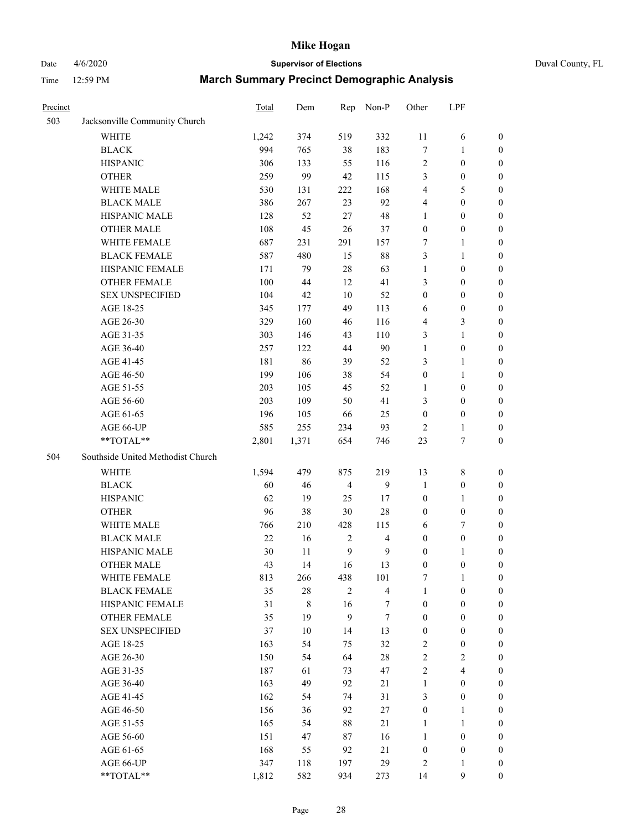# Date 4/6/2020 **Supervisor of Elections** Duval County, FL

| Precinct |                                   | Total | Dem     | Rep              | Non-P                   | Other            | LPF              |                  |
|----------|-----------------------------------|-------|---------|------------------|-------------------------|------------------|------------------|------------------|
| 503      | Jacksonville Community Church     |       |         |                  |                         |                  |                  |                  |
|          | <b>WHITE</b>                      | 1,242 | 374     | 519              | 332                     | 11               | 6                | 0                |
|          | <b>BLACK</b>                      | 994   | 765     | 38               | 183                     | 7                | 1                | 0                |
|          | <b>HISPANIC</b>                   | 306   | 133     | 55               | 116                     | 2                | $\boldsymbol{0}$ | $\boldsymbol{0}$ |
|          | <b>OTHER</b>                      | 259   | 99      | 42               | 115                     | 3                | $\boldsymbol{0}$ | $\boldsymbol{0}$ |
|          | WHITE MALE                        | 530   | 131     | 222              | 168                     | 4                | 5                | $\boldsymbol{0}$ |
|          | <b>BLACK MALE</b>                 | 386   | 267     | 23               | 92                      | 4                | $\boldsymbol{0}$ | $\boldsymbol{0}$ |
|          | HISPANIC MALE                     | 128   | 52      | 27               | 48                      | 1                | $\boldsymbol{0}$ | $\boldsymbol{0}$ |
|          | <b>OTHER MALE</b>                 | 108   | 45      | 26               | 37                      | $\boldsymbol{0}$ | $\boldsymbol{0}$ | $\boldsymbol{0}$ |
|          | WHITE FEMALE                      | 687   | 231     | 291              | 157                     | 7                | $\mathbf{1}$     | $\boldsymbol{0}$ |
|          | <b>BLACK FEMALE</b>               | 587   | 480     | 15               | $88\,$                  | 3                | $\mathbf{1}$     | 0                |
|          | HISPANIC FEMALE                   | 171   | 79      | 28               | 63                      | $\mathbf{1}$     | $\boldsymbol{0}$ | 0                |
|          | <b>OTHER FEMALE</b>               | 100   | 44      | 12               | 41                      | 3                | $\boldsymbol{0}$ | $\boldsymbol{0}$ |
|          | <b>SEX UNSPECIFIED</b>            | 104   | 42      | 10               | 52                      | $\boldsymbol{0}$ | $\boldsymbol{0}$ | $\boldsymbol{0}$ |
|          | AGE 18-25                         | 345   | 177     | 49               | 113                     | 6                | $\boldsymbol{0}$ | $\boldsymbol{0}$ |
|          | AGE 26-30                         | 329   | 160     | 46               | 116                     | 4                | $\mathfrak{Z}$   | $\boldsymbol{0}$ |
|          | AGE 31-35                         | 303   | 146     | 43               | 110                     | 3                | $\mathbf{1}$     | $\boldsymbol{0}$ |
|          | AGE 36-40                         | 257   | 122     | 44               | 90                      | $\mathbf{1}$     | $\boldsymbol{0}$ | $\boldsymbol{0}$ |
|          | AGE 41-45                         | 181   | 86      | 39               | 52                      | 3                | $\mathbf{1}$     | $\boldsymbol{0}$ |
|          | AGE 46-50                         | 199   | 106     | 38               | 54                      | $\boldsymbol{0}$ | $\mathbf{1}$     | $\boldsymbol{0}$ |
|          | AGE 51-55                         | 203   | 105     | 45               | 52                      | 1                | $\boldsymbol{0}$ | 0                |
|          | AGE 56-60                         | 203   | 109     | 50               | 41                      | 3                | $\boldsymbol{0}$ | 0                |
|          | AGE 61-65                         | 196   | 105     | 66               | 25                      | $\boldsymbol{0}$ | $\boldsymbol{0}$ | 0                |
|          | AGE 66-UP                         | 585   | 255     | 234              | 93                      | $\overline{2}$   | $\mathbf{1}$     | $\boldsymbol{0}$ |
|          | **TOTAL**                         | 2,801 | 1,371   | 654              | 746                     | 23               | $\boldsymbol{7}$ | $\boldsymbol{0}$ |
| 504      | Southside United Methodist Church |       |         |                  |                         |                  |                  |                  |
|          | <b>WHITE</b>                      | 1,594 | 479     | 875              | 219                     | 13               | $\,$ 8 $\,$      | $\boldsymbol{0}$ |
|          | <b>BLACK</b>                      | 60    | 46      | $\overline{4}$   | 9                       | $\mathbf{1}$     | $\boldsymbol{0}$ | $\boldsymbol{0}$ |
|          | <b>HISPANIC</b>                   | 62    | 19      | 25               | 17                      | $\boldsymbol{0}$ | $\mathbf{1}$     | $\boldsymbol{0}$ |
|          | <b>OTHER</b>                      | 96    | 38      | $30\,$           | $28\,$                  | $\boldsymbol{0}$ | $\boldsymbol{0}$ | $\boldsymbol{0}$ |
|          | WHITE MALE                        | 766   | 210     | 428              | 115                     | 6                | $\tau$           | $\overline{0}$   |
|          | <b>BLACK MALE</b>                 | 22    | 16      | $\sqrt{2}$       | $\overline{\mathbf{4}}$ | $\boldsymbol{0}$ | $\boldsymbol{0}$ | $\overline{0}$   |
|          | HISPANIC MALE                     | 30    | 11      | $\boldsymbol{9}$ | $\mathbf{9}$            | $\boldsymbol{0}$ | 1                | 0                |
|          | <b>OTHER MALE</b>                 | 43    | 14      | 16               | 13                      | $\boldsymbol{0}$ | $\boldsymbol{0}$ | $\boldsymbol{0}$ |
|          | WHITE FEMALE                      | 813   | 266     | 438              | 101                     | 7                | 1                | 0                |
|          | <b>BLACK FEMALE</b>               | 35    | $28\,$  | $\overline{2}$   | $\overline{4}$          | $\mathbf{1}$     | $\boldsymbol{0}$ | $\overline{0}$   |
|          | HISPANIC FEMALE                   | 31    | $\,8\,$ | 16               | 7                       | $\boldsymbol{0}$ | $\boldsymbol{0}$ | $\overline{0}$   |
|          | OTHER FEMALE                      | 35    | 19      | $\mathbf{9}$     | $\tau$                  | $\boldsymbol{0}$ | $\boldsymbol{0}$ | $\overline{0}$   |
|          | <b>SEX UNSPECIFIED</b>            | 37    | 10      | 14               | 13                      | $\boldsymbol{0}$ | $\boldsymbol{0}$ | 0                |
|          | AGE 18-25                         | 163   | 54      | 75               | 32                      | 2                | $\boldsymbol{0}$ | 0                |
|          | AGE 26-30                         | 150   | 54      | 64               | $28\,$                  | $\overline{c}$   | $\overline{c}$   | 0                |
|          | AGE 31-35                         | 187   | 61      | 73               | 47                      | $\overline{2}$   | $\overline{4}$   | 0                |
|          | AGE 36-40                         | 163   | 49      | 92               | $21\,$                  | $\mathbf{1}$     | $\boldsymbol{0}$ | 0                |
|          | AGE 41-45                         | 162   | 54      | 74               | 31                      | 3                | $\boldsymbol{0}$ | 0                |
|          | AGE 46-50                         | 156   | 36      | 92               | $27\,$                  | $\boldsymbol{0}$ | 1                | 0                |
|          | AGE 51-55                         | 165   | 54      | $88\,$           | 21                      | $\mathbf{1}$     | $\mathbf{1}$     | 0                |
|          | AGE 56-60                         | 151   | 47      | 87               | 16                      | $\mathbf{1}$     | $\boldsymbol{0}$ | 0                |
|          | AGE 61-65                         | 168   | 55      | 92               | 21                      | $\boldsymbol{0}$ | $\boldsymbol{0}$ | 0                |
|          | AGE 66-UP                         | 347   | 118     | 197              | 29                      | 2                | $\mathbf{1}$     | 0                |
|          | **TOTAL**                         | 1,812 | 582     | 934              | 273                     | 14               | 9                | $\boldsymbol{0}$ |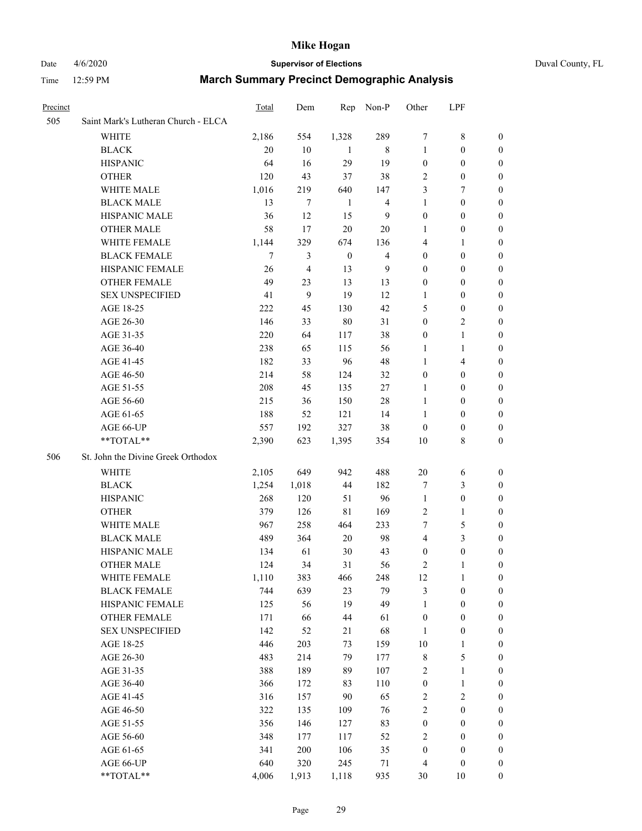#### Date 4/6/2020 **Supervisor of Elections** Duval County, FL

| Precinct |                                     | <b>Total</b> | Dem   | Rep              | Non-P            | Other            | LPF                     |                  |
|----------|-------------------------------------|--------------|-------|------------------|------------------|------------------|-------------------------|------------------|
| 505      | Saint Mark's Lutheran Church - ELCA |              |       |                  |                  |                  |                         |                  |
|          | <b>WHITE</b>                        | 2,186        | 554   | 1,328            | 289              | 7                | 8                       | 0                |
|          | <b>BLACK</b>                        | 20           | 10    | -1               | 8                | $\mathbf{1}$     | $\boldsymbol{0}$        | $\boldsymbol{0}$ |
|          | <b>HISPANIC</b>                     | 64           | 16    | 29               | 19               | $\boldsymbol{0}$ | $\boldsymbol{0}$        | 0                |
|          | <b>OTHER</b>                        | 120          | 43    | 37               | 38               | $\overline{c}$   | $\boldsymbol{0}$        | $\boldsymbol{0}$ |
|          | WHITE MALE                          | 1,016        | 219   | 640              | 147              | 3                | 7                       | 0                |
|          | <b>BLACK MALE</b>                   | 13           | 7     | $\mathbf{1}$     | $\overline{4}$   | 1                | $\boldsymbol{0}$        | $\boldsymbol{0}$ |
|          | HISPANIC MALE                       | 36           | 12    | 15               | $\boldsymbol{9}$ | $\boldsymbol{0}$ | $\boldsymbol{0}$        | $\boldsymbol{0}$ |
|          | <b>OTHER MALE</b>                   | 58           | 17    | $20\,$           | 20               | 1                | $\boldsymbol{0}$        | 0                |
|          | WHITE FEMALE                        | 1,144        | 329   | 674              | 136              | 4                | 1                       | 0                |
|          | <b>BLACK FEMALE</b>                 | 7            | 3     | $\boldsymbol{0}$ | $\overline{4}$   | $\boldsymbol{0}$ | $\boldsymbol{0}$        | 0                |
|          | HISPANIC FEMALE                     | 26           | 4     | 13               | 9                | $\boldsymbol{0}$ | $\boldsymbol{0}$        | 0                |
|          | OTHER FEMALE                        | 49           | 23    | 13               | 13               | $\boldsymbol{0}$ | $\boldsymbol{0}$        | 0                |
|          | <b>SEX UNSPECIFIED</b>              | 41           | 9     | 19               | 12               | 1                | $\boldsymbol{0}$        | $\boldsymbol{0}$ |
|          | AGE 18-25                           | 222          | 45    | 130              | 42               | 5                | $\boldsymbol{0}$        | $\boldsymbol{0}$ |
|          | AGE 26-30                           | 146          | 33    | $80\,$           | 31               | $\boldsymbol{0}$ | $\overline{2}$          | 0                |
|          | AGE 31-35                           | 220          | 64    | 117              | 38               | $\boldsymbol{0}$ | $\mathbf{1}$            | $\boldsymbol{0}$ |
|          | AGE 36-40                           | 238          | 65    | 115              | 56               | $\mathbf{1}$     | $\mathbf{1}$            | $\boldsymbol{0}$ |
|          | AGE 41-45                           | 182          | 33    | 96               | 48               | $\mathbf{1}$     | $\overline{\mathbf{4}}$ | $\boldsymbol{0}$ |
|          | AGE 46-50                           | 214          | 58    | 124              | 32               | $\boldsymbol{0}$ | $\boldsymbol{0}$        | 0                |
|          | AGE 51-55                           | 208          | 45    | 135              | 27               | 1                | $\boldsymbol{0}$        | 0                |
|          | AGE 56-60                           | 215          | 36    | 150              | 28               | $\mathbf{1}$     | $\boldsymbol{0}$        | 0                |
|          | AGE 61-65                           | 188          | 52    | 121              | 14               | $\mathbf{1}$     | $\boldsymbol{0}$        | 0                |
|          | AGE 66-UP                           | 557          | 192   | 327              | 38               | $\boldsymbol{0}$ | $\boldsymbol{0}$        | 0                |
|          | **TOTAL**                           | 2,390        | 623   | 1,395            | 354              | 10               | $\,$ 8 $\,$             | $\boldsymbol{0}$ |
| 506      | St. John the Divine Greek Orthodox  |              |       |                  |                  |                  |                         |                  |
|          | WHITE                               | 2,105        | 649   | 942              | 488              | 20               | 6                       | $\boldsymbol{0}$ |
|          | <b>BLACK</b>                        | 1,254        | 1,018 | 44               | 182              | 7                | $\mathfrak{Z}$          | $\boldsymbol{0}$ |
|          | <b>HISPANIC</b>                     | 268          | 120   | 51               | 96               | $\mathbf{1}$     | $\boldsymbol{0}$        | 0                |
|          | <b>OTHER</b>                        | 379          | 126   | 81               | 169              | $\overline{c}$   | $\mathbf{1}$            | $\overline{0}$   |
|          | WHITE MALE                          | 967          | 258   | 464              | 233              | 7                | $\mathfrak s$           | 0                |
|          | <b>BLACK MALE</b>                   | 489          | 364   | 20               | 98               | 4                | $\mathfrak{Z}$          | 0                |
|          | HISPANIC MALE                       | 134          | 61    | 30               | 43               | $\boldsymbol{0}$ | $\boldsymbol{0}$        | 0                |
|          | <b>OTHER MALE</b>                   | 124          | 34    | 31               | 56               | 2                | 1                       | 0                |
|          | WHITE FEMALE                        | 1,110        | 383   | 466              | 248              | 12               | $\mathbf{1}$            | $\overline{0}$   |
|          | <b>BLACK FEMALE</b>                 | 744          | 639   | 23               | 79               | 3                | $\boldsymbol{0}$        | $\boldsymbol{0}$ |
|          | HISPANIC FEMALE                     | 125          | 56    | 19               | 49               | $\mathbf{1}$     | $\boldsymbol{0}$        | $\overline{0}$   |
|          | <b>OTHER FEMALE</b>                 | 171          | 66    | $44\,$           | 61               | $\boldsymbol{0}$ | $\boldsymbol{0}$        | $\overline{0}$   |
|          | <b>SEX UNSPECIFIED</b>              | 142          | 52    | 21               | 68               | $\mathbf{1}$     | $\boldsymbol{0}$        | 0                |
|          | AGE 18-25                           | 446          | 203   | 73               | 159              | $10\,$           | $\mathbf{1}$            | 0                |
|          | AGE 26-30                           | 483          | 214   | 79               | 177              | $\,$ $\,$        | $\sqrt{5}$              | 0                |
|          | AGE 31-35                           | 388          | 189   | 89               | 107              | $\sqrt{2}$       | $\mathbf{1}$            | 0                |
|          | AGE 36-40                           | 366          | 172   | 83               | 110              | $\boldsymbol{0}$ | $\mathbf{1}$            | 0                |
|          | AGE 41-45                           | 316          | 157   | 90               | 65               | $\sqrt{2}$       | $\sqrt{2}$              | 0                |
|          | AGE 46-50                           | 322          | 135   | 109              | 76               | $\sqrt{2}$       | $\boldsymbol{0}$        | 0                |
|          | AGE 51-55                           | 356          | 146   | 127              | 83               | $\boldsymbol{0}$ | $\boldsymbol{0}$        | $\boldsymbol{0}$ |
|          | AGE 56-60                           | 348          | 177   | 117              | 52               | $\sqrt{2}$       | $\boldsymbol{0}$        | $\boldsymbol{0}$ |
|          | AGE 61-65                           | 341          | 200   | 106              | 35               | $\boldsymbol{0}$ | $\boldsymbol{0}$        | $\boldsymbol{0}$ |
|          | AGE 66-UP                           | 640          | 320   | 245              | 71               | $\overline{4}$   | $\boldsymbol{0}$        | 0                |
|          | **TOTAL**                           | 4,006        | 1,913 | 1,118            | 935              | 30               | 10                      | $\boldsymbol{0}$ |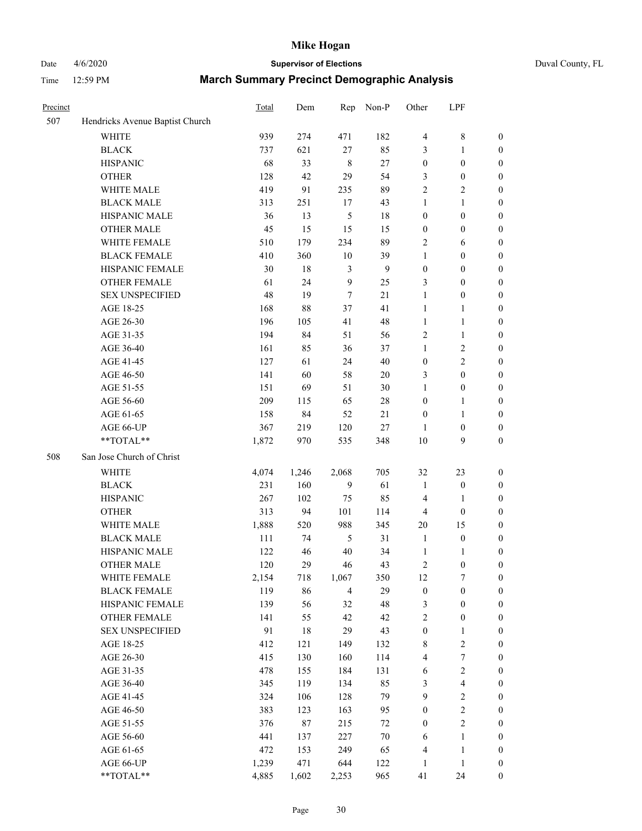## Date 4/6/2020 **Supervisor of Elections** Duval County, FL

| Precinct |                                 | Total | Dem    | Rep            | Non-P          | Other            | LPF              |                  |
|----------|---------------------------------|-------|--------|----------------|----------------|------------------|------------------|------------------|
| 507      | Hendricks Avenue Baptist Church |       |        |                |                |                  |                  |                  |
|          | <b>WHITE</b>                    | 939   | 274    | 471            | 182            | $\overline{4}$   | $\,$ 8 $\,$      | $\boldsymbol{0}$ |
|          | <b>BLACK</b>                    | 737   | 621    | 27             | 85             | 3                | $\mathbf{1}$     | $\boldsymbol{0}$ |
|          | <b>HISPANIC</b>                 | 68    | 33     | 8              | 27             | $\boldsymbol{0}$ | $\boldsymbol{0}$ | $\boldsymbol{0}$ |
|          | <b>OTHER</b>                    | 128   | 42     | 29             | 54             | 3                | $\boldsymbol{0}$ | $\boldsymbol{0}$ |
|          | WHITE MALE                      | 419   | 91     | 235            | 89             | 2                | $\overline{2}$   | $\boldsymbol{0}$ |
|          | <b>BLACK MALE</b>               | 313   | 251    | 17             | 43             | $\mathbf{1}$     | $\mathbf{1}$     | $\boldsymbol{0}$ |
|          | HISPANIC MALE                   | 36    | 13     | $\mathfrak s$  | $18\,$         | $\boldsymbol{0}$ | $\boldsymbol{0}$ | $\boldsymbol{0}$ |
|          | <b>OTHER MALE</b>               | 45    | 15     | 15             | 15             | $\boldsymbol{0}$ | $\boldsymbol{0}$ | $\boldsymbol{0}$ |
|          | WHITE FEMALE                    | 510   | 179    | 234            | 89             | 2                | 6                | $\boldsymbol{0}$ |
|          | <b>BLACK FEMALE</b>             | 410   | 360    | 10             | 39             | $\mathbf{1}$     | $\boldsymbol{0}$ | 0                |
|          | HISPANIC FEMALE                 | 30    | $18\,$ | $\mathfrak{Z}$ | $\overline{9}$ | $\boldsymbol{0}$ | $\boldsymbol{0}$ | $\boldsymbol{0}$ |
|          | <b>OTHER FEMALE</b>             | 61    | 24     | 9              | 25             | 3                | $\boldsymbol{0}$ | $\boldsymbol{0}$ |
|          | <b>SEX UNSPECIFIED</b>          | 48    | 19     | $\tau$         | 21             | $\mathbf{1}$     | $\boldsymbol{0}$ | $\boldsymbol{0}$ |
|          | AGE 18-25                       | 168   | 88     | 37             | 41             | $\mathbf{1}$     | $\mathbf{1}$     | $\boldsymbol{0}$ |
|          | AGE 26-30                       | 196   | 105    | 41             | 48             | $\mathbf{1}$     | $\mathbf{1}$     | $\boldsymbol{0}$ |
|          | AGE 31-35                       | 194   | 84     | 51             | 56             | $\overline{c}$   | $\mathbf{1}$     | $\boldsymbol{0}$ |
|          | AGE 36-40                       | 161   | 85     | 36             | 37             | $\mathbf{1}$     | $\sqrt{2}$       | $\boldsymbol{0}$ |
|          | AGE 41-45                       | 127   | 61     | 24             | 40             | $\boldsymbol{0}$ | $\overline{2}$   | $\boldsymbol{0}$ |
|          | AGE 46-50                       | 141   | 60     | 58             | 20             | 3                | $\boldsymbol{0}$ | $\boldsymbol{0}$ |
|          | AGE 51-55                       | 151   | 69     | 51             | 30             | $\mathbf{1}$     | $\boldsymbol{0}$ | 0                |
|          | AGE 56-60                       | 209   | 115    | 65             | $28\,$         | $\boldsymbol{0}$ | 1                | $\boldsymbol{0}$ |
|          | AGE 61-65                       | 158   | 84     | 52             | 21             | $\boldsymbol{0}$ | $\mathbf{1}$     | $\boldsymbol{0}$ |
|          | AGE 66-UP                       | 367   | 219    | 120            | $27\,$         | 1                | $\boldsymbol{0}$ | $\boldsymbol{0}$ |
|          | **TOTAL**                       | 1,872 | 970    | 535            | 348            | 10               | 9                | $\boldsymbol{0}$ |
| 508      | San Jose Church of Christ       |       |        |                |                |                  |                  |                  |
|          | WHITE                           | 4,074 | 1,246  | 2,068          | 705            | 32               | 23               | $\boldsymbol{0}$ |
|          | <b>BLACK</b>                    | 231   | 160    | 9              | 61             | $\mathbf{1}$     | $\boldsymbol{0}$ | $\boldsymbol{0}$ |
|          | <b>HISPANIC</b>                 | 267   | 102    | 75             | 85             | 4                | $\mathbf{1}$     | $\boldsymbol{0}$ |
|          | <b>OTHER</b>                    | 313   | 94     | 101            | 114            | $\overline{4}$   | $\boldsymbol{0}$ | $\overline{0}$   |
|          | WHITE MALE                      | 1,888 | 520    | 988            | 345            | $20\,$           | 15               | $\boldsymbol{0}$ |
|          | <b>BLACK MALE</b>               | 111   | 74     | $\sqrt{5}$     | 31             | $\mathbf{1}$     | $\boldsymbol{0}$ | $\boldsymbol{0}$ |
|          | HISPANIC MALE                   | 122   | 46     | 40             | 34             | $\mathbf{1}$     | 1                | 0                |
|          | <b>OTHER MALE</b>               | 120   | 29     | 46             | 43             | $\sqrt{2}$       | $\boldsymbol{0}$ | $\boldsymbol{0}$ |
|          | WHITE FEMALE                    | 2,154 | 718    | 1,067          | 350            | 12               | 7                | $\boldsymbol{0}$ |
|          | <b>BLACK FEMALE</b>             | 119   | 86     | $\overline{4}$ | 29             | $\boldsymbol{0}$ | $\boldsymbol{0}$ | $\boldsymbol{0}$ |
|          | HISPANIC FEMALE                 | 139   | 56     | 32             | 48             | 3                | $\boldsymbol{0}$ | $\overline{0}$   |
|          | <b>OTHER FEMALE</b>             | 141   | 55     | 42             | 42             | $\overline{c}$   | $\boldsymbol{0}$ | 0                |
|          | <b>SEX UNSPECIFIED</b>          | 91    | $18\,$ | 29             | 43             | $\boldsymbol{0}$ | $\mathbf{1}$     | 0                |
|          | AGE 18-25                       | 412   | 121    | 149            | 132            | $\,$ 8 $\,$      | $\sqrt{2}$       | 0                |
|          | AGE 26-30                       | 415   | 130    | 160            | 114            | 4                | $\boldsymbol{7}$ | 0                |
|          | AGE 31-35                       | 478   | 155    | 184            | 131            | 6                | $\boldsymbol{2}$ | 0                |
|          | AGE 36-40                       | 345   | 119    | 134            | 85             | 3                | $\overline{4}$   | 0                |
|          | AGE 41-45                       | 324   | 106    | 128            | 79             | 9                | $\overline{c}$   | 0                |
|          | AGE 46-50                       | 383   | 123    | 163            | 95             | $\boldsymbol{0}$ | $\boldsymbol{2}$ | $\boldsymbol{0}$ |
|          | AGE 51-55                       | 376   | $87\,$ | 215            | 72             | $\boldsymbol{0}$ | $\sqrt{2}$       | $\boldsymbol{0}$ |
|          | AGE 56-60                       | 441   | 137    | 227            | $70\,$         | 6                | $\mathbf{1}$     | $\boldsymbol{0}$ |
|          | AGE 61-65                       | 472   | 153    | 249            | 65             | 4                | $\mathbf{1}$     | $\boldsymbol{0}$ |
|          | AGE 66-UP                       | 1,239 | 471    | 644            | 122            | $\mathbf{1}$     | $\mathbf{1}$     | $\boldsymbol{0}$ |
|          | **TOTAL**                       | 4,885 | 1,602  | 2,253          | 965            | 41               | 24               | $\boldsymbol{0}$ |
|          |                                 |       |        |                |                |                  |                  |                  |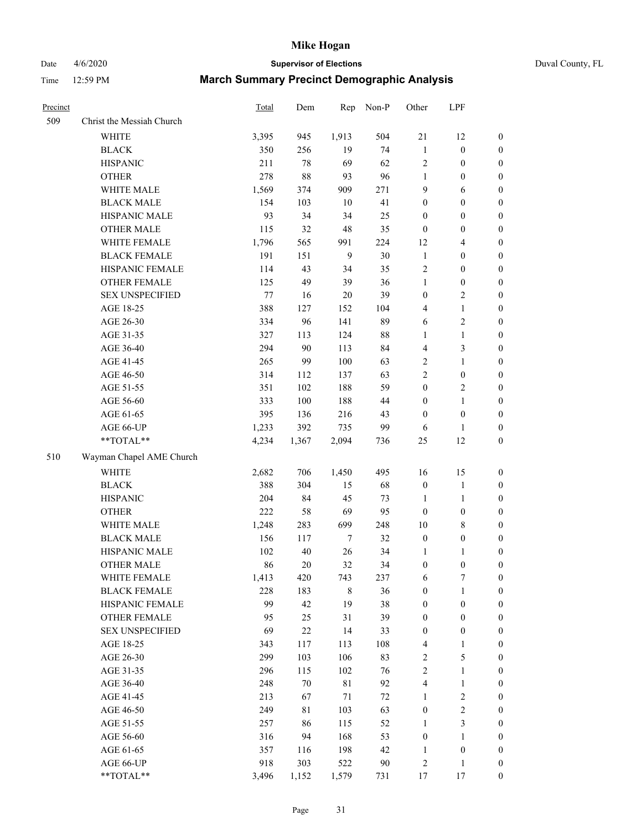Date 4/6/2020 **Supervisor of Elections** Duval County, FL

| Precinct |                           | Total  | Dem    | Rep          | Non-P  | Other            | LPF              |                  |
|----------|---------------------------|--------|--------|--------------|--------|------------------|------------------|------------------|
| 509      | Christ the Messiah Church |        |        |              |        |                  |                  |                  |
|          | <b>WHITE</b>              | 3,395  | 945    | 1,913        | 504    | $21\,$           | 12               | 0                |
|          | <b>BLACK</b>              | 350    | 256    | 19           | 74     | $\mathbf{1}$     | $\boldsymbol{0}$ | 0                |
|          | <b>HISPANIC</b>           | 211    | 78     | 69           | 62     | 2                | $\boldsymbol{0}$ | $\boldsymbol{0}$ |
|          | <b>OTHER</b>              | 278    | $88\,$ | 93           | 96     | $\mathbf{1}$     | $\boldsymbol{0}$ | $\boldsymbol{0}$ |
|          | WHITE MALE                | 1,569  | 374    | 909          | 271    | 9                | 6                | $\boldsymbol{0}$ |
|          | <b>BLACK MALE</b>         | 154    | 103    | 10           | 41     | $\boldsymbol{0}$ | $\boldsymbol{0}$ | $\boldsymbol{0}$ |
|          | HISPANIC MALE             | 93     | 34     | 34           | 25     | $\boldsymbol{0}$ | $\boldsymbol{0}$ | $\boldsymbol{0}$ |
|          | <b>OTHER MALE</b>         | 115    | 32     | 48           | 35     | $\boldsymbol{0}$ | $\boldsymbol{0}$ | $\boldsymbol{0}$ |
|          | WHITE FEMALE              | 1,796  | 565    | 991          | 224    | 12               | $\overline{4}$   | $\boldsymbol{0}$ |
|          | <b>BLACK FEMALE</b>       | 191    | 151    | $\mathbf{9}$ | $30\,$ | $\mathbf{1}$     | $\boldsymbol{0}$ | $\boldsymbol{0}$ |
|          | HISPANIC FEMALE           | 114    | 43     | 34           | 35     | 2                | $\boldsymbol{0}$ | $\boldsymbol{0}$ |
|          | OTHER FEMALE              | 125    | 49     | 39           | 36     | $\mathbf{1}$     | $\boldsymbol{0}$ | $\boldsymbol{0}$ |
|          | <b>SEX UNSPECIFIED</b>    | $77\,$ | 16     | 20           | 39     | $\boldsymbol{0}$ | $\sqrt{2}$       | $\boldsymbol{0}$ |
|          | AGE 18-25                 | 388    | 127    | 152          | 104    | 4                | $\mathbf{1}$     | $\boldsymbol{0}$ |
|          | AGE 26-30                 | 334    | 96     | 141          | 89     | 6                | $\sqrt{2}$       | $\boldsymbol{0}$ |
|          | AGE 31-35                 | 327    | 113    | 124          | $88\,$ | $\mathbf{1}$     | $\mathbf{1}$     | $\boldsymbol{0}$ |
|          | AGE 36-40                 | 294    | 90     | 113          | 84     | 4                | 3                | $\boldsymbol{0}$ |
|          | AGE 41-45                 | 265    | 99     | 100          | 63     | $\overline{c}$   | $\mathbf{1}$     | $\boldsymbol{0}$ |
|          | AGE 46-50                 | 314    | 112    | 137          | 63     | $\overline{2}$   | $\boldsymbol{0}$ | $\boldsymbol{0}$ |
|          | AGE 51-55                 | 351    | 102    | 188          | 59     | $\boldsymbol{0}$ | $\sqrt{2}$       | 0                |
|          | AGE 56-60                 | 333    | 100    | 188          | 44     | $\boldsymbol{0}$ | $\mathbf{1}$     | 0                |
|          | AGE 61-65                 | 395    | 136    | 216          | 43     | $\boldsymbol{0}$ | $\boldsymbol{0}$ | $\boldsymbol{0}$ |
|          | AGE 66-UP                 | 1,233  | 392    | 735          | 99     | 6                | 1                | $\boldsymbol{0}$ |
|          | **TOTAL**                 | 4,234  | 1,367  | 2,094        | 736    | 25               | 12               | $\boldsymbol{0}$ |
| 510      | Wayman Chapel AME Church  |        |        |              |        |                  |                  |                  |
|          | <b>WHITE</b>              | 2,682  | 706    | 1,450        | 495    | 16               | 15               | $\boldsymbol{0}$ |
|          | <b>BLACK</b>              | 388    | 304    | 15           | 68     | $\boldsymbol{0}$ | $\mathbf{1}$     | $\boldsymbol{0}$ |
|          | <b>HISPANIC</b>           | 204    | 84     | 45           | 73     | $\mathbf{1}$     | $\mathbf{1}$     | $\boldsymbol{0}$ |
|          | <b>OTHER</b>              | 222    | 58     | 69           | 95     | $\boldsymbol{0}$ | $\boldsymbol{0}$ | $\boldsymbol{0}$ |
|          | WHITE MALE                | 1,248  | 283    | 699          | 248    | $10\,$           | $\,$ 8 $\,$      | $\boldsymbol{0}$ |
|          | <b>BLACK MALE</b>         | 156    | 117    | $\tau$       | 32     | $\boldsymbol{0}$ | $\boldsymbol{0}$ | $\boldsymbol{0}$ |
|          | HISPANIC MALE             | 102    | $40\,$ | $26\,$       | 34     | 1                | 1                | 0                |
|          | <b>OTHER MALE</b>         | 86     | $20\,$ | 32           | 34     | $\boldsymbol{0}$ | $\boldsymbol{0}$ | $\boldsymbol{0}$ |
|          | WHITE FEMALE              | 1,413  | 420    | 743          | 237    | 6                | 7                | 0                |
|          | <b>BLACK FEMALE</b>       | 228    | 183    | 8            | 36     | $\boldsymbol{0}$ | $\mathbf{1}$     | $\boldsymbol{0}$ |
|          | HISPANIC FEMALE           | 99     | 42     | 19           | 38     | $\boldsymbol{0}$ | $\boldsymbol{0}$ | $\overline{0}$   |
|          | <b>OTHER FEMALE</b>       | 95     | 25     | 31           | 39     | $\boldsymbol{0}$ | $\boldsymbol{0}$ | 0                |
|          | <b>SEX UNSPECIFIED</b>    | 69     | $22\,$ | 14           | 33     | $\boldsymbol{0}$ | $\boldsymbol{0}$ | 0                |
|          | AGE 18-25                 | 343    | 117    | 113          | 108    | 4                | $\mathbf{1}$     | 0                |
|          | AGE 26-30                 | 299    | 103    | 106          | 83     | 2                | $\mathfrak s$    | 0                |
|          | AGE 31-35                 | 296    | 115    | 102          | 76     | $\overline{c}$   | $\mathbf{1}$     | 0                |
|          | AGE 36-40                 | 248    | $70\,$ | $8\sqrt{1}$  | 92     | 4                | $\mathbf{1}$     | 0                |
|          | AGE 41-45                 | 213    | 67     | $71\,$       | 72     | $\mathbf{1}$     | $\sqrt{2}$       | 0                |
|          | AGE 46-50                 | 249    | 81     | 103          | 63     | $\boldsymbol{0}$ | $\sqrt{2}$       | 0                |
|          | AGE 51-55                 | 257    | 86     | 115          | 52     | $\mathbf{1}$     | 3                | 0                |
|          | AGE 56-60                 | 316    | 94     | 168          | 53     | $\boldsymbol{0}$ | 1                | 0                |
|          | AGE 61-65                 | 357    | 116    | 198          | 42     | 1                | $\boldsymbol{0}$ | 0                |
|          | AGE 66-UP                 | 918    | 303    | 522          | 90     | 2                | $\mathbf{1}$     | 0                |
|          | **TOTAL**                 | 3,496  | 1,152  | 1,579        | 731    | 17               | 17               | $\boldsymbol{0}$ |
|          |                           |        |        |              |        |                  |                  |                  |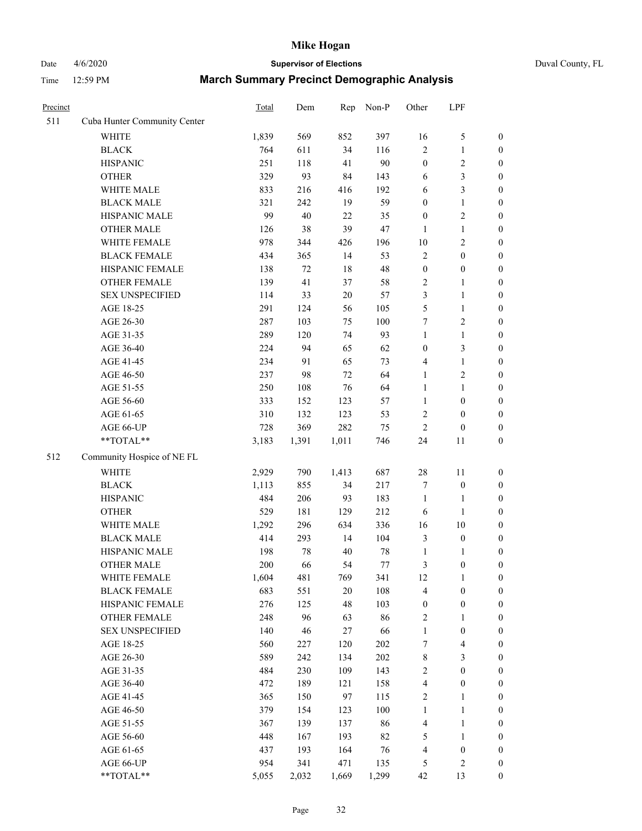# Date 4/6/2020 **Supervisor of Elections** Duval County, FL

| Precinct |                              | Total | Dem    | Rep   | Non-P | Other            | LPF              |                  |
|----------|------------------------------|-------|--------|-------|-------|------------------|------------------|------------------|
| 511      | Cuba Hunter Community Center |       |        |       |       |                  |                  |                  |
|          | <b>WHITE</b>                 | 1,839 | 569    | 852   | 397   | 16               | $\mathfrak s$    | 0                |
|          | <b>BLACK</b>                 | 764   | 611    | 34    | 116   | $\overline{c}$   | $\mathbf{1}$     | $\boldsymbol{0}$ |
|          | <b>HISPANIC</b>              | 251   | 118    | 41    | 90    | $\boldsymbol{0}$ | $\sqrt{2}$       | $\boldsymbol{0}$ |
|          | <b>OTHER</b>                 | 329   | 93     | 84    | 143   | 6                | $\mathfrak{Z}$   | $\boldsymbol{0}$ |
|          | WHITE MALE                   | 833   | 216    | 416   | 192   | 6                | $\mathfrak{Z}$   | $\boldsymbol{0}$ |
|          | <b>BLACK MALE</b>            | 321   | 242    | 19    | 59    | $\boldsymbol{0}$ | $\mathbf{1}$     | $\boldsymbol{0}$ |
|          | HISPANIC MALE                | 99    | $40\,$ | 22    | 35    | $\boldsymbol{0}$ | $\sqrt{2}$       | $\boldsymbol{0}$ |
|          | <b>OTHER MALE</b>            | 126   | 38     | 39    | 47    | $\mathbf{1}$     | $\mathbf{1}$     | $\boldsymbol{0}$ |
|          | WHITE FEMALE                 | 978   | 344    | 426   | 196   | $10\,$           | $\boldsymbol{2}$ | $\boldsymbol{0}$ |
|          | <b>BLACK FEMALE</b>          | 434   | 365    | 14    | 53    | $\sqrt{2}$       | $\boldsymbol{0}$ | $\boldsymbol{0}$ |
|          | HISPANIC FEMALE              | 138   | 72     | 18    | 48    | $\boldsymbol{0}$ | $\boldsymbol{0}$ | $\boldsymbol{0}$ |
|          | <b>OTHER FEMALE</b>          | 139   | 41     | 37    | 58    | 2                | $\mathbf{1}$     | $\boldsymbol{0}$ |
|          | <b>SEX UNSPECIFIED</b>       | 114   | 33     | 20    | 57    | 3                | $\mathbf{1}$     | $\boldsymbol{0}$ |
|          | AGE 18-25                    | 291   | 124    | 56    | 105   | 5                | $\mathbf{1}$     | $\boldsymbol{0}$ |
|          | AGE 26-30                    | 287   | 103    | 75    | 100   | 7                | $\sqrt{2}$       | $\boldsymbol{0}$ |
|          | AGE 31-35                    | 289   | 120    | 74    | 93    | $\mathbf{1}$     | $\mathbf{1}$     | $\boldsymbol{0}$ |
|          | AGE 36-40                    | 224   | 94     | 65    | 62    | $\boldsymbol{0}$ | $\mathfrak{Z}$   | $\boldsymbol{0}$ |
|          | AGE 41-45                    | 234   | 91     | 65    | 73    | 4                | $\mathbf{1}$     | $\boldsymbol{0}$ |
|          | AGE 46-50                    | 237   | 98     | 72    | 64    | $\mathbf{1}$     | $\sqrt{2}$       | $\boldsymbol{0}$ |
|          | AGE 51-55                    | 250   | 108    | 76    | 64    | $\mathbf{1}$     | $\mathbf{1}$     | $\boldsymbol{0}$ |
|          | AGE 56-60                    | 333   | 152    | 123   | 57    | $\mathbf{1}$     | $\boldsymbol{0}$ | 0                |
|          | AGE 61-65                    | 310   | 132    | 123   | 53    | 2                | $\boldsymbol{0}$ | $\boldsymbol{0}$ |
|          | AGE 66-UP                    | 728   | 369    | 282   | 75    | $\boldsymbol{2}$ | $\boldsymbol{0}$ | $\boldsymbol{0}$ |
|          | **TOTAL**                    | 3,183 | 1,391  | 1,011 | 746   | 24               | 11               | $\boldsymbol{0}$ |
| 512      | Community Hospice of NE FL   |       |        |       |       |                  |                  |                  |
|          | <b>WHITE</b>                 | 2,929 | 790    | 1,413 | 687   | $28\,$           | 11               | $\boldsymbol{0}$ |
|          | <b>BLACK</b>                 | 1,113 | 855    | 34    | 217   | 7                | $\boldsymbol{0}$ | $\boldsymbol{0}$ |
|          | <b>HISPANIC</b>              | 484   | 206    | 93    | 183   | $\mathbf{1}$     | $\mathbf{1}$     | $\boldsymbol{0}$ |
|          | <b>OTHER</b>                 | 529   | 181    | 129   | 212   | 6                | $\mathbf{1}$     | $\boldsymbol{0}$ |
|          | WHITE MALE                   | 1,292 | 296    | 634   | 336   | 16               | $10\,$           | $\boldsymbol{0}$ |
|          | <b>BLACK MALE</b>            | 414   | 293    | 14    | 104   | 3                | $\boldsymbol{0}$ | $\boldsymbol{0}$ |
|          | HISPANIC MALE                | 198   | $78\,$ | 40    | 78    | $\mathbf{1}$     | 1                | 0                |
|          | <b>OTHER MALE</b>            | 200   | 66     | 54    | 77    | 3                | $\boldsymbol{0}$ | $\boldsymbol{0}$ |
|          | WHITE FEMALE                 | 1,604 | 481    | 769   | 341   | 12               | 1                | 0                |
|          | <b>BLACK FEMALE</b>          | 683   | 551    | 20    | 108   | 4                | $\boldsymbol{0}$ | $\boldsymbol{0}$ |
|          | HISPANIC FEMALE              | 276   | 125    | 48    | 103   | $\boldsymbol{0}$ | $\boldsymbol{0}$ | $\overline{0}$   |
|          | <b>OTHER FEMALE</b>          | 248   | 96     | 63    | 86    | 2                | $\mathbf{1}$     | $\overline{0}$   |
|          | <b>SEX UNSPECIFIED</b>       | 140   | 46     | 27    | 66    | $\mathbf{1}$     | $\boldsymbol{0}$ | 0                |
|          | AGE 18-25                    | 560   | 227    | 120   | 202   | 7                | $\overline{4}$   | 0                |
|          | AGE 26-30                    | 589   | 242    | 134   | 202   | 8                | $\mathfrak{Z}$   | 0                |
|          | AGE 31-35                    | 484   | 230    | 109   | 143   | $\overline{c}$   | $\boldsymbol{0}$ | 0                |
|          | AGE 36-40                    | 472   | 189    | 121   | 158   | 4                | $\boldsymbol{0}$ | 0                |
|          | AGE 41-45                    | 365   | 150    | 97    | 115   | 2                | $\mathbf{1}$     | 0                |
|          | AGE 46-50                    | 379   | 154    | 123   | 100   | $\mathbf{1}$     | $\mathbf{1}$     | 0                |
|          | AGE 51-55                    | 367   | 139    | 137   | 86    | 4                | $\mathbf{1}$     | 0                |
|          | AGE 56-60                    | 448   | 167    | 193   | 82    | 5                | $\mathbf{1}$     | 0                |
|          | AGE 61-65                    | 437   | 193    | 164   | 76    | 4                | $\boldsymbol{0}$ | $\overline{0}$   |
|          | AGE 66-UP                    | 954   | 341    | 471   | 135   | 5                | $\overline{2}$   | 0                |
|          | **TOTAL**                    | 5,055 | 2,032  | 1,669 | 1,299 | 42               | 13               | $\boldsymbol{0}$ |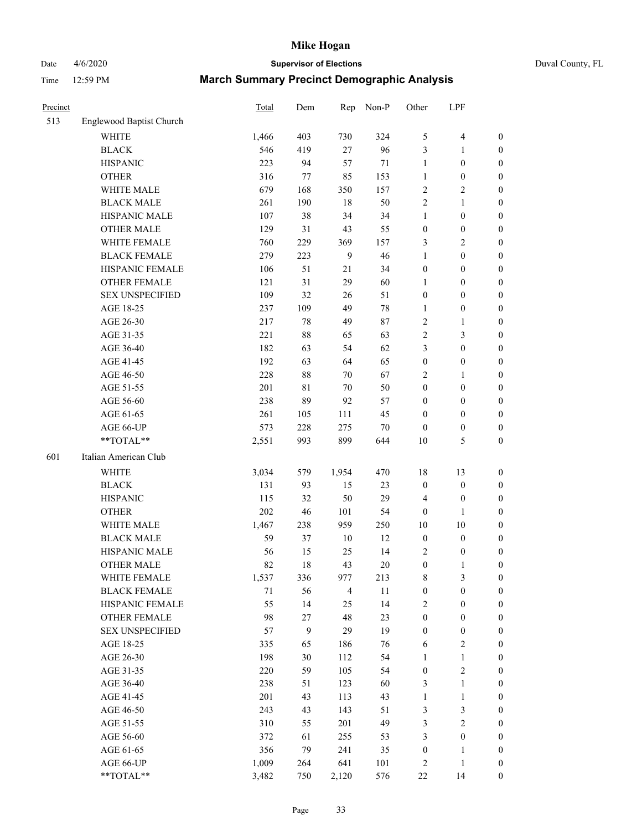# Date 4/6/2020 **Supervisor of Elections** Duval County, FL

| Precinct |                          | Total | Dem          | Rep            | Non-P  | Other            | LPF              |                  |
|----------|--------------------------|-------|--------------|----------------|--------|------------------|------------------|------------------|
| 513      | Englewood Baptist Church |       |              |                |        |                  |                  |                  |
|          | <b>WHITE</b>             | 1,466 | 403          | 730            | 324    | 5                | $\overline{4}$   | 0                |
|          | <b>BLACK</b>             | 546   | 419          | 27             | 96     | 3                | 1                | 0                |
|          | <b>HISPANIC</b>          | 223   | 94           | 57             | $71\,$ | $\mathbf{1}$     | $\boldsymbol{0}$ | $\boldsymbol{0}$ |
|          | <b>OTHER</b>             | 316   | 77           | 85             | 153    | $\mathbf{1}$     | $\boldsymbol{0}$ | $\boldsymbol{0}$ |
|          | WHITE MALE               | 679   | 168          | 350            | 157    | 2                | $\sqrt{2}$       | $\boldsymbol{0}$ |
|          | <b>BLACK MALE</b>        | 261   | 190          | 18             | 50     | $\overline{c}$   | $\mathbf{1}$     | $\boldsymbol{0}$ |
|          | HISPANIC MALE            | 107   | 38           | 34             | 34     | $\mathbf{1}$     | $\boldsymbol{0}$ | $\boldsymbol{0}$ |
|          | <b>OTHER MALE</b>        | 129   | 31           | 43             | 55     | $\boldsymbol{0}$ | $\boldsymbol{0}$ | $\boldsymbol{0}$ |
|          | WHITE FEMALE             | 760   | 229          | 369            | 157    | 3                | $\sqrt{2}$       | $\boldsymbol{0}$ |
|          | <b>BLACK FEMALE</b>      | 279   | 223          | $\mathbf{9}$   | 46     | $\mathbf{1}$     | $\boldsymbol{0}$ | $\boldsymbol{0}$ |
|          | HISPANIC FEMALE          | 106   | 51           | 21             | 34     | $\boldsymbol{0}$ | $\boldsymbol{0}$ | $\boldsymbol{0}$ |
|          | <b>OTHER FEMALE</b>      | 121   | 31           | 29             | 60     | 1                | $\boldsymbol{0}$ | $\boldsymbol{0}$ |
|          | <b>SEX UNSPECIFIED</b>   | 109   | 32           | 26             | 51     | $\boldsymbol{0}$ | $\boldsymbol{0}$ | $\boldsymbol{0}$ |
|          | AGE 18-25                | 237   | 109          | 49             | $78\,$ | $\mathbf{1}$     | $\boldsymbol{0}$ | $\boldsymbol{0}$ |
|          | AGE 26-30                | 217   | 78           | 49             | 87     | 2                | $\mathbf{1}$     | $\boldsymbol{0}$ |
|          | AGE 31-35                | 221   | $88\,$       | 65             | 63     | $\overline{c}$   | 3                | $\boldsymbol{0}$ |
|          | AGE 36-40                | 182   | 63           | 54             | 62     | 3                | $\boldsymbol{0}$ | $\boldsymbol{0}$ |
|          | AGE 41-45                | 192   | 63           | 64             | 65     | $\boldsymbol{0}$ | $\boldsymbol{0}$ | $\boldsymbol{0}$ |
|          | AGE 46-50                | 228   | $88\,$       | 70             | 67     | 2                | 1                | $\boldsymbol{0}$ |
|          | AGE 51-55                | 201   | $8\sqrt{1}$  | $70\,$         | 50     | $\boldsymbol{0}$ | $\boldsymbol{0}$ | $\boldsymbol{0}$ |
|          | AGE 56-60                | 238   | 89           | 92             | 57     | $\boldsymbol{0}$ | $\boldsymbol{0}$ | 0                |
|          | AGE 61-65                | 261   | 105          | 111            | 45     | $\boldsymbol{0}$ | $\boldsymbol{0}$ | $\boldsymbol{0}$ |
|          | AGE 66-UP                | 573   | 228          | 275            | $70\,$ | $\boldsymbol{0}$ | $\boldsymbol{0}$ | $\boldsymbol{0}$ |
|          | **TOTAL**                | 2,551 | 993          | 899            | 644    | $10\,$           | $\mathfrak s$    | $\boldsymbol{0}$ |
| 601      | Italian American Club    |       |              |                |        |                  |                  |                  |
|          | <b>WHITE</b>             | 3,034 | 579          | 1,954          | 470    | 18               | 13               | $\boldsymbol{0}$ |
|          | <b>BLACK</b>             | 131   | 93           | 15             | 23     | $\boldsymbol{0}$ | $\boldsymbol{0}$ | $\boldsymbol{0}$ |
|          | <b>HISPANIC</b>          | 115   | 32           | 50             | 29     | 4                | $\boldsymbol{0}$ | $\boldsymbol{0}$ |
|          | <b>OTHER</b>             | 202   | 46           | 101            | 54     | $\boldsymbol{0}$ | 1                | $\boldsymbol{0}$ |
|          | WHITE MALE               | 1,467 | 238          | 959            | 250    | $10\,$           | 10               | $\boldsymbol{0}$ |
|          | <b>BLACK MALE</b>        | 59    | 37           | $10\,$         | 12     | $\boldsymbol{0}$ | $\boldsymbol{0}$ | $\boldsymbol{0}$ |
|          | HISPANIC MALE            | 56    | 15           | 25             | 14     | 2                | $\boldsymbol{0}$ | 0                |
|          | <b>OTHER MALE</b>        | 82    | 18           | 43             | $20\,$ | $\boldsymbol{0}$ | $\mathbf{1}$     | $\boldsymbol{0}$ |
|          | WHITE FEMALE             | 1,537 | 336          | 977            | 213    | 8                | 3                | 0                |
|          | <b>BLACK FEMALE</b>      | 71    | 56           | $\overline{4}$ | 11     | $\boldsymbol{0}$ | $\boldsymbol{0}$ | $\boldsymbol{0}$ |
|          | HISPANIC FEMALE          | 55    | 14           | 25             | 14     | 2                | $\boldsymbol{0}$ | $\overline{0}$   |
|          | OTHER FEMALE             | 98    | $27\,$       | 48             | 23     | $\boldsymbol{0}$ | $\boldsymbol{0}$ | $\overline{0}$   |
|          | <b>SEX UNSPECIFIED</b>   | 57    | $\mathbf{9}$ | 29             | 19     | $\boldsymbol{0}$ | $\boldsymbol{0}$ | 0                |
|          | AGE 18-25                | 335   | 65           | 186            | 76     | 6                | $\sqrt{2}$       | 0                |
|          | AGE 26-30                | 198   | $30\,$       | 112            | 54     | $\mathbf{1}$     | $\mathbf{1}$     | 0                |
|          | AGE 31-35                | 220   | 59           | 105            | 54     | $\boldsymbol{0}$ | $\sqrt{2}$       | 0                |
|          | AGE 36-40                | 238   | 51           | 123            | 60     | 3                | $\mathbf{1}$     | 0                |
|          | AGE 41-45                | 201   | 43           | 113            | 43     | $\mathbf{1}$     | $\mathbf{1}$     | 0                |
|          | AGE 46-50                | 243   | 43           | 143            | 51     | 3                | $\mathfrak z$    | 0                |
|          | AGE 51-55                | 310   | 55           | 201            | 49     | 3                | $\sqrt{2}$       | 0                |
|          | AGE 56-60                | 372   | 61           | 255            | 53     | 3                | $\boldsymbol{0}$ | $\boldsymbol{0}$ |
|          | AGE 61-65                | 356   | 79           | 241            | 35     | $\boldsymbol{0}$ | 1                | $\boldsymbol{0}$ |
|          | AGE 66-UP                | 1,009 | 264          | 641            | 101    | 2                | $\mathbf{1}$     | 0                |
|          | **TOTAL**                | 3,482 | 750          | 2,120          | 576    | $22\,$           | 14               | $\boldsymbol{0}$ |
|          |                          |       |              |                |        |                  |                  |                  |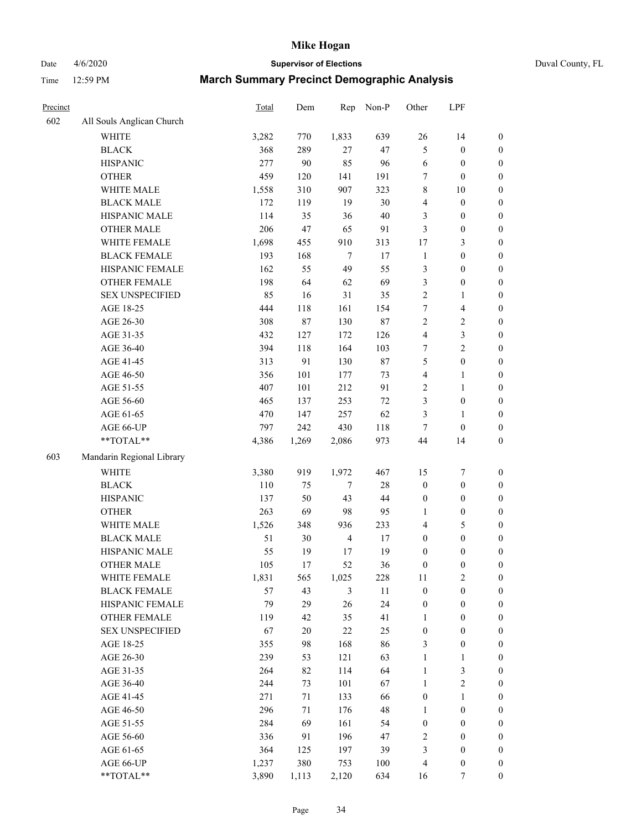Date 4/6/2020 **Supervisor of Elections** Duval County, FL

| Precinct |                           | Total | Dem    | Rep            | Non-P  | Other            | LPF              |                  |
|----------|---------------------------|-------|--------|----------------|--------|------------------|------------------|------------------|
| 602      | All Souls Anglican Church |       |        |                |        |                  |                  |                  |
|          | <b>WHITE</b>              | 3,282 | 770    | 1,833          | 639    | $26\,$           | 14               | 0                |
|          | <b>BLACK</b>              | 368   | 289    | 27             | 47     | 5                | $\boldsymbol{0}$ | $\boldsymbol{0}$ |
|          | <b>HISPANIC</b>           | 277   | 90     | 85             | 96     | 6                | $\boldsymbol{0}$ | $\boldsymbol{0}$ |
|          | <b>OTHER</b>              | 459   | 120    | 141            | 191    | 7                | $\boldsymbol{0}$ | $\boldsymbol{0}$ |
|          | WHITE MALE                | 1,558 | 310    | 907            | 323    | 8                | 10               | $\boldsymbol{0}$ |
|          | <b>BLACK MALE</b>         | 172   | 119    | 19             | 30     | 4                | $\boldsymbol{0}$ | $\boldsymbol{0}$ |
|          | HISPANIC MALE             | 114   | 35     | 36             | $40\,$ | 3                | $\boldsymbol{0}$ | $\boldsymbol{0}$ |
|          | <b>OTHER MALE</b>         | 206   | 47     | 65             | 91     | 3                | $\boldsymbol{0}$ | $\boldsymbol{0}$ |
|          | WHITE FEMALE              | 1,698 | 455    | 910            | 313    | 17               | $\mathfrak{Z}$   | $\boldsymbol{0}$ |
|          | <b>BLACK FEMALE</b>       | 193   | 168    | $\overline{7}$ | 17     | $\mathbf{1}$     | $\boldsymbol{0}$ | $\boldsymbol{0}$ |
|          | HISPANIC FEMALE           | 162   | 55     | 49             | 55     | 3                | $\boldsymbol{0}$ | $\boldsymbol{0}$ |
|          | <b>OTHER FEMALE</b>       | 198   | 64     | 62             | 69     | 3                | $\boldsymbol{0}$ | $\boldsymbol{0}$ |
|          | <b>SEX UNSPECIFIED</b>    | 85    | 16     | 31             | 35     | $\overline{c}$   | $\mathbf{1}$     | $\boldsymbol{0}$ |
|          | AGE 18-25                 | 444   | 118    | 161            | 154    | 7                | $\overline{4}$   | $\boldsymbol{0}$ |
|          | AGE 26-30                 | 308   | 87     | 130            | 87     | 2                | $\sqrt{2}$       | $\boldsymbol{0}$ |
|          | AGE 31-35                 | 432   | 127    | 172            | 126    | 4                | 3                | $\boldsymbol{0}$ |
|          | AGE 36-40                 | 394   | 118    | 164            | 103    | $\boldsymbol{7}$ | $\sqrt{2}$       | $\boldsymbol{0}$ |
|          | AGE 41-45                 | 313   | 91     | 130            | $87\,$ | 5                | $\boldsymbol{0}$ | $\boldsymbol{0}$ |
|          | AGE 46-50                 | 356   | 101    | 177            | 73     | 4                | $\mathbf{1}$     | $\boldsymbol{0}$ |
|          | AGE 51-55                 | 407   | 101    | 212            | 91     | 2                | $\mathbf{1}$     | $\boldsymbol{0}$ |
|          | AGE 56-60                 | 465   | 137    | 253            | $72\,$ | 3                | $\boldsymbol{0}$ | 0                |
|          | AGE 61-65                 | 470   | 147    | 257            | 62     | 3                | 1                | 0                |
|          | AGE 66-UP                 | 797   | 242    | 430            | 118    | $\tau$           | $\boldsymbol{0}$ | $\boldsymbol{0}$ |
|          | **TOTAL**                 | 4,386 | 1,269  | 2,086          | 973    | 44               | 14               | $\boldsymbol{0}$ |
| 603      | Mandarin Regional Library |       |        |                |        |                  |                  |                  |
|          | <b>WHITE</b>              | 3,380 | 919    | 1,972          | 467    | 15               | $\boldsymbol{7}$ | $\boldsymbol{0}$ |
|          | <b>BLACK</b>              | 110   | 75     | $\tau$         | $28\,$ | $\boldsymbol{0}$ | $\boldsymbol{0}$ | $\boldsymbol{0}$ |
|          | <b>HISPANIC</b>           | 137   | 50     | 43             | $44\,$ | $\boldsymbol{0}$ | $\boldsymbol{0}$ | $\boldsymbol{0}$ |
|          | <b>OTHER</b>              | 263   | 69     | 98             | 95     | $\mathbf{1}$     | $\boldsymbol{0}$ | $\boldsymbol{0}$ |
|          | WHITE MALE                | 1,526 | 348    | 936            | 233    | 4                | $\mathfrak s$    | $\boldsymbol{0}$ |
|          | <b>BLACK MALE</b>         | 51    | 30     | $\overline{4}$ | 17     | $\boldsymbol{0}$ | $\boldsymbol{0}$ | $\boldsymbol{0}$ |
|          | HISPANIC MALE             | 55    | 19     | 17             | 19     | $\boldsymbol{0}$ | $\boldsymbol{0}$ | $\boldsymbol{0}$ |
|          | <b>OTHER MALE</b>         | 105   | 17     | 52             | 36     | $\boldsymbol{0}$ | $\boldsymbol{0}$ | $\boldsymbol{0}$ |
|          | WHITE FEMALE              | 1,831 | 565    | 1,025          | 228    | 11               | $\overline{c}$   | 0                |
|          | <b>BLACK FEMALE</b>       | 57    | 43     | 3              | 11     | $\boldsymbol{0}$ | $\boldsymbol{0}$ | $\overline{0}$   |
|          | HISPANIC FEMALE           | 79    | 29     | 26             | 24     | $\boldsymbol{0}$ | $\boldsymbol{0}$ | $\overline{0}$   |
|          | OTHER FEMALE              | 119   | 42     | 35             | 41     | 1                | $\boldsymbol{0}$ | $\overline{0}$   |
|          | <b>SEX UNSPECIFIED</b>    | 67    | $20\,$ | 22             | 25     | $\boldsymbol{0}$ | $\boldsymbol{0}$ | 0                |
|          | AGE 18-25                 | 355   | 98     | 168            | 86     | 3                | $\boldsymbol{0}$ | 0                |
|          | AGE 26-30                 | 239   | 53     | 121            | 63     | $\mathbf{1}$     | $\mathbf{1}$     | 0                |
|          | AGE 31-35                 | 264   | 82     | 114            | 64     | $\mathbf{1}$     | $\mathfrak z$    | 0                |
|          | AGE 36-40                 | 244   | 73     | 101            | 67     | $\mathbf{1}$     | $\sqrt{2}$       | 0                |
|          | AGE 41-45                 | 271   | 71     | 133            | 66     | $\boldsymbol{0}$ | $\mathbf{1}$     | 0                |
|          | AGE 46-50                 | 296   | 71     | 176            | 48     | $\mathbf{1}$     | $\boldsymbol{0}$ | 0                |
|          | AGE 51-55                 | 284   | 69     | 161            | 54     | $\boldsymbol{0}$ | $\boldsymbol{0}$ | 0                |
|          | AGE 56-60                 | 336   | 91     | 196            | 47     | 2                | $\boldsymbol{0}$ | $\boldsymbol{0}$ |
|          | AGE 61-65                 | 364   | 125    | 197            | 39     | 3                | $\boldsymbol{0}$ | $\overline{0}$   |
|          | AGE 66-UP                 | 1,237 | 380    | 753            | 100    | 4                | $\boldsymbol{0}$ | 0                |
|          | **TOTAL**                 | 3,890 | 1,113  | 2,120          | 634    | 16               | 7                | $\boldsymbol{0}$ |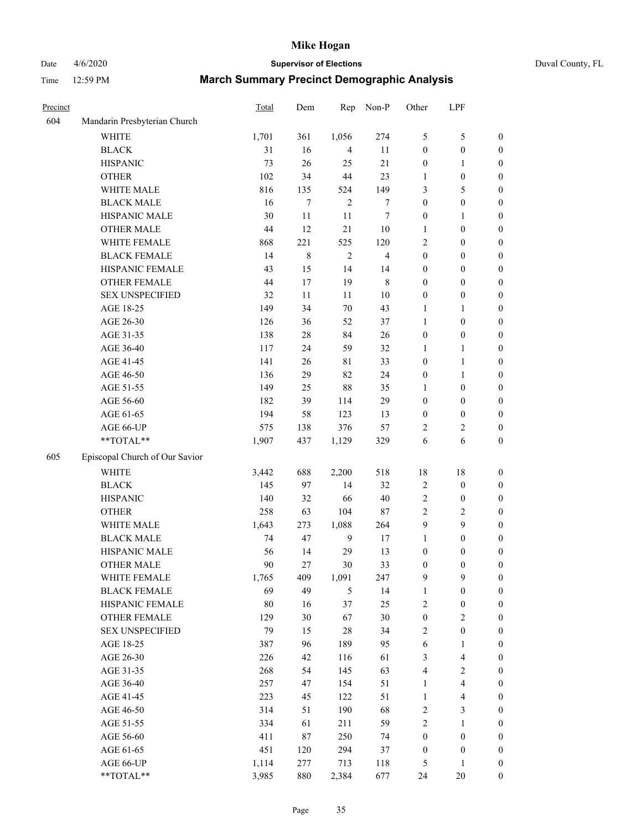## Date 4/6/2020 **Supervisor of Elections** Duval County, FL

| Precinct |                                | Total  | Dem    | Rep            | Non-P                   | Other                   | LPF                     |                  |
|----------|--------------------------------|--------|--------|----------------|-------------------------|-------------------------|-------------------------|------------------|
| 604      | Mandarin Presbyterian Church   |        |        |                |                         |                         |                         |                  |
|          | <b>WHITE</b>                   | 1,701  | 361    | 1,056          | 274                     | 5                       | $\mathfrak s$           | 0                |
|          | <b>BLACK</b>                   | 31     | 16     | $\overline{4}$ | 11                      | $\boldsymbol{0}$        | $\boldsymbol{0}$        | 0                |
|          | <b>HISPANIC</b>                | 73     | 26     | 25             | 21                      | $\boldsymbol{0}$        | 1                       | $\boldsymbol{0}$ |
|          | <b>OTHER</b>                   | 102    | 34     | 44             | 23                      | 1                       | $\boldsymbol{0}$        | $\boldsymbol{0}$ |
|          | WHITE MALE                     | 816    | 135    | 524            | 149                     | 3                       | 5                       | $\boldsymbol{0}$ |
|          | <b>BLACK MALE</b>              | 16     | $\tau$ | $\overline{2}$ | $\boldsymbol{7}$        | $\boldsymbol{0}$        | $\boldsymbol{0}$        | $\boldsymbol{0}$ |
|          | HISPANIC MALE                  | 30     | 11     | 11             | $\tau$                  | $\boldsymbol{0}$        | $\mathbf{1}$            | $\boldsymbol{0}$ |
|          | <b>OTHER MALE</b>              | 44     | 12     | 21             | $10\,$                  | $\mathbf{1}$            | $\boldsymbol{0}$        | $\boldsymbol{0}$ |
|          | WHITE FEMALE                   | 868    | 221    | 525            | 120                     | 2                       | $\boldsymbol{0}$        | $\boldsymbol{0}$ |
|          | <b>BLACK FEMALE</b>            | 14     | 8      | $\sqrt{2}$     | $\overline{\mathbf{4}}$ | $\boldsymbol{0}$        | $\boldsymbol{0}$        | 0                |
|          | HISPANIC FEMALE                | 43     | 15     | 14             | 14                      | $\boldsymbol{0}$        | $\boldsymbol{0}$        | 0                |
|          | <b>OTHER FEMALE</b>            | 44     | 17     | 19             | $\,$ 8 $\,$             | $\boldsymbol{0}$        | $\boldsymbol{0}$        | $\boldsymbol{0}$ |
|          | <b>SEX UNSPECIFIED</b>         | 32     | 11     | 11             | $10\,$                  | $\boldsymbol{0}$        | $\boldsymbol{0}$        | $\boldsymbol{0}$ |
|          | AGE 18-25                      | 149    | 34     | $70\,$         | 43                      | 1                       | 1                       | $\boldsymbol{0}$ |
|          | AGE 26-30                      | 126    | 36     | 52             | 37                      | 1                       | $\boldsymbol{0}$        | $\boldsymbol{0}$ |
|          | AGE 31-35                      | 138    | $28\,$ | 84             | 26                      | $\boldsymbol{0}$        | $\boldsymbol{0}$        | $\boldsymbol{0}$ |
|          | AGE 36-40                      | 117    | 24     | 59             | 32                      | 1                       | 1                       | $\boldsymbol{0}$ |
|          | AGE 41-45                      | 141    | 26     | $8\sqrt{1}$    | 33                      | $\boldsymbol{0}$        | $\mathbf{1}$            | $\boldsymbol{0}$ |
|          | AGE 46-50                      | 136    | 29     | 82             | 24                      | $\boldsymbol{0}$        | 1                       | $\boldsymbol{0}$ |
|          | AGE 51-55                      | 149    | 25     | 88             | 35                      | 1                       | $\boldsymbol{0}$        | $\boldsymbol{0}$ |
|          | AGE 56-60                      | 182    | 39     | 114            | 29                      | $\boldsymbol{0}$        | $\boldsymbol{0}$        | 0                |
|          | AGE 61-65                      | 194    | 58     | 123            | 13                      | $\boldsymbol{0}$        | $\boldsymbol{0}$        | 0                |
|          | AGE 66-UP                      | 575    | 138    | 376            | 57                      | 2                       | $\overline{c}$          | $\boldsymbol{0}$ |
|          | **TOTAL**                      | 1,907  | 437    | 1,129          | 329                     | 6                       | 6                       | $\boldsymbol{0}$ |
| 605      | Episcopal Church of Our Savior |        |        |                |                         |                         |                         |                  |
|          | <b>WHITE</b>                   | 3,442  | 688    | 2,200          | 518                     | 18                      | 18                      | $\boldsymbol{0}$ |
|          | <b>BLACK</b>                   | 145    | 97     | 14             | 32                      | $\overline{\mathbf{c}}$ | $\boldsymbol{0}$        | $\boldsymbol{0}$ |
|          | <b>HISPANIC</b>                | 140    | 32     | 66             | $40\,$                  | 2                       | $\boldsymbol{0}$        | $\boldsymbol{0}$ |
|          | <b>OTHER</b>                   | 258    | 63     | 104            | 87                      | $\overline{c}$          | $\sqrt{2}$              | $\boldsymbol{0}$ |
|          | WHITE MALE                     | 1,643  | 273    | 1,088          | 264                     | 9                       | 9                       | $\boldsymbol{0}$ |
|          | <b>BLACK MALE</b>              | 74     | 47     | $\mathbf{9}$   | 17                      | $\mathbf{1}$            | $\boldsymbol{0}$        | $\boldsymbol{0}$ |
|          | HISPANIC MALE                  | 56     | 14     | 29             | 13                      | $\boldsymbol{0}$        | $\boldsymbol{0}$        | $\boldsymbol{0}$ |
|          | <b>OTHER MALE</b>              | 90     | 27     | 30             | 33                      | $\boldsymbol{0}$        | $\boldsymbol{0}$        | $\boldsymbol{0}$ |
|          | WHITE FEMALE                   | 1,765  | 409    | 1,091          | 247                     | 9                       | 9                       | 0                |
|          | <b>BLACK FEMALE</b>            | 69     | 49     | 5              | 14                      | $\mathbf{1}$            | $\boldsymbol{0}$        | $\boldsymbol{0}$ |
|          | HISPANIC FEMALE                | $80\,$ | 16     | 37             | 25                      | $\overline{c}$          | $\boldsymbol{0}$        | $\overline{0}$   |
|          | <b>OTHER FEMALE</b>            | 129    | 30     | 67             | 30                      | $\boldsymbol{0}$        | $\sqrt{2}$              | 0                |
|          | <b>SEX UNSPECIFIED</b>         | 79     | 15     | 28             | 34                      | 2                       | $\boldsymbol{0}$        | 0                |
|          | AGE 18-25                      | 387    | 96     | 189            | 95                      | 6                       | $\mathbf{1}$            | 0                |
|          | AGE 26-30                      | 226    | 42     | 116            | 61                      | 3                       | $\overline{\mathbf{4}}$ | 0                |
|          | AGE 31-35                      | 268    | 54     | 145            | 63                      | 4                       | $\sqrt{2}$              | 0                |
|          | AGE 36-40                      | 257    | 47     | 154            | 51                      | $\mathbf{1}$            | $\overline{\mathbf{4}}$ | 0                |
|          | AGE 41-45                      | 223    | 45     | 122            | 51                      | $\mathbf{1}$            | $\overline{\mathbf{4}}$ | 0                |
|          | AGE 46-50                      | 314    | 51     | 190            | 68                      | 2                       | $\mathfrak{Z}$          | 0                |
|          | AGE 51-55                      | 334    | 61     | 211            | 59                      | $\overline{c}$          | $\mathbf{1}$            | $\boldsymbol{0}$ |
|          | AGE 56-60                      | 411    | $87\,$ | 250            | 74                      | $\boldsymbol{0}$        | $\boldsymbol{0}$        | $\boldsymbol{0}$ |
|          | AGE 61-65                      | 451    | 120    | 294            | 37                      | $\boldsymbol{0}$        | $\boldsymbol{0}$        | $\boldsymbol{0}$ |
|          | AGE 66-UP                      | 1,114  | 277    | 713            | 118                     | 5                       | $\mathbf{1}$            | 0                |
|          | **TOTAL**                      | 3,985  | 880    | 2,384          | 677                     | 24                      | 20                      | $\boldsymbol{0}$ |
|          |                                |        |        |                |                         |                         |                         |                  |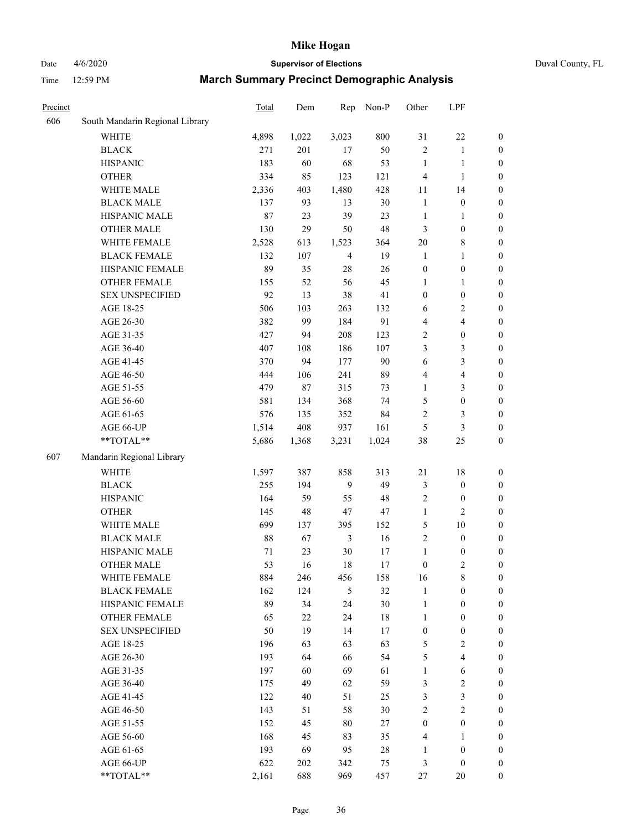### Date 4/6/2020 **Supervisor of Elections** Duval County, FL

| Precinct |                                 | <b>Total</b> | Dem   | Rep            | Non-P  | Other            | LPF                     |                  |
|----------|---------------------------------|--------------|-------|----------------|--------|------------------|-------------------------|------------------|
| 606      | South Mandarin Regional Library |              |       |                |        |                  |                         |                  |
|          | <b>WHITE</b>                    | 4,898        | 1,022 | 3,023          | 800    | 31               | $22\,$                  | 0                |
|          | <b>BLACK</b>                    | 271          | 201   | 17             | 50     | $\overline{c}$   | $\mathbf{1}$            | 0                |
|          | <b>HISPANIC</b>                 | 183          | 60    | 68             | 53     | $\mathbf{1}$     | $\mathbf{1}$            | $\boldsymbol{0}$ |
|          | <b>OTHER</b>                    | 334          | 85    | 123            | 121    | 4                | $\mathbf{1}$            | $\boldsymbol{0}$ |
|          | WHITE MALE                      | 2,336        | 403   | 1,480          | 428    | 11               | 14                      | $\boldsymbol{0}$ |
|          | <b>BLACK MALE</b>               | 137          | 93    | 13             | 30     | $\mathbf{1}$     | $\boldsymbol{0}$        | $\boldsymbol{0}$ |
|          | HISPANIC MALE                   | 87           | 23    | 39             | 23     | $\mathbf{1}$     | $\mathbf{1}$            | $\boldsymbol{0}$ |
|          | <b>OTHER MALE</b>               | 130          | 29    | 50             | 48     | 3                | $\boldsymbol{0}$        | $\boldsymbol{0}$ |
|          | WHITE FEMALE                    | 2,528        | 613   | 1,523          | 364    | $20\,$           | $\,$ 8 $\,$             | $\boldsymbol{0}$ |
|          | <b>BLACK FEMALE</b>             | 132          | 107   | $\overline{4}$ | 19     | $\mathbf{1}$     | $\mathbf{1}$            | $\boldsymbol{0}$ |
|          | HISPANIC FEMALE                 | 89           | 35    | $28\,$         | 26     | $\boldsymbol{0}$ | $\boldsymbol{0}$        | 0                |
|          | <b>OTHER FEMALE</b>             | 155          | 52    | 56             | 45     | $\mathbf{1}$     | $\mathbf{1}$            | $\boldsymbol{0}$ |
|          | <b>SEX UNSPECIFIED</b>          | 92           | 13    | 38             | 41     | $\boldsymbol{0}$ | $\boldsymbol{0}$        | $\boldsymbol{0}$ |
|          | AGE 18-25                       | 506          | 103   | 263            | 132    | 6                | $\sqrt{2}$              | $\boldsymbol{0}$ |
|          | AGE 26-30                       | 382          | 99    | 184            | 91     | 4                | $\overline{\mathbf{4}}$ | $\boldsymbol{0}$ |
|          | AGE 31-35                       | 427          | 94    | 208            | 123    | $\sqrt{2}$       | $\boldsymbol{0}$        | $\boldsymbol{0}$ |
|          | AGE 36-40                       | 407          | 108   | 186            | 107    | 3                | $\mathfrak{Z}$          | $\boldsymbol{0}$ |
|          | AGE 41-45                       | 370          | 94    | 177            | 90     | 6                | $\mathfrak{Z}$          | $\boldsymbol{0}$ |
|          | AGE 46-50                       | 444          | 106   | 241            | 89     | 4                | $\overline{\mathbf{4}}$ | $\boldsymbol{0}$ |
|          | AGE 51-55                       | 479          | 87    | 315            | 73     | $\mathbf{1}$     | $\mathfrak{Z}$          | $\boldsymbol{0}$ |
|          | AGE 56-60                       | 581          | 134   | 368            | 74     | 5                | $\boldsymbol{0}$        | 0                |
|          | AGE 61-65                       | 576          | 135   | 352            | 84     | $\overline{c}$   | 3                       | $\boldsymbol{0}$ |
|          | AGE 66-UP                       | 1,514        | 408   | 937            | 161    | 5                | $\mathfrak{Z}$          | $\boldsymbol{0}$ |
|          | **TOTAL**                       | 5,686        | 1,368 | 3,231          | 1,024  | 38               | 25                      | $\boldsymbol{0}$ |
| 607      | Mandarin Regional Library       |              |       |                |        |                  |                         |                  |
|          | <b>WHITE</b>                    | 1,597        | 387   | 858            | 313    | $21\,$           | $18\,$                  | $\boldsymbol{0}$ |
|          | <b>BLACK</b>                    | 255          | 194   | $\mathbf{9}$   | 49     | 3                | $\boldsymbol{0}$        | $\boldsymbol{0}$ |
|          | <b>HISPANIC</b>                 | 164          | 59    | 55             | 48     | $\overline{c}$   | $\boldsymbol{0}$        | $\boldsymbol{0}$ |
|          | <b>OTHER</b>                    | 145          | 48    | $47\,$         | 47     | $\mathbf{1}$     | $\overline{c}$          | $\boldsymbol{0}$ |
|          | WHITE MALE                      | 699          | 137   | 395            | 152    | 5                | $10\,$                  | $\boldsymbol{0}$ |
|          | <b>BLACK MALE</b>               | 88           | 67    | $\mathfrak{Z}$ | 16     | $\overline{c}$   | $\boldsymbol{0}$        | $\boldsymbol{0}$ |
|          | HISPANIC MALE                   | 71           | 23    | $30\,$         | 17     | $\mathbf{1}$     | $\boldsymbol{0}$        | $\boldsymbol{0}$ |
|          | <b>OTHER MALE</b>               | 53           | 16    | 18             | 17     | $\boldsymbol{0}$ | $\overline{c}$          | $\boldsymbol{0}$ |
|          | WHITE FEMALE                    | 884          | 246   | 456            | 158    | 16               | 8                       | 0                |
|          | <b>BLACK FEMALE</b>             | 162          | 124   | 5              | 32     | $\mathbf{1}$     | $\boldsymbol{0}$        | $\overline{0}$   |
|          | HISPANIC FEMALE                 | 89           | 34    | 24             | 30     | $\mathbf{1}$     | $\boldsymbol{0}$        | $\overline{0}$   |
|          | OTHER FEMALE                    | 65           | 22    | 24             | $18\,$ | $\mathbf{1}$     | $\boldsymbol{0}$        | $\overline{0}$   |
|          | <b>SEX UNSPECIFIED</b>          | 50           | 19    | 14             | 17     | $\boldsymbol{0}$ | $\boldsymbol{0}$        | 0                |
|          | AGE 18-25                       | 196          | 63    | 63             | 63     | 5                | $\sqrt{2}$              | 0                |
|          | AGE 26-30                       | 193          | 64    | 66             | 54     | 5                | $\overline{4}$          | 0                |
|          | AGE 31-35                       | 197          | 60    | 69             | 61     | $\mathbf{1}$     | 6                       | 0                |
|          | AGE 36-40                       | 175          | 49    | 62             | 59     | 3                | $\sqrt{2}$              | 0                |
|          | AGE 41-45                       | 122          | 40    | 51             | 25     | 3                | $\mathfrak{Z}$          | 0                |
|          | AGE 46-50                       | 143          | 51    | 58             | 30     | $\overline{2}$   | $\sqrt{2}$              | 0                |
|          | AGE 51-55                       | 152          | 45    | 80             | 27     | $\boldsymbol{0}$ | $\boldsymbol{0}$        | 0                |
|          | AGE 56-60                       | 168          | 45    | 83             | 35     | 4                | 1                       | 0                |
|          | AGE 61-65                       | 193          | 69    | 95             | $28\,$ | 1                | $\boldsymbol{0}$        | $\overline{0}$   |
|          | AGE 66-UP                       | 622          | 202   | 342            | 75     | 3                | $\boldsymbol{0}$        | 0                |
|          | **TOTAL**                       | 2,161        | 688   | 969            | 457    | 27               | 20                      | $\boldsymbol{0}$ |
|          |                                 |              |       |                |        |                  |                         |                  |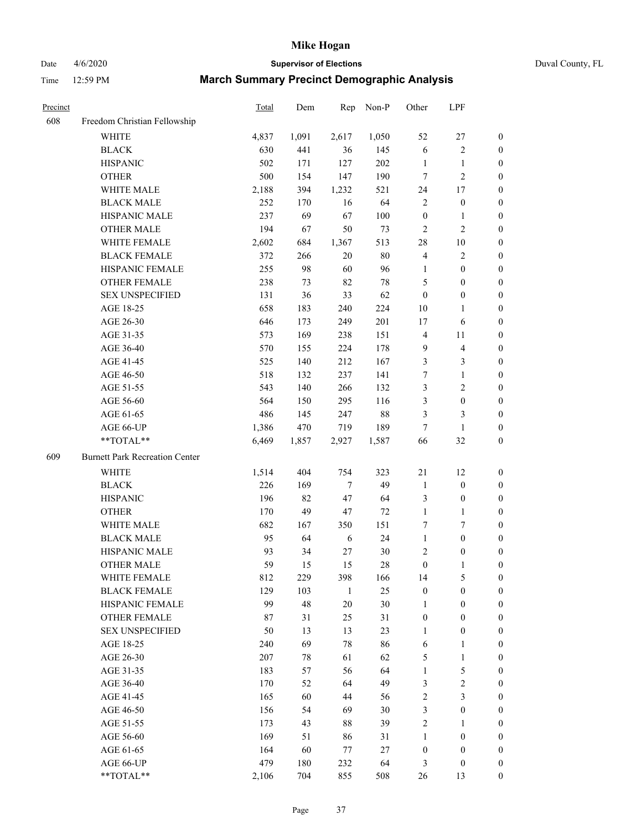Date 4/6/2020 **Supervisor of Elections** Duval County, FL

| Precinct |                                       | Total | Dem   | Rep          | Non-P  | Other            | LPF              |                  |
|----------|---------------------------------------|-------|-------|--------------|--------|------------------|------------------|------------------|
| 608      | Freedom Christian Fellowship          |       |       |              |        |                  |                  |                  |
|          | <b>WHITE</b>                          | 4,837 | 1,091 | 2,617        | 1,050  | 52               | $27\,$           | 0                |
|          | <b>BLACK</b>                          | 630   | 441   | 36           | 145    | 6                | $\sqrt{2}$       | 0                |
|          | <b>HISPANIC</b>                       | 502   | 171   | 127          | 202    | $\mathbf{1}$     | $\mathbf{1}$     | $\boldsymbol{0}$ |
|          | <b>OTHER</b>                          | 500   | 154   | 147          | 190    | 7                | $\sqrt{2}$       | $\boldsymbol{0}$ |
|          | WHITE MALE                            | 2,188 | 394   | 1,232        | 521    | 24               | 17               | $\boldsymbol{0}$ |
|          | <b>BLACK MALE</b>                     | 252   | 170   | 16           | 64     | $\overline{c}$   | $\boldsymbol{0}$ | $\boldsymbol{0}$ |
|          | HISPANIC MALE                         | 237   | 69    | 67           | 100    | $\boldsymbol{0}$ | $\mathbf{1}$     | $\boldsymbol{0}$ |
|          | <b>OTHER MALE</b>                     | 194   | 67    | 50           | 73     | $\overline{c}$   | $\overline{c}$   | $\boldsymbol{0}$ |
|          | WHITE FEMALE                          | 2,602 | 684   | 1,367        | 513    | 28               | $10\,$           | $\boldsymbol{0}$ |
|          | <b>BLACK FEMALE</b>                   | 372   | 266   | $20\,$       | $80\,$ | 4                | $\sqrt{2}$       | 0                |
|          | HISPANIC FEMALE                       | 255   | 98    | 60           | 96     | 1                | $\boldsymbol{0}$ | 0                |
|          | OTHER FEMALE                          | 238   | 73    | 82           | $78\,$ | 5                | $\boldsymbol{0}$ | $\boldsymbol{0}$ |
|          | <b>SEX UNSPECIFIED</b>                | 131   | 36    | 33           | 62     | $\boldsymbol{0}$ | $\boldsymbol{0}$ | $\boldsymbol{0}$ |
|          | AGE 18-25                             | 658   | 183   | 240          | 224    | $10\,$           | $\mathbf{1}$     | $\boldsymbol{0}$ |
|          | AGE 26-30                             | 646   | 173   | 249          | 201    | 17               | 6                | $\boldsymbol{0}$ |
|          | AGE 31-35                             | 573   | 169   | 238          | 151    | 4                | 11               | $\boldsymbol{0}$ |
|          | AGE 36-40                             | 570   | 155   | 224          | 178    | 9                | $\overline{4}$   | $\boldsymbol{0}$ |
|          | AGE 41-45                             | 525   | 140   | 212          | 167    | 3                | $\mathfrak{Z}$   | $\boldsymbol{0}$ |
|          | AGE 46-50                             | 518   | 132   | 237          | 141    | 7                | $\mathbf{1}$     | $\boldsymbol{0}$ |
|          | AGE 51-55                             | 543   | 140   | 266          | 132    | 3                | $\sqrt{2}$       | $\boldsymbol{0}$ |
|          | AGE 56-60                             | 564   | 150   | 295          | 116    | 3                | $\boldsymbol{0}$ | 0                |
|          | AGE 61-65                             | 486   | 145   | 247          | $88\,$ | 3                | $\mathfrak{Z}$   | $\boldsymbol{0}$ |
|          | AGE 66-UP                             | 1,386 | 470   | 719          | 189    | $\tau$           | $\mathbf{1}$     | $\boldsymbol{0}$ |
|          | **TOTAL**                             | 6,469 | 1,857 | 2,927        | 1,587  | 66               | 32               | $\boldsymbol{0}$ |
| 609      | <b>Burnett Park Recreation Center</b> |       |       |              |        |                  |                  |                  |
|          | <b>WHITE</b>                          | 1,514 | 404   | 754          | 323    | 21               | 12               | $\boldsymbol{0}$ |
|          | <b>BLACK</b>                          | 226   | 169   | $\tau$       | 49     | $\mathbf{1}$     | $\boldsymbol{0}$ | $\boldsymbol{0}$ |
|          | <b>HISPANIC</b>                       | 196   | 82    | 47           | 64     | 3                | $\boldsymbol{0}$ | $\boldsymbol{0}$ |
|          | <b>OTHER</b>                          | 170   | 49    | 47           | 72     | $\mathbf{1}$     | $\mathbf{1}$     | $\boldsymbol{0}$ |
|          | WHITE MALE                            | 682   | 167   | 350          | 151    | 7                | $\tau$           | $\boldsymbol{0}$ |
|          | <b>BLACK MALE</b>                     | 95    | 64    | 6            | 24     | $\mathbf{1}$     | $\boldsymbol{0}$ | $\boldsymbol{0}$ |
|          | HISPANIC MALE                         | 93    | 34    | 27           | $30\,$ | 2                | $\boldsymbol{0}$ | 0                |
|          | <b>OTHER MALE</b>                     | 59    | 15    | 15           | $28\,$ | $\boldsymbol{0}$ | $\mathbf{1}$     | $\boldsymbol{0}$ |
|          | WHITE FEMALE                          | 812   | 229   | 398          | 166    | 14               | 5                | 0                |
|          | <b>BLACK FEMALE</b>                   | 129   | 103   | $\mathbf{1}$ | 25     | $\boldsymbol{0}$ | $\boldsymbol{0}$ | $\overline{0}$   |
|          | HISPANIC FEMALE                       | 99    | 48    | 20           | $30\,$ | 1                | $\boldsymbol{0}$ | $\overline{0}$   |
|          | <b>OTHER FEMALE</b>                   | 87    | 31    | 25           | 31     | $\boldsymbol{0}$ | $\boldsymbol{0}$ | $\overline{0}$   |
|          | <b>SEX UNSPECIFIED</b>                | 50    | 13    | 13           | 23     | $\mathbf{1}$     | $\boldsymbol{0}$ | 0                |
|          | AGE 18-25                             | 240   | 69    | 78           | 86     | 6                | $\mathbf{1}$     | 0                |
|          | AGE 26-30                             | 207   | 78    | 61           | 62     | 5                | $\mathbf{1}$     | 0                |
|          | AGE 31-35                             | 183   | 57    | 56           | 64     | $\mathbf{1}$     | $\sqrt{5}$       | 0                |
|          | AGE 36-40                             | 170   | 52    | 64           | 49     | 3                | $\sqrt{2}$       | 0                |
|          | AGE 41-45                             | 165   | 60    | 44           | 56     | 2                | $\mathfrak{Z}$   | 0                |
|          | AGE 46-50                             | 156   | 54    | 69           | 30     | 3                | $\boldsymbol{0}$ | 0                |
|          | AGE 51-55                             | 173   | 43    | 88           | 39     | 2                | 1                | 0                |
|          | AGE 56-60                             | 169   | 51    | 86           | 31     | 1                | $\boldsymbol{0}$ | 0                |
|          | AGE 61-65                             | 164   | 60    | 77           | 27     | $\boldsymbol{0}$ | $\boldsymbol{0}$ | 0                |
|          | AGE 66-UP                             | 479   | 180   | 232          | 64     | 3                | $\boldsymbol{0}$ | 0                |
|          | **TOTAL**                             | 2,106 | 704   | 855          | 508    | 26               | 13               | $\boldsymbol{0}$ |
|          |                                       |       |       |              |        |                  |                  |                  |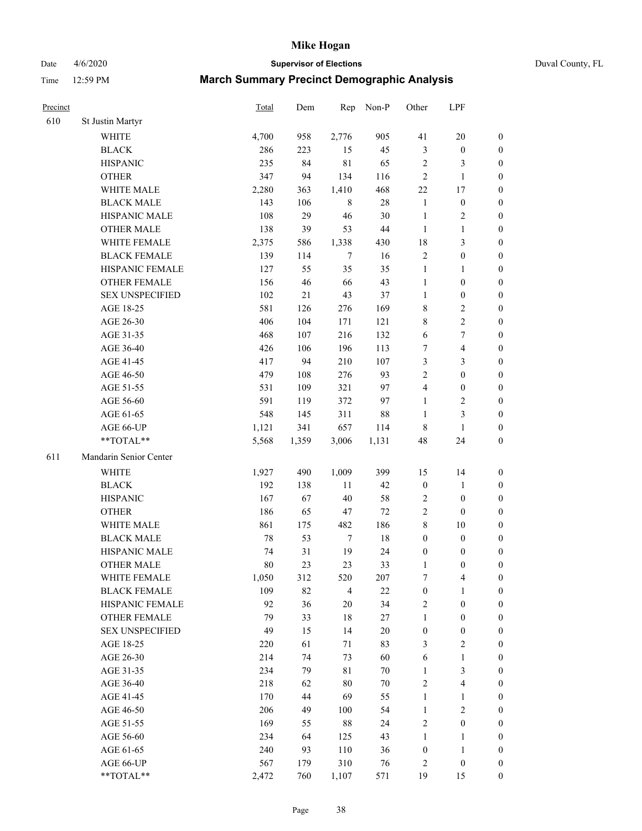Date 4/6/2020 **Supervisor of Elections** Duval County, FL

| Precinct |                                 | <b>Total</b> | Dem       | Rep              | Non-P    | Other            | LPF                              |                  |
|----------|---------------------------------|--------------|-----------|------------------|----------|------------------|----------------------------------|------------------|
| 610      | St Justin Martyr                |              |           |                  |          |                  |                                  |                  |
|          | <b>WHITE</b>                    | 4,700        | 958       | 2,776            | 905      | 41               | $20\,$                           | 0                |
|          | <b>BLACK</b>                    | 286          | 223       | 15               | 45       | $\mathfrak{Z}$   | $\boldsymbol{0}$                 | 0                |
|          | <b>HISPANIC</b>                 | 235          | 84        | $8\sqrt{1}$      | 65       | $\overline{c}$   | 3                                | $\boldsymbol{0}$ |
|          | <b>OTHER</b>                    | 347          | 94        | 134              | 116      | $\overline{c}$   | $\mathbf{1}$                     | $\boldsymbol{0}$ |
|          | WHITE MALE                      | 2,280        | 363       | 1,410            | 468      | 22               | 17                               | $\boldsymbol{0}$ |
|          | <b>BLACK MALE</b>               | 143          | 106       | $\,8\,$          | $28\,$   | $\mathbf{1}$     | $\boldsymbol{0}$                 | $\boldsymbol{0}$ |
|          | HISPANIC MALE                   | 108          | 29        | 46               | 30       | $\mathbf{1}$     | $\sqrt{2}$                       | $\boldsymbol{0}$ |
|          | <b>OTHER MALE</b>               | 138          | 39        | 53               | $44\,$   | $\mathbf{1}$     | $\mathbf{1}$                     | $\boldsymbol{0}$ |
|          | WHITE FEMALE                    | 2,375        | 586       | 1,338            | 430      | 18               | $\mathfrak{Z}$                   | $\boldsymbol{0}$ |
|          | <b>BLACK FEMALE</b>             | 139          | 114       | $\overline{7}$   | 16       | $\overline{c}$   | $\boldsymbol{0}$                 | 0                |
|          | HISPANIC FEMALE                 | 127          | 55        | 35               | 35       | $\mathbf{1}$     | 1                                | 0                |
|          | OTHER FEMALE                    | 156          | 46        | 66               | 43       | $\mathbf{1}$     | $\boldsymbol{0}$                 | $\boldsymbol{0}$ |
|          | <b>SEX UNSPECIFIED</b>          | 102          | 21        | 43               | 37       | $\mathbf{1}$     | $\boldsymbol{0}$                 | $\boldsymbol{0}$ |
|          | AGE 18-25                       | 581          | 126       | 276              | 169      | 8                | $\sqrt{2}$                       | $\boldsymbol{0}$ |
|          | AGE 26-30                       | 406          | 104       | 171              | 121      | 8                | $\sqrt{2}$                       | $\boldsymbol{0}$ |
|          | AGE 31-35                       | 468          | 107       | 216              | 132      | 6                | $\boldsymbol{7}$                 | $\boldsymbol{0}$ |
|          | AGE 36-40                       | 426          | 106       | 196              | 113      | 7                | $\overline{4}$                   | $\boldsymbol{0}$ |
|          | AGE 41-45                       | 417          | 94        | 210              | 107      | 3                | $\mathfrak{Z}$                   | $\boldsymbol{0}$ |
|          | AGE 46-50                       | 479          | 108       | 276              | 93       | $\overline{2}$   | $\boldsymbol{0}$                 | $\boldsymbol{0}$ |
|          | AGE 51-55                       | 531          | 109       | 321              | 97       | 4                | $\boldsymbol{0}$                 | $\boldsymbol{0}$ |
|          | AGE 56-60                       | 591          | 119       | 372              | 97       | $\mathbf{1}$     | $\sqrt{2}$                       | 0                |
|          | AGE 61-65                       | 548          | 145       | 311              | 88       | $\mathbf{1}$     | $\mathfrak{Z}$                   | $\boldsymbol{0}$ |
|          | AGE 66-UP                       | 1,121        | 341       | 657              | 114      | 8                | $\mathbf{1}$                     | $\boldsymbol{0}$ |
|          | **TOTAL**                       | 5,568        | 1,359     | 3,006            | 1,131    | 48               | 24                               | $\boldsymbol{0}$ |
| 611      | Mandarin Senior Center          |              |           |                  |          |                  |                                  |                  |
|          | <b>WHITE</b>                    | 1,927        |           | 1,009            | 399      |                  |                                  |                  |
|          |                                 |              | 490       |                  |          | 15               | 14                               | $\boldsymbol{0}$ |
|          | <b>BLACK</b><br><b>HISPANIC</b> | 192<br>167   | 138<br>67 | $11\,$<br>$40\,$ | 42<br>58 | $\boldsymbol{0}$ | $\mathbf{1}$<br>$\boldsymbol{0}$ | $\boldsymbol{0}$ |
|          |                                 |              |           |                  |          | $\overline{c}$   |                                  | $\boldsymbol{0}$ |
|          | <b>OTHER</b>                    | 186          | 65        | 47               | 72       | $\sqrt{2}$       | $\boldsymbol{0}$                 | $\boldsymbol{0}$ |
|          | WHITE MALE                      | 861          | 175       | 482              | 186      | 8                | $10\,$                           | $\boldsymbol{0}$ |
|          | <b>BLACK MALE</b>               | 78           | 53        | $\tau$           | $18\,$   | $\boldsymbol{0}$ | $\boldsymbol{0}$                 | $\boldsymbol{0}$ |
|          | HISPANIC MALE                   | 74           | 31        | 19               | 24       | $\boldsymbol{0}$ | $\boldsymbol{0}$                 | 0                |
|          | <b>OTHER MALE</b>               | 80           | 23        | 23               | 33       | 1                | $\boldsymbol{0}$                 | $\boldsymbol{0}$ |
|          | WHITE FEMALE                    | 1,050        | 312       | 520              | 207      | 7                | 4                                | 0                |
|          | <b>BLACK FEMALE</b>             | 109          | 82        | $\overline{4}$   | 22       | $\boldsymbol{0}$ | $\mathbf{1}$                     | $\boldsymbol{0}$ |
|          | HISPANIC FEMALE                 | 92           | 36        | $20\,$           | 34       | $\sqrt{2}$       | $\boldsymbol{0}$                 | $\overline{0}$   |
|          | OTHER FEMALE                    | 79           | 33        | $18\,$           | 27       | $\mathbf{1}$     | $\boldsymbol{0}$                 | $\overline{0}$   |
|          | <b>SEX UNSPECIFIED</b>          | 49           | 15        | 14               | $20\,$   | $\boldsymbol{0}$ | $\boldsymbol{0}$                 | 0                |
|          | AGE 18-25                       | 220          | 61        | 71               | 83       | 3                | $\sqrt{2}$                       | 0                |
|          | AGE 26-30                       | 214          | 74        | 73               | 60       | 6                | $\mathbf{1}$                     | 0                |
|          | AGE 31-35                       | 234          | 79        | $8\sqrt{1}$      | $70\,$   | $\mathbf{1}$     | $\mathfrak{Z}$                   | 0                |
|          | AGE 36-40                       | 218          | 62        | $80\,$           | $70\,$   | $\overline{c}$   | $\overline{\mathbf{4}}$          | 0                |
|          | AGE 41-45                       | 170          | 44        | 69               | 55       | $\mathbf{1}$     | $\mathbf{1}$                     | 0                |
|          | AGE 46-50                       | 206          | 49        | 100              | 54       | $\mathbf{1}$     | $\sqrt{2}$                       | 0                |
|          | AGE 51-55                       | 169          | 55        | $88\,$           | 24       | $\sqrt{2}$       | $\boldsymbol{0}$                 | 0                |
|          | AGE 56-60                       | 234          | 64        | 125              | 43       | 1                | 1                                | $\boldsymbol{0}$ |
|          | AGE 61-65                       | 240          | 93        | 110              | 36       | $\boldsymbol{0}$ | $\mathbf{1}$                     | $\boldsymbol{0}$ |
|          | AGE 66-UP                       | 567          | 179       | 310              | 76       | 2                | $\boldsymbol{0}$                 | $\boldsymbol{0}$ |
|          | **TOTAL**                       | 2,472        | 760       | 1,107            | 571      | 19               | 15                               | $\boldsymbol{0}$ |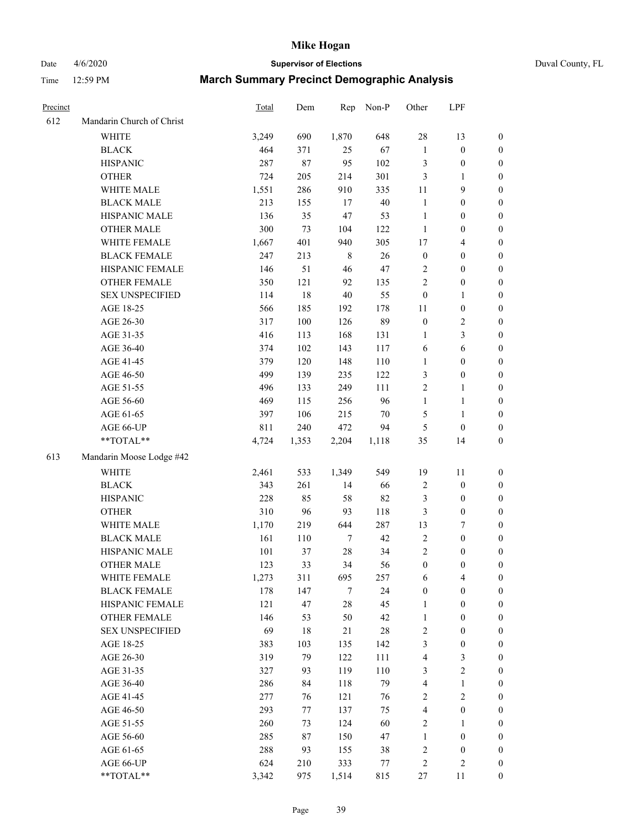Date 4/6/2020 **Supervisor of Elections** Duval County, FL

| Precinct |                           | Total | Dem    | Rep              | Non-P  | Other            | LPF                     |                  |
|----------|---------------------------|-------|--------|------------------|--------|------------------|-------------------------|------------------|
| 612      | Mandarin Church of Christ |       |        |                  |        |                  |                         |                  |
|          | <b>WHITE</b>              | 3,249 | 690    | 1,870            | 648    | 28               | 13                      | 0                |
|          | <b>BLACK</b>              | 464   | 371    | 25               | 67     | $\mathbf{1}$     | $\boldsymbol{0}$        | 0                |
|          | <b>HISPANIC</b>           | 287   | $87\,$ | 95               | 102    | 3                | $\boldsymbol{0}$        | $\boldsymbol{0}$ |
|          | <b>OTHER</b>              | 724   | 205    | 214              | 301    | 3                | 1                       | $\boldsymbol{0}$ |
|          | WHITE MALE                | 1,551 | 286    | 910              | 335    | 11               | 9                       | $\boldsymbol{0}$ |
|          | <b>BLACK MALE</b>         | 213   | 155    | 17               | $40\,$ | $\mathbf{1}$     | $\boldsymbol{0}$        | $\boldsymbol{0}$ |
|          | HISPANIC MALE             | 136   | 35     | 47               | 53     | $\mathbf{1}$     | $\boldsymbol{0}$        | $\boldsymbol{0}$ |
|          | <b>OTHER MALE</b>         | 300   | 73     | 104              | 122    | $\mathbf{1}$     | $\boldsymbol{0}$        | $\boldsymbol{0}$ |
|          | WHITE FEMALE              | 1,667 | 401    | 940              | 305    | 17               | $\overline{\mathbf{4}}$ | $\boldsymbol{0}$ |
|          | <b>BLACK FEMALE</b>       | 247   | 213    | $\,$ 8 $\,$      | $26\,$ | $\boldsymbol{0}$ | $\boldsymbol{0}$        | $\boldsymbol{0}$ |
|          | HISPANIC FEMALE           | 146   | 51     | 46               | $47\,$ | $\overline{c}$   | $\boldsymbol{0}$        | $\boldsymbol{0}$ |
|          | OTHER FEMALE              | 350   | 121    | 92               | 135    | $\overline{2}$   | $\boldsymbol{0}$        | $\boldsymbol{0}$ |
|          | <b>SEX UNSPECIFIED</b>    | 114   | 18     | $40\,$           | 55     | $\boldsymbol{0}$ | $\mathbf{1}$            | $\boldsymbol{0}$ |
|          | AGE 18-25                 | 566   | 185    | 192              | 178    | 11               | $\boldsymbol{0}$        | $\boldsymbol{0}$ |
|          | AGE 26-30                 | 317   | 100    | 126              | 89     | $\boldsymbol{0}$ | $\sqrt{2}$              | $\boldsymbol{0}$ |
|          | AGE 31-35                 | 416   | 113    | 168              | 131    | $\mathbf{1}$     | 3                       | $\boldsymbol{0}$ |
|          | AGE 36-40                 | 374   | 102    | 143              | 117    | 6                | $\sqrt{6}$              | $\boldsymbol{0}$ |
|          | AGE 41-45                 | 379   | 120    | 148              | 110    | $\mathbf{1}$     | $\boldsymbol{0}$        | $\boldsymbol{0}$ |
|          | AGE 46-50                 | 499   | 139    | 235              | 122    | 3                | $\boldsymbol{0}$        | $\boldsymbol{0}$ |
|          | AGE 51-55                 | 496   | 133    | 249              | 111    | 2                | 1                       | 0                |
|          | AGE 56-60                 | 469   | 115    | 256              | 96     | $\mathbf{1}$     | $\mathbf{1}$            | 0                |
|          | AGE 61-65                 | 397   | 106    | 215              | 70     | 5                | $\mathbf{1}$            | 0                |
|          | AGE 66-UP                 | 811   | 240    | 472              | 94     | 5                | $\boldsymbol{0}$        | $\boldsymbol{0}$ |
|          | **TOTAL**                 | 4,724 | 1,353  | 2,204            | 1,118  | 35               | 14                      | $\boldsymbol{0}$ |
| 613      | Mandarin Moose Lodge #42  |       |        |                  |        |                  |                         |                  |
|          | <b>WHITE</b>              | 2,461 | 533    | 1,349            | 549    | 19               | 11                      | $\boldsymbol{0}$ |
|          | <b>BLACK</b>              | 343   | 261    | 14               | 66     | $\sqrt{2}$       | $\boldsymbol{0}$        | $\boldsymbol{0}$ |
|          | <b>HISPANIC</b>           | 228   | 85     | 58               | 82     | 3                | $\boldsymbol{0}$        | $\boldsymbol{0}$ |
|          | <b>OTHER</b>              | 310   | 96     | 93               | 118    | 3                | $\boldsymbol{0}$        | $\boldsymbol{0}$ |
|          | WHITE MALE                | 1,170 | 219    | 644              | 287    | 13               | $\boldsymbol{7}$        | $\boldsymbol{0}$ |
|          | <b>BLACK MALE</b>         | 161   | 110    | $\boldsymbol{7}$ | 42     | $\boldsymbol{2}$ | $\boldsymbol{0}$        | $\boldsymbol{0}$ |
|          | HISPANIC MALE             | 101   | 37     | $28\,$           | 34     | $\sqrt{2}$       | $\boldsymbol{0}$        | 0                |
|          | <b>OTHER MALE</b>         | 123   | 33     | 34               | 56     | $\boldsymbol{0}$ | $\boldsymbol{0}$        | $\boldsymbol{0}$ |
|          | WHITE FEMALE              | 1,273 | 311    | 695              | 257    | 6                | 4                       | 0                |
|          | <b>BLACK FEMALE</b>       | 178   | 147    | 7                | 24     | $\boldsymbol{0}$ | $\boldsymbol{0}$        | $\overline{0}$   |
|          | HISPANIC FEMALE           | 121   | 47     | 28               | 45     | 1                | $\boldsymbol{0}$        | $\overline{0}$   |
|          | <b>OTHER FEMALE</b>       | 146   | 53     | 50               | 42     | $\mathbf{1}$     | $\boldsymbol{0}$        | $\overline{0}$   |
|          | <b>SEX UNSPECIFIED</b>    | 69    | 18     | 21               | $28\,$ | 2                | $\boldsymbol{0}$        | 0                |
|          | AGE 18-25                 | 383   | 103    | 135              | 142    | 3                | $\boldsymbol{0}$        | 0                |
|          | AGE 26-30                 | 319   | 79     | 122              | 111    | 4                | $\mathfrak{Z}$          | 0                |
|          | AGE 31-35                 | 327   | 93     | 119              | 110    | 3                | $\sqrt{2}$              | 0                |
|          | AGE 36-40                 | 286   | 84     | 118              | 79     | 4                | $\mathbf{1}$            | 0                |
|          | AGE 41-45                 | 277   | 76     | 121              | 76     | $\overline{c}$   | $\overline{c}$          | 0                |
|          | AGE 46-50                 | 293   | 77     | 137              | 75     | 4                | $\boldsymbol{0}$        | 0                |
|          | AGE 51-55                 | 260   | 73     | 124              | 60     | 2                | 1                       | 0                |
|          | AGE 56-60                 | 285   | 87     | 150              | 47     | 1                | $\boldsymbol{0}$        | 0                |
|          | AGE 61-65                 | 288   | 93     | 155              | 38     | 2                | $\boldsymbol{0}$        | 0                |
|          | AGE 66-UP                 | 624   | 210    | 333              | 77     | 2                | $\sqrt{2}$              | 0                |
|          | **TOTAL**                 | 3,342 | 975    | 1,514            | 815    | 27               | 11                      | $\boldsymbol{0}$ |
|          |                           |       |        |                  |        |                  |                         |                  |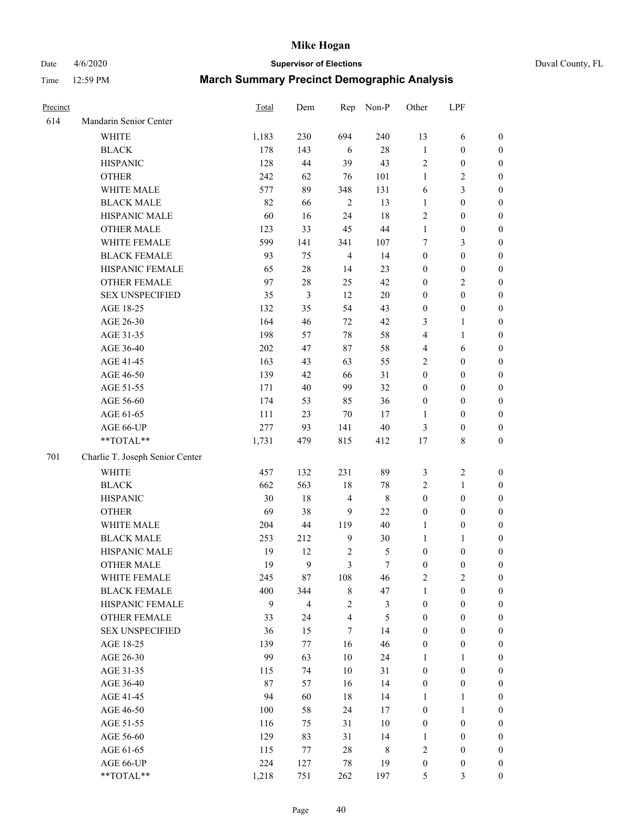Date 4/6/2020 **Supervisor of Elections** Duval County, FL

| Precinct |                                 | Total | Dem                     | Rep            | Non-P          | Other            | LPF              |                                      |
|----------|---------------------------------|-------|-------------------------|----------------|----------------|------------------|------------------|--------------------------------------|
| 614      | Mandarin Senior Center          |       |                         |                |                |                  |                  |                                      |
|          | <b>WHITE</b>                    | 1,183 | 230                     | 694            | 240            | 13               | 6                | 0                                    |
|          | <b>BLACK</b>                    | 178   | 143                     | 6              | $28\,$         | $\mathbf{1}$     | $\boldsymbol{0}$ | $\boldsymbol{0}$                     |
|          | <b>HISPANIC</b>                 | 128   | 44                      | 39             | 43             | $\sqrt{2}$       | $\boldsymbol{0}$ | $\boldsymbol{0}$                     |
|          | <b>OTHER</b>                    | 242   | 62                      | 76             | 101            | $\mathbf{1}$     | $\sqrt{2}$       | $\boldsymbol{0}$                     |
|          | WHITE MALE                      | 577   | 89                      | 348            | 131            | 6                | 3                | $\boldsymbol{0}$                     |
|          | <b>BLACK MALE</b>               | 82    | 66                      | $\sqrt{2}$     | 13             | $\mathbf{1}$     | $\boldsymbol{0}$ | $\boldsymbol{0}$                     |
|          | HISPANIC MALE                   | 60    | 16                      | 24             | 18             | 2                | $\boldsymbol{0}$ | $\boldsymbol{0}$                     |
|          | <b>OTHER MALE</b>               | 123   | 33                      | 45             | $44\,$         | $\mathbf{1}$     | $\boldsymbol{0}$ | $\boldsymbol{0}$                     |
|          | WHITE FEMALE                    | 599   | 141                     | 341            | 107            | 7                | $\mathfrak{Z}$   | $\boldsymbol{0}$                     |
|          | <b>BLACK FEMALE</b>             | 93    | 75                      | $\overline{4}$ | 14             | $\boldsymbol{0}$ | $\boldsymbol{0}$ | $\boldsymbol{0}$                     |
|          | HISPANIC FEMALE                 | 65    | $28\,$                  | 14             | 23             | $\boldsymbol{0}$ | $\boldsymbol{0}$ | 0                                    |
|          | OTHER FEMALE                    | 97    | $28\,$                  | 25             | 42             | $\boldsymbol{0}$ | $\sqrt{2}$       | $\boldsymbol{0}$                     |
|          | <b>SEX UNSPECIFIED</b>          | 35    | 3                       | 12             | $20\,$         | $\boldsymbol{0}$ | $\boldsymbol{0}$ | $\boldsymbol{0}$                     |
|          | AGE 18-25                       | 132   | 35                      | 54             | 43             | $\boldsymbol{0}$ | $\boldsymbol{0}$ | $\boldsymbol{0}$                     |
|          | AGE 26-30                       | 164   | 46                      | 72             | 42             | 3                | $\mathbf{1}$     | $\boldsymbol{0}$                     |
|          | AGE 31-35                       | 198   | 57                      | 78             | 58             | 4                | $\mathbf{1}$     | $\boldsymbol{0}$                     |
|          | AGE 36-40                       | 202   | 47                      | 87             | 58             | 4                | 6                | $\boldsymbol{0}$                     |
|          | AGE 41-45                       | 163   | 43                      | 63             | 55             | 2                | $\boldsymbol{0}$ | $\boldsymbol{0}$                     |
|          | AGE 46-50                       | 139   | 42                      | 66             | 31             | $\boldsymbol{0}$ | $\boldsymbol{0}$ | $\boldsymbol{0}$                     |
|          | AGE 51-55                       | 171   | $40\,$                  | 99             | 32             | $\boldsymbol{0}$ | $\boldsymbol{0}$ | $\boldsymbol{0}$                     |
|          | AGE 56-60                       | 174   |                         |                | 36             | $\boldsymbol{0}$ | $\boldsymbol{0}$ |                                      |
|          | AGE 61-65                       | 111   | 53<br>23                | 85<br>70       | 17             | 1                | $\boldsymbol{0}$ | 0<br>$\boldsymbol{0}$                |
|          |                                 | 277   | 93                      | 141            | $40\,$         |                  | $\boldsymbol{0}$ |                                      |
|          | AGE 66-UP<br>**TOTAL**          | 1,731 | 479                     | 815            | 412            | 3<br>17          | $\,$ 8 $\,$      | $\boldsymbol{0}$<br>$\boldsymbol{0}$ |
|          |                                 |       |                         |                |                |                  |                  |                                      |
| 701      | Charlie T. Joseph Senior Center |       |                         |                |                |                  |                  |                                      |
|          | <b>WHITE</b>                    | 457   | 132                     | 231            | 89             | 3                | $\sqrt{2}$       | $\boldsymbol{0}$                     |
|          | <b>BLACK</b>                    | 662   | 563                     | 18             | $78\,$         | 2                | $\mathbf{1}$     | $\boldsymbol{0}$                     |
|          | <b>HISPANIC</b>                 | 30    | 18                      | 4              | $\,$ 8 $\,$    | $\boldsymbol{0}$ | $\boldsymbol{0}$ | $\boldsymbol{0}$                     |
|          | <b>OTHER</b>                    | 69    | 38                      | 9              | 22             | $\boldsymbol{0}$ | $\boldsymbol{0}$ | $\boldsymbol{0}$                     |
|          | WHITE MALE                      | 204   | 44                      | 119            | $40\,$         | $\mathbf{1}$     | $\boldsymbol{0}$ | $\boldsymbol{0}$                     |
|          | <b>BLACK MALE</b>               | 253   | 212                     | $\mathbf{9}$   | $30\,$         | $\mathbf{1}$     | 1                | $\boldsymbol{0}$                     |
|          | HISPANIC MALE                   | 19    | 12                      | $\sqrt{2}$     | $\mathfrak s$  | $\boldsymbol{0}$ | $\boldsymbol{0}$ | 0                                    |
|          | <b>OTHER MALE</b>               | 19    | 9                       | $\mathfrak{Z}$ | $\tau$         | $\boldsymbol{0}$ | $\boldsymbol{0}$ | $\boldsymbol{0}$                     |
|          | WHITE FEMALE                    | 245   | 87                      | 108            | 46             | 2                | $\overline{c}$   | 0                                    |
|          | <b>BLACK FEMALE</b>             | 400   | 344                     | $\,$ 8 $\,$    | 47             | $\mathbf{1}$     | $\boldsymbol{0}$ | $\overline{0}$                       |
|          | HISPANIC FEMALE                 | 9     | $\overline{\mathbf{4}}$ | $\overline{c}$ | $\mathfrak{Z}$ | $\boldsymbol{0}$ | $\boldsymbol{0}$ | $\overline{0}$                       |
|          | <b>OTHER FEMALE</b>             | 33    | 24                      | 4              | $\mathfrak s$  | $\boldsymbol{0}$ | $\boldsymbol{0}$ | $\overline{0}$                       |
|          | <b>SEX UNSPECIFIED</b>          | 36    | 15                      | $\tau$         | 14             | $\boldsymbol{0}$ | $\boldsymbol{0}$ | 0                                    |
|          | AGE 18-25                       | 139   | 77                      | 16             | 46             | $\boldsymbol{0}$ | $\boldsymbol{0}$ | $\theta$                             |
|          | AGE 26-30                       | 99    | 63                      | 10             | 24             | $\mathbf{1}$     | $\mathbf{1}$     | 0                                    |
|          | AGE 31-35                       | 115   | 74                      | $10\,$         | 31             | $\boldsymbol{0}$ | $\boldsymbol{0}$ | 0                                    |
|          | AGE 36-40                       | 87    | 57                      | 16             | 14             | $\boldsymbol{0}$ | $\boldsymbol{0}$ | 0                                    |
|          | AGE 41-45                       | 94    | 60                      | 18             | 14             | $\mathbf{1}$     | $\mathbf{1}$     | 0                                    |
|          | AGE 46-50                       | 100   | 58                      | 24             | 17             | $\boldsymbol{0}$ | $\mathbf{1}$     | 0                                    |
|          | AGE 51-55                       | 116   | 75                      | 31             | $10\,$         | $\boldsymbol{0}$ | $\boldsymbol{0}$ | 0                                    |
|          | AGE 56-60                       | 129   | 83                      | 31             | 14             | 1                | $\boldsymbol{0}$ | $\overline{0}$                       |
|          | AGE 61-65                       | 115   | 77                      | 28             | 8              | 2                | $\boldsymbol{0}$ | $\overline{0}$                       |
|          | AGE 66-UP                       | 224   | 127                     | 78             | 19             | $\boldsymbol{0}$ | $\boldsymbol{0}$ | 0                                    |
|          | **TOTAL**                       | 1,218 | 751                     | 262            | 197            | 5                | 3                | $\boldsymbol{0}$                     |
|          |                                 |       |                         |                |                |                  |                  |                                      |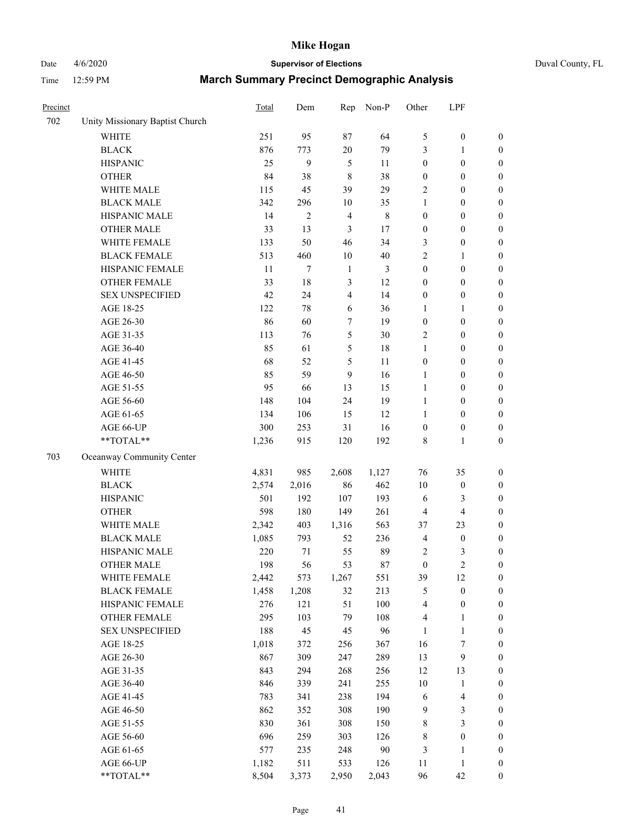Date 4/6/2020 **Supervisor of Elections** Duval County, FL

| Precinct |                                 | Total | Dem            | Rep                     | Non-P       | Other            | LPF                     |                  |
|----------|---------------------------------|-------|----------------|-------------------------|-------------|------------------|-------------------------|------------------|
| 702      | Unity Missionary Baptist Church |       |                |                         |             |                  |                         |                  |
|          | <b>WHITE</b>                    | 251   | 95             | 87                      | 64          | 5                | $\boldsymbol{0}$        | $\boldsymbol{0}$ |
|          | <b>BLACK</b>                    | 876   | 773            | 20                      | 79          | 3                | 1                       | $\boldsymbol{0}$ |
|          | <b>HISPANIC</b>                 | 25    | 9              | 5                       | 11          | $\boldsymbol{0}$ | $\boldsymbol{0}$        | $\boldsymbol{0}$ |
|          | <b>OTHER</b>                    | 84    | 38             | $\,$ 8 $\,$             | 38          | $\boldsymbol{0}$ | $\boldsymbol{0}$        | $\boldsymbol{0}$ |
|          | WHITE MALE                      | 115   | 45             | 39                      | 29          | 2                | $\boldsymbol{0}$        | $\boldsymbol{0}$ |
|          | <b>BLACK MALE</b>               | 342   | 296            | 10                      | 35          | $\mathbf{1}$     | $\boldsymbol{0}$        | $\boldsymbol{0}$ |
|          | HISPANIC MALE                   | 14    | $\overline{c}$ | $\overline{\mathbf{4}}$ | $\,$ 8 $\,$ | $\boldsymbol{0}$ | $\boldsymbol{0}$        | $\boldsymbol{0}$ |
|          | <b>OTHER MALE</b>               | 33    | 13             | $\mathfrak{Z}$          | 17          | $\boldsymbol{0}$ | $\boldsymbol{0}$        | $\boldsymbol{0}$ |
|          | WHITE FEMALE                    | 133   | 50             | 46                      | 34          | 3                | $\boldsymbol{0}$        | 0                |
|          | <b>BLACK FEMALE</b>             | 513   | 460            | 10                      | $40\,$      | 2                | 1                       | $\boldsymbol{0}$ |
|          | HISPANIC FEMALE                 | 11    | $\tau$         | $\mathbf{1}$            | 3           | $\boldsymbol{0}$ | $\boldsymbol{0}$        | $\boldsymbol{0}$ |
|          | <b>OTHER FEMALE</b>             | 33    | 18             | $\mathfrak{Z}$          | 12          | $\boldsymbol{0}$ | $\boldsymbol{0}$        | $\boldsymbol{0}$ |
|          | <b>SEX UNSPECIFIED</b>          | 42    | 24             | $\overline{\mathbf{4}}$ | 14          | $\boldsymbol{0}$ | $\boldsymbol{0}$        | $\boldsymbol{0}$ |
|          | AGE 18-25                       | 122   | 78             | 6                       | 36          | $\mathbf{1}$     | $\mathbf{1}$            | $\boldsymbol{0}$ |
|          | AGE 26-30                       | 86    | 60             | 7                       | 19          | $\boldsymbol{0}$ | $\boldsymbol{0}$        | $\boldsymbol{0}$ |
|          | AGE 31-35                       | 113   | 76             | 5                       | $30\,$      | 2                | $\boldsymbol{0}$        | $\boldsymbol{0}$ |
|          | AGE 36-40                       | 85    | 61             | 5                       | 18          | $\mathbf{1}$     | $\boldsymbol{0}$        | $\boldsymbol{0}$ |
|          | AGE 41-45                       | 68    | 52             | $\mathfrak s$           | 11          | $\boldsymbol{0}$ | $\boldsymbol{0}$        | $\boldsymbol{0}$ |
|          | AGE 46-50                       | 85    | 59             | 9                       | 16          | $\mathbf{1}$     | $\boldsymbol{0}$        | 0                |
|          | AGE 51-55                       | 95    | 66             | 13                      | 15          | $\mathbf{1}$     | $\boldsymbol{0}$        | $\boldsymbol{0}$ |
|          | AGE 56-60                       | 148   | 104            | 24                      | 19          | $\mathbf{1}$     | $\boldsymbol{0}$        | $\boldsymbol{0}$ |
|          | AGE 61-65                       | 134   | 106            | 15                      | 12          | 1                | $\boldsymbol{0}$        | $\boldsymbol{0}$ |
|          | AGE 66-UP                       | 300   | 253            | 31                      | 16          | $\boldsymbol{0}$ | $\boldsymbol{0}$        | $\boldsymbol{0}$ |
|          | **TOTAL**                       | 1,236 | 915            | 120                     | 192         | 8                | $\mathbf{1}$            | $\boldsymbol{0}$ |
| 703      | Oceanway Community Center       |       |                |                         |             |                  |                         |                  |
|          | <b>WHITE</b>                    | 4,831 | 985            | 2,608                   | 1,127       | 76               | 35                      | $\boldsymbol{0}$ |
|          | <b>BLACK</b>                    | 2,574 | 2,016          | 86                      | 462         | $10\,$           | $\boldsymbol{0}$        | $\boldsymbol{0}$ |
|          | <b>HISPANIC</b>                 | 501   | 192            | 107                     | 193         | 6                | $\mathfrak{Z}$          | $\boldsymbol{0}$ |
|          | <b>OTHER</b>                    | 598   | 180            | 149                     | 261         | $\overline{4}$   | $\overline{\mathbf{4}}$ | $\boldsymbol{0}$ |
|          | WHITE MALE                      | 2,342 | 403            | 1,316                   | 563         | 37               | 23                      | $\boldsymbol{0}$ |
|          | <b>BLACK MALE</b>               | 1,085 | 793            | 52                      | 236         | $\overline{4}$   | $\boldsymbol{0}$        | $\boldsymbol{0}$ |
|          | HISPANIC MALE                   | 220   | 71             | 55                      | 89          | $\overline{c}$   | 3                       | 0                |
|          | <b>OTHER MALE</b>               | 198   | 56             | 53                      | 87          | $\boldsymbol{0}$ | $\sqrt{2}$              | $\boldsymbol{0}$ |
|          | WHITE FEMALE                    | 2,442 | 573            | 1,267                   | 551         | 39               | $12\,$                  | $\boldsymbol{0}$ |
|          | <b>BLACK FEMALE</b>             | 1,458 | 1,208          | 32                      | 213         | 5                | $\boldsymbol{0}$        | $\boldsymbol{0}$ |
|          | HISPANIC FEMALE                 | 276   | 121            | 51                      | 100         | 4                | $\boldsymbol{0}$        | $\overline{0}$   |
|          | <b>OTHER FEMALE</b>             | 295   | 103            | 79                      | 108         | 4                | $\mathbf{1}$            | $\overline{0}$   |
|          | <b>SEX UNSPECIFIED</b>          | 188   | 45             | 45                      | 96          | $\mathbf{1}$     | $\mathbf{1}$            | $\overline{0}$   |
|          | AGE 18-25                       | 1,018 | 372            | 256                     | 367         | 16               | $\boldsymbol{7}$        | 0                |
|          | AGE 26-30                       | 867   | 309            | 247                     | 289         | 13               | $\mathbf{9}$            | 0                |
|          | AGE 31-35                       | 843   | 294            | 268                     | 256         | 12               | 13                      | 0                |
|          | AGE 36-40                       | 846   | 339            | 241                     | 255         | 10               | $\mathbf{1}$            | 0                |
|          | AGE 41-45                       | 783   | 341            | 238                     | 194         | 6                | $\overline{4}$          | 0                |
|          | AGE 46-50                       | 862   | 352            | 308                     | 190         | 9                | $\mathfrak{Z}$          | $\boldsymbol{0}$ |
|          | AGE 51-55                       | 830   | 361            | 308                     | 150         | 8                | $\mathfrak{Z}$          | $\boldsymbol{0}$ |
|          | AGE 56-60                       | 696   | 259            | 303                     | 126         | 8                | $\boldsymbol{0}$        | $\boldsymbol{0}$ |
|          | AGE 61-65                       | 577   | 235            | 248                     | $90\,$      | 3                | $\mathbf{1}$            | $\boldsymbol{0}$ |
|          | AGE 66-UP                       | 1,182 | 511            | 533                     | 126         | 11               | $\mathbf{1}$            | $\boldsymbol{0}$ |
|          | **TOTAL**                       | 8,504 | 3,373          | 2,950                   | 2,043       | 96               | 42                      | $\boldsymbol{0}$ |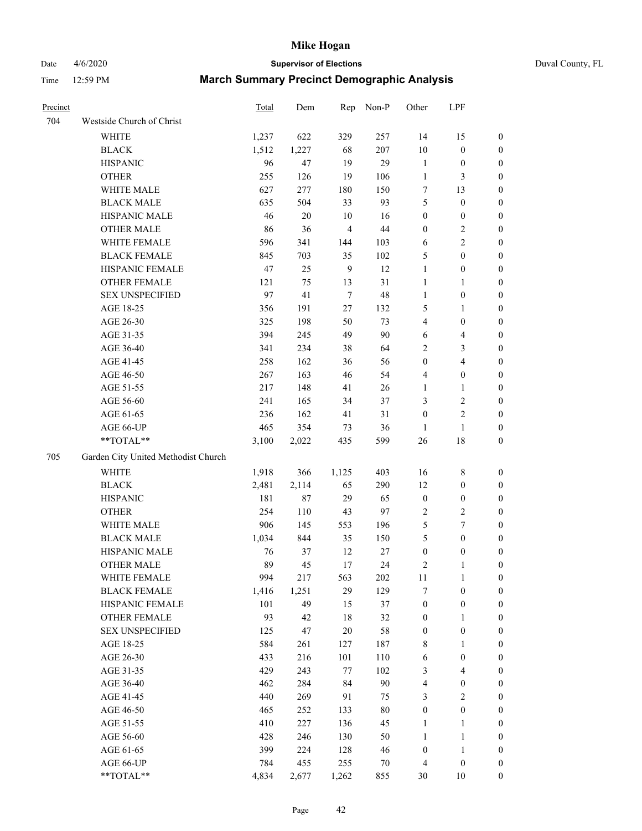Date 4/6/2020 **Supervisor of Elections** Duval County, FL

| Precinct |                                     | Total | Dem    | Rep            | Non-P  | Other            | LPF                     |                  |
|----------|-------------------------------------|-------|--------|----------------|--------|------------------|-------------------------|------------------|
| 704      | Westside Church of Christ           |       |        |                |        |                  |                         |                  |
|          | <b>WHITE</b>                        | 1,237 | 622    | 329            | 257    | 14               | 15                      | 0                |
|          | <b>BLACK</b>                        | 1,512 | 1,227  | 68             | 207    | $10\,$           | $\boldsymbol{0}$        | 0                |
|          | <b>HISPANIC</b>                     | 96    | 47     | 19             | 29     | $\mathbf{1}$     | $\boldsymbol{0}$        | 0                |
|          | <b>OTHER</b>                        | 255   | 126    | 19             | 106    | $\mathbf{1}$     | $\mathfrak{Z}$          | $\boldsymbol{0}$ |
|          | WHITE MALE                          | 627   | 277    | 180            | 150    | 7                | 13                      | $\boldsymbol{0}$ |
|          | <b>BLACK MALE</b>                   | 635   | 504    | 33             | 93     | 5                | $\boldsymbol{0}$        | $\boldsymbol{0}$ |
|          | HISPANIC MALE                       | 46    | $20\,$ | 10             | 16     | $\boldsymbol{0}$ | $\boldsymbol{0}$        | $\boldsymbol{0}$ |
|          | <b>OTHER MALE</b>                   | 86    | 36     | $\overline{4}$ | $44\,$ | $\boldsymbol{0}$ | $\overline{c}$          | $\boldsymbol{0}$ |
|          | WHITE FEMALE                        | 596   | 341    | 144            | 103    | 6                | $\overline{2}$          | $\boldsymbol{0}$ |
|          | <b>BLACK FEMALE</b>                 | 845   | 703    | 35             | 102    | 5                | $\boldsymbol{0}$        | 0                |
|          | HISPANIC FEMALE                     | 47    | 25     | $\overline{9}$ | 12     | $\mathbf{1}$     | $\boldsymbol{0}$        | 0                |
|          | OTHER FEMALE                        | 121   | 75     | 13             | 31     | $\mathbf{1}$     | 1                       | 0                |
|          | <b>SEX UNSPECIFIED</b>              | 97    | 41     | $\overline{7}$ | $48\,$ | $\mathbf{1}$     | $\boldsymbol{0}$        | $\boldsymbol{0}$ |
|          | AGE 18-25                           | 356   | 191    | 27             | 132    | 5                | 1                       | $\boldsymbol{0}$ |
|          | AGE 26-30                           | 325   | 198    | 50             | 73     | 4                | $\boldsymbol{0}$        | $\boldsymbol{0}$ |
|          | AGE 31-35                           | 394   | 245    | 49             | 90     | 6                | $\overline{4}$          | $\boldsymbol{0}$ |
|          | AGE 36-40                           | 341   | 234    | 38             | 64     | 2                | $\mathfrak{Z}$          | $\boldsymbol{0}$ |
|          | AGE 41-45                           | 258   | 162    | 36             | 56     | $\boldsymbol{0}$ | $\overline{\mathbf{4}}$ | $\boldsymbol{0}$ |
|          | AGE 46-50                           | 267   | 163    | 46             | 54     | 4                | $\boldsymbol{0}$        | $\boldsymbol{0}$ |
|          | AGE 51-55                           | 217   | 148    | 41             | 26     | 1                | 1                       | $\boldsymbol{0}$ |
|          | AGE 56-60                           | 241   | 165    | 34             | 37     | 3                | $\sqrt{2}$              | 0                |
|          | AGE 61-65                           | 236   | 162    | 41             | 31     | $\boldsymbol{0}$ | $\sqrt{2}$              | 0                |
|          | AGE 66-UP                           | 465   | 354    | 73             | 36     | 1                | $\mathbf{1}$            | 0                |
|          | **TOTAL**                           | 3,100 | 2,022  | 435            | 599    | $26\,$           | $18\,$                  | $\boldsymbol{0}$ |
| 705      | Garden City United Methodist Church |       |        |                |        |                  |                         |                  |
|          | <b>WHITE</b>                        | 1,918 | 366    | 1,125          | 403    | 16               | $\,$ 8 $\,$             | $\boldsymbol{0}$ |
|          | <b>BLACK</b>                        | 2,481 | 2,114  | 65             | 290    | 12               | $\boldsymbol{0}$        | $\boldsymbol{0}$ |
|          | <b>HISPANIC</b>                     | 181   | 87     | 29             | 65     | $\boldsymbol{0}$ | $\boldsymbol{0}$        | $\boldsymbol{0}$ |
|          | <b>OTHER</b>                        | 254   | 110    | 43             | 97     | $\sqrt{2}$       | $\sqrt{2}$              | $\boldsymbol{0}$ |
|          | WHITE MALE                          | 906   | 145    | 553            | 196    | 5                | $\tau$                  | $\overline{0}$   |
|          | <b>BLACK MALE</b>                   | 1,034 | 844    | 35             | 150    | 5                | $\boldsymbol{0}$        | $\boldsymbol{0}$ |
|          | HISPANIC MALE                       | 76    | 37     | 12             | 27     | $\boldsymbol{0}$ | $\boldsymbol{0}$        | 0                |
|          | <b>OTHER MALE</b>                   | 89    | 45     | 17             | 24     | 2                | $\mathbf{1}$            | 0                |
|          | WHITE FEMALE                        | 994   | 217    | 563            | 202    | 11               | 1                       | 0                |
|          | <b>BLACK FEMALE</b>                 | 1,416 | 1,251  | 29             | 129    | 7                | $\boldsymbol{0}$        | $\boldsymbol{0}$ |
|          | HISPANIC FEMALE                     | 101   | 49     | 15             | 37     | $\boldsymbol{0}$ | $\boldsymbol{0}$        | $\overline{0}$   |
|          | <b>OTHER FEMALE</b>                 | 93    | 42     | 18             | 32     | $\boldsymbol{0}$ | $\mathbf{1}$            | $\overline{0}$   |
|          | <b>SEX UNSPECIFIED</b>              | 125   | 47     | 20             | 58     | $\boldsymbol{0}$ | $\boldsymbol{0}$        | 0                |
|          | AGE 18-25                           | 584   | 261    | 127            | 187    | 8                | $\mathbf{1}$            | 0                |
|          | AGE 26-30                           | 433   | 216    | 101            | 110    | 6                | $\boldsymbol{0}$        | 0                |
|          | AGE 31-35                           | 429   | 243    | 77             | 102    | 3                | $\overline{4}$          | 0                |
|          | AGE 36-40                           | 462   | 284    | 84             | 90     | 4                | $\boldsymbol{0}$        | 0                |
|          | AGE 41-45                           | 440   | 269    | 91             | 75     | 3                | $\overline{c}$          | 0                |
|          | AGE 46-50                           | 465   | 252    | 133            | $80\,$ | $\boldsymbol{0}$ | $\boldsymbol{0}$        | 0                |
|          | AGE 51-55                           | 410   | 227    | 136            | 45     | $\mathbf{1}$     | $\mathbf{1}$            | 0                |
|          | AGE 56-60                           | 428   | 246    | 130            | 50     | $\mathbf{1}$     | $\mathbf{1}$            | 0                |
|          | AGE 61-65                           | 399   | 224    | 128            | 46     | $\boldsymbol{0}$ | $\mathbf{1}$            | $\boldsymbol{0}$ |
|          | AGE 66-UP                           | 784   | 455    | 255            | $70\,$ | 4                | $\boldsymbol{0}$        | 0                |
|          | **TOTAL**                           | 4,834 | 2,677  | 1,262          | 855    | 30               | 10                      | $\boldsymbol{0}$ |
|          |                                     |       |        |                |        |                  |                         |                  |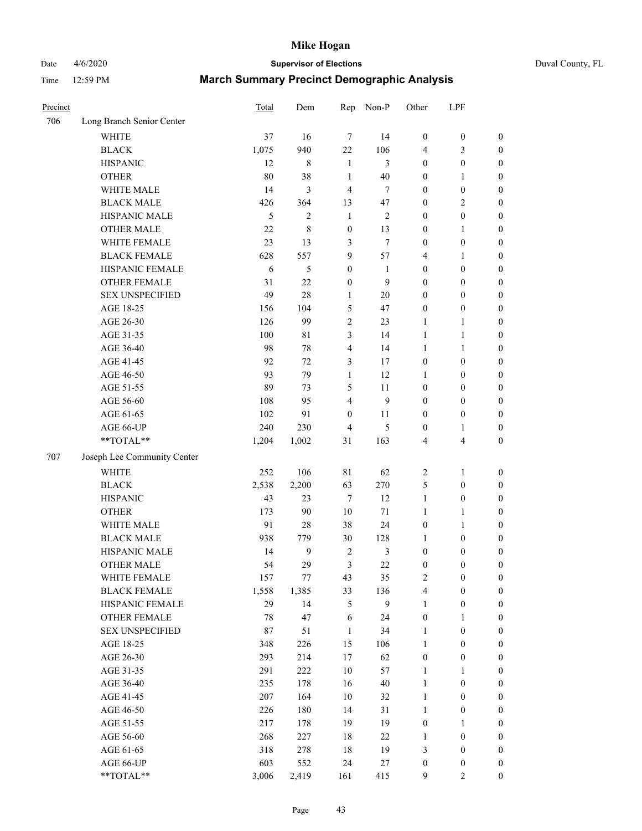Date 4/6/2020 **Supervisor of Elections** Duval County, FL

| Precinct |                             | Total         | Dem            | Rep              | Non-P          | Other            | LPF                     |                  |
|----------|-----------------------------|---------------|----------------|------------------|----------------|------------------|-------------------------|------------------|
| 706      | Long Branch Senior Center   |               |                |                  |                |                  |                         |                  |
|          | <b>WHITE</b>                | 37            | 16             | $\overline{7}$   | 14             | $\boldsymbol{0}$ | $\boldsymbol{0}$        | $\boldsymbol{0}$ |
|          | <b>BLACK</b>                | 1,075         | 940            | 22               | 106            | 4                | 3                       | $\boldsymbol{0}$ |
|          | <b>HISPANIC</b>             | 12            | $\,8\,$        | $\mathbf{1}$     | 3              | $\boldsymbol{0}$ | $\boldsymbol{0}$        | $\boldsymbol{0}$ |
|          | <b>OTHER</b>                | 80            | 38             | $\mathbf{1}$     | $40\,$         | $\boldsymbol{0}$ | 1                       | $\boldsymbol{0}$ |
|          | WHITE MALE                  | 14            | 3              | $\overline{4}$   | $\tau$         | $\boldsymbol{0}$ | $\boldsymbol{0}$        | $\boldsymbol{0}$ |
|          | <b>BLACK MALE</b>           | 426           | 364            | 13               | 47             | $\boldsymbol{0}$ | $\sqrt{2}$              | $\boldsymbol{0}$ |
|          | HISPANIC MALE               | $\mathfrak s$ | $\mathfrak{2}$ | $\mathbf{1}$     | $\sqrt{2}$     | $\boldsymbol{0}$ | $\boldsymbol{0}$        | $\boldsymbol{0}$ |
|          | <b>OTHER MALE</b>           | 22            | 8              | $\boldsymbol{0}$ | 13             | $\boldsymbol{0}$ | 1                       | $\boldsymbol{0}$ |
|          | WHITE FEMALE                | 23            | 13             | 3                | $\tau$         | $\boldsymbol{0}$ | $\boldsymbol{0}$        | $\boldsymbol{0}$ |
|          | <b>BLACK FEMALE</b>         | 628           | 557            | $\overline{9}$   | 57             | 4                | 1                       | 0                |
|          | HISPANIC FEMALE             | 6             | 5              | $\boldsymbol{0}$ | $\mathbf{1}$   | $\boldsymbol{0}$ | $\boldsymbol{0}$        | $\boldsymbol{0}$ |
|          | OTHER FEMALE                | 31            | 22             | $\boldsymbol{0}$ | 9              | $\boldsymbol{0}$ | $\boldsymbol{0}$        | $\boldsymbol{0}$ |
|          | <b>SEX UNSPECIFIED</b>      | 49            | 28             | $\mathbf{1}$     | $20\,$         | $\boldsymbol{0}$ | $\boldsymbol{0}$        | $\boldsymbol{0}$ |
|          | AGE 18-25                   | 156           | 104            | 5                | 47             | $\boldsymbol{0}$ | $\boldsymbol{0}$        | $\boldsymbol{0}$ |
|          | AGE 26-30                   | 126           | 99             | $\overline{c}$   | 23             | $\mathbf{1}$     | $\mathbf{1}$            | $\boldsymbol{0}$ |
|          | AGE 31-35                   | 100           | 81             | $\mathfrak{Z}$   | 14             | $\mathbf{1}$     | $\mathbf{1}$            | $\boldsymbol{0}$ |
|          | AGE 36-40                   | 98            | 78             | $\overline{4}$   | 14             | $\mathbf{1}$     | $\mathbf{1}$            | $\boldsymbol{0}$ |
|          | AGE 41-45                   | 92            | 72             | 3                | 17             | $\boldsymbol{0}$ | $\boldsymbol{0}$        | $\boldsymbol{0}$ |
|          | AGE 46-50                   | 93            | 79             | $\mathbf{1}$     | 12             | 1                | $\boldsymbol{0}$        | $\boldsymbol{0}$ |
|          | AGE 51-55                   | 89            | 73             | 5                | 11             | $\boldsymbol{0}$ | $\boldsymbol{0}$        | 0                |
|          | AGE 56-60                   | 108           | 95             | $\overline{4}$   | 9              | $\boldsymbol{0}$ | $\boldsymbol{0}$        | $\boldsymbol{0}$ |
|          | AGE 61-65                   | 102           | 91             | $\boldsymbol{0}$ | 11             | $\boldsymbol{0}$ | $\boldsymbol{0}$        | $\boldsymbol{0}$ |
|          | AGE 66-UP                   | 240           | 230            | $\overline{4}$   | 5              | $\boldsymbol{0}$ | 1                       | $\boldsymbol{0}$ |
|          | **TOTAL**                   | 1,204         | 1,002          | 31               | 163            | 4                | $\overline{\mathbf{4}}$ | $\boldsymbol{0}$ |
| 707      | Joseph Lee Community Center |               |                |                  |                |                  |                         |                  |
|          | <b>WHITE</b>                | 252           | 106            | 81               | 62             | $\boldsymbol{2}$ | $\mathbf{1}$            | $\boldsymbol{0}$ |
|          | <b>BLACK</b>                | 2,538         | 2,200          | 63               | 270            | 5                | $\boldsymbol{0}$        | $\boldsymbol{0}$ |
|          | <b>HISPANIC</b>             | 43            | 23             | $\tau$           | 12             | $\mathbf{1}$     | $\boldsymbol{0}$        | $\boldsymbol{0}$ |
|          | <b>OTHER</b>                | 173           | 90             | $10\,$           | 71             | $\mathbf{1}$     | $\mathbf{1}$            | $\boldsymbol{0}$ |
|          | WHITE MALE                  | 91            | $28\,$         | 38               | 24             | $\boldsymbol{0}$ | 1                       | $\boldsymbol{0}$ |
|          | <b>BLACK MALE</b>           | 938           | 779            | 30               | 128            | $\mathbf{1}$     | $\boldsymbol{0}$        | $\boldsymbol{0}$ |
|          | HISPANIC MALE               | 14            | 9              | $\overline{2}$   | $\mathfrak{Z}$ | $\boldsymbol{0}$ | $\boldsymbol{0}$        | 0                |
|          | <b>OTHER MALE</b>           | 54            | 29             | 3                | 22             | $\boldsymbol{0}$ | $\boldsymbol{0}$        | $\boldsymbol{0}$ |
|          | WHITE FEMALE                | 157           | 77             | 43               | 35             | 2                | $\boldsymbol{0}$        | $\boldsymbol{0}$ |
|          | <b>BLACK FEMALE</b>         | 1,558         | 1,385          | 33               | 136            | 4                | $\boldsymbol{0}$        | $\boldsymbol{0}$ |
|          | HISPANIC FEMALE             | 29            | 14             | 5                | 9              | $\mathbf{1}$     | $\boldsymbol{0}$        | $\overline{0}$   |
|          | OTHER FEMALE                | 78            | 47             | 6                | 24             | $\boldsymbol{0}$ | $\mathbf{1}$            | 0                |
|          | <b>SEX UNSPECIFIED</b>      | 87            | 51             | $\mathbf{1}$     | 34             | $\mathbf{1}$     | $\boldsymbol{0}$        | 0                |
|          | AGE 18-25                   | 348           | 226            | 15               | 106            | $\mathbf{1}$     | $\boldsymbol{0}$        | 0                |
|          | AGE 26-30                   | 293           | 214            | 17               | 62             | $\boldsymbol{0}$ | $\boldsymbol{0}$        | 0                |
|          | AGE 31-35                   | 291           | 222            | $10\,$           | 57             | $\mathbf{1}$     | $\mathbf{1}$            | 0                |
|          | AGE 36-40                   | 235           | 178            | 16               | $40\,$         | $\mathbf{1}$     | $\boldsymbol{0}$        | 0                |
|          | AGE 41-45                   | 207           | 164            | 10               | 32             | $\mathbf{1}$     | $\boldsymbol{0}$        | 0                |
|          | AGE 46-50                   | 226           | 180            | 14               | 31             | $\mathbf{1}$     | $\boldsymbol{0}$        | 0                |
|          | AGE 51-55                   | 217           | 178            | 19               | 19             | $\boldsymbol{0}$ | 1                       | $\boldsymbol{0}$ |
|          | AGE 56-60                   | 268           | 227            | 18               | 22             | $\mathbf{1}$     | $\boldsymbol{0}$        | $\boldsymbol{0}$ |
|          | AGE 61-65                   | 318           | 278            | 18               | 19             | 3                | $\boldsymbol{0}$        | 0                |
|          | AGE 66-UP                   | 603           | 552            | 24               | 27             | $\boldsymbol{0}$ | $\boldsymbol{0}$        | 0                |
|          | **TOTAL**                   | 3,006         | 2,419          | 161              | 415            | 9                | $\overline{2}$          | $\overline{0}$   |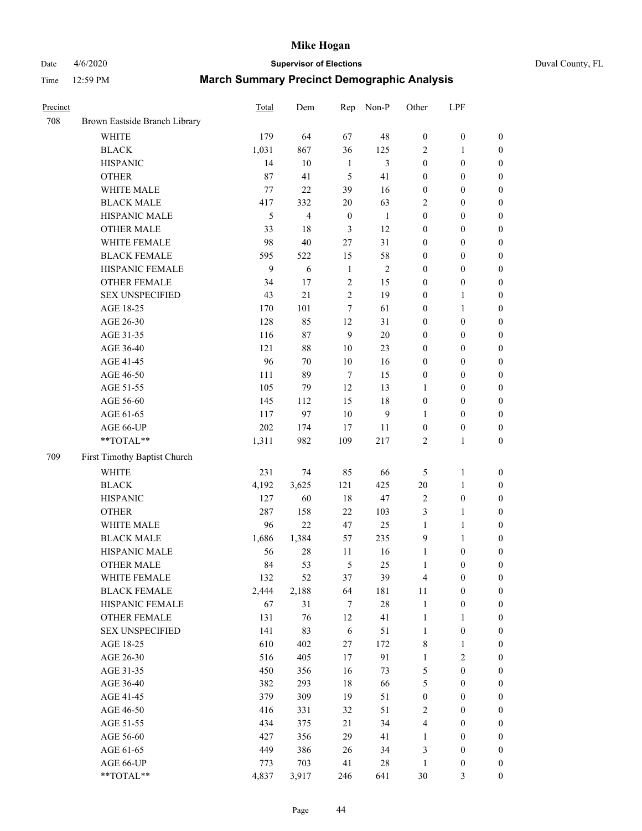# Date 4/6/2020 **Supervisor of Elections** Duval County, FL

| Precinct |                               | Total | Dem            | Rep              | Non-P        | Other            | LPF              |                  |
|----------|-------------------------------|-------|----------------|------------------|--------------|------------------|------------------|------------------|
| 708      | Brown Eastside Branch Library |       |                |                  |              |                  |                  |                  |
|          | <b>WHITE</b>                  | 179   | 64             | 67               | 48           | $\boldsymbol{0}$ | $\boldsymbol{0}$ | $\boldsymbol{0}$ |
|          | <b>BLACK</b>                  | 1,031 | 867            | 36               | 125          | 2                | 1                | $\boldsymbol{0}$ |
|          | <b>HISPANIC</b>               | 14    | 10             | $\mathbf{1}$     | 3            | $\boldsymbol{0}$ | $\boldsymbol{0}$ | $\boldsymbol{0}$ |
|          | <b>OTHER</b>                  | 87    | 41             | 5                | 41           | $\boldsymbol{0}$ | $\boldsymbol{0}$ | $\boldsymbol{0}$ |
|          | WHITE MALE                    | 77    | 22             | 39               | 16           | $\boldsymbol{0}$ | $\boldsymbol{0}$ | $\boldsymbol{0}$ |
|          | <b>BLACK MALE</b>             | 417   | 332            | 20               | 63           | 2                | $\boldsymbol{0}$ | $\boldsymbol{0}$ |
|          | HISPANIC MALE                 | 5     | $\overline{4}$ | $\boldsymbol{0}$ | $\mathbf{1}$ | 0                | $\boldsymbol{0}$ | $\boldsymbol{0}$ |
|          | <b>OTHER MALE</b>             | 33    | 18             | 3                | 12           | $\boldsymbol{0}$ | $\boldsymbol{0}$ | $\boldsymbol{0}$ |
|          | WHITE FEMALE                  | 98    | 40             | 27               | 31           | $\boldsymbol{0}$ | $\boldsymbol{0}$ | $\boldsymbol{0}$ |
|          | <b>BLACK FEMALE</b>           | 595   | 522            | 15               | 58           | $\boldsymbol{0}$ | $\boldsymbol{0}$ | $\boldsymbol{0}$ |
|          | HISPANIC FEMALE               | 9     | 6              | $\mathbf{1}$     | $\sqrt{2}$   | $\boldsymbol{0}$ | $\boldsymbol{0}$ | $\boldsymbol{0}$ |
|          | <b>OTHER FEMALE</b>           | 34    | 17             | $\sqrt{2}$       | 15           | $\boldsymbol{0}$ | $\boldsymbol{0}$ | $\boldsymbol{0}$ |
|          | <b>SEX UNSPECIFIED</b>        | 43    | 21             | $\boldsymbol{2}$ | 19           | $\boldsymbol{0}$ | $\mathbf{1}$     | $\boldsymbol{0}$ |
|          | AGE 18-25                     | 170   | 101            | 7                | 61           | $\boldsymbol{0}$ | $\mathbf{1}$     | $\boldsymbol{0}$ |
|          | AGE 26-30                     | 128   | 85             | 12               | 31           | $\boldsymbol{0}$ | $\boldsymbol{0}$ | $\boldsymbol{0}$ |
|          | AGE 31-35                     | 116   | 87             | $\mathbf{9}$     | 20           | $\boldsymbol{0}$ | $\boldsymbol{0}$ | $\boldsymbol{0}$ |
|          | AGE 36-40                     | 121   | $88\,$         | 10               | 23           | 0                | $\boldsymbol{0}$ | $\boldsymbol{0}$ |
|          | AGE 41-45                     | 96    | 70             | $10\,$           | 16           | $\boldsymbol{0}$ | $\boldsymbol{0}$ | $\boldsymbol{0}$ |
|          | AGE 46-50                     | 111   | 89             | $\overline{7}$   | 15           | $\boldsymbol{0}$ | $\boldsymbol{0}$ | $\boldsymbol{0}$ |
|          | AGE 51-55                     | 105   | 79             | 12               | 13           | 1                | $\boldsymbol{0}$ | $\boldsymbol{0}$ |
|          | AGE 56-60                     | 145   | 112            | 15               | 18           | $\boldsymbol{0}$ | $\boldsymbol{0}$ | $\boldsymbol{0}$ |
|          | AGE 61-65                     | 117   | 97             | 10               | 9            | 1                | $\boldsymbol{0}$ | $\boldsymbol{0}$ |
|          | AGE 66-UP                     | 202   | 174            | 17               | 11           | $\boldsymbol{0}$ | $\boldsymbol{0}$ | $\boldsymbol{0}$ |
|          | **TOTAL**                     | 1,311 | 982            | 109              | 217          | $\overline{c}$   | $\mathbf{1}$     | $\boldsymbol{0}$ |
| 709      | First Timothy Baptist Church  |       |                |                  |              |                  |                  |                  |
|          | <b>WHITE</b>                  | 231   | 74             | 85               | 66           | 5                | $\mathbf{1}$     | $\boldsymbol{0}$ |
|          | <b>BLACK</b>                  | 4,192 | 3,625          | 121              | 425          | $20\,$           | $\mathbf{1}$     | $\boldsymbol{0}$ |
|          | <b>HISPANIC</b>               | 127   | 60             | $18\,$           | 47           | 2                | $\boldsymbol{0}$ | $\boldsymbol{0}$ |
|          | <b>OTHER</b>                  | 287   | 158            | 22               | 103          | 3                | $\mathbf{1}$     | $\boldsymbol{0}$ |
|          | WHITE MALE                    | 96    | 22             | 47               | 25           | $\mathbf{1}$     | $\mathbf{1}$     | $\boldsymbol{0}$ |
|          | <b>BLACK MALE</b>             | 1,686 | 1,384          | 57               | 235          | 9                | $\mathbf{1}$     | $\boldsymbol{0}$ |
|          | HISPANIC MALE                 | 56    | $28\,$         | 11               | 16           | $\mathbf{1}$     | $\boldsymbol{0}$ | $\boldsymbol{0}$ |
|          | <b>OTHER MALE</b>             | 84    | 53             | 5                | 25           | $\mathbf{1}$     | $\boldsymbol{0}$ | $\boldsymbol{0}$ |
|          | WHITE FEMALE                  | 132   | 52             | 37               | 39           | 4                | 0                | 0                |
|          | <b>BLACK FEMALE</b>           | 2,444 | 2,188          | 64               | 181          | 11               | $\boldsymbol{0}$ | $\boldsymbol{0}$ |
|          | HISPANIC FEMALE               | 67    | 31             | 7                | $28\,$       | $\mathbf{1}$     | $\boldsymbol{0}$ | $\overline{0}$   |
|          | OTHER FEMALE                  | 131   | 76             | 12               | 41           | $\mathbf{1}$     | $\mathbf{1}$     | $\overline{0}$   |
|          | <b>SEX UNSPECIFIED</b>        | 141   | 83             | $\sqrt{6}$       | 51           | $\mathbf{1}$     | $\boldsymbol{0}$ | 0                |
|          | AGE 18-25                     | 610   | 402            | 27               | 172          | 8                | $\mathbf{1}$     | 0                |
|          | AGE 26-30                     | 516   | 405            | 17               | 91           | $\mathbf{1}$     | $\overline{2}$   | 0                |
|          | AGE 31-35                     | 450   | 356            | 16               | 73           | 5                | $\boldsymbol{0}$ | 0                |
|          | AGE 36-40                     | 382   | 293            | 18               | 66           | 5                | $\boldsymbol{0}$ | 0                |
|          | AGE 41-45                     | 379   | 309            | 19               | 51           | $\boldsymbol{0}$ | $\boldsymbol{0}$ | 0                |
|          | AGE 46-50                     | 416   | 331            | 32               | 51           | 2                | $\boldsymbol{0}$ | 0                |
|          | AGE 51-55                     | 434   | 375            | 21               | 34           | 4                | $\boldsymbol{0}$ | $\boldsymbol{0}$ |
|          | AGE 56-60                     | 427   | 356            | 29               | 41           | 1                | $\boldsymbol{0}$ | $\boldsymbol{0}$ |
|          | AGE 61-65                     | 449   | 386            | 26               | 34           | 3                | $\boldsymbol{0}$ | $\overline{0}$   |
|          | AGE 66-UP                     | 773   | 703            | 41               | $28\,$       | $\mathbf{1}$     | $\boldsymbol{0}$ | 0                |
|          | **TOTAL**                     | 4,837 | 3,917          | 246              | 641          | 30               | 3                | $\boldsymbol{0}$ |
|          |                               |       |                |                  |              |                  |                  |                  |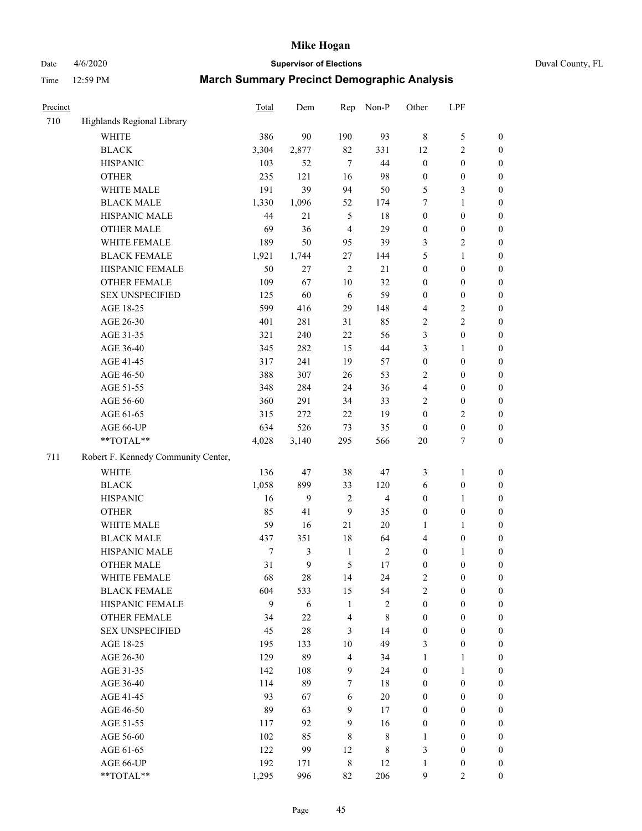Date 4/6/2020 **Supervisor of Elections** Duval County, FL

| Precinct |                                     | Total | Dem              | Rep                     | Non-P                   | Other                   | LPF              |                  |
|----------|-------------------------------------|-------|------------------|-------------------------|-------------------------|-------------------------|------------------|------------------|
| 710      | Highlands Regional Library          |       |                  |                         |                         |                         |                  |                  |
|          | <b>WHITE</b>                        | 386   | 90               | 190                     | 93                      | $\,8\,$                 | $\mathfrak s$    | 0                |
|          | <b>BLACK</b>                        | 3,304 | 2,877            | 82                      | 331                     | 12                      | $\sqrt{2}$       | $\boldsymbol{0}$ |
|          | <b>HISPANIC</b>                     | 103   | 52               | $\tau$                  | 44                      | $\boldsymbol{0}$        | $\boldsymbol{0}$ | $\boldsymbol{0}$ |
|          | <b>OTHER</b>                        | 235   | 121              | 16                      | 98                      | $\boldsymbol{0}$        | $\boldsymbol{0}$ | $\boldsymbol{0}$ |
|          | WHITE MALE                          | 191   | 39               | 94                      | 50                      | 5                       | 3                | $\boldsymbol{0}$ |
|          | <b>BLACK MALE</b>                   | 1,330 | 1,096            | 52                      | 174                     | 7                       | $\mathbf{1}$     | $\boldsymbol{0}$ |
|          | HISPANIC MALE                       | 44    | 21               | 5                       | 18                      | 0                       | $\boldsymbol{0}$ | $\boldsymbol{0}$ |
|          | <b>OTHER MALE</b>                   | 69    | 36               | $\overline{4}$          | 29                      | $\boldsymbol{0}$        | $\boldsymbol{0}$ | $\boldsymbol{0}$ |
|          | WHITE FEMALE                        | 189   | 50               | 95                      | 39                      | 3                       | $\sqrt{2}$       | $\boldsymbol{0}$ |
|          | <b>BLACK FEMALE</b>                 | 1,921 | 1,744            | 27                      | 144                     | 5                       | $\mathbf{1}$     | $\boldsymbol{0}$ |
|          | HISPANIC FEMALE                     | 50    | 27               | $\sqrt{2}$              | 21                      | $\boldsymbol{0}$        | $\boldsymbol{0}$ | $\boldsymbol{0}$ |
|          | <b>OTHER FEMALE</b>                 | 109   | 67               | $10\,$                  | 32                      | 0                       | $\boldsymbol{0}$ | $\boldsymbol{0}$ |
|          | <b>SEX UNSPECIFIED</b>              | 125   | 60               | 6                       | 59                      | $\boldsymbol{0}$        | $\boldsymbol{0}$ | $\boldsymbol{0}$ |
|          | AGE 18-25                           | 599   | 416              | 29                      | 148                     | 4                       | $\sqrt{2}$       | $\boldsymbol{0}$ |
|          | AGE 26-30                           | 401   | 281              | 31                      | 85                      | $\overline{\mathbf{c}}$ | $\sqrt{2}$       | $\boldsymbol{0}$ |
|          | AGE 31-35                           | 321   | 240              | 22                      | 56                      | 3                       | $\boldsymbol{0}$ | $\boldsymbol{0}$ |
|          | AGE 36-40                           | 345   | 282              | 15                      | 44                      | 3                       | $\mathbf{1}$     | $\boldsymbol{0}$ |
|          | AGE 41-45                           | 317   | 241              | 19                      | 57                      | $\boldsymbol{0}$        | $\boldsymbol{0}$ | $\boldsymbol{0}$ |
|          | AGE 46-50                           | 388   | 307              | 26                      | 53                      | 2                       | $\boldsymbol{0}$ | $\boldsymbol{0}$ |
|          | AGE 51-55                           | 348   | 284              | 24                      | 36                      | 4                       | $\boldsymbol{0}$ | $\boldsymbol{0}$ |
|          | AGE 56-60                           | 360   | 291              | 34                      | 33                      | $\overline{c}$          | $\boldsymbol{0}$ | 0                |
|          | AGE 61-65                           | 315   | 272              | 22                      | 19                      | $\boldsymbol{0}$        | $\mathfrak{2}$   | $\boldsymbol{0}$ |
|          | AGE 66-UP                           | 634   | 526              | 73                      | 35                      | $\boldsymbol{0}$        | $\boldsymbol{0}$ | $\boldsymbol{0}$ |
|          | **TOTAL**                           | 4,028 | 3,140            | 295                     | 566                     | 20                      | $\tau$           | $\boldsymbol{0}$ |
| 711      | Robert F. Kennedy Community Center, |       |                  |                         |                         |                         |                  |                  |
|          | <b>WHITE</b>                        | 136   | 47               | 38                      | 47                      | 3                       | $\mathbf{1}$     | $\boldsymbol{0}$ |
|          | <b>BLACK</b>                        | 1,058 | 899              | 33                      | 120                     | 6                       | $\boldsymbol{0}$ | $\boldsymbol{0}$ |
|          | <b>HISPANIC</b>                     | 16    | $\boldsymbol{9}$ | 2                       | $\overline{\mathbf{4}}$ | $\boldsymbol{0}$        | $\mathbf{1}$     | $\boldsymbol{0}$ |
|          | <b>OTHER</b>                        | 85    | 41               | 9                       | 35                      | 0                       | $\boldsymbol{0}$ | $\boldsymbol{0}$ |
|          | WHITE MALE                          | 59    | 16               | 21                      | 20                      | 1                       | $\mathbf{1}$     | $\boldsymbol{0}$ |
|          | <b>BLACK MALE</b>                   | 437   | 351              | 18                      | 64                      | 4                       | $\boldsymbol{0}$ | $\boldsymbol{0}$ |
|          | HISPANIC MALE                       | 7     | $\mathfrak{Z}$   | $\mathbf{1}$            | $\sqrt{2}$              | $\boldsymbol{0}$        | 1                | $\boldsymbol{0}$ |
|          | <b>OTHER MALE</b>                   | 31    | 9                | 5                       | 17                      | $\boldsymbol{0}$        | $\boldsymbol{0}$ | $\boldsymbol{0}$ |
|          | WHITE FEMALE                        | 68    | 28               | 14                      | 24                      | 2                       | 0                | 0                |
|          | <b>BLACK FEMALE</b>                 | 604   | 533              | 15                      | 54                      | $\overline{c}$          | $\boldsymbol{0}$ | $\overline{0}$   |
|          | HISPANIC FEMALE                     | 9     | 6                | $\mathbf{1}$            | $\sqrt{2}$              | $\boldsymbol{0}$        | $\boldsymbol{0}$ | $\overline{0}$   |
|          | <b>OTHER FEMALE</b>                 | 34    | $22\,$           | 4                       | $\,$ 8 $\,$             | $\boldsymbol{0}$        | $\boldsymbol{0}$ | $\overline{0}$   |
|          | <b>SEX UNSPECIFIED</b>              | 45    | $28\,$           | 3                       | 14                      | $\boldsymbol{0}$        | $\boldsymbol{0}$ | $\overline{0}$   |
|          | AGE 18-25                           | 195   | 133              | 10                      | 49                      | 3                       | $\boldsymbol{0}$ | $\overline{0}$   |
|          | AGE 26-30                           | 129   | 89               | $\overline{\mathbf{4}}$ | 34                      | $\mathbf{1}$            | $\mathbf{1}$     | $\overline{0}$   |
|          | AGE 31-35                           | 142   | 108              | 9                       | 24                      | $\boldsymbol{0}$        | $\mathbf{1}$     | $\overline{0}$   |
|          | AGE 36-40                           | 114   | 89               | 7                       | 18                      | 0                       | $\boldsymbol{0}$ | 0                |
|          | AGE 41-45                           | 93    | 67               | 6                       | 20                      | 0                       | $\boldsymbol{0}$ | 0                |
|          | AGE 46-50                           | 89    | 63               | 9                       | 17                      | 0                       | $\boldsymbol{0}$ | $\boldsymbol{0}$ |
|          | AGE 51-55                           | 117   | 92               | 9                       | 16                      | $\boldsymbol{0}$        | $\boldsymbol{0}$ | $\boldsymbol{0}$ |
|          | AGE 56-60                           | 102   | 85               | 8                       | $\,$ 8 $\,$             | 1                       | $\boldsymbol{0}$ | $\boldsymbol{0}$ |
|          | AGE 61-65                           | 122   | 99               | 12                      | 8                       | 3                       | $\boldsymbol{0}$ | $\overline{0}$   |
|          | AGE 66-UP                           | 192   | 171              | 8                       | 12                      | 1                       | $\boldsymbol{0}$ | $\boldsymbol{0}$ |
|          | **TOTAL**                           | 1,295 | 996              | 82                      | 206                     | 9                       | $\mathfrak{2}$   | $\overline{0}$   |
|          |                                     |       |                  |                         |                         |                         |                  |                  |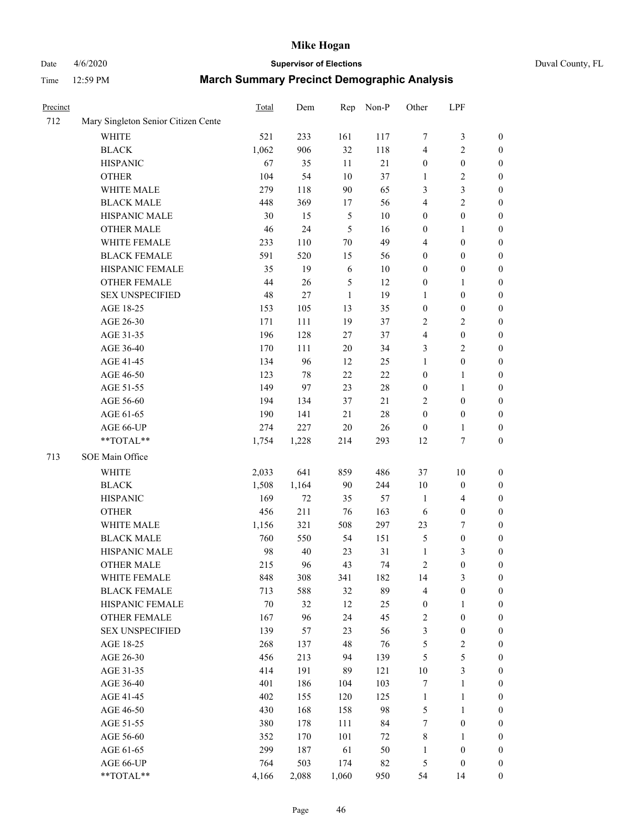# Date 4/6/2020 **Supervisor of Elections** Duval County, FL

| Precinct |                                     | Total        | Dem             | Rep            | Non-P  | Other                   | LPF              |                  |
|----------|-------------------------------------|--------------|-----------------|----------------|--------|-------------------------|------------------|------------------|
| 712      | Mary Singleton Senior Citizen Cente |              |                 |                |        |                         |                  |                  |
|          | <b>WHITE</b>                        | 521          | 233             | 161            | 117    | 7                       | $\mathfrak{Z}$   | 0                |
|          | <b>BLACK</b>                        | 1,062        | 906             | 32             | 118    | 4                       | $\sqrt{2}$       | 0                |
|          | <b>HISPANIC</b>                     | 67           | 35              | 11             | 21     | $\boldsymbol{0}$        | $\boldsymbol{0}$ | $\boldsymbol{0}$ |
|          | <b>OTHER</b>                        | 104          | 54              | 10             | 37     | 1                       | $\sqrt{2}$       | $\boldsymbol{0}$ |
|          | WHITE MALE                          | 279          | 118             | 90             | 65     | 3                       | $\mathfrak{Z}$   | $\boldsymbol{0}$ |
|          | <b>BLACK MALE</b>                   | 448          | 369             | 17             | 56     | 4                       | $\sqrt{2}$       | $\boldsymbol{0}$ |
|          | HISPANIC MALE                       | 30           | 15              | $\mathfrak{S}$ | $10\,$ | $\boldsymbol{0}$        | $\boldsymbol{0}$ | $\boldsymbol{0}$ |
|          | <b>OTHER MALE</b>                   | 46           | 24              | 5              | 16     | $\boldsymbol{0}$        | $\mathbf{1}$     | $\boldsymbol{0}$ |
|          | WHITE FEMALE                        | 233          | 110             | $70\,$         | 49     | 4                       | $\boldsymbol{0}$ | $\boldsymbol{0}$ |
|          | <b>BLACK FEMALE</b>                 | 591          | 520             | 15             | 56     | $\boldsymbol{0}$        | $\boldsymbol{0}$ | 0                |
|          | HISPANIC FEMALE                     | 35           | 19              | 6              | $10\,$ | $\boldsymbol{0}$        | $\boldsymbol{0}$ | 0                |
|          | <b>OTHER FEMALE</b>                 | 44           | 26              | $\mathfrak{S}$ | 12     | $\boldsymbol{0}$        | 1                | $\boldsymbol{0}$ |
|          | <b>SEX UNSPECIFIED</b>              | 48           | 27              | $\mathbf{1}$   | 19     | $\mathbf{1}$            | $\boldsymbol{0}$ | $\boldsymbol{0}$ |
|          | AGE 18-25                           | 153          | 105             | 13             | 35     | $\boldsymbol{0}$        | $\boldsymbol{0}$ | $\boldsymbol{0}$ |
|          | AGE 26-30                           | 171          | 111             | 19             | 37     | 2                       | $\sqrt{2}$       | $\boldsymbol{0}$ |
|          | AGE 31-35                           | 196          | 128             | 27             | 37     | 4                       | $\boldsymbol{0}$ | $\boldsymbol{0}$ |
|          | AGE 36-40                           | 170          | 111             | 20             | 34     | 3                       | $\sqrt{2}$       | $\boldsymbol{0}$ |
|          | AGE 41-45                           | 134          | 96              | 12             | 25     | $\mathbf{1}$            | $\boldsymbol{0}$ | $\boldsymbol{0}$ |
|          | AGE 46-50                           | 123          | 78              | 22             | 22     | $\boldsymbol{0}$        | $\mathbf{1}$     | $\boldsymbol{0}$ |
|          | AGE 51-55                           | 149          | 97              | 23             | $28\,$ | $\boldsymbol{0}$        | 1                | 0                |
|          | AGE 56-60                           | 194          | 134             | 37             | 21     | 2                       | $\boldsymbol{0}$ | 0                |
|          | AGE 61-65                           | 190          | 141             | 21             | $28\,$ | $\boldsymbol{0}$        | $\boldsymbol{0}$ | 0                |
|          | AGE 66-UP                           | 274          | 227             | 20             | 26     | $\boldsymbol{0}$        | $\mathbf{1}$     | $\boldsymbol{0}$ |
|          | **TOTAL**                           | 1,754        | 1,228           | 214            | 293    | 12                      | $\boldsymbol{7}$ | $\boldsymbol{0}$ |
| 713      | SOE Main Office                     |              |                 |                |        |                         |                  |                  |
|          | <b>WHITE</b>                        |              | 641             | 859            | 486    | 37                      |                  |                  |
|          |                                     | 2,033        |                 |                |        |                         | 10               | $\boldsymbol{0}$ |
|          | <b>BLACK</b><br><b>HISPANIC</b>     | 1,508<br>169 | 1,164<br>$72\,$ | 90<br>35       | 244    | 10                      | $\boldsymbol{0}$ | $\boldsymbol{0}$ |
|          |                                     |              |                 |                | 57     | $\mathbf{1}$            | $\overline{4}$   | $\boldsymbol{0}$ |
|          | <b>OTHER</b>                        | 456          | 211             | 76             | 163    | 6                       | $\boldsymbol{0}$ | $\boldsymbol{0}$ |
|          | WHITE MALE                          | 1,156        | 321             | 508            | 297    | 23                      | $\boldsymbol{7}$ | $\boldsymbol{0}$ |
|          | <b>BLACK MALE</b>                   | 760          | 550             | 54             | 151    | 5                       | $\boldsymbol{0}$ | $\boldsymbol{0}$ |
|          | HISPANIC MALE<br><b>OTHER MALE</b>  | 98           | 40              | 23             | 31     | $\mathbf{1}$            | $\mathfrak{Z}$   | 0                |
|          |                                     | 215          | 96              | 43             | 74     | 2                       | $\boldsymbol{0}$ | $\boldsymbol{0}$ |
|          | WHITE FEMALE                        | 848          | 308             | 341            | 182    | 14                      | 3                | 0                |
|          | <b>BLACK FEMALE</b>                 | 713          | 588             | 32             | 89     | 4                       | $\boldsymbol{0}$ | $\boldsymbol{0}$ |
|          | HISPANIC FEMALE                     | $70\,$       | 32              | 12             | 25     | $\boldsymbol{0}$        | 1                | $\overline{0}$   |
|          | <b>OTHER FEMALE</b>                 | 167          | 96              | 24             | 45     | $\overline{\mathbf{c}}$ | $\boldsymbol{0}$ | 0                |
|          | <b>SEX UNSPECIFIED</b>              | 139          | 57              | 23             | 56     | 3                       | $\boldsymbol{0}$ | 0                |
|          | AGE 18-25                           | 268          | 137             | 48             | 76     | 5                       | $\sqrt{2}$       | 0                |
|          | AGE 26-30                           | 456          | 213             | 94             | 139    | 5                       | 5                | 0                |
|          | AGE 31-35                           | 414          | 191             | 89             | 121    | $10\,$                  | $\mathfrak{Z}$   | 0                |
|          | AGE 36-40                           | 401          | 186             | 104            | 103    | 7                       | $\mathbf{1}$     | 0                |
|          | AGE 41-45                           | 402          | 155             | 120            | 125    | $\mathbf{1}$            | $\mathbf{1}$     | 0                |
|          | AGE 46-50                           | 430          | 168             | 158            | 98     | 5                       | $\mathbf{1}$     | 0                |
|          | AGE 51-55                           | 380          | 178             | 111            | 84     | 7                       | $\boldsymbol{0}$ | 0                |
|          | AGE 56-60                           | 352          | 170             | 101            | 72     | 8                       | 1                | 0                |
|          | AGE 61-65                           | 299          | 187             | 61             | 50     | 1                       | $\boldsymbol{0}$ | 0                |
|          | AGE 66-UP                           | 764          | 503             | 174            | 82     | 5                       | $\boldsymbol{0}$ | 0                |
|          | **TOTAL**                           | 4,166        | 2,088           | 1,060          | 950    | 54                      | 14               | $\boldsymbol{0}$ |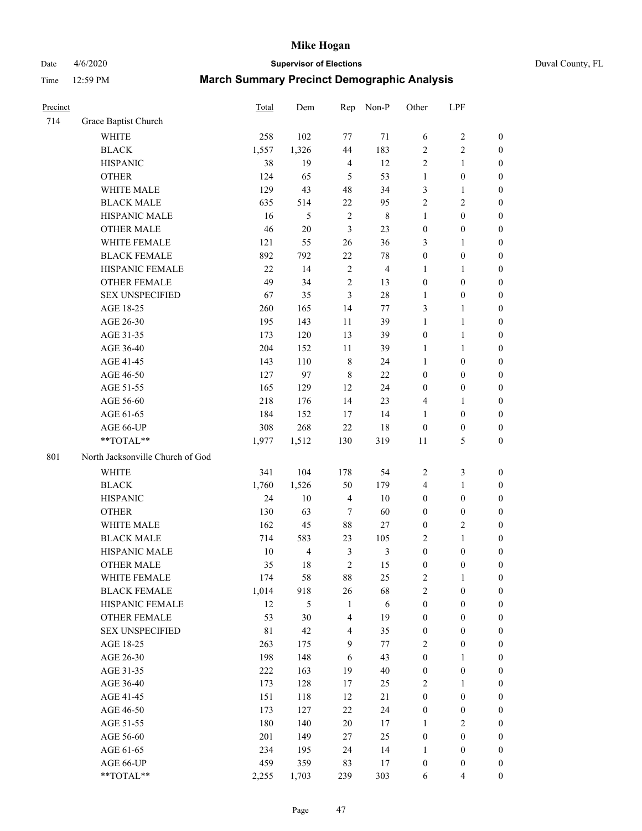Date 4/6/2020 **Supervisor of Elections** Duval County, FL

| Precinct |                                  | Total       | Dem            | Rep                     | Non-P          | Other            | LPF              |                  |
|----------|----------------------------------|-------------|----------------|-------------------------|----------------|------------------|------------------|------------------|
| 714      | Grace Baptist Church             |             |                |                         |                |                  |                  |                  |
|          | <b>WHITE</b>                     | 258         | 102            | 77                      | 71             | 6                | $\sqrt{2}$       | $\boldsymbol{0}$ |
|          | <b>BLACK</b>                     | 1,557       | 1,326          | 44                      | 183            | $\overline{c}$   | $\sqrt{2}$       | $\boldsymbol{0}$ |
|          | <b>HISPANIC</b>                  | 38          | 19             | $\overline{4}$          | 12             | $\overline{c}$   | $\mathbf{1}$     | $\boldsymbol{0}$ |
|          | <b>OTHER</b>                     | 124         | 65             | 5                       | 53             | $\mathbf{1}$     | $\boldsymbol{0}$ | $\boldsymbol{0}$ |
|          | WHITE MALE                       | 129         | 43             | 48                      | 34             | 3                | $\mathbf{1}$     | $\boldsymbol{0}$ |
|          | <b>BLACK MALE</b>                | 635         | 514            | $22\,$                  | 95             | $\overline{c}$   | $\sqrt{2}$       | $\boldsymbol{0}$ |
|          | HISPANIC MALE                    | 16          | 5              | $\sqrt{2}$              | $\,$ 8 $\,$    | 1                | $\boldsymbol{0}$ | $\boldsymbol{0}$ |
|          | <b>OTHER MALE</b>                | 46          | $20\,$         | 3                       | 23             | $\boldsymbol{0}$ | $\boldsymbol{0}$ | $\boldsymbol{0}$ |
|          | WHITE FEMALE                     | 121         | 55             | 26                      | 36             | 3                | 1                | $\boldsymbol{0}$ |
|          | <b>BLACK FEMALE</b>              | 892         | 792            | $22\,$                  | $78\,$         | $\boldsymbol{0}$ | $\boldsymbol{0}$ | 0                |
|          | HISPANIC FEMALE                  | 22          | 14             | $\sqrt{2}$              | $\overline{4}$ | 1                | 1                | 0                |
|          | <b>OTHER FEMALE</b>              | 49          | 34             | $\overline{2}$          | 13             | $\boldsymbol{0}$ | $\boldsymbol{0}$ | $\boldsymbol{0}$ |
|          | <b>SEX UNSPECIFIED</b>           | 67          | 35             | 3                       | $28\,$         | $\mathbf{1}$     | $\boldsymbol{0}$ | $\boldsymbol{0}$ |
|          | AGE 18-25                        | 260         | 165            | 14                      | 77             | 3                | $\mathbf{1}$     | $\boldsymbol{0}$ |
|          | AGE 26-30                        | 195         | 143            | 11                      | 39             | $\mathbf{1}$     | $\mathbf{1}$     | $\boldsymbol{0}$ |
|          | AGE 31-35                        | 173         | 120            | 13                      | 39             | $\boldsymbol{0}$ | $\mathbf{1}$     | $\boldsymbol{0}$ |
|          | AGE 36-40                        | 204         | 152            | 11                      | 39             | 1                | $\mathbf{1}$     | $\boldsymbol{0}$ |
|          | AGE 41-45                        | 143         | 110            | $\,$ 8 $\,$             | 24             | $\mathbf{1}$     | $\boldsymbol{0}$ | $\boldsymbol{0}$ |
|          | AGE 46-50                        | 127         | 97             | $\,8\,$                 | 22             | $\boldsymbol{0}$ | $\boldsymbol{0}$ | $\boldsymbol{0}$ |
|          | AGE 51-55                        | 165         | 129            | 12                      | 24             | $\boldsymbol{0}$ | $\boldsymbol{0}$ | $\boldsymbol{0}$ |
|          | AGE 56-60                        | 218         | 176            | 14                      | 23             | 4                | 1                | 0                |
|          | AGE 61-65                        | 184         | 152            | 17                      | 14             | 1                | $\boldsymbol{0}$ | 0                |
|          | AGE 66-UP                        | 308         | 268            | 22                      | 18             | $\boldsymbol{0}$ | $\boldsymbol{0}$ | $\boldsymbol{0}$ |
|          | **TOTAL**                        | 1,977       | 1,512          | 130                     | 319            | 11               | $\mathfrak s$    | $\boldsymbol{0}$ |
| 801      | North Jacksonville Church of God |             |                |                         |                |                  |                  |                  |
|          | <b>WHITE</b>                     | 341         | 104            | 178                     | 54             | $\overline{2}$   | $\mathfrak{Z}$   | $\boldsymbol{0}$ |
|          | <b>BLACK</b>                     | 1,760       | 1,526          | 50                      | 179            | 4                | $\mathbf{1}$     | $\boldsymbol{0}$ |
|          | <b>HISPANIC</b>                  | 24          | 10             | $\overline{4}$          | 10             | $\boldsymbol{0}$ | $\boldsymbol{0}$ | $\boldsymbol{0}$ |
|          | <b>OTHER</b>                     | 130         | 63             | 7                       | 60             | $\boldsymbol{0}$ | $\boldsymbol{0}$ | $\boldsymbol{0}$ |
|          | WHITE MALE                       | 162         | 45             | 88                      | 27             | $\boldsymbol{0}$ | $\overline{c}$   | $\boldsymbol{0}$ |
|          | <b>BLACK MALE</b>                | 714         | 583            | 23                      | 105            | $\overline{c}$   | $\mathbf{1}$     | $\boldsymbol{0}$ |
|          | HISPANIC MALE                    | $10\,$      | $\overline{4}$ | $\mathfrak z$           | $\mathfrak{Z}$ | $\boldsymbol{0}$ | $\boldsymbol{0}$ | $\boldsymbol{0}$ |
|          | <b>OTHER MALE</b>                | 35          | 18             | $\mathfrak{2}$          | 15             | $\boldsymbol{0}$ | $\boldsymbol{0}$ | $\boldsymbol{0}$ |
|          | WHITE FEMALE                     | 174         | 58             | 88                      | 25             | 2                | 1                | 0                |
|          | <b>BLACK FEMALE</b>              | 1,014       | 918            | 26                      | 68             | $\overline{c}$   | $\boldsymbol{0}$ | $\boldsymbol{0}$ |
|          | HISPANIC FEMALE                  | 12          | 5              | $\mathbf{1}$            | $\sqrt{6}$     | $\boldsymbol{0}$ | $\boldsymbol{0}$ | $\overline{0}$   |
|          | OTHER FEMALE                     | 53          | 30             | $\overline{4}$          | 19             | $\boldsymbol{0}$ | $\boldsymbol{0}$ | $\overline{0}$   |
|          | <b>SEX UNSPECIFIED</b>           | $8\sqrt{1}$ | 42             | $\overline{\mathbf{4}}$ | 35             | $\boldsymbol{0}$ | $\boldsymbol{0}$ | $\overline{0}$   |
|          | AGE 18-25                        | 263         | 175            | 9                       | 77             | 2                | $\boldsymbol{0}$ | $\overline{0}$   |
|          | AGE 26-30                        | 198         | 148            | 6                       | 43             | $\boldsymbol{0}$ | $\mathbf{1}$     | 0                |
|          | AGE 31-35                        | 222         | 163            | 19                      | 40             | $\boldsymbol{0}$ | $\boldsymbol{0}$ | 0                |
|          | AGE 36-40                        | 173         | 128            | 17                      | 25             | 2                | 1                | 0                |
|          | AGE 41-45                        | 151         | 118            | 12                      | 21             | $\boldsymbol{0}$ | $\boldsymbol{0}$ | 0                |
|          | AGE 46-50                        | 173         | 127            | 22                      | 24             | $\boldsymbol{0}$ | $\boldsymbol{0}$ | 0                |
|          | AGE 51-55                        | 180         | 140            | 20                      | 17             | $\mathbf{1}$     | $\overline{c}$   | $\overline{0}$   |
|          | AGE 56-60                        | 201         | 149            | $27\,$                  | 25             | $\boldsymbol{0}$ | $\boldsymbol{0}$ | $\overline{0}$   |
|          | AGE 61-65                        | 234         | 195            | 24                      | 14             | 1                | $\boldsymbol{0}$ | $\boldsymbol{0}$ |
|          | AGE 66-UP                        | 459         | 359            | 83                      | 17             | $\boldsymbol{0}$ | $\boldsymbol{0}$ | $\boldsymbol{0}$ |
|          | **TOTAL**                        | 2,255       | 1,703          | 239                     | 303            | 6                | $\overline{4}$   | $\boldsymbol{0}$ |
|          |                                  |             |                |                         |                |                  |                  |                  |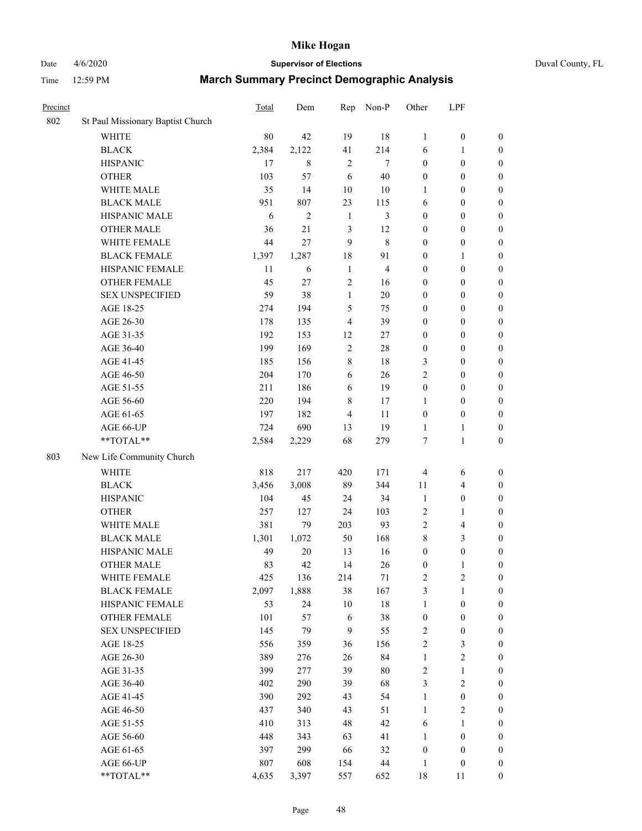# Date 4/6/2020 **Supervisor of Elections** Duval County, FL

| Precinct |                                   | Total | Dem            | Rep            | Non-P                   | Other            | LPF              |                  |
|----------|-----------------------------------|-------|----------------|----------------|-------------------------|------------------|------------------|------------------|
| 802      | St Paul Missionary Baptist Church |       |                |                |                         |                  |                  |                  |
|          | <b>WHITE</b>                      | 80    | 42             | 19             | 18                      | $\mathbf{1}$     | $\boldsymbol{0}$ | $\boldsymbol{0}$ |
|          | <b>BLACK</b>                      | 2,384 | 2,122          | 41             | 214                     | 6                | $\mathbf{1}$     | $\boldsymbol{0}$ |
|          | <b>HISPANIC</b>                   | 17    | 8              | $\sqrt{2}$     | 7                       | $\boldsymbol{0}$ | $\boldsymbol{0}$ | $\boldsymbol{0}$ |
|          | <b>OTHER</b>                      | 103   | 57             | 6              | 40                      | $\boldsymbol{0}$ | $\boldsymbol{0}$ | $\boldsymbol{0}$ |
|          | WHITE MALE                        | 35    | 14             | 10             | 10                      | 1                | $\boldsymbol{0}$ | $\boldsymbol{0}$ |
|          | <b>BLACK MALE</b>                 | 951   | 807            | 23             | 115                     | 6                | $\boldsymbol{0}$ | $\boldsymbol{0}$ |
|          | HISPANIC MALE                     | 6     | $\overline{2}$ | $\mathbf{1}$   | 3                       | $\boldsymbol{0}$ | $\boldsymbol{0}$ | $\boldsymbol{0}$ |
|          | <b>OTHER MALE</b>                 | 36    | 21             | $\mathfrak{Z}$ | 12                      | $\boldsymbol{0}$ | $\boldsymbol{0}$ | $\boldsymbol{0}$ |
|          | WHITE FEMALE                      | 44    | 27             | $\mathbf{9}$   | $\,$ 8 $\,$             | $\boldsymbol{0}$ | $\boldsymbol{0}$ | $\boldsymbol{0}$ |
|          | <b>BLACK FEMALE</b>               | 1,397 | 1,287          | 18             | 91                      | $\boldsymbol{0}$ | 1                | 0                |
|          | HISPANIC FEMALE                   | 11    | 6              | $\mathbf{1}$   | $\overline{\mathbf{4}}$ | $\boldsymbol{0}$ | $\boldsymbol{0}$ | $\boldsymbol{0}$ |
|          | <b>OTHER FEMALE</b>               | 45    | 27             | $\sqrt{2}$     | 16                      | $\boldsymbol{0}$ | $\boldsymbol{0}$ | $\boldsymbol{0}$ |
|          | <b>SEX UNSPECIFIED</b>            | 59    | 38             | $\mathbf{1}$   | $20\,$                  | $\boldsymbol{0}$ | $\boldsymbol{0}$ | $\boldsymbol{0}$ |
|          | AGE 18-25                         | 274   | 194            | 5              | 75                      | $\boldsymbol{0}$ | $\boldsymbol{0}$ | $\boldsymbol{0}$ |
|          | AGE 26-30                         | 178   | 135            | $\overline{4}$ | 39                      | $\boldsymbol{0}$ | $\boldsymbol{0}$ | $\boldsymbol{0}$ |
|          | AGE 31-35                         | 192   | 153            | 12             | $27\,$                  | $\boldsymbol{0}$ | $\boldsymbol{0}$ | $\boldsymbol{0}$ |
|          | AGE 36-40                         | 199   | 169            | $\sqrt{2}$     | $28\,$                  | $\boldsymbol{0}$ | $\boldsymbol{0}$ | $\boldsymbol{0}$ |
|          | AGE 41-45                         | 185   | 156            | 8              | 18                      | 3                | $\boldsymbol{0}$ | $\boldsymbol{0}$ |
|          | AGE 46-50                         | 204   | 170            | 6              | 26                      | $\overline{c}$   | $\boldsymbol{0}$ | $\boldsymbol{0}$ |
|          | AGE 51-55                         | 211   | 186            | 6              | 19                      | $\boldsymbol{0}$ | $\boldsymbol{0}$ | 0                |
|          | AGE 56-60                         | 220   | 194            | $\,$ 8 $\,$    | 17                      | 1                | $\boldsymbol{0}$ | $\boldsymbol{0}$ |
|          | AGE 61-65                         | 197   | 182            | $\overline{4}$ | 11                      | $\boldsymbol{0}$ | $\boldsymbol{0}$ | $\boldsymbol{0}$ |
|          | AGE 66-UP                         | 724   | 690            | 13             | 19                      | $\mathbf{1}$     | 1                | $\boldsymbol{0}$ |
|          | **TOTAL**                         | 2,584 | 2,229          | 68             | 279                     | 7                | $\mathbf{1}$     | $\boldsymbol{0}$ |
| 803      | New Life Community Church         |       |                |                |                         |                  |                  |                  |
|          | <b>WHITE</b>                      | 818   | 217            | 420            | 171                     | $\overline{4}$   | 6                | $\boldsymbol{0}$ |
|          | <b>BLACK</b>                      | 3,456 | 3,008          | 89             | 344                     | 11               | $\overline{4}$   | $\boldsymbol{0}$ |
|          | <b>HISPANIC</b>                   | 104   | 45             | 24             | 34                      | $\mathbf{1}$     | $\boldsymbol{0}$ | $\boldsymbol{0}$ |
|          | <b>OTHER</b>                      | 257   | 127            | 24             | 103                     | $\overline{2}$   | $\mathbf{1}$     | $\boldsymbol{0}$ |
|          | WHITE MALE                        | 381   | 79             | 203            | 93                      | 2                | $\overline{4}$   | $\boldsymbol{0}$ |
|          | <b>BLACK MALE</b>                 | 1,301 | 1,072          | 50             | 168                     | 8                | 3                | $\boldsymbol{0}$ |
|          | HISPANIC MALE                     | 49    | $20\,$         | 13             | 16                      | $\boldsymbol{0}$ | $\boldsymbol{0}$ | 0                |
|          | <b>OTHER MALE</b>                 | 83    | 42             | 14             | 26                      | $\boldsymbol{0}$ | $\mathbf{1}$     | $\boldsymbol{0}$ |
|          | WHITE FEMALE                      | 425   | 136            | 214            | $71\,$                  | 2                | $\sqrt{2}$       | $\boldsymbol{0}$ |
|          | <b>BLACK FEMALE</b>               | 2,097 | 1,888          | 38             | 167                     | 3                | $\mathbf{1}$     | $\boldsymbol{0}$ |
|          | HISPANIC FEMALE                   | 53    | 24             | 10             | 18                      | $\mathbf{1}$     | $\boldsymbol{0}$ | $\overline{0}$   |
|          | <b>OTHER FEMALE</b>               | 101   | 57             | 6              | 38                      | $\boldsymbol{0}$ | $\boldsymbol{0}$ | $\overline{0}$   |
|          | <b>SEX UNSPECIFIED</b>            | 145   | 79             | $\overline{9}$ | 55                      | 2                | $\boldsymbol{0}$ | $\overline{0}$   |
|          | AGE 18-25                         | 556   | 359            | 36             | 156                     | 2                | $\mathfrak{Z}$   | 0                |
|          | AGE 26-30                         | 389   | 276            | 26             | 84                      | $\mathbf{1}$     | $\sqrt{2}$       | 0                |
|          | AGE 31-35                         | 399   | 277            | 39             | $80\,$                  | 2                | $\mathbf{1}$     | 0                |
|          | AGE 36-40                         | 402   | 290            | 39             | 68                      | 3                | $\boldsymbol{2}$ | 0                |
|          | AGE 41-45                         | 390   | 292            | 43             | 54                      | $\mathbf{1}$     | $\boldsymbol{0}$ | 0                |
|          | AGE 46-50                         | 437   | 340            | 43             | 51                      | $\mathbf{1}$     | $\boldsymbol{2}$ | $\boldsymbol{0}$ |
|          | AGE 51-55                         | 410   | 313            | 48             | 42                      | 6                | $\mathbf{1}$     | $\boldsymbol{0}$ |
|          | AGE 56-60                         | 448   | 343            | 63             | 41                      | $\mathbf{1}$     | $\boldsymbol{0}$ | $\overline{0}$   |
|          | AGE 61-65                         | 397   | 299            | 66             | 32                      | $\boldsymbol{0}$ | $\boldsymbol{0}$ | $\boldsymbol{0}$ |
|          | AGE 66-UP                         | 807   | 608            | 154            | 44                      | $\mathbf{1}$     | $\boldsymbol{0}$ | $\boldsymbol{0}$ |
|          | **TOTAL**                         | 4,635 | 3,397          | 557            | 652                     | 18               | 11               | $\boldsymbol{0}$ |
|          |                                   |       |                |                |                         |                  |                  |                  |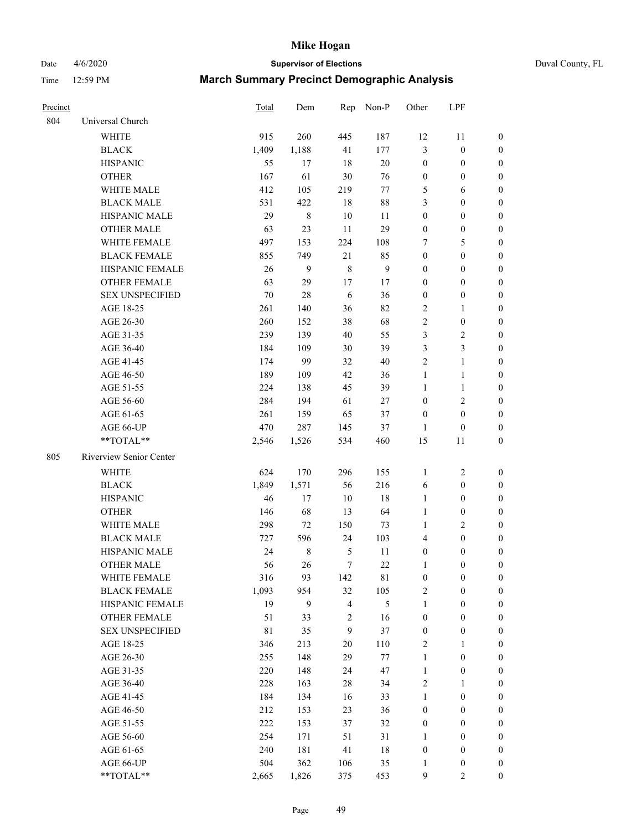Date 4/6/2020 **Supervisor of Elections** Duval County, FL

| Precinct |                         | Total | Dem         | Rep                     | Non-P         | Other            | LPF              |                  |
|----------|-------------------------|-------|-------------|-------------------------|---------------|------------------|------------------|------------------|
| 804      | Universal Church        |       |             |                         |               |                  |                  |                  |
|          | <b>WHITE</b>            | 915   | 260         | 445                     | 187           | 12               | 11               | 0                |
|          | <b>BLACK</b>            | 1,409 | 1,188       | 41                      | 177           | 3                | $\boldsymbol{0}$ | 0                |
|          | <b>HISPANIC</b>         | 55    | 17          | 18                      | $20\,$        | $\boldsymbol{0}$ | $\boldsymbol{0}$ | 0                |
|          | <b>OTHER</b>            | 167   | 61          | $30\,$                  | 76            | $\boldsymbol{0}$ | $\boldsymbol{0}$ | $\boldsymbol{0}$ |
|          | WHITE MALE              | 412   | 105         | 219                     | $77\,$        | 5                | 6                | $\boldsymbol{0}$ |
|          | <b>BLACK MALE</b>       | 531   | 422         | 18                      | $88\,$        | 3                | $\boldsymbol{0}$ | $\boldsymbol{0}$ |
|          | HISPANIC MALE           | 29    | $\,$ 8 $\,$ | $10\,$                  | 11            | $\boldsymbol{0}$ | $\boldsymbol{0}$ | $\boldsymbol{0}$ |
|          | <b>OTHER MALE</b>       | 63    | 23          | 11                      | 29            | $\boldsymbol{0}$ | $\boldsymbol{0}$ | $\boldsymbol{0}$ |
|          | <b>WHITE FEMALE</b>     | 497   | 153         | 224                     | 108           | 7                | 5                | $\boldsymbol{0}$ |
|          | <b>BLACK FEMALE</b>     | 855   | 749         | 21                      | 85            | $\boldsymbol{0}$ | $\boldsymbol{0}$ | 0                |
|          | HISPANIC FEMALE         | 26    | 9           | $\,$ 8 $\,$             | $\mathbf{9}$  | $\boldsymbol{0}$ | $\boldsymbol{0}$ | 0                |
|          | <b>OTHER FEMALE</b>     | 63    | 29          | 17                      | 17            | $\boldsymbol{0}$ | $\boldsymbol{0}$ | $\boldsymbol{0}$ |
|          | <b>SEX UNSPECIFIED</b>  | 70    | $28\,$      | 6                       | 36            | $\boldsymbol{0}$ | $\boldsymbol{0}$ | $\boldsymbol{0}$ |
|          | AGE 18-25               | 261   | 140         | 36                      | 82            | 2                | 1                | $\boldsymbol{0}$ |
|          | AGE 26-30               | 260   | 152         | 38                      | 68            | 2                | $\boldsymbol{0}$ | $\boldsymbol{0}$ |
|          | AGE 31-35               | 239   | 139         | 40                      | 55            | 3                | $\sqrt{2}$       | $\boldsymbol{0}$ |
|          | AGE 36-40               | 184   | 109         | $30\,$                  | 39            | 3                | $\mathfrak{Z}$   | $\boldsymbol{0}$ |
|          | AGE 41-45               | 174   | 99          | 32                      | $40\,$        | $\overline{c}$   | $\mathbf{1}$     | $\boldsymbol{0}$ |
|          | AGE 46-50               | 189   | 109         | 42                      | 36            | $\mathbf{1}$     | $\mathbf{1}$     | $\boldsymbol{0}$ |
|          | AGE 51-55               | 224   | 138         | 45                      | 39            | $\mathbf{1}$     | $\mathbf{1}$     | 0                |
|          | AGE 56-60               | 284   | 194         | 61                      | 27            | $\boldsymbol{0}$ | $\sqrt{2}$       | 0                |
|          | AGE 61-65               | 261   | 159         | 65                      | 37            | $\boldsymbol{0}$ | $\boldsymbol{0}$ | 0                |
|          | AGE 66-UP               | 470   | 287         | 145                     | 37            | 1                | $\boldsymbol{0}$ | $\boldsymbol{0}$ |
|          | **TOTAL**               | 2,546 | 1,526       | 534                     | 460           | 15               | 11               | $\boldsymbol{0}$ |
| 805      | Riverview Senior Center |       |             |                         |               |                  |                  |                  |
|          | <b>WHITE</b>            | 624   | 170         | 296                     | 155           | $\mathbf{1}$     | $\sqrt{2}$       | $\boldsymbol{0}$ |
|          | <b>BLACK</b>            | 1,849 | 1,571       | 56                      | 216           | 6                | $\boldsymbol{0}$ | $\boldsymbol{0}$ |
|          | <b>HISPANIC</b>         | 46    | 17          | 10                      | 18            | $\mathbf{1}$     | $\boldsymbol{0}$ | $\boldsymbol{0}$ |
|          | <b>OTHER</b>            | 146   | 68          | 13                      | 64            | $\mathbf{1}$     | $\boldsymbol{0}$ | $\boldsymbol{0}$ |
|          | WHITE MALE              | 298   | 72          | 150                     | 73            | $\mathbf{1}$     | $\overline{c}$   | $\boldsymbol{0}$ |
|          | <b>BLACK MALE</b>       | 727   | 596         | 24                      | 103           | 4                | $\boldsymbol{0}$ | $\boldsymbol{0}$ |
|          | HISPANIC MALE           | 24    | $\,$ 8 $\,$ | 5                       | 11            | $\boldsymbol{0}$ | $\boldsymbol{0}$ | 0                |
|          | <b>OTHER MALE</b>       | 56    | 26          | $\boldsymbol{7}$        | 22            | $\mathbf{1}$     | $\boldsymbol{0}$ | $\boldsymbol{0}$ |
|          | WHITE FEMALE            | 316   | 93          | 142                     | 81            | 0                | 0                | 0                |
|          | <b>BLACK FEMALE</b>     | 1,093 | 954         | 32                      | 105           | 2                | $\boldsymbol{0}$ | $\boldsymbol{0}$ |
|          | HISPANIC FEMALE         | 19    | 9           | $\overline{\mathbf{4}}$ | $\mathfrak s$ | $\mathbf{1}$     | $\boldsymbol{0}$ | $\overline{0}$   |
|          | OTHER FEMALE            | 51    | 33          | $\overline{\mathbf{c}}$ | 16            | $\boldsymbol{0}$ | $\boldsymbol{0}$ | $\overline{0}$   |
|          | <b>SEX UNSPECIFIED</b>  | 81    | 35          | 9                       | 37            | $\boldsymbol{0}$ | $\boldsymbol{0}$ | 0                |
|          | AGE 18-25               | 346   | 213         | $20\,$                  | 110           | 2                | $\mathbf{1}$     | $\overline{0}$   |
|          | AGE 26-30               | 255   | 148         | 29                      | 77            | $\mathbf{1}$     | $\boldsymbol{0}$ | 0                |
|          | AGE 31-35               | 220   | 148         | 24                      | 47            | $\mathbf{1}$     | $\boldsymbol{0}$ | 0                |
|          | AGE 36-40               | 228   | 163         | $28\,$                  | 34            | 2                | 1                | 0                |
|          | AGE 41-45               | 184   | 134         | 16                      | 33            | $\mathbf{1}$     | $\boldsymbol{0}$ | 0                |
|          | AGE 46-50               | 212   | 153         | 23                      | 36            | $\boldsymbol{0}$ | $\boldsymbol{0}$ | 0                |
|          | AGE 51-55               | 222   | 153         | 37                      | 32            | $\boldsymbol{0}$ | $\boldsymbol{0}$ | 0                |
|          | AGE 56-60               | 254   | 171         | 51                      | 31            | 1                | $\boldsymbol{0}$ | $\boldsymbol{0}$ |
|          | AGE 61-65               | 240   | 181         | 41                      | $18\,$        | $\boldsymbol{0}$ | $\boldsymbol{0}$ | $\overline{0}$   |
|          | AGE 66-UP               | 504   | 362         | 106                     | 35            | $\mathbf{1}$     | $\boldsymbol{0}$ | 0                |
|          | **TOTAL**               | 2,665 | 1,826       | 375                     | 453           | 9                | $\overline{2}$   | $\boldsymbol{0}$ |
|          |                         |       |             |                         |               |                  |                  |                  |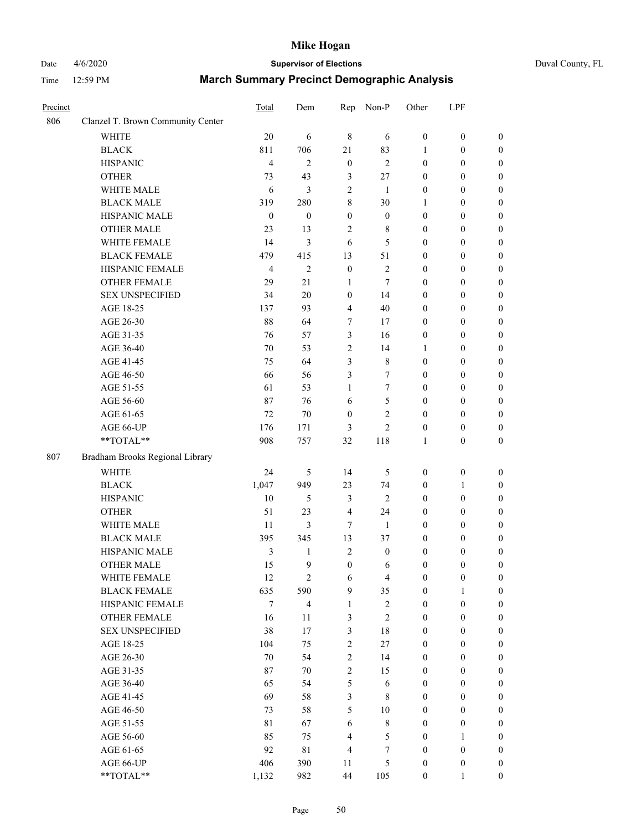# Date 4/6/2020 **Supervisor of Elections** Duval County, FL

| Precinct |                                   | Total            | Dem                     | Rep                     | Non-P            | Other            | LPF              |                  |
|----------|-----------------------------------|------------------|-------------------------|-------------------------|------------------|------------------|------------------|------------------|
| 806      | Clanzel T. Brown Community Center |                  |                         |                         |                  |                  |                  |                  |
|          | <b>WHITE</b>                      | 20               | 6                       | $\,$ 8 $\,$             | 6                | $\boldsymbol{0}$ | $\boldsymbol{0}$ | $\boldsymbol{0}$ |
|          | <b>BLACK</b>                      | 811              | 706                     | 21                      | 83               | 1                | $\boldsymbol{0}$ | $\boldsymbol{0}$ |
|          | <b>HISPANIC</b>                   | $\overline{4}$   | $\overline{c}$          | $\boldsymbol{0}$        | $\overline{c}$   | $\boldsymbol{0}$ | $\boldsymbol{0}$ | $\boldsymbol{0}$ |
|          | <b>OTHER</b>                      | 73               | 43                      | 3                       | $27\,$           | $\boldsymbol{0}$ | $\boldsymbol{0}$ | $\boldsymbol{0}$ |
|          | WHITE MALE                        | 6                | $\mathfrak{Z}$          | $\sqrt{2}$              | 1                | $\boldsymbol{0}$ | $\boldsymbol{0}$ | $\boldsymbol{0}$ |
|          | <b>BLACK MALE</b>                 | 319              | 280                     | 8                       | 30               | 1                | $\boldsymbol{0}$ | $\boldsymbol{0}$ |
|          | HISPANIC MALE                     | $\boldsymbol{0}$ | $\boldsymbol{0}$        | $\boldsymbol{0}$        | $\boldsymbol{0}$ | $\boldsymbol{0}$ | $\boldsymbol{0}$ | $\boldsymbol{0}$ |
|          | <b>OTHER MALE</b>                 | 23               | 13                      | 2                       | $\,$ 8 $\,$      | $\boldsymbol{0}$ | $\boldsymbol{0}$ | $\boldsymbol{0}$ |
|          | WHITE FEMALE                      | 14               | 3                       | 6                       | 5                | $\boldsymbol{0}$ | $\boldsymbol{0}$ | $\boldsymbol{0}$ |
|          | <b>BLACK FEMALE</b>               | 479              | 415                     | 13                      | 51               | $\boldsymbol{0}$ | $\boldsymbol{0}$ | $\boldsymbol{0}$ |
|          | HISPANIC FEMALE                   | $\overline{4}$   | $\overline{2}$          | $\boldsymbol{0}$        | $\sqrt{2}$       | $\boldsymbol{0}$ | $\boldsymbol{0}$ | $\boldsymbol{0}$ |
|          | <b>OTHER FEMALE</b>               | 29               | 21                      | 1                       | $\tau$           | $\boldsymbol{0}$ | $\boldsymbol{0}$ | $\boldsymbol{0}$ |
|          | <b>SEX UNSPECIFIED</b>            | 34               | 20                      | $\boldsymbol{0}$        | 14               | $\boldsymbol{0}$ | $\boldsymbol{0}$ | $\boldsymbol{0}$ |
|          | AGE 18-25                         | 137              | 93                      | $\overline{\mathbf{4}}$ | 40               | $\boldsymbol{0}$ | $\boldsymbol{0}$ | $\boldsymbol{0}$ |
|          | AGE 26-30                         | 88               | 64                      | 7                       | 17               | $\boldsymbol{0}$ | $\boldsymbol{0}$ | $\boldsymbol{0}$ |
|          | AGE 31-35                         | 76               | 57                      | 3                       | 16               | $\boldsymbol{0}$ | $\boldsymbol{0}$ | $\boldsymbol{0}$ |
|          | AGE 36-40                         | 70               | 53                      | $\overline{c}$          | 14               | 1                | $\boldsymbol{0}$ | $\boldsymbol{0}$ |
|          | AGE 41-45                         | 75               | 64                      | 3                       | $\,$ 8 $\,$      | $\boldsymbol{0}$ | $\boldsymbol{0}$ | $\boldsymbol{0}$ |
|          | AGE 46-50                         | 66               | 56                      | 3                       | 7                | $\boldsymbol{0}$ | $\boldsymbol{0}$ | $\boldsymbol{0}$ |
|          | AGE 51-55                         | 61               | 53                      | $\mathbf{1}$            | $\tau$           | $\boldsymbol{0}$ | $\boldsymbol{0}$ | $\boldsymbol{0}$ |
|          | AGE 56-60                         | 87               | 76                      | 6                       | 5                | $\boldsymbol{0}$ | $\boldsymbol{0}$ | 0                |
|          | AGE 61-65                         | 72               | 70                      | $\boldsymbol{0}$        | $\overline{c}$   | $\boldsymbol{0}$ | $\boldsymbol{0}$ | $\boldsymbol{0}$ |
|          | AGE 66-UP                         | 176              | 171                     | 3                       | $\overline{c}$   | $\boldsymbol{0}$ | $\boldsymbol{0}$ | $\boldsymbol{0}$ |
|          | **TOTAL**                         | 908              | 757                     | 32                      | 118              | $\mathbf{1}$     | $\boldsymbol{0}$ | $\boldsymbol{0}$ |
|          |                                   |                  |                         |                         |                  |                  |                  |                  |
| 807      | Bradham Brooks Regional Library   |                  |                         |                         |                  |                  |                  |                  |
|          | <b>WHITE</b>                      | 24               | $\mathfrak s$           | 14                      | 5                | $\boldsymbol{0}$ | $\boldsymbol{0}$ | $\boldsymbol{0}$ |
|          | <b>BLACK</b>                      | 1,047            | 949                     | 23                      | 74               | $\boldsymbol{0}$ | $\mathbf{1}$     | $\boldsymbol{0}$ |
|          | <b>HISPANIC</b>                   | 10               | 5                       | 3                       | $\overline{c}$   | $\boldsymbol{0}$ | $\boldsymbol{0}$ | $\boldsymbol{0}$ |
|          | <b>OTHER</b>                      | 51               | 23                      | 4                       | 24               | $\boldsymbol{0}$ | $\boldsymbol{0}$ | $\boldsymbol{0}$ |
|          | WHITE MALE                        | 11               | 3                       | $\tau$                  | -1               | $\boldsymbol{0}$ | $\boldsymbol{0}$ | $\boldsymbol{0}$ |
|          | <b>BLACK MALE</b>                 | 395              | 345                     | 13                      | 37               | $\boldsymbol{0}$ | $\boldsymbol{0}$ | $\boldsymbol{0}$ |
|          | HISPANIC MALE                     | $\mathfrak{Z}$   | $\mathbf{1}$            | $\sqrt{2}$              | $\boldsymbol{0}$ | $\boldsymbol{0}$ | $\boldsymbol{0}$ | $\boldsymbol{0}$ |
|          | <b>OTHER MALE</b>                 | 15               | 9                       | $\boldsymbol{0}$        | 6                | $\boldsymbol{0}$ | $\boldsymbol{0}$ | $\boldsymbol{0}$ |
|          | WHITE FEMALE                      | 12               | $\overline{c}$          | 6                       | 4                | 0                | 0                | 0                |
|          | <b>BLACK FEMALE</b>               | 635              | 590                     | 9                       | 35               | $\boldsymbol{0}$ | $\mathbf{1}$     | $\overline{0}$   |
|          | HISPANIC FEMALE                   | 7                | $\overline{\mathbf{4}}$ | $\mathbf{1}$            | $\sqrt{2}$       | $\boldsymbol{0}$ | $\boldsymbol{0}$ | $\overline{0}$   |
|          | <b>OTHER FEMALE</b>               | 16               | 11                      | 3                       | $\sqrt{2}$       | $\boldsymbol{0}$ | $\boldsymbol{0}$ | $\overline{0}$   |
|          | <b>SEX UNSPECIFIED</b>            | 38               | 17                      | 3                       | 18               | $\boldsymbol{0}$ | $\boldsymbol{0}$ | $\overline{0}$   |
|          | AGE 18-25                         | 104              | 75                      | 2                       | 27               | 0                | $\boldsymbol{0}$ | $\overline{0}$   |
|          | AGE 26-30                         | $70\,$           | 54                      | $\overline{c}$          | 14               | $\boldsymbol{0}$ | $\boldsymbol{0}$ | $\overline{0}$   |
|          | AGE 31-35                         | 87               | $70\,$                  | $\overline{c}$          | 15               | $\boldsymbol{0}$ | $\boldsymbol{0}$ | $\overline{0}$   |
|          | AGE 36-40                         | 65               | 54                      | 5                       | $\sqrt{6}$       | $\boldsymbol{0}$ | $\boldsymbol{0}$ | 0                |
|          | AGE 41-45                         | 69               | 58                      | $\overline{\mathbf{3}}$ | $\,8\,$          | $\boldsymbol{0}$ | $\boldsymbol{0}$ | 0                |
|          | AGE 46-50                         | 73               | 58                      | 5                       | $10\,$           | $\boldsymbol{0}$ | $\boldsymbol{0}$ | $\boldsymbol{0}$ |
|          | AGE 51-55                         | 81               | 67                      | $\sqrt{6}$              | $\,$ 8 $\,$      | $\boldsymbol{0}$ | $\boldsymbol{0}$ | $\overline{0}$   |
|          | AGE 56-60                         | 85               | 75                      | $\overline{\mathbf{4}}$ | $\mathfrak s$    | $\boldsymbol{0}$ | 1                | $\overline{0}$   |
|          | AGE 61-65                         | 92               | $8\sqrt{1}$             | 4                       | 7                | $\boldsymbol{0}$ | $\boldsymbol{0}$ | $\overline{0}$   |
|          | AGE 66-UP                         | 406              | 390                     | 11                      | 5                | $\boldsymbol{0}$ | $\boldsymbol{0}$ | $\boldsymbol{0}$ |
|          | **TOTAL**                         | 1,132            | 982                     | 44                      | 105              | $\boldsymbol{0}$ | $\mathbf{1}$     | $\boldsymbol{0}$ |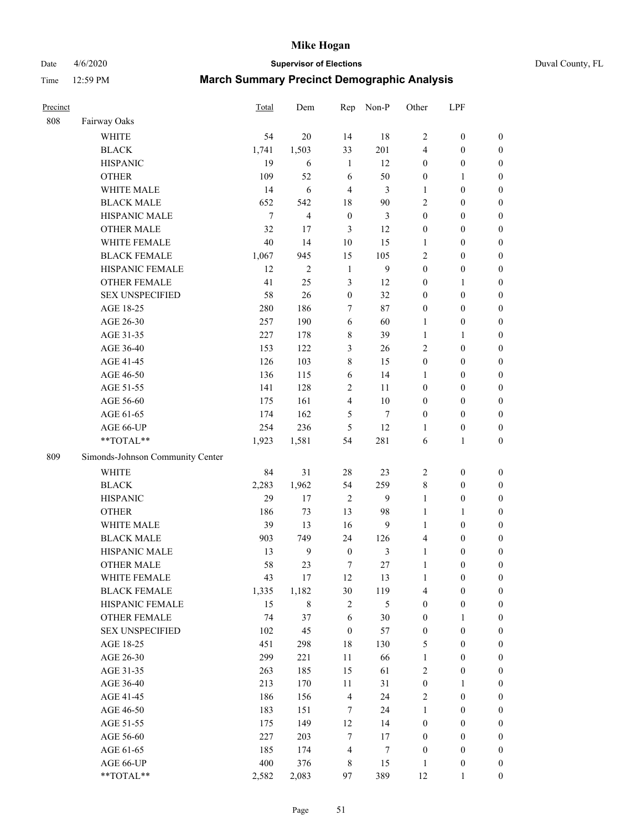Date 4/6/2020 **Supervisor of Elections** Duval County, FL

| Precinct |                                  | Total  | Dem              | Rep              | Non-P            | Other            | LPF              |                  |
|----------|----------------------------------|--------|------------------|------------------|------------------|------------------|------------------|------------------|
| 808      | Fairway Oaks                     |        |                  |                  |                  |                  |                  |                  |
|          | <b>WHITE</b>                     | 54     | 20               | 14               | 18               | $\overline{2}$   | $\boldsymbol{0}$ | $\boldsymbol{0}$ |
|          | <b>BLACK</b>                     | 1,741  | 1,503            | 33               | 201              | $\overline{4}$   | $\boldsymbol{0}$ | $\boldsymbol{0}$ |
|          | <b>HISPANIC</b>                  | 19     | 6                | $\mathbf{1}$     | 12               | $\boldsymbol{0}$ | $\boldsymbol{0}$ | $\boldsymbol{0}$ |
|          | <b>OTHER</b>                     | 109    | 52               | 6                | 50               | $\boldsymbol{0}$ | 1                | $\boldsymbol{0}$ |
|          | WHITE MALE                       | 14     | 6                | $\overline{4}$   | 3                | 1                | $\boldsymbol{0}$ | $\boldsymbol{0}$ |
|          | <b>BLACK MALE</b>                | 652    | 542              | 18               | 90               | $\overline{c}$   | $\boldsymbol{0}$ | $\boldsymbol{0}$ |
|          | HISPANIC MALE                    | $\tau$ | $\overline{4}$   | $\boldsymbol{0}$ | $\mathfrak{Z}$   | $\boldsymbol{0}$ | $\boldsymbol{0}$ | $\boldsymbol{0}$ |
|          | <b>OTHER MALE</b>                | 32     | 17               | 3                | 12               | $\boldsymbol{0}$ | $\boldsymbol{0}$ | $\boldsymbol{0}$ |
|          | WHITE FEMALE                     | 40     | 14               | $10\,$           | 15               | $\mathbf{1}$     | $\boldsymbol{0}$ | $\boldsymbol{0}$ |
|          | <b>BLACK FEMALE</b>              | 1,067  | 945              | 15               | 105              | $\overline{c}$   | $\boldsymbol{0}$ | 0                |
|          | HISPANIC FEMALE                  | 12     | $\overline{c}$   | $\mathbf{1}$     | 9                | $\boldsymbol{0}$ | $\boldsymbol{0}$ | $\boldsymbol{0}$ |
|          | <b>OTHER FEMALE</b>              | 41     | 25               | $\mathfrak{Z}$   | 12               | $\boldsymbol{0}$ | $\mathbf{1}$     | $\boldsymbol{0}$ |
|          | <b>SEX UNSPECIFIED</b>           | 58     | 26               | $\boldsymbol{0}$ | 32               | $\boldsymbol{0}$ | $\boldsymbol{0}$ | $\boldsymbol{0}$ |
|          | AGE 18-25                        | 280    | 186              | $\tau$           | 87               | $\boldsymbol{0}$ | $\boldsymbol{0}$ | $\boldsymbol{0}$ |
|          | AGE 26-30                        | 257    | 190              | 6                | 60               | $\mathbf{1}$     | $\boldsymbol{0}$ | $\boldsymbol{0}$ |
|          | AGE 31-35                        | 227    | 178              | $\,$ 8 $\,$      | 39               | $\mathbf{1}$     | $\mathbf{1}$     | $\boldsymbol{0}$ |
|          | AGE 36-40                        | 153    | 122              | $\mathfrak{Z}$   | 26               | $\overline{c}$   | $\boldsymbol{0}$ | $\boldsymbol{0}$ |
|          | AGE 41-45                        | 126    | 103              | $\,$ 8 $\,$      | 15               | $\boldsymbol{0}$ | $\boldsymbol{0}$ | $\boldsymbol{0}$ |
|          | AGE 46-50                        | 136    | 115              | 6                | 14               | 1                | $\boldsymbol{0}$ | $\boldsymbol{0}$ |
|          | AGE 51-55                        | 141    | 128              | $\overline{c}$   | 11               | $\boldsymbol{0}$ | $\boldsymbol{0}$ | 0                |
|          | AGE 56-60                        | 175    | 161              | $\overline{4}$   | 10               | $\boldsymbol{0}$ | $\boldsymbol{0}$ | $\boldsymbol{0}$ |
|          | AGE 61-65                        | 174    | 162              | 5                | $\tau$           | $\boldsymbol{0}$ | $\boldsymbol{0}$ | $\boldsymbol{0}$ |
|          | AGE 66-UP                        | 254    | 236              | 5                | 12               | 1                | $\boldsymbol{0}$ | $\boldsymbol{0}$ |
|          | **TOTAL**                        | 1,923  | 1,581            | 54               | 281              | 6                | $\mathbf{1}$     | $\boldsymbol{0}$ |
| 809      | Simonds-Johnson Community Center |        |                  |                  |                  |                  |                  |                  |
|          | <b>WHITE</b>                     | 84     | 31               | $28\,$           | 23               | $\sqrt{2}$       | $\boldsymbol{0}$ | $\boldsymbol{0}$ |
|          | <b>BLACK</b>                     | 2,283  | 1,962            | 54               | 259              | 8                | $\boldsymbol{0}$ | $\boldsymbol{0}$ |
|          | <b>HISPANIC</b>                  | 29     | 17               | $\sqrt{2}$       | 9                | $\mathbf{1}$     | $\boldsymbol{0}$ | $\boldsymbol{0}$ |
|          | <b>OTHER</b>                     | 186    | 73               | 13               | 98               | $\mathbf{1}$     | $\mathbf{1}$     | $\boldsymbol{0}$ |
|          | WHITE MALE                       | 39     | 13               | 16               | 9                | $\mathbf{1}$     | $\boldsymbol{0}$ | $\boldsymbol{0}$ |
|          | <b>BLACK MALE</b>                | 903    | 749              | 24               | 126              | 4                | $\boldsymbol{0}$ | $\boldsymbol{0}$ |
|          | HISPANIC MALE                    | 13     | $\boldsymbol{9}$ | $\boldsymbol{0}$ | 3                | $\mathbf{1}$     | $\boldsymbol{0}$ | 0                |
|          | <b>OTHER MALE</b>                | 58     | 23               | $\tau$           | 27               | $\mathbf{1}$     | $\boldsymbol{0}$ | $\boldsymbol{0}$ |
|          | WHITE FEMALE                     | 43     | 17               | 12               | 13               | $\mathbf{1}$     | $\boldsymbol{0}$ | $\boldsymbol{0}$ |
|          | <b>BLACK FEMALE</b>              | 1,335  | 1,182            | 30               | 119              | 4                | $\boldsymbol{0}$ | $\boldsymbol{0}$ |
|          | HISPANIC FEMALE                  | 15     | 8                | $\sqrt{2}$       | 5                | $\boldsymbol{0}$ | $\boldsymbol{0}$ | $\overline{0}$   |
|          | <b>OTHER FEMALE</b>              | 74     | 37               | 6                | 30               | $\boldsymbol{0}$ | $\mathbf{1}$     | $\overline{0}$   |
|          | <b>SEX UNSPECIFIED</b>           | 102    | 45               | $\boldsymbol{0}$ | 57               | $\boldsymbol{0}$ | $\boldsymbol{0}$ | $\overline{0}$   |
|          | AGE 18-25                        | 451    | 298              | $18\,$           | 130              | 5                | $\boldsymbol{0}$ | $\overline{0}$   |
|          | AGE 26-30                        | 299    | 221              | $11\,$           | 66               | $\mathbf{1}$     | $\boldsymbol{0}$ | 0                |
|          | AGE 31-35                        | 263    | 185              | 15               | 61               | $\overline{c}$   | $\boldsymbol{0}$ | 0                |
|          | AGE 36-40                        | 213    | 170              | 11               | 31               | $\boldsymbol{0}$ | $\mathbf{1}$     | 0                |
|          | AGE 41-45                        | 186    | 156              | $\overline{4}$   | 24               | $\sqrt{2}$       | $\boldsymbol{0}$ | 0                |
|          | AGE 46-50                        | 183    | 151              | 7                | 24               | $\mathbf{1}$     | $\boldsymbol{0}$ | $\boldsymbol{0}$ |
|          | AGE 51-55                        | 175    | 149              | 12               | 14               | $\boldsymbol{0}$ | $\boldsymbol{0}$ | $\boldsymbol{0}$ |
|          | AGE 56-60                        | 227    | 203              | $\tau$           | 17               | $\boldsymbol{0}$ | $\boldsymbol{0}$ | $\boldsymbol{0}$ |
|          | AGE 61-65                        | 185    | 174              | $\overline{4}$   | $\boldsymbol{7}$ | $\boldsymbol{0}$ | $\boldsymbol{0}$ | $\boldsymbol{0}$ |
|          | AGE 66-UP                        | 400    | 376              | $\,$ 8 $\,$      | 15               | $\mathbf{1}$     | $\boldsymbol{0}$ | $\boldsymbol{0}$ |
|          | **TOTAL**                        | 2,582  | 2,083            | 97               | 389              | 12               | $\mathbf{1}$     | $\overline{0}$   |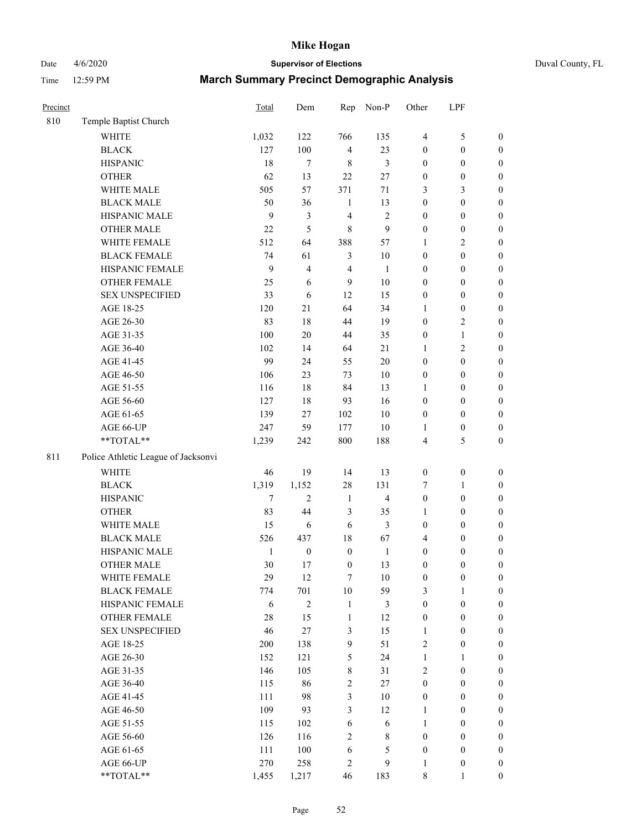# Date 4/6/2020 **Supervisor of Elections** Duval County, FL

| Precinct |                                     | Total        | Dem              | Rep                     | Non-P            | Other            | LPF              |                  |
|----------|-------------------------------------|--------------|------------------|-------------------------|------------------|------------------|------------------|------------------|
| 810      | Temple Baptist Church               |              |                  |                         |                  |                  |                  |                  |
|          | <b>WHITE</b>                        | 1,032        | 122              | 766                     | 135              | $\overline{4}$   | $\mathfrak s$    | 0                |
|          | <b>BLACK</b>                        | 127          | 100              | $\overline{\mathbf{4}}$ | 23               | 0                | $\boldsymbol{0}$ | $\boldsymbol{0}$ |
|          | <b>HISPANIC</b>                     | 18           | $\tau$           | 8                       | 3                | $\boldsymbol{0}$ | $\boldsymbol{0}$ | $\boldsymbol{0}$ |
|          | <b>OTHER</b>                        | 62           | 13               | 22                      | $27\,$           | $\boldsymbol{0}$ | $\boldsymbol{0}$ | $\boldsymbol{0}$ |
|          | WHITE MALE                          | 505          | 57               | 371                     | 71               | 3                | $\mathfrak{Z}$   | $\boldsymbol{0}$ |
|          | <b>BLACK MALE</b>                   | 50           | 36               | $\mathbf{1}$            | 13               | $\boldsymbol{0}$ | $\boldsymbol{0}$ | $\boldsymbol{0}$ |
|          | HISPANIC MALE                       | 9            | $\mathfrak{Z}$   | 4                       | $\sqrt{2}$       | 0                | $\boldsymbol{0}$ | $\boldsymbol{0}$ |
|          | <b>OTHER MALE</b>                   | 22           | 5                | 8                       | $\boldsymbol{9}$ | $\boldsymbol{0}$ | $\boldsymbol{0}$ | $\boldsymbol{0}$ |
|          | WHITE FEMALE                        | 512          | 64               | 388                     | 57               | 1                | $\mathfrak{2}$   | $\boldsymbol{0}$ |
|          | <b>BLACK FEMALE</b>                 | 74           | 61               | 3                       | 10               | 0                | $\boldsymbol{0}$ | $\boldsymbol{0}$ |
|          | HISPANIC FEMALE                     | 9            | $\overline{4}$   | $\overline{4}$          | $\mathbf{1}$     | 0                | $\boldsymbol{0}$ | $\boldsymbol{0}$ |
|          | <b>OTHER FEMALE</b>                 | 25           | 6                | 9                       | 10               | 0                | $\boldsymbol{0}$ | $\boldsymbol{0}$ |
|          | <b>SEX UNSPECIFIED</b>              | 33           | 6                | 12                      | 15               | $\boldsymbol{0}$ | $\boldsymbol{0}$ | $\boldsymbol{0}$ |
|          | AGE 18-25                           | 120          | 21               | 64                      | 34               | 1                | $\boldsymbol{0}$ | $\boldsymbol{0}$ |
|          | AGE 26-30                           | 83           | 18               | 44                      | 19               | $\boldsymbol{0}$ | $\sqrt{2}$       | $\boldsymbol{0}$ |
|          | AGE 31-35                           | 100          | 20               | 44                      | 35               | $\boldsymbol{0}$ | $\mathbf{1}$     | $\boldsymbol{0}$ |
|          | AGE 36-40                           | 102          | 14               | 64                      | 21               | 1                | $\overline{2}$   | $\boldsymbol{0}$ |
|          | AGE 41-45                           | 99           | 24               | 55                      | 20               | $\boldsymbol{0}$ | $\boldsymbol{0}$ | $\boldsymbol{0}$ |
|          | AGE 46-50                           | 106          | 23               | 73                      | 10               | $\boldsymbol{0}$ | $\boldsymbol{0}$ | $\boldsymbol{0}$ |
|          | AGE 51-55                           | 116          | 18               | 84                      | 13               | 1                | $\boldsymbol{0}$ | $\boldsymbol{0}$ |
|          | AGE 56-60                           | 127          | 18               | 93                      | 16               | 0                | $\boldsymbol{0}$ | $\boldsymbol{0}$ |
|          | AGE 61-65                           | 139          | 27               | 102                     | 10               | $\boldsymbol{0}$ | $\boldsymbol{0}$ | $\boldsymbol{0}$ |
|          | AGE 66-UP                           | 247          | 59               | 177                     | 10               | 1                | $\boldsymbol{0}$ | $\boldsymbol{0}$ |
|          | **TOTAL**                           | 1,239        | 242              | 800                     | 188              | 4                | $\mathfrak s$    | $\boldsymbol{0}$ |
| 811      | Police Athletic League of Jacksonvi |              |                  |                         |                  |                  |                  |                  |
|          | <b>WHITE</b>                        | 46           | 19               | 14                      | 13               | $\boldsymbol{0}$ | $\boldsymbol{0}$ | $\boldsymbol{0}$ |
|          | <b>BLACK</b>                        | 1,319        | 1,152            | 28                      | 131              | 7                | $\mathbf{1}$     | $\boldsymbol{0}$ |
|          | <b>HISPANIC</b>                     | $\tau$       | $\overline{2}$   | $\mathbf{1}$            | $\overline{4}$   | $\boldsymbol{0}$ | $\boldsymbol{0}$ | $\boldsymbol{0}$ |
|          | <b>OTHER</b>                        | 83           | 44               | 3                       | 35               | 1                | $\boldsymbol{0}$ | $\boldsymbol{0}$ |
|          | WHITE MALE                          | 15           | 6                | 6                       | 3                | $\boldsymbol{0}$ | $\boldsymbol{0}$ | $\boldsymbol{0}$ |
|          | <b>BLACK MALE</b>                   | 526          | 437              | 18                      | 67               | 4                | $\boldsymbol{0}$ | $\boldsymbol{0}$ |
|          | HISPANIC MALE                       | $\mathbf{1}$ | $\boldsymbol{0}$ | $\boldsymbol{0}$        | $\mathbf{1}$     | $\boldsymbol{0}$ | $\boldsymbol{0}$ | $\boldsymbol{0}$ |
|          | <b>OTHER MALE</b>                   | 30           | 17               | $\boldsymbol{0}$        | 13               | $\boldsymbol{0}$ | $\boldsymbol{0}$ | $\boldsymbol{0}$ |
|          | WHITE FEMALE                        | 29           | 12               | 7                       | 10               | 0                | 0                | 0                |
|          | <b>BLACK FEMALE</b>                 | 774          | 701              | 10                      | 59               | 3                | $\mathbf{1}$     | $\boldsymbol{0}$ |
|          | HISPANIC FEMALE                     | 6            | $\sqrt{2}$       | $\mathbf{1}$            | 3                | $\boldsymbol{0}$ | $\boldsymbol{0}$ | $\overline{0}$   |
|          | OTHER FEMALE                        | 28           | 15               | $\mathbf{1}$            | 12               | $\boldsymbol{0}$ | $\boldsymbol{0}$ | $\overline{0}$   |
|          | <b>SEX UNSPECIFIED</b>              | 46           | $27\,$           | 3                       | 15               | $\mathbf{1}$     | $\boldsymbol{0}$ | $\overline{0}$   |
|          | AGE 18-25                           | 200          | 138              | 9                       | 51               | 2                | $\boldsymbol{0}$ | $\overline{0}$   |
|          | AGE 26-30                           | 152          | 121              | 5                       | 24               | $\mathbf{1}$     | $\mathbf{1}$     | $\overline{0}$   |
|          | AGE 31-35                           | 146          | 105              | 8                       | 31               | 2                | $\boldsymbol{0}$ | $\overline{0}$   |
|          | AGE 36-40                           | 115          | 86               | $\sqrt{2}$              | $27\,$           | $\boldsymbol{0}$ | $\boldsymbol{0}$ | 0                |
|          | AGE 41-45                           | 111          | 98               | $\mathfrak{Z}$          | 10               | $\boldsymbol{0}$ | $\boldsymbol{0}$ | 0                |
|          | AGE 46-50                           | 109          | 93               | 3                       | 12               | $\mathbf{1}$     | $\boldsymbol{0}$ | $\boldsymbol{0}$ |
|          | AGE 51-55                           | 115          | 102              | 6                       | 6                | $\mathbf{1}$     | $\boldsymbol{0}$ | $\boldsymbol{0}$ |
|          | AGE 56-60                           | 126          | 116              | $\mathbf{2}$            | $\,$ 8 $\,$      | $\boldsymbol{0}$ | $\boldsymbol{0}$ | $\boldsymbol{0}$ |
|          | AGE 61-65                           | 111          | 100              | 6                       | 5                | $\boldsymbol{0}$ | $\boldsymbol{0}$ | $\overline{0}$   |
|          | AGE 66-UP                           | 270          | 258              | 2                       | 9                | 1                | $\boldsymbol{0}$ | $\boldsymbol{0}$ |
|          | **TOTAL**                           | 1,455        | 1,217            | 46                      | 183              | 8                | $\mathbf{1}$     | $\boldsymbol{0}$ |
|          |                                     |              |                  |                         |                  |                  |                  |                  |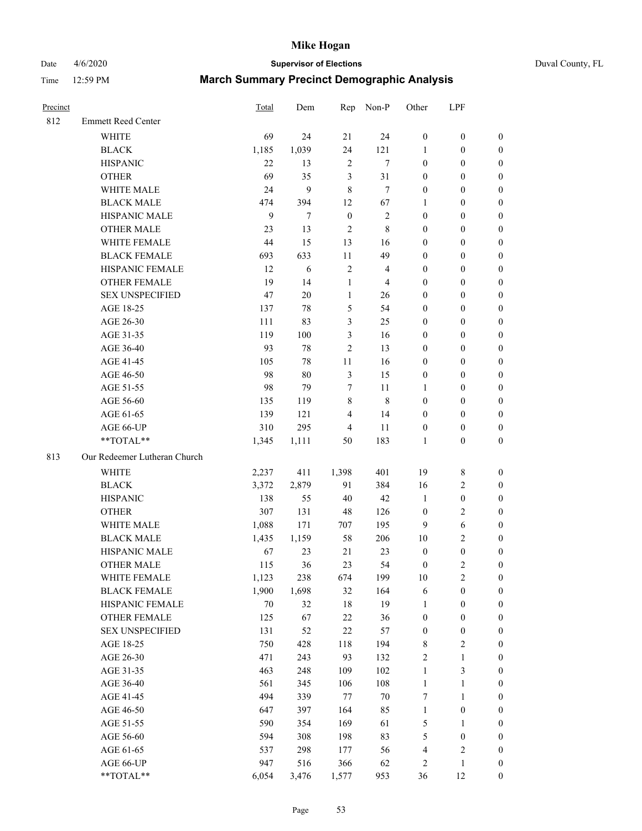Date 4/6/2020 **Supervisor of Elections** Duval County, FL

| Precinct |                              | <b>Total</b> | Dem   | Rep              | Non-P          | Other            | LPF              |                  |
|----------|------------------------------|--------------|-------|------------------|----------------|------------------|------------------|------------------|
| 812      | <b>Emmett Reed Center</b>    |              |       |                  |                |                  |                  |                  |
|          | <b>WHITE</b>                 | 69           | 24    | 21               | 24             | $\boldsymbol{0}$ | $\boldsymbol{0}$ | $\boldsymbol{0}$ |
|          | <b>BLACK</b>                 | 1,185        | 1,039 | 24               | 121            | 1                | $\boldsymbol{0}$ | $\boldsymbol{0}$ |
|          | <b>HISPANIC</b>              | 22           | 13    | $\sqrt{2}$       | $\tau$         | $\boldsymbol{0}$ | $\boldsymbol{0}$ | $\boldsymbol{0}$ |
|          | <b>OTHER</b>                 | 69           | 35    | $\mathfrak{Z}$   | 31             | $\boldsymbol{0}$ | $\boldsymbol{0}$ | $\boldsymbol{0}$ |
|          | WHITE MALE                   | 24           | 9     | 8                | $\tau$         | $\boldsymbol{0}$ | $\boldsymbol{0}$ | $\boldsymbol{0}$ |
|          | <b>BLACK MALE</b>            | 474          | 394   | 12               | 67             | 1                | $\boldsymbol{0}$ | $\boldsymbol{0}$ |
|          | HISPANIC MALE                | 9            | 7     | $\boldsymbol{0}$ | $\sqrt{2}$     | $\boldsymbol{0}$ | $\boldsymbol{0}$ | $\boldsymbol{0}$ |
|          | <b>OTHER MALE</b>            | 23           | 13    | $\overline{2}$   | $\,$ 8 $\,$    | $\boldsymbol{0}$ | $\boldsymbol{0}$ | $\boldsymbol{0}$ |
|          | <b>WHITE FEMALE</b>          | 44           | 15    | 13               | 16             | $\boldsymbol{0}$ | $\boldsymbol{0}$ | $\boldsymbol{0}$ |
|          | <b>BLACK FEMALE</b>          | 693          | 633   | $11\,$           | 49             | $\boldsymbol{0}$ | $\boldsymbol{0}$ | $\boldsymbol{0}$ |
|          | HISPANIC FEMALE              | 12           | 6     | $\sqrt{2}$       | $\overline{4}$ | $\boldsymbol{0}$ | $\boldsymbol{0}$ | $\boldsymbol{0}$ |
|          | <b>OTHER FEMALE</b>          | 19           | 14    | $\mathbf{1}$     | $\overline{4}$ | $\boldsymbol{0}$ | $\boldsymbol{0}$ | $\boldsymbol{0}$ |
|          | <b>SEX UNSPECIFIED</b>       | 47           | 20    | $\mathbf{1}$     | 26             | $\boldsymbol{0}$ | $\boldsymbol{0}$ | $\boldsymbol{0}$ |
|          | AGE 18-25                    | 137          | 78    | 5                | 54             | $\boldsymbol{0}$ | $\boldsymbol{0}$ | $\boldsymbol{0}$ |
|          | AGE 26-30                    | 111          | 83    | 3                | 25             | $\boldsymbol{0}$ | $\boldsymbol{0}$ | $\boldsymbol{0}$ |
|          | AGE 31-35                    | 119          | 100   | $\mathfrak{Z}$   | 16             | $\boldsymbol{0}$ | $\boldsymbol{0}$ | $\boldsymbol{0}$ |
|          | AGE 36-40                    | 93           | 78    | $\overline{2}$   | 13             | $\boldsymbol{0}$ | $\boldsymbol{0}$ | $\boldsymbol{0}$ |
|          | AGE 41-45                    | 105          | 78    | $11\,$           | 16             | $\boldsymbol{0}$ | $\boldsymbol{0}$ | $\boldsymbol{0}$ |
|          | AGE 46-50                    | 98           | 80    | $\mathfrak{Z}$   | 15             | $\boldsymbol{0}$ | $\boldsymbol{0}$ | $\boldsymbol{0}$ |
|          | AGE 51-55                    | 98           | 79    | 7                | 11             | 1                | $\boldsymbol{0}$ | $\boldsymbol{0}$ |
|          | AGE 56-60                    | 135          | 119   | $8\,$            | $\,8\,$        | $\boldsymbol{0}$ | $\boldsymbol{0}$ | 0                |
|          | AGE 61-65                    | 139          | 121   | $\overline{4}$   | 14             | $\boldsymbol{0}$ | $\boldsymbol{0}$ | $\boldsymbol{0}$ |
|          | AGE 66-UP                    | 310          | 295   | $\overline{4}$   | 11             | $\boldsymbol{0}$ | $\boldsymbol{0}$ | $\boldsymbol{0}$ |
|          | **TOTAL**                    | 1,345        | 1,111 | 50               | 183            | $\mathbf{1}$     | $\boldsymbol{0}$ | $\boldsymbol{0}$ |
| 813      | Our Redeemer Lutheran Church |              |       |                  |                |                  |                  |                  |
|          | <b>WHITE</b>                 | 2,237        | 411   | 1,398            | 401            | 19               | $\,$ 8 $\,$      | $\boldsymbol{0}$ |
|          | <b>BLACK</b>                 | 3,372        | 2,879 | 91               | 384            | 16               | $\sqrt{2}$       | $\boldsymbol{0}$ |
|          | <b>HISPANIC</b>              | 138          | 55    | 40               | $42\,$         | $\mathbf{1}$     | $\boldsymbol{0}$ | $\boldsymbol{0}$ |
|          | <b>OTHER</b>                 | 307          | 131   | 48               | 126            | $\boldsymbol{0}$ | $\sqrt{2}$       | $\boldsymbol{0}$ |
|          | WHITE MALE                   | 1,088        | 171   | 707              | 195            | 9                | $\sqrt{6}$       | $\boldsymbol{0}$ |
|          | <b>BLACK MALE</b>            | 1,435        | 1,159 | 58               | 206            | $10\,$           | $\overline{2}$   | $\boldsymbol{0}$ |
|          | HISPANIC MALE                | 67           | 23    | 21               | 23             | $\boldsymbol{0}$ | $\boldsymbol{0}$ | $\boldsymbol{0}$ |
|          | <b>OTHER MALE</b>            | 115          | 36    | 23               | 54             | $\boldsymbol{0}$ | $\overline{c}$   | $\boldsymbol{0}$ |
|          | WHITE FEMALE                 | 1,123        | 238   | 674              | 199            | 10               | $\overline{c}$   | 0                |
|          | <b>BLACK FEMALE</b>          | 1,900        | 1,698 | 32               | 164            | 6                | $\boldsymbol{0}$ | $\boldsymbol{0}$ |
|          | HISPANIC FEMALE              | 70           | 32    | 18               | 19             | $\mathbf{1}$     | $\boldsymbol{0}$ | $\overline{0}$   |
|          | OTHER FEMALE                 | 125          | 67    | 22               | 36             | $\boldsymbol{0}$ | $\boldsymbol{0}$ | $\overline{0}$   |
|          | <b>SEX UNSPECIFIED</b>       | 131          | 52    | 22               | 57             | $\boldsymbol{0}$ | $\boldsymbol{0}$ | 0                |
|          | AGE 18-25                    | 750          | 428   | 118              | 194            | $\,$ 8 $\,$      | $\sqrt{2}$       | 0                |
|          | AGE 26-30                    | 471          | 243   | 93               | 132            | 2                | $\mathbf{1}$     | 0                |
|          | AGE 31-35                    | 463          | 248   | 109              | 102            | $\mathbf{1}$     | $\mathfrak{Z}$   | 0                |
|          | AGE 36-40                    | 561          | 345   | 106              | 108            | $\mathbf{1}$     | $\mathbf{1}$     | 0                |
|          | AGE 41-45                    | 494          | 339   | 77               | $70\,$         | 7                | $\mathbf{1}$     | 0                |
|          | AGE 46-50                    | 647          | 397   | 164              | 85             | $\mathbf{1}$     | $\boldsymbol{0}$ | 0                |
|          | AGE 51-55                    | 590          | 354   | 169              | 61             | 5                | 1                | 0                |
|          | AGE 56-60                    | 594          | 308   | 198              | 83             | 5                | $\boldsymbol{0}$ | $\boldsymbol{0}$ |
|          | AGE 61-65                    | 537          | 298   | 177              | 56             | 4                | $\sqrt{2}$       | 0                |
|          | AGE 66-UP                    | 947          | 516   | 366              | 62             | 2                | $\mathbf{1}$     | $\boldsymbol{0}$ |
|          | **TOTAL**                    | 6,054        | 3,476 | 1,577            | 953            | 36               | 12               | $\boldsymbol{0}$ |
|          |                              |              |       |                  |                |                  |                  |                  |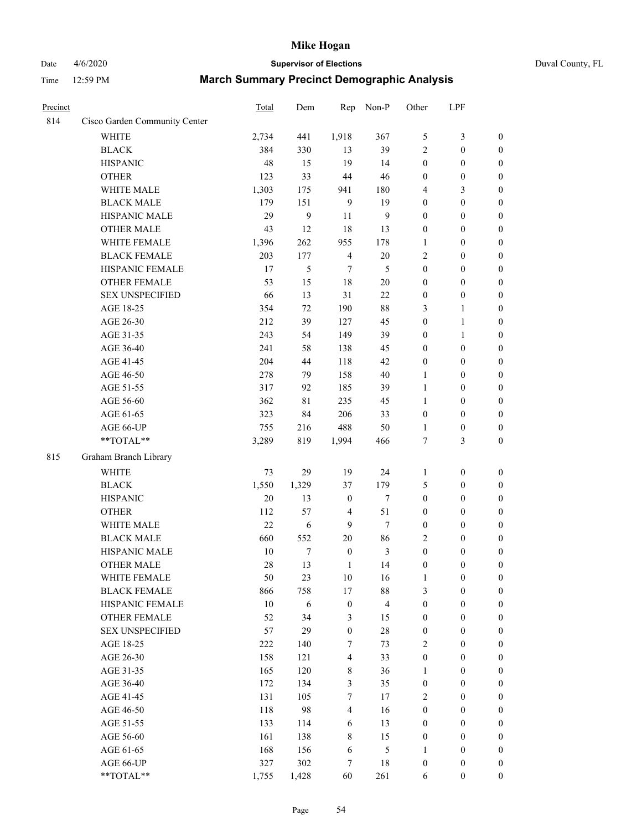# Date 4/6/2020 **Supervisor of Elections** Duval County, FL

| Precinct |                                        | Total | Dem        | Rep              | Non-P                   | Other            | LPF              |                  |
|----------|----------------------------------------|-------|------------|------------------|-------------------------|------------------|------------------|------------------|
| 814      | Cisco Garden Community Center          |       |            |                  |                         |                  |                  |                  |
|          | <b>WHITE</b>                           | 2,734 | 441        | 1,918            | 367                     | 5                | $\mathfrak{Z}$   | $\boldsymbol{0}$ |
|          | <b>BLACK</b>                           | 384   | 330        | 13               | 39                      | 2                | $\boldsymbol{0}$ | $\boldsymbol{0}$ |
|          | <b>HISPANIC</b>                        | 48    | 15         | 19               | 14                      | $\boldsymbol{0}$ | $\boldsymbol{0}$ | $\boldsymbol{0}$ |
|          | <b>OTHER</b>                           | 123   | 33         | 44               | 46                      | $\boldsymbol{0}$ | $\boldsymbol{0}$ | $\boldsymbol{0}$ |
|          | WHITE MALE                             | 1,303 | 175        | 941              | 180                     | 4                | $\mathfrak{Z}$   | $\boldsymbol{0}$ |
|          | <b>BLACK MALE</b>                      | 179   | 151        | 9                | 19                      | $\boldsymbol{0}$ | $\boldsymbol{0}$ | $\boldsymbol{0}$ |
|          | HISPANIC MALE                          | 29    | 9          | 11               | 9                       | $\boldsymbol{0}$ | $\boldsymbol{0}$ | $\boldsymbol{0}$ |
|          | <b>OTHER MALE</b>                      | 43    | 12         | 18               | 13                      | $\boldsymbol{0}$ | $\boldsymbol{0}$ | $\boldsymbol{0}$ |
|          | WHITE FEMALE                           | 1,396 | 262        | 955              | 178                     | 1                | $\boldsymbol{0}$ | $\boldsymbol{0}$ |
|          | <b>BLACK FEMALE</b>                    | 203   | 177        | $\overline{4}$   | $20\,$                  | 2                | $\boldsymbol{0}$ | $\boldsymbol{0}$ |
|          | HISPANIC FEMALE                        | 17    | 5          | 7                | 5                       | $\boldsymbol{0}$ | $\boldsymbol{0}$ | $\boldsymbol{0}$ |
|          | <b>OTHER FEMALE</b>                    | 53    | 15         | 18               | $20\,$                  | $\boldsymbol{0}$ | $\boldsymbol{0}$ | $\boldsymbol{0}$ |
|          | <b>SEX UNSPECIFIED</b>                 | 66    | 13         | 31               | 22                      | $\boldsymbol{0}$ | $\boldsymbol{0}$ | $\boldsymbol{0}$ |
|          | AGE 18-25                              | 354   | 72         | 190              | $88\,$                  | 3                | $\mathbf{1}$     | $\boldsymbol{0}$ |
|          | AGE 26-30                              | 212   | 39         | 127              | 45                      | $\boldsymbol{0}$ | $\mathbf{1}$     | $\boldsymbol{0}$ |
|          | AGE 31-35                              | 243   | 54         | 149              | 39                      | $\boldsymbol{0}$ | $\mathbf{1}$     | $\boldsymbol{0}$ |
|          | AGE 36-40                              | 241   | 58         | 138              | 45                      | $\boldsymbol{0}$ | $\boldsymbol{0}$ | $\boldsymbol{0}$ |
|          | AGE 41-45                              | 204   | 44         | 118              | 42                      | $\boldsymbol{0}$ | $\boldsymbol{0}$ | $\boldsymbol{0}$ |
|          | AGE 46-50                              | 278   | 79         | 158              | $40\,$                  | $\mathbf{1}$     | $\boldsymbol{0}$ | $\boldsymbol{0}$ |
|          | AGE 51-55                              | 317   | 92         | 185              | 39                      | $\mathbf{1}$     | $\boldsymbol{0}$ | $\boldsymbol{0}$ |
|          | AGE 56-60                              | 362   | 81         | 235              | 45                      | 1                | $\boldsymbol{0}$ | 0                |
|          | AGE 61-65                              | 323   | 84         | 206              | 33                      | $\boldsymbol{0}$ | $\boldsymbol{0}$ | $\boldsymbol{0}$ |
|          | AGE 66-UP                              | 755   | 216        | 488              | 50                      | 1                | $\boldsymbol{0}$ | $\boldsymbol{0}$ |
|          | **TOTAL**                              | 3,289 | 819        | 1,994            | 466                     | 7                | 3                | $\boldsymbol{0}$ |
| 815      | Graham Branch Library                  |       |            |                  |                         |                  |                  |                  |
|          |                                        |       |            |                  |                         |                  |                  |                  |
|          | <b>WHITE</b>                           | 73    | 29         | 19               | 24                      | 1                | $\boldsymbol{0}$ | $\boldsymbol{0}$ |
|          | <b>BLACK</b>                           | 1,550 | 1,329      | 37               | 179                     | 5                | $\boldsymbol{0}$ | $\boldsymbol{0}$ |
|          | <b>HISPANIC</b>                        | 20    | 13         | $\boldsymbol{0}$ | $\tau$                  | $\boldsymbol{0}$ | $\boldsymbol{0}$ | $\boldsymbol{0}$ |
|          | <b>OTHER</b>                           | 112   | 57         | $\overline{4}$   | 51                      | $\boldsymbol{0}$ | $\boldsymbol{0}$ | $\boldsymbol{0}$ |
|          | WHITE MALE                             | 22    | $\sqrt{6}$ | 9                | $\tau$                  | $\boldsymbol{0}$ | $\boldsymbol{0}$ | $\boldsymbol{0}$ |
|          | <b>BLACK MALE</b>                      | 660   | 552        | $20\,$           | 86                      | 2                | $\boldsymbol{0}$ | $\boldsymbol{0}$ |
|          | HISPANIC MALE<br><b>OTHER MALE</b>     | 10    | $\tau$     | $\boldsymbol{0}$ | $\mathfrak{Z}$          | $\boldsymbol{0}$ | $\boldsymbol{0}$ | $\boldsymbol{0}$ |
|          |                                        | 28    | 13         | $\mathbf{1}$     | 14                      | $\boldsymbol{0}$ | $\boldsymbol{0}$ | $\boldsymbol{0}$ |
|          | WHITE FEMALE                           | 50    | 23         | 10               | 16                      | 1                | $\boldsymbol{0}$ | 0                |
|          | <b>BLACK FEMALE</b>                    | 866   | 758        | 17               | $88\,$                  | 3                | $\boldsymbol{0}$ | $\overline{0}$   |
|          | HISPANIC FEMALE                        | 10    | 6          | $\boldsymbol{0}$ | $\overline{\mathbf{4}}$ | $\boldsymbol{0}$ | $\boldsymbol{0}$ | $\overline{0}$   |
|          | OTHER FEMALE<br><b>SEX UNSPECIFIED</b> | 52    | 34         | 3                | 15                      | $\boldsymbol{0}$ | $\boldsymbol{0}$ | $\overline{0}$   |
|          |                                        | 57    | 29         | $\boldsymbol{0}$ | $28\,$                  | $\boldsymbol{0}$ | $\boldsymbol{0}$ | $\overline{0}$   |
|          | AGE 18-25                              | 222   | 140        | 7                | 73                      | 2                | $\boldsymbol{0}$ | $\theta$         |
|          | AGE 26-30                              | 158   | 121        | $\overline{4}$   | 33                      | $\boldsymbol{0}$ | $\boldsymbol{0}$ | $\overline{0}$   |
|          | AGE 31-35                              | 165   | 120        | 8                | 36                      | 1                | $\boldsymbol{0}$ | 0                |
|          | AGE 36-40                              | 172   | 134        | 3                | 35                      | $\boldsymbol{0}$ | $\boldsymbol{0}$ | 0                |
|          | AGE 41-45                              | 131   | 105        | $\tau$           | 17                      | $\overline{2}$   | $\boldsymbol{0}$ | 0                |
|          | AGE 46-50                              | 118   | 98         | $\overline{4}$   | 16                      | $\boldsymbol{0}$ | $\boldsymbol{0}$ | 0                |
|          | AGE 51-55                              | 133   | 114        | 6                | 13                      | $\boldsymbol{0}$ | $\boldsymbol{0}$ | $\overline{0}$   |
|          | AGE 56-60                              | 161   | 138        | 8                | 15                      | $\boldsymbol{0}$ | $\boldsymbol{0}$ | $\overline{0}$   |
|          | AGE 61-65                              | 168   | 156        | 6                | $\mathfrak s$           | 1                | $\boldsymbol{0}$ | $\overline{0}$   |
|          | AGE 66-UP                              | 327   | 302        | 7                | 18                      | $\boldsymbol{0}$ | $\boldsymbol{0}$ | $\boldsymbol{0}$ |
|          | **TOTAL**                              | 1,755 | 1,428      | 60               | 261                     | 6                | $\boldsymbol{0}$ | $\boldsymbol{0}$ |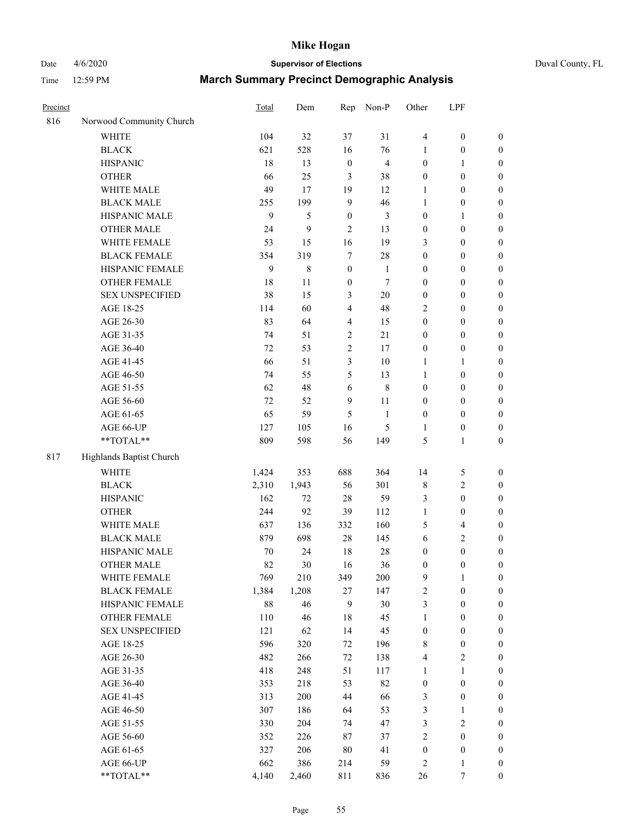# Date 4/6/2020 **Supervisor of Elections** Duval County, FL

| Precinct |                          | Total  | Dem     | Rep                     | Non-P                   | Other            | LPF              |                  |
|----------|--------------------------|--------|---------|-------------------------|-------------------------|------------------|------------------|------------------|
| 816      | Norwood Community Church |        |         |                         |                         |                  |                  |                  |
|          | <b>WHITE</b>             | 104    | 32      | 37                      | 31                      | 4                | $\boldsymbol{0}$ | 0                |
|          | <b>BLACK</b>             | 621    | 528     | 16                      | 76                      | $\mathbf{1}$     | $\boldsymbol{0}$ | $\boldsymbol{0}$ |
|          | <b>HISPANIC</b>          | 18     | 13      | $\boldsymbol{0}$        | $\overline{\mathbf{4}}$ | $\boldsymbol{0}$ | $\mathbf{1}$     | $\boldsymbol{0}$ |
|          | <b>OTHER</b>             | 66     | 25      | $\mathfrak{Z}$          | 38                      | $\boldsymbol{0}$ | $\boldsymbol{0}$ | $\boldsymbol{0}$ |
|          | WHITE MALE               | 49     | 17      | 19                      | 12                      | 1                | $\boldsymbol{0}$ | $\boldsymbol{0}$ |
|          | <b>BLACK MALE</b>        | 255    | 199     | 9                       | 46                      | 1                | $\boldsymbol{0}$ | $\boldsymbol{0}$ |
|          | HISPANIC MALE            | 9      | 5       | $\boldsymbol{0}$        | $\mathfrak{Z}$          | $\boldsymbol{0}$ | $\mathbf{1}$     | $\boldsymbol{0}$ |
|          | <b>OTHER MALE</b>        | 24     | 9       | $\overline{c}$          | 13                      | $\boldsymbol{0}$ | $\boldsymbol{0}$ | $\boldsymbol{0}$ |
|          | WHITE FEMALE             | 53     | 15      | 16                      | 19                      | 3                | $\boldsymbol{0}$ | $\boldsymbol{0}$ |
|          | <b>BLACK FEMALE</b>      | 354    | 319     | $\tau$                  | $28\,$                  | $\boldsymbol{0}$ | $\boldsymbol{0}$ | $\boldsymbol{0}$ |
|          | HISPANIC FEMALE          | 9      | $\,8\,$ | $\boldsymbol{0}$        | 1                       | $\boldsymbol{0}$ | $\boldsymbol{0}$ | $\boldsymbol{0}$ |
|          | <b>OTHER FEMALE</b>      | 18     | 11      | $\boldsymbol{0}$        | $\tau$                  | $\boldsymbol{0}$ | $\boldsymbol{0}$ | $\boldsymbol{0}$ |
|          | <b>SEX UNSPECIFIED</b>   | 38     | 15      | 3                       | $20\,$                  | $\boldsymbol{0}$ | $\boldsymbol{0}$ | $\boldsymbol{0}$ |
|          | AGE 18-25                | 114    | 60      | $\overline{\mathbf{4}}$ | 48                      | 2                | $\boldsymbol{0}$ | $\boldsymbol{0}$ |
|          | AGE 26-30                | 83     | 64      | 4                       | 15                      | $\boldsymbol{0}$ | $\boldsymbol{0}$ | $\boldsymbol{0}$ |
|          | AGE 31-35                | 74     | 51      | $\sqrt{2}$              | 21                      | $\boldsymbol{0}$ | $\boldsymbol{0}$ | $\boldsymbol{0}$ |
|          | AGE 36-40                | 72     | 53      | $\overline{c}$          | 17                      | $\boldsymbol{0}$ | $\boldsymbol{0}$ | $\boldsymbol{0}$ |
|          | AGE 41-45                | 66     | 51      | 3                       | $10\,$                  | $\mathbf{1}$     | $\mathbf{1}$     | $\boldsymbol{0}$ |
|          | AGE 46-50                | 74     | 55      | 5                       | 13                      | $\mathbf{1}$     | $\boldsymbol{0}$ | $\boldsymbol{0}$ |
|          | AGE 51-55                | 62     | 48      | 6                       | $\,$ 8 $\,$             | $\boldsymbol{0}$ | $\boldsymbol{0}$ | $\boldsymbol{0}$ |
|          | AGE 56-60                | 72     | 52      | $\mathbf{9}$            | 11                      | $\boldsymbol{0}$ | $\boldsymbol{0}$ | 0                |
|          | AGE 61-65                | 65     | 59      | 5                       | $\mathbf{1}$            | $\boldsymbol{0}$ | $\boldsymbol{0}$ | $\boldsymbol{0}$ |
|          | AGE 66-UP                | 127    | 105     | 16                      | $\mathfrak s$           | 1                | $\boldsymbol{0}$ | $\boldsymbol{0}$ |
|          | **TOTAL**                | 809    | 598     | 56                      | 149                     | 5                | $\mathbf{1}$     | $\boldsymbol{0}$ |
| 817      | Highlands Baptist Church |        |         |                         |                         |                  |                  |                  |
|          | <b>WHITE</b>             | 1,424  | 353     | 688                     | 364                     | 14               | 5                | $\boldsymbol{0}$ |
|          | <b>BLACK</b>             | 2,310  | 1,943   | 56                      | 301                     | 8                | $\sqrt{2}$       | $\boldsymbol{0}$ |
|          | <b>HISPANIC</b>          | 162    | 72      | 28                      | 59                      | 3                | $\boldsymbol{0}$ | $\boldsymbol{0}$ |
|          | <b>OTHER</b>             | 244    | 92      | 39                      | 112                     | $\mathbf{1}$     | $\boldsymbol{0}$ | $\boldsymbol{0}$ |
|          | WHITE MALE               | 637    | 136     | 332                     | 160                     | 5                | $\overline{4}$   | $\boldsymbol{0}$ |
|          | <b>BLACK MALE</b>        | 879    | 698     | $28\,$                  | 145                     | 6                | $\sqrt{2}$       | $\boldsymbol{0}$ |
|          | HISPANIC MALE            | $70\,$ | 24      | 18                      | $28\,$                  | $\boldsymbol{0}$ | $\boldsymbol{0}$ | $\boldsymbol{0}$ |
|          | <b>OTHER MALE</b>        | 82     | 30      | 16                      | 36                      | $\boldsymbol{0}$ | $\boldsymbol{0}$ | $\boldsymbol{0}$ |
|          | WHITE FEMALE             | 769    | 210     | 349                     | 200                     | 9                | 1                | 0                |
|          | <b>BLACK FEMALE</b>      | 1,384  | 1,208   | 27                      | 147                     | 2                | $\boldsymbol{0}$ | $\boldsymbol{0}$ |
|          | HISPANIC FEMALE          | 88     | 46      | 9                       | 30                      | 3                | $\boldsymbol{0}$ | $\overline{0}$   |
|          | <b>OTHER FEMALE</b>      | 110    | 46      | 18                      | 45                      | 1                | $\boldsymbol{0}$ | $\overline{0}$   |
|          | <b>SEX UNSPECIFIED</b>   | 121    | 62      | 14                      | 45                      | $\boldsymbol{0}$ | $\boldsymbol{0}$ | 0                |
|          | AGE 18-25                | 596    | 320     | 72                      | 196                     | 8                | $\boldsymbol{0}$ | 0                |
|          | AGE 26-30                | 482    | 266     | $72\,$                  | 138                     | 4                | $\sqrt{2}$       | 0                |
|          | AGE 31-35                | 418    | 248     | 51                      | 117                     | $\mathbf{1}$     | $\mathbf{1}$     | 0                |
|          | AGE 36-40                | 353    | 218     | 53                      | 82                      | $\boldsymbol{0}$ | $\boldsymbol{0}$ | 0                |
|          | AGE 41-45                | 313    | 200     | 44                      | 66                      | 3                | $\boldsymbol{0}$ | 0                |
|          | AGE 46-50                | 307    | 186     | 64                      | 53                      | 3                | 1                | 0                |
|          | AGE 51-55                | 330    | 204     | 74                      | 47                      | 3                | $\sqrt{2}$       | 0                |
|          | AGE 56-60                | 352    | 226     | 87                      | 37                      | $\overline{c}$   | $\boldsymbol{0}$ | $\overline{0}$   |
|          | AGE 61-65                | 327    | 206     | 80                      | 41                      | $\boldsymbol{0}$ | $\boldsymbol{0}$ | $\overline{0}$   |
|          | AGE 66-UP                | 662    | 386     | 214                     | 59                      | 2                | $\mathbf{1}$     | 0                |
|          | **TOTAL**                | 4,140  | 2,460   | 811                     | 836                     | 26               | 7                | $\boldsymbol{0}$ |
|          |                          |        |         |                         |                         |                  |                  |                  |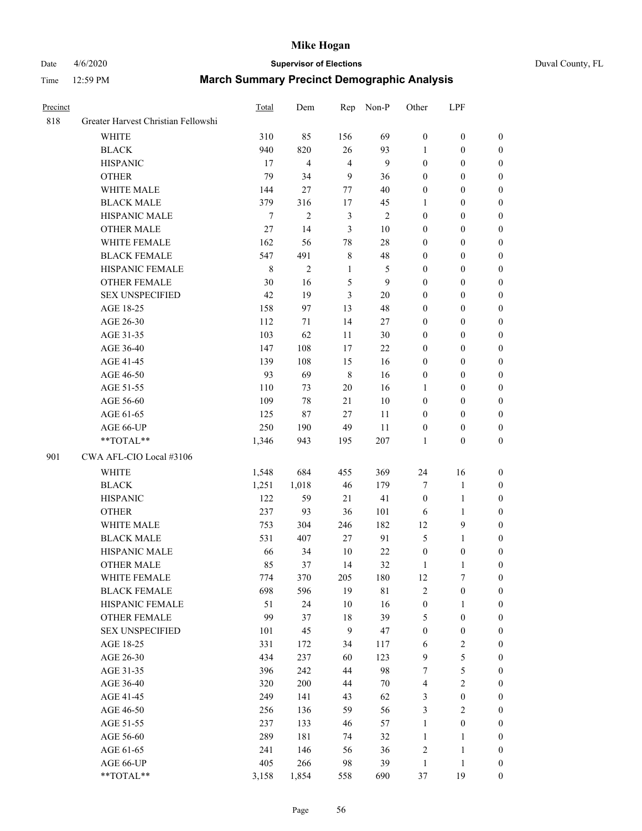# Date 4/6/2020 **Supervisor of Elections** Duval County, FL

| Precinct |                                     | <b>Total</b> | Dem            | Rep            | Non-P          | Other            | LPF              |                  |
|----------|-------------------------------------|--------------|----------------|----------------|----------------|------------------|------------------|------------------|
| 818      | Greater Harvest Christian Fellowshi |              |                |                |                |                  |                  |                  |
|          | <b>WHITE</b>                        | 310          | 85             | 156            | 69             | $\mathbf{0}$     | $\boldsymbol{0}$ | $\boldsymbol{0}$ |
|          | <b>BLACK</b>                        | 940          | 820            | 26             | 93             | 1                | $\boldsymbol{0}$ | $\boldsymbol{0}$ |
|          | <b>HISPANIC</b>                     | 17           | 4              | $\overline{4}$ | 9              | $\boldsymbol{0}$ | $\boldsymbol{0}$ | $\boldsymbol{0}$ |
|          | <b>OTHER</b>                        | 79           | 34             | 9              | 36             | $\boldsymbol{0}$ | $\boldsymbol{0}$ | $\boldsymbol{0}$ |
|          | WHITE MALE                          | 144          | 27             | 77             | 40             | $\boldsymbol{0}$ | $\boldsymbol{0}$ | $\boldsymbol{0}$ |
|          | <b>BLACK MALE</b>                   | 379          | 316            | 17             | 45             | 1                | $\boldsymbol{0}$ | $\boldsymbol{0}$ |
|          | HISPANIC MALE                       | 7            | $\overline{c}$ | $\mathfrak{Z}$ | $\overline{2}$ | $\boldsymbol{0}$ | $\boldsymbol{0}$ | $\boldsymbol{0}$ |
|          | <b>OTHER MALE</b>                   | $27\,$       | 14             | 3              | 10             | $\boldsymbol{0}$ | $\boldsymbol{0}$ | $\boldsymbol{0}$ |
|          | WHITE FEMALE                        | 162          | 56             | 78             | $28\,$         | $\boldsymbol{0}$ | $\boldsymbol{0}$ | $\boldsymbol{0}$ |
|          | <b>BLACK FEMALE</b>                 | 547          | 491            | $\,$ 8 $\,$    | 48             | $\boldsymbol{0}$ | $\boldsymbol{0}$ | $\boldsymbol{0}$ |
|          | HISPANIC FEMALE                     | $\,$ 8 $\,$  | $\overline{c}$ | $\mathbf{1}$   | 5              | $\boldsymbol{0}$ | $\boldsymbol{0}$ | 0                |
|          | <b>OTHER FEMALE</b>                 | 30           | 16             | $\sqrt{5}$     | 9              | $\boldsymbol{0}$ | $\boldsymbol{0}$ | $\boldsymbol{0}$ |
|          | <b>SEX UNSPECIFIED</b>              | 42           | 19             | 3              | $20\,$         | $\boldsymbol{0}$ | $\boldsymbol{0}$ | $\boldsymbol{0}$ |
|          | AGE 18-25                           | 158          | 97             | 13             | 48             | $\boldsymbol{0}$ | $\boldsymbol{0}$ | $\boldsymbol{0}$ |
|          | AGE 26-30                           | 112          | 71             | 14             | $27\,$         | $\boldsymbol{0}$ | $\boldsymbol{0}$ | $\boldsymbol{0}$ |
|          | AGE 31-35                           | 103          | 62             | 11             | 30             | $\boldsymbol{0}$ | $\boldsymbol{0}$ | $\boldsymbol{0}$ |
|          | AGE 36-40                           | 147          | 108            | 17             | 22             | $\boldsymbol{0}$ | $\boldsymbol{0}$ | $\boldsymbol{0}$ |
|          | AGE 41-45                           | 139          | 108            | 15             | 16             | $\boldsymbol{0}$ | $\boldsymbol{0}$ | $\boldsymbol{0}$ |
|          | AGE 46-50                           | 93           | 69             | $\,8\,$        | 16             | $\boldsymbol{0}$ | $\boldsymbol{0}$ | $\boldsymbol{0}$ |
|          | AGE 51-55                           | 110          | 73             | $20\,$         | 16             | 1                | $\boldsymbol{0}$ | $\boldsymbol{0}$ |
|          | AGE 56-60                           | 109          | 78             | 21             | 10             | $\boldsymbol{0}$ | $\boldsymbol{0}$ | 0                |
|          | AGE 61-65                           | 125          | 87             | 27             | 11             | $\boldsymbol{0}$ | $\boldsymbol{0}$ | 0                |
|          | AGE 66-UP                           | 250          | 190            | 49             | 11             | $\boldsymbol{0}$ | $\boldsymbol{0}$ | $\boldsymbol{0}$ |
|          | **TOTAL**                           | 1,346        | 943            | 195            | 207            | $\mathbf{1}$     | $\boldsymbol{0}$ | $\boldsymbol{0}$ |
| 901      | CWA AFL-CIO Local #3106             |              |                |                |                |                  |                  |                  |
|          | <b>WHITE</b>                        | 1,548        | 684            | 455            | 369            | 24               | 16               | $\boldsymbol{0}$ |
|          | <b>BLACK</b>                        | 1,251        | 1,018          | 46             | 179            | 7                | $\mathbf{1}$     | $\boldsymbol{0}$ |
|          | <b>HISPANIC</b>                     | 122          | 59             | 21             | 41             | $\boldsymbol{0}$ | $\mathbf{1}$     | $\boldsymbol{0}$ |
|          | <b>OTHER</b>                        | 237          | 93             | 36             | 101            | 6                | $\mathbf{1}$     | $\boldsymbol{0}$ |
|          | <b>WHITE MALE</b>                   | 753          | 304            | 246            | 182            | 12               | 9                | $\boldsymbol{0}$ |
|          | <b>BLACK MALE</b>                   | 531          | 407            | 27             | 91             | 5                | $\mathbf{1}$     | $\boldsymbol{0}$ |
|          | HISPANIC MALE                       | 66           | 34             | 10             | $22\,$         | $\boldsymbol{0}$ | $\boldsymbol{0}$ | 0                |
|          | <b>OTHER MALE</b>                   | 85           | 37             | 14             | 32             | 1                | $\mathbf{1}$     | 0                |
|          | WHITE FEMALE                        | 774          | 370            | 205            | 180            | 12               | 7                | 0                |
|          | <b>BLACK FEMALE</b>                 | 698          | 596            | 19             | $8\sqrt{1}$    | $\sqrt{2}$       | $\boldsymbol{0}$ | $\boldsymbol{0}$ |
|          | HISPANIC FEMALE                     | 51           | 24             | $10\,$         | 16             | $\boldsymbol{0}$ | $\mathbf{1}$     | $\overline{0}$   |
|          | OTHER FEMALE                        | 99           | 37             | $18\,$         | 39             | 5                | $\boldsymbol{0}$ | $\overline{0}$   |
|          | <b>SEX UNSPECIFIED</b>              | 101          | 45             | $\mathbf{9}$   | 47             | $\boldsymbol{0}$ | $\boldsymbol{0}$ | 0                |
|          | AGE 18-25                           | 331          | 172            | 34             | 117            | 6                | $\sqrt{2}$       | $\theta$         |
|          | AGE 26-30                           | 434          | 237            | 60             | 123            | 9                | $\sqrt{5}$       | 0                |
|          | AGE 31-35                           | 396          | 242            | 44             | 98             | 7                | $\sqrt{5}$       | 0                |
|          | AGE 36-40                           | 320          | 200            | 44             | 70             | 4                | $\sqrt{2}$       | 0                |
|          | AGE 41-45                           | 249          | 141            | 43             | 62             | 3                | $\boldsymbol{0}$ | 0                |
|          | AGE 46-50                           | 256          | 136            | 59             | 56             | $\mathfrak{Z}$   | $\sqrt{2}$       | 0                |
|          | AGE 51-55                           | 237          | 133            | 46             | 57             | $\mathbf{1}$     | $\boldsymbol{0}$ | $\boldsymbol{0}$ |
|          | AGE 56-60                           | 289          | 181            | 74             | 32             | $\mathbf{1}$     | 1                | $\boldsymbol{0}$ |
|          | AGE 61-65                           | 241          | 146            | 56             | 36             | $\overline{c}$   | $\mathbf{1}$     | $\boldsymbol{0}$ |
|          | AGE 66-UP                           | 405          | 266            | 98             | 39             | $\mathbf{1}$     | $\mathbf{1}$     | $\boldsymbol{0}$ |
|          | **TOTAL**                           | 3,158        | 1,854          | 558            | 690            | 37               | 19               | $\boldsymbol{0}$ |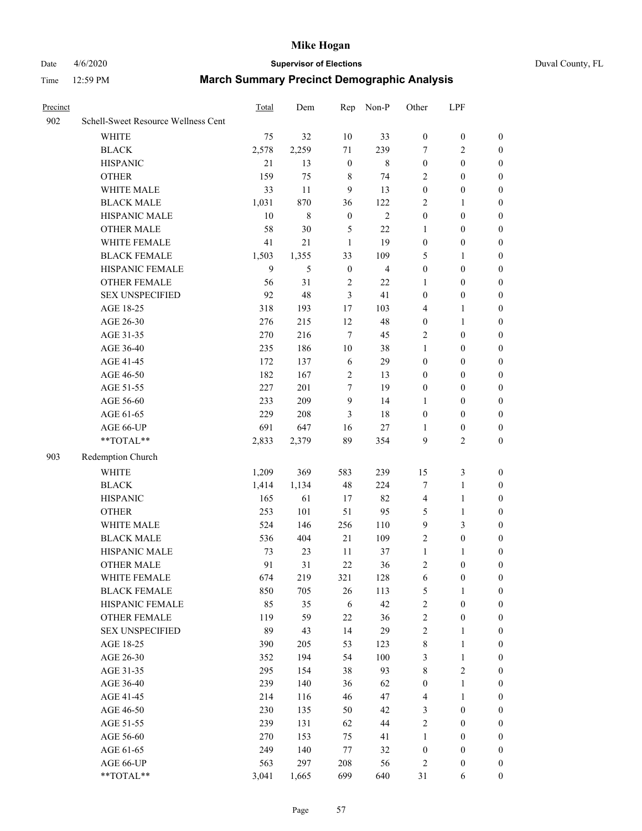# Date 4/6/2020 **Supervisor of Elections** Duval County, FL

| Precinct |                                     | Total | Dem   | Rep              | Non-P          | Other            | LPF              |                  |
|----------|-------------------------------------|-------|-------|------------------|----------------|------------------|------------------|------------------|
| 902      | Schell-Sweet Resource Wellness Cent |       |       |                  |                |                  |                  |                  |
|          | <b>WHITE</b>                        | 75    | 32    | 10               | 33             | $\boldsymbol{0}$ | $\boldsymbol{0}$ | $\boldsymbol{0}$ |
|          | <b>BLACK</b>                        | 2,578 | 2,259 | 71               | 239            | 7                | $\overline{c}$   | $\boldsymbol{0}$ |
|          | <b>HISPANIC</b>                     | 21    | 13    | $\boldsymbol{0}$ | $\,$ 8 $\,$    | $\boldsymbol{0}$ | $\boldsymbol{0}$ | $\boldsymbol{0}$ |
|          | <b>OTHER</b>                        | 159   | 75    | $\,$ 8 $\,$      | 74             | $\overline{2}$   | $\boldsymbol{0}$ | $\boldsymbol{0}$ |
|          | WHITE MALE                          | 33    | 11    | 9                | 13             | $\boldsymbol{0}$ | $\boldsymbol{0}$ | $\boldsymbol{0}$ |
|          | <b>BLACK MALE</b>                   | 1,031 | 870   | 36               | 122            | $\overline{2}$   | 1                | $\boldsymbol{0}$ |
|          | HISPANIC MALE                       | 10    | 8     | $\boldsymbol{0}$ | $\overline{c}$ | $\boldsymbol{0}$ | $\boldsymbol{0}$ | $\boldsymbol{0}$ |
|          | <b>OTHER MALE</b>                   | 58    | 30    | 5                | 22             | 1                | $\boldsymbol{0}$ | 0                |
|          | WHITE FEMALE                        | 41    | 21    | $\mathbf{1}$     | 19             | $\boldsymbol{0}$ | $\boldsymbol{0}$ | 0                |
|          | <b>BLACK FEMALE</b>                 | 1,503 | 1,355 | 33               | 109            | 5                | 1                | $\boldsymbol{0}$ |
|          | HISPANIC FEMALE                     | 9     | 5     | $\boldsymbol{0}$ | $\overline{4}$ | $\boldsymbol{0}$ | $\boldsymbol{0}$ | $\boldsymbol{0}$ |
|          | OTHER FEMALE                        | 56    | 31    | $\overline{2}$   | 22             | 1                | $\boldsymbol{0}$ | $\boldsymbol{0}$ |
|          | <b>SEX UNSPECIFIED</b>              | 92    | 48    | $\mathfrak{Z}$   | 41             | $\boldsymbol{0}$ | $\boldsymbol{0}$ | $\boldsymbol{0}$ |
|          | AGE 18-25                           | 318   | 193   | $17\,$           | 103            | 4                | $\mathbf{1}$     | $\boldsymbol{0}$ |
|          | AGE 26-30                           | 276   | 215   | 12               | 48             | $\boldsymbol{0}$ | $\mathbf{1}$     | $\boldsymbol{0}$ |
|          | AGE 31-35                           | 270   | 216   | $\overline{7}$   | 45             | $\overline{2}$   | $\boldsymbol{0}$ | $\boldsymbol{0}$ |
|          | AGE 36-40                           | 235   | 186   | $10\,$           | 38             | 1                | $\boldsymbol{0}$ | $\boldsymbol{0}$ |
|          | AGE 41-45                           | 172   | 137   | 6                | 29             | $\boldsymbol{0}$ | $\boldsymbol{0}$ | 0                |
|          | AGE 46-50                           | 182   | 167   | $\overline{2}$   | 13             | $\boldsymbol{0}$ | $\boldsymbol{0}$ | 0                |
|          | AGE 51-55                           | 227   | 201   | $\tau$           | 19             | $\boldsymbol{0}$ | $\boldsymbol{0}$ | $\boldsymbol{0}$ |
|          | AGE 56-60                           | 233   | 209   | 9                | 14             | 1                | $\boldsymbol{0}$ | $\boldsymbol{0}$ |
|          | AGE 61-65                           | 229   | 208   | 3                | 18             | $\boldsymbol{0}$ | $\boldsymbol{0}$ | $\boldsymbol{0}$ |
|          | AGE 66-UP                           | 691   | 647   | 16               | $27\,$         | 1                | $\boldsymbol{0}$ | $\boldsymbol{0}$ |
|          | $**TOTAL**$                         | 2,833 | 2,379 | 89               | 354            | 9                | $\overline{2}$   | $\boldsymbol{0}$ |
| 903      | Redemption Church                   |       |       |                  |                |                  |                  |                  |
|          | <b>WHITE</b>                        | 1,209 | 369   | 583              | 239            | 15               | $\mathfrak z$    | $\boldsymbol{0}$ |
|          | <b>BLACK</b>                        | 1,414 | 1,134 | 48               | 224            | $\boldsymbol{7}$ | $\mathbf{1}$     | $\boldsymbol{0}$ |
|          | <b>HISPANIC</b>                     | 165   | 61    | 17               | 82             | $\overline{4}$   | $\mathbf{1}$     | $\boldsymbol{0}$ |
|          | <b>OTHER</b>                        | 253   | 101   | 51               | 95             | $\mathfrak s$    | $\mathbf{1}$     | $\boldsymbol{0}$ |
|          | WHITE MALE                          | 524   | 146   | 256              | 110            | $\overline{9}$   | $\mathfrak{Z}$   | 0                |
|          | <b>BLACK MALE</b>                   | 536   | 404   | 21               | 109            | $\overline{c}$   | $\boldsymbol{0}$ | 0                |
|          | HISPANIC MALE                       | 73    | 23    | 11               | 37             | $\mathbf{1}$     | 1                | 0                |
|          | <b>OTHER MALE</b>                   | 91    | 31    | 22               | 36             | 2                | $\boldsymbol{0}$ | $\boldsymbol{0}$ |
|          | WHITE FEMALE                        | 674   | 219   | 321              | 128            | 6                | $\boldsymbol{0}$ | $\boldsymbol{0}$ |
|          | <b>BLACK FEMALE</b>                 | 850   | 705   | 26               | 113            | 5                | $\mathbf{1}$     | $\boldsymbol{0}$ |
|          | HISPANIC FEMALE                     | 85    | 35    | 6                | 42             | $\boldsymbol{2}$ | $\boldsymbol{0}$ | $\overline{0}$   |
|          | <b>OTHER FEMALE</b>                 | 119   | 59    | $22\,$           | 36             | $\sqrt{2}$       | $\boldsymbol{0}$ | $\theta$         |
|          | <b>SEX UNSPECIFIED</b>              | 89    | 43    | 14               | 29             | $\sqrt{2}$       | $\mathbf{1}$     | $\overline{0}$   |
|          | AGE 18-25                           | 390   | 205   | 53               | 123            | $\,$ $\,$        | $\mathbf{1}$     | 0                |
|          | AGE 26-30                           | 352   | 194   | 54               | 100            | 3                | $\mathbf{1}$     | 0                |
|          | AGE 31-35                           | 295   | 154   | 38               | 93             | $\,$ $\,$        | $\sqrt{2}$       | 0                |
|          | AGE 36-40                           | 239   | 140   | 36               | 62             | $\boldsymbol{0}$ | $\mathbf{1}$     | $\boldsymbol{0}$ |
|          | AGE 41-45                           | 214   | 116   | 46               | 47             | $\overline{4}$   | $\mathbf{1}$     | $\boldsymbol{0}$ |
|          | AGE 46-50                           | 230   | 135   | 50               | 42             | 3                | $\boldsymbol{0}$ | $\boldsymbol{0}$ |
|          | AGE 51-55                           | 239   | 131   | 62               | 44             | $\overline{c}$   | $\boldsymbol{0}$ | $\boldsymbol{0}$ |
|          | AGE 56-60                           | 270   | 153   | 75               | 41             | $\mathbf{1}$     | $\boldsymbol{0}$ | $\boldsymbol{0}$ |
|          | AGE 61-65                           | 249   | 140   | 77               | 32             | $\boldsymbol{0}$ | $\boldsymbol{0}$ | $\overline{0}$   |
|          | AGE 66-UP                           | 563   | 297   | 208              | 56             | $\sqrt{2}$       | $\boldsymbol{0}$ | $\overline{0}$   |
|          | **TOTAL**                           | 3,041 | 1,665 | 699              | 640            | 31               | 6                | $\boldsymbol{0}$ |
|          |                                     |       |       |                  |                |                  |                  |                  |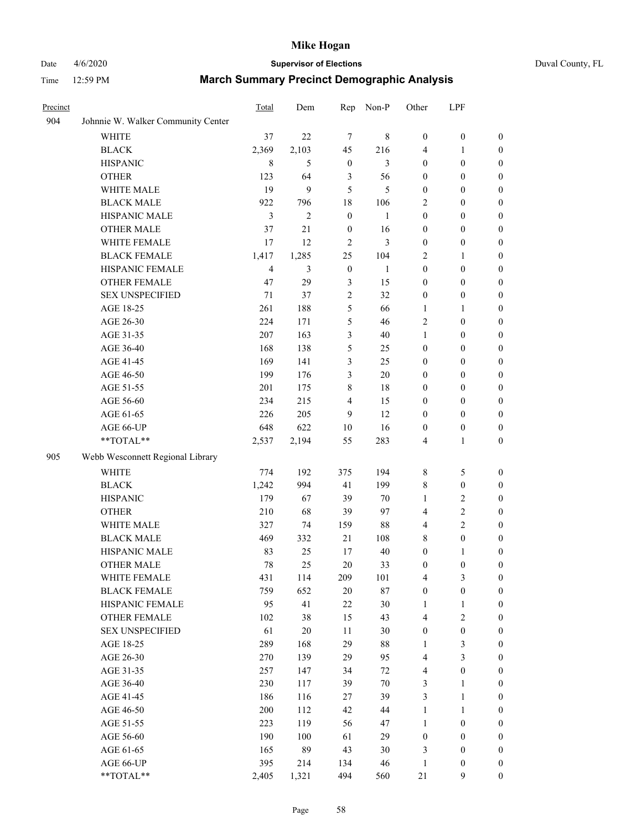# Date 4/6/2020 **Supervisor of Elections** Duval County, FL

| Precinct |                                    | Total          | Dem            | Rep              | Non-P        | Other            | LPF              |                  |
|----------|------------------------------------|----------------|----------------|------------------|--------------|------------------|------------------|------------------|
| 904      | Johnnie W. Walker Community Center |                |                |                  |              |                  |                  |                  |
|          | <b>WHITE</b>                       | 37             | 22             | $\tau$           | $\,$ 8 $\,$  | $\boldsymbol{0}$ | $\boldsymbol{0}$ | $\boldsymbol{0}$ |
|          | <b>BLACK</b>                       | 2,369          | 2,103          | 45               | 216          | 4                | 1                | $\boldsymbol{0}$ |
|          | <b>HISPANIC</b>                    | 8              | 5              | $\boldsymbol{0}$ | 3            | $\boldsymbol{0}$ | $\boldsymbol{0}$ | $\boldsymbol{0}$ |
|          | <b>OTHER</b>                       | 123            | 64             | 3                | 56           | $\boldsymbol{0}$ | $\boldsymbol{0}$ | $\boldsymbol{0}$ |
|          | WHITE MALE                         | 19             | 9              | 5                | 5            | $\boldsymbol{0}$ | $\boldsymbol{0}$ | $\boldsymbol{0}$ |
|          | <b>BLACK MALE</b>                  | 922            | 796            | 18               | 106          | 2                | $\boldsymbol{0}$ | $\boldsymbol{0}$ |
|          | HISPANIC MALE                      | 3              | $\overline{2}$ | $\boldsymbol{0}$ | $\mathbf{1}$ | $\boldsymbol{0}$ | $\boldsymbol{0}$ | $\boldsymbol{0}$ |
|          | <b>OTHER MALE</b>                  | 37             | 21             | $\boldsymbol{0}$ | 16           | $\boldsymbol{0}$ | $\boldsymbol{0}$ | $\boldsymbol{0}$ |
|          | WHITE FEMALE                       | 17             | 12             | $\overline{c}$   | 3            | $\boldsymbol{0}$ | $\boldsymbol{0}$ | $\boldsymbol{0}$ |
|          | <b>BLACK FEMALE</b>                | 1,417          | 1,285          | 25               | 104          | 2                | 1                | 0                |
|          | HISPANIC FEMALE                    | $\overline{4}$ | 3              | $\boldsymbol{0}$ | $\mathbf{1}$ | $\boldsymbol{0}$ | $\boldsymbol{0}$ | $\boldsymbol{0}$ |
|          | <b>OTHER FEMALE</b>                | 47             | 29             | $\mathfrak{Z}$   | 15           | $\boldsymbol{0}$ | $\boldsymbol{0}$ | $\boldsymbol{0}$ |
|          | <b>SEX UNSPECIFIED</b>             | 71             | 37             | $\sqrt{2}$       | 32           | $\boldsymbol{0}$ | $\boldsymbol{0}$ | $\boldsymbol{0}$ |
|          | AGE 18-25                          | 261            | 188            | 5                | 66           | $\mathbf{1}$     | $\mathbf{1}$     | $\boldsymbol{0}$ |
|          | AGE 26-30                          | 224            | 171            | 5                | 46           | $\overline{c}$   | $\boldsymbol{0}$ | $\boldsymbol{0}$ |
|          | AGE 31-35                          | 207            | 163            | 3                | 40           | $\mathbf{1}$     | $\boldsymbol{0}$ | $\boldsymbol{0}$ |
|          | AGE 36-40                          | 168            | 138            | 5                | 25           | $\boldsymbol{0}$ | $\boldsymbol{0}$ | $\boldsymbol{0}$ |
|          | AGE 41-45                          | 169            | 141            | 3                | 25           | $\boldsymbol{0}$ | $\boldsymbol{0}$ | $\boldsymbol{0}$ |
|          | AGE 46-50                          | 199            | 176            | $\mathfrak{Z}$   | $20\,$       | $\boldsymbol{0}$ | $\boldsymbol{0}$ | $\boldsymbol{0}$ |
|          | AGE 51-55                          | 201            | 175            | 8                | 18           | 0                | $\boldsymbol{0}$ | 0                |
|          | AGE 56-60                          | 234            | 215            | 4                | 15           | $\boldsymbol{0}$ | $\boldsymbol{0}$ | $\boldsymbol{0}$ |
|          | AGE 61-65                          | 226            | 205            | 9                | 12           | $\boldsymbol{0}$ | $\boldsymbol{0}$ | $\boldsymbol{0}$ |
|          | AGE 66-UP                          | 648            | 622            | 10               | 16           | $\boldsymbol{0}$ | $\boldsymbol{0}$ | $\boldsymbol{0}$ |
|          | **TOTAL**                          | 2,537          | 2,194          | 55               | 283          | 4                | $\mathbf{1}$     | $\boldsymbol{0}$ |
| 905      | Webb Wesconnett Regional Library   |                |                |                  |              |                  |                  |                  |
|          | <b>WHITE</b>                       | 774            | 192            | 375              | 194          | 8                | $\mathfrak s$    | $\boldsymbol{0}$ |
|          | <b>BLACK</b>                       | 1,242          | 994            | 41               | 199          | 8                | $\boldsymbol{0}$ | $\boldsymbol{0}$ |
|          | <b>HISPANIC</b>                    | 179            | 67             | 39               | 70           | 1                | $\sqrt{2}$       | $\boldsymbol{0}$ |
|          | <b>OTHER</b>                       | 210            | 68             | 39               | 97           | 4                | $\overline{2}$   | $\boldsymbol{0}$ |
|          | WHITE MALE                         | 327            | 74             | 159              | $88\,$       | 4                | $\overline{2}$   | $\boldsymbol{0}$ |
|          | <b>BLACK MALE</b>                  | 469            | 332            | 21               | 108          | 8                | $\boldsymbol{0}$ | $\boldsymbol{0}$ |
|          | HISPANIC MALE                      | 83             | 25             | 17               | 40           | $\boldsymbol{0}$ | 1                | 0                |
|          | <b>OTHER MALE</b>                  | 78             | 25             | 20               | 33           | $\boldsymbol{0}$ | $\boldsymbol{0}$ | $\boldsymbol{0}$ |
|          | WHITE FEMALE                       | 431            | 114            | 209              | 101          | 4                | $\mathfrak{Z}$   | 0                |
|          | <b>BLACK FEMALE</b>                | 759            | 652            | 20               | $87\,$       | $\boldsymbol{0}$ | $\boldsymbol{0}$ | $\overline{0}$   |
|          | HISPANIC FEMALE                    | 95             | 41             | 22               | 30           | $\mathbf{1}$     | $\mathbf{1}$     | $\overline{0}$   |
|          | <b>OTHER FEMALE</b>                | 102            | 38             | 15               | 43           | 4                | $\sqrt{2}$       | 0                |
|          | <b>SEX UNSPECIFIED</b>             | 61             | $20\,$         | $11\,$           | $30\,$       | $\boldsymbol{0}$ | $\boldsymbol{0}$ | $\theta$         |
|          | AGE 18-25                          | 289            | 168            | 29               | $88\,$       | $\mathbf{1}$     | $\mathfrak{Z}$   | 0                |
|          | AGE 26-30                          | 270            | 139            | 29               | 95           | 4                | $\mathfrak{Z}$   | 0                |
|          | AGE 31-35                          | 257            | 147            | 34               | $72\,$       | 4                | $\boldsymbol{0}$ | 0                |
|          | AGE 36-40                          | 230            | 117            | 39               | $70\,$       | 3                | 1                | 0                |
|          | AGE 41-45                          | 186            | 116            | 27               | 39           | 3                | $\mathbf{1}$     | 0                |
|          | AGE 46-50                          | 200            | 112            | 42               | 44           | $\mathbf{1}$     | $\mathbf{1}$     | 0                |
|          | AGE 51-55                          | 223            | 119            | 56               | 47           | $\mathbf{1}$     | $\boldsymbol{0}$ | $\boldsymbol{0}$ |
|          | AGE 56-60                          | 190            | 100            | 61               | 29           | $\boldsymbol{0}$ | $\boldsymbol{0}$ | $\overline{0}$   |
|          | AGE 61-65                          | 165            | 89             | 43               | 30           | 3                | $\boldsymbol{0}$ | 0                |
|          | AGE 66-UP                          | 395            | 214            | 134              | 46           | $\mathbf{1}$     | $\boldsymbol{0}$ | 0                |
|          | **TOTAL**                          | 2,405          | 1,321          | 494              | 560          | 21               | 9                | $\boldsymbol{0}$ |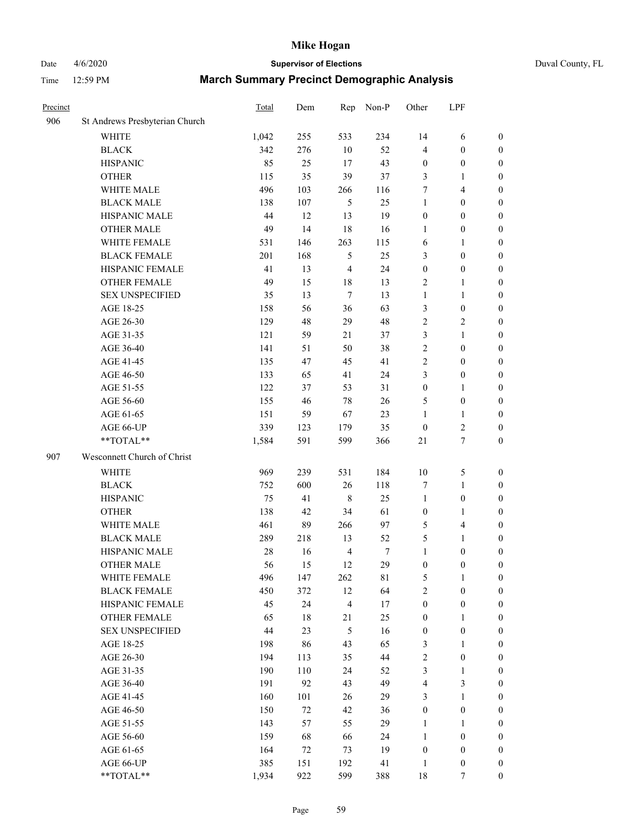# Date 4/6/2020 **Supervisor of Elections** Duval County, FL

| Precinct |                                | Total | Dem    | Rep            | Non-P  | Other            | LPF                     |                  |
|----------|--------------------------------|-------|--------|----------------|--------|------------------|-------------------------|------------------|
| 906      | St Andrews Presbyterian Church |       |        |                |        |                  |                         |                  |
|          | <b>WHITE</b>                   | 1,042 | 255    | 533            | 234    | 14               | 6                       | 0                |
|          | <b>BLACK</b>                   | 342   | 276    | $10\,$         | 52     | 4                | $\boldsymbol{0}$        | 0                |
|          | <b>HISPANIC</b>                | 85    | 25     | 17             | 43     | $\boldsymbol{0}$ | $\boldsymbol{0}$        | $\boldsymbol{0}$ |
|          | <b>OTHER</b>                   | 115   | 35     | 39             | 37     | 3                | 1                       | $\boldsymbol{0}$ |
|          | WHITE MALE                     | 496   | 103    | 266            | 116    | 7                | $\overline{4}$          | $\boldsymbol{0}$ |
|          | <b>BLACK MALE</b>              | 138   | 107    | 5              | 25     | $\mathbf{1}$     | $\boldsymbol{0}$        | $\boldsymbol{0}$ |
|          | HISPANIC MALE                  | 44    | 12     | 13             | 19     | $\boldsymbol{0}$ | $\boldsymbol{0}$        | $\boldsymbol{0}$ |
|          | <b>OTHER MALE</b>              | 49    | 14     | 18             | 16     | $\mathbf{1}$     | $\boldsymbol{0}$        | $\boldsymbol{0}$ |
|          | WHITE FEMALE                   | 531   | 146    | 263            | 115    | 6                | 1                       | $\boldsymbol{0}$ |
|          | <b>BLACK FEMALE</b>            | 201   | 168    | $\mathfrak s$  | 25     | 3                | $\boldsymbol{0}$        | $\boldsymbol{0}$ |
|          | HISPANIC FEMALE                | 41    | 13     | $\overline{4}$ | 24     | $\boldsymbol{0}$ | $\boldsymbol{0}$        | 0                |
|          | <b>OTHER FEMALE</b>            | 49    | 15     | 18             | 13     | $\overline{2}$   | 1                       | $\boldsymbol{0}$ |
|          | <b>SEX UNSPECIFIED</b>         | 35    | 13     | $\tau$         | 13     | $\mathbf{1}$     | $\mathbf{1}$            | $\boldsymbol{0}$ |
|          | AGE 18-25                      | 158   | 56     | 36             | 63     | 3                | $\boldsymbol{0}$        | $\boldsymbol{0}$ |
|          | AGE 26-30                      | 129   | 48     | 29             | 48     | 2                | $\sqrt{2}$              | $\boldsymbol{0}$ |
|          | AGE 31-35                      | 121   | 59     | 21             | 37     | 3                | $\mathbf{1}$            | $\boldsymbol{0}$ |
|          | AGE 36-40                      | 141   | 51     | 50             | 38     | $\overline{c}$   | $\boldsymbol{0}$        | $\boldsymbol{0}$ |
|          | AGE 41-45                      | 135   | 47     | 45             | 41     | 2                | $\boldsymbol{0}$        | $\boldsymbol{0}$ |
|          | AGE 46-50                      | 133   | 65     | 41             | 24     | 3                | $\boldsymbol{0}$        | $\boldsymbol{0}$ |
|          | AGE 51-55                      | 122   | 37     | 53             | 31     | $\boldsymbol{0}$ | 1                       | $\boldsymbol{0}$ |
|          | AGE 56-60                      | 155   | 46     | 78             | 26     | 5                | $\boldsymbol{0}$        | 0                |
|          | AGE 61-65                      | 151   | 59     | 67             | 23     | 1                | 1                       | 0                |
|          | AGE 66-UP                      | 339   | 123    | 179            | 35     | $\boldsymbol{0}$ | $\boldsymbol{2}$        | $\boldsymbol{0}$ |
|          | **TOTAL**                      | 1,584 | 591    | 599            | 366    | 21               | $\boldsymbol{7}$        | $\boldsymbol{0}$ |
| 907      | Wesconnett Church of Christ    |       |        |                |        |                  |                         |                  |
|          | <b>WHITE</b>                   | 969   | 239    | 531            | 184    | $10\,$           | $\mathfrak s$           | $\boldsymbol{0}$ |
|          | <b>BLACK</b>                   | 752   | 600    | 26             | 118    | 7                | $\mathbf{1}$            | $\boldsymbol{0}$ |
|          | <b>HISPANIC</b>                | 75    | 41     | 8              | 25     | $\mathbf{1}$     | $\boldsymbol{0}$        | $\boldsymbol{0}$ |
|          | <b>OTHER</b>                   | 138   | 42     | 34             | 61     | $\boldsymbol{0}$ | $\mathbf{1}$            | $\boldsymbol{0}$ |
|          | WHITE MALE                     | 461   | 89     | 266            | 97     | 5                | $\overline{\mathbf{4}}$ | $\boldsymbol{0}$ |
|          | <b>BLACK MALE</b>              | 289   | 218    | 13             | 52     | 5                | $\mathbf{1}$            | $\boldsymbol{0}$ |
|          | HISPANIC MALE                  | 28    | 16     | $\overline{4}$ | $\tau$ | $\mathbf{1}$     | $\boldsymbol{0}$        | $\boldsymbol{0}$ |
|          | <b>OTHER MALE</b>              | 56    | 15     | 12             | 29     | $\boldsymbol{0}$ | $\boldsymbol{0}$        | $\boldsymbol{0}$ |
|          | WHITE FEMALE                   | 496   | 147    | 262            | 81     | 5                | 1                       | 0                |
|          | <b>BLACK FEMALE</b>            | 450   | 372    | 12             | 64     | $\overline{c}$   | $\boldsymbol{0}$        | $\overline{0}$   |
|          | HISPANIC FEMALE                | 45    | 24     | 4              | 17     | $\boldsymbol{0}$ | $\boldsymbol{0}$        | $\overline{0}$   |
|          | OTHER FEMALE                   | 65    | $18\,$ | 21             | 25     | $\boldsymbol{0}$ | $\mathbf{1}$            | $\overline{0}$   |
|          | <b>SEX UNSPECIFIED</b>         | 44    | 23     | 5              | 16     | $\boldsymbol{0}$ | $\boldsymbol{0}$        | 0                |
|          | AGE 18-25                      | 198   | 86     | 43             | 65     | 3                | $\mathbf{1}$            | 0                |
|          | AGE 26-30                      | 194   | 113    | 35             | 44     | 2                | $\boldsymbol{0}$        | 0                |
|          | AGE 31-35                      | 190   | 110    | 24             | 52     | 3                | $\mathbf{1}$            | 0                |
|          | AGE 36-40                      | 191   | 92     | 43             | 49     | 4                | $\mathfrak{Z}$          | 0                |
|          | AGE 41-45                      | 160   | 101    | 26             | 29     | 3                | $\mathbf{1}$            | 0                |
|          | AGE 46-50                      | 150   | 72     | 42             | 36     | $\boldsymbol{0}$ | $\boldsymbol{0}$        | 0                |
|          | AGE 51-55                      | 143   | 57     | 55             | 29     | $\mathbf{1}$     | $\mathbf{1}$            | 0                |
|          | AGE 56-60                      | 159   | 68     | 66             | 24     | $\mathbf{1}$     | $\boldsymbol{0}$        | $\overline{0}$   |
|          | AGE 61-65                      | 164   | 72     | 73             | 19     | $\boldsymbol{0}$ | $\boldsymbol{0}$        | $\overline{0}$   |
|          | AGE 66-UP                      | 385   | 151    | 192            | 41     | $\mathbf{1}$     | $\boldsymbol{0}$        | 0                |
|          | **TOTAL**                      | 1,934 | 922    | 599            | 388    | $18\,$           | 7                       | $\boldsymbol{0}$ |
|          |                                |       |        |                |        |                  |                         |                  |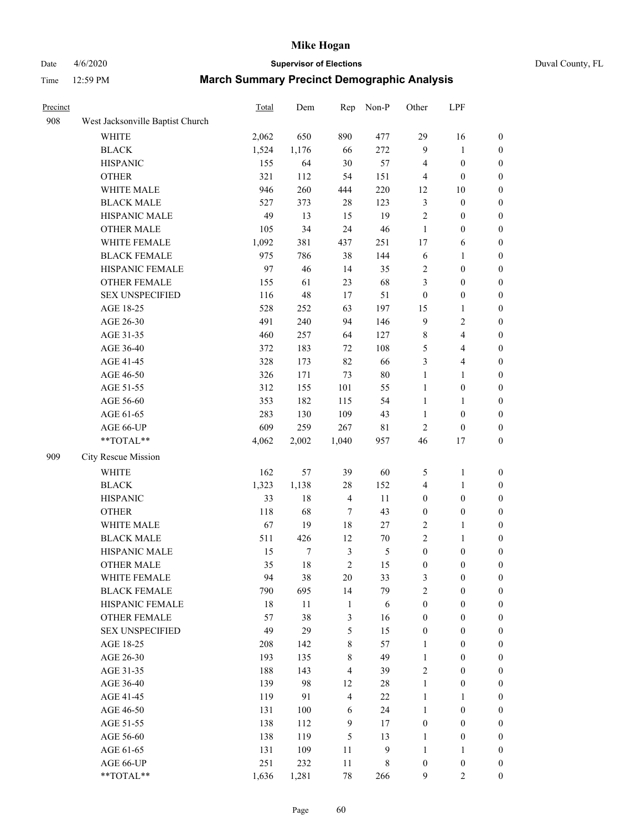# Date 4/6/2020 **Supervisor of Elections** Duval County, FL

| Precinct |                                  | Total | Dem    | Rep            | Non-P         | Other            | LPF                     |                  |
|----------|----------------------------------|-------|--------|----------------|---------------|------------------|-------------------------|------------------|
| 908      | West Jacksonville Baptist Church |       |        |                |               |                  |                         |                  |
|          | <b>WHITE</b>                     | 2,062 | 650    | 890            | 477           | 29               | 16                      | 0                |
|          | <b>BLACK</b>                     | 1,524 | 1,176  | 66             | 272           | 9                | 1                       | 0                |
|          | <b>HISPANIC</b>                  | 155   | 64     | 30             | 57            | 4                | $\boldsymbol{0}$        | $\boldsymbol{0}$ |
|          | <b>OTHER</b>                     | 321   | 112    | 54             | 151           | 4                | $\boldsymbol{0}$        | $\boldsymbol{0}$ |
|          | WHITE MALE                       | 946   | 260    | 444            | 220           | 12               | 10                      | $\boldsymbol{0}$ |
|          | <b>BLACK MALE</b>                | 527   | 373    | 28             | 123           | 3                | $\boldsymbol{0}$        | $\boldsymbol{0}$ |
|          | HISPANIC MALE                    | 49    | 13     | 15             | 19            | $\overline{c}$   | $\boldsymbol{0}$        | $\boldsymbol{0}$ |
|          | <b>OTHER MALE</b>                | 105   | 34     | 24             | 46            | $\mathbf{1}$     | $\boldsymbol{0}$        | $\boldsymbol{0}$ |
|          | WHITE FEMALE                     | 1,092 | 381    | 437            | 251           | 17               | 6                       | $\boldsymbol{0}$ |
|          | <b>BLACK FEMALE</b>              | 975   | 786    | 38             | 144           | 6                | 1                       | $\boldsymbol{0}$ |
|          | HISPANIC FEMALE                  | 97    | 46     | 14             | 35            | 2                | $\boldsymbol{0}$        | $\boldsymbol{0}$ |
|          | <b>OTHER FEMALE</b>              | 155   | 61     | 23             | 68            | 3                | $\boldsymbol{0}$        | $\boldsymbol{0}$ |
|          | <b>SEX UNSPECIFIED</b>           | 116   | 48     | 17             | 51            | $\boldsymbol{0}$ | $\boldsymbol{0}$        | $\boldsymbol{0}$ |
|          | AGE 18-25                        | 528   | 252    | 63             | 197           | 15               | 1                       | $\boldsymbol{0}$ |
|          | AGE 26-30                        | 491   | 240    | 94             | 146           | 9                | $\sqrt{2}$              | $\boldsymbol{0}$ |
|          | AGE 31-35                        | 460   | 257    | 64             | 127           | $\,$ $\,$        | $\overline{\mathbf{4}}$ | $\boldsymbol{0}$ |
|          | AGE 36-40                        | 372   | 183    | 72             | 108           | 5                | $\overline{4}$          | $\boldsymbol{0}$ |
|          | AGE 41-45                        | 328   | 173    | 82             | 66            | 3                | $\overline{\mathbf{4}}$ | $\boldsymbol{0}$ |
|          | AGE 46-50                        | 326   | 171    | 73             | $80\,$        | $\mathbf{1}$     | $\mathbf{1}$            | $\boldsymbol{0}$ |
|          | AGE 51-55                        | 312   | 155    | 101            | 55            | $\mathbf{1}$     | $\boldsymbol{0}$        | $\boldsymbol{0}$ |
|          | AGE 56-60                        | 353   | 182    | 115            | 54            | $\mathbf{1}$     | 1                       | 0                |
|          | AGE 61-65                        | 283   | 130    | 109            | 43            | $\mathbf{1}$     | $\boldsymbol{0}$        | 0                |
|          | AGE 66-UP                        | 609   | 259    | 267            | $8\sqrt{1}$   | $\sqrt{2}$       | $\boldsymbol{0}$        | $\boldsymbol{0}$ |
|          | $**TOTAL**$                      | 4,062 | 2,002  | 1,040          | 957           | 46               | $17\,$                  | $\boldsymbol{0}$ |
| 909      | City Rescue Mission              |       |        |                |               |                  |                         |                  |
|          | <b>WHITE</b>                     | 162   | 57     | 39             | 60            | 5                | $\mathbf{1}$            | $\boldsymbol{0}$ |
|          | <b>BLACK</b>                     | 1,323 | 1,138  | 28             | 152           | 4                | $\mathbf{1}$            | $\boldsymbol{0}$ |
|          | <b>HISPANIC</b>                  | 33    | 18     | $\overline{4}$ | 11            | $\boldsymbol{0}$ | $\boldsymbol{0}$        | $\boldsymbol{0}$ |
|          | <b>OTHER</b>                     | 118   | 68     | 7              | 43            | $\boldsymbol{0}$ | $\boldsymbol{0}$        | $\boldsymbol{0}$ |
|          | WHITE MALE                       | 67    | 19     | 18             | $27\,$        | 2                | $\mathbf{1}$            | $\boldsymbol{0}$ |
|          | <b>BLACK MALE</b>                | 511   | 426    | 12             | $70\,$        | $\overline{c}$   | $\mathbf{1}$            | $\boldsymbol{0}$ |
|          | HISPANIC MALE                    | 15    | $\tau$ | $\mathfrak z$  | $\mathfrak s$ | $\boldsymbol{0}$ | $\boldsymbol{0}$        | 0                |
|          | <b>OTHER MALE</b>                | 35    | 18     | $\overline{c}$ | 15            | $\boldsymbol{0}$ | $\boldsymbol{0}$        | $\boldsymbol{0}$ |
|          | WHITE FEMALE                     | 94    | 38     | 20             | 33            | 3                | $\boldsymbol{0}$        | 0                |
|          | <b>BLACK FEMALE</b>              | 790   | 695    | 14             | 79            | $\overline{c}$   | $\boldsymbol{0}$        | $\overline{0}$   |
|          | HISPANIC FEMALE                  | 18    | 11     | $\mathbf{1}$   | $\sqrt{6}$    | $\boldsymbol{0}$ | $\boldsymbol{0}$        | $\overline{0}$   |
|          | OTHER FEMALE                     | 57    | 38     | 3              | 16            | $\boldsymbol{0}$ | $\boldsymbol{0}$        | $\overline{0}$   |
|          | <b>SEX UNSPECIFIED</b>           | 49    | 29     | 5              | 15            | $\boldsymbol{0}$ | $\boldsymbol{0}$        | $\overline{0}$   |
|          | AGE 18-25                        | 208   | 142    | $\,$ 8 $\,$    | 57            | $\mathbf{1}$     | $\boldsymbol{0}$        | $\overline{0}$   |
|          | AGE 26-30                        | 193   | 135    | 8              | 49            | $\mathbf{1}$     | $\boldsymbol{0}$        | $\overline{0}$   |
|          | AGE 31-35                        | 188   | 143    | $\overline{4}$ | 39            | $\overline{c}$   | $\boldsymbol{0}$        | 0                |
|          | AGE 36-40                        | 139   | 98     | 12             | $28\,$        | $\mathbf{1}$     | $\boldsymbol{0}$        | 0                |
|          | AGE 41-45                        | 119   | 91     | $\overline{4}$ | 22            | $\mathbf{1}$     | 1                       | 0                |
|          | AGE 46-50                        | 131   | 100    | 6              | 24            | 1                | $\boldsymbol{0}$        | 0                |
|          | AGE 51-55                        | 138   | 112    | 9              | 17            | $\boldsymbol{0}$ | $\boldsymbol{0}$        | $\overline{0}$   |
|          | AGE 56-60                        | 138   | 119    | 5              | 13            | 1                | $\boldsymbol{0}$        | $\boldsymbol{0}$ |
|          | AGE 61-65                        | 131   | 109    | 11             | 9             | $\mathbf{1}$     | 1                       | $\boldsymbol{0}$ |
|          | AGE 66-UP                        | 251   | 232    | $11\,$         | 8             | $\boldsymbol{0}$ | $\boldsymbol{0}$        | 0                |
|          | **TOTAL**                        | 1,636 | 1,281  | 78             | 266           | 9                | $\overline{c}$          | $\boldsymbol{0}$ |
|          |                                  |       |        |                |               |                  |                         |                  |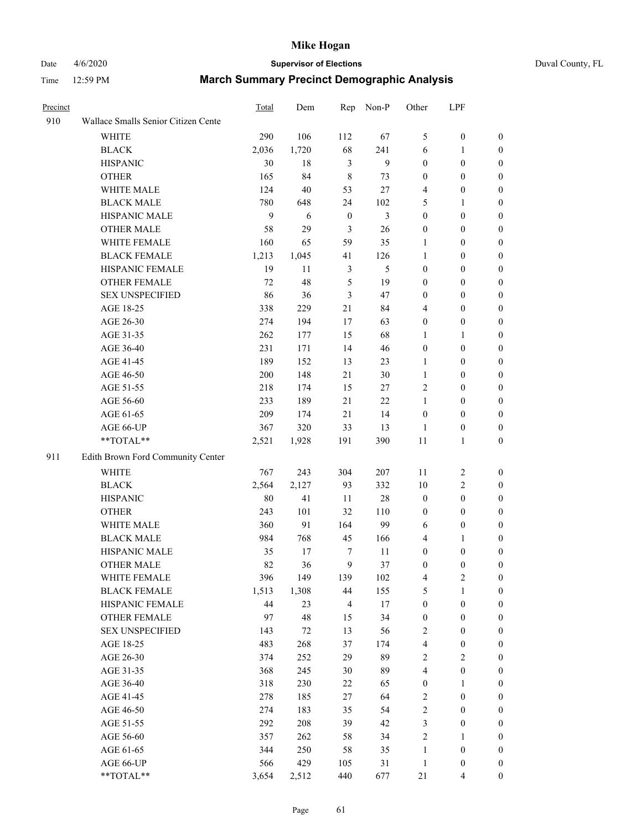# Date 4/6/2020 **Supervisor of Elections** Duval County, FL

| Precinct |                                     | Total | Dem   | Rep              | Non-P  | Other            | LPF              |                  |
|----------|-------------------------------------|-------|-------|------------------|--------|------------------|------------------|------------------|
| 910      | Wallace Smalls Senior Citizen Cente |       |       |                  |        |                  |                  |                  |
|          | <b>WHITE</b>                        | 290   | 106   | 112              | 67     | 5                | $\boldsymbol{0}$ | 0                |
|          | <b>BLACK</b>                        | 2,036 | 1,720 | 68               | 241    | 6                | 1                | 0                |
|          | <b>HISPANIC</b>                     | 30    | 18    | $\mathfrak{Z}$   | 9      | $\boldsymbol{0}$ | $\boldsymbol{0}$ | $\boldsymbol{0}$ |
|          | <b>OTHER</b>                        | 165   | 84    | $\,$ 8 $\,$      | 73     | $\boldsymbol{0}$ | $\boldsymbol{0}$ | $\boldsymbol{0}$ |
|          | WHITE MALE                          | 124   | 40    | 53               | 27     | 4                | $\boldsymbol{0}$ | $\boldsymbol{0}$ |
|          | <b>BLACK MALE</b>                   | 780   | 648   | 24               | 102    | 5                | 1                | $\boldsymbol{0}$ |
|          | HISPANIC MALE                       | 9     | 6     | $\boldsymbol{0}$ | 3      | $\boldsymbol{0}$ | $\boldsymbol{0}$ | $\boldsymbol{0}$ |
|          | <b>OTHER MALE</b>                   | 58    | 29    | $\mathfrak{Z}$   | 26     | $\boldsymbol{0}$ | $\boldsymbol{0}$ | $\boldsymbol{0}$ |
|          | WHITE FEMALE                        | 160   | 65    | 59               | 35     | 1                | $\boldsymbol{0}$ | $\boldsymbol{0}$ |
|          | <b>BLACK FEMALE</b>                 | 1,213 | 1,045 | 41               | 126    | $\mathbf{1}$     | $\boldsymbol{0}$ | 0                |
|          | HISPANIC FEMALE                     | 19    | 11    | $\mathfrak{Z}$   | 5      | $\boldsymbol{0}$ | $\boldsymbol{0}$ | 0                |
|          | <b>OTHER FEMALE</b>                 | 72    | 48    | 5                | 19     | $\boldsymbol{0}$ | $\boldsymbol{0}$ | $\boldsymbol{0}$ |
|          | <b>SEX UNSPECIFIED</b>              | 86    | 36    | $\mathfrak{Z}$   | 47     | $\boldsymbol{0}$ | $\boldsymbol{0}$ | $\boldsymbol{0}$ |
|          | AGE 18-25                           | 338   | 229   | 21               | 84     | 4                | $\boldsymbol{0}$ | $\boldsymbol{0}$ |
|          | AGE 26-30                           | 274   | 194   | 17               | 63     | $\boldsymbol{0}$ | $\boldsymbol{0}$ | $\boldsymbol{0}$ |
|          | AGE 31-35                           | 262   | 177   | 15               | 68     | 1                | 1                | $\boldsymbol{0}$ |
|          | AGE 36-40                           | 231   | 171   | 14               | 46     | $\boldsymbol{0}$ | $\boldsymbol{0}$ | $\boldsymbol{0}$ |
|          | AGE 41-45                           | 189   | 152   | 13               | 23     | $\mathbf{1}$     | $\boldsymbol{0}$ | $\boldsymbol{0}$ |
|          | AGE 46-50                           | 200   | 148   | 21               | $30\,$ | $\mathbf{1}$     | $\boldsymbol{0}$ | $\boldsymbol{0}$ |
|          | AGE 51-55                           | 218   | 174   | 15               | 27     | 2                | $\boldsymbol{0}$ | $\boldsymbol{0}$ |
|          | AGE 56-60                           | 233   | 189   | 21               | 22     | $\mathbf{1}$     | $\boldsymbol{0}$ | 0                |
|          | AGE 61-65                           | 209   | 174   | 21               | 14     | $\boldsymbol{0}$ | $\boldsymbol{0}$ | 0                |
|          | AGE 66-UP                           | 367   | 320   | 33               | 13     | $\mathbf{1}$     | $\boldsymbol{0}$ | $\boldsymbol{0}$ |
|          | **TOTAL**                           | 2,521 | 1,928 | 191              | 390    | $11\,$           | $\mathbf{1}$     | $\boldsymbol{0}$ |
| 911      | Edith Brown Ford Community Center   |       |       |                  |        |                  |                  |                  |
|          | <b>WHITE</b>                        | 767   | 243   | 304              | 207    | 11               | $\boldsymbol{2}$ | $\boldsymbol{0}$ |
|          | <b>BLACK</b>                        | 2,564 | 2,127 | 93               | 332    | 10               | $\sqrt{2}$       | $\boldsymbol{0}$ |
|          | <b>HISPANIC</b>                     | 80    | 41    | 11               | 28     | $\boldsymbol{0}$ | $\boldsymbol{0}$ | $\boldsymbol{0}$ |
|          | <b>OTHER</b>                        | 243   | 101   | 32               | 110    | $\boldsymbol{0}$ | $\boldsymbol{0}$ | $\boldsymbol{0}$ |
|          | WHITE MALE                          | 360   | 91    | 164              | 99     | 6                | $\boldsymbol{0}$ | $\boldsymbol{0}$ |
|          | <b>BLACK MALE</b>                   | 984   | 768   | 45               | 166    | 4                | 1                | $\boldsymbol{0}$ |
|          | HISPANIC MALE                       | 35    | 17    | 7                | 11     | $\boldsymbol{0}$ | $\boldsymbol{0}$ | 0                |
|          | <b>OTHER MALE</b>                   | 82    | 36    | 9                | 37     | $\boldsymbol{0}$ | $\boldsymbol{0}$ | $\boldsymbol{0}$ |
|          | WHITE FEMALE                        | 396   | 149   | 139              | 102    | 4                | 2                | 0                |
|          | <b>BLACK FEMALE</b>                 | 1,513 | 1,308 | 44               | 155    | 5                | $\mathbf{1}$     | $\boldsymbol{0}$ |
|          | HISPANIC FEMALE                     | 44    | 23    | $\overline{4}$   | 17     | $\boldsymbol{0}$ | $\boldsymbol{0}$ | $\overline{0}$   |
|          | OTHER FEMALE                        | 97    | 48    | 15               | 34     | $\boldsymbol{0}$ | $\boldsymbol{0}$ | $\overline{0}$   |
|          | <b>SEX UNSPECIFIED</b>              | 143   | 72    | 13               | 56     | 2                | $\boldsymbol{0}$ | 0                |
|          | AGE 18-25                           | 483   | 268   | 37               | 174    | 4                | $\boldsymbol{0}$ | 0                |
|          | AGE 26-30                           | 374   | 252   | 29               | 89     | $\overline{c}$   | $\overline{c}$   | 0                |
|          | AGE 31-35                           | 368   | 245   | 30               | 89     | 4                | $\boldsymbol{0}$ | 0                |
|          | AGE 36-40                           | 318   | 230   | 22               | 65     | $\boldsymbol{0}$ | 1                | 0                |
|          | AGE 41-45                           | 278   | 185   | 27               | 64     | 2                | $\boldsymbol{0}$ | 0                |
|          | AGE 46-50                           | 274   | 183   | 35               | 54     | 2                | $\boldsymbol{0}$ | 0                |
|          | AGE 51-55                           | 292   | 208   | 39               | 42     | 3                | $\boldsymbol{0}$ | 0                |
|          | AGE 56-60                           | 357   | 262   | 58               | 34     | $\overline{c}$   | 1                | 0                |
|          | AGE 61-65                           | 344   | 250   | 58               | 35     | $\mathbf{1}$     | $\boldsymbol{0}$ | 0                |
|          | AGE 66-UP                           | 566   | 429   | 105              | 31     | $\mathbf{1}$     | $\boldsymbol{0}$ | 0                |
|          | **TOTAL**                           | 3,654 | 2,512 | 440              | 677    | 21               | $\overline{4}$   | $\boldsymbol{0}$ |
|          |                                     |       |       |                  |        |                  |                  |                  |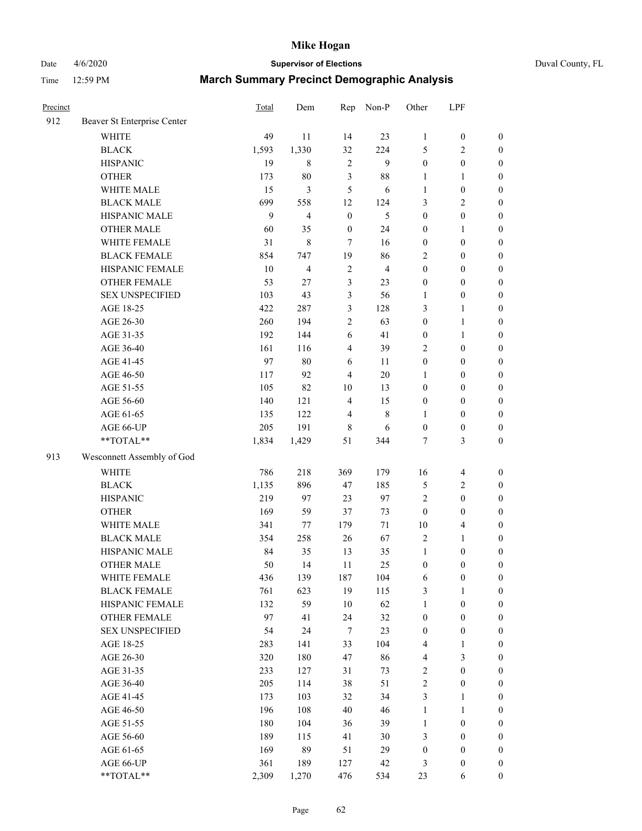Date 4/6/2020 **Supervisor of Elections** Duval County, FL

| Precinct |                             | Total | Dem                     | Rep                     | Non-P          | Other            | LPF              |                  |
|----------|-----------------------------|-------|-------------------------|-------------------------|----------------|------------------|------------------|------------------|
| 912      | Beaver St Enterprise Center |       |                         |                         |                |                  |                  |                  |
|          | <b>WHITE</b>                | 49    | 11                      | 14                      | 23             | $\mathbf{1}$     | $\boldsymbol{0}$ | $\boldsymbol{0}$ |
|          | <b>BLACK</b>                | 1,593 | 1,330                   | 32                      | 224            | 5                | $\sqrt{2}$       | $\boldsymbol{0}$ |
|          | <b>HISPANIC</b>             | 19    | $\,$ 8 $\,$             | $\overline{c}$          | 9              | $\boldsymbol{0}$ | $\boldsymbol{0}$ | $\boldsymbol{0}$ |
|          | <b>OTHER</b>                | 173   | 80                      | $\mathfrak{Z}$          | 88             | 1                | 1                | $\boldsymbol{0}$ |
|          | WHITE MALE                  | 15    | $\overline{\mathbf{3}}$ | 5                       | 6              | 1                | $\boldsymbol{0}$ | $\boldsymbol{0}$ |
|          | <b>BLACK MALE</b>           | 699   | 558                     | 12                      | 124            | 3                | $\sqrt{2}$       | $\boldsymbol{0}$ |
|          | HISPANIC MALE               | 9     | $\overline{4}$          | $\boldsymbol{0}$        | 5              | $\boldsymbol{0}$ | $\boldsymbol{0}$ | $\boldsymbol{0}$ |
|          | <b>OTHER MALE</b>           | 60    | 35                      | $\boldsymbol{0}$        | 24             | 0                | $\mathbf{1}$     | $\boldsymbol{0}$ |
|          | WHITE FEMALE                | 31    | $\,8\,$                 | $\tau$                  | 16             | $\boldsymbol{0}$ | $\boldsymbol{0}$ | $\boldsymbol{0}$ |
|          | <b>BLACK FEMALE</b>         | 854   | 747                     | 19                      | 86             | 2                | $\boldsymbol{0}$ | $\boldsymbol{0}$ |
|          | HISPANIC FEMALE             | 10    | $\overline{4}$          | $\sqrt{2}$              | $\overline{4}$ | $\boldsymbol{0}$ | $\boldsymbol{0}$ | $\boldsymbol{0}$ |
|          | <b>OTHER FEMALE</b>         | 53    | 27                      | $\mathfrak{Z}$          | 23             | 0                | $\boldsymbol{0}$ | $\boldsymbol{0}$ |
|          | <b>SEX UNSPECIFIED</b>      | 103   | 43                      | 3                       | 56             | $\mathbf{1}$     | $\boldsymbol{0}$ | $\boldsymbol{0}$ |
|          | AGE 18-25                   | 422   | 287                     | $\mathfrak{Z}$          | 128            | 3                | $\mathbf{1}$     | $\boldsymbol{0}$ |
|          | AGE 26-30                   | 260   | 194                     | $\sqrt{2}$              | 63             | $\boldsymbol{0}$ | $\mathbf{1}$     | $\boldsymbol{0}$ |
|          | AGE 31-35                   | 192   | 144                     | 6                       | 41             | $\boldsymbol{0}$ | $\mathbf{1}$     | $\boldsymbol{0}$ |
|          | AGE 36-40                   | 161   | 116                     | $\overline{\mathbf{4}}$ | 39             | $\overline{c}$   | $\boldsymbol{0}$ | $\boldsymbol{0}$ |
|          | AGE 41-45                   | 97    | 80                      | $\sqrt{6}$              | 11             | $\boldsymbol{0}$ | $\boldsymbol{0}$ | $\boldsymbol{0}$ |
|          | AGE 46-50                   | 117   | 92                      | $\overline{4}$          | $20\,$         | 1                | $\boldsymbol{0}$ | $\boldsymbol{0}$ |
|          | AGE 51-55                   | 105   | 82                      | $10\,$                  | 13             | $\boldsymbol{0}$ | $\boldsymbol{0}$ | $\boldsymbol{0}$ |
|          | AGE 56-60                   | 140   | 121                     | $\overline{4}$          | 15             | $\boldsymbol{0}$ | $\boldsymbol{0}$ | $\boldsymbol{0}$ |
|          | AGE 61-65                   | 135   | 122                     | $\overline{4}$          | $\,$ 8 $\,$    | 1                | $\boldsymbol{0}$ | $\boldsymbol{0}$ |
|          | AGE 66-UP                   | 205   | 191                     | $\,$ 8 $\,$             | 6              | $\boldsymbol{0}$ | $\boldsymbol{0}$ | $\boldsymbol{0}$ |
|          | **TOTAL**                   | 1,834 | 1,429                   | 51                      | 344            | 7                | 3                | $\boldsymbol{0}$ |
| 913      | Wesconnett Assembly of God  |       |                         |                         |                |                  |                  |                  |
|          | <b>WHITE</b>                | 786   | 218                     | 369                     | 179            | 16               | $\overline{4}$   | $\boldsymbol{0}$ |
|          | <b>BLACK</b>                | 1,135 | 896                     | 47                      | 185            | 5                | $\sqrt{2}$       | $\boldsymbol{0}$ |
|          | <b>HISPANIC</b>             | 219   | 97                      | 23                      | 97             | 2                | $\boldsymbol{0}$ | $\boldsymbol{0}$ |
|          | <b>OTHER</b>                | 169   | 59                      | 37                      | 73             | $\boldsymbol{0}$ | $\boldsymbol{0}$ | $\boldsymbol{0}$ |
|          | WHITE MALE                  | 341   | 77                      | 179                     | 71             | $10\,$           | $\overline{4}$   | $\boldsymbol{0}$ |
|          | <b>BLACK MALE</b>           | 354   | 258                     | 26                      | 67             | $\overline{c}$   | $\mathbf{1}$     | $\boldsymbol{0}$ |
|          | HISPANIC MALE               | 84    | 35                      | 13                      | 35             | $\mathbf{1}$     | $\boldsymbol{0}$ | $\boldsymbol{0}$ |
|          | <b>OTHER MALE</b>           | 50    | 14                      | 11                      | 25             | $\boldsymbol{0}$ | $\boldsymbol{0}$ | $\boldsymbol{0}$ |
|          | WHITE FEMALE                | 436   | 139                     | 187                     | 104            | 6                | 0                | 0                |
|          | <b>BLACK FEMALE</b>         | 761   | 623                     | 19                      | 115            | 3                | $\mathbf{1}$     | $\boldsymbol{0}$ |
|          | HISPANIC FEMALE             | 132   | 59                      | $10\,$                  | 62             | 1                | $\boldsymbol{0}$ | $\overline{0}$   |
|          | <b>OTHER FEMALE</b>         | 97    | 41                      | 24                      | 32             | $\boldsymbol{0}$ | $\boldsymbol{0}$ | $\overline{0}$   |
|          | <b>SEX UNSPECIFIED</b>      | 54    | 24                      | 7                       | 23             | $\boldsymbol{0}$ | $\boldsymbol{0}$ | 0                |
|          | AGE 18-25                   | 283   | 141                     | 33                      | 104            | 4                | $\mathbf{1}$     | $\theta$         |
|          | AGE 26-30                   | 320   | 180                     | 47                      | 86             | 4                | 3                | $\overline{0}$   |
|          | AGE 31-35                   | 233   | 127                     | 31                      | 73             | 2                | $\boldsymbol{0}$ | 0                |
|          | AGE 36-40                   | 205   | 114                     | 38                      | 51             | $\overline{c}$   | $\boldsymbol{0}$ | 0                |
|          | AGE 41-45                   | 173   | 103                     | 32                      | 34             | 3                | $\mathbf{1}$     | 0                |
|          | AGE 46-50                   | 196   | 108                     | 40                      | 46             | 1                | $\mathbf{1}$     | 0                |
|          | AGE 51-55                   | 180   | 104                     | 36                      | 39             | $\mathbf{1}$     | $\boldsymbol{0}$ | 0                |
|          | AGE 56-60                   | 189   | 115                     | 41                      | 30             | 3                | $\boldsymbol{0}$ | $\overline{0}$   |
|          | AGE 61-65                   | 169   | 89                      | 51                      | 29             | 0                | $\boldsymbol{0}$ | $\overline{0}$   |
|          | AGE 66-UP                   | 361   | 189                     | 127                     | 42             | 3                | $\boldsymbol{0}$ | $\boldsymbol{0}$ |
|          | **TOTAL**                   | 2,309 | 1,270                   | 476                     | 534            | 23               | 6                | $\boldsymbol{0}$ |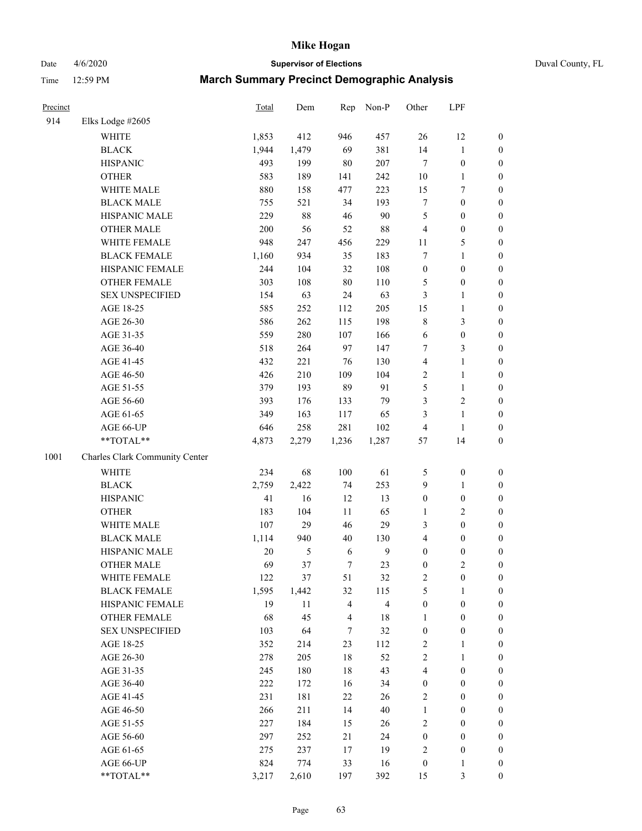Date 4/6/2020 **Supervisor of Elections** Duval County, FL

| Precinct |                                | Total   | Dem           | Rep   | Non-P                   | Other                    | LPF              |                  |
|----------|--------------------------------|---------|---------------|-------|-------------------------|--------------------------|------------------|------------------|
| 914      | Elks Lodge #2605               |         |               |       |                         |                          |                  |                  |
|          | WHITE                          | 1,853   | 412           | 946   | 457                     | 26                       | 12               | 0                |
|          | <b>BLACK</b>                   | 1,944   | 1,479         | 69    | 381                     | 14                       | $\mathbf{1}$     | 0                |
|          | <b>HISPANIC</b>                | 493     | 199           | 80    | 207                     | $\tau$                   | $\boldsymbol{0}$ | $\boldsymbol{0}$ |
|          | <b>OTHER</b>                   | 583     | 189           | 141   | 242                     | $10\,$                   | $\mathbf{1}$     | $\boldsymbol{0}$ |
|          | WHITE MALE                     | 880     | 158           | 477   | 223                     | 15                       | $\boldsymbol{7}$ | $\boldsymbol{0}$ |
|          | <b>BLACK MALE</b>              | 755     | 521           | 34    | 193                     | $\boldsymbol{7}$         | $\boldsymbol{0}$ | $\boldsymbol{0}$ |
|          | HISPANIC MALE                  | 229     | 88            | 46    | 90                      | 5                        | $\boldsymbol{0}$ | $\boldsymbol{0}$ |
|          | <b>OTHER MALE</b>              | 200     | 56            | 52    | 88                      | 4                        | $\boldsymbol{0}$ | $\boldsymbol{0}$ |
|          | WHITE FEMALE                   | 948     | 247           | 456   | 229                     | $11\,$                   | $\mathfrak s$    | $\boldsymbol{0}$ |
|          | <b>BLACK FEMALE</b>            | 1,160   | 934           | 35    | 183                     | 7                        | $\mathbf{1}$     | $\boldsymbol{0}$ |
|          | HISPANIC FEMALE                | 244     | 104           | 32    | 108                     | $\boldsymbol{0}$         | $\boldsymbol{0}$ | $\boldsymbol{0}$ |
|          | OTHER FEMALE                   | 303     | 108           | 80    | 110                     | 5                        | $\boldsymbol{0}$ | $\boldsymbol{0}$ |
|          | <b>SEX UNSPECIFIED</b>         | 154     | 63            | 24    | 63                      | 3                        | $\mathbf{1}$     | $\boldsymbol{0}$ |
|          | AGE 18-25                      | 585     | 252           | 112   | 205                     | 15                       | $\mathbf{1}$     | $\boldsymbol{0}$ |
|          | AGE 26-30                      | 586     | 262           | 115   | 198                     | 8                        | $\mathfrak{Z}$   | $\boldsymbol{0}$ |
|          | AGE 31-35                      | 559     | 280           | 107   | 166                     | 6                        | $\boldsymbol{0}$ | $\boldsymbol{0}$ |
|          | AGE 36-40                      | 518     | 264           | 97    | 147                     | 7                        | 3                | $\boldsymbol{0}$ |
|          | AGE 41-45                      | 432     | 221           | 76    | 130                     | 4                        | $\mathbf{1}$     | $\boldsymbol{0}$ |
|          | AGE 46-50                      | 426     | 210           | 109   | 104                     | $\overline{2}$           | $\mathbf{1}$     | $\boldsymbol{0}$ |
|          | AGE 51-55                      | 379     | 193           | 89    | 91                      | 5                        | $\mathbf{1}$     | 0                |
|          | AGE 56-60                      | 393     | 176           | 133   | 79                      | 3                        | $\sqrt{2}$       | 0                |
|          | AGE 61-65                      | 349     | 163           | 117   | 65                      | 3                        | $\mathbf{1}$     | $\boldsymbol{0}$ |
|          | AGE 66-UP                      | 646     | 258           | 281   | 102                     | 4                        | $\mathbf{1}$     | $\boldsymbol{0}$ |
|          | **TOTAL**                      | 4,873   | 2,279         | 1,236 | 1,287                   | 57                       | 14               | $\boldsymbol{0}$ |
| 1001     | Charles Clark Community Center |         |               |       |                         |                          |                  |                  |
|          | <b>WHITE</b>                   | 234     | 68            | 100   | 61                      | 5                        | $\boldsymbol{0}$ | $\boldsymbol{0}$ |
|          | <b>BLACK</b>                   | 2,759   | 2,422         | 74    | 253                     | 9                        | $\mathbf{1}$     | $\boldsymbol{0}$ |
|          | <b>HISPANIC</b>                | 41      | 16            | 12    | 13                      | $\boldsymbol{0}$         | $\boldsymbol{0}$ | $\boldsymbol{0}$ |
|          | <b>OTHER</b>                   | 183     | 104           | 11    | 65                      | 1                        | $\sqrt{2}$       | $\boldsymbol{0}$ |
|          | WHITE MALE                     | 107     | 29            | 46    | 29                      | 3                        | $\boldsymbol{0}$ | $\boldsymbol{0}$ |
|          | <b>BLACK MALE</b>              | 1,114   | 940           | 40    | 130                     | $\overline{\mathcal{L}}$ | $\boldsymbol{0}$ | $\boldsymbol{0}$ |
|          | HISPANIC MALE                  | $20\,$  | $\mathfrak s$ | 6     | $\boldsymbol{9}$        | $\boldsymbol{0}$         | $\boldsymbol{0}$ | 0                |
|          | <b>OTHER MALE</b>              | 69      | 37            | 7     | 23                      | $\boldsymbol{0}$         | $\mathfrak{2}$   | $\boldsymbol{0}$ |
|          | WHITE FEMALE                   | 122     | 37            | 51    | 32                      | 2                        | 0                | 0                |
|          | <b>BLACK FEMALE</b>            | 1,595   | 1,442         | 32    | 115                     | 5                        | $\mathbf{1}$     | $\boldsymbol{0}$ |
|          | HISPANIC FEMALE                | 19      | 11            | 4     | $\overline{\mathbf{4}}$ | $\boldsymbol{0}$         | $\boldsymbol{0}$ | $\overline{0}$   |
|          | OTHER FEMALE                   | 68      | 45            | 4     | 18                      | 1                        | $\boldsymbol{0}$ | $\overline{0}$   |
|          | <b>SEX UNSPECIFIED</b>         | 103     | 64            | 7     | 32                      | $\boldsymbol{0}$         | $\boldsymbol{0}$ | 0                |
|          | AGE 18-25                      | 352     | 214           | 23    | 112                     | 2                        | $\mathbf{1}$     | 0                |
|          | AGE 26-30                      | 278     | 205           | 18    | 52                      | 2                        | $\mathbf{1}$     | 0                |
|          | AGE 31-35                      | 245     | 180           | 18    | 43                      | 4                        | $\boldsymbol{0}$ | 0                |
|          | AGE 36-40                      | $222\,$ | 172           | 16    | 34                      | 0                        | $\boldsymbol{0}$ | 0                |
|          | AGE 41-45                      | 231     | 181           | 22    | 26                      | 2                        | $\boldsymbol{0}$ | 0                |
|          | AGE 46-50                      | 266     | 211           | 14    | 40                      | 1                        | $\boldsymbol{0}$ | 0                |
|          | AGE 51-55                      | 227     | 184           | 15    | 26                      | 2                        | $\boldsymbol{0}$ | $\boldsymbol{0}$ |
|          | AGE 56-60                      | 297     | 252           | 21    | 24                      | 0                        | $\boldsymbol{0}$ | $\boldsymbol{0}$ |
|          | AGE 61-65                      | 275     | 237           | 17    | 19                      | 2                        | $\boldsymbol{0}$ | $\boldsymbol{0}$ |
|          | AGE 66-UP                      | 824     | 774           | 33    | 16                      | $\boldsymbol{0}$         | $\mathbf{1}$     | 0                |
|          | **TOTAL**                      | 3,217   | 2,610         | 197   | 392                     | 15                       | 3                | $\boldsymbol{0}$ |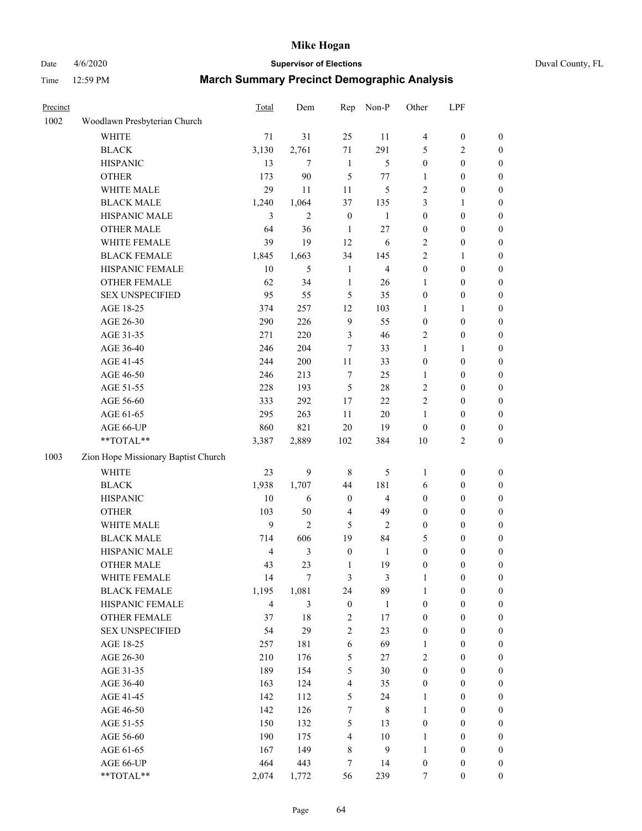Date 4/6/2020 **Supervisor of Elections** Duval County, FL

| Precinct |                                     | <b>Total</b>            | Dem            | Rep                     | Non-P          | Other                   | LPF              |                  |
|----------|-------------------------------------|-------------------------|----------------|-------------------------|----------------|-------------------------|------------------|------------------|
| 1002     | Woodlawn Presbyterian Church        |                         |                |                         |                |                         |                  |                  |
|          | <b>WHITE</b>                        | 71                      | 31             | 25                      | 11             | 4                       | $\boldsymbol{0}$ | 0                |
|          | <b>BLACK</b>                        | 3,130                   | 2,761          | 71                      | 291            | 5                       | $\overline{c}$   | 0                |
|          | <b>HISPANIC</b>                     | 13                      | $\overline{7}$ | $\mathbf{1}$            | $\sqrt{5}$     | $\boldsymbol{0}$        | $\boldsymbol{0}$ | $\boldsymbol{0}$ |
|          | <b>OTHER</b>                        | 173                     | 90             | 5                       | $77 \,$        | 1                       | $\boldsymbol{0}$ | $\boldsymbol{0}$ |
|          | WHITE MALE                          | 29                      | 11             | 11                      | $\mathfrak{S}$ | $\overline{\mathbf{c}}$ | $\boldsymbol{0}$ | $\boldsymbol{0}$ |
|          | <b>BLACK MALE</b>                   | 1,240                   | 1,064          | 37                      | 135            | 3                       | 1                | $\boldsymbol{0}$ |
|          | HISPANIC MALE                       | 3                       | $\overline{2}$ | $\boldsymbol{0}$        | $\mathbf{1}$   | $\boldsymbol{0}$        | $\boldsymbol{0}$ | $\boldsymbol{0}$ |
|          | <b>OTHER MALE</b>                   | 64                      | 36             | $\mathbf{1}$            | $27\,$         | 0                       | $\boldsymbol{0}$ | $\boldsymbol{0}$ |
|          | WHITE FEMALE                        | 39                      | 19             | 12                      | 6              | 2                       | $\boldsymbol{0}$ | $\boldsymbol{0}$ |
|          | <b>BLACK FEMALE</b>                 | 1,845                   | 1,663          | 34                      | 145            | $\overline{c}$          | 1                | $\boldsymbol{0}$ |
|          | HISPANIC FEMALE                     | 10                      | 5              | $\mathbf{1}$            | $\overline{4}$ | $\boldsymbol{0}$        | $\boldsymbol{0}$ | 0                |
|          | <b>OTHER FEMALE</b>                 | 62                      | 34             | $\mathbf{1}$            | 26             | 1                       | $\boldsymbol{0}$ | $\boldsymbol{0}$ |
|          | <b>SEX UNSPECIFIED</b>              | 95                      | 55             | 5                       | 35             | $\boldsymbol{0}$        | $\boldsymbol{0}$ | $\boldsymbol{0}$ |
|          | AGE 18-25                           | 374                     | 257            | 12                      | 103            | 1                       | 1                | $\boldsymbol{0}$ |
|          | AGE 26-30                           | 290                     | 226            | $\mathbf{9}$            | 55             | $\boldsymbol{0}$        | $\boldsymbol{0}$ | $\boldsymbol{0}$ |
|          | AGE 31-35                           | 271                     | 220            | $\mathfrak{Z}$          | 46             | $\overline{c}$          | $\boldsymbol{0}$ | $\boldsymbol{0}$ |
|          | AGE 36-40                           | 246                     | 204            | $\tau$                  | 33             | $\mathbf{1}$            | 1                | $\boldsymbol{0}$ |
|          | AGE 41-45                           | 244                     | 200            | 11                      | 33             | $\boldsymbol{0}$        | $\boldsymbol{0}$ | $\boldsymbol{0}$ |
|          | AGE 46-50                           | 246                     | 213            | $\boldsymbol{7}$        | 25             | 1                       | $\boldsymbol{0}$ | $\boldsymbol{0}$ |
|          | AGE 51-55                           | 228                     | 193            | $\mathfrak s$           | $28\,$         | 2                       | $\boldsymbol{0}$ | $\boldsymbol{0}$ |
|          | AGE 56-60                           | 333                     | 292            | 17                      | 22             | $\overline{c}$          | $\boldsymbol{0}$ | 0                |
|          | AGE 61-65                           | 295                     | 263            | 11                      | 20             | 1                       | $\boldsymbol{0}$ | 0                |
|          | AGE 66-UP                           | 860                     | 821            | $20\,$                  | 19             | $\boldsymbol{0}$        | $\boldsymbol{0}$ | $\boldsymbol{0}$ |
|          | **TOTAL**                           | 3,387                   | 2,889          | 102                     | 384            | $10\,$                  | $\sqrt{2}$       | $\boldsymbol{0}$ |
| 1003     | Zion Hope Missionary Baptist Church |                         |                |                         |                |                         |                  |                  |
|          | <b>WHITE</b>                        | 23                      | 9              | $\,$ 8 $\,$             | 5              | $\mathbf{1}$            | $\boldsymbol{0}$ | $\boldsymbol{0}$ |
|          | <b>BLACK</b>                        | 1,938                   | 1,707          | 44                      | 181            | 6                       | $\boldsymbol{0}$ | $\boldsymbol{0}$ |
|          | <b>HISPANIC</b>                     | 10                      | 6              | $\boldsymbol{0}$        | $\overline{4}$ | $\boldsymbol{0}$        | $\boldsymbol{0}$ | $\boldsymbol{0}$ |
|          | <b>OTHER</b>                        | 103                     | 50             | $\overline{4}$          | 49             | 0                       | $\boldsymbol{0}$ | $\boldsymbol{0}$ |
|          | WHITE MALE                          | 9                       | $\overline{2}$ | 5                       | $\overline{2}$ | $\boldsymbol{0}$        | $\boldsymbol{0}$ | $\boldsymbol{0}$ |
|          | <b>BLACK MALE</b>                   | 714                     | 606            | 19                      | 84             | 5                       | $\boldsymbol{0}$ | $\boldsymbol{0}$ |
|          | HISPANIC MALE                       | $\overline{\mathbf{4}}$ | $\mathfrak{Z}$ | $\boldsymbol{0}$        | $\mathbf{1}$   | $\boldsymbol{0}$        | $\boldsymbol{0}$ | 0                |
|          | <b>OTHER MALE</b>                   | 43                      | 23             | $\mathbf{1}$            | 19             | $\boldsymbol{0}$        | $\boldsymbol{0}$ | $\boldsymbol{0}$ |
|          | WHITE FEMALE                        | 14                      | 7              | 3                       | 3              | 1                       | 0                | 0                |
|          | <b>BLACK FEMALE</b>                 | 1,195                   | 1,081          | 24                      | 89             | 1                       | $\boldsymbol{0}$ | $\overline{0}$   |
|          | HISPANIC FEMALE                     | $\overline{\mathbf{4}}$ | 3              | $\boldsymbol{0}$        | $\mathbf{1}$   | $\boldsymbol{0}$        | $\boldsymbol{0}$ | $\overline{0}$   |
|          | <b>OTHER FEMALE</b>                 | 37                      | 18             | $\sqrt{2}$              | 17             | $\boldsymbol{0}$        | $\boldsymbol{0}$ | $\overline{0}$   |
|          | <b>SEX UNSPECIFIED</b>              | 54                      | 29             | 2                       | 23             | $\boldsymbol{0}$        | $\boldsymbol{0}$ | $\overline{0}$   |
|          | AGE 18-25                           | 257                     | 181            | $\boldsymbol{6}$        | 69             | 1                       | $\boldsymbol{0}$ | $\overline{0}$   |
|          | AGE 26-30                           | 210                     | 176            | $\sqrt{5}$              | 27             | $\overline{c}$          | $\boldsymbol{0}$ | $\overline{0}$   |
|          | AGE 31-35                           | 189                     | 154            | 5                       | 30             | $\boldsymbol{0}$        | $\boldsymbol{0}$ | 0                |
|          | AGE 36-40                           | 163                     | 124            | $\overline{4}$          | 35             | 0                       | $\boldsymbol{0}$ | 0                |
|          | AGE 41-45                           | 142                     | 112            | 5                       | 24             | 1                       | $\boldsymbol{0}$ | 0                |
|          | AGE 46-50                           | 142                     | 126            | $\boldsymbol{7}$        | $\,$ 8 $\,$    | 1                       | $\boldsymbol{0}$ | 0                |
|          | AGE 51-55                           | 150                     | 132            | $\sqrt{5}$              | 13             | $\boldsymbol{0}$        | $\boldsymbol{0}$ | $\boldsymbol{0}$ |
|          | AGE 56-60                           | 190                     | 175            | $\overline{\mathbf{4}}$ | 10             | 1                       | $\boldsymbol{0}$ | $\boldsymbol{0}$ |
|          | AGE 61-65                           | 167                     | 149            | 8                       | $\overline{9}$ | 1                       | $\boldsymbol{0}$ | $\overline{0}$   |
|          | AGE 66-UP                           | 464                     | 443            | 7                       | 14             | $\boldsymbol{0}$        | $\boldsymbol{0}$ | $\boldsymbol{0}$ |
|          | **TOTAL**                           | 2,074                   | 1,772          | 56                      | 239            | $\tau$                  | $\boldsymbol{0}$ | $\boldsymbol{0}$ |
|          |                                     |                         |                |                         |                |                         |                  |                  |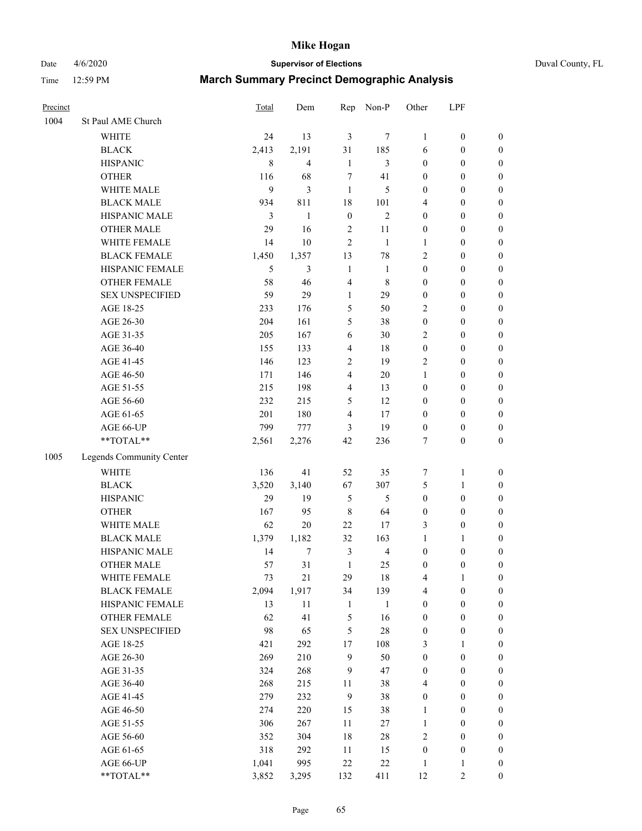Date 4/6/2020 **Supervisor of Elections** Duval County, FL

| Precinct |                          | Total | Dem                     | Rep              | Non-P          | Other            | LPF              |                  |
|----------|--------------------------|-------|-------------------------|------------------|----------------|------------------|------------------|------------------|
| 1004     | St Paul AME Church       |       |                         |                  |                |                  |                  |                  |
|          | <b>WHITE</b>             | 24    | 13                      | $\mathfrak{Z}$   | 7              | 1                | $\boldsymbol{0}$ | $\boldsymbol{0}$ |
|          | $\operatorname{BLACK}$   | 2,413 | 2,191                   | 31               | 185            | 6                | $\boldsymbol{0}$ | $\boldsymbol{0}$ |
|          | <b>HISPANIC</b>          | 8     | $\overline{\mathbf{4}}$ | $\mathbf{1}$     | 3              | $\boldsymbol{0}$ | $\boldsymbol{0}$ | $\boldsymbol{0}$ |
|          | <b>OTHER</b>             | 116   | 68                      | 7                | 41             | $\boldsymbol{0}$ | $\boldsymbol{0}$ | $\boldsymbol{0}$ |
|          | WHITE MALE               | 9     | $\mathfrak{Z}$          | $\mathbf{1}$     | 5              | $\boldsymbol{0}$ | $\boldsymbol{0}$ | $\boldsymbol{0}$ |
|          | <b>BLACK MALE</b>        | 934   | 811                     | 18               | 101            | 4                | $\boldsymbol{0}$ | $\boldsymbol{0}$ |
|          | HISPANIC MALE            | 3     | $\mathbf{1}$            | $\boldsymbol{0}$ | $\overline{2}$ | $\boldsymbol{0}$ | $\boldsymbol{0}$ | $\boldsymbol{0}$ |
|          | <b>OTHER MALE</b>        | 29    | 16                      | $\sqrt{2}$       | 11             | $\boldsymbol{0}$ | $\boldsymbol{0}$ | $\boldsymbol{0}$ |
|          | WHITE FEMALE             | 14    | 10                      | $\overline{2}$   | $\mathbf{1}$   | $\mathbf{1}$     | $\boldsymbol{0}$ | $\boldsymbol{0}$ |
|          | <b>BLACK FEMALE</b>      | 1,450 | 1,357                   | 13               | $78\,$         | 2                | $\boldsymbol{0}$ | $\boldsymbol{0}$ |
|          | HISPANIC FEMALE          | 5     | 3                       | $\mathbf{1}$     | $\mathbf{1}$   | $\boldsymbol{0}$ | $\boldsymbol{0}$ | $\boldsymbol{0}$ |
|          | <b>OTHER FEMALE</b>      | 58    | 46                      | $\overline{4}$   | $\,$ 8 $\,$    | $\boldsymbol{0}$ | $\boldsymbol{0}$ | $\boldsymbol{0}$ |
|          | <b>SEX UNSPECIFIED</b>   | 59    | 29                      | $\mathbf{1}$     | 29             | $\boldsymbol{0}$ | $\boldsymbol{0}$ | $\boldsymbol{0}$ |
|          | AGE 18-25                | 233   | 176                     | 5                | 50             | 2                | $\boldsymbol{0}$ | $\boldsymbol{0}$ |
|          | AGE 26-30                | 204   | 161                     | 5                | 38             | $\boldsymbol{0}$ | $\boldsymbol{0}$ | $\boldsymbol{0}$ |
|          | AGE 31-35                | 205   | 167                     | 6                | 30             | $\overline{c}$   | $\boldsymbol{0}$ | $\boldsymbol{0}$ |
|          | AGE 36-40                | 155   | 133                     | $\overline{4}$   | 18             | $\boldsymbol{0}$ | $\boldsymbol{0}$ | $\boldsymbol{0}$ |
|          | AGE 41-45                | 146   | 123                     | 2                | 19             | 2                | $\boldsymbol{0}$ | $\boldsymbol{0}$ |
|          | AGE 46-50                | 171   | 146                     | $\overline{4}$   | $20\,$         | $\mathbf{1}$     | $\boldsymbol{0}$ | $\boldsymbol{0}$ |
|          | AGE 51-55                | 215   | 198                     | $\overline{4}$   | 13             | $\boldsymbol{0}$ | $\boldsymbol{0}$ | $\boldsymbol{0}$ |
|          | AGE 56-60                | 232   | 215                     | 5                | 12             | $\boldsymbol{0}$ | $\boldsymbol{0}$ | 0                |
|          | AGE 61-65                | 201   | 180                     | $\overline{4}$   | 17             | $\boldsymbol{0}$ | $\boldsymbol{0}$ | $\boldsymbol{0}$ |
|          | AGE 66-UP                | 799   | 777                     | 3                | 19             | $\boldsymbol{0}$ | $\boldsymbol{0}$ | $\boldsymbol{0}$ |
|          | **TOTAL**                | 2,561 | 2,276                   | 42               | 236            | 7                | $\boldsymbol{0}$ | $\boldsymbol{0}$ |
|          |                          |       |                         |                  |                |                  |                  |                  |
| 1005     | Legends Community Center |       |                         |                  |                |                  |                  |                  |
|          | <b>WHITE</b>             | 136   | 41                      | 52               | 35             | 7                | $\mathbf{1}$     | $\boldsymbol{0}$ |
|          | <b>BLACK</b>             | 3,520 | 3,140                   | 67               | 307            | 5                | $\mathbf{1}$     | $\boldsymbol{0}$ |
|          | <b>HISPANIC</b>          | 29    | 19                      | 5                | 5              | $\boldsymbol{0}$ | $\boldsymbol{0}$ | $\boldsymbol{0}$ |
|          | <b>OTHER</b>             | 167   | 95                      | $\,$ 8 $\,$      | 64             | $\boldsymbol{0}$ | $\boldsymbol{0}$ | $\boldsymbol{0}$ |
|          | WHITE MALE               | 62    | $20\,$                  | 22               | 17             | 3                | $\boldsymbol{0}$ | $\boldsymbol{0}$ |
|          | <b>BLACK MALE</b>        | 1,379 | 1,182                   | 32               | 163            | $\mathbf{1}$     | 1                | $\boldsymbol{0}$ |
|          | HISPANIC MALE            | 14    | 7                       | $\mathfrak{Z}$   | $\overline{4}$ | $\boldsymbol{0}$ | $\boldsymbol{0}$ | $\boldsymbol{0}$ |
|          | <b>OTHER MALE</b>        | 57    | 31                      | $\mathbf{1}$     | 25             | $\boldsymbol{0}$ | $\boldsymbol{0}$ | $\boldsymbol{0}$ |
|          | WHITE FEMALE             | 73    | 21                      | 29               | 18             | 4                | 1                | 0                |
|          | <b>BLACK FEMALE</b>      | 2,094 | 1,917                   | 34               | 139            | 4                | $\boldsymbol{0}$ | $\boldsymbol{0}$ |
|          | HISPANIC FEMALE          | 13    | $11\,$                  | $\mathbf{1}$     | $\mathbf{1}$   | $\boldsymbol{0}$ | $\boldsymbol{0}$ | $\boldsymbol{0}$ |
|          | OTHER FEMALE             | 62    | 41                      | 5                | 16             | $\boldsymbol{0}$ | $\boldsymbol{0}$ | $\overline{0}$   |
|          | <b>SEX UNSPECIFIED</b>   | 98    | 65                      | 5                | $28\,$         | $\boldsymbol{0}$ | $\boldsymbol{0}$ | 0                |
|          | AGE 18-25                | 421   | 292                     | 17               | 108            | 3                | $\mathbf{1}$     | $\overline{0}$   |
|          | AGE 26-30                | 269   | 210                     | $\mathbf{9}$     | 50             | $\boldsymbol{0}$ | $\boldsymbol{0}$ | 0                |
|          | AGE 31-35                | 324   | 268                     | 9                | 47             | $\boldsymbol{0}$ | $\boldsymbol{0}$ | 0                |
|          | AGE 36-40                | 268   | 215                     | 11               | 38             | 4                | $\boldsymbol{0}$ | 0                |
|          | AGE 41-45                | 279   | 232                     | $\mathbf{9}$     | 38             | $\boldsymbol{0}$ | $\boldsymbol{0}$ | 0                |
|          | AGE 46-50                | 274   | 220                     | 15               | 38             | $\mathbf{1}$     | $\boldsymbol{0}$ | 0                |
|          | AGE 51-55                | 306   | 267                     | 11               | $27\,$         | $\mathbf{1}$     | $\boldsymbol{0}$ | $\boldsymbol{0}$ |
|          | AGE 56-60                | 352   | 304                     | 18               | 28             | 2                | $\boldsymbol{0}$ | $\boldsymbol{0}$ |
|          | AGE 61-65                | 318   | 292                     | 11               | 15             | $\boldsymbol{0}$ | $\boldsymbol{0}$ | $\boldsymbol{0}$ |
|          | AGE 66-UP                | 1,041 | 995                     | 22               | $22\,$         | $\mathbf{1}$     | $\mathbf{1}$     | $\boldsymbol{0}$ |
|          | **TOTAL**                | 3,852 | 3,295                   | 132              | 411            | 12               | $\mathfrak{2}$   | $\boldsymbol{0}$ |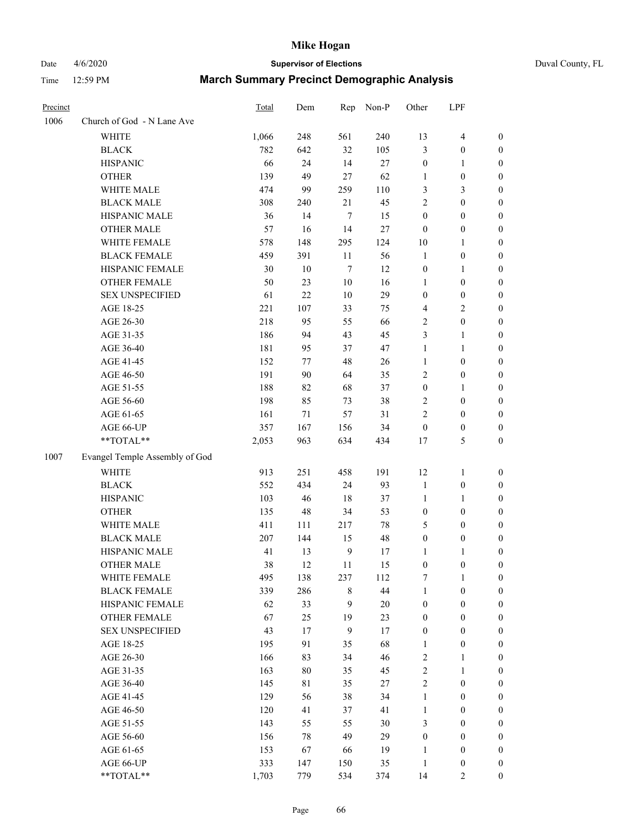# Date 4/6/2020 **Supervisor of Elections** Duval County, FL

| Precinct |                                | Total | Dem     | Rep              | Non-P  | Other            | LPF              |                  |
|----------|--------------------------------|-------|---------|------------------|--------|------------------|------------------|------------------|
| 1006     | Church of God - N Lane Ave     |       |         |                  |        |                  |                  |                  |
|          | <b>WHITE</b>                   | 1,066 | 248     | 561              | 240    | 13               | $\overline{4}$   | 0                |
|          | <b>BLACK</b>                   | 782   | 642     | 32               | 105    | 3                | $\boldsymbol{0}$ | 0                |
|          | <b>HISPANIC</b>                | 66    | 24      | 14               | 27     | $\boldsymbol{0}$ | 1                | $\boldsymbol{0}$ |
|          | <b>OTHER</b>                   | 139   | 49      | 27               | 62     | 1                | $\boldsymbol{0}$ | $\boldsymbol{0}$ |
|          | WHITE MALE                     | 474   | 99      | 259              | 110    | 3                | $\mathfrak{Z}$   | $\boldsymbol{0}$ |
|          | <b>BLACK MALE</b>              | 308   | 240     | 21               | 45     | $\overline{c}$   | $\boldsymbol{0}$ | $\boldsymbol{0}$ |
|          | HISPANIC MALE                  | 36    | 14      | 7                | 15     | $\boldsymbol{0}$ | $\boldsymbol{0}$ | $\boldsymbol{0}$ |
|          | <b>OTHER MALE</b>              | 57    | 16      | 14               | $27\,$ | $\boldsymbol{0}$ | $\boldsymbol{0}$ | $\boldsymbol{0}$ |
|          | WHITE FEMALE                   | 578   | 148     | 295              | 124    | $10\,$           | 1                | $\boldsymbol{0}$ |
|          | <b>BLACK FEMALE</b>            | 459   | 391     | 11               | 56     | $\mathbf{1}$     | $\boldsymbol{0}$ | 0                |
|          | HISPANIC FEMALE                | 30    | 10      | $\boldsymbol{7}$ | 12     | $\boldsymbol{0}$ | 1                | 0                |
|          | OTHER FEMALE                   | 50    | 23      | $10\,$           | 16     | 1                | $\boldsymbol{0}$ | 0                |
|          | <b>SEX UNSPECIFIED</b>         | 61    | 22      | 10               | 29     | $\boldsymbol{0}$ | $\boldsymbol{0}$ | $\boldsymbol{0}$ |
|          | AGE 18-25                      | 221   | 107     | 33               | 75     | 4                | $\sqrt{2}$       | $\boldsymbol{0}$ |
|          | AGE 26-30                      | 218   | 95      | 55               | 66     | 2                | $\boldsymbol{0}$ | $\boldsymbol{0}$ |
|          | AGE 31-35                      | 186   | 94      | 43               | 45     | 3                | $\mathbf{1}$     | $\boldsymbol{0}$ |
|          | AGE 36-40                      | 181   | 95      | 37               | 47     | $\mathbf{1}$     | $\mathbf{1}$     | $\boldsymbol{0}$ |
|          | AGE 41-45                      | 152   | $77 \,$ | 48               | 26     | $\mathbf{1}$     | $\boldsymbol{0}$ | $\boldsymbol{0}$ |
|          | AGE 46-50                      | 191   | 90      | 64               | 35     | 2                | $\boldsymbol{0}$ | $\boldsymbol{0}$ |
|          | AGE 51-55                      | 188   | 82      | 68               | 37     | $\boldsymbol{0}$ | 1                | $\boldsymbol{0}$ |
|          | AGE 56-60                      | 198   | 85      | 73               | 38     | 2                | $\boldsymbol{0}$ | 0                |
|          | AGE 61-65                      | 161   | 71      | 57               | 31     | $\overline{c}$   | $\boldsymbol{0}$ | 0                |
|          | AGE 66-UP                      | 357   | 167     | 156              | 34     | $\boldsymbol{0}$ | $\boldsymbol{0}$ | $\boldsymbol{0}$ |
|          | **TOTAL**                      | 2,053 | 963     | 634              | 434    | 17               | $\mathfrak s$    | $\boldsymbol{0}$ |
| 1007     | Evangel Temple Assembly of God |       |         |                  |        |                  |                  |                  |
|          | <b>WHITE</b>                   | 913   | 251     | 458              | 191    | 12               | $\mathbf{1}$     | $\boldsymbol{0}$ |
|          | <b>BLACK</b>                   | 552   | 434     | 24               | 93     | 1                | $\boldsymbol{0}$ | $\boldsymbol{0}$ |
|          | <b>HISPANIC</b>                | 103   | 46      | 18               | 37     | $\mathbf{1}$     | $\mathbf{1}$     | $\boldsymbol{0}$ |
|          | <b>OTHER</b>                   | 135   | 48      | 34               | 53     | $\boldsymbol{0}$ | $\boldsymbol{0}$ | $\boldsymbol{0}$ |
|          | WHITE MALE                     | 411   | 111     | 217              | 78     | 5                | $\boldsymbol{0}$ | $\boldsymbol{0}$ |
|          | <b>BLACK MALE</b>              | 207   | 144     | 15               | 48     | $\boldsymbol{0}$ | $\boldsymbol{0}$ | $\boldsymbol{0}$ |
|          | HISPANIC MALE                  | 41    | 13      | $\overline{9}$   | 17     | 1                | 1                | 0                |
|          | <b>OTHER MALE</b>              | 38    | 12      | 11               | 15     | $\boldsymbol{0}$ | $\boldsymbol{0}$ | $\boldsymbol{0}$ |
|          | WHITE FEMALE                   | 495   | 138     | 237              | 112    | 7                | 1                | 0                |
|          | <b>BLACK FEMALE</b>            | 339   | 286     | 8                | 44     | 1                | $\boldsymbol{0}$ | $\overline{0}$   |
|          | HISPANIC FEMALE                | 62    | 33      | 9                | 20     | $\boldsymbol{0}$ | $\boldsymbol{0}$ | $\overline{0}$   |
|          | OTHER FEMALE                   | 67    | 25      | 19               | 23     | $\boldsymbol{0}$ | $\boldsymbol{0}$ | $\overline{0}$   |
|          | <b>SEX UNSPECIFIED</b>         | 43    | 17      | $\boldsymbol{9}$ | 17     | 0                | $\boldsymbol{0}$ | 0                |
|          | AGE 18-25                      | 195   | 91      | 35               | 68     | 1                | $\boldsymbol{0}$ | 0                |
|          | AGE 26-30                      | 166   | 83      | 34               | 46     | 2                | $\mathbf{1}$     | 0                |
|          | AGE 31-35                      | 163   | 80      | 35               | 45     | $\overline{2}$   | $\mathbf{1}$     | 0                |
|          | AGE 36-40                      | 145   | 81      | 35               | $27\,$ | $\overline{c}$   | $\boldsymbol{0}$ | 0                |
|          | AGE 41-45                      | 129   | 56      | 38               | 34     | $\mathbf{1}$     | $\boldsymbol{0}$ | 0                |
|          | AGE 46-50                      | 120   | 41      | 37               | 41     | $\mathbf{1}$     | $\boldsymbol{0}$ | 0                |
|          | AGE 51-55                      | 143   | 55      | 55               | 30     | 3                | $\boldsymbol{0}$ | 0                |
|          | AGE 56-60                      | 156   | 78      | 49               | 29     | $\boldsymbol{0}$ | $\boldsymbol{0}$ | $\overline{0}$   |
|          | AGE 61-65                      | 153   | 67      | 66               | 19     | 1                | $\boldsymbol{0}$ | 0                |
|          | AGE 66-UP                      | 333   | 147     | 150              | 35     | $\mathbf{1}$     | $\boldsymbol{0}$ | 0                |
|          | **TOTAL**                      | 1,703 | 779     | 534              | 374    | 14               | $\overline{2}$   | $\boldsymbol{0}$ |
|          |                                |       |         |                  |        |                  |                  |                  |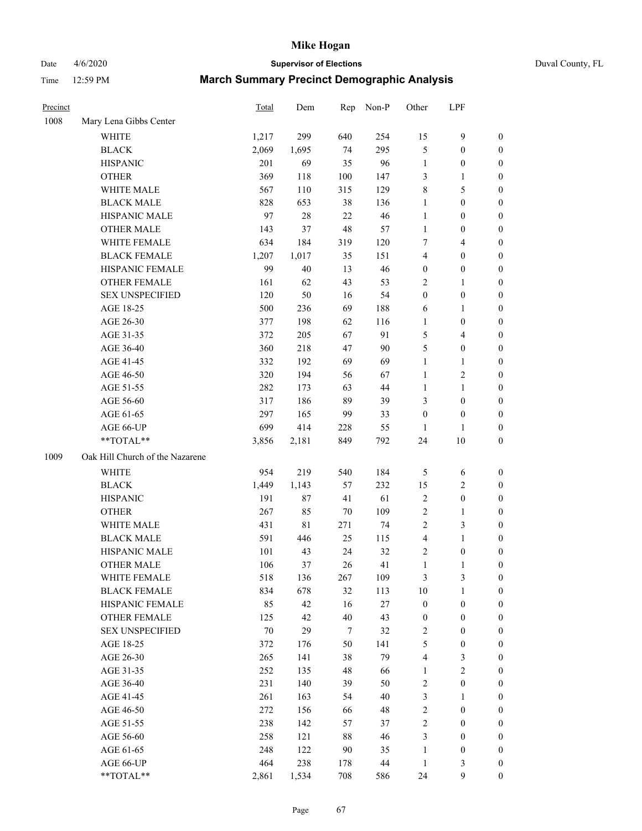Date 4/6/2020 **Supervisor of Elections** Duval County, FL

| Precinct |                                 | Total  | Dem         | Rep    | Non-P  | Other                   | LPF              |                  |
|----------|---------------------------------|--------|-------------|--------|--------|-------------------------|------------------|------------------|
| 1008     | Mary Lena Gibbs Center          |        |             |        |        |                         |                  |                  |
|          | <b>WHITE</b>                    | 1,217  | 299         | 640    | 254    | 15                      | 9                | $\boldsymbol{0}$ |
|          | <b>BLACK</b>                    | 2,069  | 1,695       | 74     | 295    | 5                       | $\boldsymbol{0}$ | $\boldsymbol{0}$ |
|          | <b>HISPANIC</b>                 | 201    | 69          | 35     | 96     | 1                       | $\boldsymbol{0}$ | $\boldsymbol{0}$ |
|          | <b>OTHER</b>                    | 369    | 118         | 100    | 147    | 3                       | 1                | $\boldsymbol{0}$ |
|          | WHITE MALE                      | 567    | 110         | 315    | 129    | 8                       | $\mathfrak s$    | $\boldsymbol{0}$ |
|          | <b>BLACK MALE</b>               | 828    | 653         | 38     | 136    | 1                       | $\boldsymbol{0}$ | $\boldsymbol{0}$ |
|          | HISPANIC MALE                   | 97     | 28          | 22     | 46     | $\mathbf{1}$            | $\boldsymbol{0}$ | $\boldsymbol{0}$ |
|          | <b>OTHER MALE</b>               | 143    | 37          | 48     | 57     | 1                       | $\boldsymbol{0}$ | $\boldsymbol{0}$ |
|          | WHITE FEMALE                    | 634    | 184         | 319    | 120    | 7                       | $\overline{4}$   | 0                |
|          | <b>BLACK FEMALE</b>             | 1,207  | 1,017       | 35     | 151    | 4                       | $\boldsymbol{0}$ | 0                |
|          | HISPANIC FEMALE                 | 99     | 40          | 13     | 46     | $\boldsymbol{0}$        | $\boldsymbol{0}$ | $\boldsymbol{0}$ |
|          | <b>OTHER FEMALE</b>             | 161    | 62          | 43     | 53     | $\overline{c}$          | $\mathbf{1}$     | $\boldsymbol{0}$ |
|          | <b>SEX UNSPECIFIED</b>          | 120    | 50          | 16     | 54     | $\boldsymbol{0}$        | $\boldsymbol{0}$ | $\boldsymbol{0}$ |
|          | AGE 18-25                       | 500    | 236         | 69     | 188    | 6                       | $\mathbf{1}$     | $\boldsymbol{0}$ |
|          | AGE 26-30                       | 377    | 198         | 62     | 116    | 1                       | $\boldsymbol{0}$ | $\boldsymbol{0}$ |
|          | AGE 31-35                       | 372    | 205         | 67     | 91     | 5                       | $\overline{4}$   | $\boldsymbol{0}$ |
|          | AGE 36-40                       | 360    | 218         | 47     | 90     | 5                       | $\boldsymbol{0}$ | $\boldsymbol{0}$ |
|          | AGE 41-45                       | 332    | 192         | 69     | 69     | 1                       | $\mathbf{1}$     | $\boldsymbol{0}$ |
|          | AGE 46-50                       | 320    | 194         | 56     | 67     | 1                       | $\sqrt{2}$       | 0                |
|          | AGE 51-55                       | 282    | 173         | 63     | 44     | 1                       | $\mathbf{1}$     | 0                |
|          | AGE 56-60                       | 317    | 186         | 89     | 39     | 3                       | $\boldsymbol{0}$ | $\boldsymbol{0}$ |
|          | AGE 61-65                       | 297    | 165         | 99     | 33     | $\boldsymbol{0}$        | $\boldsymbol{0}$ | $\boldsymbol{0}$ |
|          | AGE 66-UP                       | 699    | 414         | 228    | 55     | 1                       | 1                | $\boldsymbol{0}$ |
|          | **TOTAL**                       | 3,856  | 2,181       | 849    | 792    | 24                      | 10               | $\boldsymbol{0}$ |
| 1009     | Oak Hill Church of the Nazarene |        |             |        |        |                         |                  |                  |
|          | WHITE                           | 954    | 219         | 540    | 184    | 5                       | 6                | $\boldsymbol{0}$ |
|          | <b>BLACK</b>                    | 1,449  | 1,143       | 57     | 232    | 15                      | $\sqrt{2}$       | $\boldsymbol{0}$ |
|          | <b>HISPANIC</b>                 | 191    | 87          | 41     | 61     | $\overline{c}$          | $\boldsymbol{0}$ | $\boldsymbol{0}$ |
|          | <b>OTHER</b>                    | 267    | 85          | 70     | 109    | $\overline{c}$          | $\mathbf{1}$     | $\boldsymbol{0}$ |
|          | WHITE MALE                      | 431    | $8\sqrt{1}$ | 271    | 74     | $\overline{c}$          | $\mathfrak{Z}$   | $\boldsymbol{0}$ |
|          | <b>BLACK MALE</b>               | 591    | 446         | 25     | 115    | $\overline{\mathbf{4}}$ | $\mathbf{1}$     | 0                |
|          | HISPANIC MALE                   | 101    | 43          | 24     | 32     | 2                       | $\boldsymbol{0}$ | 0                |
|          | <b>OTHER MALE</b>               | 106    | 37          | 26     | 41     | $\mathbf{1}$            | $\mathbf{1}$     | $\boldsymbol{0}$ |
|          | WHITE FEMALE                    | 518    | 136         | 267    | 109    | 3                       | 3                | 0                |
|          | <b>BLACK FEMALE</b>             | 834    | 678         | 32     | 113    | $10\,$                  | $\mathbf{1}$     | $\overline{0}$   |
|          | HISPANIC FEMALE                 | 85     | 42          | 16     | $27\,$ | $\boldsymbol{0}$        | $\boldsymbol{0}$ | $\overline{0}$   |
|          | <b>OTHER FEMALE</b>             | 125    | 42          | 40     | 43     | $\boldsymbol{0}$        | $\boldsymbol{0}$ | $\overline{0}$   |
|          | <b>SEX UNSPECIFIED</b>          | $70\,$ | 29          | $\tau$ | 32     | 2                       | $\boldsymbol{0}$ | $\overline{0}$   |
|          | AGE 18-25                       | 372    | 176         | 50     | 141    | 5                       | $\boldsymbol{0}$ | 0                |
|          | AGE 26-30                       | 265    | 141         | 38     | 79     | 4                       | $\sqrt{3}$       | 0                |
|          | AGE 31-35                       | 252    | 135         | 48     | 66     | 1                       | $\sqrt{2}$       | 0                |
|          | AGE 36-40                       | 231    | 140         | 39     | 50     | $\overline{\mathbf{c}}$ | $\boldsymbol{0}$ | 0                |
|          | AGE 41-45                       | 261    | 163         | 54     | $40\,$ | 3                       | 1                | 0                |
|          | AGE 46-50                       | 272    | 156         | 66     | 48     | $\mathbf{2}$            | $\boldsymbol{0}$ | $\overline{0}$   |
|          | AGE 51-55                       | 238    | 142         | 57     | 37     | $\overline{c}$          | $\boldsymbol{0}$ | $\boldsymbol{0}$ |
|          | AGE 56-60                       | 258    | 121         | 88     | 46     | 3                       | $\boldsymbol{0}$ | $\overline{0}$   |
|          | AGE 61-65                       | 248    | 122         | 90     | 35     | 1                       | $\boldsymbol{0}$ | 0                |
|          | AGE 66-UP                       | 464    | 238         | 178    | 44     | 1                       | $\mathfrak{Z}$   | $\boldsymbol{0}$ |
|          | **TOTAL**                       | 2,861  | 1,534       | 708    | 586    | 24                      | 9                | $\boldsymbol{0}$ |
|          |                                 |        |             |        |        |                         |                  |                  |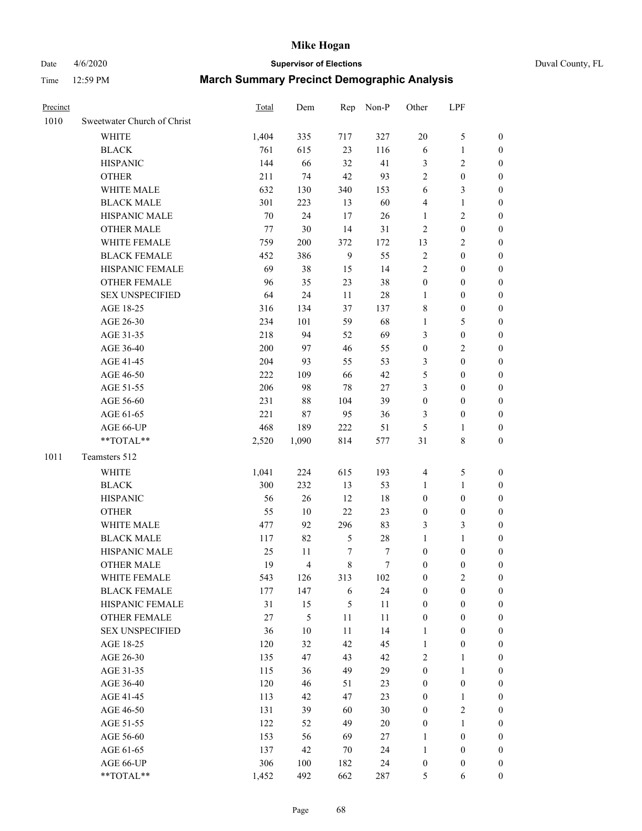# Date 4/6/2020 **Supervisor of Elections** Duval County, FL

| Precinct |                             | Total | Dem            | Rep              | Non-P  | Other            | LPF              |                  |
|----------|-----------------------------|-------|----------------|------------------|--------|------------------|------------------|------------------|
| 1010     | Sweetwater Church of Christ |       |                |                  |        |                  |                  |                  |
|          | <b>WHITE</b>                | 1,404 | 335            | 717              | 327    | 20               | $\mathfrak s$    | 0                |
|          | <b>BLACK</b>                | 761   | 615            | 23               | 116    | 6                | $\mathbf{1}$     | 0                |
|          | <b>HISPANIC</b>             | 144   | 66             | 32               | 41     | 3                | $\overline{c}$   | $\boldsymbol{0}$ |
|          | <b>OTHER</b>                | 211   | 74             | 42               | 93     | $\overline{c}$   | $\boldsymbol{0}$ | $\boldsymbol{0}$ |
|          | WHITE MALE                  | 632   | 130            | 340              | 153    | 6                | $\mathfrak{Z}$   | $\boldsymbol{0}$ |
|          | <b>BLACK MALE</b>           | 301   | 223            | 13               | 60     | 4                | $\mathbf{1}$     | $\boldsymbol{0}$ |
|          | HISPANIC MALE               | 70    | 24             | 17               | 26     | 1                | $\sqrt{2}$       | $\boldsymbol{0}$ |
|          | <b>OTHER MALE</b>           | 77    | 30             | 14               | 31     | 2                | $\boldsymbol{0}$ | $\boldsymbol{0}$ |
|          | WHITE FEMALE                | 759   | 200            | 372              | 172    | 13               | $\sqrt{2}$       | $\overline{0}$   |
|          | <b>BLACK FEMALE</b>         | 452   | 386            | $\mathbf{9}$     | 55     | 2                | $\boldsymbol{0}$ | 0                |
|          | HISPANIC FEMALE             | 69    | 38             | 15               | 14     | $\overline{c}$   | $\boldsymbol{0}$ | $\boldsymbol{0}$ |
|          | <b>OTHER FEMALE</b>         | 96    | 35             | 23               | 38     | $\boldsymbol{0}$ | $\boldsymbol{0}$ | $\boldsymbol{0}$ |
|          | <b>SEX UNSPECIFIED</b>      | 64    | 24             | 11               | 28     | $\mathbf{1}$     | $\boldsymbol{0}$ | $\boldsymbol{0}$ |
|          | AGE 18-25                   | 316   | 134            | 37               | 137    | 8                | $\boldsymbol{0}$ | $\boldsymbol{0}$ |
|          | AGE 26-30                   | 234   | 101            | 59               | 68     | 1                | $\mathfrak s$    | $\boldsymbol{0}$ |
|          | AGE 31-35                   | 218   | 94             | 52               | 69     | 3                | $\boldsymbol{0}$ | $\boldsymbol{0}$ |
|          | AGE 36-40                   | 200   | 97             | 46               | 55     | $\boldsymbol{0}$ | $\sqrt{2}$       | $\boldsymbol{0}$ |
|          | AGE 41-45                   | 204   | 93             | 55               | 53     | 3                | $\boldsymbol{0}$ | $\boldsymbol{0}$ |
|          | AGE 46-50                   | 222   | 109            | 66               | 42     | 5                | $\boldsymbol{0}$ | $\boldsymbol{0}$ |
|          | AGE 51-55                   | 206   | 98             | $78\,$           | $27\,$ | 3                | $\boldsymbol{0}$ | $\boldsymbol{0}$ |
|          | AGE 56-60                   | 231   | $88\,$         | 104              | 39     | $\boldsymbol{0}$ | $\boldsymbol{0}$ | 0                |
|          | AGE 61-65                   | 221   | 87             | 95               | 36     | 3                | $\boldsymbol{0}$ | $\boldsymbol{0}$ |
|          | AGE 66-UP                   | 468   | 189            | 222              | 51     | 5                | $\mathbf{1}$     | $\boldsymbol{0}$ |
|          | **TOTAL**                   | 2,520 | 1,090          | 814              | 577    | 31               | $\,$ 8 $\,$      | $\boldsymbol{0}$ |
| 1011     | Teamsters 512               |       |                |                  |        |                  |                  |                  |
|          | <b>WHITE</b>                | 1,041 | 224            | 615              | 193    | 4                | $\mathfrak s$    | $\boldsymbol{0}$ |
|          | <b>BLACK</b>                | 300   | 232            | 13               | 53     | 1                | $\mathbf{1}$     | $\boldsymbol{0}$ |
|          | <b>HISPANIC</b>             | 56    | 26             | 12               | 18     | $\boldsymbol{0}$ | $\boldsymbol{0}$ | $\boldsymbol{0}$ |
|          | <b>OTHER</b>                | 55    | 10             | 22               | 23     | 0                | $\boldsymbol{0}$ | $\boldsymbol{0}$ |
|          | WHITE MALE                  | 477   | 92             | 296              | 83     | 3                | 3                | $\overline{0}$   |
|          | <b>BLACK MALE</b>           | 117   | 82             | $\mathfrak s$    | $28\,$ | 1                | 1                | $\boldsymbol{0}$ |
|          | HISPANIC MALE               | 25    | 11             | $\boldsymbol{7}$ | 7      | $\boldsymbol{0}$ | $\boldsymbol{0}$ | 0                |
|          | <b>OTHER MALE</b>           | 19    | $\overline{4}$ | 8                | $\tau$ | $\boldsymbol{0}$ | $\boldsymbol{0}$ | $\boldsymbol{0}$ |
|          | WHITE FEMALE                | 543   | 126            | 313              | 102    | 0                | $\overline{c}$   | 0                |
|          | <b>BLACK FEMALE</b>         | 177   | 147            | 6                | 24     | $\boldsymbol{0}$ | $\boldsymbol{0}$ | $\overline{0}$   |
|          | HISPANIC FEMALE             | 31    | 15             | 5                | $11\,$ | $\boldsymbol{0}$ | $\boldsymbol{0}$ | $\overline{0}$   |
|          | <b>OTHER FEMALE</b>         | 27    | 5              | $11\,$           | 11     | $\boldsymbol{0}$ | $\boldsymbol{0}$ | $\overline{0}$   |
|          | <b>SEX UNSPECIFIED</b>      | 36    | 10             | 11               | 14     | 1                | $\boldsymbol{0}$ | 0                |
|          | AGE 18-25                   | 120   | 32             | 42               | 45     | $\mathbf{1}$     | $\boldsymbol{0}$ | $\theta$         |
|          | AGE 26-30                   | 135   | 47             | 43               | 42     | $\overline{c}$   | $\mathbf{1}$     | 0                |
|          | AGE 31-35                   | 115   | 36             | 49               | 29     | $\boldsymbol{0}$ | $\mathbf{1}$     | 0                |
|          | AGE 36-40                   | 120   | 46             | 51               | 23     | 0                | $\boldsymbol{0}$ | 0                |
|          | AGE 41-45                   | 113   | 42             | 47               | 23     | 0                | $\mathbf{1}$     | 0                |
|          | AGE 46-50                   | 131   | 39             | 60               | 30     | 0                | $\sqrt{2}$       | 0                |
|          | AGE 51-55                   | 122   | 52             | 49               | $20\,$ | $\boldsymbol{0}$ | $\mathbf{1}$     | $\overline{0}$   |
|          | AGE 56-60                   | 153   | 56             | 69               | 27     | 1                | $\boldsymbol{0}$ | $\overline{0}$   |
|          | AGE 61-65                   | 137   | 42             | 70               | 24     | 1                | $\boldsymbol{0}$ | $\overline{0}$   |
|          | AGE 66-UP                   | 306   | 100            | 182              | 24     | 0                | $\boldsymbol{0}$ | $\boldsymbol{0}$ |
|          | **TOTAL**                   | 1,452 | 492            | 662              | 287    | 5                | 6                | $\boldsymbol{0}$ |
|          |                             |       |                |                  |        |                  |                  |                  |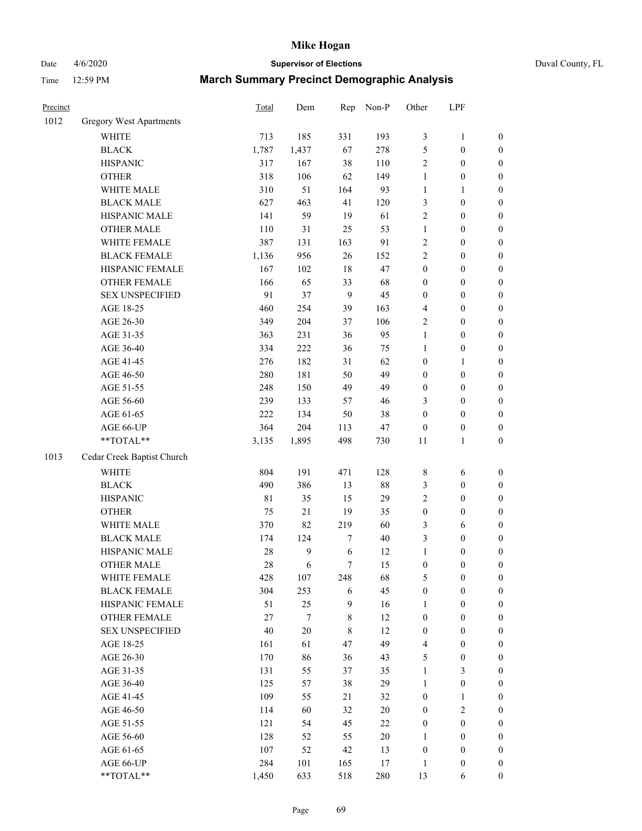Date 4/6/2020 **Supervisor of Elections** Duval County, FL Time 12:59 PM **March Summary Precinct Demographic Analysis**

| Precinct |                                | <b>Total</b> | Dem    | Rep         | Non-P  | Other            | LPF              |                  |
|----------|--------------------------------|--------------|--------|-------------|--------|------------------|------------------|------------------|
| 1012     | <b>Gregory West Apartments</b> |              |        |             |        |                  |                  |                  |
|          | <b>WHITE</b>                   | 713          | 185    | 331         | 193    | $\mathfrak{Z}$   | $\mathbf{1}$     | $\boldsymbol{0}$ |
|          | <b>BLACK</b>                   | 1,787        | 1,437  | 67          | 278    | $\mathfrak{S}$   | $\boldsymbol{0}$ | $\boldsymbol{0}$ |
|          | <b>HISPANIC</b>                | 317          | 167    | 38          | 110    | $\overline{2}$   | $\boldsymbol{0}$ | $\boldsymbol{0}$ |
|          | <b>OTHER</b>                   | 318          | 106    | 62          | 149    | $\mathbf{1}$     | $\boldsymbol{0}$ | $\boldsymbol{0}$ |
|          | WHITE MALE                     | 310          | 51     | 164         | 93     | $\mathbf{1}$     | 1                | $\boldsymbol{0}$ |
|          | <b>BLACK MALE</b>              | 627          | 463    | 41          | 120    | $\mathfrak{Z}$   | $\boldsymbol{0}$ | $\boldsymbol{0}$ |
|          | HISPANIC MALE                  | 141          | 59     | 19          | 61     | $\overline{2}$   | $\boldsymbol{0}$ | $\boldsymbol{0}$ |
|          | <b>OTHER MALE</b>              | 110          | 31     | 25          | 53     | $\mathbf{1}$     | $\boldsymbol{0}$ | $\boldsymbol{0}$ |
|          | WHITE FEMALE                   | 387          | 131    | 163         | 91     | $\sqrt{2}$       | $\boldsymbol{0}$ | $\boldsymbol{0}$ |
|          | <b>BLACK FEMALE</b>            | 1,136        | 956    | 26          | 152    | $\sqrt{2}$       | $\boldsymbol{0}$ | $\boldsymbol{0}$ |
|          | HISPANIC FEMALE                | 167          | 102    | 18          | 47     | $\boldsymbol{0}$ | $\boldsymbol{0}$ | $\boldsymbol{0}$ |
|          | <b>OTHER FEMALE</b>            | 166          | 65     | 33          | 68     | $\boldsymbol{0}$ | $\boldsymbol{0}$ | $\boldsymbol{0}$ |
|          | <b>SEX UNSPECIFIED</b>         | 91           | 37     | 9           | 45     | $\boldsymbol{0}$ | $\boldsymbol{0}$ | $\boldsymbol{0}$ |
|          | AGE 18-25                      | 460          | 254    | 39          | 163    | $\overline{4}$   | $\boldsymbol{0}$ | $\boldsymbol{0}$ |
|          | AGE 26-30                      | 349          | 204    | 37          | 106    | $\sqrt{2}$       | $\boldsymbol{0}$ | $\boldsymbol{0}$ |
|          | AGE 31-35                      | 363          | 231    | 36          | 95     | $\mathbf{1}$     | $\boldsymbol{0}$ | $\boldsymbol{0}$ |
|          | AGE 36-40                      | 334          | 222    | 36          | 75     | 1                | $\boldsymbol{0}$ | $\boldsymbol{0}$ |
|          | AGE 41-45                      | 276          | 182    | 31          | 62     | $\boldsymbol{0}$ | 1                | $\boldsymbol{0}$ |
|          | AGE 46-50                      | 280          | 181    | 50          | 49     | $\boldsymbol{0}$ | $\boldsymbol{0}$ | $\boldsymbol{0}$ |
|          | AGE 51-55                      | 248          | 150    | 49          | 49     | $\boldsymbol{0}$ | $\boldsymbol{0}$ | $\boldsymbol{0}$ |
|          | AGE 56-60                      | 239          | 133    | 57          | 46     | 3                | $\boldsymbol{0}$ | $\boldsymbol{0}$ |
|          | AGE 61-65                      | 222          | 134    | 50          | 38     | $\mathbf{0}$     | $\boldsymbol{0}$ | $\boldsymbol{0}$ |
|          | AGE 66-UP                      | 364          | 204    | 113         | 47     | $\boldsymbol{0}$ | $\boldsymbol{0}$ | $\boldsymbol{0}$ |
|          | **TOTAL**                      | 3,135        | 1,895  | 498         | 730    | 11               | 1                | $\boldsymbol{0}$ |
| 1013     | Cedar Creek Baptist Church     |              |        |             |        |                  |                  |                  |
|          | <b>WHITE</b>                   | 804          | 191    | 471         | 128    | $\,$ 8 $\,$      | 6                | $\boldsymbol{0}$ |
|          | <b>BLACK</b>                   | 490          | 386    | 13          | 88     | 3                | $\boldsymbol{0}$ | $\boldsymbol{0}$ |
|          | <b>HISPANIC</b>                | 81           | 35     | 15          | 29     | $\overline{2}$   | $\boldsymbol{0}$ | $\boldsymbol{0}$ |
|          | <b>OTHER</b>                   | 75           | $21\,$ | 19          | 35     | $\boldsymbol{0}$ | $\boldsymbol{0}$ | $\boldsymbol{0}$ |
|          | WHITE MALE                     | 370          | 82     | 219         | 60     | 3                | 6                | $\boldsymbol{0}$ |
|          | <b>BLACK MALE</b>              | 174          | 124    | 7           | 40     | 3                | $\boldsymbol{0}$ | $\boldsymbol{0}$ |
|          | HISPANIC MALE                  | 28           | 9      | 6           | 12     | $\mathbf{1}$     | $\boldsymbol{0}$ | $\boldsymbol{0}$ |
|          | <b>OTHER MALE</b>              | 28           | 6      | $\tau$      | 15     | $\boldsymbol{0}$ | $\boldsymbol{0}$ | $\boldsymbol{0}$ |
|          | WHITE FEMALE                   | 428          | 107    | 248         | 68     | 5                | $\boldsymbol{0}$ | $\boldsymbol{0}$ |
|          | <b>BLACK FEMALE</b>            | 304          | 253    | 6           | 45     | $\boldsymbol{0}$ | $\boldsymbol{0}$ | $\boldsymbol{0}$ |
|          | HISPANIC FEMALE                | 51           | 25     | 9           | 16     | $\mathbf{1}$     | $\boldsymbol{0}$ | $\boldsymbol{0}$ |
|          | OTHER FEMALE                   | 27           | 7      | 8           | 12     | $\boldsymbol{0}$ | $\boldsymbol{0}$ | $\boldsymbol{0}$ |
|          | <b>SEX UNSPECIFIED</b>         | 40           | $20\,$ | $\,$ 8 $\,$ | 12     | $\boldsymbol{0}$ | $\boldsymbol{0}$ | $\boldsymbol{0}$ |
|          | AGE 18-25                      | 161          | 61     | 47          | 49     | $\overline{4}$   | $\boldsymbol{0}$ | $\boldsymbol{0}$ |
|          | AGE 26-30                      | 170          | 86     | 36          | 43     | 5                | $\boldsymbol{0}$ | $\boldsymbol{0}$ |
|          | AGE 31-35                      | 131          | 55     | 37          | 35     | $\mathbf{1}$     | 3                | $\boldsymbol{0}$ |
|          | AGE 36-40                      | 125          | 57     | 38          | 29     | $\mathbf{1}$     | $\boldsymbol{0}$ | $\boldsymbol{0}$ |
|          | AGE 41-45                      | 109          | 55     | 21          | 32     | $\boldsymbol{0}$ | $\mathbf{1}$     | $\boldsymbol{0}$ |
|          | AGE 46-50                      | 114          | 60     | 32          | $20\,$ | $\boldsymbol{0}$ | $\mathbf{2}$     | $\boldsymbol{0}$ |
|          | AGE 51-55                      | 121          | 54     | 45          | 22     | $\boldsymbol{0}$ | $\boldsymbol{0}$ | $\boldsymbol{0}$ |
|          | AGE 56-60                      | 128          | 52     | 55          | 20     | 1                | $\boldsymbol{0}$ | $\boldsymbol{0}$ |
|          | AGE 61-65                      | 107          | 52     | 42          | 13     | $\boldsymbol{0}$ | $\boldsymbol{0}$ | $\boldsymbol{0}$ |
|          | AGE 66-UP                      | 284          | 101    | 165         | 17     | 1                | $\boldsymbol{0}$ | $\mathbf{0}$     |
|          | $**TOTAL**$                    | 1,450        | 633    | 518         | 280    | 13               | 6                | 0                |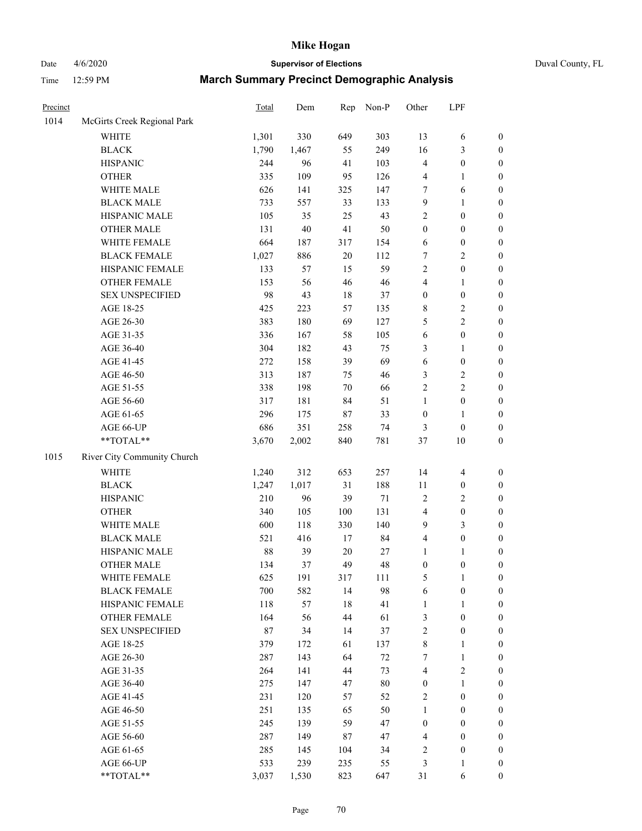# Date 4/6/2020 **Supervisor of Elections** Duval County, FL

| Precinct |                             | Total | Dem   | Rep    | Non-P  | Other            | LPF              |                  |
|----------|-----------------------------|-------|-------|--------|--------|------------------|------------------|------------------|
| 1014     | McGirts Creek Regional Park |       |       |        |        |                  |                  |                  |
|          | <b>WHITE</b>                | 1,301 | 330   | 649    | 303    | 13               | 6                | 0                |
|          | <b>BLACK</b>                | 1,790 | 1,467 | 55     | 249    | 16               | $\mathfrak{Z}$   | $\boldsymbol{0}$ |
|          | <b>HISPANIC</b>             | 244   | 96    | 41     | 103    | 4                | $\boldsymbol{0}$ | $\boldsymbol{0}$ |
|          | <b>OTHER</b>                | 335   | 109   | 95     | 126    | 4                | 1                | $\boldsymbol{0}$ |
|          | WHITE MALE                  | 626   | 141   | 325    | 147    | 7                | 6                | $\boldsymbol{0}$ |
|          | <b>BLACK MALE</b>           | 733   | 557   | 33     | 133    | 9                | $\mathbf{1}$     | $\boldsymbol{0}$ |
|          | HISPANIC MALE               | 105   | 35    | 25     | 43     | 2                | $\boldsymbol{0}$ | $\boldsymbol{0}$ |
|          | <b>OTHER MALE</b>           | 131   | 40    | 41     | 50     | $\boldsymbol{0}$ | $\boldsymbol{0}$ | $\boldsymbol{0}$ |
|          | WHITE FEMALE                | 664   | 187   | 317    | 154    | 6                | $\boldsymbol{0}$ | $\boldsymbol{0}$ |
|          | <b>BLACK FEMALE</b>         | 1,027 | 886   | $20\,$ | 112    | 7                | $\sqrt{2}$       | $\boldsymbol{0}$ |
|          | HISPANIC FEMALE             | 133   | 57    | 15     | 59     | $\overline{c}$   | $\boldsymbol{0}$ | $\boldsymbol{0}$ |
|          | OTHER FEMALE                | 153   | 56    | 46     | 46     | 4                | $\mathbf{1}$     | $\boldsymbol{0}$ |
|          | <b>SEX UNSPECIFIED</b>      | 98    | 43    | 18     | 37     | $\boldsymbol{0}$ | $\boldsymbol{0}$ | $\boldsymbol{0}$ |
|          | AGE 18-25                   | 425   | 223   | 57     | 135    | 8                | $\sqrt{2}$       | $\boldsymbol{0}$ |
|          | AGE 26-30                   | 383   | 180   | 69     | 127    | 5                | $\sqrt{2}$       | $\boldsymbol{0}$ |
|          | AGE 31-35                   | 336   | 167   | 58     | 105    | 6                | $\boldsymbol{0}$ | $\boldsymbol{0}$ |
|          | AGE 36-40                   | 304   | 182   | 43     | 75     | 3                | $\mathbf{1}$     | $\boldsymbol{0}$ |
|          | AGE 41-45                   | 272   | 158   | 39     | 69     | 6                | $\boldsymbol{0}$ | $\boldsymbol{0}$ |
|          | AGE 46-50                   | 313   | 187   | 75     | 46     | 3                | $\sqrt{2}$       | $\boldsymbol{0}$ |
|          | AGE 51-55                   | 338   | 198   | $70\,$ | 66     | $\overline{c}$   | $\sqrt{2}$       | $\boldsymbol{0}$ |
|          | AGE 56-60                   | 317   | 181   | 84     | 51     | $\mathbf{1}$     | $\boldsymbol{0}$ | $\boldsymbol{0}$ |
|          | AGE 61-65                   | 296   | 175   | $87\,$ | 33     | $\boldsymbol{0}$ | 1                | $\boldsymbol{0}$ |
|          | AGE 66-UP                   | 686   | 351   | 258    | 74     | 3                | $\boldsymbol{0}$ | $\boldsymbol{0}$ |
|          | **TOTAL**                   | 3,670 | 2,002 | 840    | 781    | 37               | 10               | $\boldsymbol{0}$ |
| 1015     | River City Community Church |       |       |        |        |                  |                  |                  |
|          | <b>WHITE</b>                | 1,240 | 312   | 653    | 257    | 14               | $\overline{4}$   | $\boldsymbol{0}$ |
|          | <b>BLACK</b>                | 1,247 | 1,017 | 31     | 188    | 11               | $\boldsymbol{0}$ | $\boldsymbol{0}$ |
|          | <b>HISPANIC</b>             | 210   | 96    | 39     | 71     | 2                | $\mathfrak{2}$   | $\boldsymbol{0}$ |
|          | <b>OTHER</b>                | 340   | 105   | 100    | 131    | 4                | $\boldsymbol{0}$ | $\boldsymbol{0}$ |
|          | WHITE MALE                  | 600   | 118   | 330    | 140    | 9                | 3                | $\boldsymbol{0}$ |
|          | <b>BLACK MALE</b>           | 521   | 416   | $17\,$ | 84     | 4                | $\boldsymbol{0}$ | $\boldsymbol{0}$ |
|          | HISPANIC MALE               | 88    | 39    | $20\,$ | 27     | 1                | 1                | $\boldsymbol{0}$ |
|          | <b>OTHER MALE</b>           | 134   | 37    | 49     | 48     | $\boldsymbol{0}$ | $\boldsymbol{0}$ | $\boldsymbol{0}$ |
|          | WHITE FEMALE                | 625   | 191   | 317    | 111    | 5                | 1                | 0                |
|          | <b>BLACK FEMALE</b>         | 700   | 582   | 14     | 98     | 6                | $\boldsymbol{0}$ | $\overline{0}$   |
|          | HISPANIC FEMALE             | 118   | 57    | 18     | 41     | $\mathbf{1}$     | $\mathbf{1}$     | $\overline{0}$   |
|          | <b>OTHER FEMALE</b>         | 164   | 56    | 44     | 61     | 3                | $\boldsymbol{0}$ | $\overline{0}$   |
|          | <b>SEX UNSPECIFIED</b>      | 87    | 34    | 14     | 37     | 2                | $\boldsymbol{0}$ | 0                |
|          | AGE 18-25                   | 379   | 172   | 61     | 137    | 8                | $\mathbf{1}$     | 0                |
|          | AGE 26-30                   | 287   | 143   | 64     | $72\,$ | 7                | $\mathbf{1}$     | 0                |
|          | AGE 31-35                   | 264   | 141   | 44     | 73     | 4                | $\sqrt{2}$       | 0                |
|          | AGE 36-40                   | 275   | 147   | 47     | 80     | $\boldsymbol{0}$ | $\mathbf{1}$     | 0                |
|          | AGE 41-45                   | 231   | 120   | 57     | 52     | 2                | $\boldsymbol{0}$ | 0                |
|          | AGE 46-50                   | 251   | 135   | 65     | 50     | 1                | $\boldsymbol{0}$ | 0                |
|          | AGE 51-55                   | 245   | 139   | 59     | 47     | $\boldsymbol{0}$ | $\boldsymbol{0}$ | 0                |
|          | AGE 56-60                   | 287   | 149   | 87     | 47     | 4                | $\boldsymbol{0}$ | $\overline{0}$   |
|          | AGE 61-65                   | 285   | 145   | 104    | 34     | 2                | $\boldsymbol{0}$ | $\overline{0}$   |
|          | AGE 66-UP                   | 533   | 239   | 235    | 55     | 3                | $\mathbf{1}$     | 0                |
|          | **TOTAL**                   | 3,037 | 1,530 | 823    | 647    | 31               | 6                | $\boldsymbol{0}$ |
|          |                             |       |       |        |        |                  |                  |                  |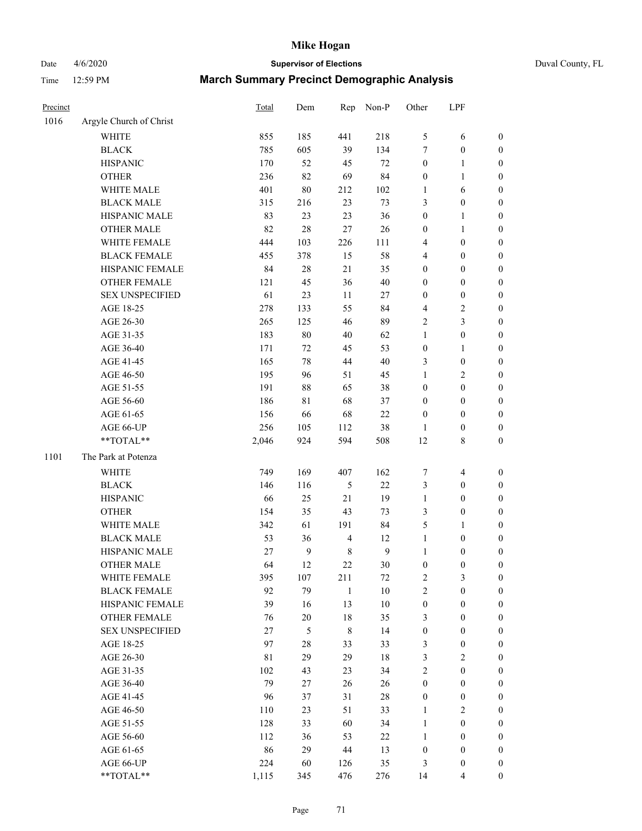Date 4/6/2020 **Supervisor of Elections** Duval County, FL

| Precinct |                         | Total | Dem           | Rep            | Non-P          | Other            | LPF                      |                  |
|----------|-------------------------|-------|---------------|----------------|----------------|------------------|--------------------------|------------------|
| 1016     | Argyle Church of Christ |       |               |                |                |                  |                          |                  |
|          | <b>WHITE</b>            | 855   | 185           | 441            | 218            | 5                | 6                        | $\boldsymbol{0}$ |
|          | <b>BLACK</b>            | 785   | 605           | 39             | 134            | 7                | $\boldsymbol{0}$         | $\boldsymbol{0}$ |
|          | <b>HISPANIC</b>         | 170   | 52            | 45             | $72\,$         | $\boldsymbol{0}$ | $\mathbf{1}$             | $\boldsymbol{0}$ |
|          | <b>OTHER</b>            | 236   | 82            | 69             | 84             | $\boldsymbol{0}$ | $\mathbf{1}$             | $\boldsymbol{0}$ |
|          | WHITE MALE              | 401   | 80            | 212            | 102            | $\mathbf{1}$     | 6                        | $\boldsymbol{0}$ |
|          | <b>BLACK MALE</b>       | 315   | 216           | 23             | 73             | 3                | $\boldsymbol{0}$         | $\boldsymbol{0}$ |
|          | HISPANIC MALE           | 83    | 23            | 23             | 36             | $\boldsymbol{0}$ | $\mathbf{1}$             | $\boldsymbol{0}$ |
|          | <b>OTHER MALE</b>       | 82    | 28            | 27             | 26             | $\boldsymbol{0}$ | $\mathbf{1}$             | $\boldsymbol{0}$ |
|          | WHITE FEMALE            | 444   | 103           | 226            | 111            | 4                | $\boldsymbol{0}$         | 0                |
|          | <b>BLACK FEMALE</b>     | 455   | 378           | 15             | 58             | 4                | $\boldsymbol{0}$         | 0                |
|          | HISPANIC FEMALE         | 84    | $28\,$        | 21             | 35             | $\boldsymbol{0}$ | $\boldsymbol{0}$         | $\boldsymbol{0}$ |
|          | OTHER FEMALE            | 121   | 45            | 36             | $40\,$         | $\boldsymbol{0}$ | $\boldsymbol{0}$         | $\boldsymbol{0}$ |
|          | <b>SEX UNSPECIFIED</b>  | 61    | 23            | $11\,$         | $27\,$         | $\boldsymbol{0}$ | $\boldsymbol{0}$         | $\boldsymbol{0}$ |
|          | AGE 18-25               | 278   | 133           | 55             | 84             | 4                | $\sqrt{2}$               | $\boldsymbol{0}$ |
|          | AGE 26-30               | 265   | 125           | 46             | 89             | $\overline{c}$   | 3                        | $\boldsymbol{0}$ |
|          | AGE 31-35               | 183   | $80\,$        | $40\,$         | 62             | $\mathbf{1}$     | $\boldsymbol{0}$         | $\boldsymbol{0}$ |
|          | AGE 36-40               | 171   | 72            | 45             | 53             | $\boldsymbol{0}$ | $\mathbf{1}$             | $\boldsymbol{0}$ |
|          | AGE 41-45               | 165   | $78\,$        | 44             | $40\,$         | 3                | $\boldsymbol{0}$         | $\boldsymbol{0}$ |
|          | AGE 46-50               | 195   | 96            | 51             | 45             | $\mathbf{1}$     | $\sqrt{2}$               | $\boldsymbol{0}$ |
|          | AGE 51-55               | 191   | $88\,$        | 65             | 38             | $\boldsymbol{0}$ | $\boldsymbol{0}$         | 0                |
|          | AGE 56-60               | 186   | 81            | 68             | 37             | $\boldsymbol{0}$ | $\boldsymbol{0}$         | $\boldsymbol{0}$ |
|          | AGE 61-65               | 156   | 66            | 68             | $22\,$         | $\boldsymbol{0}$ | $\boldsymbol{0}$         | $\boldsymbol{0}$ |
|          | AGE 66-UP               | 256   | 105           | 112            | 38             | 1                | $\boldsymbol{0}$         | $\boldsymbol{0}$ |
|          | **TOTAL**               | 2,046 | 924           | 594            | 508            | 12               | $\,$ 8 $\,$              | $\boldsymbol{0}$ |
| 1101     | The Park at Potenza     |       |               |                |                |                  |                          |                  |
|          | <b>WHITE</b>            | 749   | 169           | 407            | 162            | 7                | $\overline{\mathcal{A}}$ | $\boldsymbol{0}$ |
|          | <b>BLACK</b>            | 146   | 116           | 5              | $22\,$         | 3                | $\boldsymbol{0}$         | $\boldsymbol{0}$ |
|          | <b>HISPANIC</b>         | 66    | 25            | $21\,$         | 19             | $\mathbf{1}$     | $\boldsymbol{0}$         | $\boldsymbol{0}$ |
|          | <b>OTHER</b>            | 154   | 35            | 43             | 73             | 3                | $\boldsymbol{0}$         | $\boldsymbol{0}$ |
|          | WHITE MALE              | 342   | 61            | 191            | 84             | 5                | 1                        | $\boldsymbol{0}$ |
|          | <b>BLACK MALE</b>       | 53    | 36            | $\overline{4}$ | 12             | $\mathbf{1}$     | $\boldsymbol{0}$         | $\boldsymbol{0}$ |
|          | HISPANIC MALE           | 27    | $\mathbf{9}$  | $\,$ 8 $\,$    | $\overline{9}$ | $\mathbf{1}$     | $\boldsymbol{0}$         | 0                |
|          | <b>OTHER MALE</b>       | 64    | 12            | 22             | $30\,$         | $\boldsymbol{0}$ | $\boldsymbol{0}$         | $\boldsymbol{0}$ |
|          | WHITE FEMALE            | 395   | 107           | 211            | $72\,$         | 2                | 3                        | $\boldsymbol{0}$ |
|          | <b>BLACK FEMALE</b>     | 92    | 79            | $\mathbf{1}$   | $10\,$         | $\overline{c}$   | $\boldsymbol{0}$         | $\overline{0}$   |
|          | HISPANIC FEMALE         | 39    | 16            | 13             | $10\,$         | $\boldsymbol{0}$ | $\boldsymbol{0}$         | $\overline{0}$   |
|          | <b>OTHER FEMALE</b>     | 76    | $20\,$        | 18             | 35             | 3                | $\boldsymbol{0}$         | 0                |
|          | <b>SEX UNSPECIFIED</b>  | 27    | $\mathfrak s$ | $\,$ 8 $\,$    | 14             | $\boldsymbol{0}$ | $\boldsymbol{0}$         | $\overline{0}$   |
|          | AGE 18-25               | 97    | $28\,$        | 33             | 33             | 3                | $\boldsymbol{0}$         | 0                |
|          | AGE 26-30               | 81    | 29            | 29             | 18             | 3                | $\sqrt{2}$               | 0                |
|          | AGE 31-35               | 102   | 43            | 23             | 34             | $\overline{c}$   | $\boldsymbol{0}$         | 0                |
|          | AGE 36-40               | 79    | 27            | 26             | $26\,$         | $\boldsymbol{0}$ | $\boldsymbol{0}$         | 0                |
|          | AGE 41-45               | 96    | 37            | 31             | $28\,$         | $\boldsymbol{0}$ | $\boldsymbol{0}$         | 0                |
|          | AGE 46-50               | 110   | 23            | 51             | 33             | $\mathbf{1}$     | $\sqrt{2}$               | 0                |
|          | AGE 51-55               | 128   | 33            | 60             | 34             | $\mathbf{1}$     | $\boldsymbol{0}$         | $\boldsymbol{0}$ |
|          | AGE 56-60               | 112   | 36            | 53             | $22\,$         | $\mathbf{1}$     | $\boldsymbol{0}$         | $\overline{0}$   |
|          | AGE 61-65               | 86    | 29            | $44\,$         | 13             | $\boldsymbol{0}$ | $\boldsymbol{0}$         | 0                |
|          | AGE 66-UP               | 224   | 60            | 126            | 35             | 3                | $\boldsymbol{0}$         | 0                |
|          | **TOTAL**               | 1,115 | 345           | 476            | 276            | 14               | 4                        | $\boldsymbol{0}$ |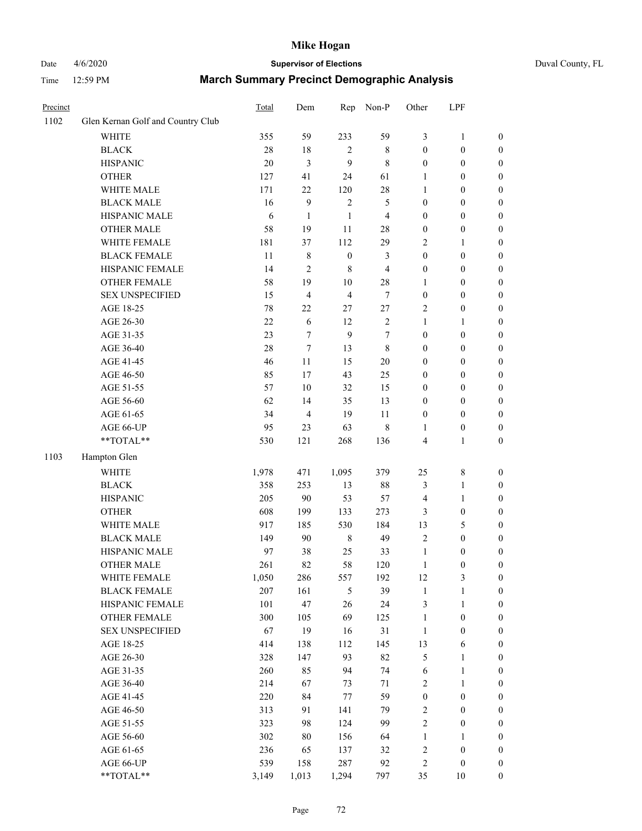# Date 4/6/2020 **Supervisor of Elections** Duval County, FL

| Precinct |                                   | Total  | Dem            | Rep                     | Non-P          | Other                   | LPF                          |                  |
|----------|-----------------------------------|--------|----------------|-------------------------|----------------|-------------------------|------------------------------|------------------|
| 1102     | Glen Kernan Golf and Country Club |        |                |                         |                |                         |                              |                  |
|          | <b>WHITE</b>                      | 355    | 59             | 233                     | 59             | 3                       | $\mathbf{1}$                 | 0                |
|          | <b>BLACK</b>                      | $28\,$ | $18\,$         | 2                       | $\,$ 8 $\,$    | $\boldsymbol{0}$        | $\boldsymbol{0}$             | 0                |
|          | <b>HISPANIC</b>                   | 20     | $\mathfrak{Z}$ | 9                       | $\,$ 8 $\,$    | $\boldsymbol{0}$        | $\boldsymbol{0}$             | $\boldsymbol{0}$ |
|          | <b>OTHER</b>                      | 127    | 41             | 24                      | 61             | 1                       | $\boldsymbol{0}$             | $\boldsymbol{0}$ |
|          | WHITE MALE                        | 171    | 22             | 120                     | 28             | 1                       | $\boldsymbol{0}$             | $\boldsymbol{0}$ |
|          | <b>BLACK MALE</b>                 | 16     | $\mathbf{9}$   | $\sqrt{2}$              | 5              | $\boldsymbol{0}$        | $\boldsymbol{0}$             | $\boldsymbol{0}$ |
|          | HISPANIC MALE                     | 6      | $\mathbf{1}$   | $\mathbf{1}$            | $\overline{4}$ | 0                       | $\boldsymbol{0}$             | $\boldsymbol{0}$ |
|          | <b>OTHER MALE</b>                 | 58     | 19             | 11                      | 28             | $\boldsymbol{0}$        | $\boldsymbol{0}$             | $\boldsymbol{0}$ |
|          | WHITE FEMALE                      | 181    | 37             | 112                     | 29             | $\overline{c}$          | $\mathbf{1}$                 | $\boldsymbol{0}$ |
|          | <b>BLACK FEMALE</b>               | 11     | $\,$ 8 $\,$    | $\boldsymbol{0}$        | 3              | $\boldsymbol{0}$        | $\boldsymbol{0}$             | $\boldsymbol{0}$ |
|          | HISPANIC FEMALE                   | 14     | $\overline{2}$ | 8                       | $\overline{4}$ | 0                       | $\boldsymbol{0}$             | $\boldsymbol{0}$ |
|          | <b>OTHER FEMALE</b>               | 58     | 19             | $10\,$                  | 28             | 1                       | $\boldsymbol{0}$             | $\boldsymbol{0}$ |
|          | <b>SEX UNSPECIFIED</b>            | 15     | $\overline{4}$ | $\overline{\mathbf{4}}$ | $\tau$         | $\boldsymbol{0}$        | $\boldsymbol{0}$             | $\boldsymbol{0}$ |
|          | AGE 18-25                         | $78\,$ | $22\,$         | 27                      | $27\,$         | $\mathbf{2}$            | $\boldsymbol{0}$             | $\boldsymbol{0}$ |
|          | AGE 26-30                         | $22\,$ | 6              | 12                      | $\sqrt{2}$     | 1                       | $\mathbf{1}$                 | $\boldsymbol{0}$ |
|          | AGE 31-35                         | 23     | 7              | 9                       | 7              | $\boldsymbol{0}$        | $\boldsymbol{0}$             | $\boldsymbol{0}$ |
|          | AGE 36-40                         | 28     | $\tau$         | 13                      | $\,8\,$        | 0                       | $\boldsymbol{0}$             | $\boldsymbol{0}$ |
|          | AGE 41-45                         | 46     | 11             | 15                      | $20\,$         | $\boldsymbol{0}$        | $\boldsymbol{0}$             | $\boldsymbol{0}$ |
|          | AGE 46-50                         | 85     | 17             | 43                      | 25             | $\boldsymbol{0}$        | $\boldsymbol{0}$             | $\boldsymbol{0}$ |
|          | AGE 51-55                         | 57     | 10             | 32                      | 15             | $\boldsymbol{0}$        | $\boldsymbol{0}$             | $\boldsymbol{0}$ |
|          | AGE 56-60                         | 62     | 14             | 35                      | 13             | $\boldsymbol{0}$        | $\boldsymbol{0}$             | $\boldsymbol{0}$ |
|          | AGE 61-65                         | 34     | $\overline{4}$ | 19                      | 11             | $\boldsymbol{0}$        | $\boldsymbol{0}$             | $\boldsymbol{0}$ |
|          | AGE 66-UP                         | 95     | 23             | 63                      | $\,$ 8 $\,$    | 1                       | $\boldsymbol{0}$             | $\boldsymbol{0}$ |
|          | **TOTAL**                         | 530    | 121            | 268                     | 136            | 4                       | $\mathbf{1}$                 | $\boldsymbol{0}$ |
| 1103     | Hampton Glen                      |        |                |                         |                |                         |                              |                  |
|          | <b>WHITE</b>                      | 1,978  | 471            | 1,095                   | 379            | 25                      | $\,$ $\,$                    |                  |
|          | <b>BLACK</b>                      | 358    | 253            | 13                      | 88             | 3                       |                              | $\boldsymbol{0}$ |
|          | <b>HISPANIC</b>                   | 205    | 90             | 53                      | 57             |                         | $\mathbf{1}$<br>$\mathbf{1}$ | $\boldsymbol{0}$ |
|          |                                   |        |                |                         |                | 4                       |                              | $\boldsymbol{0}$ |
|          | <b>OTHER</b>                      | 608    | 199            | 133                     | 273            | 3                       | $\boldsymbol{0}$             | $\boldsymbol{0}$ |
|          | WHITE MALE                        | 917    | 185            | 530                     | 184            | 13                      | 5                            | $\boldsymbol{0}$ |
|          | <b>BLACK MALE</b>                 | 149    | 90             | $\,8\,$                 | 49             | $\overline{c}$          | $\boldsymbol{0}$             | $\boldsymbol{0}$ |
|          | HISPANIC MALE                     | 97     | 38             | 25                      | 33             | $\mathbf{1}$            | $\boldsymbol{0}$             | $\boldsymbol{0}$ |
|          | <b>OTHER MALE</b>                 | 261    | 82             | 58                      | 120            | 1                       | $\boldsymbol{0}$             | $\boldsymbol{0}$ |
|          | WHITE FEMALE                      | 1,050  | 286            | 557                     | 192            | 12                      | 3                            | 0                |
|          | <b>BLACK FEMALE</b>               | 207    | 161            | $\mathfrak s$           | 39             | $\,1$                   | $\mathbf{1}$                 | $\boldsymbol{0}$ |
|          | HISPANIC FEMALE                   | 101    | 47             | 26                      | 24             | 3                       | $\mathbf{1}$                 | $\overline{0}$   |
|          | <b>OTHER FEMALE</b>               | 300    | 105            | 69                      | 125            | 1                       | $\boldsymbol{0}$             | $\overline{0}$   |
|          | <b>SEX UNSPECIFIED</b>            | 67     | 19             | 16                      | 31             | $\mathbf{1}$            | $\boldsymbol{0}$             | 0                |
|          | AGE 18-25                         | 414    | 138            | 112                     | 145            | 13                      | 6                            | 0                |
|          | AGE 26-30                         | 328    | 147            | 93                      | 82             | 5                       | $\mathbf{1}$                 | 0                |
|          | AGE 31-35                         | 260    | 85             | 94                      | 74             | 6                       | $\mathbf{1}$                 | 0                |
|          | AGE 36-40                         | 214    | 67             | 73                      | 71             | 2                       | $\mathbf{1}$                 | 0                |
|          | AGE 41-45                         | 220    | 84             | $77 \,$                 | 59             | $\boldsymbol{0}$        | $\boldsymbol{0}$             | 0                |
|          | AGE 46-50                         | 313    | 91             | 141                     | 79             | $\mathbf{2}$            | $\boldsymbol{0}$             | 0                |
|          | AGE 51-55                         | 323    | 98             | 124                     | 99             | $\mathbf{2}$            | $\boldsymbol{0}$             | $\boldsymbol{0}$ |
|          | AGE 56-60                         | 302    | $80\,$         | 156                     | 64             | 1                       | 1                            | $\boldsymbol{0}$ |
|          | AGE 61-65                         | 236    | 65             | 137                     | 32             | $\overline{\mathbf{c}}$ | $\boldsymbol{0}$             | $\overline{0}$   |
|          | AGE 66-UP                         | 539    | 158            | 287                     | 92             | 2                       | $\boldsymbol{0}$             | 0                |
|          | **TOTAL**                         | 3,149  | 1,013          | 1,294                   | 797            | 35                      | 10                           | $\boldsymbol{0}$ |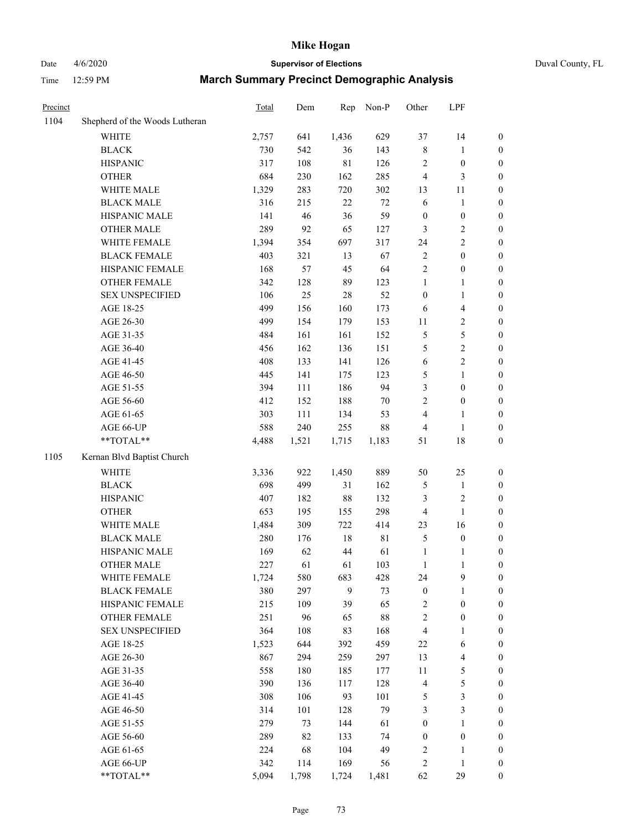# Date 4/6/2020 **Supervisor of Elections** Duval County, FL

| Time $12:59$ PM | <b>March Summary Precinct Demographic Analysis</b> |
|-----------------|----------------------------------------------------|
|                 |                                                    |

| Precinct |                                | Total | Dem   | Rep         | Non-P       | Other            | LPF                      |                  |
|----------|--------------------------------|-------|-------|-------------|-------------|------------------|--------------------------|------------------|
| 1104     | Shepherd of the Woods Lutheran |       |       |             |             |                  |                          |                  |
|          | <b>WHITE</b>                   | 2,757 | 641   | 1,436       | 629         | 37               | 14                       | $\boldsymbol{0}$ |
|          | <b>BLACK</b>                   | 730   | 542   | 36          | 143         | $\,$ 8 $\,$      | 1                        | $\boldsymbol{0}$ |
|          | <b>HISPANIC</b>                | 317   | 108   | $8\sqrt{1}$ | 126         | $\sqrt{2}$       | $\boldsymbol{0}$         | $\boldsymbol{0}$ |
|          | <b>OTHER</b>                   | 684   | 230   | 162         | 285         | 4                | $\mathfrak{Z}$           | $\boldsymbol{0}$ |
|          | WHITE MALE                     | 1,329 | 283   | 720         | 302         | 13               | 11                       | $\boldsymbol{0}$ |
|          | <b>BLACK MALE</b>              | 316   | 215   | 22          | $72\,$      | $\sqrt{6}$       | $\mathbf{1}$             | $\boldsymbol{0}$ |
|          | HISPANIC MALE                  | 141   | 46    | 36          | 59          | $\boldsymbol{0}$ | $\boldsymbol{0}$         | $\boldsymbol{0}$ |
|          | <b>OTHER MALE</b>              | 289   | 92    | 65          | 127         | 3                | $\sqrt{2}$               | $\boldsymbol{0}$ |
|          | WHITE FEMALE                   | 1,394 | 354   | 697         | 317         | 24               | $\overline{2}$           | $\boldsymbol{0}$ |
|          | <b>BLACK FEMALE</b>            | 403   | 321   | 13          | 67          | $\sqrt{2}$       | $\boldsymbol{0}$         | $\boldsymbol{0}$ |
|          | HISPANIC FEMALE                | 168   | 57    | 45          | 64          | $\sqrt{2}$       | $\boldsymbol{0}$         | $\boldsymbol{0}$ |
|          | <b>OTHER FEMALE</b>            | 342   | 128   | 89          | 123         | $\mathbf{1}$     | $\mathbf{1}$             | $\boldsymbol{0}$ |
|          | <b>SEX UNSPECIFIED</b>         | 106   | 25    | $28\,$      | 52          | $\boldsymbol{0}$ | $\mathbf{1}$             | $\boldsymbol{0}$ |
|          | AGE 18-25                      | 499   | 156   | 160         | 173         | 6                | $\overline{\mathbf{4}}$  | $\boldsymbol{0}$ |
|          | AGE 26-30                      | 499   | 154   | 179         | 153         | 11               | $\sqrt{2}$               | 0                |
|          | AGE 31-35                      | 484   | 161   | 161         | 152         | $\sqrt{5}$       | $\sqrt{5}$               | 0                |
|          | AGE 36-40                      | 456   | 162   | 136         | 151         | 5                | $\sqrt{2}$               | $\boldsymbol{0}$ |
|          | AGE 41-45                      | 408   | 133   | 141         | 126         | $\epsilon$       | $\sqrt{2}$               | $\boldsymbol{0}$ |
|          | AGE 46-50                      | 445   | 141   | 175         | 123         | 5                | $\mathbf{1}$             | $\boldsymbol{0}$ |
|          | AGE 51-55                      | 394   | 111   | 186         | 94          | 3                | $\boldsymbol{0}$         | $\boldsymbol{0}$ |
|          | AGE 56-60                      | 412   | 152   | 188         | $70\,$      | $\overline{c}$   | $\boldsymbol{0}$         | $\boldsymbol{0}$ |
|          | AGE 61-65                      | 303   | 111   | 134         | 53          | 4                | $\mathbf{1}$             | $\boldsymbol{0}$ |
|          | AGE 66-UP                      | 588   | 240   | 255         | $88\,$      | 4                | $\mathbf{1}$             | $\boldsymbol{0}$ |
|          | $**TOTAL**$                    | 4,488 | 1,521 | 1,715       | 1,183       | 51               | 18                       | $\boldsymbol{0}$ |
| 1105     | Kernan Blvd Baptist Church     |       |       |             |             |                  |                          |                  |
|          | WHITE                          | 3,336 | 922   | 1,450       | 889         | 50               | 25                       | $\boldsymbol{0}$ |
|          | <b>BLACK</b>                   | 698   | 499   | 31          | 162         | 5                | $\mathbf{1}$             | $\boldsymbol{0}$ |
|          | <b>HISPANIC</b>                | 407   | 182   | $88\,$      | 132         | 3                | $\sqrt{2}$               | 0                |
|          | <b>OTHER</b>                   | 653   | 195   | 155         | 298         | 4                | $\mathbf{1}$             | $\boldsymbol{0}$ |
|          | WHITE MALE                     | 1,484 | 309   | 722         | 414         | 23               | 16                       | $\boldsymbol{0}$ |
|          | <b>BLACK MALE</b>              | 280   | 176   | $18\,$      | $8\sqrt{1}$ | 5                | $\boldsymbol{0}$         | $\boldsymbol{0}$ |
|          | HISPANIC MALE                  | 169   | 62    | 44          | 61          | 1                | $\mathbf{1}$             | $\boldsymbol{0}$ |
|          | <b>OTHER MALE</b>              | 227   | 61    | 61          | 103         | $\mathbf{1}$     | $\mathbf{1}$             | $\boldsymbol{0}$ |
|          | WHITE FEMALE                   | 1,724 | 580   | 683         | 428         | 24               | $\boldsymbol{9}$         | $\overline{0}$   |
|          | <b>BLACK FEMALE</b>            | 380   | 297   | 9           | 73          | $\boldsymbol{0}$ | $\mathbf{1}$             | 0                |
|          | <b>HISPANIC FEMALE</b>         | 215   | 109   | 39          | 65          | $\overline{c}$   | $\boldsymbol{0}$         | 0                |
|          | <b>OTHER FEMALE</b>            | 251   | 96    | 65          | $88\,$      | $\boldsymbol{2}$ | $\boldsymbol{0}$         | 0                |
|          | <b>SEX UNSPECIFIED</b>         | 364   | 108   | 83          | 168         | 4                | $\mathbf{1}$             | 0                |
|          | AGE 18-25                      | 1,523 | 644   | 392         | 459         | 22               | 6                        | 0                |
|          | AGE 26-30                      | 867   | 294   | 259         | 297         | 13               | $\overline{\mathcal{A}}$ | 0                |
|          | AGE 31-35                      | 558   | 180   | 185         | 177         | $11\,$           | 5                        | $\boldsymbol{0}$ |
|          | AGE 36-40                      | 390   | 136   | 117         | 128         | 4                | $\mathfrak s$            | $\overline{0}$   |
|          | AGE 41-45                      | 308   | 106   | 93          | 101         | 5                | $\mathfrak{Z}$           | $\overline{0}$   |
|          | AGE 46-50                      | 314   | 101   | 128         | 79          | 3                | 3                        | $\overline{0}$   |
|          | AGE 51-55                      | 279   | 73    | 144         | 61          | $\boldsymbol{0}$ | $\mathbf{1}$             | 0                |
|          | AGE 56-60                      | 289   | 82    | 133         | 74          | $\boldsymbol{0}$ | $\boldsymbol{0}$         | 0                |
|          | AGE 61-65                      | 224   | 68    | 104         | 49          | $\boldsymbol{2}$ | $\mathbf{1}$             | 0                |
|          | AGE 66-UP                      | 342   | 114   | 169         | 56          | $\sqrt{2}$       | $\mathbf{1}$             | 0                |
|          | **TOTAL**                      | 5,094 | 1,798 | 1,724       | 1,481       | 62               | 29                       | $\boldsymbol{0}$ |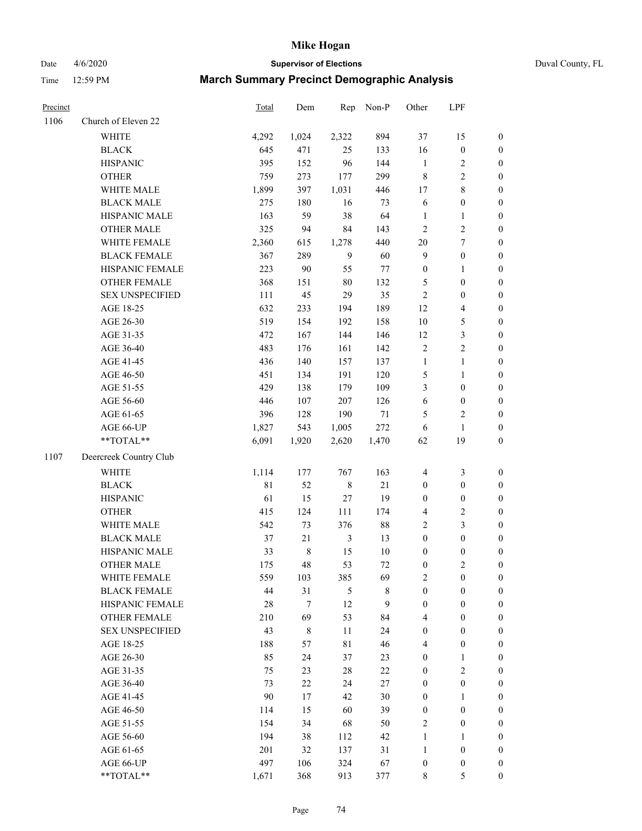Date 4/6/2020 **Supervisor of Elections** Duval County, FL

| Precinct |                                     | <b>Total</b> | Dem           | Rep                  | Non-P             | Other                          | LPF                                  |                                    |
|----------|-------------------------------------|--------------|---------------|----------------------|-------------------|--------------------------------|--------------------------------------|------------------------------------|
| 1106     | Church of Eleven 22                 |              |               |                      |                   |                                |                                      |                                    |
|          | <b>WHITE</b>                        | 4,292        | 1,024         | 2,322                | 894               | 37                             | 15                                   | $\boldsymbol{0}$                   |
|          | <b>BLACK</b>                        | 645          | 471           | 25                   | 133               | 16                             | $\boldsymbol{0}$                     | $\boldsymbol{0}$                   |
|          | <b>HISPANIC</b>                     | 395          | 152           | 96                   | 144               | $\mathbf{1}$                   | $\overline{c}$                       | $\boldsymbol{0}$                   |
|          | <b>OTHER</b>                        | 759          | 273           | 177                  | 299               | $\,$ 8 $\,$                    | $\sqrt{2}$                           | $\boldsymbol{0}$                   |
|          | WHITE MALE                          | 1,899        | 397           | 1,031                | 446               | 17                             | $\,$ 8 $\,$                          | $\boldsymbol{0}$                   |
|          | <b>BLACK MALE</b>                   | 275          | 180           | 16                   | 73                | 6                              | $\boldsymbol{0}$                     | $\boldsymbol{0}$                   |
|          | HISPANIC MALE                       | 163          | 59            | 38                   | 64                | $\mathbf{1}$                   | $\mathbf{1}$                         | $\boldsymbol{0}$                   |
|          | <b>OTHER MALE</b>                   | 325          | 94            | 84                   | 143               | $\overline{2}$                 | $\overline{c}$                       | $\boldsymbol{0}$                   |
|          | WHITE FEMALE                        | 2,360        | 615           | 1,278                | 440               | $20\,$                         | $\boldsymbol{7}$                     | $\boldsymbol{0}$                   |
|          | <b>BLACK FEMALE</b>                 | 367          | 289           | 9                    | 60                | $\overline{9}$                 | $\boldsymbol{0}$                     | 0                                  |
|          | HISPANIC FEMALE                     | 223          | 90            | 55                   | $77\,$            | $\boldsymbol{0}$               | 1                                    | 0                                  |
|          | <b>OTHER FEMALE</b>                 | 368          | 151           | $80\,$               | 132               | 5                              | $\boldsymbol{0}$                     | $\boldsymbol{0}$                   |
|          | <b>SEX UNSPECIFIED</b>              | 111          | 45            | 29                   | 35                | $\sqrt{2}$                     | $\boldsymbol{0}$                     | $\boldsymbol{0}$                   |
|          | AGE 18-25                           | 632          | 233           | 194                  | 189               | 12                             | $\overline{4}$                       | $\boldsymbol{0}$                   |
|          | AGE 26-30                           | 519          | 154           | 192                  | 158               | 10                             | $\mathfrak s$                        | $\boldsymbol{0}$                   |
|          | AGE 31-35                           | 472          | 167           | 144                  | 146               | 12                             | $\mathfrak z$                        | $\boldsymbol{0}$                   |
|          | AGE 36-40                           | 483          | 176           | 161                  | 142               | $\sqrt{2}$                     | $\sqrt{2}$                           | $\boldsymbol{0}$                   |
|          | AGE 41-45                           | 436          | 140           | 157                  | 137               | $\mathbf{1}$                   | $\mathbf{1}$                         | $\boldsymbol{0}$                   |
|          | AGE 46-50                           | 451          | 134           | 191                  | 120               | 5                              | $\mathbf{1}$                         | $\boldsymbol{0}$                   |
|          | AGE 51-55                           | 429          | 138           | 179                  | 109               | 3                              | $\boldsymbol{0}$                     | $\boldsymbol{0}$                   |
|          | AGE 56-60                           | 446          | 107           | 207                  | 126               | 6                              | $\boldsymbol{0}$                     | 0                                  |
|          | AGE 61-65                           | 396          | 128           | 190                  | $71\,$            | 5                              | $\sqrt{2}$                           | 0                                  |
|          | AGE 66-UP                           | 1,827        | 543           | 1,005                | 272               | 6                              | $\mathbf{1}$                         | $\boldsymbol{0}$                   |
|          | **TOTAL**                           | 6,091        | 1,920         | 2,620                | 1,470             | 62                             | 19                                   | $\boldsymbol{0}$                   |
| 1107     | Deercreek Country Club              |              |               |                      |                   |                                |                                      |                                    |
|          |                                     | 1,114        |               |                      |                   |                                |                                      |                                    |
|          | <b>WHITE</b>                        | $8\sqrt{1}$  | 177           | 767                  | 163               | $\overline{4}$                 | $\mathfrak{Z}$                       | $\boldsymbol{0}$                   |
|          | <b>BLACK</b>                        |              | 52            | $\,$ 8 $\,$          | 21                | $\boldsymbol{0}$               | $\boldsymbol{0}$                     | $\boldsymbol{0}$                   |
|          | <b>HISPANIC</b>                     | 61           | 15            | $27\,$               | 19                | $\boldsymbol{0}$               | $\boldsymbol{0}$                     | $\boldsymbol{0}$                   |
|          | <b>OTHER</b>                        | 415          | 124           | 111                  | 174               | 4                              | $\sqrt{2}$                           | $\boldsymbol{0}$                   |
|          | WHITE MALE                          | 542          | 73            | 376                  | $88\,$            | $\overline{c}$                 | $\mathfrak{Z}$                       | $\boldsymbol{0}$                   |
|          | <b>BLACK MALE</b>                   | 37           | 21            | $\mathfrak{Z}$       | 13                | $\boldsymbol{0}$               | $\boldsymbol{0}$                     | $\boldsymbol{0}$                   |
|          | HISPANIC MALE<br><b>OTHER MALE</b>  | 33<br>175    | $\,8\,$<br>48 | 15<br>53             | $10\,$            | $\boldsymbol{0}$               | $\boldsymbol{0}$<br>$\overline{c}$   | $\boldsymbol{0}$                   |
|          |                                     |              |               |                      | 72                | $\boldsymbol{0}$               |                                      | $\boldsymbol{0}$                   |
|          | WHITE FEMALE<br><b>BLACK FEMALE</b> | 559<br>44    | 103<br>31     | 385<br>$\mathfrak s$ | 69<br>$\,$ 8 $\,$ | 2<br>$\boldsymbol{0}$          | $\boldsymbol{0}$<br>$\boldsymbol{0}$ | 0                                  |
|          | HISPANIC FEMALE                     | 28           | 7             | 12                   | 9                 | $\boldsymbol{0}$               | $\boldsymbol{0}$                     | $\boldsymbol{0}$<br>$\overline{0}$ |
|          | <b>OTHER FEMALE</b>                 | 210          | 69            | 53                   | 84                | 4                              | $\boldsymbol{0}$                     | $\overline{0}$                     |
|          | <b>SEX UNSPECIFIED</b>              | 43           | 8             | 11                   | 24                | $\boldsymbol{0}$               | $\boldsymbol{0}$                     | $\overline{0}$                     |
|          | AGE 18-25                           | 188          | 57            | $8\sqrt{1}$          | 46                | 4                              | $\boldsymbol{0}$                     | $\theta$                           |
|          | AGE 26-30                           | 85           | 24            | 37                   | 23                | $\boldsymbol{0}$               | $\mathbf{1}$                         | 0                                  |
|          | AGE 31-35                           | 75           | 23            | $28\,$               | $22\,$            | $\boldsymbol{0}$               | $\overline{2}$                       | 0                                  |
|          | AGE 36-40                           | 73           | $22\,$        | 24                   | 27                | $\boldsymbol{0}$               | $\boldsymbol{0}$                     | 0                                  |
|          | AGE 41-45                           | 90           | 17            | 42                   | 30                | $\boldsymbol{0}$               | $\mathbf{1}$                         | 0                                  |
|          | AGE 46-50                           | 114          | 15            | 60                   | 39                | $\boldsymbol{0}$               | $\boldsymbol{0}$                     | 0                                  |
|          |                                     |              |               |                      |                   |                                |                                      |                                    |
|          | AGE 51-55<br>AGE 56-60              | 154<br>194   | 34<br>38      | 68<br>112            | 50<br>42          | $\overline{2}$<br>$\mathbf{1}$ | $\boldsymbol{0}$<br>1                | 0<br>$\overline{0}$                |
|          | AGE 61-65                           | 201          |               |                      |                   | $\mathbf{1}$                   | $\boldsymbol{0}$                     | $\overline{0}$                     |
|          | AGE 66-UP                           | 497          | 32<br>106     | 137<br>324           | 31<br>67          | $\boldsymbol{0}$               | $\boldsymbol{0}$                     | 0                                  |
|          | **TOTAL**                           | 1,671        | 368           | 913                  | 377               | 8                              | 5                                    | $\boldsymbol{0}$                   |
|          |                                     |              |               |                      |                   |                                |                                      |                                    |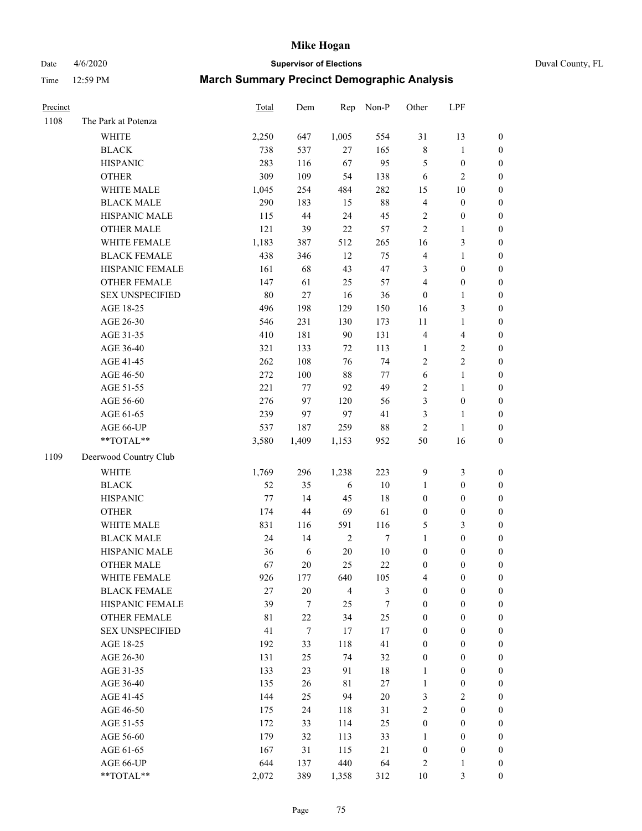Date 4/6/2020 **Supervisor of Elections** Duval County, FL

| Precinct |                        | Total | Dem              | Rep        | Non-P | Other            | LPF                     |                  |
|----------|------------------------|-------|------------------|------------|-------|------------------|-------------------------|------------------|
| 1108     | The Park at Potenza    |       |                  |            |       |                  |                         |                  |
|          | <b>WHITE</b>           | 2,250 | 647              | 1,005      | 554   | 31               | 13                      | $\boldsymbol{0}$ |
|          | <b>BLACK</b>           | 738   | 537              | $27\,$     | 165   | 8                | $\mathbf{1}$            | $\boldsymbol{0}$ |
|          | <b>HISPANIC</b>        | 283   | 116              | 67         | 95    | 5                | $\boldsymbol{0}$        | $\boldsymbol{0}$ |
|          | <b>OTHER</b>           | 309   | 109              | 54         | 138   | 6                | $\sqrt{2}$              | $\boldsymbol{0}$ |
|          | WHITE MALE             | 1,045 | 254              | 484        | 282   | 15               | 10                      | $\boldsymbol{0}$ |
|          | <b>BLACK MALE</b>      | 290   | 183              | 15         | 88    | 4                | $\boldsymbol{0}$        | $\boldsymbol{0}$ |
|          | HISPANIC MALE          | 115   | 44               | 24         | 45    | 2                | $\boldsymbol{0}$        | $\boldsymbol{0}$ |
|          | <b>OTHER MALE</b>      | 121   | 39               | 22         | 57    | $\overline{c}$   | $\mathbf{1}$            | $\boldsymbol{0}$ |
|          | WHITE FEMALE           | 1,183 | 387              | 512        | 265   | 16               | $\mathfrak{Z}$          | 0                |
|          | <b>BLACK FEMALE</b>    | 438   | 346              | 12         | 75    | 4                | $\mathbf{1}$            | 0                |
|          | HISPANIC FEMALE        | 161   | 68               | 43         | 47    | 3                | $\boldsymbol{0}$        | $\boldsymbol{0}$ |
|          | OTHER FEMALE           | 147   | 61               | 25         | 57    | 4                | $\boldsymbol{0}$        | $\boldsymbol{0}$ |
|          | <b>SEX UNSPECIFIED</b> | 80    | 27               | 16         | 36    | $\boldsymbol{0}$ | $\mathbf{1}$            | $\boldsymbol{0}$ |
|          | AGE 18-25              | 496   | 198              | 129        | 150   | 16               | 3                       | $\boldsymbol{0}$ |
|          | AGE 26-30              | 546   | 231              | 130        | 173   | 11               | $\mathbf{1}$            | $\boldsymbol{0}$ |
|          | AGE 31-35              | 410   | 181              | 90         | 131   | 4                | $\overline{\mathbf{4}}$ | $\boldsymbol{0}$ |
|          | AGE 36-40              | 321   | 133              | 72         | 113   | $\mathbf{1}$     | $\sqrt{2}$              | $\boldsymbol{0}$ |
|          | AGE 41-45              | 262   | 108              | 76         | 74    | 2                | $\sqrt{2}$              | $\boldsymbol{0}$ |
|          | AGE 46-50              | 272   | 100              | 88         | 77    | 6                | $\mathbf{1}$            | $\boldsymbol{0}$ |
|          | AGE 51-55              | 221   | 77               | 92         | 49    | 2                | $\mathbf{1}$            | 0                |
|          | AGE 56-60              | 276   | 97               | 120        | 56    | 3                | $\boldsymbol{0}$        | $\boldsymbol{0}$ |
|          | AGE 61-65              | 239   | 97               | 97         | 41    | 3                | $\mathbf{1}$            | $\boldsymbol{0}$ |
|          | AGE 66-UP              | 537   | 187              | 259        | 88    | $\overline{c}$   | $\mathbf{1}$            | $\boldsymbol{0}$ |
|          | **TOTAL**              | 3,580 | 1,409            | 1,153      | 952   | 50               | 16                      | $\boldsymbol{0}$ |
| 1109     | Deerwood Country Club  |       |                  |            |       |                  |                         |                  |
|          | <b>WHITE</b>           | 1,769 | 296              | 1,238      | 223   | 9                | $\mathfrak{Z}$          | $\boldsymbol{0}$ |
|          | <b>BLACK</b>           | 52    | 35               | 6          | 10    | $\mathbf{1}$     | $\boldsymbol{0}$        | $\boldsymbol{0}$ |
|          | <b>HISPANIC</b>        | 77    | 14               | 45         | 18    | $\boldsymbol{0}$ | $\boldsymbol{0}$        | $\boldsymbol{0}$ |
|          | <b>OTHER</b>           | 174   | 44               | 69         | 61    | $\boldsymbol{0}$ | $\boldsymbol{0}$        | $\boldsymbol{0}$ |
|          | WHITE MALE             | 831   | 116              | 591        | 116   | 5                | $\mathfrak{Z}$          | $\boldsymbol{0}$ |
|          | <b>BLACK MALE</b>      | 24    | 14               | $\sqrt{2}$ | 7     | 1                | $\boldsymbol{0}$        | $\boldsymbol{0}$ |
|          | HISPANIC MALE          | 36    | 6                | $20\,$     | 10    | $\boldsymbol{0}$ | $\boldsymbol{0}$        | 0                |
|          | <b>OTHER MALE</b>      | 67    | 20               | 25         | 22    | $\boldsymbol{0}$ | $\boldsymbol{0}$        | $\boldsymbol{0}$ |
|          | WHITE FEMALE           | 926   | 177              | 640        | 105   | 4                | $\boldsymbol{0}$        | $\boldsymbol{0}$ |
|          | <b>BLACK FEMALE</b>    | 27    | 20               | 4          | 3     | 0                | $\boldsymbol{0}$        | $\overline{0}$   |
|          | HISPANIC FEMALE        | 39    | $\tau$           | 25         | 7     | $\boldsymbol{0}$ | $\boldsymbol{0}$        | $\overline{0}$   |
|          | <b>OTHER FEMALE</b>    | 81    | 22               | 34         | 25    | $\boldsymbol{0}$ | $\boldsymbol{0}$        | $\overline{0}$   |
|          | <b>SEX UNSPECIFIED</b> | 41    | $\boldsymbol{7}$ | 17         | 17    | 0                | $\boldsymbol{0}$        | $\overline{0}$   |
|          | AGE 18-25              | 192   | 33               | 118        | 41    | $\boldsymbol{0}$ | $\boldsymbol{0}$        | $\overline{0}$   |
|          | AGE 26-30              | 131   | 25               | 74         | 32    | 0                | $\boldsymbol{0}$        | 0                |
|          | AGE 31-35              | 133   | 23               | 91         | 18    | 1                | $\boldsymbol{0}$        | 0                |
|          | AGE 36-40              | 135   | 26               | 81         | 27    | $\mathbf{1}$     | $\boldsymbol{0}$        | 0                |
|          | AGE 41-45              | 144   | 25               | 94         | 20    | 3                | $\sqrt{2}$              | 0                |
|          | AGE 46-50              | 175   | 24               | 118        | 31    | $\mathbf{2}$     | $\boldsymbol{0}$        | $\overline{0}$   |
|          | AGE 51-55              | 172   | 33               | 114        | 25    | $\boldsymbol{0}$ | $\boldsymbol{0}$        | $\boldsymbol{0}$ |
|          | AGE 56-60              | 179   | 32               | 113        | 33    | 1                | $\boldsymbol{0}$        | $\overline{0}$   |
|          | AGE 61-65              | 167   | 31               | 115        | 21    | $\boldsymbol{0}$ | $\boldsymbol{0}$        | 0                |
|          | AGE 66-UP              | 644   | 137              | 440        | 64    | 2                | $\mathbf{1}$            | 0                |
|          | **TOTAL**              | 2,072 | 389              | 1,358      | 312   | $10\,$           | 3                       | $\boldsymbol{0}$ |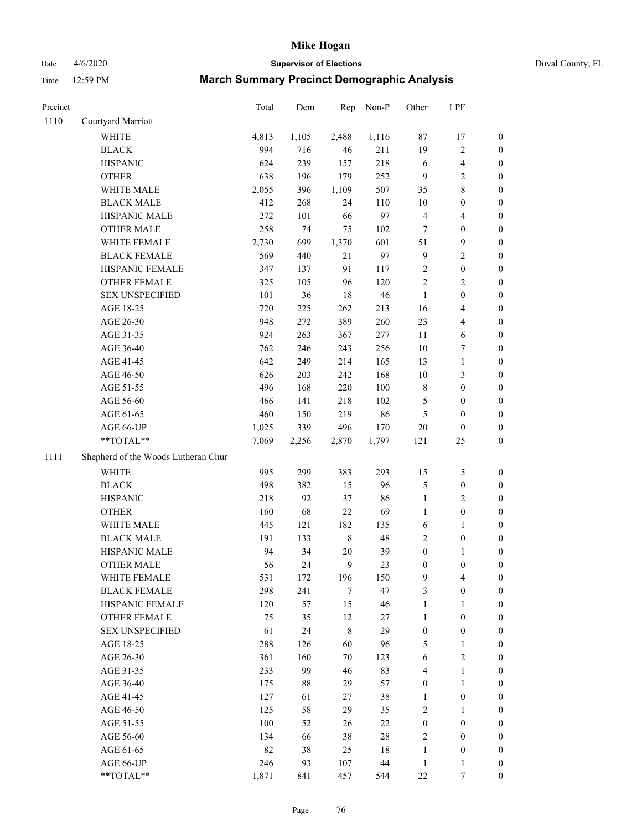Date 4/6/2020 **Supervisor of Elections** Duval County, FL

| Precinct |                                     | Total | Dem   | Rep     | Non-P  | Other            | LPF              |                  |
|----------|-------------------------------------|-------|-------|---------|--------|------------------|------------------|------------------|
| 1110     | Courtyard Marriott                  |       |       |         |        |                  |                  |                  |
|          | <b>WHITE</b>                        | 4,813 | 1,105 | 2,488   | 1,116  | 87               | 17               | 0                |
|          | <b>BLACK</b>                        | 994   | 716   | 46      | 211    | 19               | $\sqrt{2}$       | 0                |
|          | <b>HISPANIC</b>                     | 624   | 239   | 157     | 218    | $\sqrt{6}$       | $\overline{4}$   | $\boldsymbol{0}$ |
|          | <b>OTHER</b>                        | 638   | 196   | 179     | 252    | 9                | $\sqrt{2}$       | $\boldsymbol{0}$ |
|          | WHITE MALE                          | 2,055 | 396   | 1,109   | 507    | 35               | $\,$ 8 $\,$      | $\boldsymbol{0}$ |
|          | <b>BLACK MALE</b>                   | 412   | 268   | 24      | 110    | $10\,$           | $\boldsymbol{0}$ | $\boldsymbol{0}$ |
|          | HISPANIC MALE                       | 272   | 101   | 66      | 97     | 4                | $\overline{4}$   | $\boldsymbol{0}$ |
|          | <b>OTHER MALE</b>                   | 258   | 74    | 75      | 102    | $\tau$           | $\boldsymbol{0}$ | $\boldsymbol{0}$ |
|          | WHITE FEMALE                        | 2,730 | 699   | 1,370   | 601    | 51               | $\boldsymbol{9}$ | $\boldsymbol{0}$ |
|          | <b>BLACK FEMALE</b>                 | 569   | 440   | 21      | 97     | 9                | $\sqrt{2}$       | $\boldsymbol{0}$ |
|          | HISPANIC FEMALE                     | 347   | 137   | 91      | 117    | $\mathbf{2}$     | $\boldsymbol{0}$ | 0                |
|          | <b>OTHER FEMALE</b>                 | 325   | 105   | 96      | 120    | $\overline{c}$   | $\sqrt{2}$       | $\boldsymbol{0}$ |
|          | <b>SEX UNSPECIFIED</b>              | 101   | 36    | 18      | 46     | $\mathbf{1}$     | $\boldsymbol{0}$ | $\boldsymbol{0}$ |
|          | AGE 18-25                           | 720   | 225   | 262     | 213    | 16               | $\overline{4}$   | $\boldsymbol{0}$ |
|          | AGE 26-30                           | 948   | 272   | 389     | 260    | 23               | $\overline{4}$   | $\boldsymbol{0}$ |
|          | AGE 31-35                           | 924   | 263   | 367     | 277    | 11               | 6                | $\boldsymbol{0}$ |
|          | AGE 36-40                           | 762   | 246   | 243     | 256    | $10\,$           | 7                | $\boldsymbol{0}$ |
|          | AGE 41-45                           | 642   | 249   | 214     | 165    | 13               | $\mathbf{1}$     | $\boldsymbol{0}$ |
|          | AGE 46-50                           | 626   | 203   | 242     | 168    | $10\,$           | $\mathfrak{Z}$   | $\boldsymbol{0}$ |
|          | AGE 51-55                           | 496   | 168   | 220     | 100    | 8                | $\boldsymbol{0}$ | 0                |
|          | AGE 56-60                           | 466   | 141   | 218     | 102    | 5                | $\boldsymbol{0}$ | 0                |
|          | AGE 61-65                           | 460   | 150   | 219     | 86     | 5                | $\boldsymbol{0}$ | $\boldsymbol{0}$ |
|          | AGE 66-UP                           | 1,025 | 339   | 496     | 170    | $20\,$           | $\boldsymbol{0}$ | $\boldsymbol{0}$ |
|          | **TOTAL**                           | 7,069 | 2,256 | 2,870   | 1,797  | 121              | $25\,$           | $\boldsymbol{0}$ |
| 1111     | Shepherd of the Woods Lutheran Chur |       |       |         |        |                  |                  |                  |
|          | <b>WHITE</b>                        | 995   | 299   | 383     | 293    | 15               | $\mathfrak s$    | $\boldsymbol{0}$ |
|          | <b>BLACK</b>                        | 498   | 382   | 15      | 96     | 5                | $\boldsymbol{0}$ | $\boldsymbol{0}$ |
|          | <b>HISPANIC</b>                     | 218   | 92    | 37      | 86     | $\mathbf{1}$     | $\mathfrak{2}$   | $\boldsymbol{0}$ |
|          | <b>OTHER</b>                        | 160   | 68    | 22      | 69     | $\mathbf{1}$     | $\boldsymbol{0}$ | $\boldsymbol{0}$ |
|          | WHITE MALE                          | 445   | 121   | 182     | 135    | 6                | $\mathbf{1}$     | $\boldsymbol{0}$ |
|          | <b>BLACK MALE</b>                   | 191   | 133   | $\,8\,$ | 48     | $\overline{c}$   | $\boldsymbol{0}$ | $\boldsymbol{0}$ |
|          | HISPANIC MALE                       | 94    | 34    | $20\,$  | 39     | $\boldsymbol{0}$ | 1                | 0                |
|          | <b>OTHER MALE</b>                   | 56    | 24    | 9       | 23     | $\boldsymbol{0}$ | $\boldsymbol{0}$ | $\boldsymbol{0}$ |
|          | WHITE FEMALE                        | 531   | 172   | 196     | 150    | 9                | 4                | 0                |
|          | <b>BLACK FEMALE</b>                 | 298   | 241   | $\tau$  | 47     | 3                | $\boldsymbol{0}$ | $\overline{0}$   |
|          | HISPANIC FEMALE                     | 120   | 57    | 15      | 46     | 1                | 1                | $\overline{0}$   |
|          | OTHER FEMALE                        | 75    | 35    | 12      | $27\,$ | 1                | $\boldsymbol{0}$ | 0                |
|          | <b>SEX UNSPECIFIED</b>              | 61    | 24    | 8       | 29     | $\boldsymbol{0}$ | $\boldsymbol{0}$ | 0                |
|          | AGE 18-25                           | 288   | 126   | 60      | 96     | 5                | $\mathbf{1}$     | 0                |
|          | AGE 26-30                           | 361   | 160   | $70\,$  | 123    | 6                | $\overline{2}$   | 0                |
|          | AGE 31-35                           | 233   | 99    | 46      | 83     | 4                | $\mathbf{1}$     | 0                |
|          | AGE 36-40                           | 175   | 88    | 29      | 57     | 0                | $\mathbf{1}$     | 0                |
|          | AGE 41-45                           | 127   | 61    | 27      | 38     | 1                | $\boldsymbol{0}$ | 0                |
|          | AGE 46-50                           | 125   | 58    | 29      | 35     | 2                | 1                | 0                |
|          | AGE 51-55                           | 100   | 52    | 26      | $22\,$ | $\boldsymbol{0}$ | $\boldsymbol{0}$ | 0                |
|          | AGE 56-60                           | 134   | 66    | 38      | $28\,$ | 2                | $\boldsymbol{0}$ | 0                |
|          | AGE 61-65                           | 82    | 38    | 25      | 18     | 1                | $\boldsymbol{0}$ | 0                |
|          | AGE 66-UP                           | 246   | 93    | 107     | 44     | $\mathbf{1}$     | $\mathbf{1}$     | 0                |
|          | **TOTAL**                           | 1,871 | 841   | 457     | 544    | 22               | 7                | $\overline{0}$   |
|          |                                     |       |       |         |        |                  |                  |                  |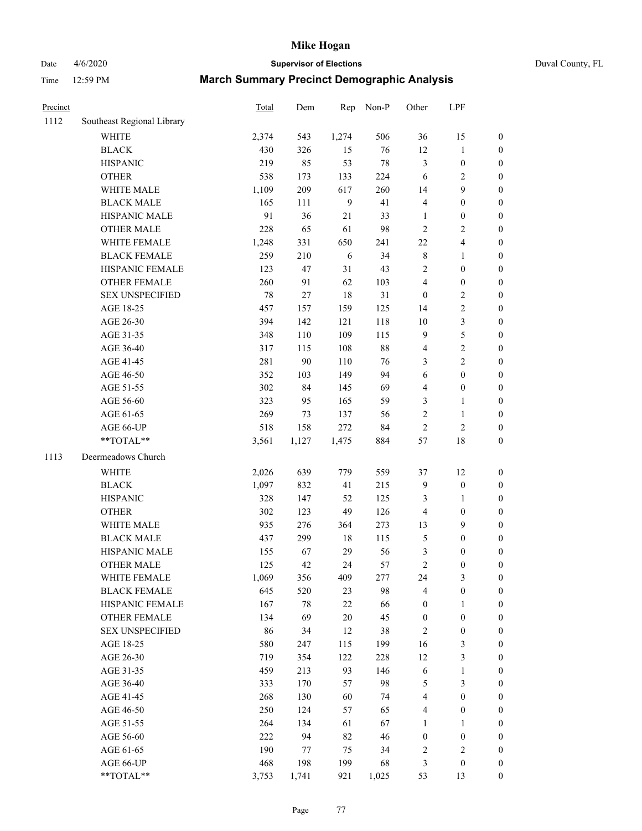Date 4/6/2020 **Supervisor of Elections** Duval County, FL

| Precinct |                            | Total | Dem    | Rep              | Non-P  | Other            | LPF              |                  |
|----------|----------------------------|-------|--------|------------------|--------|------------------|------------------|------------------|
| 1112     | Southeast Regional Library |       |        |                  |        |                  |                  |                  |
|          | <b>WHITE</b>               | 2,374 | 543    | 1,274            | 506    | 36               | 15               | 0                |
|          | <b>BLACK</b>               | 430   | 326    | 15               | 76     | 12               | $\mathbf{1}$     | 0                |
|          | <b>HISPANIC</b>            | 219   | 85     | 53               | $78\,$ | 3                | $\boldsymbol{0}$ | $\boldsymbol{0}$ |
|          | <b>OTHER</b>               | 538   | 173    | 133              | 224    | 6                | $\sqrt{2}$       | $\boldsymbol{0}$ |
|          | WHITE MALE                 | 1,109 | 209    | 617              | 260    | 14               | 9                | $\boldsymbol{0}$ |
|          | <b>BLACK MALE</b>          | 165   | 111    | $\boldsymbol{9}$ | 41     | 4                | $\boldsymbol{0}$ | $\boldsymbol{0}$ |
|          | HISPANIC MALE              | 91    | 36     | 21               | 33     | $\mathbf{1}$     | $\boldsymbol{0}$ | $\boldsymbol{0}$ |
|          | <b>OTHER MALE</b>          | 228   | 65     | 61               | 98     | $\overline{2}$   | $\overline{2}$   | $\boldsymbol{0}$ |
|          | WHITE FEMALE               | 1,248 | 331    | 650              | 241    | $22\,$           | $\overline{4}$   | $\boldsymbol{0}$ |
|          | <b>BLACK FEMALE</b>        | 259   | 210    | 6                | 34     | 8                | $\mathbf{1}$     | $\boldsymbol{0}$ |
|          | HISPANIC FEMALE            | 123   | 47     | 31               | 43     | 2                | $\boldsymbol{0}$ | $\boldsymbol{0}$ |
|          | <b>OTHER FEMALE</b>        | 260   | 91     | 62               | 103    | 4                | $\boldsymbol{0}$ | $\boldsymbol{0}$ |
|          | <b>SEX UNSPECIFIED</b>     | 78    | $27\,$ | 18               | 31     | $\boldsymbol{0}$ | $\sqrt{2}$       | $\boldsymbol{0}$ |
|          | AGE 18-25                  | 457   | 157    | 159              | 125    | 14               | $\sqrt{2}$       | $\boldsymbol{0}$ |
|          | AGE 26-30                  | 394   | 142    | 121              | 118    | 10               | $\mathfrak{Z}$   | $\boldsymbol{0}$ |
|          | AGE 31-35                  | 348   | 110    | 109              | 115    | 9                | 5                | $\boldsymbol{0}$ |
|          | AGE 36-40                  | 317   | 115    | 108              | $88\,$ | 4                | $\sqrt{2}$       | $\boldsymbol{0}$ |
|          | AGE 41-45                  | 281   | 90     | 110              | 76     | 3                | $\overline{2}$   | $\boldsymbol{0}$ |
|          | AGE 46-50                  | 352   | 103    | 149              | 94     | 6                | $\boldsymbol{0}$ | $\boldsymbol{0}$ |
|          | AGE 51-55                  | 302   | 84     | 145              | 69     | 4                | $\boldsymbol{0}$ | $\boldsymbol{0}$ |
|          | AGE 56-60                  | 323   | 95     | 165              | 59     | 3                | 1                | 0                |
|          | AGE 61-65                  | 269   | 73     | 137              | 56     | $\overline{c}$   | $\mathbf{1}$     | $\boldsymbol{0}$ |
|          | AGE 66-UP                  | 518   | 158    | 272              | 84     | $\sqrt{2}$       | $\sqrt{2}$       | $\boldsymbol{0}$ |
|          | **TOTAL**                  | 3,561 | 1,127  | 1,475            | 884    | 57               | 18               | $\boldsymbol{0}$ |
|          |                            |       |        |                  |        |                  |                  |                  |
| 1113     | Deermeadows Church         |       |        |                  |        |                  |                  |                  |
|          | <b>WHITE</b>               | 2,026 | 639    | 779              | 559    | 37               | 12               | $\boldsymbol{0}$ |
|          | <b>BLACK</b>               | 1,097 | 832    | 41               | 215    | 9                | $\boldsymbol{0}$ | $\boldsymbol{0}$ |
|          | <b>HISPANIC</b>            | 328   | 147    | 52               | 125    | 3                | $\mathbf{1}$     | $\boldsymbol{0}$ |
|          | <b>OTHER</b>               | 302   | 123    | 49               | 126    | 4                | $\boldsymbol{0}$ | $\boldsymbol{0}$ |
|          | WHITE MALE                 | 935   | 276    | 364              | 273    | 13               | 9                | $\boldsymbol{0}$ |
|          | <b>BLACK MALE</b>          | 437   | 299    | $18\,$           | 115    | 5                | $\boldsymbol{0}$ | $\boldsymbol{0}$ |
|          | HISPANIC MALE              | 155   | 67     | 29               | 56     | 3                | $\boldsymbol{0}$ | $\boldsymbol{0}$ |
|          | <b>OTHER MALE</b>          | 125   | 42     | 24               | 57     | $\overline{c}$   | $\boldsymbol{0}$ | $\boldsymbol{0}$ |
|          | WHITE FEMALE               | 1,069 | 356    | 409              | 277    | 24               | 3                | 0                |
|          | <b>BLACK FEMALE</b>        | 645   | 520    | 23               | 98     | 4                | $\boldsymbol{0}$ | $\boldsymbol{0}$ |
|          | HISPANIC FEMALE            | 167   | $78\,$ | $22\,$           | 66     | $\boldsymbol{0}$ | 1                | $\overline{0}$   |
|          | <b>OTHER FEMALE</b>        | 134   | 69     | $20\,$           | 45     | $\boldsymbol{0}$ | $\boldsymbol{0}$ | $\overline{0}$   |
|          | <b>SEX UNSPECIFIED</b>     | 86    | 34     | 12               | 38     | 2                | $\boldsymbol{0}$ | 0                |
|          | AGE 18-25                  | 580   | 247    | 115              | 199    | 16               | $\mathfrak{Z}$   | 0                |
|          | AGE 26-30                  | 719   | 354    | 122              | 228    | 12               | 3                | 0                |
|          | AGE 31-35                  | 459   | 213    | 93               | 146    | 6                | $\mathbf{1}$     | 0                |
|          | AGE 36-40                  | 333   | 170    | 57               | 98     | 5                | $\mathfrak{Z}$   | 0                |
|          | AGE 41-45                  | 268   | 130    | 60               | 74     | 4                | $\boldsymbol{0}$ | 0                |
|          | AGE 46-50                  | 250   | 124    | 57               | 65     | 4                | $\boldsymbol{0}$ | 0                |
|          | AGE 51-55                  | 264   | 134    | 61               | 67     | 1                | 1                | 0                |
|          | AGE 56-60                  | 222   | 94     | 82               | 46     | $\boldsymbol{0}$ | $\boldsymbol{0}$ | 0                |
|          | AGE 61-65                  | 190   | 77     | 75               | 34     | 2                | $\sqrt{2}$       | 0                |
|          | AGE 66-UP                  | 468   | 198    | 199              | 68     | 3                | $\boldsymbol{0}$ | 0                |
|          | **TOTAL**                  | 3,753 | 1,741  | 921              | 1,025  | 53               | 13               | $\boldsymbol{0}$ |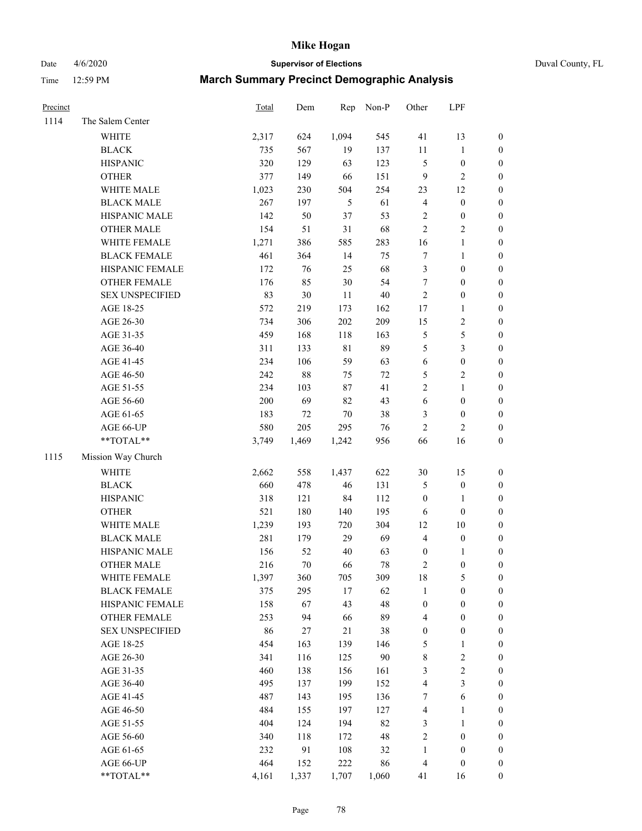Date 4/6/2020 **Supervisor of Elections** Duval County, FL

| Precinct |                        | Total | Dem   | Rep         | Non-P  | Other            | LPF              |                  |
|----------|------------------------|-------|-------|-------------|--------|------------------|------------------|------------------|
| 1114     | The Salem Center       |       |       |             |        |                  |                  |                  |
|          | WHITE                  | 2,317 | 624   | 1,094       | 545    | 41               | 13               | 0                |
|          | <b>BLACK</b>           | 735   | 567   | 19          | 137    | 11               | $\mathbf{1}$     | 0                |
|          | <b>HISPANIC</b>        | 320   | 129   | 63          | 123    | 5                | $\boldsymbol{0}$ | $\boldsymbol{0}$ |
|          | <b>OTHER</b>           | 377   | 149   | 66          | 151    | 9                | $\sqrt{2}$       | $\boldsymbol{0}$ |
|          | WHITE MALE             | 1,023 | 230   | 504         | 254    | 23               | 12               | $\boldsymbol{0}$ |
|          | <b>BLACK MALE</b>      | 267   | 197   | 5           | 61     | 4                | $\boldsymbol{0}$ | $\boldsymbol{0}$ |
|          | HISPANIC MALE          | 142   | 50    | 37          | 53     | 2                | $\boldsymbol{0}$ | $\boldsymbol{0}$ |
|          | <b>OTHER MALE</b>      | 154   | 51    | 31          | 68     | $\overline{c}$   | $\overline{2}$   | $\boldsymbol{0}$ |
|          | WHITE FEMALE           | 1,271 | 386   | 585         | 283    | 16               | $\mathbf{1}$     | $\boldsymbol{0}$ |
|          | <b>BLACK FEMALE</b>    | 461   | 364   | 14          | 75     | 7                | $\mathbf{1}$     | 0                |
|          | HISPANIC FEMALE        | 172   | 76    | 25          | 68     | 3                | $\boldsymbol{0}$ | 0                |
|          | OTHER FEMALE           | 176   | 85    | 30          | 54     | $\boldsymbol{7}$ | $\boldsymbol{0}$ | $\boldsymbol{0}$ |
|          | <b>SEX UNSPECIFIED</b> | 83    | 30    | 11          | 40     | $\mathbf{2}$     | $\boldsymbol{0}$ | $\boldsymbol{0}$ |
|          | AGE 18-25              | 572   | 219   | 173         | 162    | 17               | $\mathbf{1}$     | $\boldsymbol{0}$ |
|          | AGE 26-30              | 734   | 306   | 202         | 209    | 15               | $\sqrt{2}$       | $\boldsymbol{0}$ |
|          | AGE 31-35              | 459   | 168   | 118         | 163    | 5                | 5                | $\boldsymbol{0}$ |
|          | AGE 36-40              | 311   | 133   | $8\sqrt{1}$ | 89     | 5                | $\mathfrak{Z}$   | $\boldsymbol{0}$ |
|          | AGE 41-45              | 234   | 106   | 59          | 63     | 6                | $\boldsymbol{0}$ | $\boldsymbol{0}$ |
|          | AGE 46-50              | 242   | 88    | 75          | $72\,$ | 5                | $\sqrt{2}$       | $\boldsymbol{0}$ |
|          | AGE 51-55              | 234   | 103   | 87          | 41     | $\overline{c}$   | $\mathbf{1}$     | $\boldsymbol{0}$ |
|          | AGE 56-60              | 200   | 69    | 82          | 43     | 6                | $\boldsymbol{0}$ | 0                |
|          | AGE 61-65              | 183   | 72    | $70\,$      | 38     | 3                | $\boldsymbol{0}$ | $\boldsymbol{0}$ |
|          | AGE 66-UP              | 580   | 205   | 295         | 76     | $\overline{c}$   | $\overline{2}$   | $\boldsymbol{0}$ |
|          | **TOTAL**              | 3,749 | 1,469 | 1,242       | 956    | 66               | 16               | $\boldsymbol{0}$ |
| 1115     | Mission Way Church     |       |       |             |        |                  |                  |                  |
|          | <b>WHITE</b>           | 2,662 | 558   | 1,437       | 622    | $30\,$           | 15               | $\boldsymbol{0}$ |
|          | <b>BLACK</b>           | 660   | 478   | 46          | 131    | 5                | $\boldsymbol{0}$ | $\boldsymbol{0}$ |
|          | <b>HISPANIC</b>        | 318   | 121   | 84          | 112    | $\boldsymbol{0}$ | $\mathbf{1}$     | $\boldsymbol{0}$ |
|          | <b>OTHER</b>           | 521   | 180   | 140         | 195    | 6                | $\boldsymbol{0}$ | $\boldsymbol{0}$ |
|          | WHITE MALE             | 1,239 | 193   | 720         | 304    | 12               | 10               | $\boldsymbol{0}$ |
|          | <b>BLACK MALE</b>      | 281   | 179   | 29          | 69     | $\overline{4}$   | $\boldsymbol{0}$ | $\boldsymbol{0}$ |
|          | HISPANIC MALE          | 156   | 52    | 40          | 63     | $\boldsymbol{0}$ | 1                | 0                |
|          | <b>OTHER MALE</b>      | 216   | 70    | 66          | 78     | 2                | $\boldsymbol{0}$ | $\boldsymbol{0}$ |
|          | WHITE FEMALE           | 1,397 | 360   | 705         | 309    | 18               | 5                | 0                |
|          | <b>BLACK FEMALE</b>    | 375   | 295   | 17          | 62     | 1                | $\boldsymbol{0}$ | $\boldsymbol{0}$ |
|          | HISPANIC FEMALE        | 158   | 67    | 43          | 48     | $\boldsymbol{0}$ | $\boldsymbol{0}$ | $\overline{0}$   |
|          | <b>OTHER FEMALE</b>    | 253   | 94    | 66          | 89     | 4                | $\boldsymbol{0}$ | $\overline{0}$   |
|          | <b>SEX UNSPECIFIED</b> | 86    | 27    | 21          | 38     | $\boldsymbol{0}$ | $\boldsymbol{0}$ | 0                |
|          | AGE 18-25              | 454   | 163   | 139         | 146    | 5                | $\mathbf{1}$     | 0                |
|          | AGE 26-30              | 341   | 116   | 125         | 90     | 8                | $\sqrt{2}$       | 0                |
|          | AGE 31-35              | 460   | 138   | 156         | 161    | 3                | $\sqrt{2}$       | 0                |
|          | AGE 36-40              | 495   | 137   | 199         | 152    | 4                | 3                | 0                |
|          | AGE 41-45              | 487   | 143   | 195         | 136    | 7                | 6                | 0                |
|          | AGE 46-50              | 484   | 155   | 197         | 127    | 4                | $\mathbf{1}$     | 0                |
|          | AGE 51-55              | 404   | 124   | 194         | 82     | 3                | $\mathbf{1}$     | 0                |
|          | AGE 56-60              | 340   | 118   | 172         | 48     | $\overline{c}$   | $\boldsymbol{0}$ | 0                |
|          | AGE 61-65              | 232   | 91    | 108         | 32     | 1                | $\boldsymbol{0}$ | 0                |
|          | AGE 66-UP              | 464   | 152   | 222         | 86     | 4                | $\boldsymbol{0}$ | 0                |
|          | **TOTAL**              | 4,161 | 1,337 | 1,707       | 1,060  | 41               | 16               | $\boldsymbol{0}$ |
|          |                        |       |       |             |        |                  |                  |                  |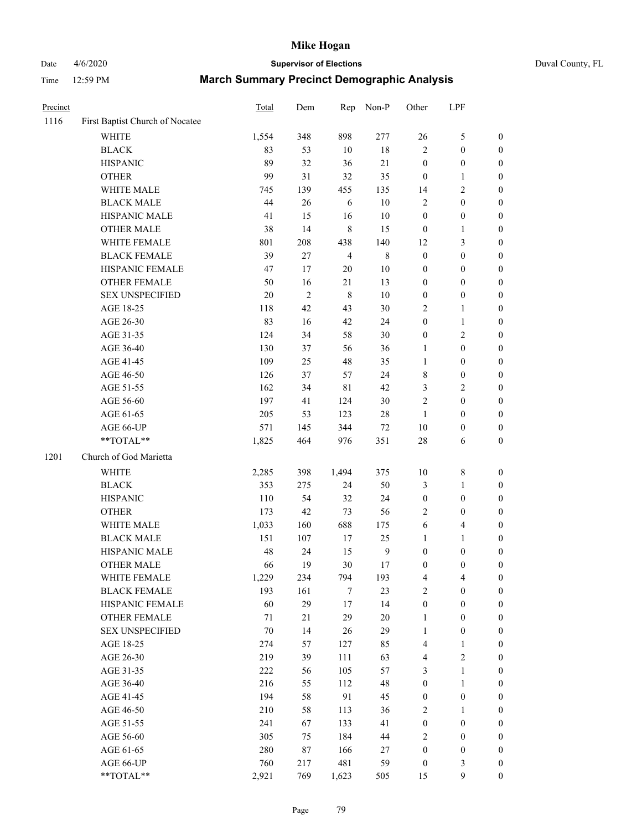# Date 4/6/2020 **Supervisor of Elections** Duval County, FL

| Precinct |                                               | Total        | Dem            | Rep            | Non-P                  | Other                                | LPF                                  |                                      |
|----------|-----------------------------------------------|--------------|----------------|----------------|------------------------|--------------------------------------|--------------------------------------|--------------------------------------|
| 1116     | First Baptist Church of Nocatee               |              |                |                |                        |                                      |                                      |                                      |
|          | <b>WHITE</b>                                  | 1,554        | 348            | 898            | 277                    | 26                                   | $\mathfrak s$                        | 0                                    |
|          | <b>BLACK</b>                                  | 83           | 53             | $10\,$         | 18                     | $\overline{c}$                       | $\boldsymbol{0}$                     | 0                                    |
|          | <b>HISPANIC</b>                               | 89           | 32             | 36             | $21\,$                 | $\boldsymbol{0}$                     | $\boldsymbol{0}$                     | $\boldsymbol{0}$                     |
|          | <b>OTHER</b>                                  | 99           | 31             | 32             | 35                     | $\boldsymbol{0}$                     | 1                                    | $\boldsymbol{0}$                     |
|          | WHITE MALE                                    | 745          | 139            | 455            | 135                    | 14                                   | $\sqrt{2}$                           | $\boldsymbol{0}$                     |
|          | <b>BLACK MALE</b>                             | 44           | 26             | 6              | 10                     | $\overline{c}$                       | $\boldsymbol{0}$                     | $\boldsymbol{0}$                     |
|          | HISPANIC MALE                                 | 41           | 15             | 16             | 10                     | $\boldsymbol{0}$                     | $\boldsymbol{0}$                     | $\boldsymbol{0}$                     |
|          | <b>OTHER MALE</b>                             | 38           | 14             | 8              | 15                     | $\boldsymbol{0}$                     | $\mathbf{1}$                         | $\boldsymbol{0}$                     |
|          | WHITE FEMALE                                  | 801          | 208            | 438            | 140                    | 12                                   | $\mathfrak{Z}$                       | $\boldsymbol{0}$                     |
|          | <b>BLACK FEMALE</b>                           | 39           | $27\,$         | $\overline{4}$ | $\,$ 8 $\,$            | $\boldsymbol{0}$                     | $\boldsymbol{0}$                     | $\boldsymbol{0}$                     |
|          | HISPANIC FEMALE                               | 47           | 17             | 20             | 10                     | $\boldsymbol{0}$                     | $\boldsymbol{0}$                     | $\boldsymbol{0}$                     |
|          | OTHER FEMALE                                  | 50           | 16             | 21             | 13                     | 0                                    | $\boldsymbol{0}$                     | $\boldsymbol{0}$                     |
|          | <b>SEX UNSPECIFIED</b>                        | 20           | $\overline{2}$ | $\,8\,$        | 10                     | $\boldsymbol{0}$                     | $\boldsymbol{0}$                     | $\boldsymbol{0}$                     |
|          | AGE 18-25                                     | 118          | 42             | 43             | 30                     | 2                                    | $\mathbf{1}$                         | $\boldsymbol{0}$                     |
|          | AGE 26-30                                     | 83           | 16             | 42             | 24                     | $\boldsymbol{0}$                     | $\mathbf{1}$                         | $\boldsymbol{0}$                     |
|          | AGE 31-35                                     | 124          | 34             | 58             | 30                     | $\boldsymbol{0}$                     | $\sqrt{2}$                           | $\boldsymbol{0}$                     |
|          | AGE 36-40                                     | 130          | 37             | 56             | 36                     | 1                                    | $\boldsymbol{0}$                     | $\boldsymbol{0}$                     |
|          | AGE 41-45                                     | 109          | 25             | 48             | 35                     | $\mathbf{1}$                         | $\boldsymbol{0}$                     | $\boldsymbol{0}$                     |
|          | AGE 46-50                                     | 126          | 37             | 57             | 24                     | 8                                    | $\boldsymbol{0}$                     | $\boldsymbol{0}$                     |
|          | AGE 51-55                                     | 162          | 34             | $8\sqrt{1}$    | 42                     | 3                                    | $\sqrt{2}$                           | $\boldsymbol{0}$                     |
|          | AGE 56-60                                     | 197          | 41             | 124            | 30                     | $\overline{c}$                       | $\boldsymbol{0}$                     | $\boldsymbol{0}$                     |
|          | AGE 61-65                                     | 205          | 53             | 123            | 28                     | $\mathbf{1}$                         | $\boldsymbol{0}$                     | $\boldsymbol{0}$                     |
|          | AGE 66-UP                                     | 571          | 145            | 344            | $72\,$                 | 10                                   | $\boldsymbol{0}$                     | $\boldsymbol{0}$                     |
|          | **TOTAL**                                     | 1,825        | 464            | 976            | 351                    | 28                                   | 6                                    | $\boldsymbol{0}$                     |
| 1201     | Church of God Marietta                        |              |                |                |                        |                                      |                                      |                                      |
|          | <b>WHITE</b>                                  |              |                |                | 375                    |                                      |                                      |                                      |
|          |                                               | 2,285        | 398            | 1,494          | 50                     | 10                                   | $\,$ $\,$                            | $\boldsymbol{0}$                     |
|          | <b>BLACK</b><br><b>HISPANIC</b>               | 353<br>110   | 275<br>54      | 24<br>32       | 24                     | 3                                    | $\mathbf{1}$<br>$\boldsymbol{0}$     | $\boldsymbol{0}$<br>$\boldsymbol{0}$ |
|          | <b>OTHER</b>                                  |              | 42             | 73             | 56                     | $\boldsymbol{0}$<br>2                | $\boldsymbol{0}$                     |                                      |
|          | WHITE MALE                                    | 173          | 160            | 688            | 175                    |                                      | $\overline{4}$                       | $\boldsymbol{0}$                     |
|          |                                               | 1,033<br>151 | 107            | $17\,$         | 25                     | 6<br>1                               | $\mathbf{1}$                         | $\boldsymbol{0}$<br>$\boldsymbol{0}$ |
|          | <b>BLACK MALE</b><br>HISPANIC MALE            | 48           | 24             |                |                        |                                      |                                      |                                      |
|          | <b>OTHER MALE</b>                             | 66           | 19             | 15<br>30       | $\boldsymbol{9}$<br>17 | $\boldsymbol{0}$<br>$\boldsymbol{0}$ | $\boldsymbol{0}$<br>$\boldsymbol{0}$ | 0<br>$\boldsymbol{0}$                |
|          |                                               |              |                |                |                        |                                      |                                      | 0                                    |
|          | WHITE FEMALE<br><b>BLACK FEMALE</b>           | 1,229        | 234            | 794<br>7       | 193<br>23              | 4<br>$\mathbf{2}$                    | 4<br>$\boldsymbol{0}$                | $\overline{0}$                       |
|          | HISPANIC FEMALE                               | 193<br>60    | 161<br>29      | 17             | 14                     |                                      | $\boldsymbol{0}$                     | $\overline{0}$                       |
|          |                                               |              | $21\,$         | 29             | 20                     | $\boldsymbol{0}$                     | $\boldsymbol{0}$                     |                                      |
|          | <b>OTHER FEMALE</b><br><b>SEX UNSPECIFIED</b> | 71<br>70     | 14             |                | 29                     | 1<br>$\mathbf{1}$                    | $\boldsymbol{0}$                     | 0<br>0                               |
|          | AGE 18-25                                     |              |                | 26             |                        |                                      |                                      | 0                                    |
|          |                                               | 274          | 57             | 127            | 85                     | 4                                    | $\mathbf{1}$                         |                                      |
|          | AGE 26-30                                     | 219          | 39             | 111            | 63                     | 4                                    | $\sqrt{2}$                           | 0                                    |
|          | AGE 31-35                                     | 222          | 56             | 105            | 57                     | 3                                    | $\mathbf{1}$                         | 0                                    |
|          | AGE 36-40                                     | 216          | 55             | 112            | 48                     | $\boldsymbol{0}$                     | $\mathbf{1}$                         | 0                                    |
|          | AGE 41-45                                     | 194          | 58             | 91             | 45                     | $\boldsymbol{0}$                     | $\boldsymbol{0}$                     | 0                                    |
|          | AGE 46-50                                     | 210          | 58             | 113            | 36                     | 2                                    | 1                                    | 0                                    |
|          | AGE 51-55                                     | 241          | 67             | 133            | 41                     | $\boldsymbol{0}$                     | $\boldsymbol{0}$                     | 0                                    |
|          | AGE 56-60                                     | 305          | 75             | 184            | 44                     | 2                                    | $\boldsymbol{0}$                     | 0                                    |
|          | AGE 61-65                                     | 280          | 87             | 166            | 27                     | $\boldsymbol{0}$                     | $\boldsymbol{0}$                     | 0                                    |
|          | AGE 66-UP                                     | 760          | 217            | 481            | 59                     | $\boldsymbol{0}$                     | $\mathfrak{Z}$                       | 0                                    |
|          | **TOTAL**                                     | 2,921        | 769            | 1,623          | 505                    | 15                                   | 9                                    | $\boldsymbol{0}$                     |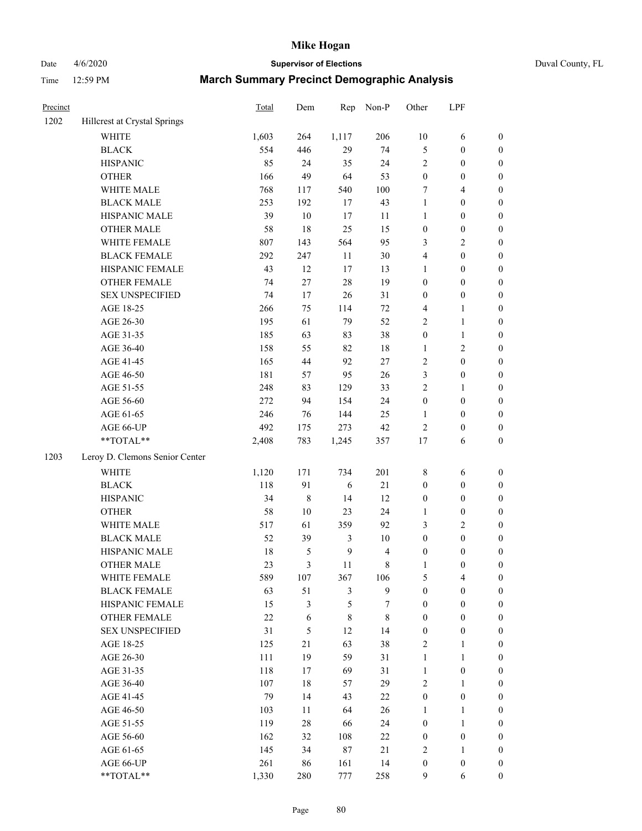Date 4/6/2020 **Supervisor of Elections** Duval County, FL

| Precinct |                                | Total   | Dem           | Rep            | Non-P          | Other            | LPF              |                  |
|----------|--------------------------------|---------|---------------|----------------|----------------|------------------|------------------|------------------|
| 1202     | Hillcrest at Crystal Springs   |         |               |                |                |                  |                  |                  |
|          | <b>WHITE</b>                   | 1,603   | 264           | 1,117          | 206            | $10\,$           | 6                | $\boldsymbol{0}$ |
|          | <b>BLACK</b>                   | 554     | 446           | 29             | 74             | 5                | $\boldsymbol{0}$ | $\boldsymbol{0}$ |
|          | <b>HISPANIC</b>                | 85      | 24            | 35             | 24             | $\overline{2}$   | $\boldsymbol{0}$ | $\boldsymbol{0}$ |
|          | <b>OTHER</b>                   | 166     | 49            | 64             | 53             | $\boldsymbol{0}$ | $\boldsymbol{0}$ | $\boldsymbol{0}$ |
|          | WHITE MALE                     | 768     | 117           | 540            | 100            | 7                | $\overline{4}$   | $\boldsymbol{0}$ |
|          | <b>BLACK MALE</b>              | 253     | 192           | 17             | 43             | $\mathbf{1}$     | $\boldsymbol{0}$ | $\boldsymbol{0}$ |
|          | HISPANIC MALE                  | 39      | $10\,$        | $17\,$         | $11$           | $\mathbf{1}$     | $\boldsymbol{0}$ | $\boldsymbol{0}$ |
|          | <b>OTHER MALE</b>              | 58      | $18\,$        | 25             | 15             | $\boldsymbol{0}$ | $\boldsymbol{0}$ | $\boldsymbol{0}$ |
|          | WHITE FEMALE                   | $807\,$ | 143           | 564            | 95             | 3                | $\sqrt{2}$       | 0                |
|          | <b>BLACK FEMALE</b>            | 292     | 247           | 11             | $30\,$         | 4                | $\boldsymbol{0}$ | 0                |
|          | HISPANIC FEMALE                | 43      | 12            | $17\,$         | 13             | $\mathbf{1}$     | $\boldsymbol{0}$ | $\boldsymbol{0}$ |
|          | <b>OTHER FEMALE</b>            | 74      | $27\,$        | $28\,$         | 19             | $\boldsymbol{0}$ | $\boldsymbol{0}$ | $\boldsymbol{0}$ |
|          | <b>SEX UNSPECIFIED</b>         | 74      | 17            | 26             | 31             | $\boldsymbol{0}$ | $\boldsymbol{0}$ | $\boldsymbol{0}$ |
|          | AGE 18-25                      | 266     | 75            | 114            | $72\,$         | 4                | $\mathbf{1}$     | $\boldsymbol{0}$ |
|          | AGE 26-30                      | 195     | 61            | 79             | 52             | $\sqrt{2}$       | $\mathbf{1}$     | $\boldsymbol{0}$ |
|          | AGE 31-35                      | 185     | 63            | 83             | $38\,$         | $\boldsymbol{0}$ | $\mathbf{1}$     | $\boldsymbol{0}$ |
|          | AGE 36-40                      | 158     | 55            | 82             | 18             | $\mathbf{1}$     | $\overline{c}$   | $\boldsymbol{0}$ |
|          | AGE 41-45                      | 165     | $44\,$        | 92             | $27\,$         | 2                | $\boldsymbol{0}$ | $\boldsymbol{0}$ |
|          | AGE 46-50                      | 181     | 57            | 95             | $26\,$         | $\mathfrak z$    | $\boldsymbol{0}$ | 0                |
|          | AGE 51-55                      | 248     | 83            | 129            | 33             | $\sqrt{2}$       | 1                | 0                |
|          | AGE 56-60                      | 272     | 94            | 154            | 24             | $\boldsymbol{0}$ | $\boldsymbol{0}$ | $\boldsymbol{0}$ |
|          | AGE 61-65                      | 246     | 76            | 144            | 25             | $\mathbf{1}$     | $\boldsymbol{0}$ | $\boldsymbol{0}$ |
|          | AGE 66-UP                      | 492     | 175           | 273            | $42\,$         | $\overline{2}$   | $\boldsymbol{0}$ | $\boldsymbol{0}$ |
|          | $**TOTAL**$                    | 2,408   | 783           | 1,245          | 357            | 17               | 6                | $\boldsymbol{0}$ |
| 1203     | Leroy D. Clemons Senior Center |         |               |                |                |                  |                  |                  |
|          | <b>WHITE</b>                   | 1,120   | 171           | 734            | 201            | $\,$ 8 $\,$      | 6                | $\boldsymbol{0}$ |
|          | <b>BLACK</b>                   | 118     | 91            | $\sqrt{6}$     | 21             | $\boldsymbol{0}$ | $\boldsymbol{0}$ | $\boldsymbol{0}$ |
|          | <b>HISPANIC</b>                | 34      | $\,8\,$       | 14             | 12             | $\boldsymbol{0}$ | $\boldsymbol{0}$ | $\boldsymbol{0}$ |
|          | <b>OTHER</b>                   | 58      | $10\,$        | 23             | 24             | $\mathbf{1}$     | $\boldsymbol{0}$ | $\boldsymbol{0}$ |
|          | WHITE MALE                     | 517     | 61            | 359            | 92             | 3                | $\sqrt{2}$       | $\boldsymbol{0}$ |
|          | <b>BLACK MALE</b>              | 52      | 39            | 3              | $10\,$         | $\boldsymbol{0}$ | $\boldsymbol{0}$ | $\boldsymbol{0}$ |
|          | HISPANIC MALE                  | $18\,$  | $\mathfrak s$ | $\mathbf{9}$   | $\overline{4}$ | $\boldsymbol{0}$ | $\boldsymbol{0}$ | 0                |
|          | <b>OTHER MALE</b>              | 23      | 3             | 11             | 8              | $\mathbf{1}$     | $\boldsymbol{0}$ | $\boldsymbol{0}$ |
|          | WHITE FEMALE                   | 589     | 107           | 367            | 106            | 5                | $\overline{4}$   | 0                |
|          | <b>BLACK FEMALE</b>            | 63      | 51            | $\mathfrak{Z}$ | $\mathbf{9}$   | $\boldsymbol{0}$ | $\boldsymbol{0}$ | $\overline{0}$   |
|          | HISPANIC FEMALE                | 15      | 3             | 5              | 7              | $\boldsymbol{0}$ | $\boldsymbol{0}$ | $\overline{0}$   |
|          | <b>OTHER FEMALE</b>            | 22      | 6             | $\,8\,$        | $\,$ 8 $\,$    | $\boldsymbol{0}$ | $\boldsymbol{0}$ | 0                |
|          | <b>SEX UNSPECIFIED</b>         | 31      | 5             | 12             | 14             | $\boldsymbol{0}$ | $\boldsymbol{0}$ | 0                |
|          | AGE 18-25                      | 125     | 21            | 63             | 38             | $\overline{2}$   | $\mathbf{1}$     | 0                |
|          | AGE 26-30                      | 111     | 19            | 59             | 31             | $\mathbf{1}$     | $\mathbf{1}$     | 0                |
|          | AGE 31-35                      | 118     | $17\,$        | 69             | 31             | $\mathbf{1}$     | $\boldsymbol{0}$ | 0                |
|          | AGE 36-40                      | 107     | 18            | 57             | 29             | $\overline{2}$   | 1                | 0                |
|          | AGE 41-45                      | 79      | 14            | 43             | 22             | $\boldsymbol{0}$ | $\boldsymbol{0}$ | 0                |
|          | AGE 46-50                      | 103     | 11            | 64             | 26             | $\mathbf{1}$     | $\mathbf{1}$     | 0                |
|          | AGE 51-55                      | 119     | $28\,$        | 66             | 24             | $\boldsymbol{0}$ | $\mathbf{1}$     | $\boldsymbol{0}$ |
|          | AGE 56-60                      | 162     | 32            | 108            | $22\,$         | $\boldsymbol{0}$ | $\boldsymbol{0}$ | $\overline{0}$   |
|          | AGE 61-65                      | 145     | 34            | $87\,$         | $21\,$         | $\overline{c}$   | $\mathbf{1}$     | 0                |
|          | AGE 66-UP                      | 261     | 86            | 161            | 14             | $\boldsymbol{0}$ | $\boldsymbol{0}$ | 0                |
|          | **TOTAL**                      | 1,330   | 280           | 777            | 258            | 9                | 6                | $\boldsymbol{0}$ |
|          |                                |         |               |                |                |                  |                  |                  |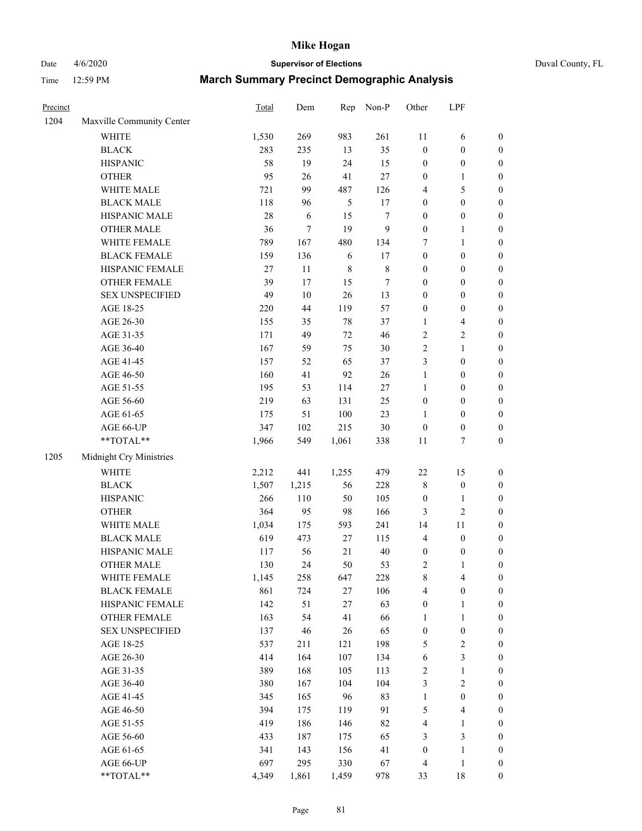## Date 4/6/2020 **Supervisor of Elections** Duval County, FL

| Precinct |                           | Total | Dem    | Rep         | Non-P            | Other            | LPF                      |                  |
|----------|---------------------------|-------|--------|-------------|------------------|------------------|--------------------------|------------------|
| 1204     | Maxville Community Center |       |        |             |                  |                  |                          |                  |
|          | <b>WHITE</b>              | 1,530 | 269    | 983         | 261              | 11               | 6                        | 0                |
|          | <b>BLACK</b>              | 283   | 235    | 13          | 35               | $\boldsymbol{0}$ | $\boldsymbol{0}$         | $\boldsymbol{0}$ |
|          | <b>HISPANIC</b>           | 58    | 19     | 24          | 15               | $\boldsymbol{0}$ | $\boldsymbol{0}$         | $\boldsymbol{0}$ |
|          | <b>OTHER</b>              | 95    | 26     | 41          | $27\,$           | $\boldsymbol{0}$ | 1                        | $\boldsymbol{0}$ |
|          | WHITE MALE                | 721   | 99     | 487         | 126              | 4                | $\mathfrak s$            | $\boldsymbol{0}$ |
|          | <b>BLACK MALE</b>         | 118   | 96     | 5           | 17               | 0                | $\boldsymbol{0}$         | $\boldsymbol{0}$ |
|          | HISPANIC MALE             | 28    | 6      | 15          | 7                | 0                | $\boldsymbol{0}$         | $\boldsymbol{0}$ |
|          | <b>OTHER MALE</b>         | 36    | $\tau$ | 19          | $\boldsymbol{9}$ | $\boldsymbol{0}$ | $\mathbf{1}$             | $\boldsymbol{0}$ |
|          | WHITE FEMALE              | 789   | 167    | 480         | 134              | 7                | $\mathbf{1}$             | $\boldsymbol{0}$ |
|          | <b>BLACK FEMALE</b>       | 159   | 136    | 6           | 17               | $\boldsymbol{0}$ | $\boldsymbol{0}$         | $\boldsymbol{0}$ |
|          | HISPANIC FEMALE           | 27    | 11     | $\,$ 8 $\,$ | $\,$ $\,$        | 0                | $\boldsymbol{0}$         | $\boldsymbol{0}$ |
|          | OTHER FEMALE              | 39    | 17     | 15          | 7                | 0                | $\boldsymbol{0}$         | $\boldsymbol{0}$ |
|          | <b>SEX UNSPECIFIED</b>    | 49    | 10     | 26          | 13               | $\boldsymbol{0}$ | $\boldsymbol{0}$         | $\boldsymbol{0}$ |
|          | AGE 18-25                 | 220   | 44     | 119         | 57               | 0                | $\boldsymbol{0}$         | $\boldsymbol{0}$ |
|          | AGE 26-30                 | 155   | 35     | 78          | 37               | 1                | $\overline{\mathcal{A}}$ | $\boldsymbol{0}$ |
|          | AGE 31-35                 | 171   | 49     | 72          | 46               | $\overline{c}$   | $\sqrt{2}$               | $\boldsymbol{0}$ |
|          | AGE 36-40                 | 167   | 59     | 75          | 30               | $\overline{c}$   | $\mathbf{1}$             | $\boldsymbol{0}$ |
|          | AGE 41-45                 | 157   | 52     | 65          | 37               | 3                | $\boldsymbol{0}$         | $\boldsymbol{0}$ |
|          | AGE 46-50                 | 160   | 41     | 92          | 26               | $\mathbf{1}$     | $\boldsymbol{0}$         | $\boldsymbol{0}$ |
|          | AGE 51-55                 | 195   | 53     | 114         | $27\,$           | 1                | $\boldsymbol{0}$         | $\boldsymbol{0}$ |
|          | AGE 56-60                 | 219   | 63     | 131         | 25               | $\boldsymbol{0}$ | $\boldsymbol{0}$         | $\boldsymbol{0}$ |
|          | AGE 61-65                 | 175   | 51     | 100         | 23               | 1                | $\boldsymbol{0}$         | $\boldsymbol{0}$ |
|          | AGE 66-UP                 | 347   | 102    | 215         | 30               | $\boldsymbol{0}$ | $\boldsymbol{0}$         | $\boldsymbol{0}$ |
|          | $**TOTAL**$               | 1,966 | 549    | 1,061       | 338              | $11\,$           | $\boldsymbol{7}$         | $\boldsymbol{0}$ |
| 1205     | Midnight Cry Ministries   |       |        |             |                  |                  |                          |                  |
|          | <b>WHITE</b>              | 2,212 | 441    | 1,255       | 479              | $22\,$           | 15                       | $\boldsymbol{0}$ |
|          | <b>BLACK</b>              | 1,507 | 1,215  | 56          | 228              | 8                | $\boldsymbol{0}$         | $\boldsymbol{0}$ |
|          | <b>HISPANIC</b>           | 266   | 110    | 50          | 105              | $\boldsymbol{0}$ | $\mathbf{1}$             | $\boldsymbol{0}$ |
|          | <b>OTHER</b>              | 364   | 95     | 98          | 166              | 3                | $\sqrt{2}$               | $\boldsymbol{0}$ |
|          | WHITE MALE                | 1,034 | 175    | 593         | 241              | 14               | 11                       | $\boldsymbol{0}$ |
|          | <b>BLACK MALE</b>         | 619   | 473    | 27          | 115              | $\overline{4}$   | $\boldsymbol{0}$         | $\boldsymbol{0}$ |
|          | HISPANIC MALE             | 117   | 56     | 21          | 40               | $\boldsymbol{0}$ | $\boldsymbol{0}$         | 0                |
|          | <b>OTHER MALE</b>         | 130   | 24     | 50          | 53               | 2                | 1                        | $\boldsymbol{0}$ |
|          | WHITE FEMALE              | 1,145 | 258    | 647         | 228              | 8                | 4                        | 0                |
|          | <b>BLACK FEMALE</b>       | 861   | 724    | 27          | 106              | 4                | $\boldsymbol{0}$         | $\boldsymbol{0}$ |
|          | HISPANIC FEMALE           | 142   | 51     | 27          | 63               | $\boldsymbol{0}$ | $\mathbf{1}$             | $\overline{0}$   |
|          | <b>OTHER FEMALE</b>       | 163   | 54     | 41          | 66               | 1                | $\mathbf{1}$             | $\overline{0}$   |
|          | <b>SEX UNSPECIFIED</b>    | 137   | 46     | 26          | 65               | $\boldsymbol{0}$ | $\boldsymbol{0}$         | 0                |
|          | AGE 18-25                 | 537   | 211    | 121         | 198              | 5                | $\sqrt{2}$               | 0                |
|          | AGE 26-30                 | 414   | 164    | 107         | 134              | 6                | 3                        | 0                |
|          | AGE 31-35                 | 389   | 168    | 105         | 113              | $\overline{c}$   | $\mathbf{1}$             | 0                |
|          | AGE 36-40                 | 380   | 167    | 104         | 104              | 3                | $\sqrt{2}$               | 0                |
|          | AGE 41-45                 | 345   | 165    | 96          | 83               | 1                | $\boldsymbol{0}$         | 0                |
|          | AGE 46-50                 | 394   | 175    | 119         | 91               | 5                | $\overline{\mathcal{A}}$ | 0                |
|          | AGE 51-55                 | 419   | 186    | 146         | 82               | 4                | $\mathbf{1}$             | 0                |
|          | AGE 56-60                 | 433   | 187    | 175         | 65               | 3                | $\mathfrak{Z}$           | $\overline{0}$   |
|          | AGE 61-65                 | 341   | 143    | 156         | 41               | $\boldsymbol{0}$ | $\mathbf{1}$             | $\overline{0}$   |
|          | AGE 66-UP                 | 697   | 295    | 330         | 67               | 4                | $\mathbf{1}$             | 0                |
|          | **TOTAL**                 | 4,349 | 1,861  | 1,459       | 978              | 33               | 18                       | $\boldsymbol{0}$ |
|          |                           |       |        |             |                  |                  |                          |                  |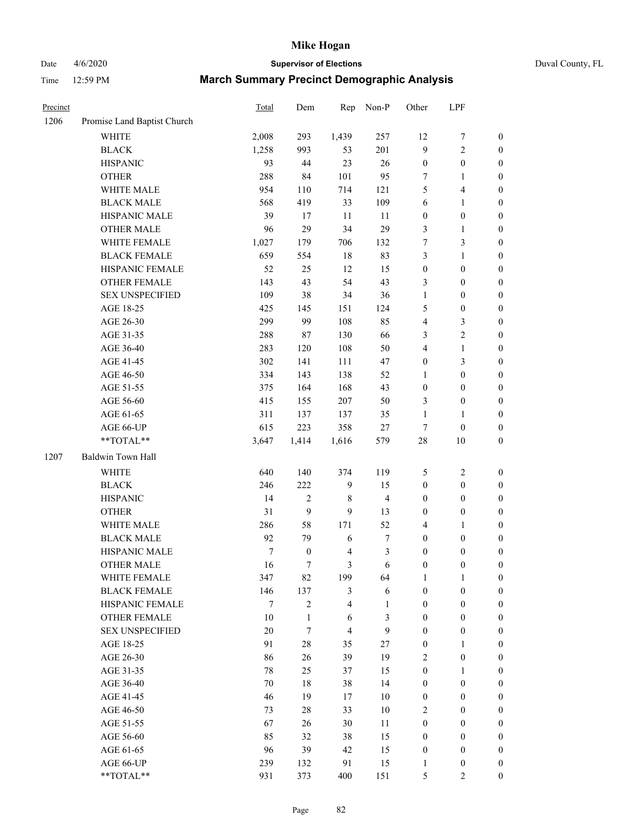## Date 4/6/2020 **Supervisor of Elections** Duval County, FL

| Precinct |                             | Total  | Dem              | Rep            | Non-P                   | Other            | LPF              |                  |
|----------|-----------------------------|--------|------------------|----------------|-------------------------|------------------|------------------|------------------|
| 1206     | Promise Land Baptist Church |        |                  |                |                         |                  |                  |                  |
|          | <b>WHITE</b>                | 2,008  | 293              | 1,439          | 257                     | 12               | $\boldsymbol{7}$ | 0                |
|          | <b>BLACK</b>                | 1,258  | 993              | 53             | 201                     | 9                | $\sqrt{2}$       | $\boldsymbol{0}$ |
|          | <b>HISPANIC</b>             | 93     | 44               | 23             | $26\,$                  | $\boldsymbol{0}$ | $\boldsymbol{0}$ | $\boldsymbol{0}$ |
|          | <b>OTHER</b>                | 288    | 84               | 101            | 95                      | 7                | 1                | $\boldsymbol{0}$ |
|          | WHITE MALE                  | 954    | 110              | 714            | 121                     | 5                | $\overline{4}$   | $\boldsymbol{0}$ |
|          | <b>BLACK MALE</b>           | 568    | 419              | 33             | 109                     | 6                | $\mathbf{1}$     | $\boldsymbol{0}$ |
|          | HISPANIC MALE               | 39     | 17               | 11             | 11                      | $\boldsymbol{0}$ | $\boldsymbol{0}$ | $\boldsymbol{0}$ |
|          | <b>OTHER MALE</b>           | 96     | 29               | 34             | 29                      | 3                | $\mathbf{1}$     | $\boldsymbol{0}$ |
|          | WHITE FEMALE                | 1,027  | 179              | 706            | 132                     | $\boldsymbol{7}$ | $\mathfrak{Z}$   | $\boldsymbol{0}$ |
|          | <b>BLACK FEMALE</b>         | 659    | 554              | 18             | 83                      | 3                | $\mathbf{1}$     | $\boldsymbol{0}$ |
|          | HISPANIC FEMALE             | 52     | 25               | 12             | 15                      | $\boldsymbol{0}$ | $\boldsymbol{0}$ | $\boldsymbol{0}$ |
|          | <b>OTHER FEMALE</b>         | 143    | 43               | 54             | 43                      | 3                | $\boldsymbol{0}$ | $\boldsymbol{0}$ |
|          | <b>SEX UNSPECIFIED</b>      | 109    | 38               | 34             | 36                      | $\mathbf{1}$     | $\boldsymbol{0}$ | $\boldsymbol{0}$ |
|          | AGE 18-25                   | 425    | 145              | 151            | 124                     | 5                | $\boldsymbol{0}$ | $\boldsymbol{0}$ |
|          | AGE 26-30                   | 299    | 99               | 108            | 85                      | 4                | $\mathfrak{Z}$   | $\boldsymbol{0}$ |
|          | AGE 31-35                   | 288    | $87\,$           | 130            | 66                      | 3                | $\sqrt{2}$       | $\boldsymbol{0}$ |
|          | AGE 36-40                   | 283    | 120              | 108            | 50                      | 4                | $\mathbf{1}$     | $\boldsymbol{0}$ |
|          | AGE 41-45                   | 302    | 141              | 111            | 47                      | $\boldsymbol{0}$ | 3                | $\boldsymbol{0}$ |
|          | AGE 46-50                   | 334    | 143              | 138            | 52                      | $\mathbf{1}$     | $\boldsymbol{0}$ | $\boldsymbol{0}$ |
|          | AGE 51-55                   | 375    | 164              | 168            | 43                      | $\boldsymbol{0}$ | $\boldsymbol{0}$ | $\boldsymbol{0}$ |
|          | AGE 56-60                   | 415    | 155              | 207            | 50                      | 3                | $\boldsymbol{0}$ | $\boldsymbol{0}$ |
|          | AGE 61-65                   | 311    | 137              | 137            | 35                      | $\mathbf{1}$     | 1                | $\boldsymbol{0}$ |
|          | AGE 66-UP                   | 615    | 223              | 358            | $27\,$                  | $\tau$           | $\boldsymbol{0}$ | $\boldsymbol{0}$ |
|          | **TOTAL**                   | 3,647  | 1,414            | 1,616          | 579                     | $28\,$           | 10               | $\boldsymbol{0}$ |
| 1207     | Baldwin Town Hall           |        |                  |                |                         |                  |                  |                  |
|          | <b>WHITE</b>                | 640    | 140              | 374            | 119                     | 5                | $\sqrt{2}$       | $\boldsymbol{0}$ |
|          | <b>BLACK</b>                | 246    | 222              | $\mathbf{9}$   | 15                      | $\boldsymbol{0}$ | $\boldsymbol{0}$ | $\boldsymbol{0}$ |
|          | <b>HISPANIC</b>             | 14     | $\sqrt{2}$       | 8              | $\overline{\mathbf{4}}$ | $\boldsymbol{0}$ | $\boldsymbol{0}$ | $\boldsymbol{0}$ |
|          | <b>OTHER</b>                | 31     | 9                | 9              | 13                      | 0                | $\boldsymbol{0}$ | $\boldsymbol{0}$ |
|          | WHITE MALE                  | 286    | 58               | 171            | 52                      | 4                | $\mathbf{1}$     | $\boldsymbol{0}$ |
|          | <b>BLACK MALE</b>           | 92     | 79               | $\sqrt{6}$     | $\boldsymbol{7}$        | $\boldsymbol{0}$ | $\boldsymbol{0}$ | $\boldsymbol{0}$ |
|          | HISPANIC MALE               | 7      | $\boldsymbol{0}$ | 4              | $\mathfrak z$           | $\boldsymbol{0}$ | $\boldsymbol{0}$ | $\boldsymbol{0}$ |
|          | <b>OTHER MALE</b>           | 16     | $\tau$           | 3              | 6                       | $\boldsymbol{0}$ | $\boldsymbol{0}$ | $\boldsymbol{0}$ |
|          | WHITE FEMALE                | 347    | 82               | 199            | 64                      | 1                | 1                | 0                |
|          | <b>BLACK FEMALE</b>         | 146    | 137              | 3              | 6                       | $\boldsymbol{0}$ | $\boldsymbol{0}$ | $\overline{0}$   |
|          | HISPANIC FEMALE             | 7      | $\overline{2}$   | 4              | 1                       | $\boldsymbol{0}$ | $\boldsymbol{0}$ | $\overline{0}$   |
|          | <b>OTHER FEMALE</b>         | $10\,$ | 1                | 6              | 3                       | $\boldsymbol{0}$ | $\boldsymbol{0}$ | $\overline{0}$   |
|          | <b>SEX UNSPECIFIED</b>      | 20     | $\tau$           | $\overline{4}$ | 9                       | $\boldsymbol{0}$ | $\boldsymbol{0}$ | $\overline{0}$   |
|          | AGE 18-25                   | 91     | $28\,$           | 35             | 27                      | 0                | 1                | $\theta$         |
|          | AGE 26-30                   | 86     | 26               | 39             | 19                      | 2                | $\boldsymbol{0}$ | 0                |
|          | AGE 31-35                   | 78     | 25               | 37             | 15                      | $\boldsymbol{0}$ | $\mathbf{1}$     | 0                |
|          | AGE 36-40                   | $70\,$ | 18               | 38             | 14                      | $\boldsymbol{0}$ | $\boldsymbol{0}$ | 0                |
|          | AGE 41-45                   | 46     | 19               | 17             | 10                      | $\boldsymbol{0}$ | $\boldsymbol{0}$ | 0                |
|          | AGE 46-50                   | 73     | $28\,$           | 33             | 10                      | 2                | $\boldsymbol{0}$ | 0                |
|          | AGE 51-55                   | 67     | 26               | 30             | 11                      | $\boldsymbol{0}$ | $\boldsymbol{0}$ | $\overline{0}$   |
|          | AGE 56-60                   | 85     | 32               | 38             | 15                      | $\boldsymbol{0}$ | $\boldsymbol{0}$ | $\overline{0}$   |
|          | AGE 61-65                   | 96     | 39               | 42             | 15                      | $\boldsymbol{0}$ | $\boldsymbol{0}$ | $\overline{0}$   |
|          | AGE 66-UP                   | 239    | 132              | 91             | 15                      | $\mathbf{1}$     | $\boldsymbol{0}$ | 0                |
|          | **TOTAL**                   | 931    | 373              | 400            | 151                     | 5                | $\overline{2}$   | $\overline{0}$   |
|          |                             |        |                  |                |                         |                  |                  |                  |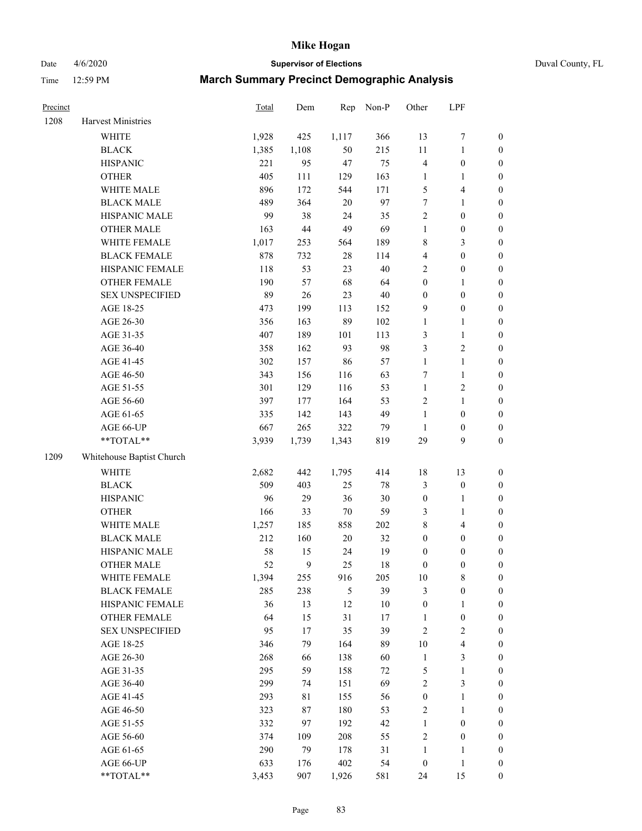Date 4/6/2020 **Supervisor of Elections** Duval County, FL

| Precinct |                           | Total | Dem    | Rep        | Non-P   | Other            | LPF                     |                  |
|----------|---------------------------|-------|--------|------------|---------|------------------|-------------------------|------------------|
| 1208     | Harvest Ministries        |       |        |            |         |                  |                         |                  |
|          | <b>WHITE</b>              | 1,928 | 425    | 1,117      | 366     | 13               | $\boldsymbol{7}$        | $\boldsymbol{0}$ |
|          | <b>BLACK</b>              | 1,385 | 1,108  | 50         | 215     | $11\,$           | $\mathbf{1}$            | $\boldsymbol{0}$ |
|          | <b>HISPANIC</b>           | 221   | 95     | 47         | 75      | 4                | $\boldsymbol{0}$        | $\boldsymbol{0}$ |
|          | <b>OTHER</b>              | 405   | 111    | 129        | 163     | $\mathbf{1}$     | 1                       | $\boldsymbol{0}$ |
|          | WHITE MALE                | 896   | 172    | 544        | 171     | 5                | $\overline{4}$          | $\boldsymbol{0}$ |
|          | <b>BLACK MALE</b>         | 489   | 364    | $20\,$     | 97      | 7                | $\mathbf{1}$            | $\boldsymbol{0}$ |
|          | HISPANIC MALE             | 99    | 38     | 24         | 35      | $\overline{c}$   | $\boldsymbol{0}$        | $\boldsymbol{0}$ |
|          | <b>OTHER MALE</b>         | 163   | 44     | 49         | 69      | $\mathbf{1}$     | $\boldsymbol{0}$        | $\boldsymbol{0}$ |
|          | WHITE FEMALE              | 1,017 | 253    | 564        | 189     | 8                | $\mathfrak{Z}$          | $\boldsymbol{0}$ |
|          | <b>BLACK FEMALE</b>       | 878   | 732    | 28         | 114     | 4                | $\boldsymbol{0}$        | $\boldsymbol{0}$ |
|          | HISPANIC FEMALE           | 118   | 53     | 23         | 40      | $\overline{c}$   | $\boldsymbol{0}$        | $\boldsymbol{0}$ |
|          | OTHER FEMALE              | 190   | 57     | 68         | 64      | $\boldsymbol{0}$ | $\mathbf{1}$            | $\boldsymbol{0}$ |
|          | <b>SEX UNSPECIFIED</b>    | 89    | $26\,$ | 23         | $40\,$  | $\boldsymbol{0}$ | $\boldsymbol{0}$        | $\boldsymbol{0}$ |
|          | AGE 18-25                 | 473   | 199    | 113        | 152     | 9                | $\boldsymbol{0}$        | $\boldsymbol{0}$ |
|          | AGE 26-30                 | 356   | 163    | 89         | 102     | $\mathbf{1}$     | $\mathbf{1}$            | $\boldsymbol{0}$ |
|          | AGE 31-35                 | 407   | 189    | 101        | 113     | 3                | $\mathbf{1}$            | $\boldsymbol{0}$ |
|          | AGE 36-40                 | 358   | 162    | 93         | 98      | 3                | $\overline{2}$          | $\boldsymbol{0}$ |
|          | AGE 41-45                 | 302   | 157    | 86         | 57      | $\mathbf{1}$     | $\mathbf{1}$            | $\boldsymbol{0}$ |
|          | AGE 46-50                 | 343   | 156    | 116        | 63      | 7                | $\mathbf{1}$            | $\boldsymbol{0}$ |
|          | AGE 51-55                 | 301   | 129    | 116        | 53      | $\mathbf{1}$     | $\sqrt{2}$              | 0                |
|          | AGE 56-60                 | 397   | 177    | 164        | 53      | 2                | $\mathbf{1}$            | $\boldsymbol{0}$ |
|          | AGE 61-65                 | 335   | 142    | 143        | 49      | $\mathbf{1}$     | $\boldsymbol{0}$        | $\boldsymbol{0}$ |
|          | AGE 66-UP                 | 667   | 265    | 322        | 79      | 1                | $\boldsymbol{0}$        | $\boldsymbol{0}$ |
|          | $**TOTAL**$               | 3,939 | 1,739  | 1,343      | 819     | 29               | 9                       | $\boldsymbol{0}$ |
| 1209     | Whitehouse Baptist Church |       |        |            |         |                  |                         |                  |
|          | <b>WHITE</b>              | 2,682 | 442    | 1,795      | 414     | 18               | 13                      | $\boldsymbol{0}$ |
|          | <b>BLACK</b>              | 509   | 403    | 25         | $78\,$  | 3                | $\boldsymbol{0}$        | $\boldsymbol{0}$ |
|          | <b>HISPANIC</b>           | 96    | 29     | 36         | $30\,$  | $\boldsymbol{0}$ | $\mathbf{1}$            | $\boldsymbol{0}$ |
|          | <b>OTHER</b>              | 166   | 33     | $70\,$     | 59      | 3                | $\mathbf{1}$            | $\boldsymbol{0}$ |
|          | WHITE MALE                | 1,257 | 185    | 858        | $202\,$ | 8                | $\overline{4}$          | $\boldsymbol{0}$ |
|          | <b>BLACK MALE</b>         | 212   | 160    | $20\,$     | 32      | $\boldsymbol{0}$ | $\boldsymbol{0}$        | $\boldsymbol{0}$ |
|          | HISPANIC MALE             | 58    | 15     | 24         | 19      | $\boldsymbol{0}$ | $\boldsymbol{0}$        | 0                |
|          | <b>OTHER MALE</b>         | 52    | 9      | 25         | 18      | 0                | $\boldsymbol{0}$        | $\boldsymbol{0}$ |
|          | WHITE FEMALE              | 1,394 | 255    | 916        | 205     | 10               | $\,$ 8 $\,$             | 0                |
|          | <b>BLACK FEMALE</b>       | 285   | 238    | $\sqrt{5}$ | 39      | 3                | $\boldsymbol{0}$        | $\overline{0}$   |
|          | HISPANIC FEMALE           | 36    | 13     | 12         | $10\,$  | $\boldsymbol{0}$ | $\mathbf{1}$            | 0                |
|          | <b>OTHER FEMALE</b>       | 64    | 15     | 31         | 17      | $\mathbf{1}$     | $\boldsymbol{0}$        | 0                |
|          | <b>SEX UNSPECIFIED</b>    | 95    | 17     | 35         | 39      | $\overline{c}$   | $\sqrt{2}$              | 0                |
|          | AGE 18-25                 | 346   | 79     | 164        | 89      | $10\,$           | $\overline{\mathbf{4}}$ | 0                |
|          | AGE 26-30                 | 268   | 66     | 138        | 60      | $\mathbf{1}$     | $\mathfrak{Z}$          | 0                |
|          | AGE 31-35                 | 295   | 59     | 158        | $72\,$  | 5                | $\mathbf{1}$            | 0                |
|          | AGE 36-40                 | 299   | 74     | 151        | 69      | $\overline{c}$   | $\mathfrak z$           | 0                |
|          | AGE 41-45                 | 293   | 81     | 155        | 56      | $\boldsymbol{0}$ | $\mathbf{1}$            | 0                |
|          | AGE 46-50                 | 323   | 87     | 180        | 53      | 2                | $\mathbf{1}$            | 0                |
|          | AGE 51-55                 | 332   | 97     | 192        | 42      | $\mathbf{1}$     | $\boldsymbol{0}$        | $\boldsymbol{0}$ |
|          | AGE 56-60                 | 374   | 109    | 208        | 55      | 2                | $\boldsymbol{0}$        | $\overline{0}$   |
|          | AGE 61-65                 | 290   | 79     | 178        | 31      | $\mathbf{1}$     | 1                       | 0                |
|          | AGE 66-UP                 | 633   | 176    | 402        | 54      | $\boldsymbol{0}$ | $\mathbf{1}$            | 0                |
|          | **TOTAL**                 | 3,453 | 907    | 1,926      | 581     | 24               | 15                      | $\boldsymbol{0}$ |
|          |                           |       |        |            |         |                  |                         |                  |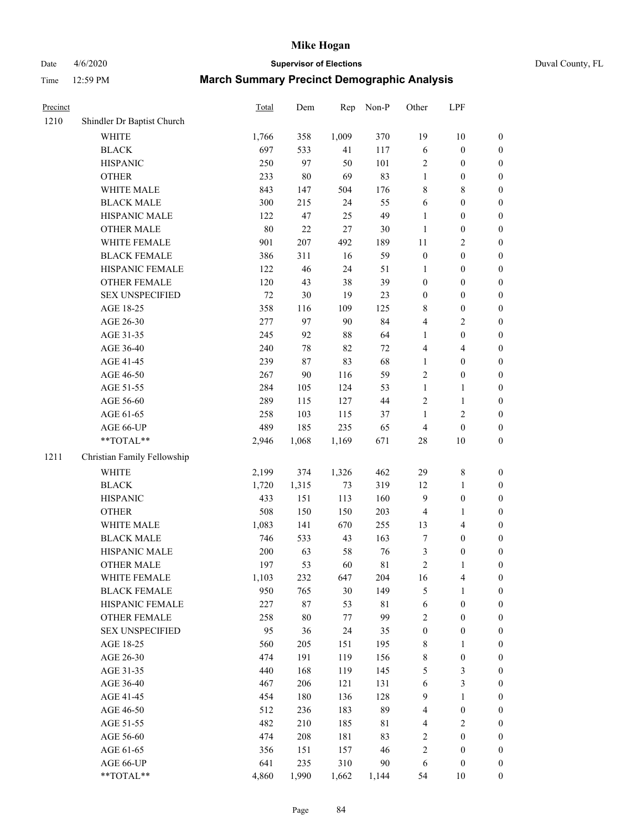## Date 4/6/2020 **Supervisor of Elections** Duval County, FL

| Precinct |                             | Total  | Dem   | Rep   | Non-P       | Other                   | LPF              |                  |
|----------|-----------------------------|--------|-------|-------|-------------|-------------------------|------------------|------------------|
| 1210     | Shindler Dr Baptist Church  |        |       |       |             |                         |                  |                  |
|          | <b>WHITE</b>                | 1,766  | 358   | 1,009 | 370         | 19                      | 10               | 0                |
|          | <b>BLACK</b>                | 697    | 533   | 41    | 117         | 6                       | $\boldsymbol{0}$ | $\boldsymbol{0}$ |
|          | <b>HISPANIC</b>             | 250    | 97    | 50    | 101         | 2                       | $\boldsymbol{0}$ | $\boldsymbol{0}$ |
|          | <b>OTHER</b>                | 233    | 80    | 69    | 83          | 1                       | $\boldsymbol{0}$ | $\boldsymbol{0}$ |
|          | WHITE MALE                  | 843    | 147   | 504   | 176         | 8                       | $\,$ 8 $\,$      | $\boldsymbol{0}$ |
|          | <b>BLACK MALE</b>           | 300    | 215   | 24    | 55          | 6                       | $\boldsymbol{0}$ | $\boldsymbol{0}$ |
|          | HISPANIC MALE               | 122    | 47    | 25    | 49          | 1                       | $\boldsymbol{0}$ | $\boldsymbol{0}$ |
|          | <b>OTHER MALE</b>           | $80\,$ | 22    | 27    | 30          | $\mathbf{1}$            | $\boldsymbol{0}$ | $\boldsymbol{0}$ |
|          | WHITE FEMALE                | 901    | 207   | 492   | 189         | $11\,$                  | $\sqrt{2}$       | $\boldsymbol{0}$ |
|          | <b>BLACK FEMALE</b>         | 386    | 311   | 16    | 59          | $\boldsymbol{0}$        | $\boldsymbol{0}$ | $\boldsymbol{0}$ |
|          | HISPANIC FEMALE             | 122    | 46    | 24    | 51          | 1                       | $\boldsymbol{0}$ | $\boldsymbol{0}$ |
|          | OTHER FEMALE                | 120    | 43    | 38    | 39          | $\boldsymbol{0}$        | $\boldsymbol{0}$ | $\boldsymbol{0}$ |
|          | <b>SEX UNSPECIFIED</b>      | 72     | 30    | 19    | 23          | $\boldsymbol{0}$        | $\boldsymbol{0}$ | $\boldsymbol{0}$ |
|          | AGE 18-25                   | 358    | 116   | 109   | 125         | 8                       | $\boldsymbol{0}$ | $\boldsymbol{0}$ |
|          | AGE 26-30                   | 277    | 97    | 90    | 84          | 4                       | $\sqrt{2}$       | $\boldsymbol{0}$ |
|          | AGE 31-35                   | 245    | 92    | 88    | 64          | 1                       | $\boldsymbol{0}$ | $\boldsymbol{0}$ |
|          | AGE 36-40                   | 240    | 78    | 82    | $72\,$      | 4                       | $\overline{4}$   | $\boldsymbol{0}$ |
|          | AGE 41-45                   | 239    | 87    | 83    | 68          | $\mathbf{1}$            | $\boldsymbol{0}$ | $\boldsymbol{0}$ |
|          | AGE 46-50                   | 267    | 90    | 116   | 59          | $\overline{c}$          | $\boldsymbol{0}$ | $\boldsymbol{0}$ |
|          | AGE 51-55                   | 284    | 105   | 124   | 53          | $\mathbf{1}$            | 1                | $\boldsymbol{0}$ |
|          | AGE 56-60                   | 289    | 115   | 127   | 44          | 2                       | $\mathbf{1}$     | 0                |
|          | AGE 61-65                   | 258    | 103   | 115   | 37          | 1                       | $\sqrt{2}$       | $\boldsymbol{0}$ |
|          | AGE 66-UP                   | 489    | 185   | 235   | 65          | $\overline{4}$          | $\boldsymbol{0}$ | $\boldsymbol{0}$ |
|          | **TOTAL**                   | 2,946  | 1,068 | 1,169 | 671         | 28                      | $10\,$           | $\boldsymbol{0}$ |
| 1211     | Christian Family Fellowship |        |       |       |             |                         |                  |                  |
|          | <b>WHITE</b>                | 2,199  | 374   | 1,326 | 462         | 29                      | $\,$ $\,$        | $\boldsymbol{0}$ |
|          | <b>BLACK</b>                | 1,720  | 1,315 | 73    | 319         | 12                      | $\mathbf{1}$     | $\boldsymbol{0}$ |
|          | <b>HISPANIC</b>             | 433    | 151   | 113   | 160         | 9                       | $\boldsymbol{0}$ | $\boldsymbol{0}$ |
|          | <b>OTHER</b>                | 508    | 150   | 150   | 203         | 4                       | $\mathbf{1}$     | $\boldsymbol{0}$ |
|          | WHITE MALE                  | 1,083  | 141   | 670   | 255         | 13                      | $\overline{4}$   | $\boldsymbol{0}$ |
|          | <b>BLACK MALE</b>           | 746    | 533   | 43    | 163         | 7                       | $\boldsymbol{0}$ | $\boldsymbol{0}$ |
|          | HISPANIC MALE               | 200    | 63    | 58    | 76          | 3                       | $\boldsymbol{0}$ | $\boldsymbol{0}$ |
|          | <b>OTHER MALE</b>           | 197    | 53    | 60    | 81          | $\overline{c}$          | 1                | $\boldsymbol{0}$ |
|          | WHITE FEMALE                | 1,103  | 232   | 647   | 204         | 16                      | 4                | 0                |
|          | <b>BLACK FEMALE</b>         | 950    | 765   | 30    | 149         | 5                       | $\mathbf{1}$     | $\boldsymbol{0}$ |
|          | HISPANIC FEMALE             | 227    | 87    | 53    | $8\sqrt{1}$ | 6                       | $\boldsymbol{0}$ | $\overline{0}$   |
|          | <b>OTHER FEMALE</b>         | 258    | 80    | 77    | 99          | $\overline{\mathbf{c}}$ | $\boldsymbol{0}$ | $\overline{0}$   |
|          | <b>SEX UNSPECIFIED</b>      | 95     | 36    | 24    | 35          | $\boldsymbol{0}$        | $\boldsymbol{0}$ | 0                |
|          | AGE 18-25                   | 560    | 205   | 151   | 195         | 8                       | $\mathbf{1}$     | $\overline{0}$   |
|          | AGE 26-30                   | 474    | 191   | 119   | 156         | 8                       | $\boldsymbol{0}$ | 0                |
|          | AGE 31-35                   | 440    | 168   | 119   | 145         | 5                       | $\sqrt{3}$       | 0                |
|          | AGE 36-40                   | 467    | 206   | 121   | 131         | 6                       | $\mathfrak{Z}$   | 0                |
|          | AGE 41-45                   | 454    | 180   | 136   | 128         | 9                       | $\mathbf{1}$     | 0                |
|          | AGE 46-50                   | 512    | 236   | 183   | 89          | 4                       | $\boldsymbol{0}$ | 0                |
|          | AGE 51-55                   | 482    | 210   | 185   | $8\sqrt{1}$ | 4                       | $\sqrt{2}$       | 0                |
|          | AGE 56-60                   | 474    | 208   | 181   | 83          | 2                       | $\boldsymbol{0}$ | $\overline{0}$   |
|          | AGE 61-65                   | 356    | 151   | 157   | 46          | $\overline{\mathbf{c}}$ | $\boldsymbol{0}$ | $\overline{0}$   |
|          | AGE 66-UP                   | 641    | 235   | 310   | 90          | 6                       | $\boldsymbol{0}$ | 0                |
|          | **TOTAL**                   | 4,860  | 1,990 | 1,662 | 1,144       | 54                      | 10               | $\boldsymbol{0}$ |
|          |                             |        |       |       |             |                         |                  |                  |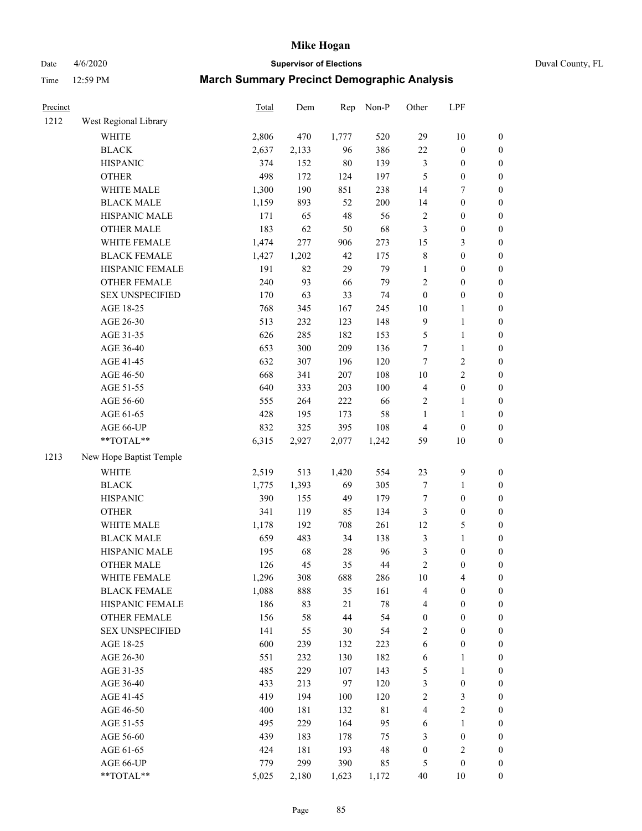Date 4/6/2020 **Supervisor of Elections** Duval County, FL

| Precinct |                         | Total | Dem   | Rep    | Non-P       | Other                   | LPF              |                  |
|----------|-------------------------|-------|-------|--------|-------------|-------------------------|------------------|------------------|
| 1212     | West Regional Library   |       |       |        |             |                         |                  |                  |
|          | <b>WHITE</b>            | 2,806 | 470   | 1,777  | 520         | 29                      | 10               | 0                |
|          | <b>BLACK</b>            | 2,637 | 2,133 | 96     | 386         | 22                      | $\boldsymbol{0}$ | 0                |
|          | <b>HISPANIC</b>         | 374   | 152   | $80\,$ | 139         | $\mathfrak{Z}$          | $\boldsymbol{0}$ | $\boldsymbol{0}$ |
|          | <b>OTHER</b>            | 498   | 172   | 124    | 197         | 5                       | $\boldsymbol{0}$ | $\boldsymbol{0}$ |
|          | WHITE MALE              | 1,300 | 190   | 851    | 238         | 14                      | 7                | $\boldsymbol{0}$ |
|          | <b>BLACK MALE</b>       | 1,159 | 893   | 52     | 200         | 14                      | $\boldsymbol{0}$ | $\boldsymbol{0}$ |
|          | HISPANIC MALE           | 171   | 65    | 48     | 56          | $\sqrt{2}$              | $\boldsymbol{0}$ | $\boldsymbol{0}$ |
|          | <b>OTHER MALE</b>       | 183   | 62    | 50     | 68          | 3                       | $\boldsymbol{0}$ | $\boldsymbol{0}$ |
|          | WHITE FEMALE            | 1,474 | 277   | 906    | 273         | 15                      | 3                | $\boldsymbol{0}$ |
|          | <b>BLACK FEMALE</b>     | 1,427 | 1,202 | 42     | 175         | $\,$ 8 $\,$             | $\boldsymbol{0}$ | $\boldsymbol{0}$ |
|          | HISPANIC FEMALE         | 191   | 82    | 29     | 79          | $\mathbf{1}$            | $\boldsymbol{0}$ | $\boldsymbol{0}$ |
|          | <b>OTHER FEMALE</b>     | 240   | 93    | 66     | 79          | $\sqrt{2}$              | $\boldsymbol{0}$ | $\boldsymbol{0}$ |
|          | <b>SEX UNSPECIFIED</b>  | 170   | 63    | 33     | 74          | $\boldsymbol{0}$        | $\boldsymbol{0}$ | $\boldsymbol{0}$ |
|          | AGE 18-25               | 768   | 345   | 167    | 245         | $10\,$                  | $\mathbf{1}$     | $\boldsymbol{0}$ |
|          | AGE 26-30               | 513   | 232   | 123    | 148         | 9                       | $\mathbf{1}$     | $\boldsymbol{0}$ |
|          | AGE 31-35               | 626   | 285   | 182    | 153         | 5                       | $\mathbf{1}$     | $\boldsymbol{0}$ |
|          | AGE 36-40               | 653   | 300   | 209    | 136         | $\boldsymbol{7}$        | $\mathbf{1}$     | $\boldsymbol{0}$ |
|          | AGE 41-45               | 632   | 307   | 196    | 120         | $\tau$                  | $\mathbf{2}$     | $\boldsymbol{0}$ |
|          | AGE 46-50               | 668   | 341   | 207    | 108         | $10\,$                  | $\overline{c}$   | $\boldsymbol{0}$ |
|          | AGE 51-55               | 640   | 333   | 203    | 100         | $\overline{\mathbf{4}}$ | $\boldsymbol{0}$ | $\boldsymbol{0}$ |
|          | AGE 56-60               | 555   | 264   | 222    | 66          | $\sqrt{2}$              | $\mathbf{1}$     | $\boldsymbol{0}$ |
|          | AGE 61-65               | 428   | 195   | 173    | 58          | 1                       | $\mathbf{1}$     | $\boldsymbol{0}$ |
|          | AGE 66-UP               | 832   | 325   | 395    | 108         | 4                       | $\boldsymbol{0}$ | $\boldsymbol{0}$ |
|          | **TOTAL**               | 6,315 | 2,927 | 2,077  | 1,242       | 59                      | $10\,$           | $\boldsymbol{0}$ |
| 1213     | New Hope Baptist Temple |       |       |        |             |                         |                  |                  |
|          | <b>WHITE</b>            | 2,519 | 513   | 1,420  | 554         | 23                      | $\boldsymbol{9}$ | $\boldsymbol{0}$ |
|          | <b>BLACK</b>            | 1,775 | 1,393 | 69     | 305         | 7                       | $\mathbf{1}$     | $\boldsymbol{0}$ |
|          | <b>HISPANIC</b>         | 390   | 155   | 49     | 179         | $\boldsymbol{7}$        | $\boldsymbol{0}$ | $\boldsymbol{0}$ |
|          | <b>OTHER</b>            | 341   | 119   | 85     | 134         | 3                       | $\boldsymbol{0}$ | $\boldsymbol{0}$ |
|          | WHITE MALE              | 1,178 | 192   | 708    | 261         | 12                      | 5                | $\boldsymbol{0}$ |
|          | <b>BLACK MALE</b>       | 659   | 483   | 34     | 138         | $\mathfrak{Z}$          | $\mathbf{1}$     | $\boldsymbol{0}$ |
|          | HISPANIC MALE           | 195   | 68    | $28\,$ | 96          | $\mathfrak{Z}$          | $\boldsymbol{0}$ | 0                |
|          | <b>OTHER MALE</b>       | 126   | 45    | 35     | 44          | $\overline{c}$          | $\boldsymbol{0}$ | $\boldsymbol{0}$ |
|          | WHITE FEMALE            | 1,296 | 308   | 688    | 286         | 10                      | 4                | 0                |
|          | <b>BLACK FEMALE</b>     | 1,088 | 888   | 35     | 161         | $\overline{4}$          | $\boldsymbol{0}$ | $\boldsymbol{0}$ |
|          | HISPANIC FEMALE         | 186   | 83    | 21     | $78\,$      | $\overline{4}$          | $\boldsymbol{0}$ | $\overline{0}$   |
|          | <b>OTHER FEMALE</b>     | 156   | 58    | 44     | 54          | $\boldsymbol{0}$        | $\boldsymbol{0}$ | $\overline{0}$   |
|          | <b>SEX UNSPECIFIED</b>  | 141   | 55    | 30     | 54          | 2                       | $\boldsymbol{0}$ | 0                |
|          | AGE 18-25               | 600   | 239   | 132    | 223         | 6                       | $\boldsymbol{0}$ | 0                |
|          | AGE 26-30               | 551   | 232   | 130    | 182         | 6                       | 1                | 0                |
|          | AGE 31-35               | 485   | 229   | 107    | 143         | 5                       | $\mathbf{1}$     | 0                |
|          | AGE 36-40               | 433   | 213   | 97     | 120         | 3                       | $\boldsymbol{0}$ | 0                |
|          | AGE 41-45               | 419   | 194   | 100    | 120         | $\overline{c}$          | $\mathfrak{Z}$   | 0                |
|          | AGE 46-50               | 400   | 181   | 132    | $8\sqrt{1}$ | 4                       | $\sqrt{2}$       | 0                |
|          | AGE 51-55               | 495   | 229   | 164    | 95          | 6                       | $\mathbf{1}$     | 0                |
|          | AGE 56-60               | 439   | 183   | 178    | 75          | 3                       | $\boldsymbol{0}$ | $\overline{0}$   |
|          | AGE 61-65               | 424   | 181   | 193    | 48          | $\boldsymbol{0}$        | $\sqrt{2}$       | $\overline{0}$   |
|          | AGE 66-UP               | 779   | 299   | 390    | 85          | 5                       | $\boldsymbol{0}$ | 0                |
|          | **TOTAL**               | 5,025 | 2,180 | 1,623  | 1,172       | 40                      | 10               | $\boldsymbol{0}$ |
|          |                         |       |       |        |             |                         |                  |                  |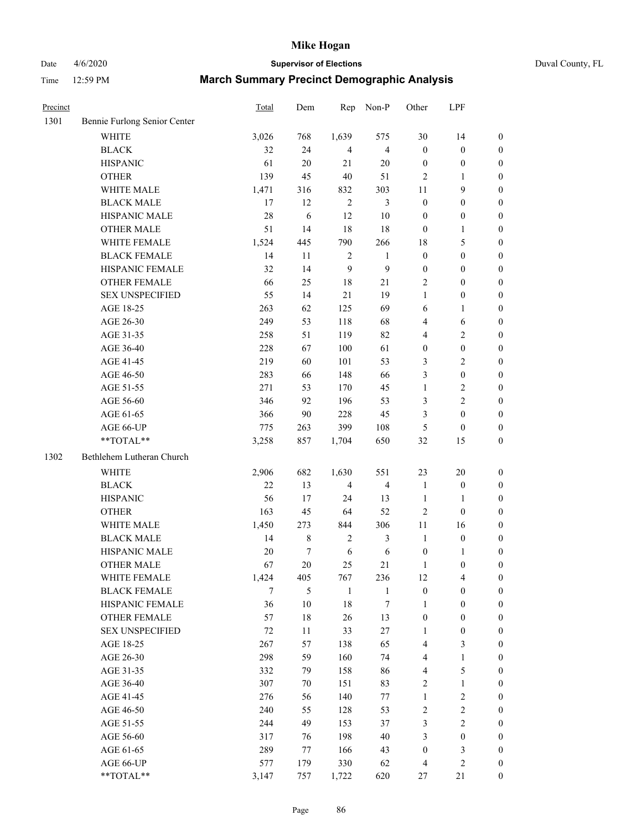## Date 4/6/2020 **Supervisor of Elections** Duval County, FL

| Precinct |                                               | Total      | Dem           | Rep            | Non-P            | Other             | LPF                        |                  |
|----------|-----------------------------------------------|------------|---------------|----------------|------------------|-------------------|----------------------------|------------------|
| 1301     | Bennie Furlong Senior Center                  |            |               |                |                  |                   |                            |                  |
|          | <b>WHITE</b>                                  | 3,026      | 768           | 1,639          | 575              | 30                | 14                         | $\boldsymbol{0}$ |
|          | <b>BLACK</b>                                  | 32         | 24            | $\overline{4}$ | $\overline{4}$   | $\boldsymbol{0}$  | $\boldsymbol{0}$           | $\boldsymbol{0}$ |
|          | <b>HISPANIC</b>                               | 61         | 20            | 21             | 20               | $\boldsymbol{0}$  | $\boldsymbol{0}$           | $\boldsymbol{0}$ |
|          | <b>OTHER</b>                                  | 139        | 45            | 40             | 51               | 2                 | 1                          | $\boldsymbol{0}$ |
|          | WHITE MALE                                    | 1,471      | 316           | 832            | 303              | 11                | 9                          | $\boldsymbol{0}$ |
|          | <b>BLACK MALE</b>                             | 17         | 12            | $\overline{2}$ | $\mathfrak{Z}$   | $\boldsymbol{0}$  | $\boldsymbol{0}$           | $\boldsymbol{0}$ |
|          | HISPANIC MALE                                 | 28         | 6             | 12             | 10               | $\boldsymbol{0}$  | $\boldsymbol{0}$           | $\boldsymbol{0}$ |
|          | <b>OTHER MALE</b>                             | 51         | 14            | 18             | 18               | $\boldsymbol{0}$  | 1                          | $\boldsymbol{0}$ |
|          | WHITE FEMALE                                  | 1,524      | 445           | 790            | 266              | 18                | 5                          | $\boldsymbol{0}$ |
|          | <b>BLACK FEMALE</b>                           | 14         | 11            | $\overline{c}$ | $\mathbf{1}$     | $\boldsymbol{0}$  | $\boldsymbol{0}$           | 0                |
|          | HISPANIC FEMALE                               | 32         | 14            | 9              | $\boldsymbol{9}$ | $\boldsymbol{0}$  | $\boldsymbol{0}$           | $\boldsymbol{0}$ |
|          | <b>OTHER FEMALE</b>                           | 66         | 25            | 18             | $21\,$           | 2                 | $\boldsymbol{0}$           | $\boldsymbol{0}$ |
|          | <b>SEX UNSPECIFIED</b>                        | 55         | 14            | $21\,$         | 19               | 1                 | $\boldsymbol{0}$           | $\boldsymbol{0}$ |
|          | AGE 18-25                                     | 263        | 62            | 125            | 69               | 6                 | $\mathbf{1}$               | $\boldsymbol{0}$ |
|          | AGE 26-30                                     | 249        | 53            | 118            | 68               | 4                 | 6                          | $\boldsymbol{0}$ |
|          | AGE 31-35                                     | 258        | 51            | 119            | 82               | 4                 | $\sqrt{2}$                 | $\boldsymbol{0}$ |
|          | AGE 36-40                                     | 228        | 67            | 100            | 61               | $\boldsymbol{0}$  | $\boldsymbol{0}$           | $\boldsymbol{0}$ |
|          | AGE 41-45                                     | 219        | 60            | 101            | 53               | 3                 | $\sqrt{2}$                 | $\boldsymbol{0}$ |
|          | AGE 46-50                                     | 283        | 66            | 148            | 66               | 3                 | $\boldsymbol{0}$           | $\boldsymbol{0}$ |
|          | AGE 51-55                                     | 271        | 53            | 170            | 45               | $\mathbf{1}$      | $\sqrt{2}$                 | 0                |
|          | AGE 56-60                                     | 346        | 92            | 196            | 53               | 3                 | $\sqrt{2}$                 | $\boldsymbol{0}$ |
|          | AGE 61-65                                     | 366        | 90            | 228            | 45               | 3                 | $\boldsymbol{0}$           | $\boldsymbol{0}$ |
|          | AGE 66-UP                                     | 775        | 263           | 399            | 108              | 5                 | $\boldsymbol{0}$           | $\boldsymbol{0}$ |
|          | **TOTAL**                                     | 3,258      | 857           | 1,704          | 650              | 32                | 15                         | $\boldsymbol{0}$ |
| 1302     | Bethlehem Lutheran Church                     |            |               |                |                  |                   |                            |                  |
|          |                                               |            |               |                |                  |                   |                            |                  |
|          | <b>WHITE</b>                                  | 2,906      | 682           | 1,630          | 551              | 23                | 20                         | $\boldsymbol{0}$ |
|          | <b>BLACK</b>                                  | 22         | 13            | $\overline{4}$ | $\overline{4}$   | $\mathbf{1}$      | $\boldsymbol{0}$           | $\boldsymbol{0}$ |
|          | <b>HISPANIC</b>                               | 56         | 17            | 24             | 13               | $\mathbf{1}$      | $\mathbf{1}$               | $\boldsymbol{0}$ |
|          | <b>OTHER</b>                                  | 163        | 45            | 64             | 52               | 2                 | $\boldsymbol{0}$           | $\boldsymbol{0}$ |
|          | WHITE MALE                                    | 1,450      | 273           | 844            | 306              | 11                | 16                         | $\boldsymbol{0}$ |
|          | <b>BLACK MALE</b>                             | 14         | $\,$ 8 $\,$   | $\overline{c}$ | $\mathfrak{Z}$   | $\mathbf{1}$      | $\boldsymbol{0}$           | $\boldsymbol{0}$ |
|          | HISPANIC MALE                                 | 20         | $\tau$        | 6              | 6                | $\boldsymbol{0}$  | 1                          | 0                |
|          | <b>OTHER MALE</b>                             | 67         | 20            | 25             | 21               | 1                 | $\boldsymbol{0}$           | $\boldsymbol{0}$ |
|          | WHITE FEMALE                                  | 1,424      | 405           | 767            | 236              | 12                | $\overline{4}$             | $\overline{0}$   |
|          | <b>BLACK FEMALE</b>                           | 7          | $\mathfrak s$ | $\mathbf{1}$   | $\mathbf{1}$     | $\boldsymbol{0}$  | $\boldsymbol{0}$           | $\overline{0}$   |
|          | HISPANIC FEMALE                               | 36         | 10            | 18             | 7                | 1                 | $\boldsymbol{0}$           | $\overline{0}$   |
|          | <b>OTHER FEMALE</b><br><b>SEX UNSPECIFIED</b> | 57         | $18\,$        | 26             | 13               | $\boldsymbol{0}$  | $\boldsymbol{0}$           | $\overline{0}$   |
|          |                                               | $72\,$     | 11            | 33             | $27\,$           | 1                 | $\boldsymbol{0}$           | 0                |
|          | AGE 18-25                                     | 267        | 57            | 138            | 65               | 4                 | 3                          | 0                |
|          | AGE 26-30                                     | 298        | 59            | 160            | 74               | 4                 | $\mathbf{1}$<br>5          | 0                |
|          | AGE 31-35                                     | 332        | 79            | 158            | 86               | 4                 |                            | 0                |
|          | AGE 36-40                                     | 307<br>276 | 70            | 151<br>140     | 83<br>$77 \,$    | 2<br>$\mathbf{1}$ | $\mathbf{1}$<br>$\sqrt{2}$ | 0                |
|          | AGE 41-45                                     |            | 56            |                |                  |                   |                            | 0                |
|          | AGE 46-50                                     | 240        | 55            | 128            | 53               | 2                 | $\sqrt{2}$                 | 0                |
|          | AGE 51-55                                     | 244        | 49            | 153            | 37               | 3                 | $\sqrt{2}$                 | $\boldsymbol{0}$ |
|          | AGE 56-60                                     | 317        | 76            | 198            | 40               | 3                 | $\boldsymbol{0}$           | $\boldsymbol{0}$ |
|          | AGE 61-65                                     | 289        | 77            | 166            | 43               | $\boldsymbol{0}$  | $\mathfrak{Z}$             | 0                |
|          | AGE 66-UP                                     | 577        | 179           | 330            | 62               | 4                 | $\sqrt{2}$                 | 0                |
|          | **TOTAL**                                     | 3,147      | 757           | 1,722          | 620              | 27                | 21                         | $\boldsymbol{0}$ |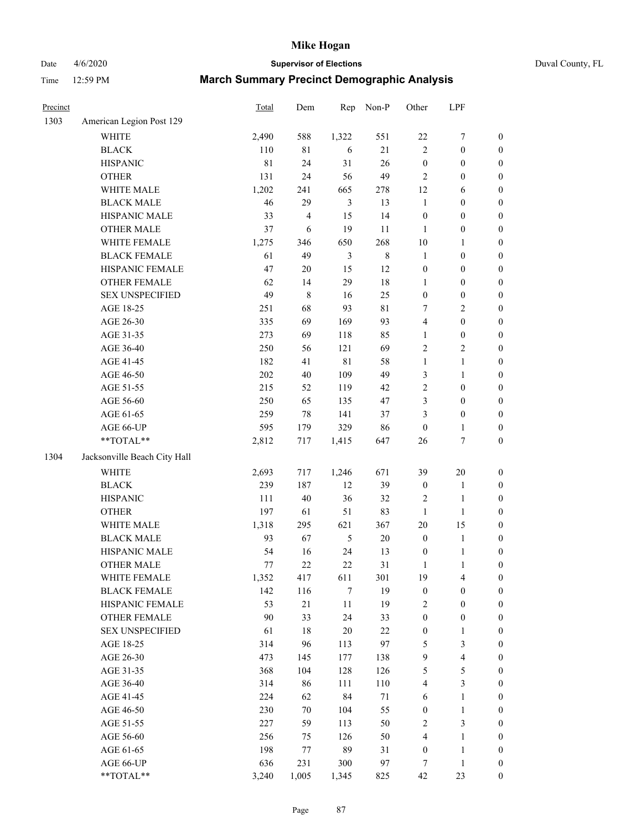Date 4/6/2020 **Supervisor of Elections** Duval County, FL

| Precinct |                                 | Total      | Dem        | Rep            | Non-P         | Other            | LPF                                   |                  |
|----------|---------------------------------|------------|------------|----------------|---------------|------------------|---------------------------------------|------------------|
| 1303     | American Legion Post 129        |            |            |                |               |                  |                                       |                  |
|          | <b>WHITE</b>                    | 2,490      | 588        | 1,322          | 551           | $22\,$           | $\boldsymbol{7}$                      | $\boldsymbol{0}$ |
|          | <b>BLACK</b>                    | 110        | 81         | 6              | 21            | $\overline{2}$   | $\boldsymbol{0}$                      | $\boldsymbol{0}$ |
|          | <b>HISPANIC</b>                 | 81         | 24         | 31             | 26            | $\boldsymbol{0}$ | $\boldsymbol{0}$                      | $\boldsymbol{0}$ |
|          | <b>OTHER</b>                    | 131        | 24         | 56             | 49            | $\overline{2}$   | $\boldsymbol{0}$                      | $\boldsymbol{0}$ |
|          | WHITE MALE                      | 1,202      | 241        | 665            | 278           | 12               | 6                                     | $\boldsymbol{0}$ |
|          | <b>BLACK MALE</b>               | 46         | 29         | $\mathfrak{Z}$ | 13            | $\mathbf{1}$     | $\boldsymbol{0}$                      | $\boldsymbol{0}$ |
|          | HISPANIC MALE                   | 33         | 4          | 15             | 14            | $\boldsymbol{0}$ | $\boldsymbol{0}$                      | $\boldsymbol{0}$ |
|          | <b>OTHER MALE</b>               | 37         | $\sqrt{6}$ | 19             | 11            | $\mathbf{1}$     | $\boldsymbol{0}$                      | $\boldsymbol{0}$ |
|          | WHITE FEMALE                    | 1,275      | 346        | 650            | 268           | $10\,$           | 1                                     | $\boldsymbol{0}$ |
|          | <b>BLACK FEMALE</b>             | 61         | 49         | $\mathfrak{Z}$ | $\,$ 8 $\,$   | $\mathbf{1}$     | $\boldsymbol{0}$                      | $\boldsymbol{0}$ |
|          | HISPANIC FEMALE                 | 47         | $20\,$     | 15             | 12            | $\boldsymbol{0}$ | $\boldsymbol{0}$                      | 0                |
|          | <b>OTHER FEMALE</b>             | 62         | 14         | 29             | $18\,$        | $\mathbf{1}$     | $\boldsymbol{0}$                      | $\boldsymbol{0}$ |
|          | <b>SEX UNSPECIFIED</b>          | 49         | 8          | 16             | 25            | $\boldsymbol{0}$ | $\boldsymbol{0}$                      | $\boldsymbol{0}$ |
|          | AGE 18-25                       | 251        | 68         | 93             | $8\sqrt{1}$   | 7                | $\sqrt{2}$                            | $\boldsymbol{0}$ |
|          | AGE 26-30                       | 335        | 69         | 169            | 93            | 4                | $\boldsymbol{0}$                      | $\boldsymbol{0}$ |
|          | AGE 31-35                       | 273        | 69         | 118            | 85            | $\mathbf{1}$     | $\boldsymbol{0}$                      | $\boldsymbol{0}$ |
|          | AGE 36-40                       | 250        | 56         | 121            | 69            | $\overline{c}$   | $\sqrt{2}$                            | $\boldsymbol{0}$ |
|          | AGE 41-45                       | 182        | 41         | $8\sqrt{1}$    | 58            | $\mathbf{1}$     | $\mathbf{1}$                          | $\boldsymbol{0}$ |
|          | AGE 46-50                       | $202\,$    | 40         | 109            | 49            | 3                | $\mathbf{1}$                          | $\boldsymbol{0}$ |
|          | AGE 51-55                       | 215        | 52         | 119            | 42            | $\sqrt{2}$       | $\boldsymbol{0}$                      | $\boldsymbol{0}$ |
|          | AGE 56-60                       | 250        | 65         | 135            | 47            | 3                | $\boldsymbol{0}$                      | 0                |
|          | AGE 61-65                       | 259        | 78         | 141            | 37            | 3                | $\boldsymbol{0}$                      | $\boldsymbol{0}$ |
|          | AGE 66-UP                       | 595        | 179        | 329            | 86            | $\boldsymbol{0}$ | $\mathbf{1}$                          | $\boldsymbol{0}$ |
|          | **TOTAL**                       | 2,812      | 717        | 1,415          | 647           | 26               | $\boldsymbol{7}$                      | $\boldsymbol{0}$ |
| 1304     | Jacksonville Beach City Hall    |            |            |                |               |                  |                                       |                  |
|          | <b>WHITE</b>                    |            |            |                |               |                  |                                       |                  |
|          |                                 | 2,693      | 717        | 1,246          | 671           | 39               | $20\,$                                | $\boldsymbol{0}$ |
|          | <b>BLACK</b><br><b>HISPANIC</b> | 239<br>111 | 187<br>40  | 12<br>36       | 39<br>32      | $\boldsymbol{0}$ | $\mathbf{1}$<br>$\mathbf{1}$          | $\boldsymbol{0}$ |
|          |                                 |            |            |                |               | $\overline{c}$   |                                       | $\boldsymbol{0}$ |
|          | <b>OTHER</b>                    | 197        | 61         | 51             | 83            | $\mathbf{1}$     | $\mathbf{1}$                          | $\boldsymbol{0}$ |
|          | WHITE MALE                      | 1,318      | 295        | 621            | 367           | 20               | 15                                    | $\boldsymbol{0}$ |
|          | <b>BLACK MALE</b>               | 93         | 67         | $\sqrt{5}$     | $20\,$        | $\boldsymbol{0}$ | $\mathbf{1}$                          | $\boldsymbol{0}$ |
|          | HISPANIC MALE                   | 54         | 16         | 24             | 13            | $\boldsymbol{0}$ | $\mathbf{1}$                          | 0                |
|          | <b>OTHER MALE</b>               | 77         | 22         | 22             | 31            | $\mathbf{1}$     | $\mathbf{1}$                          | $\boldsymbol{0}$ |
|          | WHITE FEMALE                    | 1,352      | 417        | 611            | 301           | 19               | 4                                     | 0                |
|          | <b>BLACK FEMALE</b>             | 142        | 116        | $\tau$         | 19            | $\boldsymbol{0}$ | $\boldsymbol{0}$                      | $\boldsymbol{0}$ |
|          | HISPANIC FEMALE                 | 53         | 21         | $11\,$         | 19            | $\overline{c}$   | $\boldsymbol{0}$                      | $\overline{0}$   |
|          | OTHER FEMALE                    | 90         | 33         | 24             | 33            | $\boldsymbol{0}$ | $\boldsymbol{0}$                      | $\overline{0}$   |
|          | <b>SEX UNSPECIFIED</b>          | 61         | 18         | $20\,$         | 22            | $\boldsymbol{0}$ | $\mathbf{1}$                          | 0<br>$\theta$    |
|          | AGE 18-25                       | 314        | 96         | 113            | 97            | 5                | $\mathfrak{Z}$                        |                  |
|          | AGE 26-30                       | 473        | 145<br>104 | 177<br>128     | 138<br>126    | 9<br>5           | $\overline{\mathbf{4}}$<br>$\sqrt{5}$ | 0<br>0           |
|          | AGE 31-35                       | 368        |            |                |               |                  | $\mathfrak{Z}$                        |                  |
|          | AGE 36-40                       | 314<br>224 | 86<br>62   | 111<br>84      | 110<br>$71\,$ | 4                | $\mathbf{1}$                          | 0                |
|          | AGE 41-45                       |            |            |                |               | 6                |                                       | 0                |
|          | AGE 46-50                       | 230        | 70         | 104            | 55            | $\boldsymbol{0}$ | $\mathbf{1}$                          | 0                |
|          | AGE 51-55                       | 227        | 59         | 113            | 50            | $\sqrt{2}$       | $\mathfrak{Z}$                        | 0                |
|          | AGE 56-60                       | 256        | 75         | 126            | 50            | 4                | $\mathbf{1}$                          | $\overline{0}$   |
|          | AGE 61-65                       | 198        | 77         | 89             | 31            | $\boldsymbol{0}$ | $\mathbf{1}$                          | $\boldsymbol{0}$ |
|          | AGE 66-UP                       | 636        | 231        | 300            | 97            | 7                | $\mathbf{1}$                          | $\boldsymbol{0}$ |
|          | **TOTAL**                       | 3,240      | 1,005      | 1,345          | 825           | 42               | 23                                    | $\boldsymbol{0}$ |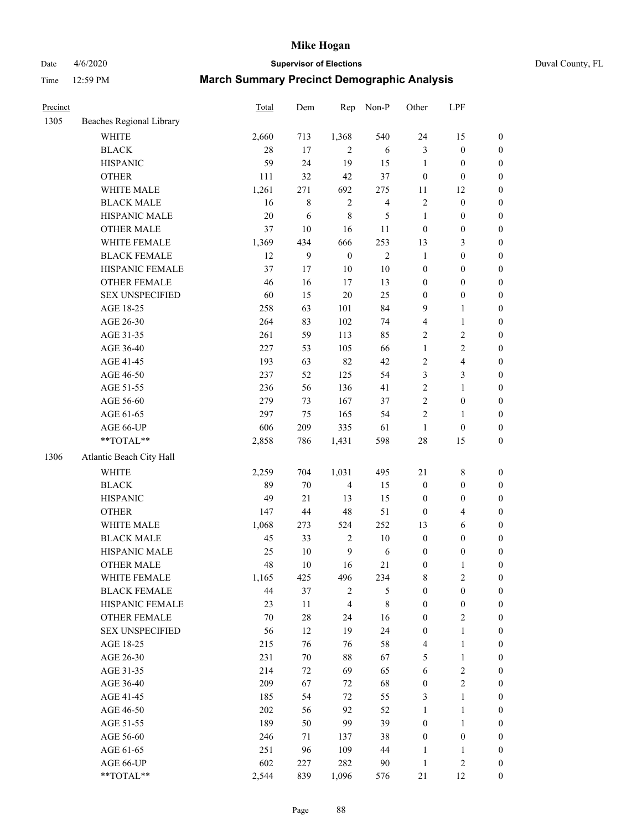## Date 4/6/2020 **Supervisor of Elections** Duval County, FL

| Precinct |                          | Total | Dem    | Rep              | Non-P                   | Other            | LPF                     |                  |
|----------|--------------------------|-------|--------|------------------|-------------------------|------------------|-------------------------|------------------|
| 1305     | Beaches Regional Library |       |        |                  |                         |                  |                         |                  |
|          | <b>WHITE</b>             | 2,660 | 713    | 1,368            | 540                     | 24               | 15                      | 0                |
|          | <b>BLACK</b>             | 28    | 17     | $\overline{c}$   | 6                       | 3                | $\boldsymbol{0}$        | $\boldsymbol{0}$ |
|          | <b>HISPANIC</b>          | 59    | 24     | 19               | 15                      | $\mathbf{1}$     | $\boldsymbol{0}$        | $\boldsymbol{0}$ |
|          | <b>OTHER</b>             | 111   | 32     | 42               | 37                      | $\boldsymbol{0}$ | $\boldsymbol{0}$        | $\boldsymbol{0}$ |
|          | WHITE MALE               | 1,261 | 271    | 692              | 275                     | 11               | 12                      | $\boldsymbol{0}$ |
|          | <b>BLACK MALE</b>        | 16    | 8      | $\sqrt{2}$       | $\overline{\mathbf{4}}$ | $\sqrt{2}$       | $\boldsymbol{0}$        | $\boldsymbol{0}$ |
|          | HISPANIC MALE            | 20    | 6      | $\,$ 8 $\,$      | 5                       | $\mathbf{1}$     | $\boldsymbol{0}$        | $\boldsymbol{0}$ |
|          | <b>OTHER MALE</b>        | 37    | $10\,$ | 16               | 11                      | $\boldsymbol{0}$ | $\boldsymbol{0}$        | $\boldsymbol{0}$ |
|          | WHITE FEMALE             | 1,369 | 434    | 666              | 253                     | 13               | $\mathfrak{Z}$          | $\boldsymbol{0}$ |
|          | <b>BLACK FEMALE</b>      | 12    | 9      | $\boldsymbol{0}$ | $\sqrt{2}$              | $\mathbf{1}$     | $\boldsymbol{0}$        | $\boldsymbol{0}$ |
|          | HISPANIC FEMALE          | 37    | 17     | 10               | $10\,$                  | $\boldsymbol{0}$ | $\boldsymbol{0}$        | 0                |
|          | <b>OTHER FEMALE</b>      | 46    | 16     | 17               | 13                      | $\boldsymbol{0}$ | $\boldsymbol{0}$        | $\boldsymbol{0}$ |
|          | <b>SEX UNSPECIFIED</b>   | 60    | 15     | 20               | 25                      | $\boldsymbol{0}$ | $\boldsymbol{0}$        | $\boldsymbol{0}$ |
|          | AGE 18-25                | 258   | 63     | 101              | 84                      | 9                | $\mathbf{1}$            | $\boldsymbol{0}$ |
|          | AGE 26-30                | 264   | 83     | 102              | 74                      | 4                | $\mathbf{1}$            | $\boldsymbol{0}$ |
|          | AGE 31-35                | 261   | 59     | 113              | 85                      | $\sqrt{2}$       | $\sqrt{2}$              | $\boldsymbol{0}$ |
|          | AGE 36-40                | 227   | 53     | 105              | 66                      | $\mathbf{1}$     | $\sqrt{2}$              | $\boldsymbol{0}$ |
|          | AGE 41-45                | 193   | 63     | 82               | 42                      | $\sqrt{2}$       | $\overline{\mathbf{4}}$ | $\boldsymbol{0}$ |
|          | AGE 46-50                | 237   | 52     | 125              | 54                      | 3                | $\mathfrak{Z}$          | $\boldsymbol{0}$ |
|          | AGE 51-55                | 236   | 56     | 136              | 41                      | $\sqrt{2}$       | $\mathbf{1}$            | $\boldsymbol{0}$ |
|          | AGE 56-60                | 279   | 73     | 167              | 37                      | $\sqrt{2}$       | $\boldsymbol{0}$        | 0                |
|          | AGE 61-65                | 297   | 75     | 165              | 54                      | $\overline{2}$   | 1                       | 0                |
|          | AGE 66-UP                | 606   | 209    | 335              | 61                      | $\mathbf{1}$     | $\boldsymbol{0}$        | $\boldsymbol{0}$ |
|          | $**TOTAL**$              | 2,858 | 786    | 1,431            | 598                     | 28               | 15                      | $\boldsymbol{0}$ |
| 1306     | Atlantic Beach City Hall |       |        |                  |                         |                  |                         |                  |
|          |                          |       |        |                  |                         |                  |                         |                  |
|          | <b>WHITE</b>             | 2,259 | 704    | 1,031            | 495                     | $21\,$           | $\,$ 8 $\,$             | $\boldsymbol{0}$ |
|          | <b>BLACK</b>             | 89    | $70\,$ | $\overline{4}$   | 15                      | $\boldsymbol{0}$ | $\boldsymbol{0}$        | $\boldsymbol{0}$ |
|          | <b>HISPANIC</b>          | 49    | 21     | 13               | 15                      | $\boldsymbol{0}$ | $\boldsymbol{0}$        | $\boldsymbol{0}$ |
|          | <b>OTHER</b>             | 147   | 44     | 48               | 51                      | $\boldsymbol{0}$ | $\overline{4}$          | $\boldsymbol{0}$ |
|          | WHITE MALE               | 1,068 | 273    | 524              | 252                     | 13               | $\sqrt{6}$              | $\boldsymbol{0}$ |
|          | <b>BLACK MALE</b>        | 45    | 33     | $\overline{2}$   | $10\,$                  | $\boldsymbol{0}$ | $\boldsymbol{0}$        | $\boldsymbol{0}$ |
|          | HISPANIC MALE            | 25    | $10\,$ | $\overline{9}$   | 6                       | $\boldsymbol{0}$ | $\boldsymbol{0}$        | $\boldsymbol{0}$ |
|          | <b>OTHER MALE</b>        | 48    | 10     | 16               | 21                      | $\boldsymbol{0}$ | $\mathbf{1}$            | $\boldsymbol{0}$ |
|          | WHITE FEMALE             | 1,165 | 425    | 496              | 234                     | 8                | 2                       | 0                |
|          | <b>BLACK FEMALE</b>      | 44    | 37     | $\sqrt{2}$       | 5                       | $\boldsymbol{0}$ | $\boldsymbol{0}$        | $\boldsymbol{0}$ |
|          | HISPANIC FEMALE          | 23    | 11     | $\overline{4}$   | $\,8\,$                 | $\boldsymbol{0}$ | $\boldsymbol{0}$        | $\overline{0}$   |
|          | <b>OTHER FEMALE</b>      | 70    | $28\,$ | 24               | 16                      | $\boldsymbol{0}$ | $\sqrt{2}$              | $\overline{0}$   |
|          | <b>SEX UNSPECIFIED</b>   | 56    | 12     | 19               | 24                      | $\boldsymbol{0}$ | $\mathbf{1}$            | 0                |
|          | AGE 18-25                | 215   | 76     | 76               | 58                      | 4                | $\mathbf{1}$            | $\overline{0}$   |
|          | AGE 26-30                | 231   | $70\,$ | 88               | 67                      | 5                | $\mathbf{1}$            | 0                |
|          | AGE 31-35                | 214   | 72     | 69               | 65                      | 6                | $\sqrt{2}$              | 0                |
|          | AGE 36-40                | 209   | 67     | 72               | 68                      | $\boldsymbol{0}$ | $\sqrt{2}$              | 0                |
|          | AGE 41-45                | 185   | 54     | 72               | 55                      | 3                | $\mathbf{1}$            | 0                |
|          | AGE 46-50                | 202   | 56     | 92               | 52                      | 1                | $\mathbf{1}$            | 0                |
|          | AGE 51-55                | 189   | 50     | 99               | 39                      | $\boldsymbol{0}$ | $\mathbf{1}$            | 0                |
|          | AGE 56-60                | 246   | 71     | 137              | 38                      | $\boldsymbol{0}$ | $\boldsymbol{0}$        | 0                |
|          | AGE 61-65                | 251   | 96     | 109              | 44                      | 1                | 1                       | $\overline{0}$   |
|          | AGE 66-UP                | 602   | 227    | 282              | 90                      | $\mathbf{1}$     | $\sqrt{2}$              | $\boldsymbol{0}$ |
|          | **TOTAL**                | 2,544 | 839    | 1,096            | 576                     | 21               | 12                      | $\boldsymbol{0}$ |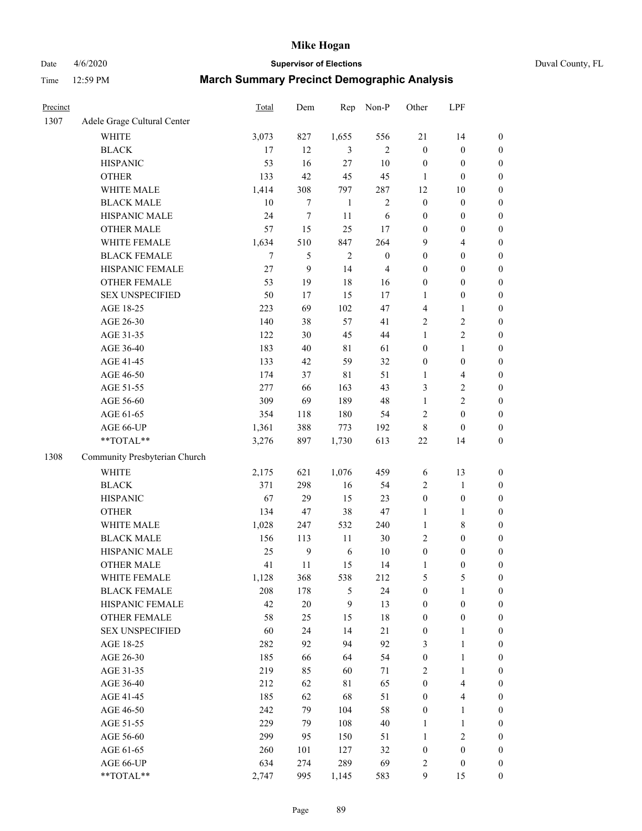Date 4/6/2020 **Supervisor of Elections** Duval County, FL

| Precinct |                               | Total | Dem              | Rep          | Non-P            | Other            | LPF                     |                  |
|----------|-------------------------------|-------|------------------|--------------|------------------|------------------|-------------------------|------------------|
| 1307     | Adele Grage Cultural Center   |       |                  |              |                  |                  |                         |                  |
|          | <b>WHITE</b>                  | 3,073 | 827              | 1,655        | 556              | 21               | 14                      | $\boldsymbol{0}$ |
|          | <b>BLACK</b>                  | 17    | 12               | 3            | 2                | $\boldsymbol{0}$ | $\boldsymbol{0}$        | $\boldsymbol{0}$ |
|          | <b>HISPANIC</b>               | 53    | 16               | 27           | $10\,$           | $\boldsymbol{0}$ | $\boldsymbol{0}$        | $\boldsymbol{0}$ |
|          | <b>OTHER</b>                  | 133   | 42               | 45           | 45               | 1                | $\boldsymbol{0}$        | $\boldsymbol{0}$ |
|          | WHITE MALE                    | 1,414 | 308              | 797          | 287              | 12               | 10                      | $\boldsymbol{0}$ |
|          | <b>BLACK MALE</b>             | 10    | $\tau$           | $\mathbf{1}$ | $\sqrt{2}$       | $\boldsymbol{0}$ | $\boldsymbol{0}$        | $\boldsymbol{0}$ |
|          | HISPANIC MALE                 | 24    | $\boldsymbol{7}$ | 11           | 6                | $\boldsymbol{0}$ | $\boldsymbol{0}$        | $\boldsymbol{0}$ |
|          | <b>OTHER MALE</b>             | 57    | 15               | 25           | 17               | $\boldsymbol{0}$ | $\boldsymbol{0}$        | $\boldsymbol{0}$ |
|          | WHITE FEMALE                  | 1,634 | 510              | 847          | 264              | 9                | $\overline{\mathbf{4}}$ | $\boldsymbol{0}$ |
|          | <b>BLACK FEMALE</b>           | 7     | 5                | $\sqrt{2}$   | $\boldsymbol{0}$ | $\boldsymbol{0}$ | $\boldsymbol{0}$        | $\boldsymbol{0}$ |
|          | HISPANIC FEMALE               | 27    | $\boldsymbol{9}$ | 14           | $\overline{4}$   | $\boldsymbol{0}$ | $\boldsymbol{0}$        | $\boldsymbol{0}$ |
|          | <b>OTHER FEMALE</b>           | 53    | 19               | 18           | 16               | $\boldsymbol{0}$ | $\boldsymbol{0}$        | $\boldsymbol{0}$ |
|          | <b>SEX UNSPECIFIED</b>        | 50    | 17               | 15           | 17               | $\mathbf{1}$     | $\boldsymbol{0}$        | $\boldsymbol{0}$ |
|          | AGE 18-25                     | 223   | 69               | 102          | 47               | 4                | 1                       | $\boldsymbol{0}$ |
|          | AGE 26-30                     | 140   | 38               | 57           | 41               | 2                | $\sqrt{2}$              | $\boldsymbol{0}$ |
|          | AGE 31-35                     | 122   | 30               | 45           | 44               | $\mathbf{1}$     | $\sqrt{2}$              | $\boldsymbol{0}$ |
|          | AGE 36-40                     | 183   | 40               | $8\sqrt{1}$  | 61               | $\boldsymbol{0}$ | $\mathbf{1}$            | $\boldsymbol{0}$ |
|          | AGE 41-45                     | 133   | 42               | 59           | 32               | $\boldsymbol{0}$ | $\boldsymbol{0}$        | $\boldsymbol{0}$ |
|          | AGE 46-50                     | 174   | 37               | $8\sqrt{1}$  | 51               | 1                | $\overline{\mathbf{4}}$ | $\boldsymbol{0}$ |
|          | AGE 51-55                     | 277   | 66               | 163          | 43               | 3                | $\boldsymbol{2}$        | $\boldsymbol{0}$ |
|          | AGE 56-60                     | 309   | 69               | 189          | 48               | $\mathbf{1}$     | $\sqrt{2}$              | 0                |
|          | AGE 61-65                     | 354   | 118              | 180          | 54               | 2                | $\boldsymbol{0}$        | $\boldsymbol{0}$ |
|          | AGE 66-UP                     | 1,361 | 388              | 773          | 192              | 8                | $\boldsymbol{0}$        | $\boldsymbol{0}$ |
|          | **TOTAL**                     | 3,276 | 897              | 1,730        | 613              | $22\,$           | 14                      | $\boldsymbol{0}$ |
| 1308     | Community Presbyterian Church |       |                  |              |                  |                  |                         |                  |
|          | <b>WHITE</b>                  | 2,175 | 621              | 1,076        | 459              | 6                | 13                      | $\boldsymbol{0}$ |
|          | <b>BLACK</b>                  | 371   | 298              | 16           | 54               | 2                | $\mathbf{1}$            | $\boldsymbol{0}$ |
|          | <b>HISPANIC</b>               | 67    | 29               | 15           | 23               | $\boldsymbol{0}$ | $\boldsymbol{0}$        | $\boldsymbol{0}$ |
|          | <b>OTHER</b>                  | 134   | 47               | 38           | 47               | $\mathbf{1}$     | $\mathbf{1}$            | $\boldsymbol{0}$ |
|          | WHITE MALE                    | 1,028 | 247              | 532          | 240              | $\mathbf{1}$     | $\,$ 8 $\,$             | $\boldsymbol{0}$ |
|          | <b>BLACK MALE</b>             | 156   | 113              | $11\,$       | $30\,$           | 2                | $\boldsymbol{0}$        | $\boldsymbol{0}$ |
|          | HISPANIC MALE                 | 25    | $\mathbf{9}$     | 6            | $10\,$           | $\boldsymbol{0}$ | $\boldsymbol{0}$        | $\boldsymbol{0}$ |
|          | OTHER MALE                    | 41    | 11               | 15           | 14               | $\mathbf{1}$     | $\boldsymbol{0}$        | $\boldsymbol{0}$ |
|          | WHITE FEMALE                  | 1,128 | 368              | 538          | 212              | 5                | 5                       | 0                |
|          | <b>BLACK FEMALE</b>           | 208   | 178              | 5            | 24               | $\boldsymbol{0}$ | $\mathbf{1}$            | $\boldsymbol{0}$ |
|          | HISPANIC FEMALE               | 42    | $20\,$           | 9            | 13               | $\boldsymbol{0}$ | $\boldsymbol{0}$        | $\overline{0}$   |
|          | OTHER FEMALE                  | 58    | 25               | 15           | 18               | $\boldsymbol{0}$ | $\boldsymbol{0}$        | $\overline{0}$   |
|          | <b>SEX UNSPECIFIED</b>        | 60    | 24               | 14           | 21               | $\boldsymbol{0}$ | $\mathbf{1}$            | 0                |
|          | AGE 18-25                     | 282   | 92               | 94           | 92               | 3                | $\mathbf{1}$            | $\theta$         |
|          | AGE 26-30                     | 185   | 66               | 64           | 54               | $\boldsymbol{0}$ | $\mathbf{1}$            | 0                |
|          | AGE 31-35                     | 219   | 85               | 60           | 71               | 2                | $\mathbf{1}$            | 0                |
|          | AGE 36-40                     | 212   | 62               | 81           | 65               | $\boldsymbol{0}$ | $\overline{4}$          | 0                |
|          | AGE 41-45                     | 185   | 62               | 68           | 51               | $\boldsymbol{0}$ | $\overline{\mathbf{4}}$ | 0                |
|          | AGE 46-50                     | 242   | 79               | 104          | 58               | $\boldsymbol{0}$ | $\mathbf{1}$            | 0                |
|          | AGE 51-55                     | 229   | 79               | 108          | $40\,$           | $\mathbf{1}$     | $\mathbf{1}$            | 0                |
|          | AGE 56-60                     | 299   | 95               | 150          | 51               | 1                | $\sqrt{2}$              | $\overline{0}$   |
|          | AGE 61-65                     | 260   | 101              | 127          | 32               | $\boldsymbol{0}$ | $\boldsymbol{0}$        | $\overline{0}$   |
|          | AGE 66-UP                     | 634   | 274              | 289          | 69               | 2                | $\boldsymbol{0}$        | $\boldsymbol{0}$ |
|          | **TOTAL**                     | 2,747 | 995              | 1,145        | 583              | 9                | 15                      | $\boldsymbol{0}$ |
|          |                               |       |                  |              |                  |                  |                         |                  |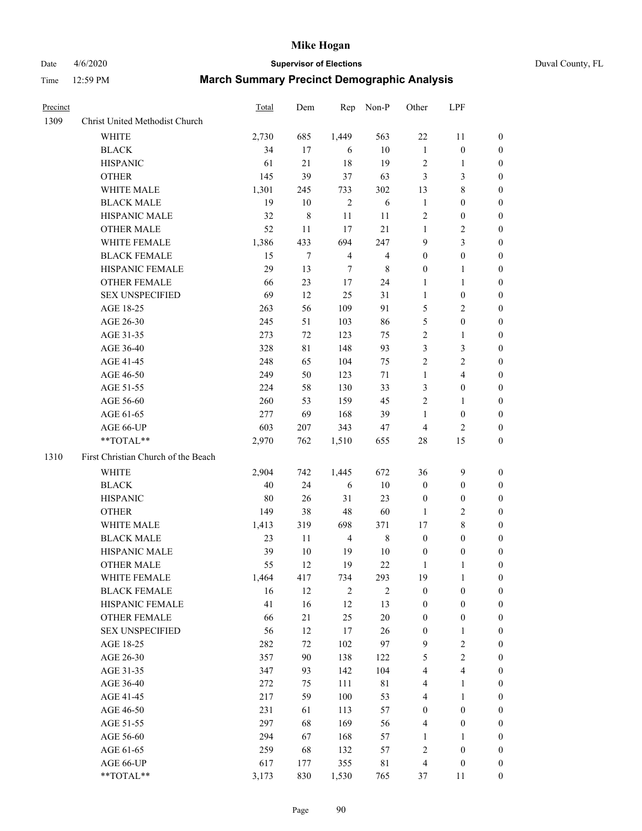## Date 4/6/2020 **Supervisor of Elections** Duval County, FL

| Precinct |                                     | Total    | Dem            | Rep                   | Non-P          | Other                 | LPF                                  |                       |
|----------|-------------------------------------|----------|----------------|-----------------------|----------------|-----------------------|--------------------------------------|-----------------------|
| 1309     | Christ United Methodist Church      |          |                |                       |                |                       |                                      |                       |
|          | <b>WHITE</b>                        | 2,730    | 685            | 1,449                 | 563            | $22\,$                | 11                                   | 0                     |
|          | <b>BLACK</b>                        | 34       | 17             | 6                     | 10             | $\mathbf{1}$          | $\boldsymbol{0}$                     | $\boldsymbol{0}$      |
|          | <b>HISPANIC</b>                     | 61       | 21             | 18                    | 19             | $\overline{c}$        | 1                                    | 0                     |
|          | <b>OTHER</b>                        | 145      | 39             | 37                    | 63             | 3                     | $\mathfrak{Z}$                       | $\boldsymbol{0}$      |
|          | WHITE MALE                          | 1,301    | 245            | 733                   | 302            | 13                    | $\,$ 8 $\,$                          | $\boldsymbol{0}$      |
|          | <b>BLACK MALE</b>                   | 19       | 10             | $\overline{2}$        | 6              | $\mathbf{1}$          | $\boldsymbol{0}$                     | $\boldsymbol{0}$      |
|          | HISPANIC MALE                       | 32       | $\,$ 8 $\,$    | $11\,$                | 11             | 2                     | $\boldsymbol{0}$                     | $\boldsymbol{0}$      |
|          | <b>OTHER MALE</b>                   | 52       | 11             | 17                    | 21             | $\mathbf{1}$          | $\sqrt{2}$                           | $\boldsymbol{0}$      |
|          | WHITE FEMALE                        | 1,386    | 433            | 694                   | 247            | 9                     | $\overline{3}$                       | 0                     |
|          | <b>BLACK FEMALE</b>                 | 15       | $\overline{7}$ | $\overline{4}$        | $\overline{4}$ | $\boldsymbol{0}$      | $\boldsymbol{0}$                     | 0                     |
|          | HISPANIC FEMALE                     | 29       | 13             | 7                     | 8              | $\boldsymbol{0}$      | 1                                    | 0                     |
|          | <b>OTHER FEMALE</b>                 | 66       | 23             | $17\,$                | 24             | 1                     | $\mathbf{1}$                         | $\boldsymbol{0}$      |
|          | <b>SEX UNSPECIFIED</b>              | 69       | 12             | 25                    | 31             | $\mathbf{1}$          | $\boldsymbol{0}$                     | $\boldsymbol{0}$      |
|          | AGE 18-25                           | 263      | 56             | 109                   | 91             | 5                     | $\sqrt{2}$                           | $\boldsymbol{0}$      |
|          | AGE 26-30                           | 245      | 51             | 103                   | 86             | 5                     | $\boldsymbol{0}$                     | $\boldsymbol{0}$      |
|          | AGE 31-35                           | 273      | 72             | 123                   | 75             | $\overline{c}$        | $\mathbf{1}$                         | $\boldsymbol{0}$      |
|          | AGE 36-40                           | 328      | $8\sqrt{1}$    | 148                   | 93             | 3                     | 3                                    | $\boldsymbol{0}$      |
|          | AGE 41-45                           | 248      | 65             | 104                   | 75             | $\overline{c}$        | $\sqrt{2}$                           | $\boldsymbol{0}$      |
|          | AGE 46-50                           | 249      | 50             | 123                   | 71             | $\mathbf{1}$          | $\overline{4}$                       | $\boldsymbol{0}$      |
|          | AGE 51-55                           | 224      | 58             | 130                   | 33             | 3                     | $\boldsymbol{0}$                     | 0                     |
|          | AGE 56-60                           | 260      | 53             | 159                   | 45             | 2                     | 1                                    | 0                     |
|          | AGE 61-65                           | 277      | 69             | 168                   | 39             | 1                     | $\boldsymbol{0}$                     | 0                     |
|          | AGE 66-UP                           | 603      | 207            | 343                   | 47             | 4                     | $\overline{c}$                       | 0                     |
|          | **TOTAL**                           | 2,970    | 762            | 1,510                 | 655            | 28                    | 15                                   | $\boldsymbol{0}$      |
| 1310     | First Christian Church of the Beach |          |                |                       |                |                       |                                      |                       |
|          |                                     |          |                |                       | 672            |                       | $\boldsymbol{9}$                     |                       |
|          | <b>WHITE</b>                        | 2,904    | 742            | 1,445                 |                | 36                    |                                      | $\boldsymbol{0}$      |
|          | <b>BLACK</b>                        | 40<br>80 | 24             | 6                     | $10\,$<br>23   | $\boldsymbol{0}$      | $\boldsymbol{0}$<br>$\boldsymbol{0}$ | $\boldsymbol{0}$      |
|          | <b>HISPANIC</b>                     | 149      | 26<br>38       | 31<br>48              | 60             | $\boldsymbol{0}$      | $\sqrt{2}$                           | 0<br>$\overline{0}$   |
|          | <b>OTHER</b><br>WHITE MALE          |          |                |                       | 371            | $\mathbf{1}$          | $\,$ $\,$                            | $\overline{0}$        |
|          |                                     | 1,413    | 319            | 698<br>$\overline{4}$ | $\,$ 8 $\,$    | 17                    | $\boldsymbol{0}$                     |                       |
|          | <b>BLACK MALE</b><br>HISPANIC MALE  | 23<br>39 | 11<br>10       |                       | $10\,$         | $\boldsymbol{0}$      |                                      | 0                     |
|          | <b>OTHER MALE</b>                   | 55       | 12             | 19<br>19              | 22             | $\boldsymbol{0}$<br>1 | $\boldsymbol{0}$<br>1                | 0<br>$\boldsymbol{0}$ |
|          | WHITE FEMALE                        | 1,464    | 417            | 734                   | 293            | 19                    | $\mathbf{1}$                         | $\overline{0}$        |
|          | <b>BLACK FEMALE</b>                 | 16       | 12             | $\sqrt{2}$            | $\overline{c}$ | $\boldsymbol{0}$      | $\boldsymbol{0}$                     | $\overline{0}$        |
|          | HISPANIC FEMALE                     | 41       | 16             | 12                    | 13             | $\boldsymbol{0}$      | $\boldsymbol{0}$                     | $\overline{0}$        |
|          | <b>OTHER FEMALE</b>                 | 66       | 21             | 25                    | $20\,$         | $\boldsymbol{0}$      | $\boldsymbol{0}$                     | 0                     |
|          | <b>SEX UNSPECIFIED</b>              | 56       | 12             | 17                    | $26\,$         | $\boldsymbol{0}$      | $\mathbf{1}$                         | 0                     |
|          | AGE 18-25                           | 282      | $72\,$         | 102                   | 97             | 9                     | $\sqrt{2}$                           | 0                     |
|          | AGE 26-30                           | 357      | 90             | 138                   | 122            | 5                     | $\sqrt{2}$                           | 0                     |
|          | AGE 31-35                           | 347      | 93             | 142                   | 104            | 4                     | $\overline{4}$                       | 0                     |
|          | AGE 36-40                           | 272      | 75             | 111                   | $8\sqrt{1}$    | 4                     | $\mathbf{1}$                         | 0                     |
|          | AGE 41-45                           | 217      | 59             | 100                   | 53             | 4                     | $\mathbf{1}$                         | 0                     |
|          | AGE 46-50                           | 231      | 61             | 113                   | 57             | $\boldsymbol{0}$      | $\boldsymbol{0}$                     | 0                     |
|          |                                     | 297      | 68             | 169                   | 56             | 4                     |                                      | $\boldsymbol{0}$      |
|          | AGE 51-55<br>AGE 56-60              | 294      | 67             | 168                   | 57             | $\mathbf{1}$          | $\boldsymbol{0}$<br>1                | $\boldsymbol{0}$      |
|          | AGE 61-65                           | 259      | 68             | 132                   | 57             | 2                     | $\boldsymbol{0}$                     | 0                     |
|          | AGE 66-UP                           | 617      | 177            | 355                   | $8\sqrt{1}$    | 4                     | $\boldsymbol{0}$                     | 0                     |
|          | **TOTAL**                           | 3,173    | 830            | 1,530                 | 765            | 37                    | 11                                   | $\boldsymbol{0}$      |
|          |                                     |          |                |                       |                |                       |                                      |                       |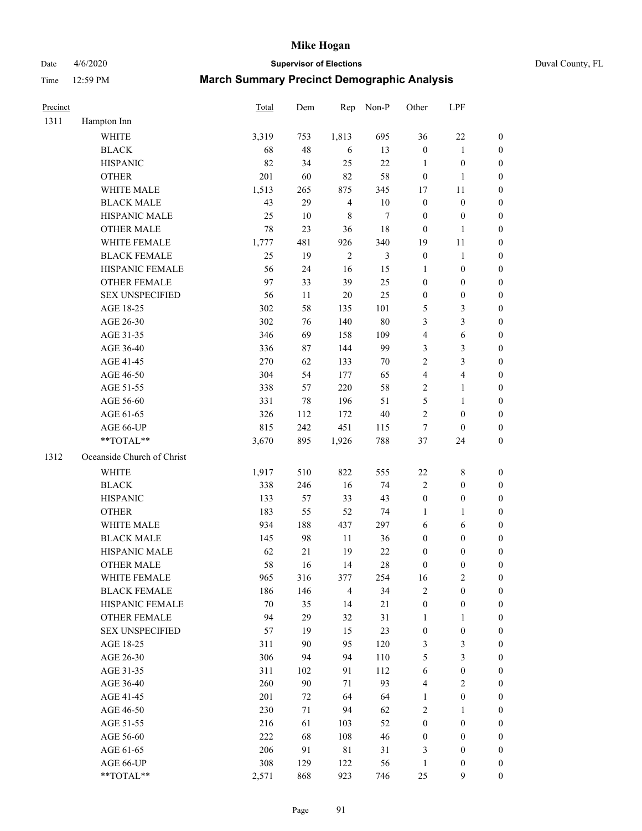Date 4/6/2020 **Supervisor of Elections** Duval County, FL

| Precinct |                            | Total  | Dem    | Rep            | Non-P          | Other            | LPF              |                  |
|----------|----------------------------|--------|--------|----------------|----------------|------------------|------------------|------------------|
| 1311     | Hampton Inn                |        |        |                |                |                  |                  |                  |
|          | <b>WHITE</b>               | 3,319  | 753    | 1,813          | 695            | 36               | $22\,$           | 0                |
|          | <b>BLACK</b>               | 68     | 48     | 6              | 13             | $\boldsymbol{0}$ | $\mathbf{1}$     | 0                |
|          | <b>HISPANIC</b>            | 82     | 34     | 25             | 22             | $\mathbf{1}$     | $\boldsymbol{0}$ | $\boldsymbol{0}$ |
|          | <b>OTHER</b>               | 201    | 60     | 82             | 58             | $\boldsymbol{0}$ | $\mathbf{1}$     | $\boldsymbol{0}$ |
|          | WHITE MALE                 | 1,513  | 265    | 875            | 345            | 17               | 11               | $\boldsymbol{0}$ |
|          | <b>BLACK MALE</b>          | 43     | 29     | $\overline{4}$ | $10\,$         | $\boldsymbol{0}$ | $\boldsymbol{0}$ | $\boldsymbol{0}$ |
|          | HISPANIC MALE              | 25     | 10     | $\,$ 8 $\,$    | $\tau$         | $\boldsymbol{0}$ | $\boldsymbol{0}$ | $\boldsymbol{0}$ |
|          | <b>OTHER MALE</b>          | 78     | 23     | 36             | $18\,$         | $\boldsymbol{0}$ | $\mathbf{1}$     | $\boldsymbol{0}$ |
|          | WHITE FEMALE               | 1,777  | 481    | 926            | 340            | 19               | 11               | $\boldsymbol{0}$ |
|          | <b>BLACK FEMALE</b>        | 25     | 19     | $\sqrt{2}$     | $\mathfrak{Z}$ | $\boldsymbol{0}$ | $\mathbf{1}$     | 0                |
|          | HISPANIC FEMALE            | 56     | 24     | 16             | 15             | 1                | $\boldsymbol{0}$ | 0                |
|          | <b>OTHER FEMALE</b>        | 97     | 33     | 39             | 25             | $\boldsymbol{0}$ | $\boldsymbol{0}$ | $\boldsymbol{0}$ |
|          | <b>SEX UNSPECIFIED</b>     | 56     | 11     | 20             | 25             | $\boldsymbol{0}$ | $\boldsymbol{0}$ | $\boldsymbol{0}$ |
|          | AGE 18-25                  | 302    | 58     | 135            | 101            | 5                | $\mathfrak{Z}$   | $\boldsymbol{0}$ |
|          | AGE 26-30                  | 302    | 76     | 140            | 80             | 3                | $\mathfrak{Z}$   | $\boldsymbol{0}$ |
|          | AGE 31-35                  | 346    | 69     | 158            | 109            | 4                | $\sqrt{6}$       | $\boldsymbol{0}$ |
|          | AGE 36-40                  | 336    | 87     | 144            | 99             | 3                | $\mathfrak{Z}$   | $\boldsymbol{0}$ |
|          | AGE 41-45                  | 270    | 62     | 133            | $70\,$         | $\overline{c}$   | $\mathfrak{Z}$   | $\boldsymbol{0}$ |
|          | AGE 46-50                  | 304    | 54     | 177            | 65             | 4                | $\overline{4}$   | $\boldsymbol{0}$ |
|          | AGE 51-55                  | 338    | 57     | 220            | 58             | 2                | $\mathbf{1}$     | $\boldsymbol{0}$ |
|          | AGE 56-60                  | 331    | 78     | 196            | 51             | 5                | $\mathbf{1}$     | 0                |
|          | AGE 61-65                  | 326    | 112    | 172            | $40\,$         | $\overline{2}$   | $\boldsymbol{0}$ | 0                |
|          | AGE 66-UP                  | 815    | 242    | 451            | 115            | $\tau$           | $\boldsymbol{0}$ | $\boldsymbol{0}$ |
|          | **TOTAL**                  | 3,670  | 895    | 1,926          | 788            | 37               | 24               | $\boldsymbol{0}$ |
| 1312     | Oceanside Church of Christ |        |        |                |                |                  |                  |                  |
|          | <b>WHITE</b>               | 1,917  | 510    | 822            | 555            | 22               | $\,$ 8 $\,$      | $\boldsymbol{0}$ |
|          | <b>BLACK</b>               | 338    | 246    | 16             | 74             | $\overline{c}$   | $\boldsymbol{0}$ | $\boldsymbol{0}$ |
|          | <b>HISPANIC</b>            | 133    | 57     | 33             | 43             | $\boldsymbol{0}$ | $\boldsymbol{0}$ | $\boldsymbol{0}$ |
|          | <b>OTHER</b>               | 183    | 55     | 52             | 74             | 1                | $\mathbf{1}$     | $\boldsymbol{0}$ |
|          | WHITE MALE                 | 934    | 188    | 437            | 297            | 6                | 6                | $\boldsymbol{0}$ |
|          | <b>BLACK MALE</b>          | 145    | 98     | 11             | 36             | $\boldsymbol{0}$ | $\boldsymbol{0}$ | $\boldsymbol{0}$ |
|          | HISPANIC MALE              | 62     | $21\,$ | 19             | $22\,$         | $\boldsymbol{0}$ | $\boldsymbol{0}$ | 0                |
|          | <b>OTHER MALE</b>          | 58     | 16     | 14             | 28             | $\boldsymbol{0}$ | $\boldsymbol{0}$ | $\boldsymbol{0}$ |
|          | WHITE FEMALE               | 965    | 316    | 377            | 254            | 16               | $\overline{c}$   | 0                |
|          | <b>BLACK FEMALE</b>        | 186    | 146    | $\overline{4}$ | 34             | 2                | $\boldsymbol{0}$ | $\boldsymbol{0}$ |
|          | HISPANIC FEMALE            | $70\,$ | 35     | 14             | 21             | $\boldsymbol{0}$ | $\boldsymbol{0}$ | $\overline{0}$   |
|          | <b>OTHER FEMALE</b>        | 94     | 29     | 32             | 31             | $\mathbf{1}$     | $\mathbf{1}$     | $\overline{0}$   |
|          | <b>SEX UNSPECIFIED</b>     | 57     | 19     | 15             | 23             | $\boldsymbol{0}$ | $\boldsymbol{0}$ | 0                |
|          | AGE 18-25                  | 311    | 90     | 95             | 120            | 3                | $\mathfrak{Z}$   | $\theta$         |
|          | AGE 26-30                  | 306    | 94     | 94             | 110            | 5                | $\mathfrak{Z}$   | 0                |
|          | AGE 31-35                  | 311    | 102    | 91             | 112            | 6                | $\boldsymbol{0}$ | 0                |
|          | AGE 36-40                  | 260    | 90     | 71             | 93             | 4                | $\sqrt{2}$       | 0                |
|          | AGE 41-45                  | 201    | 72     | 64             | 64             | $\mathbf{1}$     | $\boldsymbol{0}$ | 0                |
|          | AGE 46-50                  | 230    | 71     | 94             | 62             | 2                | 1                | 0                |
|          | AGE 51-55                  | 216    | 61     | 103            | 52             | $\boldsymbol{0}$ | $\boldsymbol{0}$ | 0                |
|          | AGE 56-60                  | 222    | 68     | 108            | 46             | $\boldsymbol{0}$ | $\boldsymbol{0}$ | 0                |
|          | AGE 61-65                  | 206    | 91     | $8\sqrt{1}$    | 31             | 3                | $\boldsymbol{0}$ | $\overline{0}$   |
|          | AGE 66-UP                  | 308    | 129    | 122            | 56             | $\mathbf{1}$     | $\boldsymbol{0}$ | 0                |
|          | **TOTAL**                  | 2,571  | 868    | 923            | 746            | 25               | 9                | $\boldsymbol{0}$ |
|          |                            |        |        |                |                |                  |                  |                  |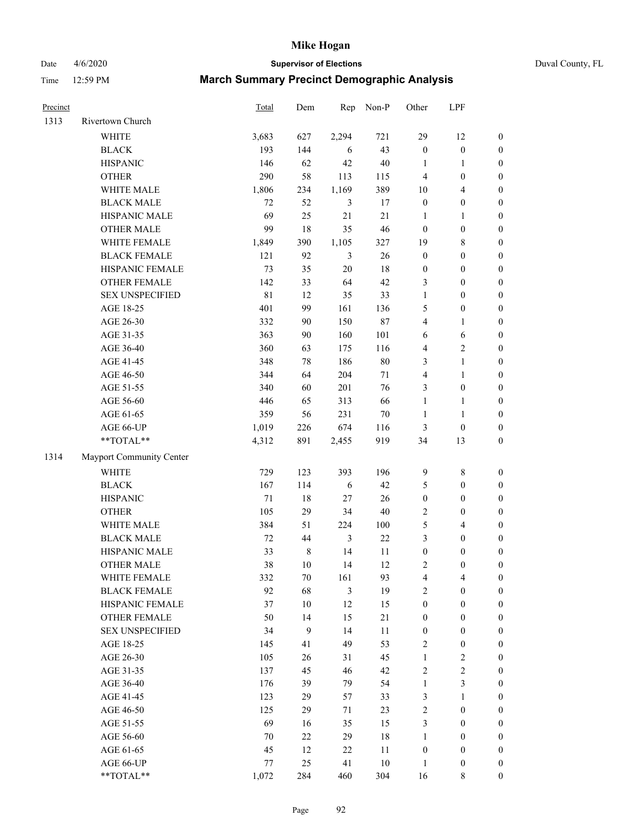Date 4/6/2020 **Supervisor of Elections** Duval County, FL

| Precinct |                          | Total  | Dem         | Rep            | Non-P  | Other            | LPF              |                  |
|----------|--------------------------|--------|-------------|----------------|--------|------------------|------------------|------------------|
| 1313     | Rivertown Church         |        |             |                |        |                  |                  |                  |
|          | <b>WHITE</b>             | 3,683  | 627         | 2,294          | 721    | 29               | 12               | $\boldsymbol{0}$ |
|          | <b>BLACK</b>             | 193    | 144         | 6              | 43     | $\boldsymbol{0}$ | $\boldsymbol{0}$ | $\boldsymbol{0}$ |
|          | <b>HISPANIC</b>          | 146    | 62          | 42             | $40\,$ | $\mathbf{1}$     | $\mathbf{1}$     | $\boldsymbol{0}$ |
|          | <b>OTHER</b>             | 290    | 58          | 113            | 115    | 4                | $\boldsymbol{0}$ | $\boldsymbol{0}$ |
|          | WHITE MALE               | 1,806  | 234         | 1,169          | 389    | 10               | $\overline{4}$   | $\boldsymbol{0}$ |
|          | <b>BLACK MALE</b>        | 72     | 52          | $\mathfrak{Z}$ | 17     | $\boldsymbol{0}$ | $\boldsymbol{0}$ | $\boldsymbol{0}$ |
|          | HISPANIC MALE            | 69     | 25          | 21             | 21     | $\mathbf{1}$     | $\mathbf{1}$     | $\boldsymbol{0}$ |
|          | <b>OTHER MALE</b>        | 99     | 18          | 35             | 46     | $\boldsymbol{0}$ | $\boldsymbol{0}$ | $\boldsymbol{0}$ |
|          | WHITE FEMALE             | 1,849  | 390         | 1,105          | 327    | 19               | $\,$ 8 $\,$      | $\boldsymbol{0}$ |
|          | <b>BLACK FEMALE</b>      | 121    | 92          | $\mathfrak{Z}$ | 26     | $\boldsymbol{0}$ | $\boldsymbol{0}$ | $\boldsymbol{0}$ |
|          | HISPANIC FEMALE          | 73     | 35          | 20             | 18     | $\boldsymbol{0}$ | $\boldsymbol{0}$ | 0                |
|          | <b>OTHER FEMALE</b>      | 142    | 33          | 64             | 42     | 3                | $\boldsymbol{0}$ | $\boldsymbol{0}$ |
|          | <b>SEX UNSPECIFIED</b>   | 81     | 12          | 35             | 33     | $\mathbf{1}$     | $\boldsymbol{0}$ | $\boldsymbol{0}$ |
|          | AGE 18-25                | 401    | 99          | 161            | 136    | 5                | $\boldsymbol{0}$ | $\boldsymbol{0}$ |
|          | AGE 26-30                | 332    | 90          | 150            | 87     | 4                | $\mathbf{1}$     | $\boldsymbol{0}$ |
|          | AGE 31-35                | 363    | 90          | 160            | 101    | 6                | 6                | $\boldsymbol{0}$ |
|          | AGE 36-40                | 360    | 63          | 175            | 116    | 4                | $\sqrt{2}$       | $\boldsymbol{0}$ |
|          | AGE 41-45                | 348    | $78\,$      | 186            | $80\,$ | 3                | $\mathbf{1}$     | $\boldsymbol{0}$ |
|          | AGE 46-50                | 344    | 64          | 204            | 71     | 4                | $\mathbf{1}$     | $\boldsymbol{0}$ |
|          | AGE 51-55                | 340    | 60          | 201            | 76     | 3                | $\boldsymbol{0}$ | 0                |
|          | AGE 56-60                | 446    | 65          | 313            | 66     | $\mathbf{1}$     | 1                | 0                |
|          | AGE 61-65                | 359    | 56          | 231            | $70\,$ | $\mathbf{1}$     | $\mathbf{1}$     | 0                |
|          | AGE 66-UP                | 1,019  | 226         | 674            | 116    | 3                | $\boldsymbol{0}$ | $\boldsymbol{0}$ |
|          | $**TOTAL**$              | 4,312  | 891         | 2,455          | 919    | 34               | 13               | $\boldsymbol{0}$ |
| 1314     | Mayport Community Center |        |             |                |        |                  |                  |                  |
|          | <b>WHITE</b>             | 729    | 123         | 393            | 196    | 9                | $\,$ 8 $\,$      | $\boldsymbol{0}$ |
|          | <b>BLACK</b>             | 167    | 114         | 6              | 42     | 5                | $\boldsymbol{0}$ | $\boldsymbol{0}$ |
|          | <b>HISPANIC</b>          | 71     | $18\,$      | 27             | 26     | $\boldsymbol{0}$ | $\boldsymbol{0}$ | $\boldsymbol{0}$ |
|          | <b>OTHER</b>             | 105    | 29          | 34             | $40\,$ | 2                | $\boldsymbol{0}$ | $\boldsymbol{0}$ |
|          | WHITE MALE               | 384    | 51          | 224            | 100    | 5                | $\overline{4}$   | $\boldsymbol{0}$ |
|          | <b>BLACK MALE</b>        | $72\,$ | 44          | $\mathfrak{Z}$ | 22     | 3                | $\boldsymbol{0}$ | $\boldsymbol{0}$ |
|          | HISPANIC MALE            | 33     | $\,$ 8 $\,$ | 14             | 11     | $\boldsymbol{0}$ | $\boldsymbol{0}$ | $\boldsymbol{0}$ |
|          | <b>OTHER MALE</b>        | 38     | 10          | 14             | 12     | 2                | $\boldsymbol{0}$ | $\boldsymbol{0}$ |
|          | WHITE FEMALE             | 332    | 70          | 161            | 93     | 4                | 4                | 0                |
|          | <b>BLACK FEMALE</b>      | 92     | 68          | $\mathfrak{Z}$ | 19     | $\overline{c}$   | $\boldsymbol{0}$ | $\overline{0}$   |
|          | HISPANIC FEMALE          | 37     | $10\,$      | 12             | 15     | $\boldsymbol{0}$ | $\boldsymbol{0}$ | $\overline{0}$   |
|          | <b>OTHER FEMALE</b>      | 50     | 14          | 15             | 21     | $\boldsymbol{0}$ | $\boldsymbol{0}$ | $\overline{0}$   |
|          | <b>SEX UNSPECIFIED</b>   | 34     | 9           | 14             | 11     | $\boldsymbol{0}$ | $\boldsymbol{0}$ | 0                |
|          | AGE 18-25                | 145    | 41          | 49             | 53     | 2                | $\boldsymbol{0}$ | 0                |
|          | AGE 26-30                | 105    | 26          | 31             | 45     | $\mathbf{1}$     | $\boldsymbol{2}$ | 0                |
|          | AGE 31-35                | 137    | 45          | 46             | 42     | $\overline{c}$   | $\sqrt{2}$       | 0                |
|          | AGE 36-40                | 176    | 39          | 79             | 54     | $\mathbf{1}$     | $\mathfrak{Z}$   | 0                |
|          | AGE 41-45                | 123    | 29          | 57             | 33     | 3                | $\mathbf{1}$     | 0                |
|          | AGE 46-50                | 125    | 29          | 71             | 23     | 2                | $\boldsymbol{0}$ | 0                |
|          | AGE 51-55                | 69     | 16          | 35             | 15     | 3                | $\boldsymbol{0}$ | 0                |
|          | AGE 56-60                | 70     | 22          | 29             | $18\,$ | $\mathbf{1}$     | $\boldsymbol{0}$ | $\overline{0}$   |
|          | AGE 61-65                | 45     | 12          | 22             | 11     | $\boldsymbol{0}$ | $\boldsymbol{0}$ | $\overline{0}$   |
|          | AGE 66-UP                | 77     | 25          | 41             | $10\,$ | $\mathbf{1}$     | $\boldsymbol{0}$ | 0                |
|          | **TOTAL**                | 1,072  | 284         | 460            | 304    | 16               | 8                | $\boldsymbol{0}$ |
|          |                          |        |             |                |        |                  |                  |                  |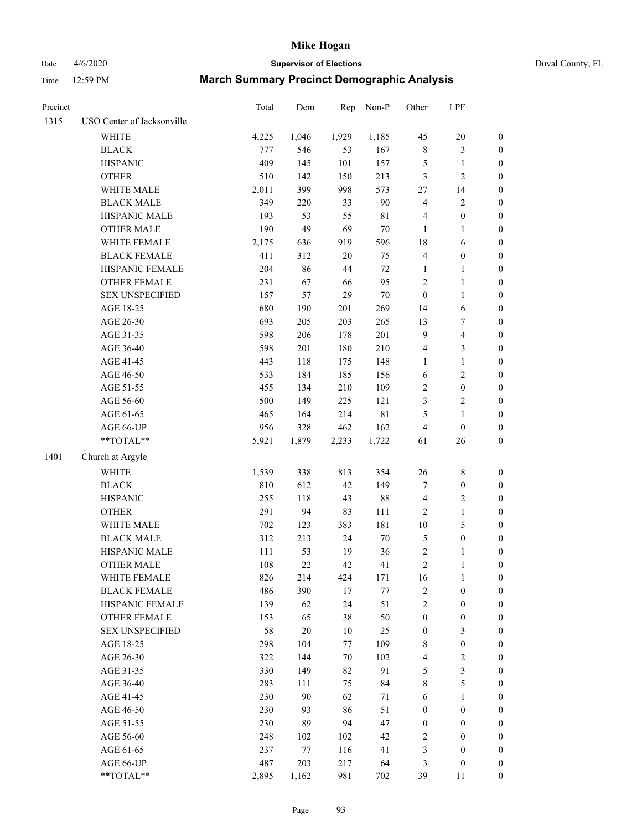Date 4/6/2020 **Supervisor of Elections** Duval County, FL

| Precinct |                                        | Total | Dem    | Rep    | Non-P       | Other                   | LPF                     |                  |
|----------|----------------------------------------|-------|--------|--------|-------------|-------------------------|-------------------------|------------------|
| 1315     | USO Center of Jacksonville             |       |        |        |             |                         |                         |                  |
|          | <b>WHITE</b>                           | 4,225 | 1,046  | 1,929  | 1,185       | 45                      | $20\,$                  | $\boldsymbol{0}$ |
|          | <b>BLACK</b>                           | 777   | 546    | 53     | 167         | $\,$ 8 $\,$             | $\mathfrak{Z}$          | $\boldsymbol{0}$ |
|          | <b>HISPANIC</b>                        | 409   | 145    | 101    | 157         | 5                       | $\mathbf{1}$            | $\boldsymbol{0}$ |
|          | <b>OTHER</b>                           | 510   | 142    | 150    | 213         | 3                       | $\sqrt{2}$              | $\boldsymbol{0}$ |
|          | WHITE MALE                             | 2,011 | 399    | 998    | 573         | 27                      | 14                      | $\boldsymbol{0}$ |
|          | <b>BLACK MALE</b>                      | 349   | 220    | 33     | 90          | 4                       | $\boldsymbol{2}$        | $\boldsymbol{0}$ |
|          | HISPANIC MALE                          | 193   | 53     | 55     | $8\sqrt{1}$ | 4                       | $\boldsymbol{0}$        | $\boldsymbol{0}$ |
|          | <b>OTHER MALE</b>                      | 190   | 49     | 69     | $70\,$      | $\mathbf{1}$            | 1                       | $\boldsymbol{0}$ |
|          | WHITE FEMALE                           | 2,175 | 636    | 919    | 596         | 18                      | 6                       | 0                |
|          | <b>BLACK FEMALE</b>                    | 411   | 312    | $20\,$ | 75          | 4                       | $\boldsymbol{0}$        | 0                |
|          | HISPANIC FEMALE                        | 204   | 86     | 44     | $72\,$      | 1                       | $\mathbf{1}$            | $\boldsymbol{0}$ |
|          | OTHER FEMALE                           | 231   | 67     | 66     | 95          | $\boldsymbol{2}$        | $\mathbf{1}$            | $\boldsymbol{0}$ |
|          | <b>SEX UNSPECIFIED</b>                 | 157   | 57     | 29     | $70\,$      | $\boldsymbol{0}$        | $\mathbf{1}$            | $\boldsymbol{0}$ |
|          | AGE 18-25                              | 680   | 190    | 201    | 269         | 14                      | $\sqrt{6}$              | $\boldsymbol{0}$ |
|          | AGE 26-30                              | 693   | 205    | 203    | 265         | 13                      | $\boldsymbol{7}$        | $\boldsymbol{0}$ |
|          | AGE 31-35                              | 598   | 206    | 178    | 201         | $\mathbf{9}$            | $\overline{\mathbf{4}}$ | $\boldsymbol{0}$ |
|          | AGE 36-40                              | 598   | 201    | 180    | 210         | $\overline{\mathbf{4}}$ | $\mathfrak{Z}$          | $\boldsymbol{0}$ |
|          | AGE 41-45                              | 443   | 118    | 175    | 148         | $\mathbf{1}$            | $\mathbf{1}$            | $\boldsymbol{0}$ |
|          | AGE 46-50                              | 533   | 184    | 185    | 156         | 6                       | $\sqrt{2}$              | $\boldsymbol{0}$ |
|          | AGE 51-55                              | 455   | 134    | 210    | 109         | 2                       | $\boldsymbol{0}$        | 0                |
|          | AGE 56-60                              | 500   | 149    | 225    | 121         | 3                       | $\sqrt{2}$              | $\boldsymbol{0}$ |
|          | AGE 61-65                              | 465   | 164    | 214    | $8\sqrt{1}$ | 5                       | $\mathbf{1}$            | $\boldsymbol{0}$ |
|          | AGE 66-UP                              | 956   | 328    | 462    | 162         | 4                       | $\boldsymbol{0}$        | $\boldsymbol{0}$ |
|          | $\mathrm{*}\mathrm{*} \mathrm{TOTAL}*$ | 5,921 | 1,879  | 2,233  | 1,722       | 61                      | 26                      | $\boldsymbol{0}$ |
| 1401     | Church at Argyle                       |       |        |        |             |                         |                         |                  |
|          | <b>WHITE</b>                           | 1,539 | 338    | 813    | 354         | $26\,$                  | $\,$ 8 $\,$             | $\boldsymbol{0}$ |
|          | <b>BLACK</b>                           | 810   | 612    | 42     | 149         | 7                       | $\boldsymbol{0}$        | $\boldsymbol{0}$ |
|          | <b>HISPANIC</b>                        | 255   | 118    | 43     | $88\,$      | 4                       | $\sqrt{2}$              | $\boldsymbol{0}$ |
|          | <b>OTHER</b>                           | 291   | 94     | 83     | 111         | $\overline{c}$          | $\mathbf{1}$            | $\boldsymbol{0}$ |
|          | WHITE MALE                             | 702   | 123    | 383    | 181         | $10\,$                  | $\sqrt{5}$              | $\boldsymbol{0}$ |
|          | <b>BLACK MALE</b>                      | 312   | 213    | 24     | $70\,$      | $\sqrt{5}$              | $\boldsymbol{0}$        | $\boldsymbol{0}$ |
|          | HISPANIC MALE                          | 111   | 53     | 19     | 36          | $\sqrt{2}$              | 1                       | 0                |
|          | <b>OTHER MALE</b>                      | 108   | 22     | 42     | 41          | $\overline{c}$          | $\mathbf{1}$            | $\boldsymbol{0}$ |
|          | WHITE FEMALE                           | 826   | 214    | 424    | 171         | 16                      | $\mathbf{1}$            | $\boldsymbol{0}$ |
|          | <b>BLACK FEMALE</b>                    | 486   | 390    | 17     | $77\,$      | $\overline{c}$          | $\boldsymbol{0}$        | $\overline{0}$   |
|          | HISPANIC FEMALE                        | 139   | 62     | 24     | 51          | $\overline{c}$          | $\boldsymbol{0}$        | $\overline{0}$   |
|          | <b>OTHER FEMALE</b>                    | 153   | 65     | 38     | 50          | $\boldsymbol{0}$        | $\boldsymbol{0}$        | $\overline{0}$   |
|          | <b>SEX UNSPECIFIED</b>                 | 58    | $20\,$ | 10     | 25          | $\boldsymbol{0}$        | $\mathfrak{Z}$          | $\overline{0}$   |
|          | AGE 18-25                              | 298   | 104    | 77     | 109         | 8                       | $\boldsymbol{0}$        | $\overline{0}$   |
|          | AGE 26-30                              | 322   | 144    | 70     | 102         | 4                       | $\sqrt{2}$              | 0                |
|          | AGE 31-35                              | 330   | 149    | 82     | 91          | 5                       | $\mathfrak{Z}$          | 0                |
|          | AGE 36-40                              | 283   | 111    | 75     | 84          | 8                       | $\sqrt{5}$              | 0                |
|          | AGE 41-45                              | 230   | 90     | 62     | 71          | 6                       | $\mathbf{1}$            | 0                |
|          | AGE 46-50                              | 230   | 93     | 86     | 51          | $\boldsymbol{0}$        | $\boldsymbol{0}$        | $\overline{0}$   |
|          | AGE 51-55                              | 230   | 89     | 94     | 47          | $\boldsymbol{0}$        | $\boldsymbol{0}$        | $\boldsymbol{0}$ |
|          | AGE 56-60                              | 248   | 102    | 102    | 42          | 2                       | $\boldsymbol{0}$        | $\overline{0}$   |
|          | AGE 61-65                              | 237   | 77     | 116    | 41          | 3                       | $\boldsymbol{0}$        | $\overline{0}$   |
|          | AGE 66-UP                              | 487   | 203    | 217    | 64          | 3                       | $\boldsymbol{0}$        | $\boldsymbol{0}$ |
|          | **TOTAL**                              | 2,895 | 1,162  | 981    | 702         | 39                      | 11                      | $\boldsymbol{0}$ |
|          |                                        |       |        |        |             |                         |                         |                  |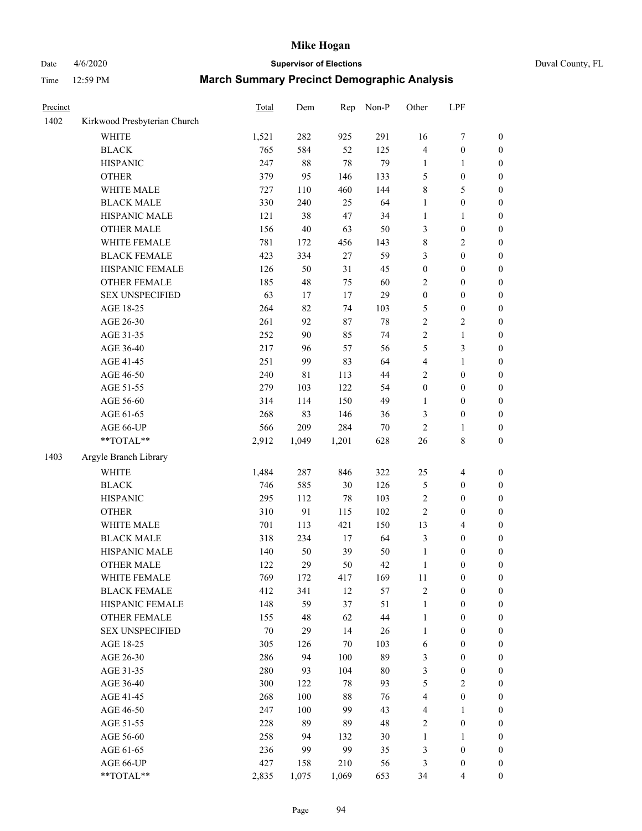# Date  $4/6/2020$  **Supervisor of Elections**

|  | Duval County, FL |  |
|--|------------------|--|
|--|------------------|--|

| Precinct |                              | Total  | Dem   | Rep   | Non-P  | Other            | LPF              |                  |
|----------|------------------------------|--------|-------|-------|--------|------------------|------------------|------------------|
| 1402     | Kirkwood Presbyterian Church |        |       |       |        |                  |                  |                  |
|          | <b>WHITE</b>                 | 1,521  | 282   | 925   | 291    | 16               | $\boldsymbol{7}$ | 0                |
|          | <b>BLACK</b>                 | 765    | 584   | 52    | 125    | 4                | $\boldsymbol{0}$ | $\boldsymbol{0}$ |
|          | <b>HISPANIC</b>              | 247    | 88    | 78    | 79     | $\mathbf{1}$     | 1                | $\boldsymbol{0}$ |
|          | <b>OTHER</b>                 | 379    | 95    | 146   | 133    | 5                | $\boldsymbol{0}$ | $\boldsymbol{0}$ |
|          | WHITE MALE                   | 727    | 110   | 460   | 144    | 8                | 5                | $\boldsymbol{0}$ |
|          | <b>BLACK MALE</b>            | 330    | 240   | 25    | 64     | 1                | $\boldsymbol{0}$ | $\boldsymbol{0}$ |
|          | HISPANIC MALE                | 121    | 38    | 47    | 34     | 1                | $\mathbf{1}$     | $\boldsymbol{0}$ |
|          | <b>OTHER MALE</b>            | 156    | 40    | 63    | 50     | 3                | $\boldsymbol{0}$ | $\boldsymbol{0}$ |
|          | WHITE FEMALE                 | 781    | 172   | 456   | 143    | 8                | $\sqrt{2}$       | $\boldsymbol{0}$ |
|          | <b>BLACK FEMALE</b>          | 423    | 334   | 27    | 59     | 3                | $\boldsymbol{0}$ | $\boldsymbol{0}$ |
|          | HISPANIC FEMALE              | 126    | 50    | 31    | 45     | $\boldsymbol{0}$ | $\boldsymbol{0}$ | $\boldsymbol{0}$ |
|          | <b>OTHER FEMALE</b>          | 185    | 48    | 75    | 60     | $\overline{c}$   | $\boldsymbol{0}$ | $\boldsymbol{0}$ |
|          | <b>SEX UNSPECIFIED</b>       | 63     | 17    | 17    | 29     | $\boldsymbol{0}$ | $\boldsymbol{0}$ | $\boldsymbol{0}$ |
|          | AGE 18-25                    | 264    | 82    | 74    | 103    | 5                | $\boldsymbol{0}$ | $\boldsymbol{0}$ |
|          | AGE 26-30                    | 261    | 92    | 87    | 78     | $\overline{c}$   | $\sqrt{2}$       | $\boldsymbol{0}$ |
|          | AGE 31-35                    | 252    | 90    | 85    | 74     | $\overline{c}$   | $\mathbf{1}$     | $\boldsymbol{0}$ |
|          | AGE 36-40                    | 217    | 96    | 57    | 56     | 5                | 3                | $\boldsymbol{0}$ |
|          | AGE 41-45                    | 251    | 99    | 83    | 64     | 4                | $\mathbf{1}$     | $\boldsymbol{0}$ |
|          | AGE 46-50                    | 240    | 81    | 113   | 44     | $\overline{c}$   | $\boldsymbol{0}$ | $\boldsymbol{0}$ |
|          | AGE 51-55                    | 279    | 103   | 122   | 54     | $\boldsymbol{0}$ | $\boldsymbol{0}$ | $\boldsymbol{0}$ |
|          | AGE 56-60                    | 314    | 114   | 150   | 49     | 1                | $\boldsymbol{0}$ | 0                |
|          | AGE 61-65                    | 268    | 83    | 146   | 36     | 3                | $\boldsymbol{0}$ | $\boldsymbol{0}$ |
|          | AGE 66-UP                    | 566    | 209   | 284   | $70\,$ | 2                | $\mathbf{1}$     | $\boldsymbol{0}$ |
|          | **TOTAL**                    | 2,912  | 1,049 | 1,201 | 628    | 26               | $\,$ 8 $\,$      | $\boldsymbol{0}$ |
| 1403     | Argyle Branch Library        |        |       |       |        |                  |                  |                  |
|          | <b>WHITE</b>                 | 1,484  | 287   | 846   | 322    | 25               | $\overline{4}$   | $\boldsymbol{0}$ |
|          | <b>BLACK</b>                 | 746    | 585   | 30    | 126    | 5                | $\boldsymbol{0}$ | $\boldsymbol{0}$ |
|          | <b>HISPANIC</b>              | 295    | 112   | 78    | 103    | 2                | $\boldsymbol{0}$ | $\boldsymbol{0}$ |
|          | <b>OTHER</b>                 | 310    | 91    | 115   | 102    | $\overline{c}$   | $\boldsymbol{0}$ | $\boldsymbol{0}$ |
|          | WHITE MALE                   | 701    | 113   | 421   | 150    | 13               | $\overline{4}$   | $\boldsymbol{0}$ |
|          | <b>BLACK MALE</b>            | 318    | 234   | 17    | 64     | 3                | $\boldsymbol{0}$ | $\boldsymbol{0}$ |
|          | HISPANIC MALE                | 140    | 50    | 39    | 50     | $\mathbf{1}$     | $\boldsymbol{0}$ | $\boldsymbol{0}$ |
|          | <b>OTHER MALE</b>            | 122    | 29    | 50    | 42     | $\mathbf{1}$     | $\boldsymbol{0}$ | $\boldsymbol{0}$ |
|          | WHITE FEMALE                 | 769    | 172   | 417   | 169    | 11               | 0                | 0                |
|          | <b>BLACK FEMALE</b>          | 412    | 341   | 12    | 57     | 2                | $\boldsymbol{0}$ | $\overline{0}$   |
|          | HISPANIC FEMALE              | 148    | 59    | 37    | 51     | 1                | $\boldsymbol{0}$ | $\overline{0}$   |
|          | OTHER FEMALE                 | 155    | 48    | 62    | 44     | 1                | $\boldsymbol{0}$ | $\overline{0}$   |
|          | <b>SEX UNSPECIFIED</b>       | $70\,$ | 29    | 14    | 26     | $\mathbf{1}$     | $\boldsymbol{0}$ | 0                |
|          | AGE 18-25                    | 305    | 126   | 70    | 103    | 6                | $\boldsymbol{0}$ | $\overline{0}$   |
|          | AGE 26-30                    | 286    | 94    | 100   | 89     | 3                | $\boldsymbol{0}$ | 0                |
|          | AGE 31-35                    | 280    | 93    | 104   | 80     | 3                | $\boldsymbol{0}$ | 0                |
|          | AGE 36-40                    | 300    | 122   | 78    | 93     | 5                | $\sqrt{2}$       | 0                |
|          | AGE 41-45                    | 268    | 100   | 88    | 76     | 4                | $\boldsymbol{0}$ | 0                |
|          | AGE 46-50                    | 247    | 100   | 99    | 43     | 4                | 1                | 0                |
|          | AGE 51-55                    | 228    | 89    | 89    | 48     | 2                | $\boldsymbol{0}$ | 0                |
|          | AGE 56-60                    | 258    | 94    | 132   | 30     | 1                | 1                | $\overline{0}$   |
|          | AGE 61-65                    | 236    | 99    | 99    | 35     | 3                | $\boldsymbol{0}$ | $\overline{0}$   |
|          | AGE 66-UP                    | 427    | 158   | 210   | 56     | 3                | $\boldsymbol{0}$ | 0                |
|          | **TOTAL**                    | 2,835  | 1,075 | 1,069 | 653    | 34               | $\overline{4}$   | $\boldsymbol{0}$ |
|          |                              |        |       |       |        |                  |                  |                  |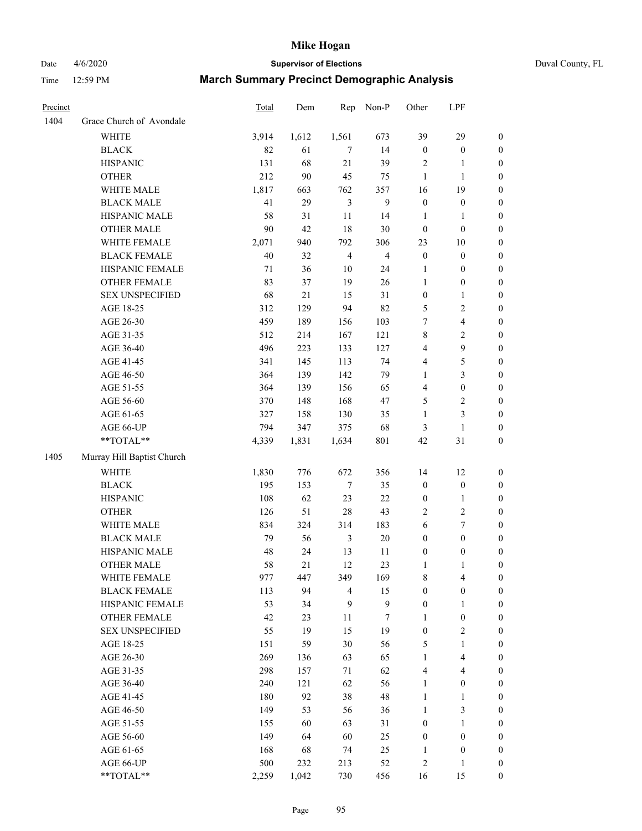Date 4/6/2020 **Supervisor of Elections** Duval County, FL

| Precinct |                            | Total | Dem   | Rep                     | Non-P            | Other                   | LPF              |                  |
|----------|----------------------------|-------|-------|-------------------------|------------------|-------------------------|------------------|------------------|
| 1404     | Grace Church of Avondale   |       |       |                         |                  |                         |                  |                  |
|          | <b>WHITE</b>               | 3,914 | 1,612 | 1,561                   | 673              | 39                      | 29               | 0                |
|          | <b>BLACK</b>               | 82    | 61    | $\tau$                  | 14               | $\boldsymbol{0}$        | $\boldsymbol{0}$ | 0                |
|          | <b>HISPANIC</b>            | 131   | 68    | 21                      | 39               | 2                       | 1                | $\boldsymbol{0}$ |
|          | <b>OTHER</b>               | 212   | 90    | 45                      | 75               | $\mathbf{1}$            | $\mathbf{1}$     | $\boldsymbol{0}$ |
|          | WHITE MALE                 | 1,817 | 663   | 762                     | 357              | 16                      | 19               | $\boldsymbol{0}$ |
|          | <b>BLACK MALE</b>          | 41    | 29    | $\mathfrak{Z}$          | 9                | $\boldsymbol{0}$        | $\boldsymbol{0}$ | $\boldsymbol{0}$ |
|          | HISPANIC MALE              | 58    | 31    | 11                      | 14               | $\mathbf{1}$            | $\mathbf{1}$     | $\boldsymbol{0}$ |
|          | <b>OTHER MALE</b>          | 90    | 42    | 18                      | 30               | $\boldsymbol{0}$        | $\boldsymbol{0}$ | $\boldsymbol{0}$ |
|          | WHITE FEMALE               | 2,071 | 940   | 792                     | 306              | 23                      | 10               | $\boldsymbol{0}$ |
|          | <b>BLACK FEMALE</b>        | 40    | 32    | $\overline{\mathbf{4}}$ | $\overline{4}$   | $\boldsymbol{0}$        | $\boldsymbol{0}$ | $\boldsymbol{0}$ |
|          | HISPANIC FEMALE            | 71    | 36    | $10\,$                  | 24               | 1                       | $\boldsymbol{0}$ | 0                |
|          | OTHER FEMALE               | 83    | 37    | 19                      | 26               | $\mathbf{1}$            | $\boldsymbol{0}$ | $\boldsymbol{0}$ |
|          | <b>SEX UNSPECIFIED</b>     | 68    | 21    | 15                      | 31               | $\boldsymbol{0}$        | $\mathbf{1}$     | $\boldsymbol{0}$ |
|          | AGE 18-25                  | 312   | 129   | 94                      | 82               | 5                       | $\sqrt{2}$       | $\boldsymbol{0}$ |
|          | AGE 26-30                  | 459   | 189   | 156                     | 103              | 7                       | $\overline{4}$   | $\boldsymbol{0}$ |
|          | AGE 31-35                  | 512   | 214   | 167                     | 121              | 8                       | $\sqrt{2}$       | $\boldsymbol{0}$ |
|          | AGE 36-40                  | 496   | 223   | 133                     | 127              | 4                       | $\mathbf{9}$     | $\boldsymbol{0}$ |
|          | AGE 41-45                  | 341   | 145   | 113                     | 74               | 4                       | 5                | $\boldsymbol{0}$ |
|          | AGE 46-50                  | 364   | 139   | 142                     | 79               | 1                       | 3                | $\boldsymbol{0}$ |
|          | AGE 51-55                  | 364   | 139   | 156                     | 65               | 4                       | $\boldsymbol{0}$ | $\boldsymbol{0}$ |
|          | AGE 56-60                  | 370   | 148   | 168                     | 47               | 5                       | $\sqrt{2}$       | 0                |
|          | AGE 61-65                  | 327   | 158   | 130                     | 35               | 1                       | $\mathfrak{Z}$   | $\boldsymbol{0}$ |
|          | AGE 66-UP                  | 794   | 347   | 375                     | 68               | 3                       | $\mathbf{1}$     | $\boldsymbol{0}$ |
|          | **TOTAL**                  | 4,339 | 1,831 | 1,634                   | 801              | 42                      | 31               | $\boldsymbol{0}$ |
| 1405     | Murray Hill Baptist Church |       |       |                         |                  |                         |                  |                  |
|          |                            |       |       |                         |                  |                         |                  |                  |
|          | <b>WHITE</b>               | 1,830 | 776   | 672                     | 356              | 14                      | 12               | $\boldsymbol{0}$ |
|          | <b>BLACK</b>               | 195   | 153   | 7                       | 35               | $\boldsymbol{0}$        | $\boldsymbol{0}$ | $\boldsymbol{0}$ |
|          | <b>HISPANIC</b>            | 108   | 62    | 23                      | 22               | $\boldsymbol{0}$        | $\mathbf{1}$     | $\boldsymbol{0}$ |
|          | <b>OTHER</b>               | 126   | 51    | 28                      | 43               | 2                       | $\sqrt{2}$       | $\boldsymbol{0}$ |
|          | WHITE MALE                 | 834   | 324   | 314                     | 183              | 6                       | $\tau$           | $\boldsymbol{0}$ |
|          | <b>BLACK MALE</b>          | 79    | 56    | $\mathfrak{Z}$          | $20\,$           | $\boldsymbol{0}$        | $\boldsymbol{0}$ | $\boldsymbol{0}$ |
|          | HISPANIC MALE              | 48    | 24    | 13                      | 11               | $\boldsymbol{0}$        | $\boldsymbol{0}$ | 0                |
|          | <b>OTHER MALE</b>          | 58    | 21    | 12                      | 23               | 1                       | 1                | $\boldsymbol{0}$ |
|          | WHITE FEMALE               | 977   | 447   | 349                     | 169              | 8                       | 4                | 0                |
|          | <b>BLACK FEMALE</b>        | 113   | 94    | 4                       | 15               | $\boldsymbol{0}$        | $\boldsymbol{0}$ | $\boldsymbol{0}$ |
|          | HISPANIC FEMALE            | 53    | 34    | 9                       | $\boldsymbol{9}$ | $\boldsymbol{0}$        | $\mathbf{1}$     | $\boldsymbol{0}$ |
|          | OTHER FEMALE               | 42    | 23    | 11                      | 7                | 1                       | $\boldsymbol{0}$ | $\overline{0}$   |
|          | <b>SEX UNSPECIFIED</b>     | 55    | 19    | 15                      | 19               | $\boldsymbol{0}$        | $\mathfrak{2}$   | 0                |
|          | AGE 18-25                  | 151   | 59    | 30                      | 56               | 5                       | $\mathbf{1}$     | $\overline{0}$   |
|          | AGE 26-30                  | 269   | 136   | 63                      | 65               | $\mathbf{1}$            | $\overline{4}$   | 0                |
|          | AGE 31-35                  | 298   | 157   | 71                      | 62               | 4                       | $\overline{4}$   | 0                |
|          | AGE 36-40                  | 240   | 121   | 62                      | 56               | 1                       | $\boldsymbol{0}$ | 0                |
|          | AGE 41-45                  | 180   | 92    | 38                      | 48               | $\mathbf{1}$            | $\mathbf{1}$     | 0                |
|          | AGE 46-50                  | 149   | 53    | 56                      | 36               | $\mathbf{1}$            | $\mathfrak{Z}$   | 0                |
|          | AGE 51-55                  | 155   | 60    | 63                      | 31               | $\boldsymbol{0}$        | $\mathbf{1}$     | $\overline{0}$   |
|          | AGE 56-60                  | 149   | 64    | 60                      | 25               | $\boldsymbol{0}$        | $\boldsymbol{0}$ | $\overline{0}$   |
|          | AGE 61-65                  | 168   | 68    | 74                      | 25               | 1                       | $\boldsymbol{0}$ | $\overline{0}$   |
|          | AGE 66-UP                  | 500   | 232   | 213                     | 52               | $\overline{\mathbf{c}}$ | 1                | 0                |
|          | **TOTAL**                  | 2,259 | 1,042 | 730                     | 456              | 16                      | 15               | $\boldsymbol{0}$ |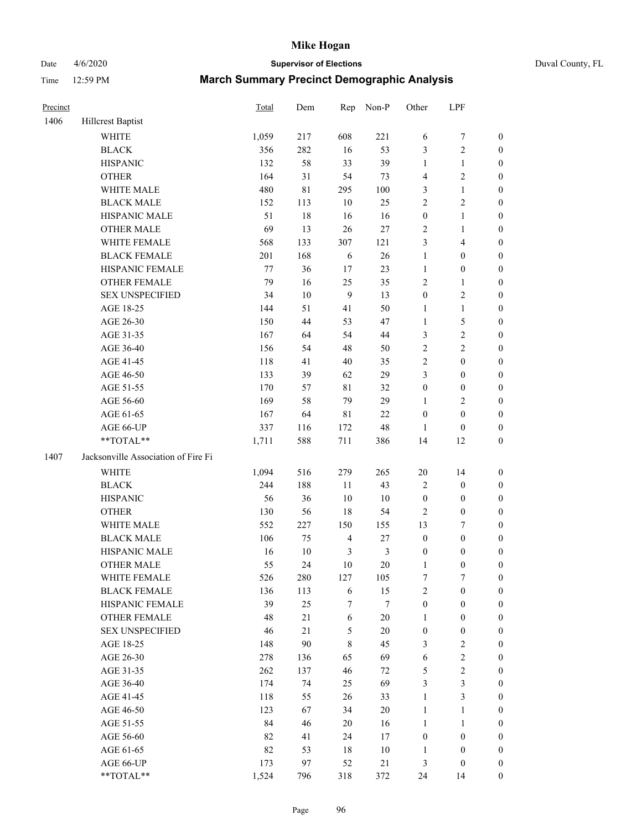## Date 4/6/2020 **Supervisor of Elections** Duval County, FL

| Precinct |                                        | Total      | Dem       | Rep                   | Non-P          | Other                  | LPF                                  |                                      |
|----------|----------------------------------------|------------|-----------|-----------------------|----------------|------------------------|--------------------------------------|--------------------------------------|
| 1406     | Hillcrest Baptist                      |            |           |                       |                |                        |                                      |                                      |
|          | <b>WHITE</b>                           | 1,059      | 217       | 608                   | 221            | 6                      | $\boldsymbol{7}$                     | 0                                    |
|          | <b>BLACK</b>                           | 356        | 282       | 16                    | 53             | 3                      | $\sqrt{2}$                           | $\boldsymbol{0}$                     |
|          | <b>HISPANIC</b>                        | 132        | 58        | 33                    | 39             | $\mathbf{1}$           | $\mathbf{1}$                         | $\boldsymbol{0}$                     |
|          | <b>OTHER</b>                           | 164        | 31        | 54                    | 73             | 4                      | $\sqrt{2}$                           | $\boldsymbol{0}$                     |
|          | WHITE MALE                             | 480        | 81        | 295                   | 100            | 3                      | $\mathbf{1}$                         | $\boldsymbol{0}$                     |
|          | <b>BLACK MALE</b>                      | 152        | 113       | 10                    | 25             | $\overline{c}$         | $\sqrt{2}$                           | $\boldsymbol{0}$                     |
|          | HISPANIC MALE                          | 51         | 18        | 16                    | 16             | $\boldsymbol{0}$       | $\mathbf{1}$                         | $\boldsymbol{0}$                     |
|          | <b>OTHER MALE</b>                      | 69         | 13        | 26                    | $27\,$         | 2                      | $\mathbf{1}$                         | $\boldsymbol{0}$                     |
|          | WHITE FEMALE                           | 568        | 133       | 307                   | 121            | 3                      | $\overline{\mathbf{4}}$              | $\boldsymbol{0}$                     |
|          | <b>BLACK FEMALE</b>                    | 201        | 168       | 6                     | $26\,$         | $\mathbf{1}$           | $\boldsymbol{0}$                     | 0                                    |
|          | HISPANIC FEMALE                        | $77 \,$    | 36        | 17                    | 23             | $\mathbf{1}$           | $\boldsymbol{0}$                     | 0                                    |
|          | OTHER FEMALE                           | 79         | 16        | 25                    | 35             | 2                      | $\mathbf{1}$                         | $\boldsymbol{0}$                     |
|          | <b>SEX UNSPECIFIED</b>                 | 34         | $10\,$    | 9                     | 13             | $\boldsymbol{0}$       | $\sqrt{2}$                           | $\boldsymbol{0}$                     |
|          | AGE 18-25                              | 144        | 51        | 41                    | 50             | 1                      | $\mathbf{1}$                         | $\boldsymbol{0}$                     |
|          | AGE 26-30                              | 150        | 44        | 53                    | 47             | $\mathbf{1}$           | $\mathfrak s$                        | $\boldsymbol{0}$                     |
|          | AGE 31-35                              | 167        | 64        | 54                    | 44             | 3                      | $\sqrt{2}$                           | $\boldsymbol{0}$                     |
|          | AGE 36-40                              | 156        | 54        | 48                    | 50             | $\overline{c}$         | $\sqrt{2}$                           | $\boldsymbol{0}$                     |
|          | AGE 41-45                              | 118        | 41        | $40\,$                | 35             | 2                      | $\boldsymbol{0}$                     | $\boldsymbol{0}$                     |
|          | AGE 46-50                              | 133        | 39        | 62                    | 29             | 3                      | $\boldsymbol{0}$                     | $\boldsymbol{0}$                     |
|          | AGE 51-55                              | 170        | 57        | 81                    | 32             | $\boldsymbol{0}$       | $\boldsymbol{0}$                     | $\boldsymbol{0}$                     |
|          | AGE 56-60                              | 169        | 58        | 79                    | 29             | 1                      | $\overline{2}$                       | 0                                    |
|          | AGE 61-65                              | 167        | 64        | $8\sqrt{1}$           | 22             | $\boldsymbol{0}$       | $\boldsymbol{0}$                     | 0                                    |
|          | AGE 66-UP                              | 337        | 116       | 172                   | 48             | $\mathbf{1}$           | $\boldsymbol{0}$                     | $\boldsymbol{0}$                     |
|          | **TOTAL**                              | 1,711      | 588       | 711                   | 386            | 14                     | 12                                   | $\boldsymbol{0}$                     |
| 1407     | Jacksonville Association of Fire Fi    |            |           |                       |                |                        |                                      |                                      |
|          | <b>WHITE</b>                           | 1,094      | 516       | 279                   | 265            | $20\,$                 |                                      |                                      |
|          | <b>BLACK</b>                           | 244        | 188       | 11                    | 43             |                        | 14<br>$\boldsymbol{0}$               | $\boldsymbol{0}$<br>$\boldsymbol{0}$ |
|          | <b>HISPANIC</b>                        | 56         | 36        | 10                    | $10\,$         | 2<br>$\boldsymbol{0}$  | $\boldsymbol{0}$                     | $\boldsymbol{0}$                     |
|          | <b>OTHER</b>                           | 130        | 56        | 18                    |                | $\overline{2}$         | $\boldsymbol{0}$                     |                                      |
|          |                                        |            |           |                       | 54             |                        |                                      | $\boldsymbol{0}$                     |
|          | WHITE MALE<br><b>BLACK MALE</b>        | 552<br>106 | 227<br>75 | 150<br>$\overline{4}$ | 155<br>$27\,$  | 13<br>$\boldsymbol{0}$ | $\boldsymbol{7}$<br>$\boldsymbol{0}$ | $\boldsymbol{0}$                     |
|          |                                        |            |           |                       |                |                        |                                      | $\boldsymbol{0}$                     |
|          | HISPANIC MALE                          | 16         | $10\,$    | $\mathfrak{Z}$        | $\mathfrak{Z}$ | $\boldsymbol{0}$       | $\boldsymbol{0}$                     | 0                                    |
|          | <b>OTHER MALE</b>                      | 55         | 24        | 10                    | $20\,$         | $\mathbf{1}$           | $\boldsymbol{0}$                     | $\boldsymbol{0}$                     |
|          | WHITE FEMALE                           | 526        | 280       | 127                   | 105            | 7                      | 7                                    | 0                                    |
|          | <b>BLACK FEMALE</b>                    | 136        | 113       | 6                     | 15             | $\overline{c}$         | $\boldsymbol{0}$                     | $\overline{0}$                       |
|          | HISPANIC FEMALE                        | 39         | 25        | 7                     | 7              | $\boldsymbol{0}$       | $\boldsymbol{0}$                     | $\overline{0}$                       |
|          | OTHER FEMALE<br><b>SEX UNSPECIFIED</b> | 48         | 21        | 6                     | $20\,$         | $\mathbf{1}$           | $\boldsymbol{0}$                     | $\overline{0}$                       |
|          |                                        | 46         | 21        | 5                     | 20             | $\boldsymbol{0}$       | $\boldsymbol{0}$                     | 0                                    |
|          | AGE 18-25                              | 148        | 90        | 8                     | 45             | 3                      | $\sqrt{2}$                           | 0                                    |
|          | AGE 26-30                              | 278        | 136       | 65<br>46              | 69             | 6<br>5                 | $\sqrt{2}$<br>$\sqrt{2}$             | 0<br>0                               |
|          | AGE 31-35                              | 262        | 137       |                       | 72             |                        | $\mathfrak{Z}$                       |                                      |
|          | AGE 36-40                              | 174<br>118 | 74<br>55  | 25<br>26              | 69             | 3<br>$\mathbf{1}$      | $\mathfrak{Z}$                       | 0                                    |
|          | AGE 41-45                              |            |           |                       | 33             |                        |                                      | 0                                    |
|          | AGE 46-50                              | 123        | 67        | 34                    | $20\,$         | $\mathbf{1}$           | $\mathbf{1}$                         | 0                                    |
|          | AGE 51-55                              | 84         | 46        | 20                    | 16             | $\mathbf{1}$           | $\mathbf{1}$                         | 0                                    |
|          | AGE 56-60                              | 82         | 41        | 24                    | 17             | $\boldsymbol{0}$       | $\boldsymbol{0}$                     | 0                                    |
|          | AGE 61-65                              | 82         | 53        | 18                    | $10\,$         | 1                      | $\boldsymbol{0}$                     | $\overline{0}$                       |
|          | AGE 66-UP                              | 173        | 97        | 52                    | $21\,$         | 3                      | $\boldsymbol{0}$                     | 0                                    |
|          | **TOTAL**                              | 1,524      | 796       | 318                   | 372            | 24                     | 14                                   | $\boldsymbol{0}$                     |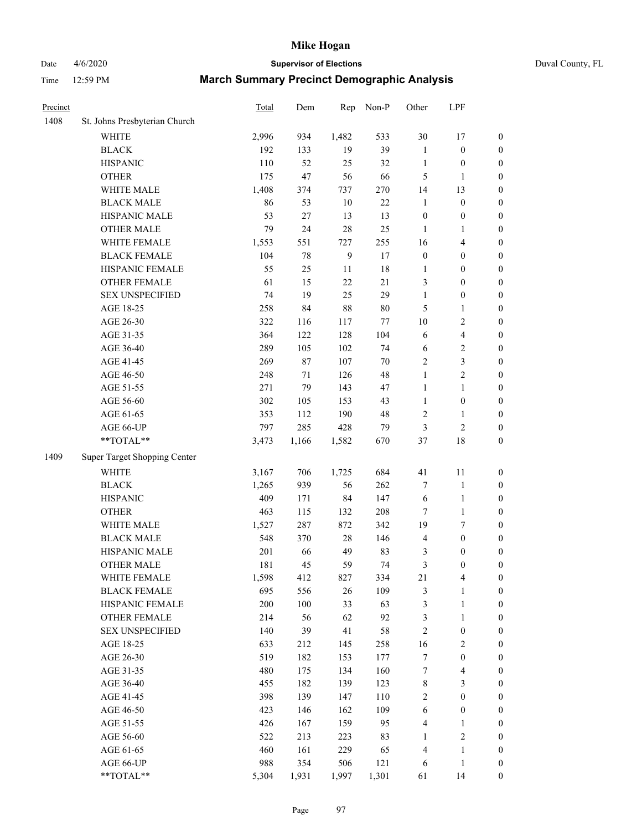## Date 4/6/2020 **Supervisor of Elections** Duval County, FL

| Precinct |                               | Total | Dem    | Rep          | Non-P  | Other            | LPF                     |                  |
|----------|-------------------------------|-------|--------|--------------|--------|------------------|-------------------------|------------------|
| 1408     | St. Johns Presbyterian Church |       |        |              |        |                  |                         |                  |
|          | <b>WHITE</b>                  | 2,996 | 934    | 1,482        | 533    | 30               | 17                      | 0                |
|          | <b>BLACK</b>                  | 192   | 133    | 19           | 39     | $\mathbf{1}$     | $\boldsymbol{0}$        | $\boldsymbol{0}$ |
|          | <b>HISPANIC</b>               | 110   | 52     | 25           | 32     | $\mathbf{1}$     | $\boldsymbol{0}$        | $\boldsymbol{0}$ |
|          | <b>OTHER</b>                  | 175   | 47     | 56           | 66     | 5                | 1                       | $\boldsymbol{0}$ |
|          | WHITE MALE                    | 1,408 | 374    | 737          | 270    | 14               | 13                      | $\boldsymbol{0}$ |
|          | <b>BLACK MALE</b>             | 86    | 53     | 10           | 22     | $\mathbf{1}$     | $\boldsymbol{0}$        | $\boldsymbol{0}$ |
|          | HISPANIC MALE                 | 53    | $27\,$ | 13           | 13     | $\boldsymbol{0}$ | $\boldsymbol{0}$        | $\boldsymbol{0}$ |
|          | <b>OTHER MALE</b>             | 79    | 24     | 28           | 25     | $\mathbf{1}$     | $\mathbf{1}$            | $\boldsymbol{0}$ |
|          | WHITE FEMALE                  | 1,553 | 551    | 727          | 255    | 16               | $\overline{\mathbf{4}}$ | $\boldsymbol{0}$ |
|          | <b>BLACK FEMALE</b>           | 104   | $78\,$ | $\mathbf{9}$ | 17     | $\boldsymbol{0}$ | $\boldsymbol{0}$        | $\boldsymbol{0}$ |
|          | HISPANIC FEMALE               | 55    | 25     | 11           | 18     | 1                | $\boldsymbol{0}$        | 0                |
|          | <b>OTHER FEMALE</b>           | 61    | 15     | 22           | 21     | 3                | $\boldsymbol{0}$        | $\boldsymbol{0}$ |
|          | <b>SEX UNSPECIFIED</b>        | 74    | 19     | 25           | 29     | $\mathbf{1}$     | $\boldsymbol{0}$        | $\boldsymbol{0}$ |
|          | AGE 18-25                     | 258   | 84     | 88           | $80\,$ | 5                | $\mathbf{1}$            | $\boldsymbol{0}$ |
|          | AGE 26-30                     | 322   | 116    | 117          | 77     | 10               | $\sqrt{2}$              | $\boldsymbol{0}$ |
|          | AGE 31-35                     | 364   | 122    | 128          | 104    | 6                | $\overline{\mathbf{4}}$ | $\boldsymbol{0}$ |
|          | AGE 36-40                     | 289   | 105    | 102          | 74     | 6                | $\sqrt{2}$              | $\boldsymbol{0}$ |
|          | AGE 41-45                     | 269   | $87\,$ | 107          | $70\,$ | 2                | 3                       | $\boldsymbol{0}$ |
|          | AGE 46-50                     | 248   | 71     | 126          | 48     | $\mathbf{1}$     | $\overline{2}$          | $\boldsymbol{0}$ |
|          | AGE 51-55                     | 271   | 79     | 143          | 47     | $\mathbf{1}$     | $\mathbf{1}$            | $\boldsymbol{0}$ |
|          | AGE 56-60                     | 302   | 105    | 153          | 43     | $\mathbf{1}$     | $\boldsymbol{0}$        | 0                |
|          | AGE 61-65                     | 353   | 112    | 190          | 48     | 2                | 1                       | 0                |
|          | AGE 66-UP                     | 797   | 285    | 428          | 79     | 3                | $\sqrt{2}$              | $\boldsymbol{0}$ |
|          | **TOTAL**                     | 3,473 | 1,166  | 1,582        | 670    | 37               | 18                      | $\boldsymbol{0}$ |
| 1409     | Super Target Shopping Center  |       |        |              |        |                  |                         |                  |
|          | <b>WHITE</b>                  | 3,167 | 706    | 1,725        | 684    | 41               | 11                      | $\boldsymbol{0}$ |
|          | <b>BLACK</b>                  | 1,265 | 939    | 56           | 262    | 7                | 1                       | $\boldsymbol{0}$ |
|          | <b>HISPANIC</b>               | 409   | 171    | 84           | 147    | 6                | $\mathbf{1}$            | $\boldsymbol{0}$ |
|          | <b>OTHER</b>                  | 463   | 115    | 132          | 208    | 7                | $\mathbf{1}$            | $\boldsymbol{0}$ |
|          | WHITE MALE                    | 1,527 | 287    | 872          | 342    | 19               | 7                       | $\boldsymbol{0}$ |
|          | <b>BLACK MALE</b>             | 548   | 370    | $28\,$       | 146    | 4                | $\boldsymbol{0}$        | $\boldsymbol{0}$ |
|          | HISPANIC MALE                 | 201   | 66     | 49           | 83     | 3                | $\boldsymbol{0}$        | $\boldsymbol{0}$ |
|          | <b>OTHER MALE</b>             | 181   | 45     | 59           | 74     | 3                | $\boldsymbol{0}$        | $\boldsymbol{0}$ |
|          | WHITE FEMALE                  | 1,598 | 412    | 827          | 334    | 21               | 4                       | 0                |
|          | <b>BLACK FEMALE</b>           | 695   | 556    | 26           | 109    | 3                | $\mathbf{1}$            | $\boldsymbol{0}$ |
|          | HISPANIC FEMALE               | 200   | 100    | 33           | 63     | 3                | $\mathbf{1}$            | $\boldsymbol{0}$ |
|          | <b>OTHER FEMALE</b>           | 214   | 56     | 62           | 92     | 3                | $\mathbf{1}$            | $\overline{0}$   |
|          | <b>SEX UNSPECIFIED</b>        | 140   | 39     | 41           | 58     | $\overline{c}$   | $\boldsymbol{0}$        | 0                |
|          | AGE 18-25                     | 633   | 212    | 145          | 258    | 16               | $\sqrt{2}$              | 0                |
|          | AGE 26-30                     | 519   | 182    | 153          | 177    | 7                | $\boldsymbol{0}$        | 0                |
|          | AGE 31-35                     | 480   | 175    | 134          | 160    | 7                | $\overline{4}$          | 0                |
|          | AGE 36-40                     | 455   | 182    | 139          | 123    | 8                | $\mathfrak{Z}$          | 0                |
|          | AGE 41-45                     | 398   | 139    | 147          | 110    | 2                | $\boldsymbol{0}$        | 0                |
|          | AGE 46-50                     | 423   | 146    | 162          | 109    | 6                | $\boldsymbol{0}$        | 0                |
|          | AGE 51-55                     | 426   | 167    | 159          | 95     | 4                | $\mathbf{1}$            | 0                |
|          | AGE 56-60                     | 522   | 213    | 223          | 83     | 1                | $\sqrt{2}$              | $\boldsymbol{0}$ |
|          | AGE 61-65                     | 460   | 161    | 229          | 65     | 4                | $\mathbf{1}$            | $\boldsymbol{0}$ |
|          | AGE 66-UP                     | 988   | 354    | 506          | 121    | 6                | $\mathbf{1}$            | 0                |
|          | **TOTAL**                     | 5,304 | 1,931  | 1,997        | 1,301  | 61               | 14                      | $\boldsymbol{0}$ |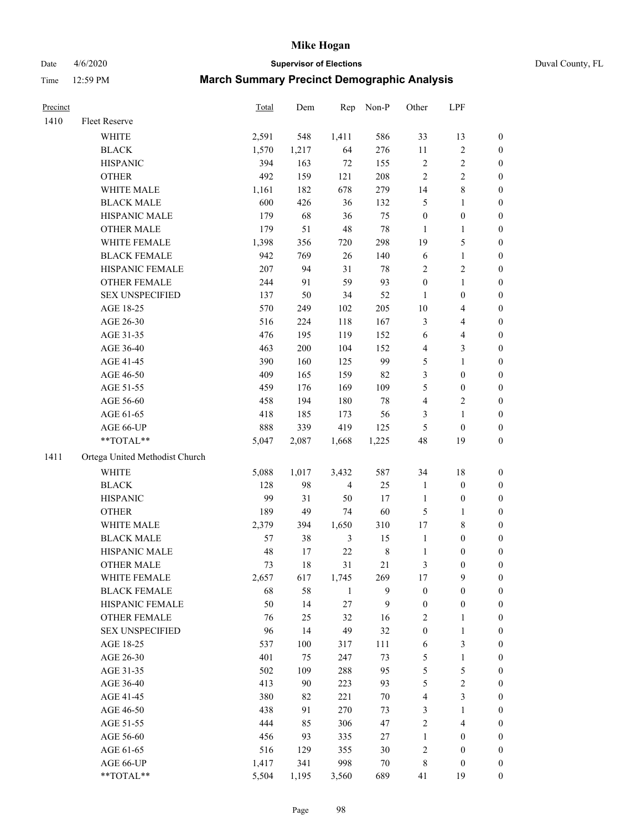Date 4/6/2020 **Supervisor of Elections** Duval County, FL

| Precinct |                                | Total | Dem   | Rep            | Non-P       | Other                   | LPF                      |                  |
|----------|--------------------------------|-------|-------|----------------|-------------|-------------------------|--------------------------|------------------|
| 1410     | Fleet Reserve                  |       |       |                |             |                         |                          |                  |
|          | <b>WHITE</b>                   | 2,591 | 548   | 1,411          | 586         | 33                      | 13                       | 0                |
|          | <b>BLACK</b>                   | 1,570 | 1,217 | 64             | 276         | 11                      | $\sqrt{2}$               | 0                |
|          | <b>HISPANIC</b>                | 394   | 163   | $72\,$         | 155         | $\sqrt{2}$              | $\sqrt{2}$               | $\boldsymbol{0}$ |
|          | <b>OTHER</b>                   | 492   | 159   | 121            | 208         | $\sqrt{2}$              | $\sqrt{2}$               | $\boldsymbol{0}$ |
|          | WHITE MALE                     | 1,161 | 182   | 678            | 279         | 14                      | $\,$ 8 $\,$              | $\boldsymbol{0}$ |
|          | <b>BLACK MALE</b>              | 600   | 426   | 36             | 132         | 5                       | $\mathbf{1}$             | $\boldsymbol{0}$ |
|          | HISPANIC MALE                  | 179   | 68    | 36             | 75          | $\boldsymbol{0}$        | $\boldsymbol{0}$         | $\boldsymbol{0}$ |
|          | <b>OTHER MALE</b>              | 179   | 51    | 48             | 78          | $\mathbf{1}$            | $\mathbf{1}$             | $\boldsymbol{0}$ |
|          | WHITE FEMALE                   | 1,398 | 356   | 720            | 298         | 19                      | 5                        | $\boldsymbol{0}$ |
|          | <b>BLACK FEMALE</b>            | 942   | 769   | 26             | 140         | 6                       | $\mathbf{1}$             | 0                |
|          | HISPANIC FEMALE                | 207   | 94    | 31             | 78          | 2                       | $\sqrt{2}$               | 0                |
|          | OTHER FEMALE                   | 244   | 91    | 59             | 93          | $\boldsymbol{0}$        | $\mathbf{1}$             | 0                |
|          | <b>SEX UNSPECIFIED</b>         | 137   | 50    | 34             | 52          | $\mathbf{1}$            | $\boldsymbol{0}$         | $\boldsymbol{0}$ |
|          | AGE 18-25                      | 570   | 249   | 102            | 205         | $10\,$                  | $\overline{\mathbf{4}}$  | $\boldsymbol{0}$ |
|          | AGE 26-30                      | 516   | 224   | 118            | 167         | 3                       | $\overline{\mathcal{A}}$ | $\boldsymbol{0}$ |
|          | AGE 31-35                      | 476   | 195   | 119            | 152         | 6                       | $\overline{\mathcal{A}}$ | $\boldsymbol{0}$ |
|          | AGE 36-40                      | 463   | 200   | 104            | 152         | 4                       | 3                        | $\boldsymbol{0}$ |
|          | AGE 41-45                      | 390   | 160   | 125            | 99          | 5                       | $\mathbf{1}$             | $\boldsymbol{0}$ |
|          | AGE 46-50                      | 409   | 165   | 159            | 82          | 3                       | $\boldsymbol{0}$         | $\boldsymbol{0}$ |
|          | AGE 51-55                      | 459   | 176   | 169            | 109         | 5                       | $\boldsymbol{0}$         | 0                |
|          | AGE 56-60                      | 458   | 194   | 180            | 78          | 4                       | $\sqrt{2}$               | 0                |
|          | AGE 61-65                      | 418   | 185   | 173            | 56          | 3                       | $\mathbf{1}$             | 0                |
|          | AGE 66-UP                      | 888   | 339   | 419            | 125         | 5                       | $\boldsymbol{0}$         | $\boldsymbol{0}$ |
|          | **TOTAL**                      | 5,047 | 2,087 | 1,668          | 1,225       | 48                      | 19                       | $\boldsymbol{0}$ |
| 1411     | Ortega United Methodist Church |       |       |                |             |                         |                          |                  |
|          | <b>WHITE</b>                   | 5,088 | 1,017 | 3,432          | 587         | 34                      | 18                       | $\boldsymbol{0}$ |
|          | <b>BLACK</b>                   | 128   | 98    | $\overline{4}$ | 25          | $\mathbf{1}$            | $\boldsymbol{0}$         | $\boldsymbol{0}$ |
|          | <b>HISPANIC</b>                | 99    | 31    | 50             | 17          | $\mathbf{1}$            | $\boldsymbol{0}$         | $\boldsymbol{0}$ |
|          | <b>OTHER</b>                   | 189   | 49    | 74             | 60          | 5                       | $\mathbf{1}$             | $\boldsymbol{0}$ |
|          | WHITE MALE                     | 2,379 | 394   | 1,650          | 310         | 17                      | $\,$ 8 $\,$              | $\boldsymbol{0}$ |
|          | <b>BLACK MALE</b>              | 57    | 38    | 3              | 15          | $\mathbf{1}$            | $\boldsymbol{0}$         | $\boldsymbol{0}$ |
|          | HISPANIC MALE                  | 48    | 17    | 22             | $\,$ 8 $\,$ | 1                       | $\boldsymbol{0}$         | 0                |
|          | <b>OTHER MALE</b>              | 73    | 18    | 31             | 21          | 3                       | $\boldsymbol{0}$         | $\boldsymbol{0}$ |
|          | WHITE FEMALE                   | 2,657 | 617   | 1,745          | 269         | 17                      | 9                        | 0                |
|          | <b>BLACK FEMALE</b>            | 68    | 58    | $\mathbf{1}$   | 9           | $\boldsymbol{0}$        | $\boldsymbol{0}$         | $\boldsymbol{0}$ |
|          | HISPANIC FEMALE                | 50    | 14    | 27             | 9           | $\boldsymbol{0}$        | $\boldsymbol{0}$         | $\overline{0}$   |
|          | OTHER FEMALE                   | 76    | 25    | 32             | 16          | $\overline{\mathbf{c}}$ | $\mathbf{1}$             | $\overline{0}$   |
|          | <b>SEX UNSPECIFIED</b>         | 96    | 14    | 49             | 32          | $\boldsymbol{0}$        | $\mathbf{1}$             | 0                |
|          | AGE 18-25                      | 537   | 100   | 317            | 111         | 6                       | 3                        | 0                |
|          | AGE 26-30                      | 401   | 75    | 247            | 73          | 5                       | $\mathbf{1}$             | 0                |
|          | AGE 31-35                      | 502   | 109   | 288            | 95          | 5                       | $\sqrt{5}$               | 0                |
|          | AGE 36-40                      | 413   | 90    | 223            | 93          | 5                       | $\sqrt{2}$               | 0                |
|          | AGE 41-45                      | 380   | 82    | 221            | 70          | 4                       | $\mathfrak{Z}$           | 0                |
|          | AGE 46-50                      | 438   | 91    | 270            | 73          | 3                       | $\mathbf{1}$             | 0                |
|          | AGE 51-55                      | 444   | 85    | 306            | 47          | 2                       | $\overline{4}$           | 0                |
|          | AGE 56-60                      | 456   | 93    | 335            | 27          | 1                       | $\boldsymbol{0}$         | 0                |
|          | AGE 61-65                      | 516   | 129   | 355            | 30          | $\overline{\mathbf{c}}$ | $\boldsymbol{0}$         | $\boldsymbol{0}$ |
|          | AGE 66-UP                      | 1,417 | 341   | 998            | 70          | 8                       | $\boldsymbol{0}$         | 0                |
|          | **TOTAL**                      | 5,504 | 1,195 | 3,560          | 689         | 41                      | 19                       | $\boldsymbol{0}$ |
|          |                                |       |       |                |             |                         |                          |                  |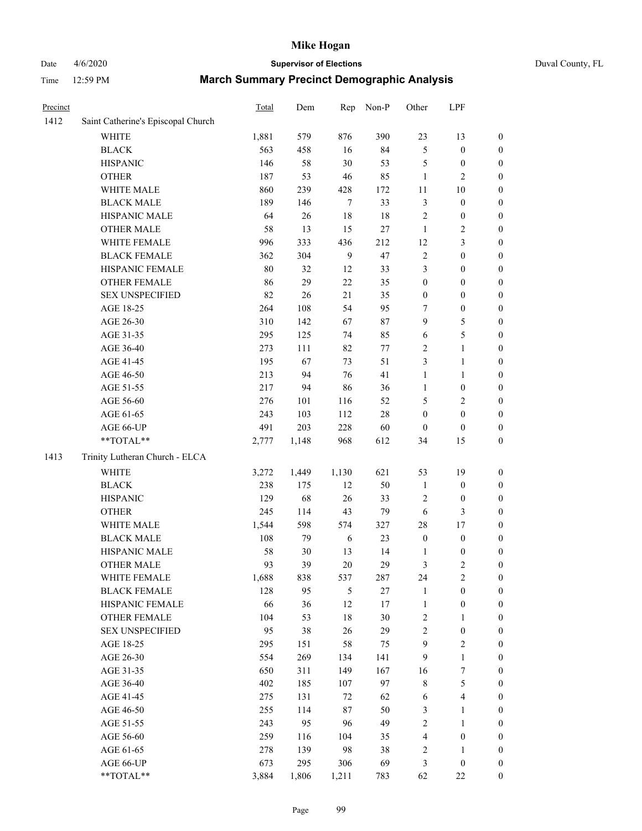# Date 4/6/2020 **Supervisor of Elections** Duval County, FL

| Precinct |                                    | Total | Dem   | Rep              | Non-P  | Other                   | LPF                     |                  |
|----------|------------------------------------|-------|-------|------------------|--------|-------------------------|-------------------------|------------------|
| 1412     | Saint Catherine's Episcopal Church |       |       |                  |        |                         |                         |                  |
|          | <b>WHITE</b>                       | 1,881 | 579   | 876              | 390    | 23                      | 13                      | 0                |
|          | <b>BLACK</b>                       | 563   | 458   | 16               | 84     | 5                       | $\boldsymbol{0}$        | 0                |
|          | <b>HISPANIC</b>                    | 146   | 58    | 30               | 53     | 5                       | $\boldsymbol{0}$        | $\boldsymbol{0}$ |
|          | <b>OTHER</b>                       | 187   | 53    | 46               | 85     | $\mathbf{1}$            | $\mathfrak{2}$          | $\boldsymbol{0}$ |
|          | WHITE MALE                         | 860   | 239   | 428              | 172    | 11                      | 10                      | $\boldsymbol{0}$ |
|          | <b>BLACK MALE</b>                  | 189   | 146   | $\boldsymbol{7}$ | 33     | 3                       | $\boldsymbol{0}$        | $\boldsymbol{0}$ |
|          | HISPANIC MALE                      | 64    | 26    | 18               | 18     | $\overline{c}$          | $\boldsymbol{0}$        | $\boldsymbol{0}$ |
|          | <b>OTHER MALE</b>                  | 58    | 13    | 15               | $27\,$ | $\mathbf{1}$            | $\overline{2}$          | $\boldsymbol{0}$ |
|          | WHITE FEMALE                       | 996   | 333   | 436              | 212    | 12                      | 3                       | $\boldsymbol{0}$ |
|          | <b>BLACK FEMALE</b>                | 362   | 304   | $\mathbf{9}$     | 47     | 2                       | $\boldsymbol{0}$        | $\boldsymbol{0}$ |
|          | HISPANIC FEMALE                    | 80    | 32    | 12               | 33     | 3                       | $\boldsymbol{0}$        | $\boldsymbol{0}$ |
|          | <b>OTHER FEMALE</b>                | 86    | 29    | 22               | 35     | 0                       | $\boldsymbol{0}$        | $\boldsymbol{0}$ |
|          | <b>SEX UNSPECIFIED</b>             | 82    | 26    | 21               | 35     | $\boldsymbol{0}$        | $\boldsymbol{0}$        | $\boldsymbol{0}$ |
|          | AGE 18-25                          | 264   | 108   | 54               | 95     | 7                       | $\boldsymbol{0}$        | $\boldsymbol{0}$ |
|          | AGE 26-30                          | 310   | 142   | 67               | 87     | 9                       | $\mathfrak s$           | $\boldsymbol{0}$ |
|          | AGE 31-35                          | 295   | 125   | 74               | 85     | 6                       | 5                       | $\boldsymbol{0}$ |
|          | AGE 36-40                          | 273   | 111   | 82               | 77     | $\overline{c}$          | $\mathbf{1}$            | $\boldsymbol{0}$ |
|          | AGE 41-45                          | 195   | 67    | 73               | 51     | 3                       | $\mathbf{1}$            | $\boldsymbol{0}$ |
|          | AGE 46-50                          | 213   | 94    | 76               | 41     | $\mathbf{1}$            | $\mathbf{1}$            | $\boldsymbol{0}$ |
|          | AGE 51-55                          | 217   | 94    | 86               | 36     | 1                       | $\boldsymbol{0}$        | $\boldsymbol{0}$ |
|          | AGE 56-60                          | 276   | 101   | 116              | 52     | 5                       | $\overline{2}$          | 0                |
|          | AGE 61-65                          | 243   | 103   | 112              | $28\,$ | $\boldsymbol{0}$        | $\boldsymbol{0}$        | $\boldsymbol{0}$ |
|          | AGE 66-UP                          | 491   | 203   | 228              | 60     | $\boldsymbol{0}$        | $\boldsymbol{0}$        | $\boldsymbol{0}$ |
|          | **TOTAL**                          | 2,777 | 1,148 | 968              | 612    | 34                      | 15                      | $\boldsymbol{0}$ |
| 1413     | Trinity Lutheran Church - ELCA     |       |       |                  |        |                         |                         |                  |
|          | <b>WHITE</b>                       | 3,272 | 1,449 | 1,130            | 621    | 53                      | 19                      | $\boldsymbol{0}$ |
|          | <b>BLACK</b>                       | 238   | 175   | 12               | 50     | $\mathbf{1}$            | $\boldsymbol{0}$        | $\boldsymbol{0}$ |
|          | <b>HISPANIC</b>                    | 129   | 68    | 26               | 33     | $\overline{c}$          | $\boldsymbol{0}$        | $\boldsymbol{0}$ |
|          | <b>OTHER</b>                       | 245   | 114   | 43               | 79     | 6                       | 3                       | $\boldsymbol{0}$ |
|          | WHITE MALE                         | 1,544 | 598   | 574              | 327    | 28                      | 17                      | $\boldsymbol{0}$ |
|          | <b>BLACK MALE</b>                  | 108   | 79    | 6                | 23     | $\boldsymbol{0}$        | $\boldsymbol{0}$        | $\boldsymbol{0}$ |
|          | HISPANIC MALE                      | 58    | 30    | 13               | 14     | 1                       | $\boldsymbol{0}$        | 0                |
|          | <b>OTHER MALE</b>                  | 93    | 39    | 20               | 29     | 3                       | $\mathfrak{2}$          | $\boldsymbol{0}$ |
|          | WHITE FEMALE                       | 1,688 | 838   | 537              | 287    | 24                      | $\overline{c}$          | 0                |
|          | <b>BLACK FEMALE</b>                | 128   | 95    | 5                | 27     | 1                       | $\boldsymbol{0}$        | $\overline{0}$   |
|          | HISPANIC FEMALE                    | 66    | 36    | 12               | 17     | $\mathbf{1}$            | $\boldsymbol{0}$        | $\overline{0}$   |
|          | OTHER FEMALE                       | 104   | 53    | 18               | 30     | $\overline{\mathbf{c}}$ | $\mathbf{1}$            | $\overline{0}$   |
|          | <b>SEX UNSPECIFIED</b>             | 95    | 38    | 26               | 29     | 2                       | $\boldsymbol{0}$        | 0                |
|          | AGE 18-25                          | 295   | 151   | 58               | 75     | 9                       | $\sqrt{2}$              | 0                |
|          | AGE 26-30                          | 554   | 269   | 134              | 141    | 9                       | $\mathbf{1}$            | 0                |
|          | AGE 31-35                          | 650   | 311   | 149              | 167    | 16                      | $\boldsymbol{7}$        | 0                |
|          | AGE 36-40                          | 402   | 185   | 107              | 97     | 8                       | $\mathfrak s$           | 0                |
|          | AGE 41-45                          | 275   | 131   | 72               | 62     | 6                       | $\overline{\mathbf{4}}$ | 0                |
|          | AGE 46-50                          | 255   | 114   | 87               | 50     | 3                       | 1                       | 0                |
|          | AGE 51-55                          | 243   | 95    | 96               | 49     | 2                       | $\mathbf{1}$            | 0                |
|          | AGE 56-60                          | 259   | 116   | 104              | 35     | 4                       | $\boldsymbol{0}$        | 0                |
|          | AGE 61-65                          | 278   | 139   | 98               | 38     | $\overline{\mathbf{c}}$ | 1                       | 0                |
|          | AGE 66-UP                          | 673   | 295   | 306              | 69     | 3                       | $\boldsymbol{0}$        | 0                |
|          | **TOTAL**                          | 3,884 | 1,806 | 1,211            | 783    | 62                      | $22\,$                  | $\boldsymbol{0}$ |